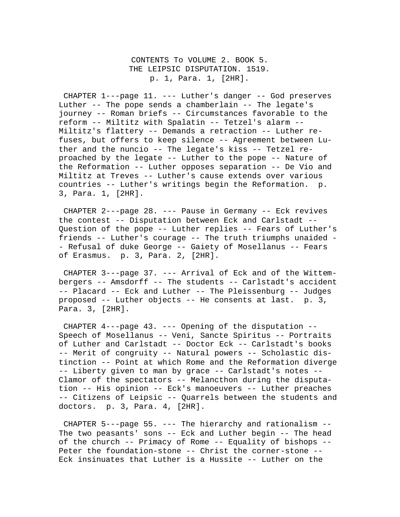CONTENTS To VOLUME 2. BOOK 5. THE LEIPSIC DISPUTATION. 1519. p. 1, Para. 1, [2HR].

 CHAPTER 1---page 11. --- Luther's danger -- God preserves Luther -- The pope sends a chamberlain -- The legate's journey -- Roman briefs -- Circumstances favorable to the reform -- Miltitz with Spalatin -- Tetzel's alarm -- Miltitz's flattery -- Demands a retraction -- Luther refuses, but offers to keep silence -- Agreement between Luther and the nuncio -- The legate's kiss -- Tetzel reproached by the legate -- Luther to the pope -- Nature of the Reformation -- Luther opposes separation -- De Vio and Miltitz at Treves -- Luther's cause extends over various countries -- Luther's writings begin the Reformation. p. 3, Para. 1, [2HR].

 CHAPTER 2---page 28. --- Pause in Germany -- Eck revives the contest -- Disputation between Eck and Carlstadt -- Question of the pope -- Luther replies -- Fears of Luther's friends -- Luther's courage -- The truth triumphs unaided - - Refusal of duke George -- Gaiety of Mosellanus -- Fears of Erasmus. p. 3, Para. 2, [2HR].

 CHAPTER 3---page 37. --- Arrival of Eck and of the Wittembergers -- Amsdorff -- The students -- Carlstadt's accident -- Placard -- Eck and Luther -- The Pleissenburg -- Judges proposed -- Luther objects -- He consents at last. p. 3, Para. 3, [2HR].

 CHAPTER 4---page 43. --- Opening of the disputation -- Speech of Mosellanus -- Veni, Sancte Spiritus -- Portraits of Luther and Carlstadt -- Doctor Eck -- Carlstadt's books -- Merit of congruity -- Natural powers -- Scholastic distinction -- Point at which Rome and the Reformation diverge -- Liberty given to man by grace -- Carlstadt's notes -- Clamor of the spectators -- Melancthon during the disputation -- His opinion -- Eck's manoeuvers -- Luther preaches -- Citizens of Leipsic -- Quarrels between the students and doctors. p. 3, Para. 4, [2HR].

 CHAPTER 5---page 55. --- The hierarchy and rationalism -- The two peasants' sons -- Eck and Luther begin -- The head of the church -- Primacy of Rome -- Equality of bishops -- Peter the foundation-stone -- Christ the corner-stone -- Eck insinuates that Luther is a Hussite -- Luther on the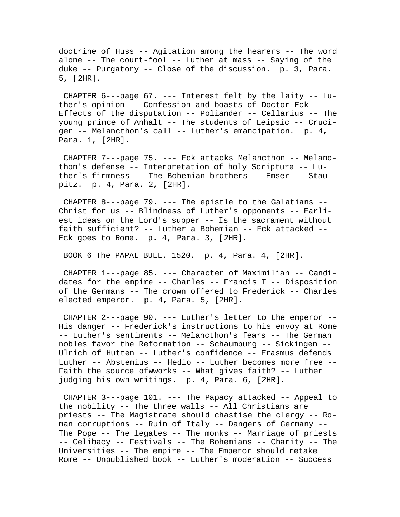doctrine of Huss -- Agitation among the hearers -- The word alone -- The court-fool -- Luther at mass -- Saying of the duke -- Purgatory -- Close of the discussion. p. 3, Para. 5, [2HR].

 CHAPTER 6---page 67. --- Interest felt by the laity -- Luther's opinion -- Confession and boasts of Doctor Eck -- Effects of the disputation -- Poliander -- Cellarius -- The young prince of Anhalt -- The students of Leipsic -- Cruciger -- Melancthon's call -- Luther's emancipation. p. 4, Para. 1, [2HR].

 CHAPTER 7---page 75. --- Eck attacks Melancthon -- Melancthon's defense -- Interpretation of holy Scripture -- Luther's firmness -- The Bohemian brothers -- Emser -- Staupitz. p. 4, Para. 2, [2HR].

 CHAPTER 8---page 79. --- The epistle to the Galatians -- Christ for us -- Blindness of Luther's opponents -- Earliest ideas on the Lord's supper -- Is the sacrament without faith sufficient? -- Luther a Bohemian -- Eck attacked -- Eck goes to Rome. p. 4, Para. 3, [2HR].

BOOK 6 The PAPAL BULL. 1520. p. 4, Para. 4, [2HR].

 CHAPTER 1---page 85. --- Character of Maximilian -- Candidates for the empire -- Charles -- Francis I -- Disposition of the Germans -- The crown offered to Frederick -- Charles elected emperor. p. 4, Para. 5, [2HR].

 CHAPTER 2---page 90. --- Luther's letter to the emperor -- His danger -- Frederick's instructions to his envoy at Rome -- Luther's sentiments -- Melancthon's fears -- The German nobles favor the Reformation -- Schaumburg -- Sickingen -- Ulrich of Hutten -- Luther's confidence -- Erasmus defends Luther -- Abstemius -- Hedio -- Luther becomes more free -- Faith the source ofwworks -- What gives faith? -- Luther judging his own writings. p. 4, Para. 6, [2HR].

 CHAPTER 3---page 101. --- The Papacy attacked -- Appeal to the nobility -- The three walls -- All Christians are priests -- The Magistrate should chastise the clergy -- Roman corruptions -- Ruin of Italy -- Dangers of Germany -- The Pope -- The legates -- The monks -- Marriage of priests -- Celibacy -- Festivals -- The Bohemians -- Charity -- The Universities -- The empire -- The Emperor should retake Rome -- Unpublished book -- Luther's moderation -- Success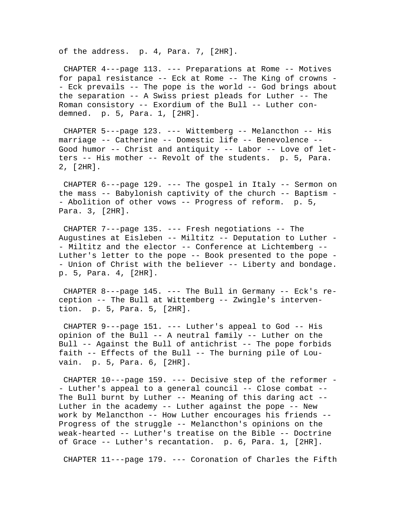of the address. p. 4, Para. 7, [2HR].

 CHAPTER 4---page 113. --- Preparations at Rome -- Motives for papal resistance -- Eck at Rome -- The King of crowns - - Eck prevails -- The pope is the world -- God brings about the separation -- A Swiss priest pleads for Luther -- The Roman consistory -- Exordium of the Bull -- Luther condemned. p. 5, Para. 1, [2HR].

 CHAPTER 5---page 123. --- Wittemberg -- Melancthon -- His marriage -- Catherine -- Domestic life -- Benevolence -- Good humor -- Christ and antiquity -- Labor -- Love of letters -- His mother -- Revolt of the students. p. 5, Para. 2, [2HR].

 CHAPTER 6---page 129. --- The gospel in Italy -- Sermon on the mass -- Babylonish captivity of the church -- Baptism - - Abolition of other vows -- Progress of reform. p. 5, Para. 3, [2HR].

 CHAPTER 7---page 135. --- Fresh negotiations -- The Augustines at Eisleben -- Miltitz -- Deputation to Luther - - Miltitz and the elector -- Conference at Lichtemberg -- Luther's letter to the pope -- Book presented to the pope - - Union of Christ with the believer -- Liberty and bondage. p. 5, Para. 4, [2HR].

CHAPTER  $8--$ -page  $145.$  --- The Bull in Germany -- Eck's reception -- The Bull at Wittemberg -- Zwingle's intervention. p. 5, Para. 5, [2HR].

 CHAPTER 9---page 151. --- Luther's appeal to God -- His opinion of the Bull -- A neutral family -- Luther on the Bull -- Against the Bull of antichrist -- The pope forbids faith -- Effects of the Bull -- The burning pile of Louvain. p. 5, Para. 6, [2HR].

 CHAPTER 10---page 159. --- Decisive step of the reformer - - Luther's appeal to a general council -- Close combat -- The Bull burnt by Luther -- Meaning of this daring act -- Luther in the academy -- Luther against the pope -- New work by Melancthon -- How Luther encourages his friends -- Progress of the struggle -- Melancthon's opinions on the weak-hearted -- Luther's treatise on the Bible -- Doctrine of Grace -- Luther's recantation. p. 6, Para. 1, [2HR].

CHAPTER 11---page 179. --- Coronation of Charles the Fifth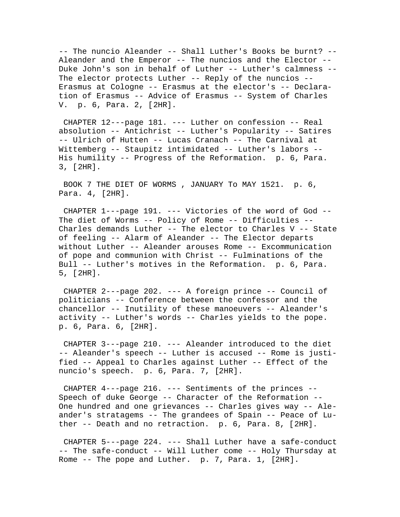-- The nuncio Aleander -- Shall Luther's Books be burnt? -- Aleander and the Emperor -- The nuncios and the Elector -- Duke John's son in behalf of Luther -- Luther's calmness -- The elector protects Luther -- Reply of the nuncios -- Erasmus at Cologne -- Erasmus at the elector's -- Declaration of Erasmus -- Advice of Erasmus -- System of Charles V. p. 6, Para. 2, [2HR].

 CHAPTER 12---page 181. --- Luther on confession -- Real absolution -- Antichrist -- Luther's Popularity -- Satires -- Ulrich of Hutten -- Lucas Cranach -- The Carnival at Wittemberg -- Staupitz intimidated -- Luther's labors -- His humility -- Progress of the Reformation. p. 6, Para. 3, [2HR].

 BOOK 7 THE DIET OF WORMS , JANUARY To MAY 1521. p. 6, Para. 4, [2HR].

 CHAPTER 1---page 191. --- Victories of the word of God -- The diet of Worms -- Policy of Rome -- Difficulties -- Charles demands Luther -- The elector to Charles V -- State of feeling -- Alarm of Aleander -- The Elector departs without Luther -- Aleander arouses Rome -- Excommunication of pope and communion with Christ -- Fulminations of the Bull -- Luther's motives in the Reformation. p. 6, Para. 5, [2HR].

 CHAPTER 2---page 202. --- A foreign prince -- Council of politicians -- Conference between the confessor and the chancellor -- Inutility of these manoeuvers -- Aleander's activity -- Luther's words -- Charles yields to the pope. p. 6, Para. 6, [2HR].

 CHAPTER 3---page 210. --- Aleander introduced to the diet -- Aleander's speech -- Luther is accused -- Rome is justified -- Appeal to Charles against Luther -- Effect of the nuncio's speech. p. 6, Para. 7, [2HR].

 CHAPTER 4---page 216. --- Sentiments of the princes -- Speech of duke George -- Character of the Reformation -- One hundred and one grievances -- Charles gives way -- Aleander's stratagems -- The grandees of Spain -- Peace of Luther -- Death and no retraction. p. 6, Para. 8, [2HR].

 CHAPTER 5---page 224. --- Shall Luther have a safe-conduct -- The safe-conduct -- Will Luther come -- Holy Thursday at Rome -- The pope and Luther. p. 7, Para. 1, [2HR].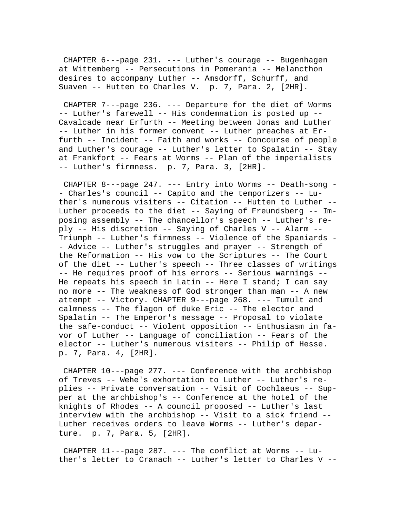CHAPTER 6---page 231. --- Luther's courage -- Bugenhagen at Wittemberg -- Persecutions in Pomerania -- Melancthon desires to accompany Luther -- Amsdorff, Schurff, and Suaven -- Hutten to Charles V. p. 7, Para. 2, [2HR].

 CHAPTER 7---page 236. --- Departure for the diet of Worms -- Luther's farewell -- His condemnation is posted up --Cavalcade near Erfurth -- Meeting between Jonas and Luther -- Luther in his former convent -- Luther preaches at Erfurth -- Incident -- Faith and works -- Concourse of people and Luther's courage -- Luther's letter to Spalatin -- Stay at Frankfort -- Fears at Worms -- Plan of the imperialists -- Luther's firmness. p. 7, Para. 3, [2HR].

 CHAPTER 8---page 247. --- Entry into Worms -- Death-song - - Charles's council -- Capito and the temporizers -- Luther's numerous visiters -- Citation -- Hutten to Luther -- Luther proceeds to the diet -- Saying of Freundsberg -- Imposing assembly -- The chancellor's speech -- Luther's reply -- His discretion -- Saying of Charles V -- Alarm -- Triumph -- Luther's firmness -- Violence of the Spaniards - - Advice -- Luther's struggles and prayer -- Strength of the Reformation -- His vow to the Scriptures -- The Court of the diet -- Luther's speech -- Three classes of writings -- He requires proof of his errors -- Serious warnings -- He repeats his speech in Latin -- Here I stand; I can say no more -- The weakness of God stronger than man -- A new attempt -- Victory. CHAPTER 9---page 268. --- Tumult and calmness -- The flagon of duke Eric -- The elector and Spalatin -- The Emperor's message -- Proposal to violate the safe-conduct -- Violent opposition -- Enthusiasm in favor of Luther -- Language of conciliation -- Fears of the elector -- Luther's numerous visiters -- Philip of Hesse. p. 7, Para. 4, [2HR].

 CHAPTER 10---page 277. --- Conference with the archbishop of Treves -- Wehe's exhortation to Luther -- Luther's replies -- Private conversation -- Visit of Cochlaeus -- Supper at the archbishop's -- Conference at the hotel of the knights of Rhodes -- A council proposed -- Luther's last interview with the archbishop -- Visit to a sick friend -- Luther receives orders to leave Worms -- Luther's departure. p. 7, Para. 5, [2HR].

 CHAPTER 11---page 287. --- The conflict at Worms -- Luther's letter to Cranach -- Luther's letter to Charles V --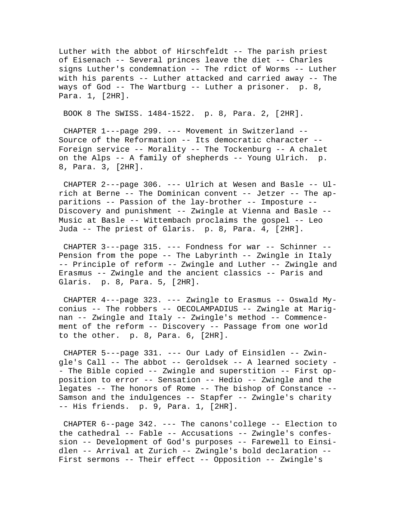Luther with the abbot of Hirschfeldt -- The parish priest of Eisenach -- Several princes leave the diet -- Charles signs Luther's condemnation -- The rdict of Worms -- Luther with his parents -- Luther attacked and carried away -- The ways of God  $-$ - The Wartburg  $-$ - Luther a prisoner. p. 8, Para. 1, [2HR].

BOOK 8 The SWISS. 1484-1522. p. 8, Para. 2, [2HR].

 CHAPTER 1---page 299. --- Movement in Switzerland -- Source of the Reformation -- Its democratic character -- Foreign service -- Morality -- The Tockenburg -- A chalet on the Alps -- A family of shepherds -- Young Ulrich. p. 8, Para. 3, [2HR].

 CHAPTER 2---page 306. --- Ulrich at Wesen and Basle -- Ulrich at Berne -- The Dominican convent -- Jetzer -- The apparitions -- Passion of the lay-brother -- Imposture -- Discovery and punishment -- Zwingle at Vienna and Basle -- Music at Basle -- Wittembach proclaims the gospel -- Leo Juda -- The priest of Glaris. p. 8, Para. 4, [2HR].

 CHAPTER 3---page 315. --- Fondness for war -- Schinner -- Pension from the pope -- The Labyrinth -- Zwingle in Italy -- Principle of reform -- Zwingle and Luther -- Zwingle and Erasmus -- Zwingle and the ancient classics -- Paris and Glaris. p. 8, Para. 5, [2HR].

 CHAPTER 4---page 323. --- Zwingle to Erasmus -- Oswald Myconius -- The robbers -- OECOLAMPADIUS -- Zwingle at Marignan -- Zwingle and Italy -- Zwingle's method -- Commencement of the reform -- Discovery -- Passage from one world to the other. p. 8, Para. 6, [2HR].

 CHAPTER 5---page 331. --- Our Lady of Einsidlen -- Zwingle's Call -- The abbot -- Geroldsek -- A learned society - - The Bible copied -- Zwingle and superstition -- First opposition to error -- Sensation -- Hedio -- Zwingle and the legates -- The honors of Rome -- The bishop of Constance -- Samson and the indulgences -- Stapfer -- Zwingle's charity -- His friends. p. 9, Para. 1, [2HR].

 CHAPTER 6--page 342. --- The canons'college -- Election to the cathedral -- Fable -- Accusations -- Zwingle's confession -- Development of God's purposes -- Farewell to Einsidlen -- Arrival at Zurich -- Zwingle's bold declaration -- First sermons -- Their effect -- Opposition -- Zwingle's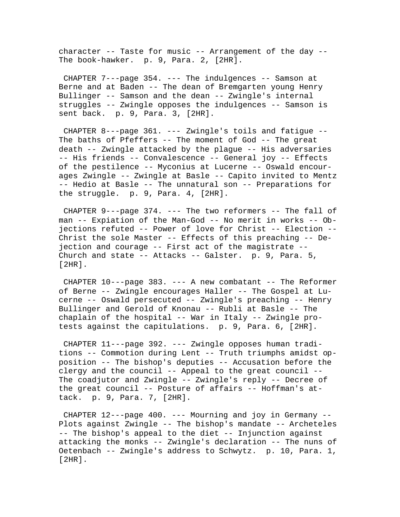character -- Taste for music -- Arrangement of the day -- The book-hawker. p. 9, Para. 2, [2HR].

 CHAPTER 7---page 354. --- The indulgences -- Samson at Berne and at Baden -- The dean of Bremgarten young Henry Bullinger -- Samson and the dean -- Zwingle's internal struggles -- Zwingle opposes the indulgences -- Samson is sent back. p. 9, Para. 3, [2HR].

 CHAPTER 8---page 361. --- Zwingle's toils and fatigue -- The baths of Pfeffers -- The moment of God -- The great death -- Zwingle attacked by the plague -- His adversaries -- His friends -- Convalescence -- General joy -- Effects of the pestilence -- Myconius at Lucerne -- Oswald encourages Zwingle -- Zwingle at Basle -- Capito invited to Mentz -- Hedio at Basle -- The unnatural son -- Preparations for the struggle. p. 9, Para. 4, [2HR].

 CHAPTER 9---page 374. --- The two reformers -- The fall of man -- Expiation of the Man-God -- No merit in works -- Objections refuted -- Power of love for Christ -- Election -- Christ the sole Master -- Effects of this preaching -- Dejection and courage -- First act of the magistrate -- Church and state -- Attacks -- Galster. p. 9, Para. 5, [2HR].

 CHAPTER 10---page 383. --- A new combatant -- The Reformer of Berne -- Zwingle encourages Haller -- The Gospel at Lucerne -- Oswald persecuted -- Zwingle's preaching -- Henry Bullinger and Gerold of Knonau -- Rubli at Basle -- The chaplain of the hospital -- War in Italy -- Zwingle protests against the capitulations. p. 9, Para. 6, [2HR].

 CHAPTER 11---page 392. --- Zwingle opposes human traditions -- Commotion during Lent -- Truth triumphs amidst opposition -- The bishop's deputies -- Accusation before the clergy and the council -- Appeal to the great council -- The coadjutor and Zwingle -- Zwingle's reply -- Decree of the great council -- Posture of affairs -- Hoffman's attack. p. 9, Para. 7, [2HR].

 CHAPTER 12---page 400. --- Mourning and joy in Germany -- Plots against Zwingle -- The bishop's mandate -- Archeteles -- The bishop's appeal to the diet -- Injunction against attacking the monks -- Zwingle's declaration -- The nuns of Oetenbach -- Zwingle's address to Schwytz. p. 10, Para. 1, [2HR].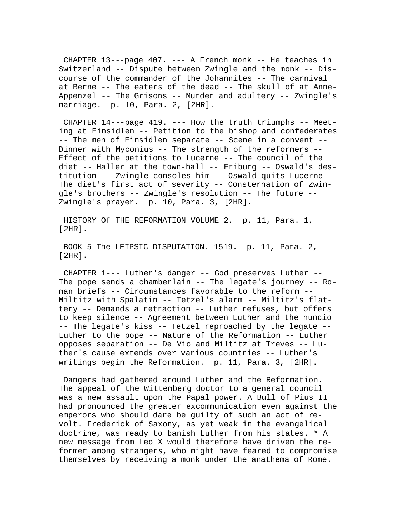CHAPTER 13---page 407. --- A French monk -- He teaches in Switzerland -- Dispute between Zwingle and the monk -- Discourse of the commander of the Johannites -- The carnival at Berne -- The eaters of the dead -- The skull of at Anne-Appenzel -- The Grisons -- Murder and adultery -- Zwingle's marriage. p. 10, Para. 2, [2HR].

 CHAPTER 14---page 419. --- How the truth triumphs -- Meeting at Einsidlen -- Petition to the bishop and confederates -- The men of Einsidlen separate -- Scene in a convent -- Dinner with Myconius -- The strength of the reformers -- Effect of the petitions to Lucerne -- The council of the diet -- Haller at the town-hall -- Friburg -- Oswald's destitution -- Zwingle consoles him -- Oswald quits Lucerne -- The diet's first act of severity -- Consternation of Zwingle's brothers -- Zwingle's resolution -- The future -- Zwingle's prayer. p. 10, Para. 3, [2HR].

 HISTORY Of THE REFORMATION VOLUME 2. p. 11, Para. 1, [2HR].

 BOOK 5 The LEIPSIC DISPUTATION. 1519. p. 11, Para. 2, [2HR].

 CHAPTER 1--- Luther's danger -- God preserves Luther -- The pope sends a chamberlain -- The legate's journey -- Roman briefs -- Circumstances favorable to the reform -- Miltitz with Spalatin -- Tetzel's alarm -- Miltitz's flattery -- Demands a retraction -- Luther refuses, but offers to keep silence -- Agreement between Luther and the nuncio -- The legate's kiss -- Tetzel reproached by the legate -- Luther to the pope -- Nature of the Reformation -- Luther opposes separation -- De Vio and Miltitz at Treves -- Luther's cause extends over various countries -- Luther's writings begin the Reformation. p. 11, Para. 3, [2HR].

 Dangers had gathered around Luther and the Reformation. The appeal of the Wittemberg doctor to a general council was a new assault upon the Papal power. A Bull of Pius II had pronounced the greater excommunication even against the emperors who should dare be guilty of such an act of revolt. Frederick of Saxony, as yet weak in the evangelical doctrine, was ready to banish Luther from his states. \* A new message from Leo X would therefore have driven the reformer among strangers, who might have feared to compromise themselves by receiving a monk under the anathema of Rome.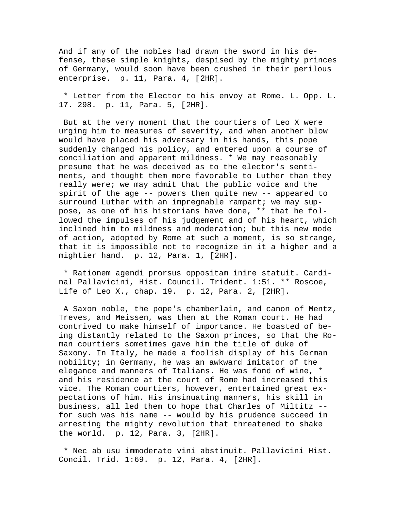And if any of the nobles had drawn the sword in his defense, these simple knights, despised by the mighty princes of Germany, would soon have been crushed in their perilous enterprise. p. 11, Para. 4, [2HR].

 \* Letter from the Elector to his envoy at Rome. L. Opp. L. 17. 298. p. 11, Para. 5, [2HR].

 But at the very moment that the courtiers of Leo X were urging him to measures of severity, and when another blow would have placed his adversary in his hands, this pope suddenly changed his policy, and entered upon a course of conciliation and apparent mildness. \* We may reasonably presume that he was deceived as to the elector's sentiments, and thought them more favorable to Luther than they really were; we may admit that the public voice and the spirit of the age -- powers then quite new -- appeared to surround Luther with an impregnable rampart; we may suppose, as one of his historians have done, \*\* that he followed the impulses of his judgement and of his heart, which inclined him to mildness and moderation; but this new mode of action, adopted by Rome at such a moment, is so strange, that it is impossible not to recognize in it a higher and a mightier hand. p. 12, Para. 1, [2HR].

 \* Rationem agendi prorsus oppositam inire statuit. Cardinal Pallavicini, Hist. Council. Trident. 1:51. \*\* Roscoe, Life of Leo X., chap. 19. p. 12, Para. 2, [2HR].

 A Saxon noble, the pope's chamberlain, and canon of Mentz, Treves, and Meissen, was then at the Roman court. He had contrived to make himself of importance. He boasted of being distantly related to the Saxon princes, so that the Roman courtiers sometimes gave him the title of duke of Saxony. In Italy, he made a foolish display of his German nobility; in Germany, he was an awkward imitator of the elegance and manners of Italians. He was fond of wine, \* and his residence at the court of Rome had increased this vice. The Roman courtiers, however, entertained great expectations of him. His insinuating manners, his skill in business, all led them to hope that Charles of Miltitz - for such was his name -- would by his prudence succeed in arresting the mighty revolution that threatened to shake the world. p. 12, Para. 3, [2HR].

 \* Nec ab usu immoderato vini abstinuit. Pallavicini Hist. Concil. Trid. 1:69. p. 12, Para. 4, [2HR].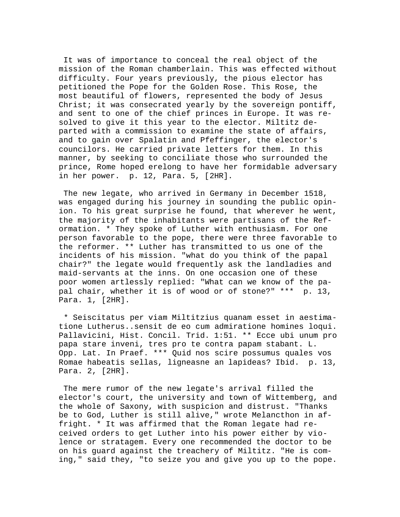It was of importance to conceal the real object of the mission of the Roman chamberlain. This was effected without difficulty. Four years previously, the pious elector has petitioned the Pope for the Golden Rose. This Rose, the most beautiful of flowers, represented the body of Jesus Christ; it was consecrated yearly by the sovereign pontiff, and sent to one of the chief princes in Europe. It was resolved to give it this year to the elector. Miltitz departed with a commission to examine the state of affairs, and to gain over Spalatin and Pfeffinger, the elector's councilors. He carried private letters for them. In this manner, by seeking to conciliate those who surrounded the prince, Rome hoped erelong to have her formidable adversary in her power. p. 12, Para. 5, [2HR].

 The new legate, who arrived in Germany in December 1518, was engaged during his journey in sounding the public opinion. To his great surprise he found, that wherever he went, the majority of the inhabitants were partisans of the Reformation. \* They spoke of Luther with enthusiasm. For one person favorable to the pope, there were three favorable to the reformer. \*\* Luther has transmitted to us one of the incidents of his mission. "what do you think of the papal chair?" the legate would frequently ask the landladies and maid-servants at the inns. On one occasion one of these poor women artlessly replied: "What can we know of the papal chair, whether it is of wood or of stone?" \*\*\* p. 13, Para. 1, [2HR].

 \* Seiscitatus per viam Miltitzius quanam esset in aestimatione Lutherus..sensit de eo cum admiratione homines loqui. Pallavicini, Hist. Concil. Trid. 1:51. \*\* Ecce ubi unum pro papa stare inveni, tres pro te contra papam stabant. L. Opp. Lat. In Praef. \*\*\* Quid nos scire possumus quales vos Romae habeatis sellas, ligneasne an lapideas? Ibid. p. 13, Para. 2, [2HR].

 The mere rumor of the new legate's arrival filled the elector's court, the university and town of Wittemberg, and the whole of Saxony, with suspicion and distrust. "Thanks be to God, Luther is still alive," wrote Melancthon in affright. \* It was affirmed that the Roman legate had received orders to get Luther into his power either by violence or stratagem. Every one recommended the doctor to be on his guard against the treachery of Miltitz. "He is coming," said they, "to seize you and give you up to the pope.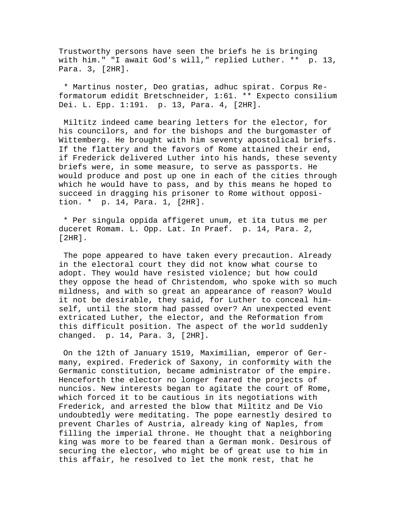Trustworthy persons have seen the briefs he is bringing with him." "I await God's will," replied Luther. \*\* p. 13, Para. 3, [2HR].

 \* Martinus noster, Deo gratias, adhuc spirat. Corpus Reformatorum edidit Bretschneider, 1:61. \*\* Expecto consilium Dei. L. Epp. 1:191. p. 13, Para. 4, [2HR].

Miltitz indeed came bearing letters for the elector, for his councilors, and for the bishops and the burgomaster of Wittemberg. He brought with him seventy apostolical briefs. If the flattery and the favors of Rome attained their end, if Frederick delivered Luther into his hands, these seventy briefs were, in some measure, to serve as passports. He would produce and post up one in each of the cities through which he would have to pass, and by this means he hoped to succeed in dragging his prisoner to Rome without opposition. \* p. 14, Para. 1, [2HR].

 \* Per singula oppida affigeret unum, et ita tutus me per duceret Romam. L. Opp. Lat. In Praef. p. 14, Para. 2,  $[2HR]$ .

 The pope appeared to have taken every precaution. Already in the electoral court they did not know what course to adopt. They would have resisted violence; but how could they oppose the head of Christendom, who spoke with so much mildness, and with so great an appearance of reason? Would it not be desirable, they said, for Luther to conceal himself, until the storm had passed over? An unexpected event extricated Luther, the elector, and the Reformation from this difficult position. The aspect of the world suddenly changed. p. 14, Para. 3, [2HR].

 On the 12th of January 1519, Maximilian, emperor of Germany, expired. Frederick of Saxony, in conformity with the Germanic constitution, became administrator of the empire. Henceforth the elector no longer feared the projects of nuncios. New interests began to agitate the court of Rome, which forced it to be cautious in its negotiations with Frederick, and arrested the blow that Miltitz and De Vio undoubtedly were meditating. The pope earnestly desired to prevent Charles of Austria, already king of Naples, from filling the imperial throne. He thought that a neighboring king was more to be feared than a German monk. Desirous of securing the elector, who might be of great use to him in this affair, he resolved to let the monk rest, that he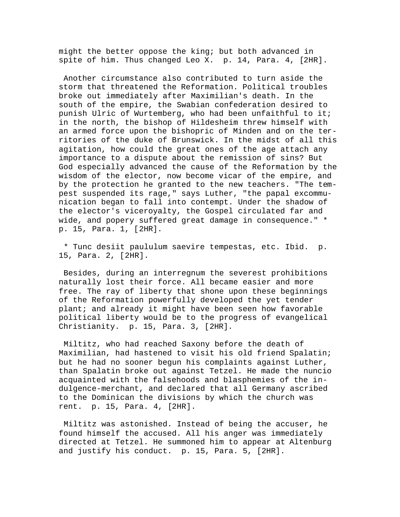might the better oppose the king; but both advanced in spite of him. Thus changed Leo X. p. 14, Para. 4, [2HR].

 Another circumstance also contributed to turn aside the storm that threatened the Reformation. Political troubles broke out immediately after Maximilian's death. In the south of the empire, the Swabian confederation desired to punish Ulric of Wurtemberg, who had been unfaithful to it; in the north, the bishop of Hildesheim threw himself with an armed force upon the bishopric of Minden and on the territories of the duke of Brunswick. In the midst of all this agitation, how could the great ones of the age attach any importance to a dispute about the remission of sins? But God especially advanced the cause of the Reformation by the wisdom of the elector, now become vicar of the empire, and by the protection he granted to the new teachers. "The tempest suspended its rage," says Luther, "the papal excommunication began to fall into contempt. Under the shadow of the elector's viceroyalty, the Gospel circulated far and wide, and popery suffered great damage in consequence." \* p. 15, Para. 1, [2HR].

 \* Tunc desiit paululum saevire tempestas, etc. Ibid. p. 15, Para. 2, [2HR].

 Besides, during an interregnum the severest prohibitions naturally lost their force. All became easier and more free. The ray of liberty that shone upon these beginnings of the Reformation powerfully developed the yet tender plant; and already it might have been seen how favorable political liberty would be to the progress of evangelical Christianity. p. 15, Para. 3, [2HR].

Miltitz, who had reached Saxony before the death of Maximilian, had hastened to visit his old friend Spalatin; but he had no sooner begun his complaints against Luther, than Spalatin broke out against Tetzel. He made the nuncio acquainted with the falsehoods and blasphemies of the indulgence-merchant, and declared that all Germany ascribed to the Dominican the divisions by which the church was rent. p. 15, Para. 4, [2HR].

Miltitz was astonished. Instead of being the accuser, he found himself the accused. All his anger was immediately directed at Tetzel. He summoned him to appear at Altenburg and justify his conduct. p. 15, Para. 5, [2HR].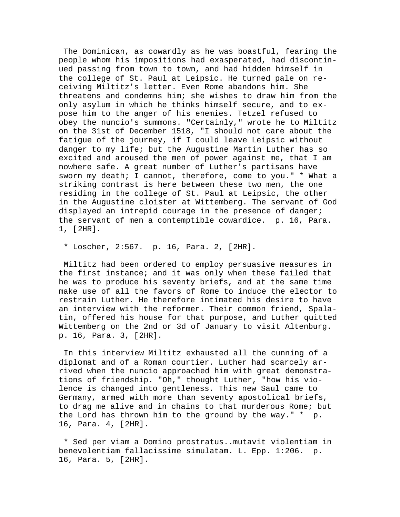The Dominican, as cowardly as he was boastful, fearing the people whom his impositions had exasperated, had discontinued passing from town to town, and had hidden himself in the college of St. Paul at Leipsic. He turned pale on receiving Miltitz's letter. Even Rome abandons him. She threatens and condemns him; she wishes to draw him from the only asylum in which he thinks himself secure, and to expose him to the anger of his enemies. Tetzel refused to obey the nuncio's summons. "Certainly," wrote he to Miltitz on the 31st of December 1518, "I should not care about the fatigue of the journey, if I could leave Leipsic without danger to my life; but the Augustine Martin Luther has so excited and aroused the men of power against me, that I am nowhere safe. A great number of Luther's partisans have sworn my death; I cannot, therefore, come to you." \* What a striking contrast is here between these two men, the one residing in the college of St. Paul at Leipsic, the other in the Augustine cloister at Wittemberg. The servant of God displayed an intrepid courage in the presence of danger; the servant of men a contemptible cowardice. p. 16, Para. 1, [2HR].

\* Loscher, 2:567. p. 16, Para. 2, [2HR].

Miltitz had been ordered to employ persuasive measures in the first instance; and it was only when these failed that he was to produce his seventy briefs, and at the same time make use of all the favors of Rome to induce the elector to restrain Luther. He therefore intimated his desire to have an interview with the reformer. Their common friend, Spalatin, offered his house for that purpose, and Luther quitted Wittemberg on the 2nd or 3d of January to visit Altenburg. p. 16, Para. 3, [2HR].

 In this interview Miltitz exhausted all the cunning of a diplomat and of a Roman courtier. Luther had scarcely arrived when the nuncio approached him with great demonstrations of friendship. "Oh," thought Luther, "how his violence is changed into gentleness. This new Saul came to Germany, armed with more than seventy apostolical briefs, to drag me alive and in chains to that murderous Rome; but the Lord has thrown him to the ground by the way." \* p. 16, Para. 4, [2HR].

 \* Sed per viam a Domino prostratus..mutavit violentiam in benevolentiam fallacissime simulatam. L. Epp. 1:206. p. 16, Para. 5, [2HR].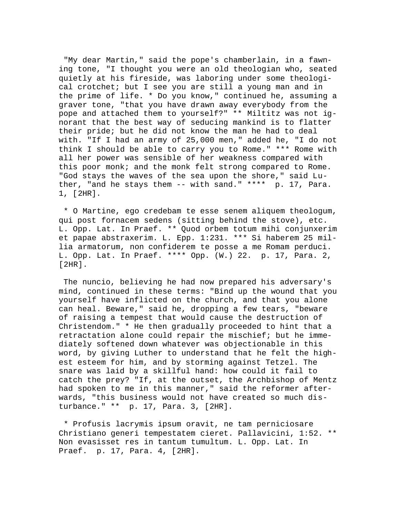"My dear Martin," said the pope's chamberlain, in a fawning tone, "I thought you were an old theologian who, seated quietly at his fireside, was laboring under some theological crotchet; but I see you are still a young man and in the prime of life. \* Do you know," continued he, assuming a graver tone, "that you have drawn away everybody from the pope and attached them to yourself?" \*\* Miltitz was not ignorant that the best way of seducing mankind is to flatter their pride; but he did not know the man he had to deal with. "If I had an army of 25,000 men," added he, "I do not think I should be able to carry you to Rome." \*\*\* Rome with all her power was sensible of her weakness compared with this poor monk; and the monk felt strong compared to Rome. "God stays the waves of the sea upon the shore," said Luther, "and he stays them -- with sand." \*\*\*\* p. 17, Para. 1, [2HR].

 \* O Martine, ego credebam te esse senem aliquem theologum, qui post fornacem sedens (sitting behind the stove), etc. L. Opp. Lat. In Praef. \*\* Quod orbem totum mihi conjunxerim et papae abstraxerim. L. Epp. 1:231. \*\*\* Si haberem 25 millia armatorum, non confiderem te posse a me Romam perduci. L. Opp. Lat. In Praef. \*\*\*\* Opp. (W.) 22. p. 17, Para. 2, [2HR].

 The nuncio, believing he had now prepared his adversary's mind, continued in these terms: "Bind up the wound that you yourself have inflicted on the church, and that you alone can heal. Beware," said he, dropping a few tears, "beware of raising a tempest that would cause the destruction of Christendom." \* He then gradually proceeded to hint that a retractation alone could repair the mischief; but he immediately softened down whatever was objectionable in this word, by giving Luther to understand that he felt the highest esteem for him, and by storming against Tetzel. The snare was laid by a skillful hand: how could it fail to catch the prey? "If, at the outset, the Archbishop of Mentz had spoken to me in this manner," said the reformer afterwards, "this business would not have created so much disturbance." \*\* p. 17, Para. 3, [2HR].

 \* Profusis lacrymis ipsum oravit, ne tam perniciosare Christiano generi tempestatem cieret. Pallavicini, 1:52. \*\* Non evasisset res in tantum tumultum. L. Opp. Lat. In Praef. p. 17, Para. 4, [2HR].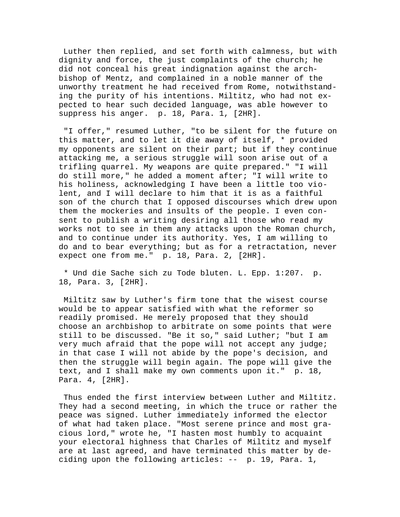Luther then replied, and set forth with calmness, but with dignity and force, the just complaints of the church; he did not conceal his great indignation against the archbishop of Mentz, and complained in a noble manner of the unworthy treatment he had received from Rome, notwithstanding the purity of his intentions. Miltitz, who had not expected to hear such decided language, was able however to suppress his anger. p. 18, Para. 1, [2HR].

 "I offer," resumed Luther, "to be silent for the future on this matter, and to let it die away of itself, \* provided my opponents are silent on their part; but if they continue attacking me, a serious struggle will soon arise out of a trifling quarrel. My weapons are quite prepared." "I will do still more," he added a moment after; "I will write to his holiness, acknowledging I have been a little too violent, and I will declare to him that it is as a faithful son of the church that I opposed discourses which drew upon them the mockeries and insults of the people. I even consent to publish a writing desiring all those who read my works not to see in them any attacks upon the Roman church, and to continue under its authority. Yes, I am willing to do and to bear everything; but as for a retractation, never expect one from me." p. 18, Para. 2, [2HR].

 \* Und die Sache sich zu Tode bluten. L. Epp. 1:207. p. 18, Para. 3, [2HR].

Miltitz saw by Luther's firm tone that the wisest course would be to appear satisfied with what the reformer so readily promised. He merely proposed that they should choose an archbishop to arbitrate on some points that were still to be discussed. "Be it so," said Luther; "but I am very much afraid that the pope will not accept any judge; in that case I will not abide by the pope's decision, and then the struggle will begin again. The pope will give the text, and I shall make my own comments upon it." p. 18, Para. 4, [2HR].

 Thus ended the first interview between Luther and Miltitz. They had a second meeting, in which the truce or rather the peace was signed. Luther immediately informed the elector of what had taken place. "Most serene prince and most gracious lord," wrote he, "I hasten most humbly to acquaint your electoral highness that Charles of Miltitz and myself are at last agreed, and have terminated this matter by deciding upon the following articles: -- p. 19, Para. 1,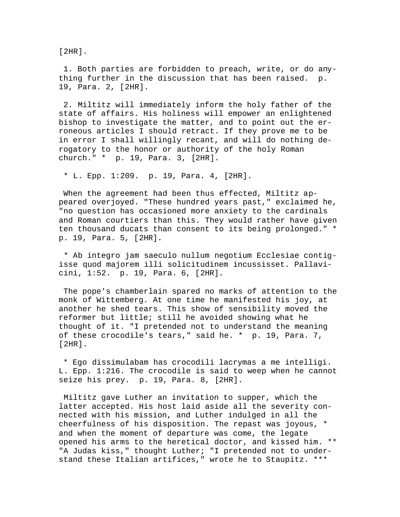$[2HR]$ .

 1. Both parties are forbidden to preach, write, or do anything further in the discussion that has been raised. p. 19, Para. 2, [2HR].

 2. Miltitz will immediately inform the holy father of the state of affairs. His holiness will empower an enlightened bishop to investigate the matter, and to point out the erroneous articles I should retract. If they prove me to be in error I shall willingly recant, and will do nothing derogatory to the honor or authority of the holy Roman church." \* p. 19, Para. 3, [2HR].

\* L. Epp. 1:209. p. 19, Para. 4, [2HR].

When the agreement had been thus effected, Miltitz appeared overjoyed. "These hundred years past," exclaimed he, "no question has occasioned more anxiety to the cardinals and Roman courtiers than this. They would rather have given ten thousand ducats than consent to its being prolonged." \* p. 19, Para. 5, [2HR].

 \* Ab integro jam saeculo nullum negotium Ecclesiae contigisse quod majorem illi solicitudinem incussisset. Pallavicini, 1:52. p. 19, Para. 6, [2HR].

 The pope's chamberlain spared no marks of attention to the monk of Wittemberg. At one time he manifested his joy, at another he shed tears. This show of sensibility moved the reformer but little; still he avoided showing what he thought of it. "I pretended not to understand the meaning of these crocodile's tears," said he. \* p. 19, Para. 7, [2HR].

 \* Ego dissimulabam has crocodili lacrymas a me intelligi. L. Epp. 1:216. The crocodile is said to weep when he cannot seize his prey. p. 19, Para. 8, [2HR].

Miltitz gave Luther an invitation to supper, which the latter accepted. His host laid aside all the severity connected with his mission, and Luther indulged in all the cheerfulness of his disposition. The repast was joyous, \* and when the moment of departure was come, the legate opened his arms to the heretical doctor, and kissed him. \*\* "A Judas kiss," thought Luther; "I pretended not to understand these Italian artifices," wrote he to Staupitz. \*\*\*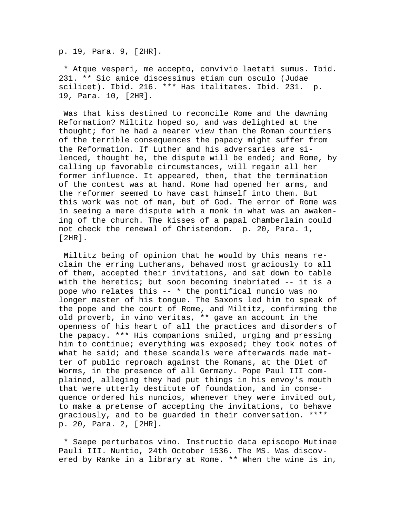p. 19, Para. 9, [2HR].

 \* Atque vesperi, me accepto, convivio laetati sumus. Ibid. 231. \*\* Sic amice discessimus etiam cum osculo (Judae scilicet). Ibid. 216. \*\*\* Has italitates. Ibid. 231. p. 19, Para. 10, [2HR].

 Was that kiss destined to reconcile Rome and the dawning Reformation? Miltitz hoped so, and was delighted at the thought; for he had a nearer view than the Roman courtiers of the terrible consequences the papacy might suffer from the Reformation. If Luther and his adversaries are silenced, thought he, the dispute will be ended; and Rome, by calling up favorable circumstances, will regain all her former influence. It appeared, then, that the termination of the contest was at hand. Rome had opened her arms, and the reformer seemed to have cast himself into them. But this work was not of man, but of God. The error of Rome was in seeing a mere dispute with a monk in what was an awakening of the church. The kisses of a papal chamberlain could not check the renewal of Christendom. p. 20, Para. 1,  $[2HR]$ .

Miltitz being of opinion that he would by this means reclaim the erring Lutherans, behaved most graciously to all of them, accepted their invitations, and sat down to table with the heretics; but soon becoming inebriated -- it is a pope who relates this  $--$  \* the pontifical nuncio was no longer master of his tongue. The Saxons led him to speak of the pope and the court of Rome, and Miltitz, confirming the old proverb, in vino veritas, \*\* gave an account in the openness of his heart of all the practices and disorders of the papacy. \*\*\* His companions smiled, urging and pressing him to continue; everything was exposed; they took notes of what he said; and these scandals were afterwards made matter of public reproach against the Romans, at the Diet of Worms, in the presence of all Germany. Pope Paul III complained, alleging they had put things in his envoy's mouth that were utterly destitute of foundation, and in consequence ordered his nuncios, whenever they were invited out, to make a pretense of accepting the invitations, to behave graciously, and to be guarded in their conversation. \*\*\*\* p. 20, Para. 2, [2HR].

 \* Saepe perturbatos vino. Instructio data episcopo Mutinae Pauli III. Nuntio, 24th October 1536. The MS. Was discovered by Ranke in a library at Rome. \*\* When the wine is in,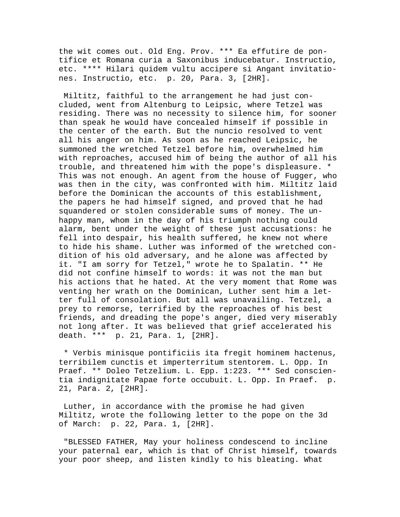the wit comes out. Old Eng. Prov. \*\*\* Ea effutire de pontifice et Romana curia a Saxonibus inducebatur. Instructio, etc. \*\*\*\* Hilari quidem vultu accipere si Angant invitationes. Instructio, etc. p. 20, Para. 3, [2HR].

Miltitz, faithful to the arrangement he had just concluded, went from Altenburg to Leipsic, where Tetzel was residing. There was no necessity to silence him, for sooner than speak he would have concealed himself if possible in the center of the earth. But the nuncio resolved to vent all his anger on him. As soon as he reached Leipsic, he summoned the wretched Tetzel before him, overwhelmed him with reproaches, accused him of being the author of all his trouble, and threatened him with the pope's displeasure. \* This was not enough. An agent from the house of Fugger, who was then in the city, was confronted with him. Miltitz laid before the Dominican the accounts of this establishment, the papers he had himself signed, and proved that he had squandered or stolen considerable sums of money. The unhappy man, whom in the day of his triumph nothing could alarm, bent under the weight of these just accusations: he fell into despair, his health suffered, he knew not where to hide his shame. Luther was informed of the wretched condition of his old adversary, and he alone was affected by it. "I am sorry for Tetzel," wrote he to Spalatin. \*\* He did not confine himself to words: it was not the man but his actions that he hated. At the very moment that Rome was venting her wrath on the Dominican, Luther sent him a letter full of consolation. But all was unavailing. Tetzel, a prey to remorse, terrified by the reproaches of his best friends, and dreading the pope's anger, died very miserably not long after. It was believed that grief accelerated his death. \*\*\* p. 21, Para. 1, [2HR].

 \* Verbis minisque pontificiis ita fregit hominem hactenus, terribilem cunctis et imperterritum stentorem. L. Opp. In Praef. \*\* Doleo Tetzelium. L. Epp. 1:223. \*\*\* Sed conscientia indignitate Papae forte occubuit. L. Opp. In Praef. p. 21, Para. 2, [2HR].

 Luther, in accordance with the promise he had given Miltitz, wrote the following letter to the pope on the 3d of March: p. 22, Para. 1, [2HR].

 "BLESSED FATHER, May your holiness condescend to incline your paternal ear, which is that of Christ himself, towards your poor sheep, and listen kindly to his bleating. What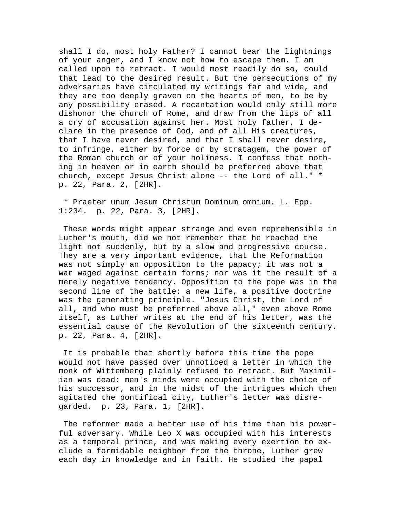shall I do, most holy Father? I cannot bear the lightnings of your anger, and I know not how to escape them. I am called upon to retract. I would most readily do so, could that lead to the desired result. But the persecutions of my adversaries have circulated my writings far and wide, and they are too deeply graven on the hearts of men, to be by any possibility erased. A recantation would only still more dishonor the church of Rome, and draw from the lips of all a cry of accusation against her. Most holy father, I declare in the presence of God, and of all His creatures, that I have never desired, and that I shall never desire, to infringe, either by force or by stratagem, the power of the Roman church or of your holiness. I confess that nothing in heaven or in earth should be preferred above that church, except Jesus Christ alone -- the Lord of all." \* p. 22, Para. 2, [2HR].

 \* Praeter unum Jesum Christum Dominum omnium. L. Epp. 1:234. p. 22, Para. 3, [2HR].

 These words might appear strange and even reprehensible in Luther's mouth, did we not remember that he reached the light not suddenly, but by a slow and progressive course. They are a very important evidence, that the Reformation was not simply an opposition to the papacy; it was not a war waged against certain forms; nor was it the result of a merely negative tendency. Opposition to the pope was in the second line of the battle: a new life, a positive doctrine was the generating principle. "Jesus Christ, the Lord of all, and who must be preferred above all," even above Rome itself, as Luther writes at the end of his letter, was the essential cause of the Revolution of the sixteenth century. p. 22, Para. 4, [2HR].

 It is probable that shortly before this time the pope would not have passed over unnoticed a letter in which the monk of Wittemberg plainly refused to retract. But Maximilian was dead: men's minds were occupied with the choice of his successor, and in the midst of the intrigues which then agitated the pontifical city, Luther's letter was disregarded. p. 23, Para. 1, [2HR].

 The reformer made a better use of his time than his powerful adversary. While Leo X was occupied with his interests as a temporal prince, and was making every exertion to exclude a formidable neighbor from the throne, Luther grew each day in knowledge and in faith. He studied the papal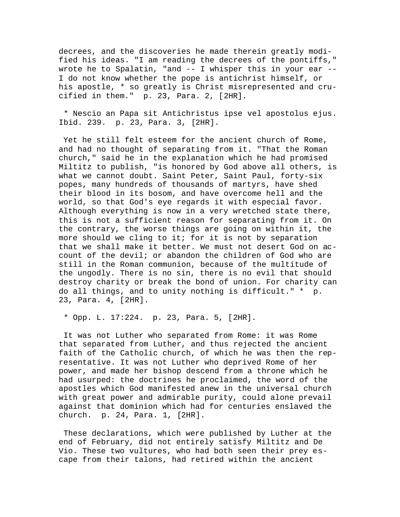decrees, and the discoveries he made therein greatly modified his ideas. "I am reading the decrees of the pontiffs," wrote he to Spalatin, "and -- I whisper this in your ear -- I do not know whether the pope is antichrist himself, or his apostle, \* so greatly is Christ misrepresented and crucified in them." p. 23, Para. 2, [2HR].

 \* Nescio an Papa sit Antichristus ipse vel apostolus ejus. Ibid. 239. p. 23, Para. 3, [2HR].

 Yet he still felt esteem for the ancient church of Rome, and had no thought of separating from it. "That the Roman church," said he in the explanation which he had promised Miltitz to publish, "is honored by God above all others, is what we cannot doubt. Saint Peter, Saint Paul, forty-six popes, many hundreds of thousands of martyrs, have shed their blood in its bosom, and have overcome hell and the world, so that God's eye regards it with especial favor. Although everything is now in a very wretched state there, this is not a sufficient reason for separating from it. On the contrary, the worse things are going on within it, the more should we cling to it; for it is not by separation that we shall make it better. We must not desert God on account of the devil; or abandon the children of God who are still in the Roman communion, because of the multitude of the ungodly. There is no sin, there is no evil that should destroy charity or break the bond of union. For charity can do all things, and to unity nothing is difficult." \* p. 23, Para. 4, [2HR].

\* Opp. L. 17:224. p. 23, Para. 5, [2HR].

 It was not Luther who separated from Rome: it was Rome that separated from Luther, and thus rejected the ancient faith of the Catholic church, of which he was then the representative. It was not Luther who deprived Rome of her power, and made her bishop descend from a throne which he had usurped: the doctrines he proclaimed, the word of the apostles which God manifested anew in the universal church with great power and admirable purity, could alone prevail against that dominion which had for centuries enslaved the church. p. 24, Para. 1, [2HR].

 These declarations, which were published by Luther at the end of February, did not entirely satisfy Miltitz and De Vio. These two vultures, who had both seen their prey escape from their talons, had retired within the ancient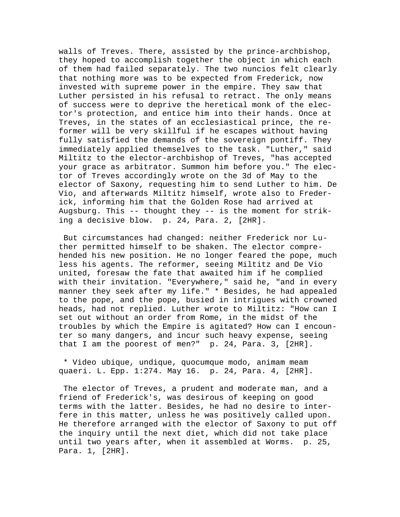walls of Treves. There, assisted by the prince-archbishop, they hoped to accomplish together the object in which each of them had failed separately. The two nuncios felt clearly that nothing more was to be expected from Frederick, now invested with supreme power in the empire. They saw that Luther persisted in his refusal to retract. The only means of success were to deprive the heretical monk of the elector's protection, and entice him into their hands. Once at Treves, in the states of an ecclesiastical prince, the reformer will be very skillful if he escapes without having fully satisfied the demands of the sovereign pontiff. They immediately applied themselves to the task. "Luther," said Miltitz to the elector-archbishop of Treves, "has accepted your grace as arbitrator. Summon him before you." The elector of Treves accordingly wrote on the 3d of May to the elector of Saxony, requesting him to send Luther to him. De Vio, and afterwards Miltitz himself, wrote also to Frederick, informing him that the Golden Rose had arrived at Augsburg. This -- thought they -- is the moment for striking a decisive blow. p. 24, Para. 2, [2HR].

 But circumstances had changed: neither Frederick nor Luther permitted himself to be shaken. The elector comprehended his new position. He no longer feared the pope, much less his agents. The reformer, seeing Miltitz and De Vio united, foresaw the fate that awaited him if he complied with their invitation. "Everywhere," said he, "and in every manner they seek after my life." \* Besides, he had appealed to the pope, and the pope, busied in intrigues with crowned heads, had not replied. Luther wrote to Miltitz: "How can I set out without an order from Rome, in the midst of the troubles by which the Empire is agitated? How can I encounter so many dangers, and incur such heavy expense, seeing that I am the poorest of men?" p. 24, Para. 3, [2HR].

 \* Video ubique, undique, quocumque modo, animam meam quaeri. L. Epp. 1:274. May 16. p. 24, Para. 4, [2HR].

 The elector of Treves, a prudent and moderate man, and a friend of Frederick's, was desirous of keeping on good terms with the latter. Besides, he had no desire to interfere in this matter, unless he was positively called upon. He therefore arranged with the elector of Saxony to put off the inquiry until the next diet, which did not take place until two years after, when it assembled at Worms. p. 25, Para. 1, [2HR].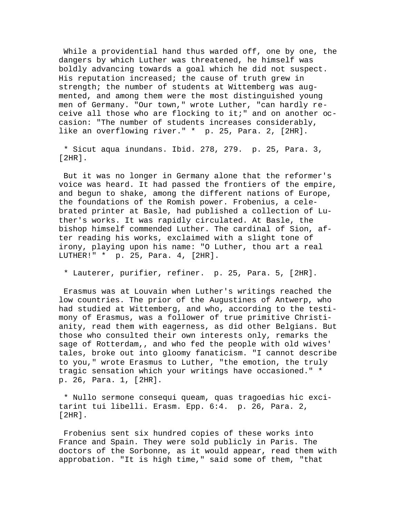While a providential hand thus warded off, one by one, the dangers by which Luther was threatened, he himself was boldly advancing towards a goal which he did not suspect. His reputation increased; the cause of truth grew in strength; the number of students at Wittemberg was augmented, and among them were the most distinguished young men of Germany. "Our town," wrote Luther, "can hardly receive all those who are flocking to it;" and on another occasion: "The number of students increases considerably, like an overflowing river." \* p. 25, Para. 2, [2HR].

 \* Sicut aqua inundans. Ibid. 278, 279. p. 25, Para. 3, [2HR].

 But it was no longer in Germany alone that the reformer's voice was heard. It had passed the frontiers of the empire, and begun to shake, among the different nations of Europe, the foundations of the Romish power. Frobenius, a celebrated printer at Basle, had published a collection of Luther's works. It was rapidly circulated. At Basle, the bishop himself commended Luther. The cardinal of Sion, after reading his works, exclaimed with a slight tone of irony, playing upon his name: "O Luther, thou art a real LUTHER!" \* p. 25, Para. 4, [2HR].

\* Lauterer, purifier, refiner. p. 25, Para. 5, [2HR].

 Erasmus was at Louvain when Luther's writings reached the low countries. The prior of the Augustines of Antwerp, who had studied at Wittemberg, and who, according to the testimony of Erasmus, was a follower of true primitive Christianity, read them with eagerness, as did other Belgians. But those who consulted their own interests only, remarks the sage of Rotterdam,, and who fed the people with old wives' tales, broke out into gloomy fanaticism. "I cannot describe to you," wrote Erasmus to Luther, "the emotion, the truly tragic sensation which your writings have occasioned." \* p. 26, Para. 1, [2HR].

 \* Nullo sermone consequi queam, quas tragoedias hic excitarint tui libelli. Erasm. Epp. 6:4. p. 26, Para. 2,  $[2HR]$ .

Frobenius sent six hundred copies of these works into France and Spain. They were sold publicly in Paris. The doctors of the Sorbonne, as it would appear, read them with approbation. "It is high time," said some of them, "that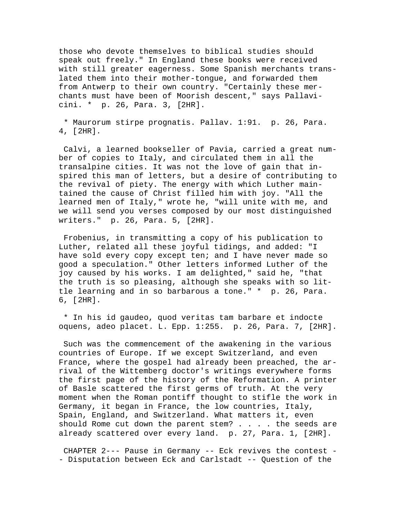those who devote themselves to biblical studies should speak out freely." In England these books were received with still greater eagerness. Some Spanish merchants translated them into their mother-tongue, and forwarded them from Antwerp to their own country. "Certainly these merchants must have been of Moorish descent," says Pallavicini. \* p. 26, Para. 3, [2HR].

 \* Maurorum stirpe prognatis. Pallav. 1:91. p. 26, Para. 4, [2HR].

Calvi, a learned bookseller of Pavia, carried a great number of copies to Italy, and circulated them in all the transalpine cities. It was not the love of gain that inspired this man of letters, but a desire of contributing to the revival of piety. The energy with which Luther maintained the cause of Christ filled him with joy. "All the learned men of Italy," wrote he, "will unite with me, and we will send you verses composed by our most distinguished writers." p. 26, Para. 5, [2HR].

Frobenius, in transmitting a copy of his publication to Luther, related all these joyful tidings, and added: "I have sold every copy except ten; and I have never made so good a speculation." Other letters informed Luther of the joy caused by his works. I am delighted," said he, "that the truth is so pleasing, although she speaks with so little learning and in so barbarous a tone." \* p. 26, Para. 6, [2HR].

 \* In his id gaudeo, quod veritas tam barbare et indocte oquens, adeo placet. L. Epp. 1:255. p. 26, Para. 7, [2HR].

 Such was the commencement of the awakening in the various countries of Europe. If we except Switzerland, and even France, where the gospel had already been preached, the arrival of the Wittemberg doctor's writings everywhere forms the first page of the history of the Reformation. A printer of Basle scattered the first germs of truth. At the very moment when the Roman pontiff thought to stifle the work in Germany, it began in France, the low countries, Italy, Spain, England, and Switzerland. What matters it, even should Rome cut down the parent stem? . . . . the seeds are already scattered over every land. p. 27, Para. 1, [2HR].

 CHAPTER 2--- Pause in Germany -- Eck revives the contest - - Disputation between Eck and Carlstadt -- Question of the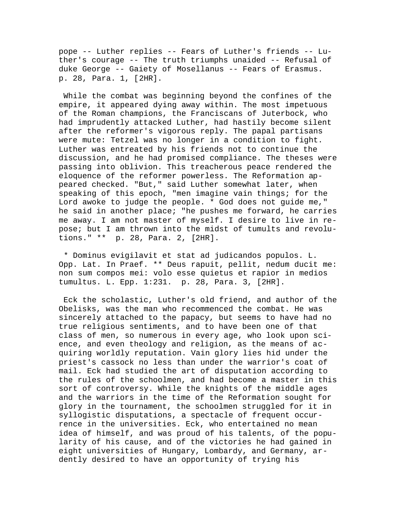pope -- Luther replies -- Fears of Luther's friends -- Luther's courage -- The truth triumphs unaided -- Refusal of duke George -- Gaiety of Mosellanus -- Fears of Erasmus. p. 28, Para. 1, [2HR].

 While the combat was beginning beyond the confines of the empire, it appeared dying away within. The most impetuous of the Roman champions, the Franciscans of Juterbock, who had imprudently attacked Luther, had hastily become silent after the reformer's vigorous reply. The papal partisans were mute: Tetzel was no longer in a condition to fight. Luther was entreated by his friends not to continue the discussion, and he had promised compliance. The theses were passing into oblivion. This treacherous peace rendered the eloquence of the reformer powerless. The Reformation appeared checked. "But," said Luther somewhat later, when speaking of this epoch, "men imagine vain things; for the Lord awoke to judge the people. \* God does not guide me," he said in another place; "he pushes me forward, he carries me away. I am not master of myself. I desire to live in repose; but I am thrown into the midst of tumults and revolutions." \*\* p. 28, Para. 2, [2HR].

 \* Dominus evigilavit et stat ad judicandos populos. L. Opp. Lat. In Praef. \*\* Deus rapuit, pellit, nedum ducit me: non sum compos mei: volo esse quietus et rapior in medios tumultus. L. Epp. 1:231. p. 28, Para. 3, [2HR].

 Eck the scholastic, Luther's old friend, and author of the Obelisks, was the man who recommenced the combat. He was sincerely attached to the papacy, but seems to have had no true religious sentiments, and to have been one of that class of men, so numerous in every age, who look upon science, and even theology and religion, as the means of acquiring worldly reputation. Vain glory lies hid under the priest's cassock no less than under the warrior's coat of mail. Eck had studied the art of disputation according to the rules of the schoolmen, and had become a master in this sort of controversy. While the knights of the middle ages and the warriors in the time of the Reformation sought for glory in the tournament, the schoolmen struggled for it in syllogistic disputations, a spectacle of frequent occurrence in the universities. Eck, who entertained no mean idea of himself, and was proud of his talents, of the popularity of his cause, and of the victories he had gained in eight universities of Hungary, Lombardy, and Germany, ardently desired to have an opportunity of trying his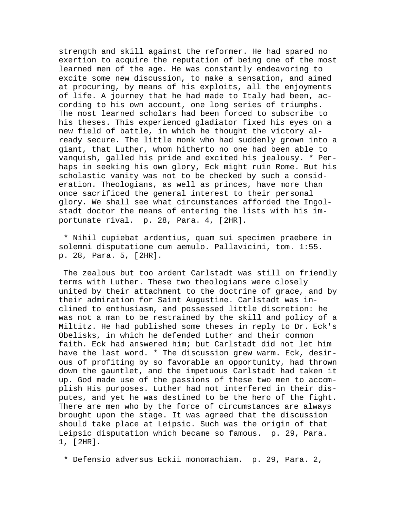strength and skill against the reformer. He had spared no exertion to acquire the reputation of being one of the most learned men of the age. He was constantly endeavoring to excite some new discussion, to make a sensation, and aimed at procuring, by means of his exploits, all the enjoyments of life. A journey that he had made to Italy had been, according to his own account, one long series of triumphs. The most learned scholars had been forced to subscribe to his theses. This experienced gladiator fixed his eyes on a new field of battle, in which he thought the victory already secure. The little monk who had suddenly grown into a giant, that Luther, whom hitherto no one had been able to vanquish, galled his pride and excited his jealousy. \* Perhaps in seeking his own glory, Eck might ruin Rome. But his scholastic vanity was not to be checked by such a consideration. Theologians, as well as princes, have more than once sacrificed the general interest to their personal glory. We shall see what circumstances afforded the Ingolstadt doctor the means of entering the lists with his importunate rival. p. 28, Para. 4, [2HR].

 \* Nihil cupiebat ardentius, quam sui specimen praebere in solemni disputatione cum aemulo. Pallavicini, tom. 1:55. p. 28, Para. 5, [2HR].

 The zealous but too ardent Carlstadt was still on friendly terms with Luther. These two theologians were closely united by their attachment to the doctrine of grace, and by their admiration for Saint Augustine. Carlstadt was inclined to enthusiasm, and possessed little discretion: he was not a man to be restrained by the skill and policy of a Miltitz. He had published some theses in reply to Dr. Eck's Obelisks, in which he defended Luther and their common faith. Eck had answered him; but Carlstadt did not let him have the last word. \* The discussion grew warm. Eck, desirous of profiting by so favorable an opportunity, had thrown down the gauntlet, and the impetuous Carlstadt had taken it up. God made use of the passions of these two men to accomplish His purposes. Luther had not interfered in their disputes, and yet he was destined to be the hero of the fight. There are men who by the force of circumstances are always brought upon the stage. It was agreed that the discussion should take place at Leipsic. Such was the origin of that Leipsic disputation which became so famous. p. 29, Para. 1, [2HR].

\* Defensio adversus Eckii monomachiam. p. 29, Para. 2,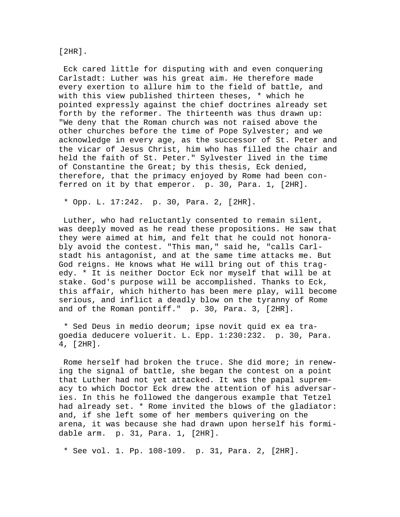$[2HR]$ .

 Eck cared little for disputing with and even conquering Carlstadt: Luther was his great aim. He therefore made every exertion to allure him to the field of battle, and with this view published thirteen theses, \* which he pointed expressly against the chief doctrines already set forth by the reformer. The thirteenth was thus drawn up: "We deny that the Roman church was not raised above the other churches before the time of Pope Sylvester; and we acknowledge in every age, as the successor of St. Peter and the vicar of Jesus Christ, him who has filled the chair and held the faith of St. Peter." Sylvester lived in the time of Constantine the Great; by this thesis, Eck denied, therefore, that the primacy enjoyed by Rome had been conferred on it by that emperor. p. 30, Para. 1, [2HR].

\* Opp. L. 17:242. p. 30, Para. 2, [2HR].

 Luther, who had reluctantly consented to remain silent, was deeply moved as he read these propositions. He saw that they were aimed at him, and felt that he could not honorably avoid the contest. "This man," said he, "calls Carlstadt his antagonist, and at the same time attacks me. But God reigns. He knows what He will bring out of this tragedy. \* It is neither Doctor Eck nor myself that will be at stake. God's purpose will be accomplished. Thanks to Eck, this affair, which hitherto has been mere play, will become serious, and inflict a deadly blow on the tyranny of Rome and of the Roman pontiff." p. 30, Para. 3, [2HR].

 \* Sed Deus in medio deorum; ipse novit quid ex ea tragoedia deducere voluerit. L. Epp. 1:230:232. p. 30, Para. 4, [2HR].

 Rome herself had broken the truce. She did more; in renewing the signal of battle, she began the contest on a point that Luther had not yet attacked. It was the papal supremacy to which Doctor Eck drew the attention of his adversaries. In this he followed the dangerous example that Tetzel had already set. \* Rome invited the blows of the gladiator: and, if she left some of her members quivering on the arena, it was because she had drawn upon herself his formidable arm. p. 31, Para. 1, [2HR].

\* See vol. 1. Pp. 108-109. p. 31, Para. 2, [2HR].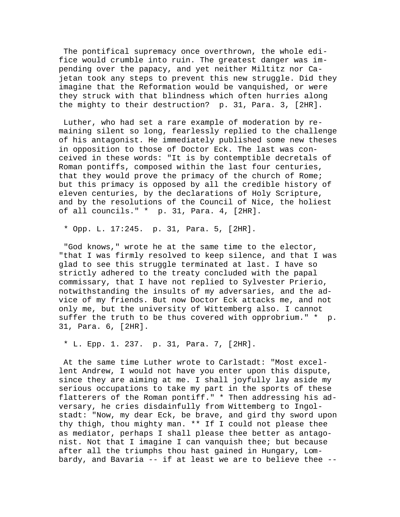The pontifical supremacy once overthrown, the whole edifice would crumble into ruin. The greatest danger was impending over the papacy, and yet neither Miltitz nor Cajetan took any steps to prevent this new struggle. Did they imagine that the Reformation would be vanquished, or were they struck with that blindness which often hurries along the mighty to their destruction? p. 31, Para. 3, [2HR].

 Luther, who had set a rare example of moderation by remaining silent so long, fearlessly replied to the challenge of his antagonist. He immediately published some new theses in opposition to those of Doctor Eck. The last was conceived in these words: "It is by contemptible decretals of Roman pontiffs, composed within the last four centuries, that they would prove the primacy of the church of Rome; but this primacy is opposed by all the credible history of eleven centuries, by the declarations of Holy Scripture, and by the resolutions of the Council of Nice, the holiest of all councils." \* p. 31, Para. 4, [2HR].

\* Opp. L. 17:245. p. 31, Para. 5, [2HR].

 "God knows," wrote he at the same time to the elector, "that I was firmly resolved to keep silence, and that I was glad to see this struggle terminated at last. I have so strictly adhered to the treaty concluded with the papal commissary, that I have not replied to Sylvester Prierio, notwithstanding the insults of my adversaries, and the advice of my friends. But now Doctor Eck attacks me, and not only me, but the university of Wittemberg also. I cannot suffer the truth to be thus covered with opprobrium." \* p. 31, Para. 6, [2HR].

\* L. Epp. 1. 237. p. 31, Para. 7, [2HR].

 At the same time Luther wrote to Carlstadt: "Most excellent Andrew, I would not have you enter upon this dispute, since they are aiming at me. I shall joyfully lay aside my serious occupations to take my part in the sports of these flatterers of the Roman pontiff." \* Then addressing his adversary, he cries disdainfully from Wittemberg to Ingolstadt: "Now, my dear Eck, be brave, and gird thy sword upon thy thigh, thou mighty man. \*\* If I could not please thee as mediator, perhaps I shall please thee better as antagonist. Not that I imagine I can vanquish thee; but because after all the triumphs thou hast gained in Hungary, Lombardy, and Bavaria -- if at least we are to believe thee --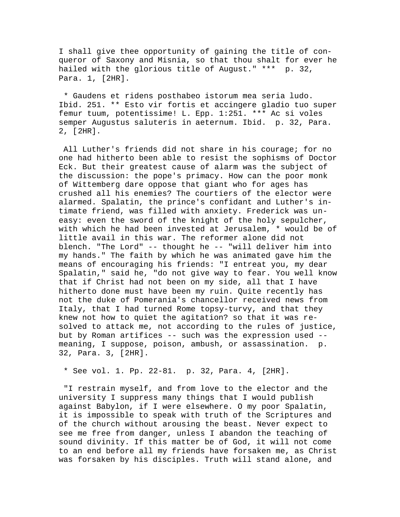I shall give thee opportunity of gaining the title of conqueror of Saxony and Misnia, so that thou shalt for ever he hailed with the glorious title of August." \*\*\* p. 32, Para. 1, [2HR].

 \* Gaudens et ridens posthabeo istorum mea seria ludo. Ibid. 251. \*\* Esto vir fortis et accingere gladio tuo super femur tuum, potentissime! L. Epp. 1:251. \*\*\* Ac si voles semper Augustus saluteris in aeternum. Ibid. p. 32, Para. 2, [2HR].

 All Luther's friends did not share in his courage; for no one had hitherto been able to resist the sophisms of Doctor Eck. But their greatest cause of alarm was the subject of the discussion: the pope's primacy. How can the poor monk of Wittemberg dare oppose that giant who for ages has crushed all his enemies? The courtiers of the elector were alarmed. Spalatin, the prince's confidant and Luther's intimate friend, was filled with anxiety. Frederick was uneasy: even the sword of the knight of the holy sepulcher, with which he had been invested at Jerusalem, \* would be of little avail in this war. The reformer alone did not blench. "The Lord" -- thought he -- "will deliver him into my hands." The faith by which he was animated gave him the means of encouraging his friends: "I entreat you, my dear Spalatin," said he, "do not give way to fear. You well know that if Christ had not been on my side, all that I have hitherto done must have been my ruin. Quite recently has not the duke of Pomerania's chancellor received news from Italy, that I had turned Rome topsy-turvy, and that they knew not how to quiet the agitation? so that it was resolved to attack me, not according to the rules of justice, but by Roman artifices -- such was the expression used - meaning, I suppose, poison, ambush, or assassination. p. 32, Para. 3, [2HR].

\* See vol. 1. Pp. 22-81. p. 32, Para. 4, [2HR].

 "I restrain myself, and from love to the elector and the university I suppress many things that I would publish against Babylon, if I were elsewhere. O my poor Spalatin, it is impossible to speak with truth of the Scriptures and of the church without arousing the beast. Never expect to see me free from danger, unless I abandon the teaching of sound divinity. If this matter be of God, it will not come to an end before all my friends have forsaken me, as Christ was forsaken by his disciples. Truth will stand alone, and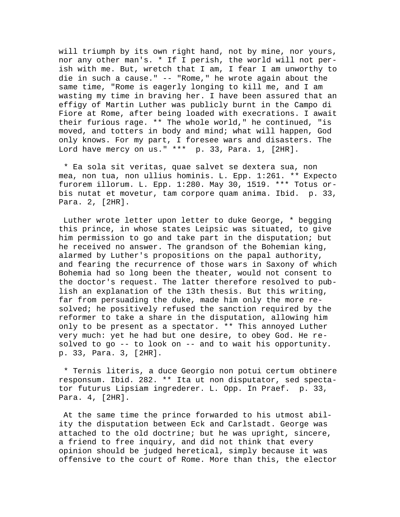will triumph by its own right hand, not by mine, nor yours, nor any other man's. \* If I perish, the world will not perish with me. But, wretch that I am, I fear I am unworthy to die in such a cause." -- "Rome," he wrote again about the same time, "Rome is eagerly longing to kill me, and I am wasting my time in braving her. I have been assured that an effigy of Martin Luther was publicly burnt in the Campo di Fiore at Rome, after being loaded with execrations. I await their furious rage. \*\* The whole world," he continued, "is moved, and totters in body and mind; what will happen, God only knows. For my part, I foresee wars and disasters. The Lord have mercy on us." \*\*\* p. 33, Para. 1, [2HR].

 \* Ea sola sit veritas, quae salvet se dextera sua, non mea, non tua, non ullius hominis. L. Epp. 1:261. \*\* Expecto furorem illorum. L. Epp. 1:280. May 30, 1519. \*\*\* Totus orbis nutat et movetur, tam corpore quam anima. Ibid. p. 33, Para. 2, [2HR].

 Luther wrote letter upon letter to duke George, \* begging this prince, in whose states Leipsic was situated, to give him permission to go and take part in the disputation; but he received no answer. The grandson of the Bohemian king, alarmed by Luther's propositions on the papal authority, and fearing the recurrence of those wars in Saxony of which Bohemia had so long been the theater, would not consent to the doctor's request. The latter therefore resolved to publish an explanation of the 13th thesis. But this writing, far from persuading the duke, made him only the more resolved; he positively refused the sanction required by the reformer to take a share in the disputation, allowing him only to be present as a spectator. \*\* This annoyed Luther very much: yet he had but one desire, to obey God. He resolved to go -- to look on -- and to wait his opportunity. p. 33, Para. 3, [2HR].

 \* Ternis literis, a duce Georgio non potui certum obtinere responsum. Ibid. 282. \*\* Ita ut non disputator, sed spectator futurus Lipsiam ingrederer. L. Opp. In Praef. p. 33, Para. 4, [2HR].

 At the same time the prince forwarded to his utmost ability the disputation between Eck and Carlstadt. George was attached to the old doctrine; but he was upright, sincere, a friend to free inquiry, and did not think that every opinion should be judged heretical, simply because it was offensive to the court of Rome. More than this, the elector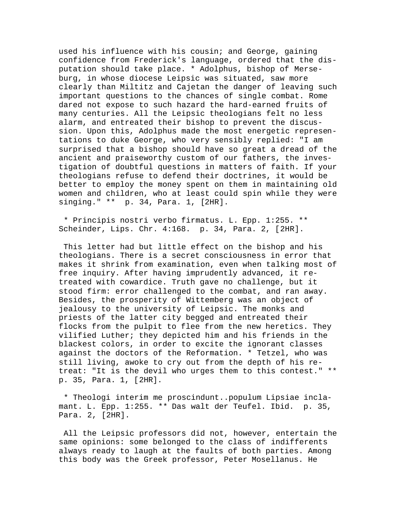used his influence with his cousin; and George, gaining confidence from Frederick's language, ordered that the disputation should take place. \* Adolphus, bishop of Merseburg, in whose diocese Leipsic was situated, saw more clearly than Miltitz and Cajetan the danger of leaving such important questions to the chances of single combat. Rome dared not expose to such hazard the hard-earned fruits of many centuries. All the Leipsic theologians felt no less alarm, and entreated their bishop to prevent the discussion. Upon this, Adolphus made the most energetic representations to duke George, who very sensibly replied: "I am surprised that a bishop should have so great a dread of the ancient and praiseworthy custom of our fathers, the investigation of doubtful questions in matters of faith. If your theologians refuse to defend their doctrines, it would be better to employ the money spent on them in maintaining old women and children, who at least could spin while they were singing." \*\* p. 34, Para. 1, [2HR].

 \* Principis nostri verbo firmatus. L. Epp. 1:255. \*\* Scheinder, Lips. Chr. 4:168. p. 34, Para. 2, [2HR].

 This letter had but little effect on the bishop and his theologians. There is a secret consciousness in error that makes it shrink from examination, even when talking most of free inquiry. After having imprudently advanced, it retreated with cowardice. Truth gave no challenge, but it stood firm: error challenged to the combat, and ran away. Besides, the prosperity of Wittemberg was an object of jealousy to the university of Leipsic. The monks and priests of the latter city begged and entreated their flocks from the pulpit to flee from the new heretics. They vilified Luther; they depicted him and his friends in the blackest colors, in order to excite the ignorant classes against the doctors of the Reformation. \* Tetzel, who was still living, awoke to cry out from the depth of his retreat: "It is the devil who urges them to this contest." \*\* p. 35, Para. 1, [2HR].

 \* Theologi interim me proscindunt..populum Lipsiae inclamant. L. Epp. 1:255. \*\* Das walt der Teufel. Ibid. p. 35, Para. 2, [2HR].

 All the Leipsic professors did not, however, entertain the same opinions: some belonged to the class of indifferents always ready to laugh at the faults of both parties. Among this body was the Greek professor, Peter Mosellanus. He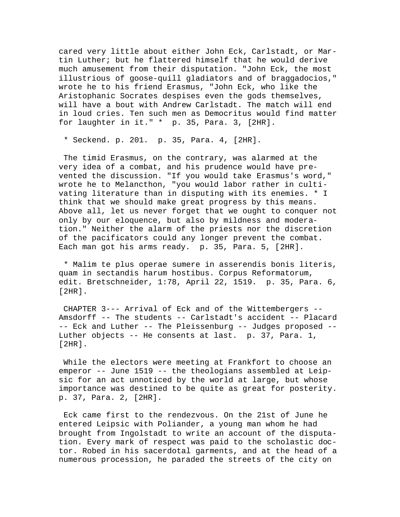cared very little about either John Eck, Carlstadt, or Martin Luther; but he flattered himself that he would derive much amusement from their disputation. "John Eck, the most illustrious of goose-quill gladiators and of braggadocios," wrote he to his friend Erasmus, "John Eck, who like the Aristophanic Socrates despises even the gods themselves, will have a bout with Andrew Carlstadt. The match will end in loud cries. Ten such men as Democritus would find matter for laughter in it."  $*$  p. 35, Para. 3, [2HR].

\* Seckend. p. 201. p. 35, Para. 4, [2HR].

 The timid Erasmus, on the contrary, was alarmed at the very idea of a combat, and his prudence would have prevented the discussion. "If you would take Erasmus's word," wrote he to Melancthon, "you would labor rather in cultivating literature than in disputing with its enemies. \* I think that we should make great progress by this means. Above all, let us never forget that we ought to conquer not only by our eloquence, but also by mildness and moderation." Neither the alarm of the priests nor the discretion of the pacificators could any longer prevent the combat. Each man got his arms ready. p. 35, Para. 5, [2HR].

 \* Malim te plus operae sumere in asserendis bonis literis, quam in sectandis harum hostibus. Corpus Reformatorum, edit. Bretschneider, 1:78, April 22, 1519. p. 35, Para. 6, [2HR].

 CHAPTER 3--- Arrival of Eck and of the Wittembergers -- Amsdorff -- The students -- Carlstadt's accident -- Placard -- Eck and Luther -- The Pleissenburg -- Judges proposed -- Luther objects -- He consents at last. p. 37, Para. 1, [2HR].

 While the electors were meeting at Frankfort to choose an emperor -- June 1519 -- the theologians assembled at Leipsic for an act unnoticed by the world at large, but whose importance was destined to be quite as great for posterity. p. 37, Para. 2, [2HR].

 Eck came first to the rendezvous. On the 21st of June he entered Leipsic with Poliander, a young man whom he had brought from Ingolstadt to write an account of the disputation. Every mark of respect was paid to the scholastic doctor. Robed in his sacerdotal garments, and at the head of a numerous procession, he paraded the streets of the city on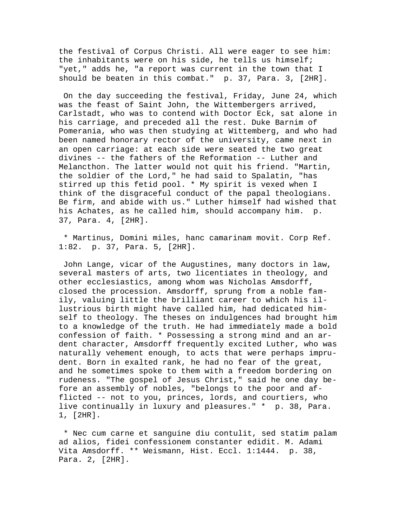the festival of Corpus Christi. All were eager to see him: the inhabitants were on his side, he tells us himself; "yet," adds he, "a report was current in the town that I should be beaten in this combat." p. 37, Para. 3, [2HR].

 On the day succeeding the festival, Friday, June 24, which was the feast of Saint John, the Wittembergers arrived, Carlstadt, who was to contend with Doctor Eck, sat alone in his carriage, and preceded all the rest. Duke Barnim of Pomerania, who was then studying at Wittemberg, and who had been named honorary rector of the university, came next in an open carriage: at each side were seated the two great divines -- the fathers of the Reformation -- Luther and Melancthon. The latter would not quit his friend. "Martin, the soldier of the Lord," he had said to Spalatin, "has stirred up this fetid pool. \* My spirit is vexed when I think of the disgraceful conduct of the papal theologians. Be firm, and abide with us." Luther himself had wished that his Achates, as he called him, should accompany him. p. 37, Para. 4, [2HR].

 \* Martinus, Domini miles, hanc camarinam movit. Corp Ref. 1:82. p. 37, Para. 5, [2HR].

 John Lange, vicar of the Augustines, many doctors in law, several masters of arts, two licentiates in theology, and other ecclesiastics, among whom was Nicholas Amsdorff, closed the procession. Amsdorff, sprung from a noble family, valuing little the brilliant career to which his illustrious birth might have called him, had dedicated himself to theology. The theses on indulgences had brought him to a knowledge of the truth. He had immediately made a bold confession of faith. \* Possessing a strong mind and an ardent character, Amsdorff frequently excited Luther, who was naturally vehement enough, to acts that were perhaps imprudent. Born in exalted rank, he had no fear of the great, and he sometimes spoke to them with a freedom bordering on rudeness. "The gospel of Jesus Christ," said he one day before an assembly of nobles, "belongs to the poor and afflicted -- not to you, princes, lords, and courtiers, who live continually in luxury and pleasures." \* p. 38, Para. 1, [2HR].

 \* Nec cum carne et sanguine diu contulit, sed statim palam ad alios, fidei confessionem constanter edidit. M. Adami Vita Amsdorff. \*\* Weismann, Hist. Eccl. 1:1444. p. 38, Para. 2, [2HR].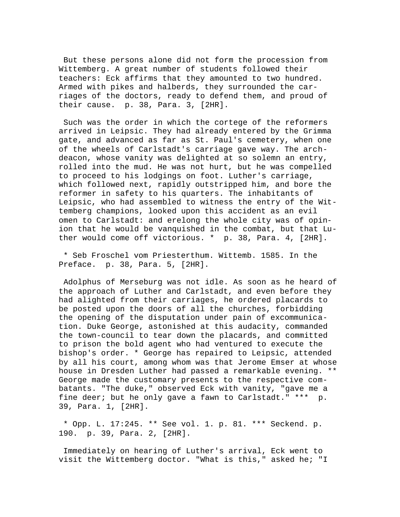But these persons alone did not form the procession from Wittemberg. A great number of students followed their teachers: Eck affirms that they amounted to two hundred. Armed with pikes and halberds, they surrounded the carriages of the doctors, ready to defend them, and proud of their cause. p. 38, Para. 3, [2HR].

 Such was the order in which the cortege of the reformers arrived in Leipsic. They had already entered by the Grimma gate, and advanced as far as St. Paul's cemetery, when one of the wheels of Carlstadt's carriage gave way. The archdeacon, whose vanity was delighted at so solemn an entry, rolled into the mud. He was not hurt, but he was compelled to proceed to his lodgings on foot. Luther's carriage, which followed next, rapidly outstripped him, and bore the reformer in safety to his quarters. The inhabitants of Leipsic, who had assembled to witness the entry of the Wittemberg champions, looked upon this accident as an evil omen to Carlstadt: and erelong the whole city was of opinion that he would be vanquished in the combat, but that Luther would come off victorious. \* p. 38, Para. 4, [2HR].

 \* Seb Froschel vom Priesterthum. Wittemb. 1585. In the Preface. p. 38, Para. 5, [2HR].

 Adolphus of Merseburg was not idle. As soon as he heard of the approach of Luther and Carlstadt, and even before they had alighted from their carriages, he ordered placards to be posted upon the doors of all the churches, forbidding the opening of the disputation under pain of excommunication. Duke George, astonished at this audacity, commanded the town-council to tear down the placards, and committed to prison the bold agent who had ventured to execute the bishop's order. \* George has repaired to Leipsic, attended by all his court, among whom was that Jerome Emser at whose house in Dresden Luther had passed a remarkable evening. \*\* George made the customary presents to the respective combatants. "The duke," observed Eck with vanity, "gave me a fine deer; but he only gave a fawn to Carlstadt." \*\*\* p. 39, Para. 1, [2HR].

 \* Opp. L. 17:245. \*\* See vol. 1. p. 81. \*\*\* Seckend. p. 190. p. 39, Para. 2, [2HR].

 Immediately on hearing of Luther's arrival, Eck went to visit the Wittemberg doctor. "What is this," asked he; "I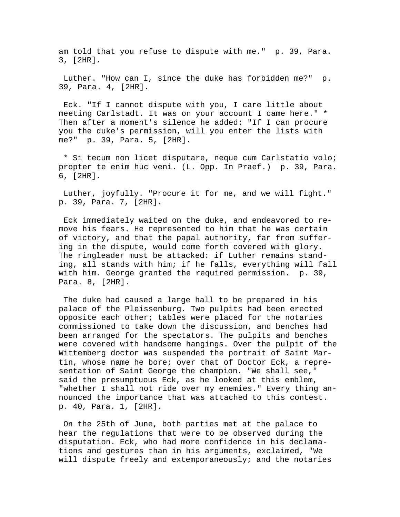am told that you refuse to dispute with me." p. 39, Para. 3, [2HR].

 Luther. "How can I, since the duke has forbidden me?" p. 39, Para. 4, [2HR].

 Eck. "If I cannot dispute with you, I care little about meeting Carlstadt. It was on your account I came here." \* Then after a moment's silence he added: "If I can procure you the duke's permission, will you enter the lists with me?" p. 39, Para. 5, [2HR].

 \* Si tecum non licet disputare, neque cum Carlstatio volo; propter te enim huc veni. (L. Opp. In Praef.) p. 39, Para. 6, [2HR].

 Luther, joyfully. "Procure it for me, and we will fight." p. 39, Para. 7, [2HR].

 Eck immediately waited on the duke, and endeavored to remove his fears. He represented to him that he was certain of victory, and that the papal authority, far from suffering in the dispute, would come forth covered with glory. The ringleader must be attacked: if Luther remains standing, all stands with him; if he falls, everything will fall with him. George granted the required permission. p. 39, Para. 8, [2HR].

 The duke had caused a large hall to be prepared in his palace of the Pleissenburg. Two pulpits had been erected opposite each other; tables were placed for the notaries commissioned to take down the discussion, and benches had been arranged for the spectators. The pulpits and benches were covered with handsome hangings. Over the pulpit of the Wittemberg doctor was suspended the portrait of Saint Martin, whose name he bore; over that of Doctor Eck, a representation of Saint George the champion. "We shall see," said the presumptuous Eck, as he looked at this emblem, "whether I shall not ride over my enemies." Every thing announced the importance that was attached to this contest. p. 40, Para. 1, [2HR].

 On the 25th of June, both parties met at the palace to hear the regulations that were to be observed during the disputation. Eck, who had more confidence in his declamations and gestures than in his arguments, exclaimed, "We will dispute freely and extemporaneously; and the notaries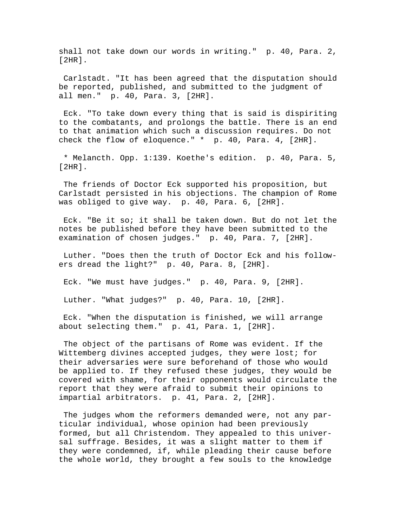shall not take down our words in writing." p. 40, Para. 2,  $[2HR]$ .

 Carlstadt. "It has been agreed that the disputation should be reported, published, and submitted to the judgment of all men." p. 40, Para. 3, [2HR].

 Eck. "To take down every thing that is said is dispiriting to the combatants, and prolongs the battle. There is an end to that animation which such a discussion requires. Do not check the flow of eloquence." \* p. 40, Para. 4, [2HR].

 \* Melancth. Opp. 1:139. Koethe's edition. p. 40, Para. 5,  $[2HR]$ .

 The friends of Doctor Eck supported his proposition, but Carlstadt persisted in his objections. The champion of Rome was obliged to give way. p. 40, Para. 6, [2HR].

 Eck. "Be it so; it shall be taken down. But do not let the notes be published before they have been submitted to the examination of chosen judges." p. 40, Para. 7, [2HR].

 Luther. "Does then the truth of Doctor Eck and his followers dread the light?" p. 40, Para. 8, [2HR].

Eck. "We must have judges." p. 40, Para. 9, [2HR].

Luther. "What judges?" p. 40, Para. 10, [2HR].

 Eck. "When the disputation is finished, we will arrange about selecting them." p. 41, Para. 1, [2HR].

 The object of the partisans of Rome was evident. If the Wittemberg divines accepted judges, they were lost; for their adversaries were sure beforehand of those who would be applied to. If they refused these judges, they would be covered with shame, for their opponents would circulate the report that they were afraid to submit their opinions to impartial arbitrators. p. 41, Para. 2, [2HR].

 The judges whom the reformers demanded were, not any particular individual, whose opinion had been previously formed, but all Christendom. They appealed to this universal suffrage. Besides, it was a slight matter to them if they were condemned, if, while pleading their cause before the whole world, they brought a few souls to the knowledge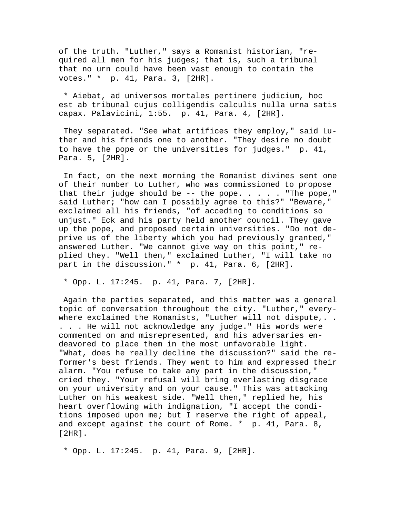of the truth. "Luther," says a Romanist historian, "required all men for his judges; that is, such a tribunal that no urn could have been vast enough to contain the votes." \* p. 41, Para. 3, [2HR].

 \* Aiebat, ad universos mortales pertinere judicium, hoc est ab tribunal cujus colligendis calculis nulla urna satis capax. Palavicini, 1:55. p. 41, Para. 4, [2HR].

 They separated. "See what artifices they employ," said Luther and his friends one to another. "They desire no doubt to have the pope or the universities for judges." p. 41, Para. 5, [2HR].

 In fact, on the next morning the Romanist divines sent one of their number to Luther, who was commissioned to propose that their judge should be  $-$  the pope. . . . . "The pope," said Luther; "how can I possibly agree to this?" "Beware," exclaimed all his friends, "of acceding to conditions so unjust." Eck and his party held another council. They gave up the pope, and proposed certain universities. "Do not deprive us of the liberty which you had previously granted," answered Luther. "We cannot give way on this point," replied they. "Well then," exclaimed Luther, "I will take no part in the discussion." \* p. 41, Para. 6, [2HR].

\* Opp. L. 17:245. p. 41, Para. 7, [2HR].

 Again the parties separated, and this matter was a general topic of conversation throughout the city. "Luther," everywhere exclaimed the Romanists, "Luther will not dispute,. . . . . He will not acknowledge any judge." His words were commented on and misrepresented, and his adversaries endeavored to place them in the most unfavorable light. "What, does he really decline the discussion?" said the reformer's best friends. They went to him and expressed their alarm. "You refuse to take any part in the discussion," cried they. "Your refusal will bring everlasting disgrace on your university and on your cause." This was attacking Luther on his weakest side. "Well then," replied he, his heart overflowing with indignation, "I accept the conditions imposed upon me; but I reserve the right of appeal, and except against the court of Rome. \* p. 41, Para. 8, [2HR].

\* Opp. L. 17:245. p. 41, Para. 9, [2HR].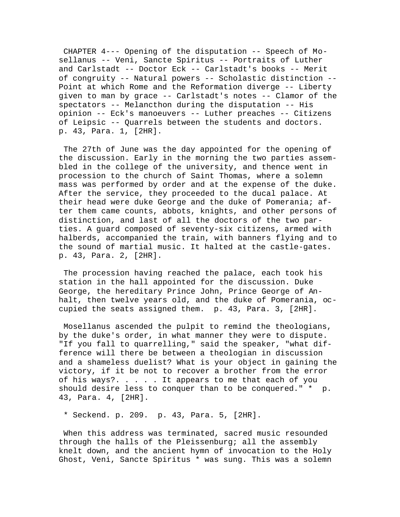CHAPTER 4--- Opening of the disputation -- Speech of Mosellanus -- Veni, Sancte Spiritus -- Portraits of Luther and Carlstadt -- Doctor Eck -- Carlstadt's books -- Merit of congruity -- Natural powers -- Scholastic distinction -- Point at which Rome and the Reformation diverge -- Liberty given to man by grace -- Carlstadt's notes -- Clamor of the spectators -- Melancthon during the disputation -- His opinion -- Eck's manoeuvers -- Luther preaches -- Citizens of Leipsic -- Quarrels between the students and doctors. p. 43, Para. 1, [2HR].

 The 27th of June was the day appointed for the opening of the discussion. Early in the morning the two parties assembled in the college of the university, and thence went in procession to the church of Saint Thomas, where a solemn mass was performed by order and at the expense of the duke. After the service, they proceeded to the ducal palace. At their head were duke George and the duke of Pomerania; after them came counts, abbots, knights, and other persons of distinction, and last of all the doctors of the two parties. A guard composed of seventy-six citizens, armed with halberds, accompanied the train, with banners flying and to the sound of martial music. It halted at the castle-gates. p. 43, Para. 2, [2HR].

 The procession having reached the palace, each took his station in the hall appointed for the discussion. Duke George, the hereditary Prince John, Prince George of Anhalt, then twelve years old, and the duke of Pomerania, occupied the seats assigned them. p. 43, Para. 3, [2HR].

 Mosellanus ascended the pulpit to remind the theologians, by the duke's order, in what manner they were to dispute. "If you fall to quarrelling," said the speaker, "what difference will there be between a theologian in discussion and a shameless duelist? What is your object in gaining the victory, if it be not to recover a brother from the error of his ways?. . . . . It appears to me that each of you should desire less to conquer than to be conquered." \* p. 43, Para. 4, [2HR].

\* Seckend. p. 209. p. 43, Para. 5, [2HR].

 When this address was terminated, sacred music resounded through the halls of the Pleissenburg; all the assembly knelt down, and the ancient hymn of invocation to the Holy Ghost, Veni, Sancte Spiritus \* was sung. This was a solemn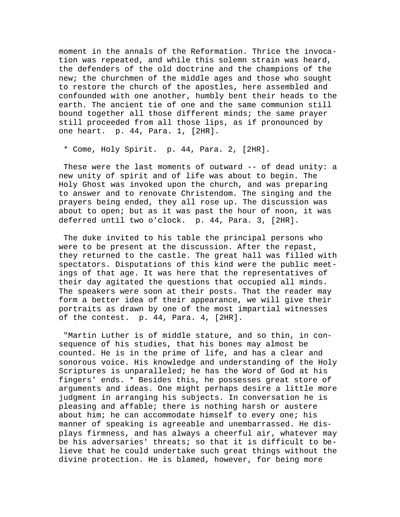moment in the annals of the Reformation. Thrice the invocation was repeated, and while this solemn strain was heard, the defenders of the old doctrine and the champions of the new; the churchmen of the middle ages and those who sought to restore the church of the apostles, here assembled and confounded with one another, humbly bent their heads to the earth. The ancient tie of one and the same communion still bound together all those different minds; the same prayer still proceeded from all those lips, as if pronounced by one heart. p. 44, Para. 1, [2HR].

\* Come, Holy Spirit. p. 44, Para. 2, [2HR].

 These were the last moments of outward -- of dead unity: a new unity of spirit and of life was about to begin. The Holy Ghost was invoked upon the church, and was preparing to answer and to renovate Christendom. The singing and the prayers being ended, they all rose up. The discussion was about to open; but as it was past the hour of noon, it was deferred until two o'clock. p. 44, Para. 3, [2HR].

 The duke invited to his table the principal persons who were to be present at the discussion. After the repast, they returned to the castle. The great hall was filled with spectators. Disputations of this kind were the public meetings of that age. It was here that the representatives of their day agitated the questions that occupied all minds. The speakers were soon at their posts. That the reader may form a better idea of their appearance, we will give their portraits as drawn by one of the most impartial witnesses of the contest. p. 44, Para. 4, [2HR].

 "Martin Luther is of middle stature, and so thin, in consequence of his studies, that his bones may almost be counted. He is in the prime of life, and has a clear and sonorous voice. His knowledge and understanding of the Holy Scriptures is unparalleled; he has the Word of God at his fingers' ends. \* Besides this, he possesses great store of arguments and ideas. One might perhaps desire a little more judgment in arranging his subjects. In conversation he is pleasing and affable; there is nothing harsh or austere about him; he can accommodate himself to every one; his manner of speaking is agreeable and unembarrassed. He displays firmness, and has always a cheerful air, whatever may be his adversaries' threats; so that it is difficult to believe that he could undertake such great things without the divine protection. He is blamed, however, for being more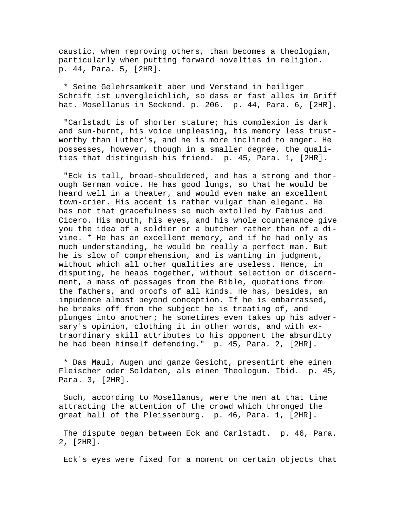caustic, when reproving others, than becomes a theologian, particularly when putting forward novelties in religion. p. 44, Para. 5, [2HR].

 \* Seine Gelehrsamkeit aber und Verstand in heiliger Schrift ist unvergleichlich, so dass er fast alles im Griff hat. Mosellanus in Seckend. p. 206. p. 44, Para. 6, [2HR].

 "Carlstadt is of shorter stature; his complexion is dark and sun-burnt, his voice unpleasing, his memory less trustworthy than Luther's, and he is more inclined to anger. He possesses, however, though in a smaller degree, the qualities that distinguish his friend. p. 45, Para. 1, [2HR].

 "Eck is tall, broad-shouldered, and has a strong and thorough German voice. He has good lungs, so that he would be heard well in a theater, and would even make an excellent town-crier. His accent is rather vulgar than elegant. He has not that gracefulness so much extolled by Fabius and Cicero. His mouth, his eyes, and his whole countenance give you the idea of a soldier or a butcher rather than of a divine. \* He has an excellent memory, and if he had only as much understanding, he would be really a perfect man. But he is slow of comprehension, and is wanting in judgment, without which all other qualities are useless. Hence, in disputing, he heaps together, without selection or discernment, a mass of passages from the Bible, quotations from the fathers, and proofs of all kinds. He has, besides, an impudence almost beyond conception. If he is embarrassed, he breaks off from the subject he is treating of, and plunges into another; he sometimes even takes up his adversary's opinion, clothing it in other words, and with extraordinary skill attributes to his opponent the absurdity he had been himself defending." p. 45, Para. 2, [2HR].

 \* Das Maul, Augen und ganze Gesicht, presentirt ehe einen Fleischer oder Soldaten, als einen Theologum. Ibid. p. 45, Para. 3, [2HR].

 Such, according to Mosellanus, were the men at that time attracting the attention of the crowd which thronged the great hall of the Pleissenburg. p. 46, Para. 1, [2HR].

 The dispute began between Eck and Carlstadt. p. 46, Para. 2, [2HR].

Eck's eyes were fixed for a moment on certain objects that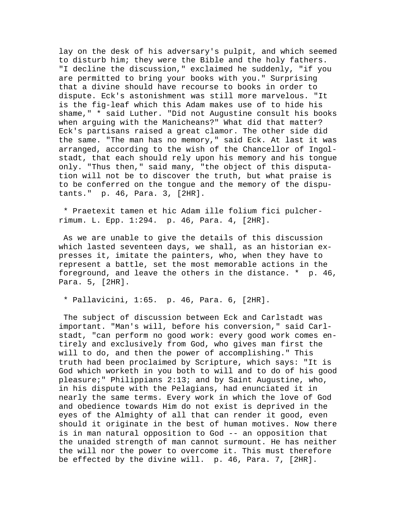lay on the desk of his adversary's pulpit, and which seemed to disturb him; they were the Bible and the holy fathers. "I decline the discussion," exclaimed he suddenly, "if you are permitted to bring your books with you." Surprising that a divine should have recourse to books in order to dispute. Eck's astonishment was still more marvelous. "It is the fig-leaf which this Adam makes use of to hide his shame," \* said Luther. "Did not Augustine consult his books when arguing with the Manicheans?" What did that matter? Eck's partisans raised a great clamor. The other side did the same. "The man has no memory," said Eck. At last it was arranged, according to the wish of the Chancellor of Ingolstadt, that each should rely upon his memory and his tongue only. "Thus then," said many, "the object of this disputation will not be to discover the truth, but what praise is to be conferred on the tongue and the memory of the disputants." p. 46, Para. 3, [2HR].

 \* Praetexit tamen et hic Adam ille folium fici pulcherrimum. L. Epp. 1:294. p. 46, Para. 4, [2HR].

 As we are unable to give the details of this discussion which lasted seventeen days, we shall, as an historian expresses it, imitate the painters, who, when they have to represent a battle, set the most memorable actions in the foreground, and leave the others in the distance. \* p. 46, Para. 5, [2HR].

\* Pallavicini, 1:65. p. 46, Para. 6, [2HR].

 The subject of discussion between Eck and Carlstadt was important. "Man's will, before his conversion," said Carlstadt, "can perform no good work: every good work comes entirely and exclusively from God, who gives man first the will to do, and then the power of accomplishing." This truth had been proclaimed by Scripture, which says: "It is God which worketh in you both to will and to do of his good pleasure;" Philippians 2:13; and by Saint Augustine, who, in his dispute with the Pelagians, had enunciated it in nearly the same terms. Every work in which the love of God and obedience towards Him do not exist is deprived in the eyes of the Almighty of all that can render it good, even should it originate in the best of human motives. Now there is in man natural opposition to God -- an opposition that the unaided strength of man cannot surmount. He has neither the will nor the power to overcome it. This must therefore be effected by the divine will. p. 46, Para. 7, [2HR].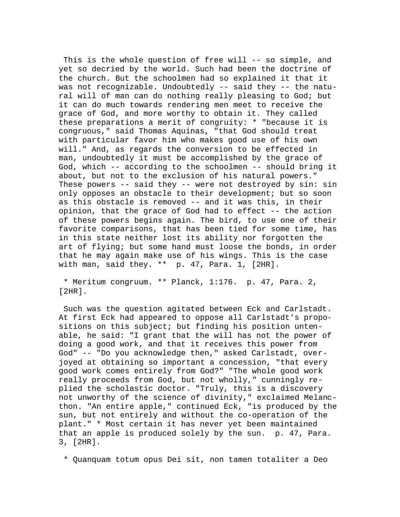This is the whole question of free will -- so simple, and yet so decried by the world. Such had been the doctrine of the church. But the schoolmen had so explained it that it was not recognizable. Undoubtedly -- said they -- the natural will of man can do nothing really pleasing to God; but it can do much towards rendering men meet to receive the grace of God, and more worthy to obtain it. They called these preparations a merit of congruity: \* "because it is congruous," said Thomas Aquinas, "that God should treat with particular favor him who makes good use of his own will." And, as regards the conversion to be effected in man, undoubtedly it must be accomplished by the grace of God, which -- according to the schoolmen -- should bring it about, but not to the exclusion of his natural powers." These powers -- said they -- were not destroyed by sin: sin only opposes an obstacle to their development; but so soon as this obstacle is removed -- and it was this, in their opinion, that the grace of God had to effect -- the action of these powers begins again. The bird, to use one of their favorite comparisons, that has been tied for some time, has in this state neither lost its ability nor forgotten the art of flying; but some hand must loose the bonds, in order that he may again make use of his wings. This is the case with man, said they. \*\* p. 47, Para. 1, [2HR].

 \* Meritum congruum. \*\* Planck, 1:176. p. 47, Para. 2, [2HR].

 Such was the question agitated between Eck and Carlstadt. At first Eck had appeared to oppose all Carlstadt's propositions on this subject; but finding his position untenable, he said: "I grant that the will has not the power of doing a good work, and that it receives this power from God" -- "Do you acknowledge then," asked Carlstadt, overjoyed at obtaining so important a concession, "that every good work comes entirely from God?" "The whole good work really proceeds from God, but not wholly," cunningly replied the scholastic doctor. "Truly, this is a discovery not unworthy of the science of divinity," exclaimed Melancthon. "An entire apple," continued Eck, "is produced by the sun, but not entirely and without the co-operation of the plant." \* Most certain it has never yet been maintained that an apple is produced solely by the sun. p. 47, Para. 3, [2HR].

\* Quanquam totum opus Dei sit, non tamen totaliter a Deo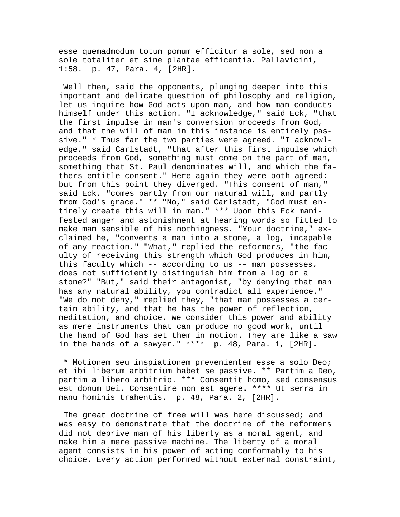esse quemadmodum totum pomum efficitur a sole, sed non a sole totaliter et sine plantae efficentia. Pallavicini, 1:58. p. 47, Para. 4, [2HR].

 Well then, said the opponents, plunging deeper into this important and delicate question of philosophy and religion, let us inquire how God acts upon man, and how man conducts himself under this action. "I acknowledge," said Eck, "that the first impulse in man's conversion proceeds from God, and that the will of man in this instance is entirely passive." \* Thus far the two parties were agreed. "I acknowledge," said Carlstadt, "that after this first impulse which proceeds from God, something must come on the part of man, something that St. Paul denominates will, and which the fathers entitle consent." Here again they were both agreed: but from this point they diverged. "This consent of man," said Eck, "comes partly from our natural will, and partly from God's grace." \*\* "No," said Carlstadt, "God must entirely create this will in man." \*\*\* Upon this Eck manifested anger and astonishment at hearing words so fitted to make man sensible of his nothingness. "Your doctrine," exclaimed he, "converts a man into a stone, a log, incapable of any reaction." "What," replied the reformers, "the faculty of receiving this strength which God produces in him, this faculty which -- according to us -- man possesses, does not sufficiently distinguish him from a log or a stone?" "But," said their antagonist, "by denying that man has any natural ability, you contradict all experience." "We do not deny," replied they, "that man possesses a certain ability, and that he has the power of reflection, meditation, and choice. We consider this power and ability as mere instruments that can produce no good work, until the hand of God has set them in motion. They are like a saw in the hands of a sawyer." \*\*\*\* p. 48, Para. 1, [2HR].

 \* Motionem seu inspiationem prevenientem esse a solo Deo; et ibi liberum arbitrium habet se passive. \*\* Partim a Deo, partim a libero arbitrio. \*\*\* Consentit homo, sed consensus est donum Dei. Consentire non est agere. \*\*\*\* Ut serra in manu hominis trahentis. p. 48, Para. 2, [2HR].

 The great doctrine of free will was here discussed; and was easy to demonstrate that the doctrine of the reformers did not deprive man of his liberty as a moral agent, and make him a mere passive machine. The liberty of a moral agent consists in his power of acting conformably to his choice. Every action performed without external constraint,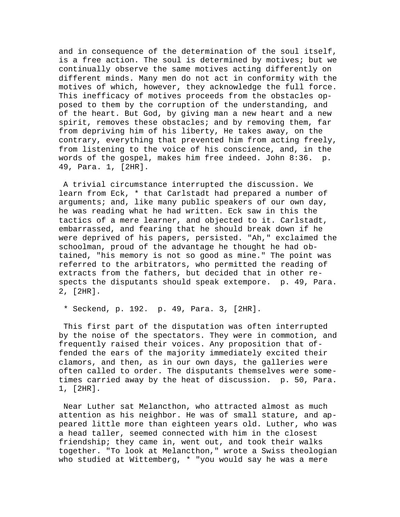and in consequence of the determination of the soul itself, is a free action. The soul is determined by motives; but we continually observe the same motives acting differently on different minds. Many men do not act in conformity with the motives of which, however, they acknowledge the full force. This inefficacy of motives proceeds from the obstacles opposed to them by the corruption of the understanding, and of the heart. But God, by giving man a new heart and a new spirit, removes these obstacles; and by removing them, far from depriving him of his liberty, He takes away, on the contrary, everything that prevented him from acting freely, from listening to the voice of his conscience, and, in the words of the gospel, makes him free indeed. John 8:36. p. 49, Para. 1, [2HR].

 A trivial circumstance interrupted the discussion. We learn from Eck, \* that Carlstadt had prepared a number of arguments; and, like many public speakers of our own day, he was reading what he had written. Eck saw in this the tactics of a mere learner, and objected to it. Carlstadt, embarrassed, and fearing that he should break down if he were deprived of his papers, persisted. "Ah," exclaimed the schoolman, proud of the advantage he thought he had obtained, "his memory is not so good as mine." The point was referred to the arbitrators, who permitted the reading of extracts from the fathers, but decided that in other respects the disputants should speak extempore. p. 49, Para. 2, [2HR].

\* Seckend, p. 192. p. 49, Para. 3, [2HR].

 This first part of the disputation was often interrupted by the noise of the spectators. They were in commotion, and frequently raised their voices. Any proposition that offended the ears of the majority immediately excited their clamors, and then, as in our own days, the galleries were often called to order. The disputants themselves were sometimes carried away by the heat of discussion. p. 50, Para. 1, [2HR].

 Near Luther sat Melancthon, who attracted almost as much attention as his neighbor. He was of small stature, and appeared little more than eighteen years old. Luther, who was a head taller, seemed connected with him in the closest friendship; they came in, went out, and took their walks together. "To look at Melancthon," wrote a Swiss theologian who studied at Wittemberg, \* "you would say he was a mere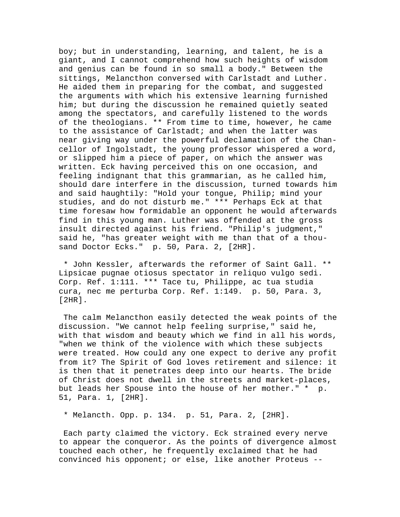boy; but in understanding, learning, and talent, he is a giant, and I cannot comprehend how such heights of wisdom and genius can be found in so small a body." Between the sittings, Melancthon conversed with Carlstadt and Luther. He aided them in preparing for the combat, and suggested the arguments with which his extensive learning furnished him; but during the discussion he remained quietly seated among the spectators, and carefully listened to the words of the theologians. \*\* From time to time, however, he came to the assistance of Carlstadt; and when the latter was near giving way under the powerful declamation of the Chancellor of Ingolstadt, the young professor whispered a word, or slipped him a piece of paper, on which the answer was written. Eck having perceived this on one occasion, and feeling indignant that this grammarian, as he called him, should dare interfere in the discussion, turned towards him and said haughtily: "Hold your tongue, Philip; mind your studies, and do not disturb me." \*\*\* Perhaps Eck at that time foresaw how formidable an opponent he would afterwards find in this young man. Luther was offended at the gross insult directed against his friend. "Philip's judgment," said he, "has greater weight with me than that of a thousand Doctor Ecks." p. 50, Para. 2, [2HR].

 \* John Kessler, afterwards the reformer of Saint Gall. \*\* Lipsicae pugnae otiosus spectator in reliquo vulgo sedi. Corp. Ref. 1:111. \*\*\* Tace tu, Philippe, ac tua studia cura, nec me perturba Corp. Ref. 1:149. p. 50, Para. 3, [2HR].

 The calm Melancthon easily detected the weak points of the discussion. "We cannot help feeling surprise," said he, with that wisdom and beauty which we find in all his words, "when we think of the violence with which these subjects were treated. How could any one expect to derive any profit from it? The Spirit of God loves retirement and silence: it is then that it penetrates deep into our hearts. The bride of Christ does not dwell in the streets and market-places, but leads her Spouse into the house of her mother." \* p. 51, Para. 1, [2HR].

\* Melancth. Opp. p. 134. p. 51, Para. 2, [2HR].

 Each party claimed the victory. Eck strained every nerve to appear the conqueror. As the points of divergence almost touched each other, he frequently exclaimed that he had convinced his opponent; or else, like another Proteus --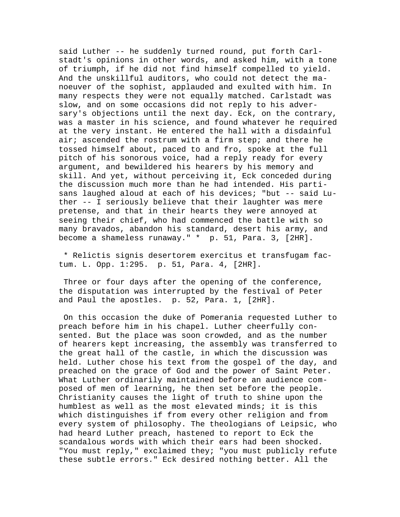said Luther -- he suddenly turned round, put forth Carlstadt's opinions in other words, and asked him, with a tone of triumph, if he did not find himself compelled to yield. And the unskillful auditors, who could not detect the manoeuver of the sophist, applauded and exulted with him. In many respects they were not equally matched. Carlstadt was slow, and on some occasions did not reply to his adversary's objections until the next day. Eck, on the contrary, was a master in his science, and found whatever he required at the very instant. He entered the hall with a disdainful air; ascended the rostrum with a firm step; and there he tossed himself about, paced to and fro, spoke at the full pitch of his sonorous voice, had a reply ready for every argument, and bewildered his hearers by his memory and skill. And yet, without perceiving it, Eck conceded during the discussion much more than he had intended. His partisans laughed aloud at each of his devices; "but -- said Luther -- I seriously believe that their laughter was mere pretense, and that in their hearts they were annoyed at seeing their chief, who had commenced the battle with so many bravados, abandon his standard, desert his army, and become a shameless runaway." \* p. 51, Para. 3, [2HR].

 \* Relictis signis desertorem exercitus et transfugam factum. L. Opp. 1:295. p. 51, Para. 4, [2HR].

 Three or four days after the opening of the conference, the disputation was interrupted by the festival of Peter and Paul the apostles. p. 52, Para. 1, [2HR].

 On this occasion the duke of Pomerania requested Luther to preach before him in his chapel. Luther cheerfully consented. But the place was soon crowded, and as the number of hearers kept increasing, the assembly was transferred to the great hall of the castle, in which the discussion was held. Luther chose his text from the gospel of the day, and preached on the grace of God and the power of Saint Peter. What Luther ordinarily maintained before an audience composed of men of learning, he then set before the people. Christianity causes the light of truth to shine upon the humblest as well as the most elevated minds; it is this which distinguishes if from every other religion and from every system of philosophy. The theologians of Leipsic, who had heard Luther preach, hastened to report to Eck the scandalous words with which their ears had been shocked. "You must reply," exclaimed they; "you must publicly refute these subtle errors." Eck desired nothing better. All the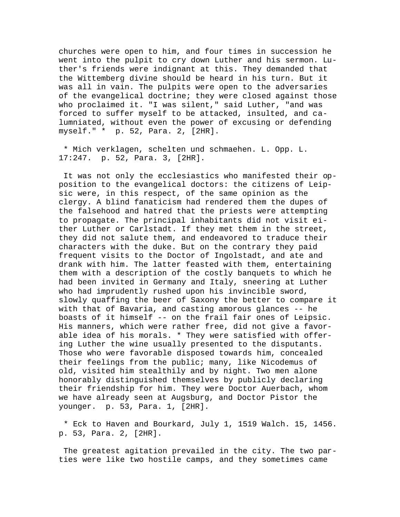churches were open to him, and four times in succession he went into the pulpit to cry down Luther and his sermon. Luther's friends were indignant at this. They demanded that the Wittemberg divine should be heard in his turn. But it was all in vain. The pulpits were open to the adversaries of the evangelical doctrine; they were closed against those who proclaimed it. "I was silent," said Luther, "and was forced to suffer myself to be attacked, insulted, and calumniated, without even the power of excusing or defending myself." \* p. 52, Para. 2, [2HR].

 \* Mich verklagen, schelten und schmaehen. L. Opp. L. 17:247. p. 52, Para. 3, [2HR].

 It was not only the ecclesiastics who manifested their opposition to the evangelical doctors: the citizens of Leipsic were, in this respect, of the same opinion as the clergy. A blind fanaticism had rendered them the dupes of the falsehood and hatred that the priests were attempting to propagate. The principal inhabitants did not visit either Luther or Carlstadt. If they met them in the street, they did not salute them, and endeavored to traduce their characters with the duke. But on the contrary they paid frequent visits to the Doctor of Ingolstadt, and ate and drank with him. The latter feasted with them, entertaining them with a description of the costly banquets to which he had been invited in Germany and Italy, sneering at Luther who had imprudently rushed upon his invincible sword, slowly quaffing the beer of Saxony the better to compare it with that of Bavaria, and casting amorous glances -- he boasts of it himself -- on the frail fair ones of Leipsic. His manners, which were rather free, did not give a favorable idea of his morals. \* They were satisfied with offering Luther the wine usually presented to the disputants. Those who were favorable disposed towards him, concealed their feelings from the public; many, like Nicodemus of old, visited him stealthily and by night. Two men alone honorably distinguished themselves by publicly declaring their friendship for him. They were Doctor Auerbach, whom we have already seen at Augsburg, and Doctor Pistor the younger. p. 53, Para. 1, [2HR].

 \* Eck to Haven and Bourkard, July 1, 1519 Walch. 15, 1456. p. 53, Para. 2, [2HR].

 The greatest agitation prevailed in the city. The two parties were like two hostile camps, and they sometimes came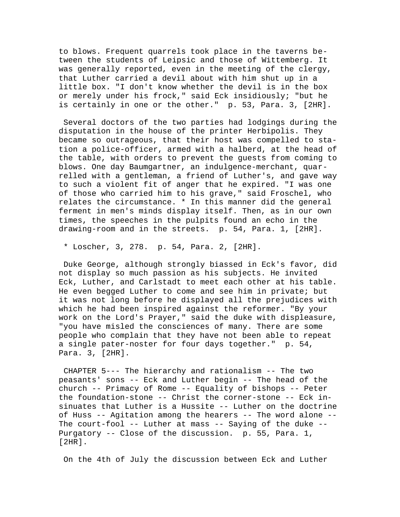to blows. Frequent quarrels took place in the taverns between the students of Leipsic and those of Wittemberg. It was generally reported, even in the meeting of the clergy, that Luther carried a devil about with him shut up in a little box. "I don't know whether the devil is in the box or merely under his frock," said Eck insidiously; "but he is certainly in one or the other." p. 53, Para. 3, [2HR].

 Several doctors of the two parties had lodgings during the disputation in the house of the printer Herbipolis. They became so outrageous, that their host was compelled to station a police-officer, armed with a halberd, at the head of the table, with orders to prevent the guests from coming to blows. One day Baumgartner, an indulgence-merchant, quarrelled with a gentleman, a friend of Luther's, and gave way to such a violent fit of anger that he expired. "I was one of those who carried him to his grave," said Froschel, who relates the circumstance. \* In this manner did the general ferment in men's minds display itself. Then, as in our own times, the speeches in the pulpits found an echo in the drawing-room and in the streets. p. 54, Para. 1, [2HR].

\* Loscher, 3, 278. p. 54, Para. 2, [2HR].

 Duke George, although strongly biassed in Eck's favor, did not display so much passion as his subjects. He invited Eck, Luther, and Carlstadt to meet each other at his table. He even begged Luther to come and see him in private; but it was not long before he displayed all the prejudices with which he had been inspired against the reformer. "By your work on the Lord's Prayer," said the duke with displeasure, "you have misled the consciences of many. There are some people who complain that they have not been able to repeat a single pater-noster for four days together." p. 54, Para. 3, [2HR].

 CHAPTER 5--- The hierarchy and rationalism -- The two peasants' sons -- Eck and Luther begin -- The head of the church -- Primacy of Rome -- Equality of bishops -- Peter the foundation-stone -- Christ the corner-stone -- Eck insinuates that Luther is a Hussite -- Luther on the doctrine of Huss -- Agitation among the hearers -- The word alone -- The court-fool -- Luther at mass -- Saying of the duke -- Purgatory -- Close of the discussion. p. 55, Para. 1, [2HR].

On the 4th of July the discussion between Eck and Luther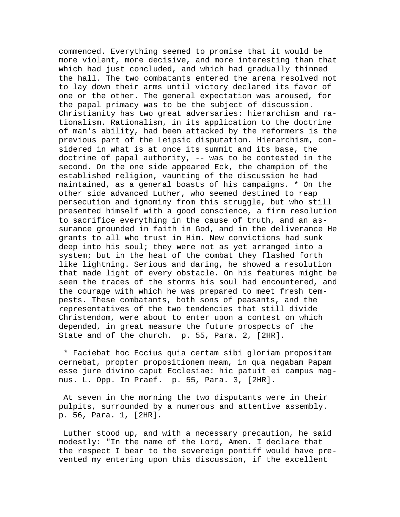commenced. Everything seemed to promise that it would be more violent, more decisive, and more interesting than that which had just concluded, and which had gradually thinned the hall. The two combatants entered the arena resolved not to lay down their arms until victory declared its favor of one or the other. The general expectation was aroused, for the papal primacy was to be the subject of discussion. Christianity has two great adversaries: hierarchism and rationalism. Rationalism, in its application to the doctrine of man's ability, had been attacked by the reformers is the previous part of the Leipsic disputation. Hierarchism, considered in what is at once its summit and its base, the doctrine of papal authority, -- was to be contested in the second. On the one side appeared Eck, the champion of the established religion, vaunting of the discussion he had maintained, as a general boasts of his campaigns. \* On the other side advanced Luther, who seemed destined to reap persecution and ignominy from this struggle, but who still presented himself with a good conscience, a firm resolution to sacrifice everything in the cause of truth, and an assurance grounded in faith in God, and in the deliverance He grants to all who trust in Him. New convictions had sunk deep into his soul; they were not as yet arranged into a system; but in the heat of the combat they flashed forth like lightning. Serious and daring, he showed a resolution that made light of every obstacle. On his features might be seen the traces of the storms his soul had encountered, and the courage with which he was prepared to meet fresh tempests. These combatants, both sons of peasants, and the representatives of the two tendencies that still divide Christendom, were about to enter upon a contest on which depended, in great measure the future prospects of the State and of the church. p. 55, Para. 2, [2HR].

 \* Faciebat hoc Eccius quia certam sibi gloriam propositam cernebat, propter propositionem meam, in qua negabam Papam esse jure divino caput Ecclesiae: hic patuit ei campus magnus. L. Opp. In Praef. p. 55, Para. 3, [2HR].

 At seven in the morning the two disputants were in their pulpits, surrounded by a numerous and attentive assembly. p. 56, Para. 1, [2HR].

 Luther stood up, and with a necessary precaution, he said modestly: "In the name of the Lord, Amen. I declare that the respect I bear to the sovereign pontiff would have prevented my entering upon this discussion, if the excellent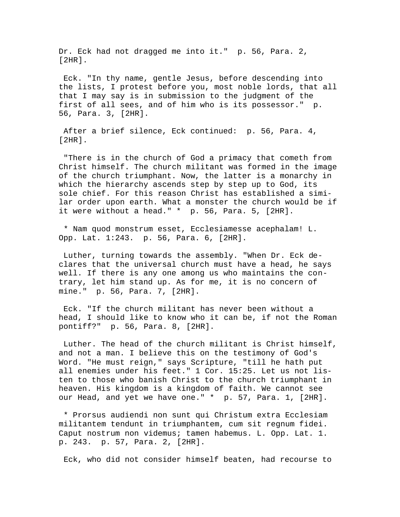Dr. Eck had not dragged me into it." p. 56, Para. 2,  $[2HR]$ .

 Eck. "In thy name, gentle Jesus, before descending into the lists, I protest before you, most noble lords, that all that I may say is in submission to the judgment of the first of all sees, and of him who is its possessor." p. 56, Para. 3, [2HR].

 After a brief silence, Eck continued: p. 56, Para. 4,  $[2HR]$ .

 "There is in the church of God a primacy that cometh from Christ himself. The church militant was formed in the image of the church triumphant. Now, the latter is a monarchy in which the hierarchy ascends step by step up to God, its sole chief. For this reason Christ has established a similar order upon earth. What a monster the church would be if it were without a head." \* p. 56, Para. 5, [2HR].

 \* Nam quod monstrum esset, Ecclesiamesse acephalam! L. Opp. Lat. 1:243. p. 56, Para. 6, [2HR].

 Luther, turning towards the assembly. "When Dr. Eck declares that the universal church must have a head, he says well. If there is any one among us who maintains the contrary, let him stand up. As for me, it is no concern of mine." p. 56, Para. 7, [2HR].

 Eck. "If the church militant has never been without a head, I should like to know who it can be, if not the Roman pontiff?" p. 56, Para. 8, [2HR].

 Luther. The head of the church militant is Christ himself, and not a man. I believe this on the testimony of God's Word. "He must reign," says Scripture, "till he hath put all enemies under his feet." 1 Cor. 15:25. Let us not listen to those who banish Christ to the church triumphant in heaven. His kingdom is a kingdom of faith. We cannot see our Head, and yet we have one." \* p. 57, Para. 1, [2HR].

 \* Prorsus audiendi non sunt qui Christum extra Ecclesiam militantem tendunt in triumphantem, cum sit regnum fidei. Caput nostrum non videmus; tamen habemus. L. Opp. Lat. 1. p. 243. p. 57, Para. 2, [2HR].

Eck, who did not consider himself beaten, had recourse to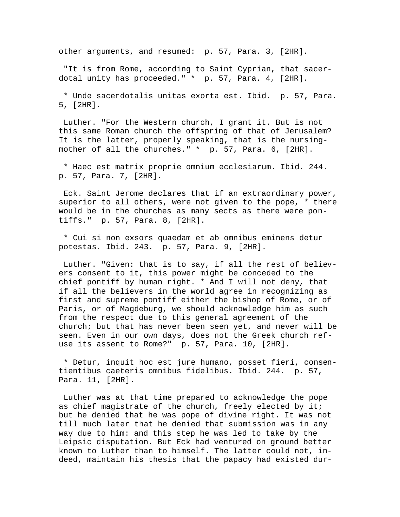other arguments, and resumed: p. 57, Para. 3, [2HR].

 "It is from Rome, according to Saint Cyprian, that sacerdotal unity has proceeded." \* p. 57, Para. 4, [2HR].

 \* Unde sacerdotalis unitas exorta est. Ibid. p. 57, Para. 5, [2HR].

 Luther. "For the Western church, I grant it. But is not this same Roman church the offspring of that of Jerusalem? It is the latter, properly speaking, that is the nursingmother of all the churches." \* p. 57, Para. 6, [2HR].

 \* Haec est matrix proprie omnium ecclesiarum. Ibid. 244. p. 57, Para. 7, [2HR].

 Eck. Saint Jerome declares that if an extraordinary power, superior to all others, were not given to the pope, \* there would be in the churches as many sects as there were pontiffs." p. 57, Para. 8, [2HR].

 \* Cui si non exsors quaedam et ab omnibus eminens detur potestas. Ibid. 243. p. 57, Para. 9, [2HR].

 Luther. "Given: that is to say, if all the rest of believers consent to it, this power might be conceded to the chief pontiff by human right. \* And I will not deny, that if all the believers in the world agree in recognizing as first and supreme pontiff either the bishop of Rome, or of Paris, or of Magdeburg, we should acknowledge him as such from the respect due to this general agreement of the church; but that has never been seen yet, and never will be seen. Even in our own days, does not the Greek church refuse its assent to Rome?" p. 57, Para. 10, [2HR].

 \* Detur, inquit hoc est jure humano, posset fieri, consentientibus caeteris omnibus fidelibus. Ibid. 244. p. 57, Para. 11, [2HR].

 Luther was at that time prepared to acknowledge the pope as chief magistrate of the church, freely elected by it; but he denied that he was pope of divine right. It was not till much later that he denied that submission was in any way due to him: and this step he was led to take by the Leipsic disputation. But Eck had ventured on ground better known to Luther than to himself. The latter could not, indeed, maintain his thesis that the papacy had existed dur-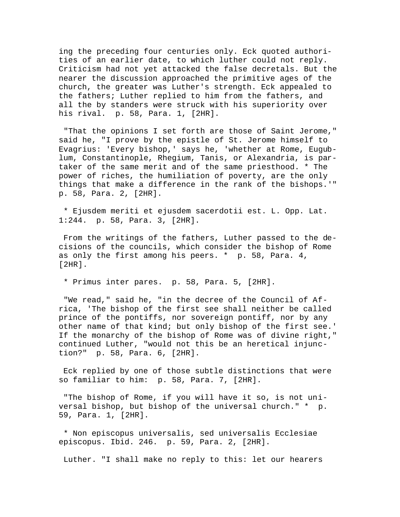ing the preceding four centuries only. Eck quoted authorities of an earlier date, to which luther could not reply. Criticism had not yet attacked the false decretals. But the nearer the discussion approached the primitive ages of the church, the greater was Luther's strength. Eck appealed to the fathers; Luther replied to him from the fathers, and all the by standers were struck with his superiority over his rival. p. 58, Para. 1, [2HR].

 "That the opinions I set forth are those of Saint Jerome," said he, "I prove by the epistle of St. Jerome himself to Evagrius: 'Every bishop,' says he, 'whether at Rome, Eugublum, Constantinople, Rhegium, Tanis, or Alexandria, is partaker of the same merit and of the same priesthood. \* The power of riches, the humiliation of poverty, are the only things that make a difference in the rank of the bishops.'" p. 58, Para. 2, [2HR].

 \* Ejusdem meriti et ejusdem sacerdotii est. L. Opp. Lat. 1:244. p. 58, Para. 3, [2HR].

 From the writings of the fathers, Luther passed to the decisions of the councils, which consider the bishop of Rome as only the first among his peers. \* p. 58, Para. 4, [2HR].

\* Primus inter pares. p. 58, Para. 5, [2HR].

 "We read," said he, "in the decree of the Council of Africa, 'The bishop of the first see shall neither be called prince of the pontiffs, nor sovereign pontiff, nor by any other name of that kind; but only bishop of the first see.' If the monarchy of the bishop of Rome was of divine right," continued Luther, "would not this be an heretical injunction?" p. 58, Para. 6, [2HR].

 Eck replied by one of those subtle distinctions that were so familiar to him: p. 58, Para. 7, [2HR].

 "The bishop of Rome, if you will have it so, is not universal bishop, but bishop of the universal church." \* p. 59, Para. 1, [2HR].

 \* Non episcopus universalis, sed universalis Ecclesiae episcopus. Ibid. 246. p. 59, Para. 2, [2HR].

Luther. "I shall make no reply to this: let our hearers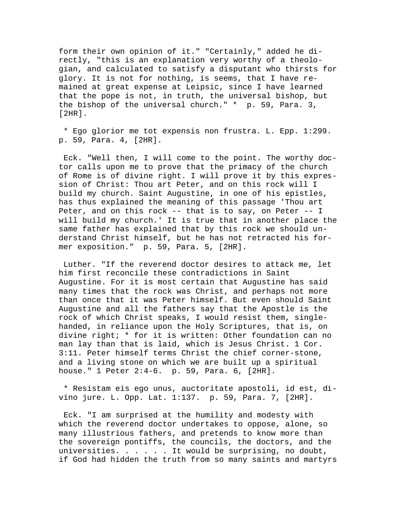form their own opinion of it." "Certainly," added he directly, "this is an explanation very worthy of a theologian, and calculated to satisfy a disputant who thirsts for glory. It is not for nothing, is seems, that I have remained at great expense at Leipsic, since I have learned that the pope is not, in truth, the universal bishop, but the bishop of the universal church." \* p. 59, Para. 3,  $[2HR]$ .

 \* Ego glorior me tot expensis non frustra. L. Epp. 1:299. p. 59, Para. 4, [2HR].

 Eck. "Well then, I will come to the point. The worthy doctor calls upon me to prove that the primacy of the church of Rome is of divine right. I will prove it by this expression of Christ: Thou art Peter, and on this rock will I build my church. Saint Augustine, in one of his epistles, has thus explained the meaning of this passage 'Thou art Peter, and on this rock -- that is to say, on Peter -- I will build my church.' It is true that in another place the same father has explained that by this rock we should understand Christ himself, but he has not retracted his former exposition." p. 59, Para. 5, [2HR].

 Luther. "If the reverend doctor desires to attack me, let him first reconcile these contradictions in Saint Augustine. For it is most certain that Augustine has said many times that the rock was Christ, and perhaps not more than once that it was Peter himself. But even should Saint Augustine and all the fathers say that the Apostle is the rock of which Christ speaks, I would resist them, singlehanded, in reliance upon the Holy Scriptures, that is, on divine right; \* for it is written: Other foundation can no man lay than that is laid, which is Jesus Christ. 1 Cor. 3:11. Peter himself terms Christ the chief corner-stone, and a living stone on which we are built up a spiritual house." 1 Peter 2:4-6. p. 59, Para. 6, [2HR].

 \* Resistam eis ego unus, auctoritate apostoli, id est, divino jure. L. Opp. Lat. 1:137. p. 59, Para. 7, [2HR].

 Eck. "I am surprised at the humility and modesty with which the reverend doctor undertakes to oppose, alone, so many illustrious fathers, and pretends to know more than the sovereign pontiffs, the councils, the doctors, and the universities. . . . . . It would be surprising, no doubt, if God had hidden the truth from so many saints and martyrs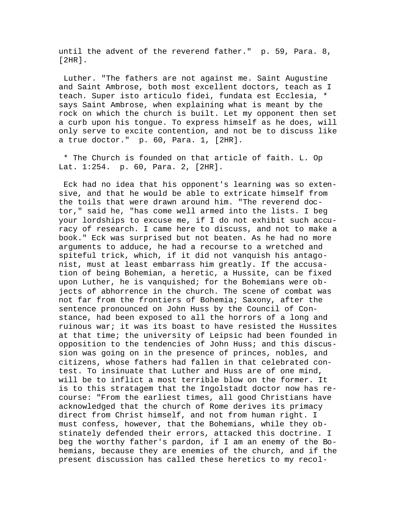until the advent of the reverend father." p. 59, Para. 8,  $[2HR]$ .

 Luther. "The fathers are not against me. Saint Augustine and Saint Ambrose, both most excellent doctors, teach as I teach. Super isto articulo fidei, fundata est Ecclesia, \* says Saint Ambrose, when explaining what is meant by the rock on which the church is built. Let my opponent then set a curb upon his tongue. To express himself as he does, will only serve to excite contention, and not be to discuss like a true doctor." p. 60, Para. 1, [2HR].

 \* The Church is founded on that article of faith. L. Op Lat. 1:254. p. 60, Para. 2, [2HR].

 Eck had no idea that his opponent's learning was so extensive, and that he would be able to extricate himself from the toils that were drawn around him. "The reverend doctor," said he, "has come well armed into the lists. I beg your lordships to excuse me, if I do not exhibit such accuracy of research. I came here to discuss, and not to make a book." Eck was surprised but not beaten. As he had no more arguments to adduce, he had a recourse to a wretched and spiteful trick, which, if it did not vanquish his antagonist, must at least embarrass him greatly. If the accusation of being Bohemian, a heretic, a Hussite, can be fixed upon Luther, he is vanquished; for the Bohemians were objects of abhorrence in the church. The scene of combat was not far from the frontiers of Bohemia; Saxony, after the sentence pronounced on John Huss by the Council of Constance, had been exposed to all the horrors of a long and ruinous war; it was its boast to have resisted the Hussites at that time; the university of Leipsic had been founded in opposition to the tendencies of John Huss; and this discussion was going on in the presence of princes, nobles, and citizens, whose fathers had fallen in that celebrated contest. To insinuate that Luther and Huss are of one mind, will be to inflict a most terrible blow on the former. It is to this stratagem that the Ingolstadt doctor now has recourse: "From the earliest times, all good Christians have acknowledged that the church of Rome derives its primacy direct from Christ himself, and not from human right. I must confess, however, that the Bohemians, while they obstinately defended their errors, attacked this doctrine. I beg the worthy father's pardon, if I am an enemy of the Bohemians, because they are enemies of the church, and if the present discussion has called these heretics to my recol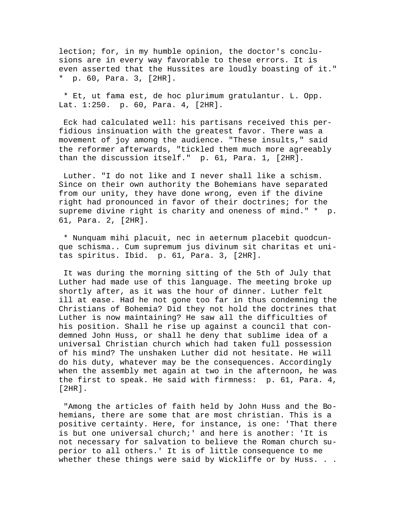lection; for, in my humble opinion, the doctor's conclusions are in every way favorable to these errors. It is even asserted that the Hussites are loudly boasting of it." \* p. 60, Para. 3, [2HR].

 \* Et, ut fama est, de hoc plurimum gratulantur. L. Opp. Lat. 1:250. p. 60, Para. 4, [2HR].

 Eck had calculated well: his partisans received this perfidious insinuation with the greatest favor. There was a movement of joy among the audience. "These insults," said the reformer afterwards, "tickled them much more agreeably than the discussion itself." p. 61, Para. 1, [2HR].

 Luther. "I do not like and I never shall like a schism. Since on their own authority the Bohemians have separated from our unity, they have done wrong, even if the divine right had pronounced in favor of their doctrines; for the supreme divine right is charity and oneness of mind." \* p. 61, Para. 2, [2HR].

 \* Nunquam mihi placuit, nec in aeternum placebit quodcunque schisma.. Cum supremum jus divinum sit charitas et unitas spiritus. Ibid. p. 61, Para. 3, [2HR].

 It was during the morning sitting of the 5th of July that Luther had made use of this language. The meeting broke up shortly after, as it was the hour of dinner. Luther felt ill at ease. Had he not gone too far in thus condemning the Christians of Bohemia? Did they not hold the doctrines that Luther is now maintaining? He saw all the difficulties of his position. Shall he rise up against a council that condemned John Huss, or shall he deny that sublime idea of a universal Christian church which had taken full possession of his mind? The unshaken Luther did not hesitate. He will do his duty, whatever may be the consequences. Accordingly when the assembly met again at two in the afternoon, he was the first to speak. He said with firmness: p. 61, Para. 4,  $[2HR]$ .

 "Among the articles of faith held by John Huss and the Bohemians, there are some that are most christian. This is a positive certainty. Here, for instance, is one: 'That there is but one universal church;' and here is another: 'It is not necessary for salvation to believe the Roman church superior to all others.' It is of little consequence to me whether these things were said by Wickliffe or by Huss. . .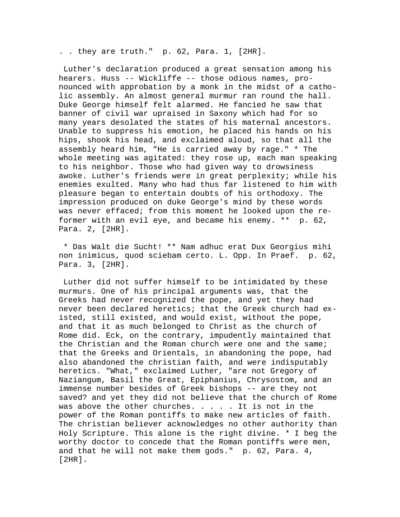. . they are truth." p. 62, Para. 1, [2HR].

 Luther's declaration produced a great sensation among his hearers. Huss -- Wickliffe -- those odious names, pronounced with approbation by a monk in the midst of a catholic assembly. An almost general murmur ran round the hall. Duke George himself felt alarmed. He fancied he saw that banner of civil war upraised in Saxony which had for so many years desolated the states of his maternal ancestors. Unable to suppress his emotion, he placed his hands on his hips, shook his head, and exclaimed aloud, so that all the assembly heard him, "He is carried away by rage." \* The whole meeting was agitated: they rose up, each man speaking to his neighbor. Those who had given way to drowsiness awoke. Luther's friends were in great perplexity; while his enemies exulted. Many who had thus far listened to him with pleasure began to entertain doubts of his orthodoxy. The impression produced on duke George's mind by these words was never effaced; from this moment he looked upon the reformer with an evil eye, and became his enemy. \*\* p. 62, Para. 2, [2HR].

 \* Das Walt die Sucht! \*\* Nam adhuc erat Dux Georgius mihi non inimicus, quod sciebam certo. L. Opp. In Praef. p. 62, Para. 3, [2HR].

 Luther did not suffer himself to be intimidated by these murmurs. One of his principal arguments was, that the Greeks had never recognized the pope, and yet they had never been declared heretics; that the Greek church had existed, still existed, and would exist, without the pope, and that it as much belonged to Christ as the church of Rome did. Eck, on the contrary, impudently maintained that the Christian and the Roman church were one and the same; that the Greeks and Orientals, in abandoning the pope, had also abandoned the christian faith, and were indisputably heretics. "What," exclaimed Luther, "are not Gregory of Naziangum, Basil the Great, Epiphanius, Chrysostom, and an immense number besides of Greek bishops -- are they not saved? and yet they did not believe that the church of Rome was above the other churches. . . . . It is not in the power of the Roman pontiffs to make new articles of faith. The christian believer acknowledges no other authority than Holy Scripture. This alone is the right divine. \* I beg the worthy doctor to concede that the Roman pontiffs were men, and that he will not make them gods." p. 62, Para. 4, [2HR].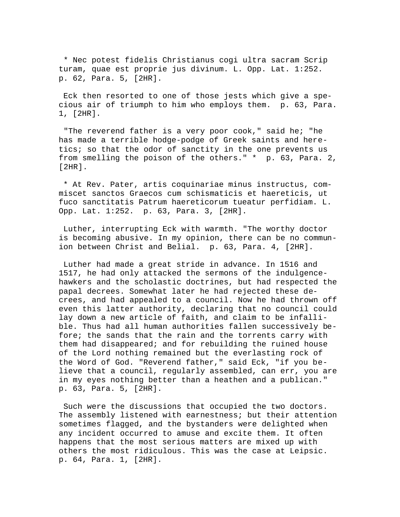\* Nec potest fidelis Christianus cogi ultra sacram Scrip turam, quae est proprie jus divinum. L. Opp. Lat. 1:252. p. 62, Para. 5, [2HR].

 Eck then resorted to one of those jests which give a specious air of triumph to him who employs them. p. 63, Para. 1, [2HR].

 "The reverend father is a very poor cook," said he; "he has made a terrible hodge-podge of Greek saints and heretics; so that the odor of sanctity in the one prevents us from smelling the poison of the others." \* p. 63, Para. 2,  $[2HR]$ .

 \* At Rev. Pater, artis coquinariae minus instructus, commiscet sanctos Graecos cum schismaticis et haereticis, ut fuco sanctitatis Patrum haereticorum tueatur perfidiam. L. Opp. Lat. 1:252. p. 63, Para. 3, [2HR].

 Luther, interrupting Eck with warmth. "The worthy doctor is becoming abusive. In my opinion, there can be no communion between Christ and Belial. p. 63, Para. 4, [2HR].

 Luther had made a great stride in advance. In 1516 and 1517, he had only attacked the sermons of the indulgencehawkers and the scholastic doctrines, but had respected the papal decrees. Somewhat later he had rejected these decrees, and had appealed to a council. Now he had thrown off even this latter authority, declaring that no council could lay down a new article of faith, and claim to be infallible. Thus had all human authorities fallen successively before; the sands that the rain and the torrents carry with them had disappeared; and for rebuilding the ruined house of the Lord nothing remained but the everlasting rock of the Word of God. "Reverend father," said Eck, "if you believe that a council, regularly assembled, can err, you are in my eyes nothing better than a heathen and a publican." p. 63, Para. 5, [2HR].

 Such were the discussions that occupied the two doctors. The assembly listened with earnestness; but their attention sometimes flagged, and the bystanders were delighted when any incident occurred to amuse and excite them. It often happens that the most serious matters are mixed up with others the most ridiculous. This was the case at Leipsic. p. 64, Para. 1, [2HR].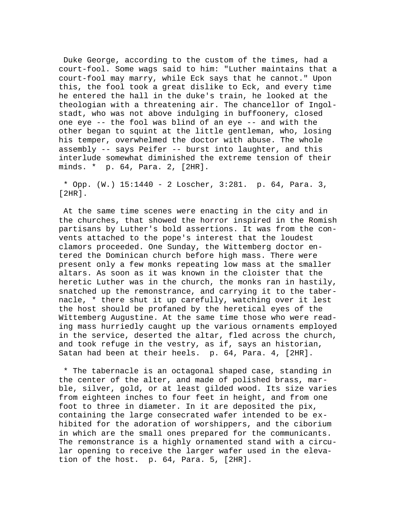Duke George, according to the custom of the times, had a court-fool. Some wags said to him: "Luther maintains that a court-fool may marry, while Eck says that he cannot." Upon this, the fool took a great dislike to Eck, and every time he entered the hall in the duke's train, he looked at the theologian with a threatening air. The chancellor of Ingolstadt, who was not above indulging in buffoonery, closed one eye -- the fool was blind of an eye -- and with the other began to squint at the little gentleman, who, losing his temper, overwhelmed the doctor with abuse. The whole assembly -- says Peifer -- burst into laughter, and this interlude somewhat diminished the extreme tension of their minds. \* p. 64, Para. 2, [2HR].

 \* Opp. (W.) 15:1440 - 2 Loscher, 3:281. p. 64, Para. 3, [2HR].

 At the same time scenes were enacting in the city and in the churches, that showed the horror inspired in the Romish partisans by Luther's bold assertions. It was from the convents attached to the pope's interest that the loudest clamors proceeded. One Sunday, the Wittemberg doctor entered the Dominican church before high mass. There were present only a few monks repeating low mass at the smaller altars. As soon as it was known in the cloister that the heretic Luther was in the church, the monks ran in hastily, snatched up the remonstrance, and carrying it to the tabernacle, \* there shut it up carefully, watching over it lest the host should be profaned by the heretical eyes of the Wittemberg Augustine. At the same time those who were reading mass hurriedly caught up the various ornaments employed in the service, deserted the altar, fled across the church, and took refuge in the vestry, as if, says an historian, Satan had been at their heels. p. 64, Para. 4, [2HR].

 \* The tabernacle is an octagonal shaped case, standing in the center of the alter, and made of polished brass, marble, silver, gold, or at least gilded wood. Its size varies from eighteen inches to four feet in height, and from one foot to three in diameter. In it are deposited the pix, containing the large consecrated wafer intended to be exhibited for the adoration of worshippers, and the ciborium in which are the small ones prepared for the communicants. The remonstrance is a highly ornamented stand with a circular opening to receive the larger wafer used in the elevation of the host. p. 64, Para. 5, [2HR].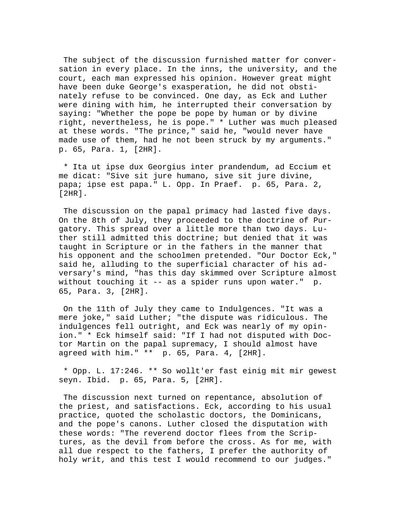The subject of the discussion furnished matter for conversation in every place. In the inns, the university, and the court, each man expressed his opinion. However great might have been duke George's exasperation, he did not obstinately refuse to be convinced. One day, as Eck and Luther were dining with him, he interrupted their conversation by saying: "Whether the pope be pope by human or by divine right, nevertheless, he is pope." \* Luther was much pleased at these words. "The prince," said he, "would never have made use of them, had he not been struck by my arguments." p. 65, Para. 1, [2HR].

 \* Ita ut ipse dux Georgius inter prandendum, ad Eccium et me dicat: "Sive sit jure humano, sive sit jure divine, papa; ipse est papa." L. Opp. In Praef. p. 65, Para. 2, [2HR].

 The discussion on the papal primacy had lasted five days. On the 8th of July, they proceeded to the doctrine of Purgatory. This spread over a little more than two days. Luther still admitted this doctrine; but denied that it was taught in Scripture or in the fathers in the manner that his opponent and the schoolmen pretended. "Our Doctor Eck," said he, alluding to the superficial character of his adversary's mind, "has this day skimmed over Scripture almost without touching it -- as a spider runs upon water." p. 65, Para. 3, [2HR].

 On the 11th of July they came to Indulgences. "It was a mere joke," said Luther; "the dispute was ridiculous. The indulgences fell outright, and Eck was nearly of my opinion." \* Eck himself said: "If I had not disputed with Doctor Martin on the papal supremacy, I should almost have agreed with him." \*\* p. 65, Para. 4, [2HR].

 \* Opp. L. 17:246. \*\* So wollt'er fast einig mit mir gewest seyn. Ibid. p. 65, Para. 5, [2HR].

 The discussion next turned on repentance, absolution of the priest, and satisfactions. Eck, according to his usual practice, quoted the scholastic doctors, the Dominicans, and the pope's canons. Luther closed the disputation with these words: "The reverend doctor flees from the Scriptures, as the devil from before the cross. As for me, with all due respect to the fathers, I prefer the authority of holy writ, and this test I would recommend to our judges."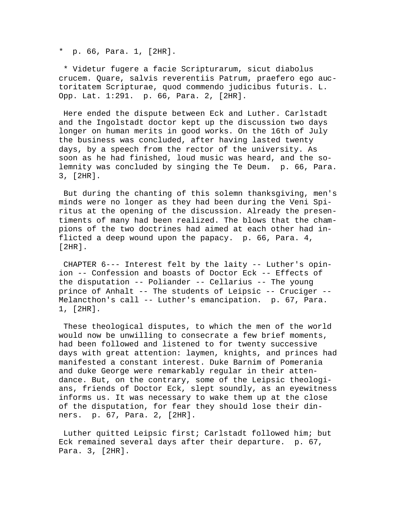\* p. 66, Para. 1, [2HR].

 \* Videtur fugere a facie Scripturarum, sicut diabolus crucem. Quare, salvis reverentiis Patrum, praefero ego auctoritatem Scripturae, quod commendo judicibus futuris. L. Opp. Lat. 1:291. p. 66, Para. 2, [2HR].

 Here ended the dispute between Eck and Luther. Carlstadt and the Ingolstadt doctor kept up the discussion two days longer on human merits in good works. On the 16th of July the business was concluded, after having lasted twenty days, by a speech from the rector of the university. As soon as he had finished, loud music was heard, and the solemnity was concluded by singing the Te Deum. p. 66, Para. 3, [2HR].

 But during the chanting of this solemn thanksgiving, men's minds were no longer as they had been during the Veni Spiritus at the opening of the discussion. Already the presentiments of many had been realized. The blows that the champions of the two doctrines had aimed at each other had inflicted a deep wound upon the papacy. p. 66, Para. 4, [2HR].

 CHAPTER 6--- Interest felt by the laity -- Luther's opinion -- Confession and boasts of Doctor Eck -- Effects of the disputation -- Poliander -- Cellarius -- The young prince of Anhalt -- The students of Leipsic -- Cruciger -- Melancthon's call -- Luther's emancipation. p. 67, Para. 1, [2HR].

 These theological disputes, to which the men of the world would now be unwilling to consecrate a few brief moments, had been followed and listened to for twenty successive days with great attention: laymen, knights, and princes had manifested a constant interest. Duke Barnim of Pomerania and duke George were remarkably regular in their attendance. But, on the contrary, some of the Leipsic theologians, friends of Doctor Eck, slept soundly, as an eyewitness informs us. It was necessary to wake them up at the close of the disputation, for fear they should lose their dinners. p. 67, Para. 2, [2HR].

 Luther quitted Leipsic first; Carlstadt followed him; but Eck remained several days after their departure. p. 67, Para. 3, [2HR].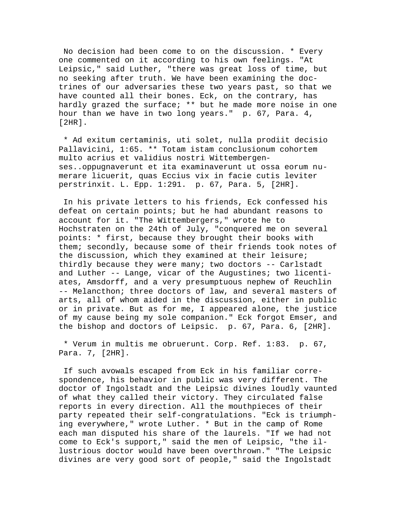No decision had been come to on the discussion. \* Every one commented on it according to his own feelings. "At Leipsic," said Luther, "there was great loss of time, but no seeking after truth. We have been examining the doctrines of our adversaries these two years past, so that we have counted all their bones. Eck, on the contrary, has hardly grazed the surface; \*\* but he made more noise in one hour than we have in two long years." p. 67, Para. 4, [2HR].

 \* Ad exitum certaminis, uti solet, nulla prodiit decisio Pallavicini, 1:65. \*\* Totam istam conclusionum cohortem multo acrius et validius nostri Wittembergenses..oppugnaverunt et ita examinaverunt ut ossa eorum numerare licuerit, quas Eccius vix in facie cutis leviter perstrinxit. L. Epp. 1:291. p. 67, Para. 5, [2HR].

 In his private letters to his friends, Eck confessed his defeat on certain points; but he had abundant reasons to account for it. "The Wittembergers," wrote he to Hochstraten on the 24th of July, "conquered me on several points: \* first, because they brought their books with them; secondly, because some of their friends took notes of the discussion, which they examined at their leisure; thirdly because they were many; two doctors -- Carlstadt and Luther -- Lange, vicar of the Augustines; two licentiates, Amsdorff, and a very presumptuous nephew of Reuchlin -- Melancthon; three doctors of law, and several masters of arts, all of whom aided in the discussion, either in public or in private. But as for me, I appeared alone, the justice of my cause being my sole companion." Eck forgot Emser, and the bishop and doctors of Leipsic. p. 67, Para. 6, [2HR].

 \* Verum in multis me obruerunt. Corp. Ref. 1:83. p. 67, Para. 7, [2HR].

 If such avowals escaped from Eck in his familiar correspondence, his behavior in public was very different. The doctor of Ingolstadt and the Leipsic divines loudly vaunted of what they called their victory. They circulated false reports in every direction. All the mouthpieces of their party repeated their self-congratulations. "Eck is triumphing everywhere," wrote Luther. \* But in the camp of Rome each man disputed his share of the laurels. "If we had not come to Eck's support," said the men of Leipsic, "the illustrious doctor would have been overthrown." "The Leipsic divines are very good sort of people," said the Ingolstadt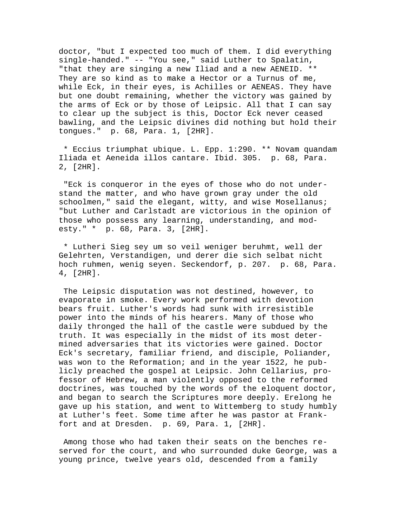doctor, "but I expected too much of them. I did everything single-handed." -- "You see," said Luther to Spalatin, "that they are singing a new Iliad and a new AENEID. \*\* They are so kind as to make a Hector or a Turnus of me, while Eck, in their eyes, is Achilles or AENEAS. They have but one doubt remaining, whether the victory was gained by the arms of Eck or by those of Leipsic. All that I can say to clear up the subject is this, Doctor Eck never ceased bawling, and the Leipsic divines did nothing but hold their tongues." p. 68, Para. 1, [2HR].

 \* Eccius triumphat ubique. L. Epp. 1:290. \*\* Novam quandam Iliada et Aeneida illos cantare. Ibid. 305. p. 68, Para. 2, [2HR].

 "Eck is conqueror in the eyes of those who do not understand the matter, and who have grown gray under the old schoolmen," said the elegant, witty, and wise Mosellanus; "but Luther and Carlstadt are victorious in the opinion of those who possess any learning, understanding, and modesty." \* p. 68, Para. 3, [2HR].

 \* Lutheri Sieg sey um so veil weniger beruhmt, well der Gelehrten, Verstandigen, und derer die sich selbat nicht hoch ruhmen, wenig seyen. Seckendorf, p. 207. p. 68, Para. 4, [2HR].

 The Leipsic disputation was not destined, however, to evaporate in smoke. Every work performed with devotion bears fruit. Luther's words had sunk with irresistible power into the minds of his hearers. Many of those who daily thronged the hall of the castle were subdued by the truth. It was especially in the midst of its most determined adversaries that its victories were gained. Doctor Eck's secretary, familiar friend, and disciple, Poliander, was won to the Reformation; and in the year 1522, he publicly preached the gospel at Leipsic. John Cellarius, professor of Hebrew, a man violently opposed to the reformed doctrines, was touched by the words of the eloquent doctor, and began to search the Scriptures more deeply. Erelong he gave up his station, and went to Wittemberg to study humbly at Luther's feet. Some time after he was pastor at Frankfort and at Dresden. p. 69, Para. 1, [2HR].

 Among those who had taken their seats on the benches reserved for the court, and who surrounded duke George, was a young prince, twelve years old, descended from a family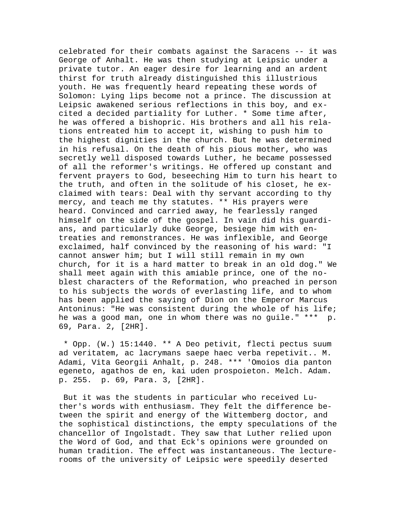celebrated for their combats against the Saracens -- it was George of Anhalt. He was then studying at Leipsic under a private tutor. An eager desire for learning and an ardent thirst for truth already distinguished this illustrious youth. He was frequently heard repeating these words of Solomon: Lying lips become not a prince. The discussion at Leipsic awakened serious reflections in this boy, and excited a decided partiality for Luther. \* Some time after, he was offered a bishopric. His brothers and all his relations entreated him to accept it, wishing to push him to the highest dignities in the church. But he was determined in his refusal. On the death of his pious mother, who was secretly well disposed towards Luther, he became possessed of all the reformer's writings. He offered up constant and fervent prayers to God, beseeching Him to turn his heart to the truth, and often in the solitude of his closet, he exclaimed with tears: Deal with thy servant according to thy mercy, and teach me thy statutes. \*\* His prayers were heard. Convinced and carried away, he fearlessly ranged himself on the side of the gospel. In vain did his guardians, and particularly duke George, besiege him with entreaties and remonstrances. He was inflexible, and George exclaimed, half convinced by the reasoning of his ward: "I cannot answer him; but I will still remain in my own church, for it is a hard matter to break in an old dog." We shall meet again with this amiable prince, one of the noblest characters of the Reformation, who preached in person to his subjects the words of everlasting life, and to whom has been applied the saying of Dion on the Emperor Marcus Antoninus: "He was consistent during the whole of his life; he was a good man, one in whom there was no guile." \*\*\* p. 69, Para. 2, [2HR].

 \* Opp. (W.) 15:1440. \*\* A Deo petivit, flecti pectus suum ad veritatem, ac lacrymans saepe haec verba repetivit.. M. Adami, Vita Georgii Anhalt, p. 248. \*\*\* 'Omoios dia panton egeneto, agathos de en, kai uden prospoieton. Melch. Adam. p. 255. p. 69, Para. 3, [2HR].

 But it was the students in particular who received Luther's words with enthusiasm. They felt the difference between the spirit and energy of the Wittemberg doctor, and the sophistical distinctions, the empty speculations of the chancellor of Ingolstadt. They saw that Luther relied upon the Word of God, and that Eck's opinions were grounded on human tradition. The effect was instantaneous. The lecturerooms of the university of Leipsic were speedily deserted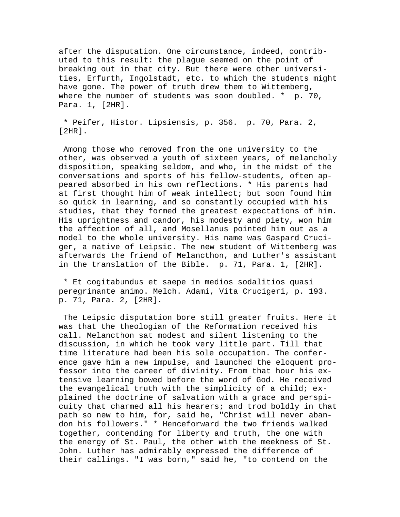after the disputation. One circumstance, indeed, contributed to this result: the plague seemed on the point of breaking out in that city. But there were other universities, Erfurth, Ingolstadt, etc. to which the students might have gone. The power of truth drew them to Wittemberg, where the number of students was soon doubled. \* p. 70, Para. 1, [2HR].

 \* Peifer, Histor. Lipsiensis, p. 356. p. 70, Para. 2,  $[2HR]$ .

 Among those who removed from the one university to the other, was observed a youth of sixteen years, of melancholy disposition, speaking seldom, and who, in the midst of the conversations and sports of his fellow-students, often appeared absorbed in his own reflections. \* His parents had at first thought him of weak intellect; but soon found him so quick in learning, and so constantly occupied with his studies, that they formed the greatest expectations of him. His uprightness and candor, his modesty and piety, won him the affection of all, and Mosellanus pointed him out as a model to the whole university. His name was Gaspard Cruciger, a native of Leipsic. The new student of Wittemberg was afterwards the friend of Melancthon, and Luther's assistant in the translation of the Bible. p. 71, Para. 1, [2HR].

 \* Et cogitabundus et saepe in medios sodalitios quasi peregrinante animo. Melch. Adami, Vita Crucigeri, p. 193. p. 71, Para. 2, [2HR].

 The Leipsic disputation bore still greater fruits. Here it was that the theologian of the Reformation received his call. Melancthon sat modest and silent listening to the discussion, in which he took very little part. Till that time literature had been his sole occupation. The conference gave him a new impulse, and launched the eloquent professor into the career of divinity. From that hour his extensive learning bowed before the word of God. He received the evangelical truth with the simplicity of a child; explained the doctrine of salvation with a grace and perspicuity that charmed all his hearers; and trod boldly in that path so new to him, for, said he, "Christ will never abandon his followers." \* Henceforward the two friends walked together, contending for liberty and truth, the one with the energy of St. Paul, the other with the meekness of St. John. Luther has admirably expressed the difference of their callings. "I was born," said he, "to contend on the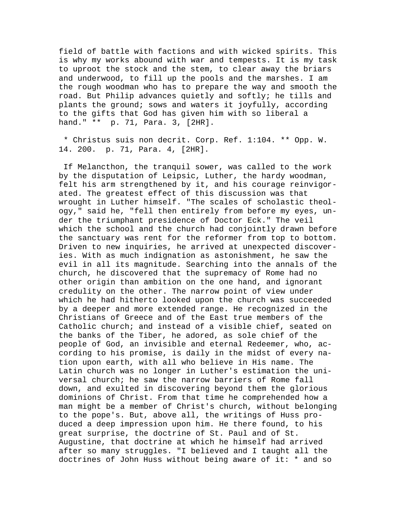field of battle with factions and with wicked spirits. This is why my works abound with war and tempests. It is my task to uproot the stock and the stem, to clear away the briars and underwood, to fill up the pools and the marshes. I am the rough woodman who has to prepare the way and smooth the road. But Philip advances quietly and softly; he tills and plants the ground; sows and waters it joyfully, according to the gifts that God has given him with so liberal a hand." \*\* p. 71, Para. 3, [2HR].

 \* Christus suis non decrit. Corp. Ref. 1:104. \*\* Opp. W. 14. 200. p. 71, Para. 4, [2HR].

 If Melancthon, the tranquil sower, was called to the work by the disputation of Leipsic, Luther, the hardy woodman, felt his arm strengthened by it, and his courage reinvigorated. The greatest effect of this discussion was that wrought in Luther himself. "The scales of scholastic theology," said he, "fell then entirely from before my eyes, under the triumphant presidence of Doctor Eck." The veil which the school and the church had conjointly drawn before the sanctuary was rent for the reformer from top to bottom. Driven to new inquiries, he arrived at unexpected discoveries. With as much indignation as astonishment, he saw the evil in all its magnitude. Searching into the annals of the church, he discovered that the supremacy of Rome had no other origin than ambition on the one hand, and ignorant credulity on the other. The narrow point of view under which he had hitherto looked upon the church was succeeded by a deeper and more extended range. He recognized in the Christians of Greece and of the East true members of the Catholic church; and instead of a visible chief, seated on the banks of the Tiber, he adored, as sole chief of the people of God, an invisible and eternal Redeemer, who, according to his promise, is daily in the midst of every nation upon earth, with all who believe in His name. The Latin church was no longer in Luther's estimation the universal church; he saw the narrow barriers of Rome fall down, and exulted in discovering beyond them the glorious dominions of Christ. From that time he comprehended how a man might be a member of Christ's church, without belonging to the pope's. But, above all, the writings of Huss produced a deep impression upon him. He there found, to his great surprise, the doctrine of St. Paul and of St. Augustine, that doctrine at which he himself had arrived after so many struggles. "I believed and I taught all the doctrines of John Huss without being aware of it: \* and so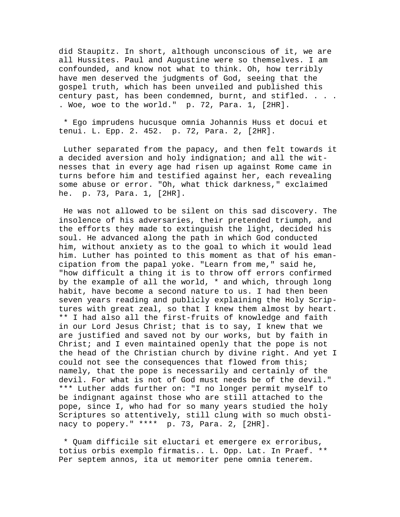did Staupitz. In short, although unconscious of it, we are all Hussites. Paul and Augustine were so themselves. I am confounded, and know not what to think. Oh, how terribly have men deserved the judgments of God, seeing that the gospel truth, which has been unveiled and published this century past, has been condemned, burnt, and stifled. . . . . Woe, woe to the world." p. 72, Para. 1, [2HR].

 \* Ego imprudens hucusque omnia Johannis Huss et docui et tenui. L. Epp. 2. 452. p. 72, Para. 2, [2HR].

 Luther separated from the papacy, and then felt towards it a decided aversion and holy indignation; and all the witnesses that in every age had risen up against Rome came in turns before him and testified against her, each revealing some abuse or error. "Oh, what thick darkness," exclaimed he. p. 73, Para. 1, [2HR].

 He was not allowed to be silent on this sad discovery. The insolence of his adversaries, their pretended triumph, and the efforts they made to extinguish the light, decided his soul. He advanced along the path in which God conducted him, without anxiety as to the goal to which it would lead him. Luther has pointed to this moment as that of his emancipation from the papal yoke. "Learn from me," said he, "how difficult a thing it is to throw off errors confirmed by the example of all the world, \* and which, through long habit, have become a second nature to us. I had then been seven years reading and publicly explaining the Holy Scriptures with great zeal, so that I knew them almost by heart. \*\* I had also all the first-fruits of knowledge and faith in our Lord Jesus Christ; that is to say, I knew that we are justified and saved not by our works, but by faith in Christ; and I even maintained openly that the pope is not the head of the Christian church by divine right. And yet I could not see the consequences that flowed from this; namely, that the pope is necessarily and certainly of the devil. For what is not of God must needs be of the devil." \*\*\* Luther adds further on: "I no longer permit myself to be indignant against those who are still attached to the pope, since I, who had for so many years studied the holy Scriptures so attentively, still clung with so much obstinacy to popery." \*\*\*\* p. 73, Para. 2, [2HR].

 \* Quam difficile sit eluctari et emergere ex erroribus, totius orbis exemplo firmatis.. L. Opp. Lat. In Praef. \*\* Per septem annos, ita ut memoriter pene omnia tenerem.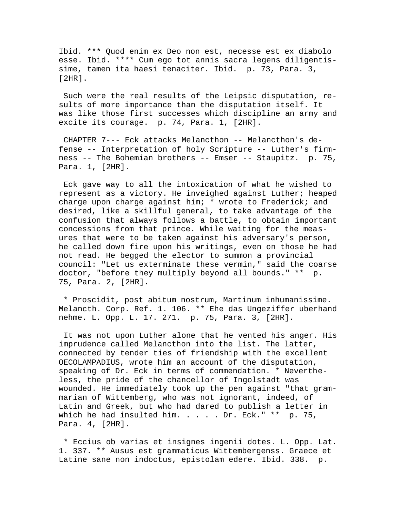Ibid. \*\*\* Quod enim ex Deo non est, necesse est ex diabolo esse. Ibid. \*\*\*\* Cum ego tot annis sacra legens diligentissime, tamen ita haesi tenaciter. Ibid. p. 73, Para. 3,  $[2HR]$ .

 Such were the real results of the Leipsic disputation, results of more importance than the disputation itself. It was like those first successes which discipline an army and excite its courage. p. 74, Para. 1, [2HR].

 CHAPTER 7--- Eck attacks Melancthon -- Melancthon's defense -- Interpretation of holy Scripture -- Luther's firmness -- The Bohemian brothers -- Emser -- Staupitz. p. 75, Para. 1, [2HR].

 Eck gave way to all the intoxication of what he wished to represent as a victory. He inveighed against Luther; heaped charge upon charge against him; \* wrote to Frederick; and desired, like a skillful general, to take advantage of the confusion that always follows a battle, to obtain important concessions from that prince. While waiting for the measures that were to be taken against his adversary's person, he called down fire upon his writings, even on those he had not read. He begged the elector to summon a provincial council: "Let us exterminate these vermin," said the coarse doctor, "before they multiply beyond all bounds." \*\* p. 75, Para. 2, [2HR].

 \* Proscidit, post abitum nostrum, Martinum inhumanissime. Melancth. Corp. Ref. 1. 106. \*\* Ehe das Ungeziffer uberhand nehme. L. Opp. L. 17. 271. p. 75, Para. 3, [2HR].

 It was not upon Luther alone that he vented his anger. His imprudence called Melancthon into the list. The latter, connected by tender ties of friendship with the excellent OECOLAMPADIUS, wrote him an account of the disputation, speaking of Dr. Eck in terms of commendation. \* Nevertheless, the pride of the chancellor of Ingolstadt was wounded. He immediately took up the pen against "that grammarian of Wittemberg, who was not ignorant, indeed, of Latin and Greek, but who had dared to publish a letter in which he had insulted him.  $\ldots$  . Dr. Eck." \*\* p. 75, Para. 4, [2HR].

 \* Eccius ob varias et insignes ingenii dotes. L. Opp. Lat. 1. 337. \*\* Ausus est grammaticus Wittembergenss. Graece et Latine sane non indoctus, epistolam edere. Ibid. 338. p.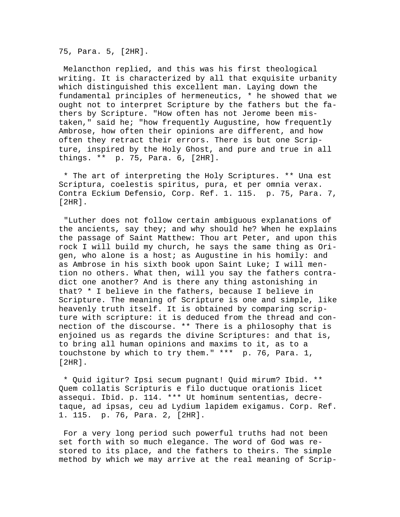75, Para. 5, [2HR].

 Melancthon replied, and this was his first theological writing. It is characterized by all that exquisite urbanity which distinguished this excellent man. Laying down the fundamental principles of hermeneutics, \* he showed that we ought not to interpret Scripture by the fathers but the fathers by Scripture. "How often has not Jerome been mistaken," said he; "how frequently Augustine, how frequently Ambrose, how often their opinions are different, and how often they retract their errors. There is but one Scripture, inspired by the Holy Ghost, and pure and true in all things. \*\* p. 75, Para. 6, [2HR].

 \* The art of interpreting the Holy Scriptures. \*\* Una est Scriptura, coelestis spiritus, pura, et per omnia verax. Contra Eckium Defensio, Corp. Ref. 1. 115. p. 75, Para. 7,  $[2HR]$ .

 "Luther does not follow certain ambiguous explanations of the ancients, say they; and why should he? When he explains the passage of Saint Matthew: Thou art Peter, and upon this rock I will build my church, he says the same thing as Origen, who alone is a host; as Augustine in his homily: and as Ambrose in his sixth book upon Saint Luke; I will mention no others. What then, will you say the fathers contradict one another? And is there any thing astonishing in that? \* I believe in the fathers, because I believe in Scripture. The meaning of Scripture is one and simple, like heavenly truth itself. It is obtained by comparing scripture with scripture: it is deduced from the thread and connection of the discourse. \*\* There is a philosophy that is enjoined us as regards the divine Scriptures: and that is, to bring all human opinions and maxims to it, as to a touchstone by which to try them." \*\*\* p. 76, Para. 1, [2HR].

 \* Quid igitur? Ipsi secum pugnant! Quid mirum? Ibid. \*\* Quem collatis Scripturis e filo ductuque orationis licet assequi. Ibid. p. 114. \*\*\* Ut hominum sententias, decretaque, ad ipsas, ceu ad Lydium lapidem exigamus. Corp. Ref. 1. 115. p. 76, Para. 2, [2HR].

 For a very long period such powerful truths had not been set forth with so much elegance. The word of God was restored to its place, and the fathers to theirs. The simple method by which we may arrive at the real meaning of Scrip-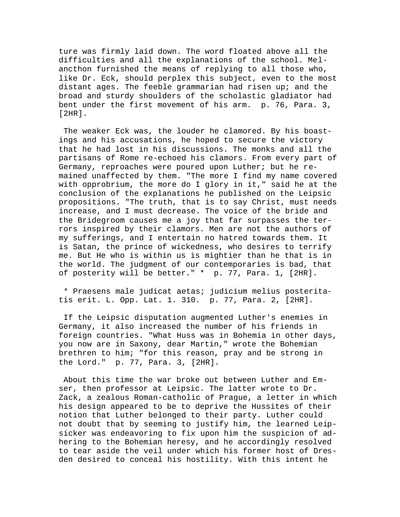ture was firmly laid down. The word floated above all the difficulties and all the explanations of the school. Melancthon furnished the means of replying to all those who, like Dr. Eck, should perplex this subject, even to the most distant ages. The feeble grammarian had risen up; and the broad and sturdy shoulders of the scholastic gladiator had bent under the first movement of his arm. p. 76, Para. 3,  $[2HR]$ .

 The weaker Eck was, the louder he clamored. By his boastings and his accusations, he hoped to secure the victory that he had lost in his discussions. The monks and all the partisans of Rome re-echoed his clamors. From every part of Germany, reproaches were poured upon Luther; but he remained unaffected by them. "The more I find my name covered with opprobrium, the more do I glory in it," said he at the conclusion of the explanations he published on the Leipsic propositions. "The truth, that is to say Christ, must needs increase, and I must decrease. The voice of the bride and the Bridegroom causes me a joy that far surpasses the terrors inspired by their clamors. Men are not the authors of my sufferings, and I entertain no hatred towards them. It is Satan, the prince of wickedness, who desires to terrify me. But He who is within us is mightier than he that is in the world. The judgment of our contemporaries is bad, that of posterity will be better." \* p. 77, Para. 1, [2HR].

 \* Praesens male judicat aetas; judicium melius posteritatis erit. L. Opp. Lat. 1. 310. p. 77, Para. 2, [2HR].

 If the Leipsic disputation augmented Luther's enemies in Germany, it also increased the number of his friends in foreign countries. "What Huss was in Bohemia in other days, you now are in Saxony, dear Martin," wrote the Bohemian brethren to him; "for this reason, pray and be strong in the Lord." p. 77, Para. 3, [2HR].

 About this time the war broke out between Luther and Emser, then professor at Leipsic. The latter wrote to Dr. Zack, a zealous Roman-catholic of Prague, a letter in which his design appeared to be to deprive the Hussites of their notion that Luther belonged to their party. Luther could not doubt that by seeming to justify him, the learned Leipsicker was endeavoring to fix upon him the suspicion of adhering to the Bohemian heresy, and he accordingly resolved to tear aside the veil under which his former host of Dresden desired to conceal his hostility. With this intent he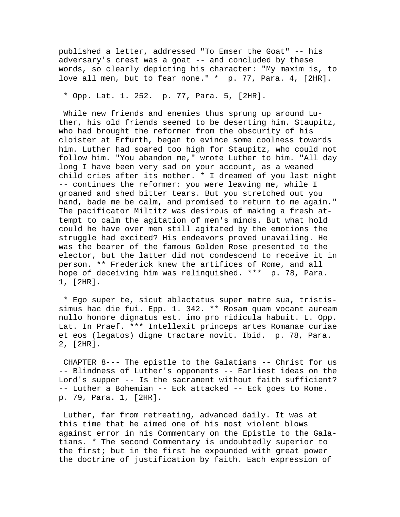published a letter, addressed "To Emser the Goat" -- his adversary's crest was a goat -- and concluded by these words, so clearly depicting his character: "My maxim is, to love all men, but to fear none." \* p. 77, Para. 4, [2HR].

\* Opp. Lat. 1. 252. p. 77, Para. 5, [2HR].

 While new friends and enemies thus sprung up around Luther, his old friends seemed to be deserting him. Staupitz, who had brought the reformer from the obscurity of his cloister at Erfurth, began to evince some coolness towards him. Luther had soared too high for Staupitz, who could not follow him. "You abandon me," wrote Luther to him. "All day long I have been very sad on your account, as a weaned child cries after its mother. \* I dreamed of you last night -- continues the reformer: you were leaving me, while I groaned and shed bitter tears. But you stretched out you hand, bade me be calm, and promised to return to me again." The pacificator Miltitz was desirous of making a fresh attempt to calm the agitation of men's minds. But what hold could he have over men still agitated by the emotions the struggle had excited? His endeavors proved unavailing. He was the bearer of the famous Golden Rose presented to the elector, but the latter did not condescend to receive it in person. \*\* Frederick knew the artifices of Rome, and all hope of deceiving him was relinquished. \*\*\* p. 78, Para. 1, [2HR].

 \* Ego super te, sicut ablactatus super matre sua, tristissimus hac die fui. Epp. 1. 342. \*\* Rosam quam vocant auream nullo honore dignatus est. imo pro ridicula habuit. L. Opp. Lat. In Praef. \*\*\* Intellexit princeps artes Romanae curiae et eos (legatos) digne tractare novit. Ibid. p. 78, Para. 2, [2HR].

 CHAPTER 8--- The epistle to the Galatians -- Christ for us -- Blindness of Luther's opponents -- Earliest ideas on the Lord's supper -- Is the sacrament without faith sufficient? -- Luther a Bohemian -- Eck attacked -- Eck goes to Rome. p. 79, Para. 1, [2HR].

 Luther, far from retreating, advanced daily. It was at this time that he aimed one of his most violent blows against error in his Commentary on the Epistle to the Galatians. \* The second Commentary is undoubtedly superior to the first; but in the first he expounded with great power the doctrine of justification by faith. Each expression of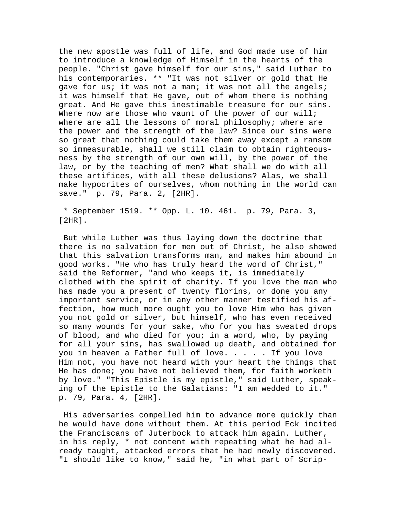the new apostle was full of life, and God made use of him to introduce a knowledge of Himself in the hearts of the people. "Christ gave himself for our sins," said Luther to his contemporaries. \*\* "It was not silver or gold that He gave for us; it was not a man; it was not all the angels; it was himself that He gave, out of whom there is nothing great. And He gave this inestimable treasure for our sins. Where now are those who vaunt of the power of our will; where are all the lessons of moral philosophy; where are the power and the strength of the law? Since our sins were so great that nothing could take them away except a ransom so immeasurable, shall we still claim to obtain righteousness by the strength of our own will, by the power of the law, or by the teaching of men? What shall we do with all these artifices, with all these delusions? Alas, we shall make hypocrites of ourselves, whom nothing in the world can save." p. 79, Para. 2, [2HR].

 \* September 1519. \*\* Opp. L. 10. 461. p. 79, Para. 3,  $[2HR]$ .

 But while Luther was thus laying down the doctrine that there is no salvation for men out of Christ, he also showed that this salvation transforms man, and makes him abound in good works. "He who has truly heard the word of Christ," said the Reformer, "and who keeps it, is immediately clothed with the spirit of charity. If you love the man who has made you a present of twenty florins, or done you any important service, or in any other manner testified his affection, how much more ought you to love Him who has given you not gold or silver, but himself, who has even received so many wounds for your sake, who for you has sweated drops of blood, and who died for you; in a word, who, by paying for all your sins, has swallowed up death, and obtained for you in heaven a Father full of love. . . . . If you love Him not, you have not heard with your heart the things that He has done; you have not believed them, for faith worketh by love." "This Epistle is my epistle," said Luther, speaking of the Epistle to the Galatians: "I am wedded to it." p. 79, Para. 4, [2HR].

 His adversaries compelled him to advance more quickly than he would have done without them. At this period Eck incited the Franciscans of Juterbock to attack him again. Luther, in his reply, \* not content with repeating what he had already taught, attacked errors that he had newly discovered. "I should like to know," said he, "in what part of Scrip-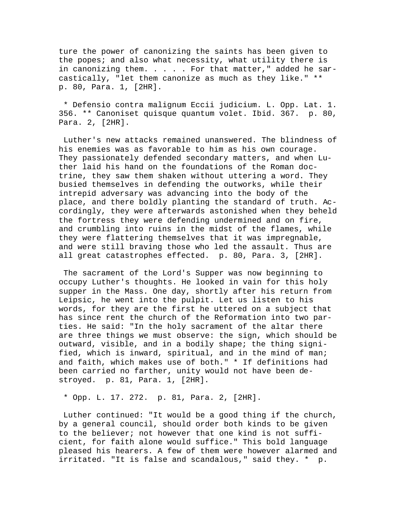ture the power of canonizing the saints has been given to the popes; and also what necessity, what utility there is in canonizing them. . . . . For that matter," added he sarcastically, "let them canonize as much as they like." \*\* p. 80, Para. 1, [2HR].

 \* Defensio contra malignum Eccii judicium. L. Opp. Lat. 1. 356. \*\* Canoniset quisque quantum volet. Ibid. 367. p. 80, Para. 2, [2HR].

 Luther's new attacks remained unanswered. The blindness of his enemies was as favorable to him as his own courage. They passionately defended secondary matters, and when Luther laid his hand on the foundations of the Roman doctrine, they saw them shaken without uttering a word. They busied themselves in defending the outworks, while their intrepid adversary was advancing into the body of the place, and there boldly planting the standard of truth. Accordingly, they were afterwards astonished when they beheld the fortress they were defending undermined and on fire, and crumbling into ruins in the midst of the flames, while they were flattering themselves that it was impregnable, and were still braving those who led the assault. Thus are all great catastrophes effected. p. 80, Para. 3, [2HR].

 The sacrament of the Lord's Supper was now beginning to occupy Luther's thoughts. He looked in vain for this holy supper in the Mass. One day, shortly after his return from Leipsic, he went into the pulpit. Let us listen to his words, for they are the first he uttered on a subject that has since rent the church of the Reformation into two parties. He said: "In the holy sacrament of the altar there are three things we must observe: the sign, which should be outward, visible, and in a bodily shape; the thing signified, which is inward, spiritual, and in the mind of man; and faith, which makes use of both." \* If definitions had been carried no farther, unity would not have been destroyed. p. 81, Para. 1, [2HR].

\* Opp. L. 17. 272. p. 81, Para. 2, [2HR].

 Luther continued: "It would be a good thing if the church, by a general council, should order both kinds to be given to the believer; not however that one kind is not sufficient, for faith alone would suffice." This bold language pleased his hearers. A few of them were however alarmed and irritated. "It is false and scandalous," said they. \* p.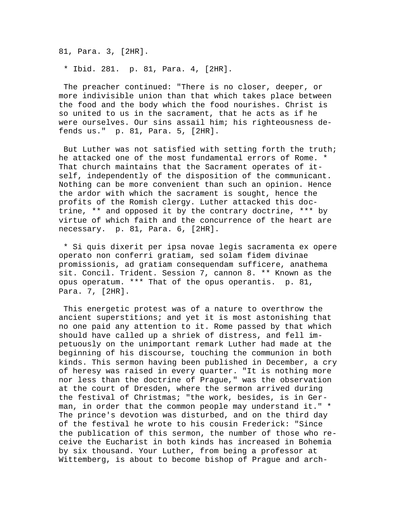81, Para. 3, [2HR].

\* Ibid. 281. p. 81, Para. 4, [2HR].

 The preacher continued: "There is no closer, deeper, or more indivisible union than that which takes place between the food and the body which the food nourishes. Christ is so united to us in the sacrament, that he acts as if he were ourselves. Our sins assail him; his righteousness defends us." p. 81, Para. 5, [2HR].

 But Luther was not satisfied with setting forth the truth; he attacked one of the most fundamental errors of Rome. \* That church maintains that the Sacrament operates of itself, independently of the disposition of the communicant. Nothing can be more convenient than such an opinion. Hence the ardor with which the sacrament is sought, hence the profits of the Romish clergy. Luther attacked this doctrine, \*\* and opposed it by the contrary doctrine, \*\*\* by virtue of which faith and the concurrence of the heart are necessary. p. 81, Para. 6, [2HR].

 \* Si quis dixerit per ipsa novae legis sacramenta ex opere operato non conferri gratiam, sed solam fidem divinae promissionis, ad gratiam consequendam sufficere, anathema sit. Concil. Trident. Session 7, cannon 8. \*\* Known as the opus operatum. \*\*\* That of the opus operantis. p. 81, Para. 7, [2HR].

 This energetic protest was of a nature to overthrow the ancient superstitions; and yet it is most astonishing that no one paid any attention to it. Rome passed by that which should have called up a shriek of distress, and fell impetuously on the unimportant remark Luther had made at the beginning of his discourse, touching the communion in both kinds. This sermon having been published in December, a cry of heresy was raised in every quarter. "It is nothing more nor less than the doctrine of Prague," was the observation at the court of Dresden, where the sermon arrived during the festival of Christmas; "the work, besides, is in German, in order that the common people may understand it." \* The prince's devotion was disturbed, and on the third day of the festival he wrote to his cousin Frederick: "Since the publication of this sermon, the number of those who receive the Eucharist in both kinds has increased in Bohemia by six thousand. Your Luther, from being a professor at Wittemberg, is about to become bishop of Prague and arch-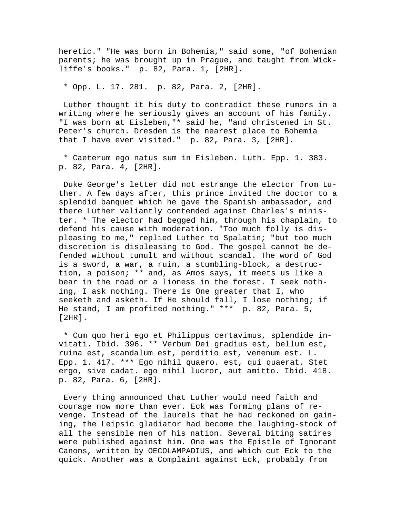heretic." "He was born in Bohemia," said some, "of Bohemian parents; he was brought up in Prague, and taught from Wickliffe's books." p. 82, Para. 1, [2HR].

\* Opp. L. 17. 281. p. 82, Para. 2, [2HR].

 Luther thought it his duty to contradict these rumors in a writing where he seriously gives an account of his family. "I was born at Eisleben,"\* said he, "and christened in St. Peter's church. Dresden is the nearest place to Bohemia that I have ever visited." p. 82, Para. 3, [2HR].

 \* Caeterum ego natus sum in Eisleben. Luth. Epp. 1. 383. p. 82, Para. 4, [2HR].

 Duke George's letter did not estrange the elector from Luther. A few days after, this prince invited the doctor to a splendid banquet which he gave the Spanish ambassador, and there Luther valiantly contended against Charles's minister. \* The elector had begged him, through his chaplain, to defend his cause with moderation. "Too much folly is displeasing to me," replied Luther to Spalatin; "but too much discretion is displeasing to God. The gospel cannot be defended without tumult and without scandal. The word of God is a sword, a war, a ruin, a stumbling-block, a destruction, a poison; \*\* and, as Amos says, it meets us like a bear in the road or a lioness in the forest. I seek nothing, I ask nothing. There is One greater that I, who seeketh and asketh. If He should fall, I lose nothing; if He stand, I am profited nothing." \*\*\* p. 82, Para. 5, [2HR].

 \* Cum quo heri ego et Philippus certavimus, splendide invitati. Ibid. 396. \*\* Verbum Dei gradius est, bellum est, ruina est, scandalum est, perditio est, venenum est. L. Epp. 1. 417. \*\*\* Ego nihil quaero. est, qui quaerat. Stet ergo, sive cadat. ego nihil lucror, aut amitto. Ibid. 418. p. 82, Para. 6, [2HR].

 Every thing announced that Luther would need faith and courage now more than ever. Eck was forming plans of revenge. Instead of the laurels that he had reckoned on gaining, the Leipsic gladiator had become the laughing-stock of all the sensible men of his nation. Several biting satires were published against him. One was the Epistle of Ignorant Canons, written by OECOLAMPADIUS, and which cut Eck to the quick. Another was a Complaint against Eck, probably from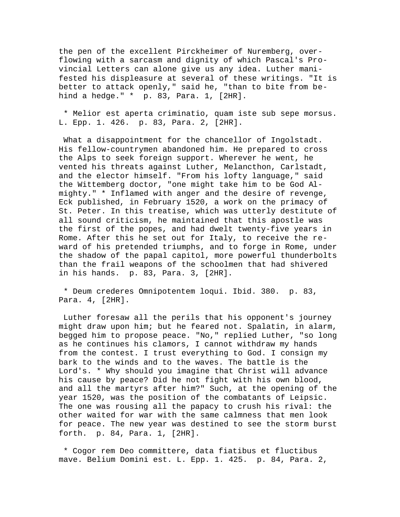the pen of the excellent Pirckheimer of Nuremberg, overflowing with a sarcasm and dignity of which Pascal's Provincial Letters can alone give us any idea. Luther manifested his displeasure at several of these writings. "It is better to attack openly," said he, "than to bite from behind a hedge." \* p. 83, Para. 1, [2HR].

 \* Melior est aperta criminatio, quam iste sub sepe morsus. L. Epp. 1. 426. p. 83, Para. 2, [2HR].

 What a disappointment for the chancellor of Ingolstadt. His fellow-countrymen abandoned him. He prepared to cross the Alps to seek foreign support. Wherever he went, he vented his threats against Luther, Melancthon, Carlstadt, and the elector himself. "From his lofty language," said the Wittemberg doctor, "one might take him to be God Almighty." \* Inflamed with anger and the desire of revenge, Eck published, in February 1520, a work on the primacy of St. Peter. In this treatise, which was utterly destitute of all sound criticism, he maintained that this apostle was the first of the popes, and had dwelt twenty-five years in Rome. After this he set out for Italy, to receive the reward of his pretended triumphs, and to forge in Rome, under the shadow of the papal capitol, more powerful thunderbolts than the frail weapons of the schoolmen that had shivered in his hands. p. 83, Para. 3, [2HR].

 \* Deum crederes Omnipotentem loqui. Ibid. 380. p. 83, Para. 4, [2HR].

 Luther foresaw all the perils that his opponent's journey might draw upon him; but he feared not. Spalatin, in alarm, begged him to propose peace. "No," replied Luther, "so long as he continues his clamors, I cannot withdraw my hands from the contest. I trust everything to God. I consign my bark to the winds and to the waves. The battle is the Lord's. \* Why should you imagine that Christ will advance his cause by peace? Did he not fight with his own blood, and all the martyrs after him?" Such, at the opening of the year 1520, was the position of the combatants of Leipsic. The one was rousing all the papacy to crush his rival: the other waited for war with the same calmness that men look for peace. The new year was destined to see the storm burst forth. p. 84, Para. 1, [2HR].

 \* Cogor rem Deo committere, data fiatibus et fluctibus mave. Belium Domini est. L. Epp. 1. 425. p. 84, Para. 2,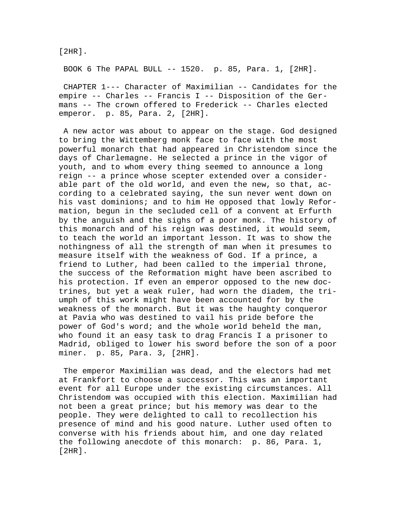$[2HR]$ .

BOOK 6 The PAPAL BULL -- 1520. p. 85, Para. 1, [2HR].

 CHAPTER 1--- Character of Maximilian -- Candidates for the empire -- Charles -- Francis I -- Disposition of the Germans -- The crown offered to Frederick -- Charles elected emperor. p. 85, Para. 2, [2HR].

 A new actor was about to appear on the stage. God designed to bring the Wittemberg monk face to face with the most powerful monarch that had appeared in Christendom since the days of Charlemagne. He selected a prince in the vigor of youth, and to whom every thing seemed to announce a long reign -- a prince whose scepter extended over a considerable part of the old world, and even the new, so that, according to a celebrated saying, the sun never went down on his vast dominions; and to him He opposed that lowly Reformation, begun in the secluded cell of a convent at Erfurth by the anguish and the sighs of a poor monk. The history of this monarch and of his reign was destined, it would seem, to teach the world an important lesson. It was to show the nothingness of all the strength of man when it presumes to measure itself with the weakness of God. If a prince, a friend to Luther, had been called to the imperial throne, the success of the Reformation might have been ascribed to his protection. If even an emperor opposed to the new doctrines, but yet a weak ruler, had worn the diadem, the triumph of this work might have been accounted for by the weakness of the monarch. But it was the haughty conqueror at Pavia who was destined to vail his pride before the power of God's word; and the whole world beheld the man, who found it an easy task to drag Francis I a prisoner to Madrid, obliged to lower his sword before the son of a poor miner. p. 85, Para. 3, [2HR].

 The emperor Maximilian was dead, and the electors had met at Frankfort to choose a successor. This was an important event for all Europe under the existing circumstances. All Christendom was occupied with this election. Maximilian had not been a great prince; but his memory was dear to the people. They were delighted to call to recollection his presence of mind and his good nature. Luther used often to converse with his friends about him, and one day related the following anecdote of this monarch: p. 86, Para. 1, [2HR].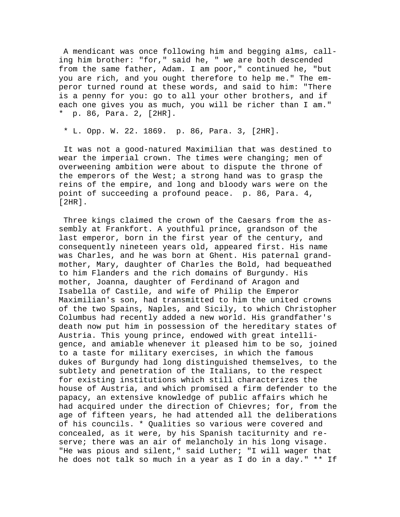A mendicant was once following him and begging alms, calling him brother: "for," said he, " we are both descended from the same father, Adam. I am poor," continued he, "but you are rich, and you ought therefore to help me." The emperor turned round at these words, and said to him: "There is a penny for you: go to all your other brothers, and if each one gives you as much, you will be richer than I am." \* p. 86, Para. 2, [2HR].

\* L. Opp. W. 22. 1869. p. 86, Para. 3, [2HR].

 It was not a good-natured Maximilian that was destined to wear the imperial crown. The times were changing; men of overweening ambition were about to dispute the throne of the emperors of the West; a strong hand was to grasp the reins of the empire, and long and bloody wars were on the point of succeeding a profound peace. p. 86, Para. 4, [2HR].

 Three kings claimed the crown of the Caesars from the assembly at Frankfort. A youthful prince, grandson of the last emperor, born in the first year of the century, and consequently nineteen years old, appeared first. His name was Charles, and he was born at Ghent. His paternal grandmother, Mary, daughter of Charles the Bold, had bequeathed to him Flanders and the rich domains of Burgundy. His mother, Joanna, daughter of Ferdinand of Aragon and Isabella of Castile, and wife of Philip the Emperor Maximilian's son, had transmitted to him the united crowns of the two Spains, Naples, and Sicily, to which Christopher Columbus had recently added a new world. His grandfather's death now put him in possession of the hereditary states of Austria. This young prince, endowed with great intelligence, and amiable whenever it pleased him to be so, joined to a taste for military exercises, in which the famous dukes of Burgundy had long distinguished themselves, to the subtlety and penetration of the Italians, to the respect for existing institutions which still characterizes the house of Austria, and which promised a firm defender to the papacy, an extensive knowledge of public affairs which he had acquired under the direction of Chievres; for, from the age of fifteen years, he had attended all the deliberations of his councils. \* Qualities so various were covered and concealed, as it were, by his Spanish taciturnity and reserve; there was an air of melancholy in his long visage. "He was pious and silent," said Luther; "I will wager that he does not talk so much in a year as I do in a day." \*\* If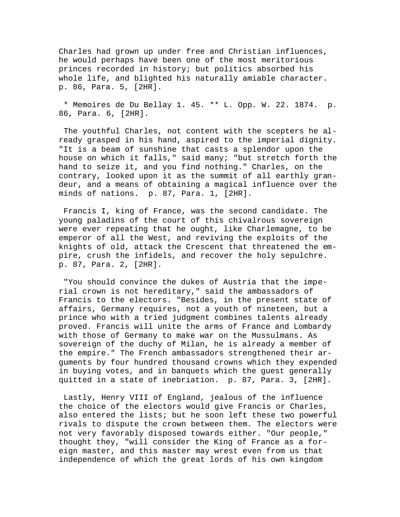Charles had grown up under free and Christian influences, he would perhaps have been one of the most meritorious princes recorded in history; but politics absorbed his whole life, and blighted his naturally amiable character. p. 86, Para. 5, [2HR].

 \* Memoires de Du Bellay 1. 45. \*\* L. Opp. W. 22. 1874. p. 86, Para. 6, [2HR].

 The youthful Charles, not content with the scepters he already grasped in his hand, aspired to the imperial dignity. "It is a beam of sunshine that casts a splendor upon the house on which it falls," said many; "but stretch forth the hand to seize it, and you find nothing." Charles, on the contrary, looked upon it as the summit of all earthly grandeur, and a means of obtaining a magical influence over the minds of nations. p. 87, Para. 1, [2HR].

 Francis I, king of France, was the second candidate. The young paladins of the court of this chivalrous sovereign were ever repeating that he ought, like Charlemagne, to be emperor of all the West, and reviving the exploits of the knights of old, attack the Crescent that threatened the empire, crush the infidels, and recover the holy sepulchre. p. 87, Para. 2, [2HR].

 "You should convince the dukes of Austria that the imperial crown is not hereditary," said the ambassadors of Francis to the electors. "Besides, in the present state of affairs, Germany requires, not a youth of nineteen, but a prince who with a tried judgment combines talents already proved. Francis will unite the arms of France and Lombardy with those of Germany to make war on the Mussulmans. As sovereign of the duchy of Milan, he is already a member of the empire." The French ambassadors strengthened their arguments by four hundred thousand crowns which they expended in buying votes, and in banquets which the guest generally quitted in a state of inebriation. p. 87, Para. 3, [2HR].

 Lastly, Henry VIII of England, jealous of the influence the choice of the electors would give Francis or Charles, also entered the lists; but he soon left these two powerful rivals to dispute the crown between them. The electors were not very favorably disposed towards either. "Our people," thought they, "will consider the King of France as a foreign master, and this master may wrest even from us that independence of which the great lords of his own kingdom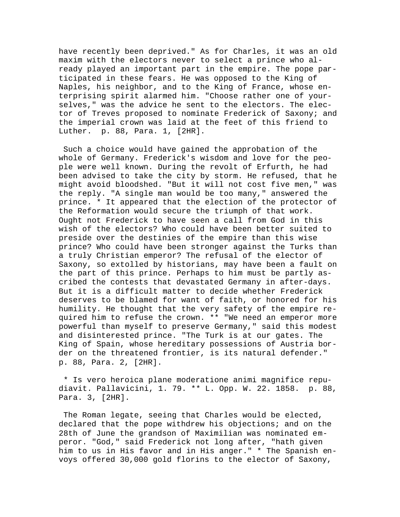have recently been deprived." As for Charles, it was an old maxim with the electors never to select a prince who already played an important part in the empire. The pope participated in these fears. He was opposed to the King of Naples, his neighbor, and to the King of France, whose enterprising spirit alarmed him. "Choose rather one of yourselves," was the advice he sent to the electors. The elector of Treves proposed to nominate Frederick of Saxony; and the imperial crown was laid at the feet of this friend to Luther. p. 88, Para. 1, [2HR].

 Such a choice would have gained the approbation of the whole of Germany. Frederick's wisdom and love for the people were well known. During the revolt of Erfurth, he had been advised to take the city by storm. He refused, that he might avoid bloodshed. "But it will not cost five men," was the reply. "A single man would be too many," answered the prince. \* It appeared that the election of the protector of the Reformation would secure the triumph of that work. Ought not Frederick to have seen a call from God in this wish of the electors? Who could have been better suited to preside over the destinies of the empire than this wise prince? Who could have been stronger against the Turks than a truly Christian emperor? The refusal of the elector of Saxony, so extolled by historians, may have been a fault on the part of this prince. Perhaps to him must be partly ascribed the contests that devastated Germany in after-days. But it is a difficult matter to decide whether Frederick deserves to be blamed for want of faith, or honored for his humility. He thought that the very safety of the empire required him to refuse the crown. \*\* "We need an emperor more powerful than myself to preserve Germany," said this modest and disinterested prince. "The Turk is at our gates. The King of Spain, whose hereditary possessions of Austria border on the threatened frontier, is its natural defender." p. 88, Para. 2, [2HR].

 \* Is vero heroica plane moderatione animi magnifice repudiavit. Pallavicini, 1. 79. \*\* L. Opp. W. 22. 1858. p. 88, Para. 3, [2HR].

 The Roman legate, seeing that Charles would be elected, declared that the pope withdrew his objections; and on the 28th of June the grandson of Maximilian was nominated emperor. "God," said Frederick not long after, "hath given him to us in His favor and in His anger." \* The Spanish envoys offered 30,000 gold florins to the elector of Saxony,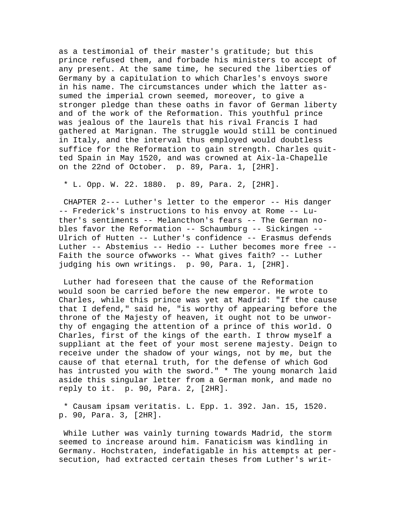as a testimonial of their master's gratitude; but this prince refused them, and forbade his ministers to accept of any present. At the same time, he secured the liberties of Germany by a capitulation to which Charles's envoys swore in his name. The circumstances under which the latter assumed the imperial crown seemed, moreover, to give a stronger pledge than these oaths in favor of German liberty and of the work of the Reformation. This youthful prince was jealous of the laurels that his rival Francis I had gathered at Marignan. The struggle would still be continued in Italy, and the interval thus employed would doubtless suffice for the Reformation to gain strength. Charles quitted Spain in May 1520, and was crowned at Aix-la-Chapelle on the 22nd of October. p. 89, Para. 1, [2HR].

\* L. Opp. W. 22. 1880. p. 89, Para. 2, [2HR].

 CHAPTER 2--- Luther's letter to the emperor -- His danger -- Frederick's instructions to his envoy at Rome -- Luther's sentiments -- Melancthon's fears -- The German nobles favor the Reformation -- Schaumburg -- Sickingen -- Ulrich of Hutten -- Luther's confidence -- Erasmus defends Luther -- Abstemius -- Hedio -- Luther becomes more free -- Faith the source ofwworks -- What gives faith? -- Luther judging his own writings. p. 90, Para. 1, [2HR].

 Luther had foreseen that the cause of the Reformation would soon be carried before the new emperor. He wrote to Charles, while this prince was yet at Madrid: "If the cause that I defend," said he, "is worthy of appearing before the throne of the Majesty of heaven, it ought not to be unworthy of engaging the attention of a prince of this world. O Charles, first of the kings of the earth. I throw myself a suppliant at the feet of your most serene majesty. Deign to receive under the shadow of your wings, not by me, but the cause of that eternal truth, for the defense of which God has intrusted you with the sword." \* The young monarch laid aside this singular letter from a German monk, and made no reply to it. p. 90, Para. 2, [2HR].

 \* Causam ipsam veritatis. L. Epp. 1. 392. Jan. 15, 1520. p. 90, Para. 3, [2HR].

 While Luther was vainly turning towards Madrid, the storm seemed to increase around him. Fanaticism was kindling in Germany. Hochstraten, indefatigable in his attempts at persecution, had extracted certain theses from Luther's writ-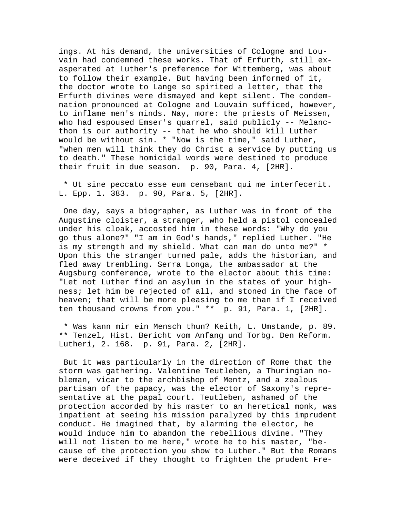ings. At his demand, the universities of Cologne and Louvain had condemned these works. That of Erfurth, still exasperated at Luther's preference for Wittemberg, was about to follow their example. But having been informed of it, the doctor wrote to Lange so spirited a letter, that the Erfurth divines were dismayed and kept silent. The condemnation pronounced at Cologne and Louvain sufficed, however, to inflame men's minds. Nay, more: the priests of Meissen, who had espoused Emser's quarrel, said publicly -- Melancthon is our authority -- that he who should kill Luther would be without sin. \* "Now is the time," said Luther, "when men will think they do Christ a service by putting us to death." These homicidal words were destined to produce their fruit in due season. p. 90, Para. 4, [2HR].

 \* Ut sine peccato esse eum censebant qui me interfecerit. L. Epp. 1. 383. p. 90, Para. 5, [2HR].

 One day, says a biographer, as Luther was in front of the Augustine cloister, a stranger, who held a pistol concealed under his cloak, accosted him in these words: "Why do you go thus alone?" "I am in God's hands," replied Luther. "He is my strength and my shield. What can man do unto me?" \* Upon this the stranger turned pale, adds the historian, and fled away trembling. Serra Longa, the ambassador at the Augsburg conference, wrote to the elector about this time: "Let not Luther find an asylum in the states of your highness; let him be rejected of all, and stoned in the face of heaven; that will be more pleasing to me than if I received ten thousand crowns from you." \*\* p. 91, Para. 1, [2HR].

 \* Was kann mir ein Mensch thun? Keith, L. Umstande, p. 89. \*\* Tenzel, Hist. Bericht vom Anfang und Torbg. Den Reform. Lutheri, 2. 168. p. 91, Para. 2, [2HR].

 But it was particularly in the direction of Rome that the storm was gathering. Valentine Teutleben, a Thuringian nobleman, vicar to the archbishop of Mentz, and a zealous partisan of the papacy, was the elector of Saxony's representative at the papal court. Teutleben, ashamed of the protection accorded by his master to an heretical monk, was impatient at seeing his mission paralyzed by this imprudent conduct. He imagined that, by alarming the elector, he would induce him to abandon the rebellious divine. "They will not listen to me here," wrote he to his master, "because of the protection you show to Luther." But the Romans were deceived if they thought to frighten the prudent Fre-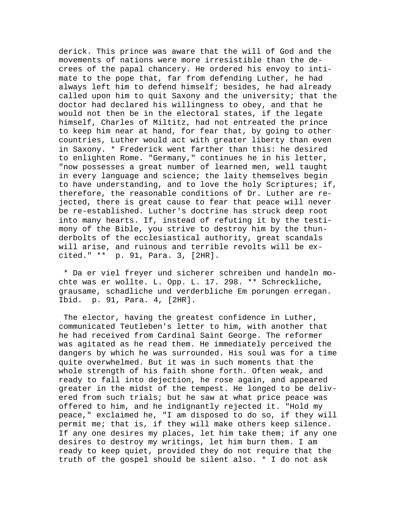derick. This prince was aware that the will of God and the movements of nations were more irresistible than the decrees of the papal chancery. He ordered his envoy to intimate to the pope that, far from defending Luther, he had always left him to defend himself; besides, he had already called upon him to quit Saxony and the university; that the doctor had declared his willingness to obey, and that he would not then be in the electoral states, if the legate himself, Charles of Miltitz, had not entreated the prince to keep him near at hand, for fear that, by going to other countries, Luther would act with greater liberty than even in Saxony. \* Frederick went farther than this: he desired to enlighten Rome. "Germany," continues he in his letter, "now possesses a great number of learned men, well taught in every language and science; the laity themselves begin to have understanding, and to love the holy Scriptures; if, therefore, the reasonable conditions of Dr. Luther are rejected, there is great cause to fear that peace will never be re-established. Luther's doctrine has struck deep root into many hearts. If, instead of refuting it by the testimony of the Bible, you strive to destroy him by the thunderbolts of the ecclesiastical authority, great scandals will arise, and ruinous and terrible revolts will be excited." \*\* p. 91, Para. 3, [2HR].

 \* Da er viel freyer und sicherer schreiben und handeln mochte was er wollte. L. Opp. L. 17. 298. \*\* Schreckliche, grausame, schadliche und verderbliche Em porungen erregan. Ibid. p. 91, Para. 4, [2HR].

 The elector, having the greatest confidence in Luther, communicated Teutleben's letter to him, with another that he had received from Cardinal Saint George. The reformer was agitated as he read them. He immediately perceived the dangers by which he was surrounded. His soul was for a time quite overwhelmed. But it was in such moments that the whole strength of his faith shone forth. Often weak, and ready to fall into dejection, he rose again, and appeared greater in the midst of the tempest. He longed to be delivered from such trials; but he saw at what price peace was offered to him, and he indignantly rejected it. "Hold my peace," exclaimed he, "I am disposed to do so, if they will permit me; that is, if they will make others keep silence. If any one desires my places, let him take them; if any one desires to destroy my writings, let him burn them. I am ready to keep quiet, provided they do not require that the truth of the gospel should be silent also. \* I do not ask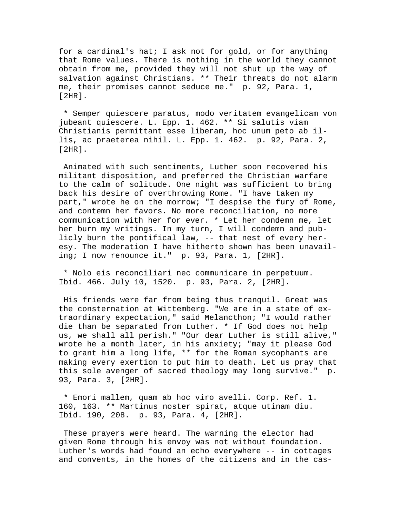for a cardinal's hat; I ask not for gold, or for anything that Rome values. There is nothing in the world they cannot obtain from me, provided they will not shut up the way of salvation against Christians. \*\* Their threats do not alarm me, their promises cannot seduce me." p. 92, Para. 1, [2HR].

 \* Semper quiescere paratus, modo veritatem evangelicam von jubeant quiescere. L. Epp. 1. 462. \*\* Si salutis viam Christianis permittant esse liberam, hoc unum peto ab illis, ac praeterea nihil. L. Epp. 1. 462. p. 92, Para. 2,  $[2HR]$ .

 Animated with such sentiments, Luther soon recovered his militant disposition, and preferred the Christian warfare to the calm of solitude. One night was sufficient to bring back his desire of overthrowing Rome. "I have taken my part," wrote he on the morrow; "I despise the fury of Rome, and contemn her favors. No more reconciliation, no more communication with her for ever. \* Let her condemn me, let her burn my writings. In my turn, I will condemn and publicly burn the pontifical law, -- that nest of every heresy. The moderation I have hitherto shown has been unavailing; I now renounce it." p. 93, Para. 1, [2HR].

 \* Nolo eis reconciliari nec communicare in perpetuum. Ibid. 466. July 10, 1520. p. 93, Para. 2, [2HR].

 His friends were far from being thus tranquil. Great was the consternation at Wittemberg. "We are in a state of extraordinary expectation," said Melancthon; "I would rather die than be separated from Luther. \* If God does not help us, we shall all perish." "Our dear Luther is still alive," wrote he a month later, in his anxiety; "may it please God to grant him a long life, \*\* for the Roman sycophants are making every exertion to put him to death. Let us pray that this sole avenger of sacred theology may long survive." p. 93, Para. 3, [2HR].

 \* Emori mallem, quam ab hoc viro avelli. Corp. Ref. 1. 160, 163. \*\* Martinus noster spirat, atque utinam diu. Ibid. 190, 208. p. 93, Para. 4, [2HR].

 These prayers were heard. The warning the elector had given Rome through his envoy was not without foundation. Luther's words had found an echo everywhere -- in cottages and convents, in the homes of the citizens and in the cas-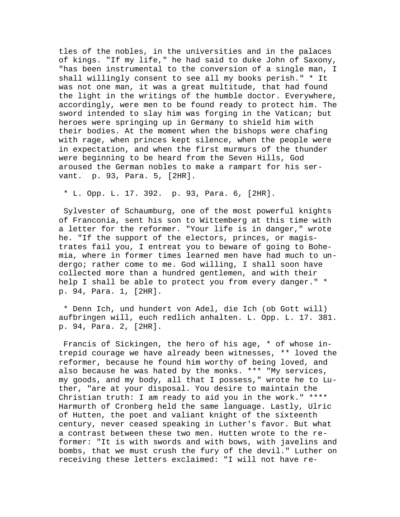tles of the nobles, in the universities and in the palaces of kings. "If my life," he had said to duke John of Saxony, "has been instrumental to the conversion of a single man, I shall willingly consent to see all my books perish." \* It was not one man, it was a great multitude, that had found the light in the writings of the humble doctor. Everywhere, accordingly, were men to be found ready to protect him. The sword intended to slay him was forging in the Vatican; but heroes were springing up in Germany to shield him with their bodies. At the moment when the bishops were chafing with rage, when princes kept silence, when the people were in expectation, and when the first murmurs of the thunder were beginning to be heard from the Seven Hills, God aroused the German nobles to make a rampart for his servant. p. 93, Para. 5, [2HR].

\* L. Opp. L. 17. 392. p. 93, Para. 6, [2HR].

 Sylvester of Schaumburg, one of the most powerful knights of Franconia, sent his son to Wittemberg at this time with a letter for the reformer. "Your life is in danger," wrote he. "If the support of the electors, princes, or magistrates fail you, I entreat you to beware of going to Bohemia, where in former times learned men have had much to undergo; rather come to me. God willing, I shall soon have collected more than a hundred gentlemen, and with their help I shall be able to protect you from every danger." \* p. 94, Para. 1, [2HR].

 \* Denn Ich, und hundert von Adel, die Ich (ob Gott will) aufbringen will, euch redlich anhalten. L. Opp. L. 17. 381. p. 94, Para. 2, [2HR].

 Francis of Sickingen, the hero of his age, \* of whose intrepid courage we have already been witnesses, \*\* loved the reformer, because he found him worthy of being loved, and also because he was hated by the monks. \*\*\* "My services, my goods, and my body, all that I possess," wrote he to Luther, "are at your disposal. You desire to maintain the Christian truth: I am ready to aid you in the work." \*\*\*\* Harmurth of Cronberg held the same language. Lastly, Ulric of Hutten, the poet and valiant knight of the sixteenth century, never ceased speaking in Luther's favor. But what a contrast between these two men. Hutten wrote to the reformer: "It is with swords and with bows, with javelins and bombs, that we must crush the fury of the devil." Luther on receiving these letters exclaimed: "I will not have re-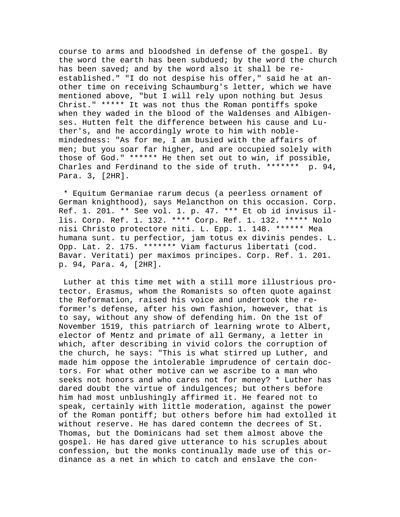course to arms and bloodshed in defense of the gospel. By the word the earth has been subdued; by the word the church has been saved; and by the word also it shall be reestablished." "I do not despise his offer," said he at another time on receiving Schaumburg's letter, which we have mentioned above, "but I will rely upon nothing but Jesus Christ." \*\*\*\*\* It was not thus the Roman pontiffs spoke when they waded in the blood of the Waldenses and Albigenses. Hutten felt the difference between his cause and Luther's, and he accordingly wrote to him with noblemindedness: "As for me, I am busied with the affairs of men; but you soar far higher, and are occupied solely with those of God." \*\*\*\*\*\* He then set out to win, if possible, Charles and Ferdinand to the side of truth. \*\*\*\*\*\*\* p. 94, Para. 3, [2HR].

 \* Equitum Germaniae rarum decus (a peerless ornament of German knighthood), says Melancthon on this occasion. Corp. Ref. 1. 201. \*\* See vol. 1. p. 47. \*\*\* Et ob id invisus illis. Corp. Ref. 1. 132. \*\*\*\* Corp. Ref. 1. 132. \*\*\*\*\* Nolo nisi Christo protectore niti. L. Epp. 1. 148. \*\*\*\*\*\* Mea humana sunt. tu perfectior, jam totus ex divinis pendes. L. Opp. Lat. 2. 175. \*\*\*\*\*\*\* Viam facturus libertati (cod. Bavar. Veritati) per maximos principes. Corp. Ref. 1. 201. p. 94, Para. 4, [2HR].

 Luther at this time met with a still more illustrious protector. Erasmus, whom the Romanists so often quote against the Reformation, raised his voice and undertook the reformer's defense, after his own fashion, however, that is to say, without any show of defending him. On the 1st of November 1519, this patriarch of learning wrote to Albert, elector of Mentz and primate of all Germany, a letter in which, after describing in vivid colors the corruption of the church, he says: "This is what stirred up Luther, and made him oppose the intolerable imprudence of certain doctors. For what other motive can we ascribe to a man who seeks not honors and who cares not for money? \* Luther has dared doubt the virtue of indulgences; but others before him had most unblushingly affirmed it. He feared not to speak, certainly with little moderation, against the power of the Roman pontiff; but others before him had extolled it without reserve. He has dared contemn the decrees of St. Thomas, but the Dominicans had set them almost above the gospel. He has dared give utterance to his scruples about confession, but the monks continually made use of this ordinance as a net in which to catch and enslave the con-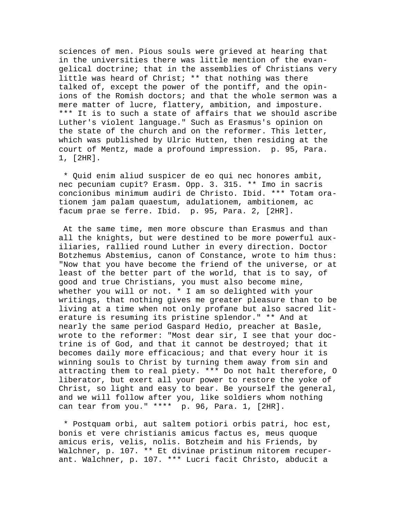sciences of men. Pious souls were grieved at hearing that in the universities there was little mention of the evangelical doctrine; that in the assemblies of Christians very little was heard of Christ; \*\* that nothing was there talked of, except the power of the pontiff, and the opinions of the Romish doctors; and that the whole sermon was a mere matter of lucre, flattery, ambition, and imposture. \*\*\* It is to such a state of affairs that we should ascribe Luther's violent language." Such as Erasmus's opinion on the state of the church and on the reformer. This letter, which was published by Ulric Hutten, then residing at the court of Mentz, made a profound impression. p. 95, Para. 1, [2HR].

 \* Quid enim aliud suspicer de eo qui nec honores ambit, nec pecuniam cupit? Erasm. Opp. 3. 315. \*\* Imo in sacris concionibus minimum audiri de Christo. Ibid. \*\*\* Totam orationem jam palam quaestum, adulationem, ambitionem, ac facum prae se ferre. Ibid. p. 95, Para. 2, [2HR].

 At the same time, men more obscure than Erasmus and than all the knights, but were destined to be more powerful auxiliaries, rallied round Luther in every direction. Doctor Botzhemus Abstemius, canon of Constance, wrote to him thus: "Now that you have become the friend of the universe, or at least of the better part of the world, that is to say, of good and true Christians, you must also become mine, whether you will or not. \* I am so delighted with your writings, that nothing gives me greater pleasure than to be living at a time when not only profane but also sacred literature is resuming its pristine splendor." \*\* And at nearly the same period Gaspard Hedio, preacher at Basle, wrote to the reformer: "Most dear sir, I see that your doctrine is of God, and that it cannot be destroyed; that it becomes daily more efficacious; and that every hour it is winning souls to Christ by turning them away from sin and attracting them to real piety. \*\*\* Do not halt therefore, O liberator, but exert all your power to restore the yoke of Christ, so light and easy to bear. Be yourself the general, and we will follow after you, like soldiers whom nothing can tear from you." \*\*\*\* p. 96, Para. 1, [2HR].

 \* Postquam orbi, aut saltem potiori orbis patri, hoc est, bonis et vere christianis amicus factus es, meus quoque amicus eris, velis, nolis. Botzheim and his Friends, by Walchner, p. 107. \*\* Et divinae pristinum nitorem recuperant. Walchner, p. 107. \*\*\* Lucri facit Christo, abducit a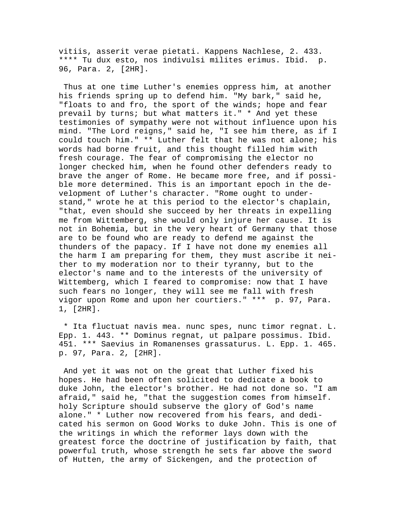vitiis, asserit verae pietati. Kappens Nachlese, 2. 433. \*\*\*\* Tu dux esto, nos indivulsi milites erimus. Ibid. p. 96, Para. 2, [2HR].

 Thus at one time Luther's enemies oppress him, at another his friends spring up to defend him. "My bark," said he, "floats to and fro, the sport of the winds; hope and fear prevail by turns; but what matters it." \* And yet these testimonies of sympathy were not without influence upon his mind. "The Lord reigns," said he, "I see him there, as if I could touch him." \*\* Luther felt that he was not alone; his words had borne fruit, and this thought filled him with fresh courage. The fear of compromising the elector no longer checked him, when he found other defenders ready to brave the anger of Rome. He became more free, and if possible more determined. This is an important epoch in the development of Luther's character. "Rome ought to understand," wrote he at this period to the elector's chaplain, "that, even should she succeed by her threats in expelling me from Wittemberg, she would only injure her cause. It is not in Bohemia, but in the very heart of Germany that those are to be found who are ready to defend me against the thunders of the papacy. If I have not done my enemies all the harm I am preparing for them, they must ascribe it neither to my moderation nor to their tyranny, but to the elector's name and to the interests of the university of Wittemberg, which I feared to compromise: now that I have such fears no longer, they will see me fall with fresh vigor upon Rome and upon her courtiers." \*\*\* p. 97, Para. 1, [2HR].

 \* Ita fluctuat navis mea. nunc spes, nunc timor regnat. L. Epp. 1. 443. \*\* Dominus regnat, ut palpare possimus. Ibid. 451. \*\*\* Saevius in Romanenses grassaturus. L. Epp. 1. 465. p. 97, Para. 2, [2HR].

 And yet it was not on the great that Luther fixed his hopes. He had been often solicited to dedicate a book to duke John, the elector's brother. He had not done so. "I am afraid," said he, "that the suggestion comes from himself. holy Scripture should subserve the glory of God's name alone." \* Luther now recovered from his fears, and dedicated his sermon on Good Works to duke John. This is one of the writings in which the reformer lays down with the greatest force the doctrine of justification by faith, that powerful truth, whose strength he sets far above the sword of Hutten, the army of Sickengen, and the protection of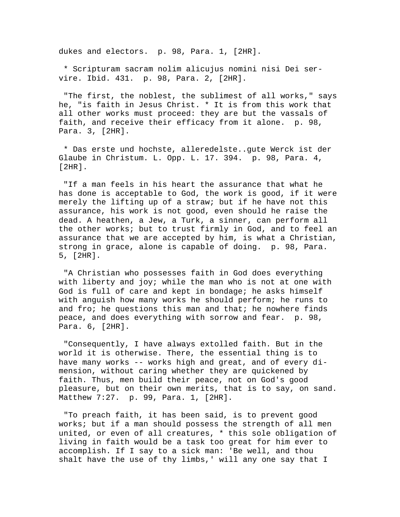dukes and electors. p. 98, Para. 1, [2HR].

 \* Scripturam sacram nolim alicujus nomini nisi Dei servire. Ibid. 431. p. 98, Para. 2, [2HR].

 "The first, the noblest, the sublimest of all works," says he, "is faith in Jesus Christ. \* It is from this work that all other works must proceed: they are but the vassals of faith, and receive their efficacy from it alone. p. 98, Para. 3, [2HR].

 \* Das erste und hochste, alleredelste..gute Werck ist der Glaube in Christum. L. Opp. L. 17. 394. p. 98, Para. 4,  $[2HR]$ .

 "If a man feels in his heart the assurance that what he has done is acceptable to God, the work is good, if it were merely the lifting up of a straw; but if he have not this assurance, his work is not good, even should he raise the dead. A heathen, a Jew, a Turk, a sinner, can perform all the other works; but to trust firmly in God, and to feel an assurance that we are accepted by him, is what a Christian, strong in grace, alone is capable of doing. p. 98, Para. 5, [2HR].

 "A Christian who possesses faith in God does everything with liberty and joy; while the man who is not at one with God is full of care and kept in bondage; he asks himself with anguish how many works he should perform; he runs to and fro; he questions this man and that; he nowhere finds peace, and does everything with sorrow and fear. p. 98, Para. 6, [2HR].

 "Consequently, I have always extolled faith. But in the world it is otherwise. There, the essential thing is to have many works -- works high and great, and of every dimension, without caring whether they are quickened by faith. Thus, men build their peace, not on God's good pleasure, but on their own merits, that is to say, on sand. Matthew 7:27. p. 99, Para. 1, [2HR].

 "To preach faith, it has been said, is to prevent good works; but if a man should possess the strength of all men united, or even of all creatures, \* this sole obligation of living in faith would be a task too great for him ever to accomplish. If I say to a sick man: 'Be well, and thou shalt have the use of thy limbs,' will any one say that I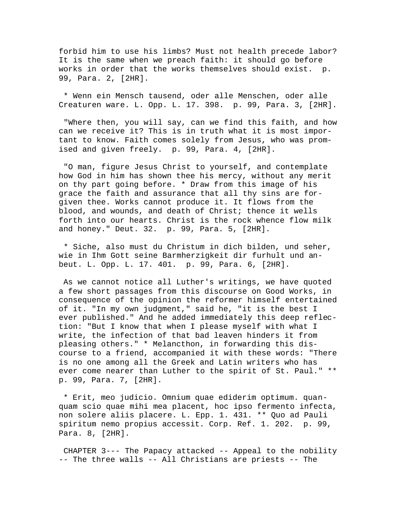forbid him to use his limbs? Must not health precede labor? It is the same when we preach faith: it should go before works in order that the works themselves should exist. p. 99, Para. 2, [2HR].

 \* Wenn ein Mensch tausend, oder alle Menschen, oder alle Creaturen ware. L. Opp. L. 17. 398. p. 99, Para. 3, [2HR].

 "Where then, you will say, can we find this faith, and how can we receive it? This is in truth what it is most important to know. Faith comes solely from Jesus, who was promised and given freely. p. 99, Para. 4, [2HR].

 "O man, figure Jesus Christ to yourself, and contemplate how God in him has shown thee his mercy, without any merit on thy part going before. \* Draw from this image of his grace the faith and assurance that all thy sins are forgiven thee. Works cannot produce it. It flows from the blood, and wounds, and death of Christ; thence it wells forth into our hearts. Christ is the rock whence flow milk and honey." Deut. 32. p. 99, Para. 5, [2HR].

 \* Siche, also must du Christum in dich bilden, und seher, wie in Ihm Gott seine Barmherzigkeit dir furhult und anbeut. L. Opp. L. 17. 401. p. 99, Para. 6, [2HR].

 As we cannot notice all Luther's writings, we have quoted a few short passages from this discourse on Good Works, in consequence of the opinion the reformer himself entertained of it. "In my own judgment," said he, "it is the best I ever published." And he added immediately this deep reflection: "But I know that when I please myself with what I write, the infection of that bad leaven hinders it from pleasing others." \* Melancthon, in forwarding this discourse to a friend, accompanied it with these words: "There is no one among all the Greek and Latin writers who has ever come nearer than Luther to the spirit of St. Paul." \*\* p. 99, Para. 7, [2HR].

 \* Erit, meo judicio. Omnium quae ediderim optimum. quanquam scio quae mihi mea placent, hoc ipso fermento infecta, non solere aliis placere. L. Epp. 1. 431. \*\* Quo ad Pauli spiritum nemo propius accessit. Corp. Ref. 1. 202. p. 99, Para. 8, [2HR].

 CHAPTER 3--- The Papacy attacked -- Appeal to the nobility -- The three walls -- All Christians are priests -- The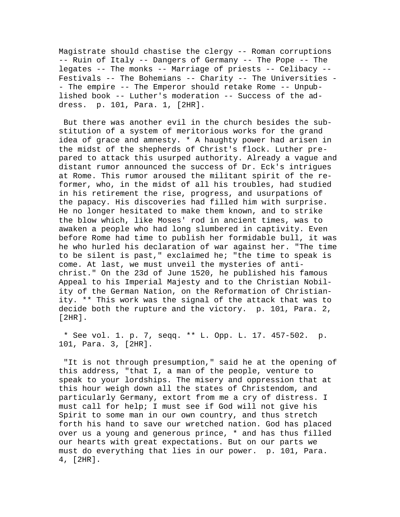Magistrate should chastise the clergy -- Roman corruptions -- Ruin of Italy -- Dangers of Germany -- The Pope -- The legates -- The monks -- Marriage of priests -- Celibacy -- Festivals -- The Bohemians -- Charity -- The Universities - - The empire -- The Emperor should retake Rome -- Unpublished book -- Luther's moderation -- Success of the address. p. 101, Para. 1, [2HR].

 But there was another evil in the church besides the substitution of a system of meritorious works for the grand idea of grace and amnesty. \* A haughty power had arisen in the midst of the shepherds of Christ's flock. Luther prepared to attack this usurped authority. Already a vague and distant rumor announced the success of Dr. Eck's intrigues at Rome. This rumor aroused the militant spirit of the reformer, who, in the midst of all his troubles, had studied in his retirement the rise, progress, and usurpations of the papacy. His discoveries had filled him with surprise. He no longer hesitated to make them known, and to strike the blow which, like Moses' rod in ancient times, was to awaken a people who had long slumbered in captivity. Even before Rome had time to publish her formidable bull, it was he who hurled his declaration of war against her. "The time to be silent is past," exclaimed he; "the time to speak is come. At last, we must unveil the mysteries of antichrist." On the 23d of June 1520, he published his famous Appeal to his Imperial Majesty and to the Christian Nobility of the German Nation, on the Reformation of Christianity. \*\* This work was the signal of the attack that was to decide both the rupture and the victory. p. 101, Para. 2, [2HR].

 \* See vol. 1. p. 7, seqq. \*\* L. Opp. L. 17. 457-502. p. 101, Para. 3, [2HR].

 "It is not through presumption," said he at the opening of this address, "that I, a man of the people, venture to speak to your lordships. The misery and oppression that at this hour weigh down all the states of Christendom, and particularly Germany, extort from me a cry of distress. I must call for help; I must see if God will not give his Spirit to some man in our own country, and thus stretch forth his hand to save our wretched nation. God has placed over us a young and generous prince, \* and has thus filled our hearts with great expectations. But on our parts we must do everything that lies in our power. p. 101, Para. 4, [2HR].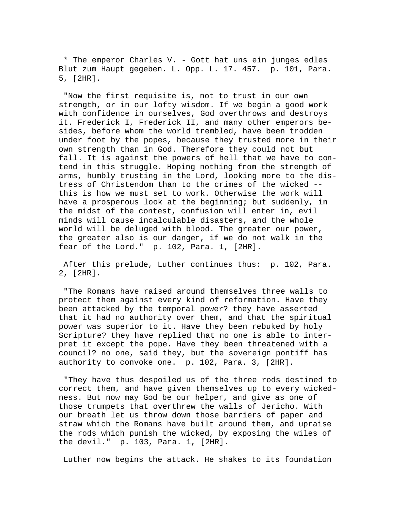\* The emperor Charles V. - Gott hat uns ein junges edles Blut zum Haupt gegeben. L. Opp. L. 17. 457. p. 101, Para. 5, [2HR].

 "Now the first requisite is, not to trust in our own strength, or in our lofty wisdom. If we begin a good work with confidence in ourselves, God overthrows and destroys it. Frederick I, Frederick II, and many other emperors besides, before whom the world trembled, have been trodden under foot by the popes, because they trusted more in their own strength than in God. Therefore they could not but fall. It is against the powers of hell that we have to contend in this struggle. Hoping nothing from the strength of arms, humbly trusting in the Lord, looking more to the distress of Christendom than to the crimes of the wicked - this is how we must set to work. Otherwise the work will have a prosperous look at the beginning; but suddenly, in the midst of the contest, confusion will enter in, evil minds will cause incalculable disasters, and the whole world will be deluged with blood. The greater our power, the greater also is our danger, if we do not walk in the fear of the Lord." p. 102, Para. 1, [2HR].

 After this prelude, Luther continues thus: p. 102, Para. 2, [2HR].

 "The Romans have raised around themselves three walls to protect them against every kind of reformation. Have they been attacked by the temporal power? they have asserted that it had no authority over them, and that the spiritual power was superior to it. Have they been rebuked by holy Scripture? they have replied that no one is able to interpret it except the pope. Have they been threatened with a council? no one, said they, but the sovereign pontiff has authority to convoke one. p. 102, Para. 3, [2HR].

 "They have thus despoiled us of the three rods destined to correct them, and have given themselves up to every wickedness. But now may God be our helper, and give as one of those trumpets that overthrew the walls of Jericho. With our breath let us throw down those barriers of paper and straw which the Romans have built around them, and upraise the rods which punish the wicked, by exposing the wiles of the devil." p. 103, Para. 1, [2HR].

Luther now begins the attack. He shakes to its foundation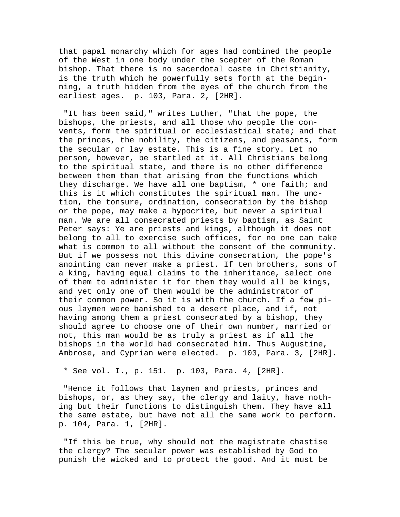that papal monarchy which for ages had combined the people of the West in one body under the scepter of the Roman bishop. That there is no sacerdotal caste in Christianity, is the truth which he powerfully sets forth at the beginning, a truth hidden from the eyes of the church from the earliest ages. p. 103, Para. 2, [2HR].

 "It has been said," writes Luther, "that the pope, the bishops, the priests, and all those who people the convents, form the spiritual or ecclesiastical state; and that the princes, the nobility, the citizens, and peasants, form the secular or lay estate. This is a fine story. Let no person, however, be startled at it. All Christians belong to the spiritual state, and there is no other difference between them than that arising from the functions which they discharge. We have all one baptism, \* one faith; and this is it which constitutes the spiritual man. The unction, the tonsure, ordination, consecration by the bishop or the pope, may make a hypocrite, but never a spiritual man. We are all consecrated priests by baptism, as Saint Peter says: Ye are priests and kings, although it does not belong to all to exercise such offices, for no one can take what is common to all without the consent of the community. But if we possess not this divine consecration, the pope's anointing can never make a priest. If ten brothers, sons of a king, having equal claims to the inheritance, select one of them to administer it for them they would all be kings, and yet only one of them would be the administrator of their common power. So it is with the church. If a few pious laymen were banished to a desert place, and if, not having among them a priest consecrated by a bishop, they should agree to choose one of their own number, married or not, this man would be as truly a priest as if all the bishops in the world had consecrated him. Thus Augustine, Ambrose, and Cyprian were elected. p. 103, Para. 3, [2HR].

\* See vol. I., p. 151. p. 103, Para. 4, [2HR].

 "Hence it follows that laymen and priests, princes and bishops, or, as they say, the clergy and laity, have nothing but their functions to distinguish them. They have all the same estate, but have not all the same work to perform. p. 104, Para. 1, [2HR].

 "If this be true, why should not the magistrate chastise the clergy? The secular power was established by God to punish the wicked and to protect the good. And it must be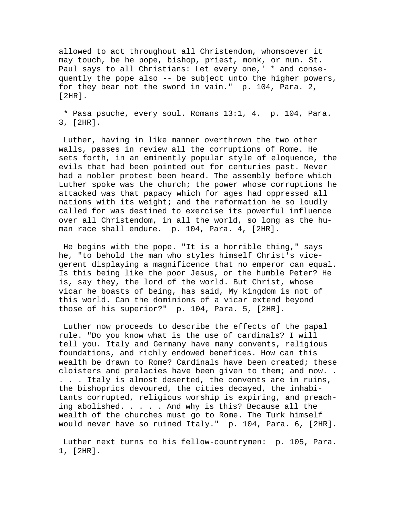allowed to act throughout all Christendom, whomsoever it may touch, be he pope, bishop, priest, monk, or nun. St. Paul says to all Christians: Let every one,' \* and consequently the pope also -- be subject unto the higher powers, for they bear not the sword in vain." p. 104, Para. 2, [2HR].

 \* Pasa psuche, every soul. Romans 13:1, 4. p. 104, Para. 3, [2HR].

 Luther, having in like manner overthrown the two other walls, passes in review all the corruptions of Rome. He sets forth, in an eminently popular style of eloquence, the evils that had been pointed out for centuries past. Never had a nobler protest been heard. The assembly before which Luther spoke was the church; the power whose corruptions he attacked was that papacy which for ages had oppressed all nations with its weight; and the reformation he so loudly called for was destined to exercise its powerful influence over all Christendom, in all the world, so long as the human race shall endure. p. 104, Para. 4, [2HR].

 He begins with the pope. "It is a horrible thing," says he, "to behold the man who styles himself Christ's vicegerent displaying a magnificence that no emperor can equal. Is this being like the poor Jesus, or the humble Peter? He is, say they, the lord of the world. But Christ, whose vicar he boasts of being, has said, My kingdom is not of this world. Can the dominions of a vicar extend beyond those of his superior?" p. 104, Para. 5, [2HR].

 Luther now proceeds to describe the effects of the papal rule. "Do you know what is the use of cardinals? I will tell you. Italy and Germany have many convents, religious foundations, and richly endowed benefices. How can this wealth be drawn to Rome? Cardinals have been created; these cloisters and prelacies have been given to them; and now. . . . . Italy is almost deserted, the convents are in ruins, the bishoprics devoured, the cities decayed, the inhabitants corrupted, religious worship is expiring, and preaching abolished. . . . . And why is this? Because all the wealth of the churches must go to Rome. The Turk himself would never have so ruined Italy." p. 104, Para. 6, [2HR].

 Luther next turns to his fellow-countrymen: p. 105, Para. 1, [2HR].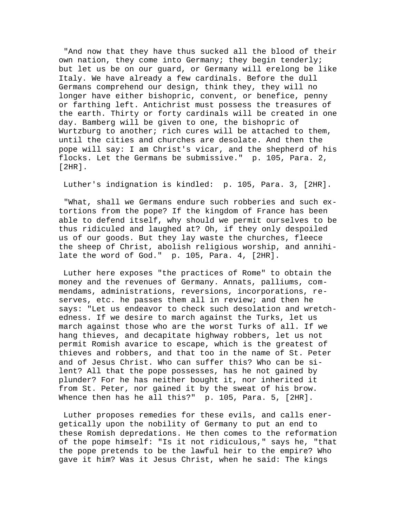"And now that they have thus sucked all the blood of their own nation, they come into Germany; they begin tenderly; but let us be on our guard, or Germany will erelong be like Italy. We have already a few cardinals. Before the dull Germans comprehend our design, think they, they will no longer have either bishopric, convent, or benefice, penny or farthing left. Antichrist must possess the treasures of the earth. Thirty or forty cardinals will be created in one day. Bamberg will be given to one, the bishopric of Wurtzburg to another; rich cures will be attached to them, until the cities and churches are desolate. And then the pope will say: I am Christ's vicar, and the shepherd of his flocks. Let the Germans be submissive." p. 105, Para. 2,  $[2HR]$ .

Luther's indignation is kindled: p. 105, Para. 3, [2HR].

 "What, shall we Germans endure such robberies and such extortions from the pope? If the kingdom of France has been able to defend itself, why should we permit ourselves to be thus ridiculed and laughed at? Oh, if they only despoiled us of our goods. But they lay waste the churches, fleece the sheep of Christ, abolish religious worship, and annihilate the word of God." p. 105, Para. 4, [2HR].

 Luther here exposes "the practices of Rome" to obtain the money and the revenues of Germany. Annats, palliums, commendams, administrations, reversions, incorporations, reserves, etc. he passes them all in review; and then he says: "Let us endeavor to check such desolation and wretchedness. If we desire to march against the Turks, let us march against those who are the worst Turks of all. If we hang thieves, and decapitate highway robbers, let us not permit Romish avarice to escape, which is the greatest of thieves and robbers, and that too in the name of St. Peter and of Jesus Christ. Who can suffer this? Who can be silent? All that the pope possesses, has he not gained by plunder? For he has neither bought it, nor inherited it from St. Peter, nor gained it by the sweat of his brow. Whence then has he all this?" p. 105, Para. 5, [2HR].

 Luther proposes remedies for these evils, and calls energetically upon the nobility of Germany to put an end to these Romish depredations. He then comes to the reformation of the pope himself: "Is it not ridiculous," says he, "that the pope pretends to be the lawful heir to the empire? Who gave it him? Was it Jesus Christ, when he said: The kings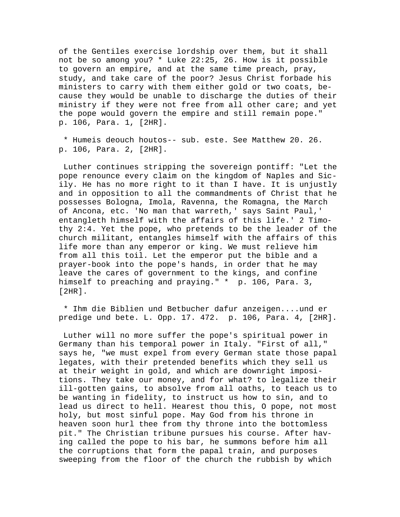of the Gentiles exercise lordship over them, but it shall not be so among you? \* Luke 22:25, 26. How is it possible to govern an empire, and at the same time preach, pray, study, and take care of the poor? Jesus Christ forbade his ministers to carry with them either gold or two coats, because they would be unable to discharge the duties of their ministry if they were not free from all other care; and yet the pope would govern the empire and still remain pope." p. 106, Para. 1, [2HR].

 \* Humeis deouch houtos-- sub. este. See Matthew 20. 26. p. 106, Para. 2, [2HR].

 Luther continues stripping the sovereign pontiff: "Let the pope renounce every claim on the kingdom of Naples and Sicily. He has no more right to it than I have. It is unjustly and in opposition to all the commandments of Christ that he possesses Bologna, Imola, Ravenna, the Romagna, the March of Ancona, etc. 'No man that warreth,' says Saint Paul,' entangleth himself with the affairs of this life.' 2 Timothy 2:4. Yet the pope, who pretends to be the leader of the church militant, entangles himself with the affairs of this life more than any emperor or king. We must relieve him from all this toil. Let the emperor put the bible and a prayer-book into the pope's hands, in order that he may leave the cares of government to the kings, and confine himself to preaching and praying." \* p. 106, Para. 3, [2HR].

 \* Ihm die Biblien und Betbucher dafur anzeigen....und er predige und bete. L. Opp. 17. 472. p. 106, Para. 4, [2HR].

 Luther will no more suffer the pope's spiritual power in Germany than his temporal power in Italy. "First of all," says he, "we must expel from every German state those papal legates, with their pretended benefits which they sell us at their weight in gold, and which are downright impositions. They take our money, and for what? to legalize their ill-gotten gains, to absolve from all oaths, to teach us to be wanting in fidelity, to instruct us how to sin, and to lead us direct to hell. Hearest thou this, O pope, not most holy, but most sinful pope. May God from his throne in heaven soon hurl thee from thy throne into the bottomless pit." The Christian tribune pursues his course. After having called the pope to his bar, he summons before him all the corruptions that form the papal train, and purposes sweeping from the floor of the church the rubbish by which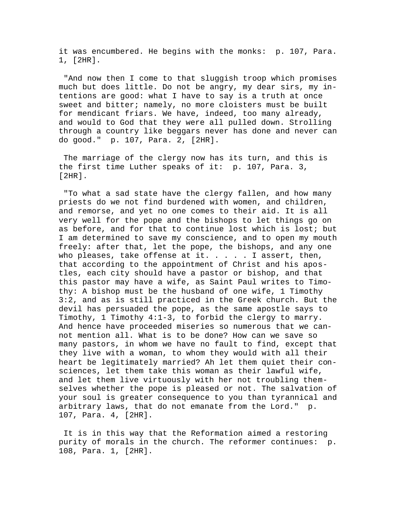it was encumbered. He begins with the monks: p. 107, Para. 1, [2HR].

 "And now then I come to that sluggish troop which promises much but does little. Do not be angry, my dear sirs, my intentions are good: what I have to say is a truth at once sweet and bitter; namely, no more cloisters must be built for mendicant friars. We have, indeed, too many already, and would to God that they were all pulled down. Strolling through a country like beggars never has done and never can do good." p. 107, Para. 2, [2HR].

 The marriage of the clergy now has its turn, and this is the first time Luther speaks of it: p. 107, Para. 3, [2HR].

 "To what a sad state have the clergy fallen, and how many priests do we not find burdened with women, and children, and remorse, and yet no one comes to their aid. It is all very well for the pope and the bishops to let things go on as before, and for that to continue lost which is lost; but I am determined to save my conscience, and to open my mouth freely: after that, let the pope, the bishops, and any one who pleases, take offense at it.  $\ldots$  . . I assert, then, that according to the appointment of Christ and his apostles, each city should have a pastor or bishop, and that this pastor may have a wife, as Saint Paul writes to Timothy: A bishop must be the husband of one wife, 1 Timothy 3:2, and as is still practiced in the Greek church. But the devil has persuaded the pope, as the same apostle says to Timothy, 1 Timothy 4:1-3, to forbid the clergy to marry. And hence have proceeded miseries so numerous that we cannot mention all. What is to be done? How can we save so many pastors, in whom we have no fault to find, except that they live with a woman, to whom they would with all their heart be legitimately married? Ah let them quiet their consciences, let them take this woman as their lawful wife, and let them live virtuously with her not troubling themselves whether the pope is pleased or not. The salvation of your soul is greater consequence to you than tyrannical and arbitrary laws, that do not emanate from the Lord." p. 107, Para. 4, [2HR].

 It is in this way that the Reformation aimed a restoring purity of morals in the church. The reformer continues: p. 108, Para. 1, [2HR].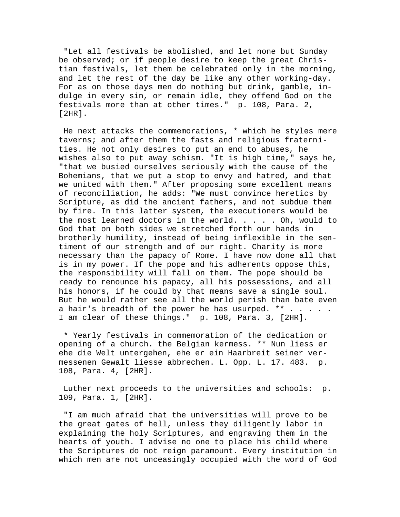"Let all festivals be abolished, and let none but Sunday be observed; or if people desire to keep the great Christian festivals, let them be celebrated only in the morning, and let the rest of the day be like any other working-day. For as on those days men do nothing but drink, gamble, indulge in every sin, or remain idle, they offend God on the festivals more than at other times." p. 108, Para. 2,  $[2HR]$ .

 He next attacks the commemorations, \* which he styles mere taverns; and after them the fasts and religious fraternities. He not only desires to put an end to abuses, he wishes also to put away schism. "It is high time," says he, "that we busied ourselves seriously with the cause of the Bohemians, that we put a stop to envy and hatred, and that we united with them." After proposing some excellent means of reconciliation, he adds: "We must convince heretics by Scripture, as did the ancient fathers, and not subdue them by fire. In this latter system, the executioners would be the most learned doctors in the world. . . . . Oh, would to God that on both sides we stretched forth our hands in brotherly humility, instead of being inflexible in the sentiment of our strength and of our right. Charity is more necessary than the papacy of Rome. I have now done all that is in my power. If the pope and his adherents oppose this, the responsibility will fall on them. The pope should be ready to renounce his papacy, all his possessions, and all his honors, if he could by that means save a single soul. But he would rather see all the world perish than bate even a hair's breadth of the power he has usurped.  $**$  . . . . . I am clear of these things." p. 108, Para. 3, [2HR].

 \* Yearly festivals in commemoration of the dedication or opening of a church. the Belgian kermess. \*\* Nun liess er ehe die Welt untergehen, ehe er ein Haarbreit seiner vermessenen Gewalt liesse abbrechen. L. Opp. L. 17. 483. p. 108, Para. 4, [2HR].

 Luther next proceeds to the universities and schools: p. 109, Para. 1, [2HR].

 "I am much afraid that the universities will prove to be the great gates of hell, unless they diligently labor in explaining the holy Scriptures, and engraving them in the hearts of youth. I advise no one to place his child where the Scriptures do not reign paramount. Every institution in which men are not unceasingly occupied with the word of God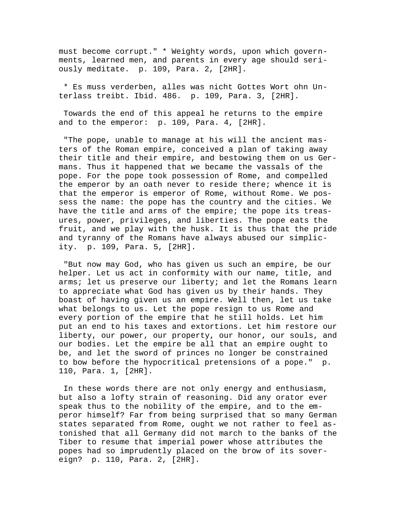must become corrupt." \* Weighty words, upon which governments, learned men, and parents in every age should seriously meditate. p. 109, Para. 2, [2HR].

 \* Es muss verderben, alles was nicht Gottes Wort ohn Unterlass treibt. Ibid. 486. p. 109, Para. 3, [2HR].

 Towards the end of this appeal he returns to the empire and to the emperor: p. 109, Para. 4, [2HR].

 "The pope, unable to manage at his will the ancient masters of the Roman empire, conceived a plan of taking away their title and their empire, and bestowing them on us Germans. Thus it happened that we became the vassals of the pope. For the pope took possession of Rome, and compelled the emperor by an oath never to reside there; whence it is that the emperor is emperor of Rome, without Rome. We possess the name: the pope has the country and the cities. We have the title and arms of the empire; the pope its treasures, power, privileges, and liberties. The pope eats the fruit, and we play with the husk. It is thus that the pride and tyranny of the Romans have always abused our simplicity. p. 109, Para. 5, [2HR].

 "But now may God, who has given us such an empire, be our helper. Let us act in conformity with our name, title, and arms; let us preserve our liberty; and let the Romans learn to appreciate what God has given us by their hands. They boast of having given us an empire. Well then, let us take what belongs to us. Let the pope resign to us Rome and every portion of the empire that he still holds. Let him put an end to his taxes and extortions. Let him restore our liberty, our power, our property, our honor, our souls, and our bodies. Let the empire be all that an empire ought to be, and let the sword of princes no longer be constrained to bow before the hypocritical pretensions of a pope." p. 110, Para. 1, [2HR].

 In these words there are not only energy and enthusiasm, but also a lofty strain of reasoning. Did any orator ever speak thus to the nobility of the empire, and to the emperor himself? Far from being surprised that so many German states separated from Rome, ought we not rather to feel astonished that all Germany did not march to the banks of the Tiber to resume that imperial power whose attributes the popes had so imprudently placed on the brow of its sovereign? p. 110, Para. 2, [2HR].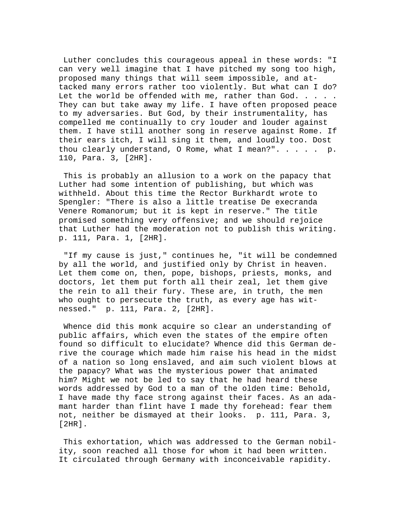Luther concludes this courageous appeal in these words: "I can very well imagine that I have pitched my song too high, proposed many things that will seem impossible, and attacked many errors rather too violently. But what can I do? Let the world be offended with me, rather than God. . . . . They can but take away my life. I have often proposed peace to my adversaries. But God, by their instrumentality, has compelled me continually to cry louder and louder against them. I have still another song in reserve against Rome. If their ears itch, I will sing it them, and loudly too. Dost thou clearly understand,  $0$  Rome, what I mean?". . . . . p. 110, Para. 3, [2HR].

 This is probably an allusion to a work on the papacy that Luther had some intention of publishing, but which was withheld. About this time the Rector Burkhardt wrote to Spengler: "There is also a little treatise De execranda Venere Romanorum; but it is kept in reserve." The title promised something very offensive; and we should rejoice that Luther had the moderation not to publish this writing. p. 111, Para. 1, [2HR].

 "If my cause is just," continues he, "it will be condemned by all the world, and justified only by Christ in heaven. Let them come on, then, pope, bishops, priests, monks, and doctors, let them put forth all their zeal, let them give the rein to all their fury. These are, in truth, the men who ought to persecute the truth, as every age has witnessed." p. 111, Para. 2, [2HR].

 Whence did this monk acquire so clear an understanding of public affairs, which even the states of the empire often found so difficult to elucidate? Whence did this German derive the courage which made him raise his head in the midst of a nation so long enslaved, and aim such violent blows at the papacy? What was the mysterious power that animated him? Might we not be led to say that he had heard these words addressed by God to a man of the olden time: Behold, I have made thy face strong against their faces. As an adamant harder than flint have I made thy forehead: fear them not, neither be dismayed at their looks. p. 111, Para. 3, [2HR].

 This exhortation, which was addressed to the German nobility, soon reached all those for whom it had been written. It circulated through Germany with inconceivable rapidity.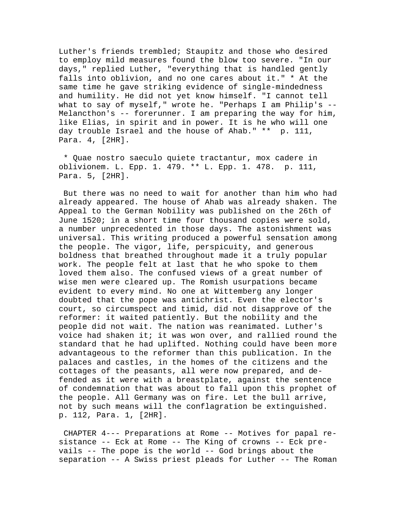Luther's friends trembled; Staupitz and those who desired to employ mild measures found the blow too severe. "In our days," replied Luther, "everything that is handled gently falls into oblivion, and no one cares about it." \* At the same time he gave striking evidence of single-mindedness and humility. He did not yet know himself. "I cannot tell what to say of myself," wrote he. "Perhaps I am Philip's --Melancthon's -- forerunner. I am preparing the way for him, like Elias, in spirit and in power. It is he who will one day trouble Israel and the house of Ahab." \*\* p. 111, Para. 4, [2HR].

 \* Quae nostro saeculo quiete tractantur, mox cadere in oblivionem. L. Epp. 1. 479. \*\* L. Epp. 1. 478. p. 111, Para. 5, [2HR].

 But there was no need to wait for another than him who had already appeared. The house of Ahab was already shaken. The Appeal to the German Nobility was published on the 26th of June 1520; in a short time four thousand copies were sold, a number unprecedented in those days. The astonishment was universal. This writing produced a powerful sensation among the people. The vigor, life, perspicuity, and generous boldness that breathed throughout made it a truly popular work. The people felt at last that he who spoke to them loved them also. The confused views of a great number of wise men were cleared up. The Romish usurpations became evident to every mind. No one at Wittemberg any longer doubted that the pope was antichrist. Even the elector's court, so circumspect and timid, did not disapprove of the reformer: it waited patiently. But the nobility and the people did not wait. The nation was reanimated. Luther's voice had shaken it; it was won over, and rallied round the standard that he had uplifted. Nothing could have been more advantageous to the reformer than this publication. In the palaces and castles, in the homes of the citizens and the cottages of the peasants, all were now prepared, and defended as it were with a breastplate, against the sentence of condemnation that was about to fall upon this prophet of the people. All Germany was on fire. Let the bull arrive, not by such means will the conflagration be extinguished. p. 112, Para. 1, [2HR].

 CHAPTER 4--- Preparations at Rome -- Motives for papal resistance -- Eck at Rome -- The King of crowns -- Eck prevails -- The pope is the world -- God brings about the separation -- A Swiss priest pleads for Luther -- The Roman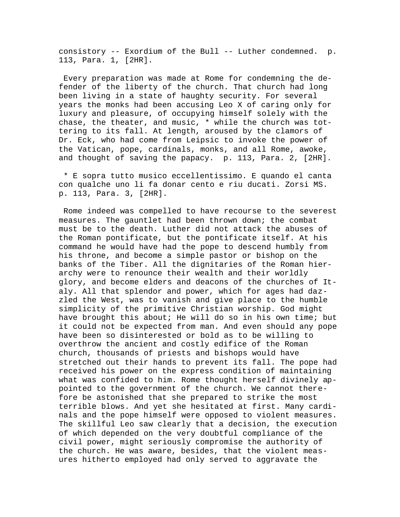consistory -- Exordium of the Bull -- Luther condemned. p. 113, Para. 1, [2HR].

 Every preparation was made at Rome for condemning the defender of the liberty of the church. That church had long been living in a state of haughty security. For several years the monks had been accusing Leo X of caring only for luxury and pleasure, of occupying himself solely with the chase, the theater, and music, \* while the church was tottering to its fall. At length, aroused by the clamors of Dr. Eck, who had come from Leipsic to invoke the power of the Vatican, pope, cardinals, monks, and all Rome, awoke, and thought of saving the papacy. p. 113, Para. 2, [2HR].

 \* E sopra tutto musico eccellentissimo. E quando el canta con qualche uno li fa donar cento e riu ducati. Zorsi MS. p. 113, Para. 3, [2HR].

 Rome indeed was compelled to have recourse to the severest measures. The gauntlet had been thrown down; the combat must be to the death. Luther did not attack the abuses of the Roman pontificate, but the pontificate itself. At his command he would have had the pope to descend humbly from his throne, and become a simple pastor or bishop on the banks of the Tiber. All the dignitaries of the Roman hierarchy were to renounce their wealth and their worldly glory, and become elders and deacons of the churches of Italy. All that splendor and power, which for ages had dazzled the West, was to vanish and give place to the humble simplicity of the primitive Christian worship. God might have brought this about; He will do so in his own time; but it could not be expected from man. And even should any pope have been so disinterested or bold as to be willing to overthrow the ancient and costly edifice of the Roman church, thousands of priests and bishops would have stretched out their hands to prevent its fall. The pope had received his power on the express condition of maintaining what was confided to him. Rome thought herself divinely appointed to the government of the church. We cannot therefore be astonished that she prepared to strike the most terrible blows. And yet she hesitated at first. Many cardinals and the pope himself were opposed to violent measures. The skillful Leo saw clearly that a decision, the execution of which depended on the very doubtful compliance of the civil power, might seriously compromise the authority of the church. He was aware, besides, that the violent measures hitherto employed had only served to aggravate the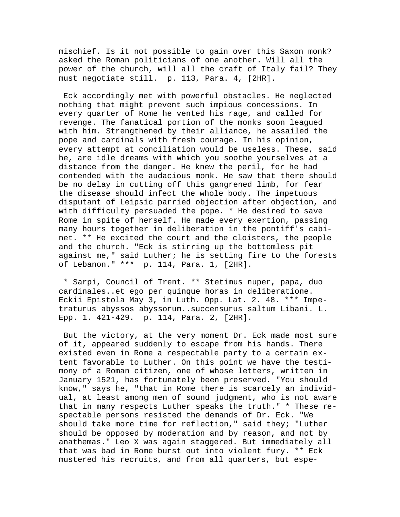mischief. Is it not possible to gain over this Saxon monk? asked the Roman politicians of one another. Will all the power of the church, will all the craft of Italy fail? They must negotiate still. p. 113, Para. 4, [2HR].

 Eck accordingly met with powerful obstacles. He neglected nothing that might prevent such impious concessions. In every quarter of Rome he vented his rage, and called for revenge. The fanatical portion of the monks soon leagued with him. Strengthened by their alliance, he assailed the pope and cardinals with fresh courage. In his opinion, every attempt at conciliation would be useless. These, said he, are idle dreams with which you soothe yourselves at a distance from the danger. He knew the peril, for he had contended with the audacious monk. He saw that there should be no delay in cutting off this gangrened limb, for fear the disease should infect the whole body. The impetuous disputant of Leipsic parried objection after objection, and with difficulty persuaded the pope. \* He desired to save Rome in spite of herself. He made every exertion, passing many hours together in deliberation in the pontiff's cabinet. \*\* He excited the court and the cloisters, the people and the church. "Eck is stirring up the bottomless pit against me," said Luther; he is setting fire to the forests of Lebanon." \*\*\* p. 114, Para. 1, [2HR].

 \* Sarpi, Council of Trent. \*\* Stetimus nuper, papa, duo cardinales..et ego per quinque horas in deliberatione. Eckii Epistola May 3, in Luth. Opp. Lat. 2. 48. \*\*\* Impetraturus abyssos abyssorum..succensurus saltum Libani. L. Epp. 1. 421-429. p. 114, Para. 2, [2HR].

 But the victory, at the very moment Dr. Eck made most sure of it, appeared suddenly to escape from his hands. There existed even in Rome a respectable party to a certain extent favorable to Luther. On this point we have the testimony of a Roman citizen, one of whose letters, written in January 1521, has fortunately been preserved. "You should know," says he, "that in Rome there is scarcely an individual, at least among men of sound judgment, who is not aware that in many respects Luther speaks the truth." \* These respectable persons resisted the demands of Dr. Eck. "We should take more time for reflection," said they; "Luther should be opposed by moderation and by reason, and not by anathemas." Leo X was again staggered. But immediately all that was bad in Rome burst out into violent fury. \*\* Eck mustered his recruits, and from all quarters, but espe-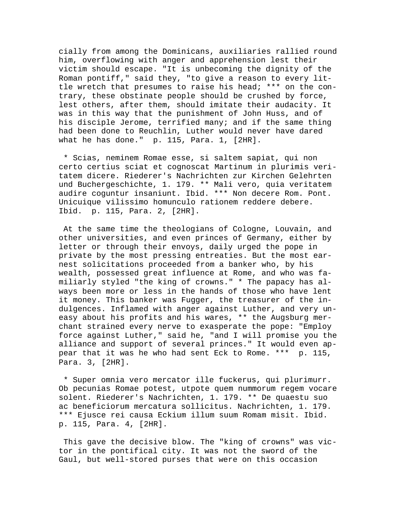cially from among the Dominicans, auxiliaries rallied round him, overflowing with anger and apprehension lest their victim should escape. "It is unbecoming the dignity of the Roman pontiff," said they, "to give a reason to every little wretch that presumes to raise his head; \*\*\* on the contrary, these obstinate people should be crushed by force, lest others, after them, should imitate their audacity. It was in this way that the punishment of John Huss, and of his disciple Jerome, terrified many; and if the same thing had been done to Reuchlin, Luther would never have dared what he has done." p. 115, Para. 1, [2HR].

 \* Scias, neminem Romae esse, si saltem sapiat, qui non certo certius sciat et cognoscat Martinum in plurimis veritatem dicere. Riederer's Nachrichten zur Kirchen Gelehrten und Buchergeschichte, 1. 179. \*\* Mali vero, quia veritatem audire coguntur insaniunt. Ibid. \*\*\* Non decere Rom. Pont. Unicuique vilissimo homunculo rationem reddere debere. Ibid. p. 115, Para. 2, [2HR].

 At the same time the theologians of Cologne, Louvain, and other universities, and even princes of Germany, either by letter or through their envoys, daily urged the pope in private by the most pressing entreaties. But the most earnest solicitations proceeded from a banker who, by his wealth, possessed great influence at Rome, and who was familiarly styled "the king of crowns." \* The papacy has always been more or less in the hands of those who have lent it money. This banker was Fugger, the treasurer of the indulgences. Inflamed with anger against Luther, and very uneasy about his profits and his wares, \*\* the Augsburg merchant strained every nerve to exasperate the pope: "Employ force against Luther," said he, "and I will promise you the alliance and support of several princes." It would even appear that it was he who had sent Eck to Rome. \*\*\* p. 115, Para. 3, [2HR].

 \* Super omnia vero mercator ille fuckerus, qui plurimurr. Ob pecunias Romae potest, utpote quem nummorum regem vocare solent. Riederer's Nachrichten, 1. 179. \*\* De quaestu suo ac beneficiorum mercatura sollicitus. Nachrichten, 1. 179. \*\*\* Ejusce rei causa Eckium illum suum Romam misit. Ibid. p. 115, Para. 4, [2HR].

 This gave the decisive blow. The "king of crowns" was victor in the pontifical city. It was not the sword of the Gaul, but well-stored purses that were on this occasion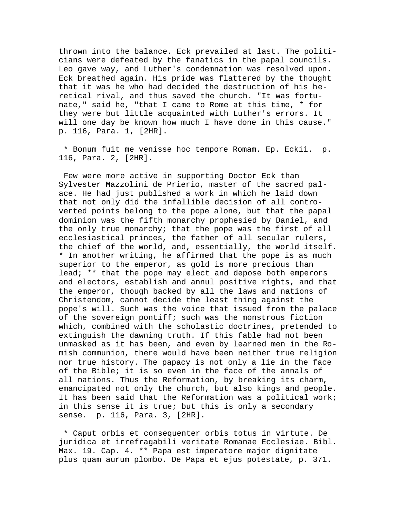thrown into the balance. Eck prevailed at last. The politicians were defeated by the fanatics in the papal councils. Leo gave way, and Luther's condemnation was resolved upon. Eck breathed again. His pride was flattered by the thought that it was he who had decided the destruction of his heretical rival, and thus saved the church. "It was fortunate," said he, "that I came to Rome at this time, \* for they were but little acquainted with Luther's errors. It will one day be known how much I have done in this cause." p. 116, Para. 1, [2HR].

 \* Bonum fuit me venisse hoc tempore Romam. Ep. Eckii. p. 116, Para. 2, [2HR].

 Few were more active in supporting Doctor Eck than Sylvester Mazzolini de Prierio, master of the sacred palace. He had just published a work in which he laid down that not only did the infallible decision of all controverted points belong to the pope alone, but that the papal dominion was the fifth monarchy prophesied by Daniel, and the only true monarchy; that the pope was the first of all ecclesiastical princes, the father of all secular rulers, the chief of the world, and, essentially, the world itself. \* In another writing, he affirmed that the pope is as much superior to the emperor, as gold is more precious than lead; \*\* that the pope may elect and depose both emperors and electors, establish and annul positive rights, and that the emperor, though backed by all the laws and nations of Christendom, cannot decide the least thing against the pope's will. Such was the voice that issued from the palace of the sovereign pontiff; such was the monstrous fiction which, combined with the scholastic doctrines, pretended to extinguish the dawning truth. If this fable had not been unmasked as it has been, and even by learned men in the Romish communion, there would have been neither true religion nor true history. The papacy is not only a lie in the face of the Bible; it is so even in the face of the annals of all nations. Thus the Reformation, by breaking its charm, emancipated not only the church, but also kings and people. It has been said that the Reformation was a political work; in this sense it is true; but this is only a secondary sense. p. 116, Para. 3, [2HR].

 \* Caput orbis et consequenter orbis totus in virtute. De juridica et irrefragabili veritate Romanae Ecclesiae. Bibl. Max. 19. Cap. 4. \*\* Papa est imperatore major dignitate plus quam aurum plombo. De Papa et ejus potestate, p. 371.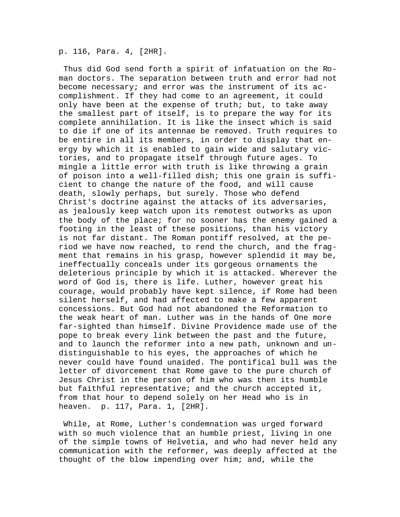## p. 116, Para. 4, [2HR].

 Thus did God send forth a spirit of infatuation on the Roman doctors. The separation between truth and error had not become necessary; and error was the instrument of its accomplishment. If they had come to an agreement, it could only have been at the expense of truth; but, to take away the smallest part of itself, is to prepare the way for its complete annihilation. It is like the insect which is said to die if one of its antennae be removed. Truth requires to be entire in all its members, in order to display that energy by which it is enabled to gain wide and salutary victories, and to propagate itself through future ages. To mingle a little error with truth is like throwing a grain of poison into a well-filled dish; this one grain is sufficient to change the nature of the food, and will cause death, slowly perhaps, but surely. Those who defend Christ's doctrine against the attacks of its adversaries, as jealously keep watch upon its remotest outworks as upon the body of the place; for no sooner has the enemy gained a footing in the least of these positions, than his victory is not far distant. The Roman pontiff resolved, at the period we have now reached, to rend the church, and the fragment that remains in his grasp, however splendid it may be, ineffectually conceals under its gorgeous ornaments the deleterious principle by which it is attacked. Wherever the word of God is, there is life. Luther, however great his courage, would probably have kept silence, if Rome had been silent herself, and had affected to make a few apparent concessions. But God had not abandoned the Reformation to the weak heart of man. Luther was in the hands of One more far-sighted than himself. Divine Providence made use of the pope to break every link between the past and the future, and to launch the reformer into a new path, unknown and undistinguishable to his eyes, the approaches of which he never could have found unaided. The pontifical bull was the letter of divorcement that Rome gave to the pure church of Jesus Christ in the person of him who was then its humble but faithful representative; and the church accepted it, from that hour to depend solely on her Head who is in heaven. p. 117, Para. 1, [2HR].

 While, at Rome, Luther's condemnation was urged forward with so much violence that an humble priest, living in one of the simple towns of Helvetia, and who had never held any communication with the reformer, was deeply affected at the thought of the blow impending over him; and, while the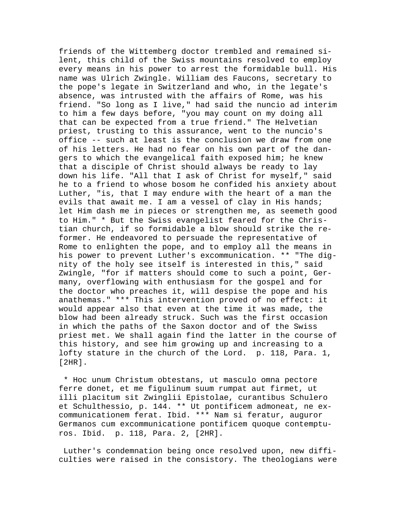friends of the Wittemberg doctor trembled and remained silent, this child of the Swiss mountains resolved to employ every means in his power to arrest the formidable bull. His name was Ulrich Zwingle. William des Faucons, secretary to the pope's legate in Switzerland and who, in the legate's absence, was intrusted with the affairs of Rome, was his friend. "So long as I live," had said the nuncio ad interim to him a few days before, "you may count on my doing all that can be expected from a true friend." The Helvetian priest, trusting to this assurance, went to the nuncio's office -- such at least is the conclusion we draw from one of his letters. He had no fear on his own part of the dangers to which the evangelical faith exposed him; he knew that a disciple of Christ should always be ready to lay down his life. "All that I ask of Christ for myself," said he to a friend to whose bosom he confided his anxiety about Luther, "is, that I may endure with the heart of a man the evils that await me. I am a vessel of clay in His hands; let Him dash me in pieces or strengthen me, as seemeth good to Him." \* But the Swiss evangelist feared for the Christian church, if so formidable a blow should strike the reformer. He endeavored to persuade the representative of Rome to enlighten the pope, and to employ all the means in his power to prevent Luther's excommunication. \*\* "The dignity of the holy see itself is interested in this," said Zwingle, "for if matters should come to such a point, Germany, overflowing with enthusiasm for the gospel and for the doctor who preaches it, will despise the pope and his anathemas." \*\*\* This intervention proved of no effect: it would appear also that even at the time it was made, the blow had been already struck. Such was the first occasion in which the paths of the Saxon doctor and of the Swiss priest met. We shall again find the latter in the course of this history, and see him growing up and increasing to a lofty stature in the church of the Lord. p. 118, Para. 1,  $[2HR]$ .

 \* Hoc unum Christum obtestans, ut masculo omna pectore ferre donet, et me figulinum suum rumpat aut firmet, ut illi placitum sit Zwinglii Epistolae, curantibus Schulero et Schulthessio, p. 144. \*\* Ut pontificem admoneat, ne excommunicationem ferat. Ibid. \*\*\* Nam si feratur, auguror Germanos cum excommunicatione pontificem quoque contempturos. Ibid. p. 118, Para. 2, [2HR].

 Luther's condemnation being once resolved upon, new difficulties were raised in the consistory. The theologians were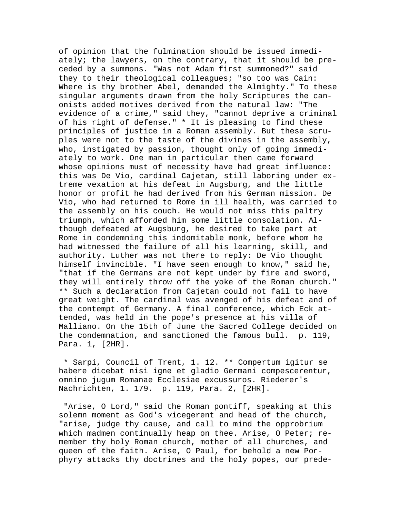of opinion that the fulmination should be issued immediately; the lawyers, on the contrary, that it should be preceded by a summons. "Was not Adam first summoned?" said they to their theological colleagues; "so too was Cain: Where is thy brother Abel, demanded the Almighty." To these singular arguments drawn from the holy Scriptures the canonists added motives derived from the natural law: "The evidence of a crime," said they, "cannot deprive a criminal of his right of defense." \* It is pleasing to find these principles of justice in a Roman assembly. But these scruples were not to the taste of the divines in the assembly, who, instigated by passion, thought only of going immediately to work. One man in particular then came forward whose opinions must of necessity have had great influence: this was De Vio, cardinal Cajetan, still laboring under extreme vexation at his defeat in Augsburg, and the little honor or profit he had derived from his German mission. De Vio, who had returned to Rome in ill health, was carried to the assembly on his couch. He would not miss this paltry triumph, which afforded him some little consolation. Although defeated at Augsburg, he desired to take part at Rome in condemning this indomitable monk, before whom he had witnessed the failure of all his learning, skill, and authority. Luther was not there to reply: De Vio thought himself invincible. "I have seen enough to know," said he, "that if the Germans are not kept under by fire and sword, they will entirely throw off the yoke of the Roman church." \*\* Such a declaration from Cajetan could not fail to have great weight. The cardinal was avenged of his defeat and of the contempt of Germany. A final conference, which Eck attended, was held in the pope's presence at his villa of Malliano. On the 15th of June the Sacred College decided on the condemnation, and sanctioned the famous bull. p. 119, Para. 1, [2HR].

 \* Sarpi, Council of Trent, 1. 12. \*\* Compertum igitur se habere dicebat nisi igne et gladio Germani compescerentur, omnino jugum Romanae Ecclesiae excussuros. Riederer's Nachrichten, 1. 179. p. 119, Para. 2, [2HR].

 "Arise, O Lord," said the Roman pontiff, speaking at this solemn moment as God's vicegerent and head of the church, "arise, judge thy cause, and call to mind the opprobrium which madmen continually heap on thee. Arise, O Peter; remember thy holy Roman church, mother of all churches, and queen of the faith. Arise, O Paul, for behold a new Porphyry attacks thy doctrines and the holy popes, our prede-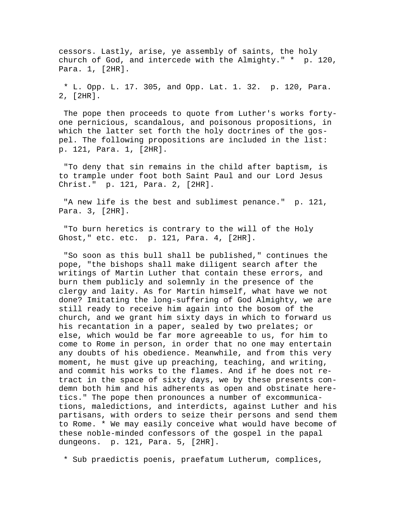cessors. Lastly, arise, ye assembly of saints, the holy church of God, and intercede with the Almighty." \* p. 120, Para. 1, [2HR].

 \* L. Opp. L. 17. 305, and Opp. Lat. 1. 32. p. 120, Para. 2, [2HR].

 The pope then proceeds to quote from Luther's works fortyone pernicious, scandalous, and poisonous propositions, in which the latter set forth the holy doctrines of the gospel. The following propositions are included in the list: p. 121, Para. 1, [2HR].

 "To deny that sin remains in the child after baptism, is to trample under foot both Saint Paul and our Lord Jesus Christ." p. 121, Para. 2, [2HR].

"A new life is the best and sublimest penance." p. 121, Para. 3, [2HR].

 "To burn heretics is contrary to the will of the Holy Ghost," etc. etc. p. 121, Para. 4, [2HR].

 "So soon as this bull shall be published," continues the pope, "the bishops shall make diligent search after the writings of Martin Luther that contain these errors, and burn them publicly and solemnly in the presence of the clergy and laity. As for Martin himself, what have we not done? Imitating the long-suffering of God Almighty, we are still ready to receive him again into the bosom of the church, and we grant him sixty days in which to forward us his recantation in a paper, sealed by two prelates; or else, which would be far more agreeable to us, for him to come to Rome in person, in order that no one may entertain any doubts of his obedience. Meanwhile, and from this very moment, he must give up preaching, teaching, and writing, and commit his works to the flames. And if he does not retract in the space of sixty days, we by these presents condemn both him and his adherents as open and obstinate heretics." The pope then pronounces a number of excommunications, maledictions, and interdicts, against Luther and his partisans, with orders to seize their persons and send them to Rome. \* We may easily conceive what would have become of these noble-minded confessors of the gospel in the papal dungeons. p. 121, Para. 5, [2HR].

\* Sub praedictis poenis, praefatum Lutherum, complices,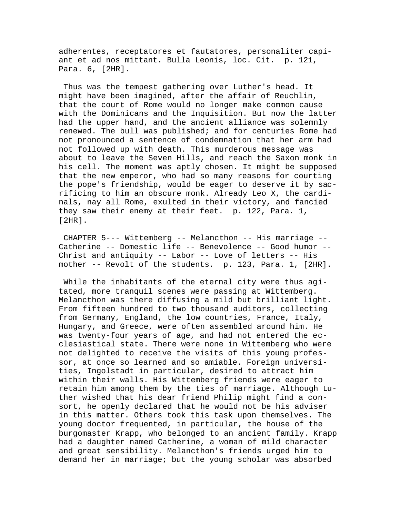adherentes, receptatores et fautatores, personaliter capiant et ad nos mittant. Bulla Leonis, loc. Cit. p. 121, Para. 6, [2HR].

 Thus was the tempest gathering over Luther's head. It might have been imagined, after the affair of Reuchlin, that the court of Rome would no longer make common cause with the Dominicans and the Inquisition. But now the latter had the upper hand, and the ancient alliance was solemnly renewed. The bull was published; and for centuries Rome had not pronounced a sentence of condemnation that her arm had not followed up with death. This murderous message was about to leave the Seven Hills, and reach the Saxon monk in his cell. The moment was aptly chosen. It might be supposed that the new emperor, who had so many reasons for courting the pope's friendship, would be eager to deserve it by sacrificing to him an obscure monk. Already Leo X, the cardinals, nay all Rome, exulted in their victory, and fancied they saw their enemy at their feet. p. 122, Para. 1,  $[2HR]$ .

 CHAPTER 5--- Wittemberg -- Melancthon -- His marriage -- Catherine -- Domestic life -- Benevolence -- Good humor -- Christ and antiquity -- Labor -- Love of letters -- His mother -- Revolt of the students. p. 123, Para. 1, [2HR].

 While the inhabitants of the eternal city were thus agitated, more tranquil scenes were passing at Wittemberg. Melancthon was there diffusing a mild but brilliant light. From fifteen hundred to two thousand auditors, collecting from Germany, England, the low countries, France, Italy, Hungary, and Greece, were often assembled around him. He was twenty-four years of age, and had not entered the ecclesiastical state. There were none in Wittemberg who were not delighted to receive the visits of this young professor, at once so learned and so amiable. Foreign universities, Ingolstadt in particular, desired to attract him within their walls. His Wittemberg friends were eager to retain him among them by the ties of marriage. Although Luther wished that his dear friend Philip might find a consort, he openly declared that he would not be his adviser in this matter. Others took this task upon themselves. The young doctor frequented, in particular, the house of the burgomaster Krapp, who belonged to an ancient family. Krapp had a daughter named Catherine, a woman of mild character and great sensibility. Melancthon's friends urged him to demand her in marriage; but the young scholar was absorbed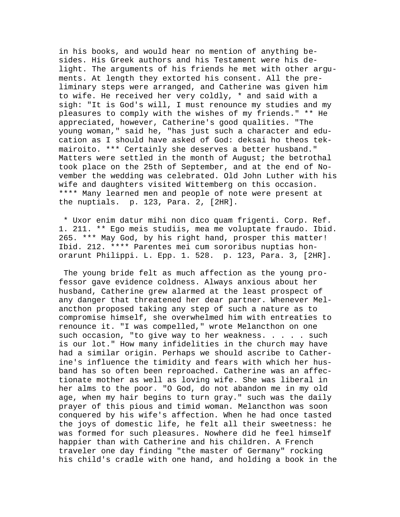in his books, and would hear no mention of anything besides. His Greek authors and his Testament were his delight. The arguments of his friends he met with other arguments. At length they extorted his consent. All the preliminary steps were arranged, and Catherine was given him to wife. He received her very coldly, \* and said with a sigh: "It is God's will, I must renounce my studies and my pleasures to comply with the wishes of my friends." \*\* He appreciated, however, Catherine's good qualities. "The young woman," said he, "has just such a character and education as I should have asked of God: deksai ho theos tekmairoito. \*\*\* Certainly she deserves a better husband." Matters were settled in the month of August; the betrothal took place on the 25th of September, and at the end of November the wedding was celebrated. Old John Luther with his wife and daughters visited Wittemberg on this occasion. \*\*\*\* Many learned men and people of note were present at the nuptials. p. 123, Para. 2, [2HR].

 \* Uxor enim datur mihi non dico quam frigenti. Corp. Ref. 1. 211. \*\* Ego meis studiis, mea me voluptate fraudo. Ibid. 265. \*\*\* May God, by his right hand, prosper this matter! Ibid. 212. \*\*\*\* Parentes mei cum sororibus nuptias honorarunt Philippi. L. Epp. 1. 528. p. 123, Para. 3, [2HR].

 The young bride felt as much affection as the young professor gave evidence coldness. Always anxious about her husband, Catherine grew alarmed at the least prospect of any danger that threatened her dear partner. Whenever Melancthon proposed taking any step of such a nature as to compromise himself, she overwhelmed him with entreaties to renounce it. "I was compelled," wrote Melancthon on one such occasion, "to give way to her weakness. . . . . such is our lot." How many infidelities in the church may have had a similar origin. Perhaps we should ascribe to Catherine's influence the timidity and fears with which her husband has so often been reproached. Catherine was an affectionate mother as well as loving wife. She was liberal in her alms to the poor. "O God, do not abandon me in my old age, when my hair begins to turn gray." such was the daily prayer of this pious and timid woman. Melancthon was soon conquered by his wife's affection. When he had once tasted the joys of domestic life, he felt all their sweetness: he was formed for such pleasures. Nowhere did he feel himself happier than with Catherine and his children. A French traveler one day finding "the master of Germany" rocking his child's cradle with one hand, and holding a book in the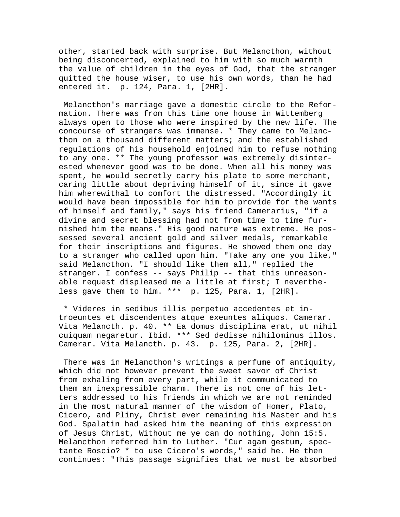other, started back with surprise. But Melancthon, without being disconcerted, explained to him with so much warmth the value of children in the eyes of God, that the stranger quitted the house wiser, to use his own words, than he had entered it. p. 124, Para. 1, [2HR].

 Melancthon's marriage gave a domestic circle to the Reformation. There was from this time one house in Wittemberg always open to those who were inspired by the new life. The concourse of strangers was immense. \* They came to Melancthon on a thousand different matters; and the established regulations of his household enjoined him to refuse nothing to any one. \*\* The young professor was extremely disinterested whenever good was to be done. When all his money was spent, he would secretly carry his plate to some merchant, caring little about depriving himself of it, since it gave him wherewithal to comfort the distressed. "Accordingly it would have been impossible for him to provide for the wants of himself and family," says his friend Camerarius, "if a divine and secret blessing had not from time to time furnished him the means." His good nature was extreme. He possessed several ancient gold and silver medals, remarkable for their inscriptions and figures. He showed them one day to a stranger who called upon him. "Take any one you like," said Melancthon. "I should like them all," replied the stranger. I confess -- says Philip -- that this unreasonable request displeased me a little at first; I nevertheless gave them to him. \*\*\* p. 125, Para. 1, [2HR].

 \* Videres in sedibus illis perpetuo accedentes et introeuntes et discendentes atque exeuntes aliquos. Camerar. Vita Melancth. p. 40. \*\* Ea domus disciplina erat, ut nihil cuiquam negaretur. Ibid. \*\*\* Sed dedisse nihilominus illos. Camerar. Vita Melancth. p. 43. p. 125, Para. 2, [2HR].

 There was in Melancthon's writings a perfume of antiquity, which did not however prevent the sweet savor of Christ from exhaling from every part, while it communicated to them an inexpressible charm. There is not one of his letters addressed to his friends in which we are not reminded in the most natural manner of the wisdom of Homer, Plato, Cicero, and Pliny, Christ ever remaining his Master and his God. Spalatin had asked him the meaning of this expression of Jesus Christ, Without me ye can do nothing, John 15:5. Melancthon referred him to Luther. "Cur agam gestum, spectante Roscio? \* to use Cicero's words," said he. He then continues: "This passage signifies that we must be absorbed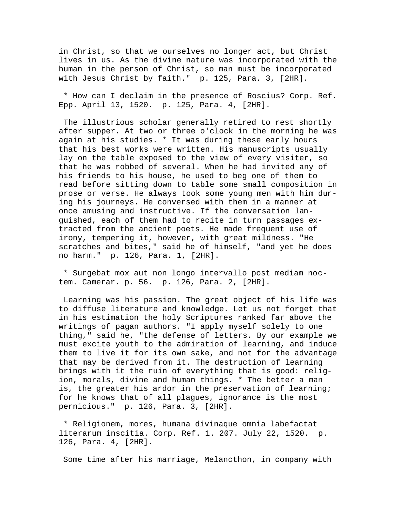in Christ, so that we ourselves no longer act, but Christ lives in us. As the divine nature was incorporated with the human in the person of Christ, so man must be incorporated with Jesus Christ by faith." p. 125, Para. 3, [2HR].

 \* How can I declaim in the presence of Roscius? Corp. Ref. Epp. April 13, 1520. p. 125, Para. 4, [2HR].

 The illustrious scholar generally retired to rest shortly after supper. At two or three o'clock in the morning he was again at his studies. \* It was during these early hours that his best works were written. His manuscripts usually lay on the table exposed to the view of every visiter, so that he was robbed of several. When he had invited any of his friends to his house, he used to beg one of them to read before sitting down to table some small composition in prose or verse. He always took some young men with him during his journeys. He conversed with them in a manner at once amusing and instructive. If the conversation languished, each of them had to recite in turn passages extracted from the ancient poets. He made frequent use of irony, tempering it, however, with great mildness. "He scratches and bites," said he of himself, "and yet he does no harm." p. 126, Para. 1, [2HR].

 \* Surgebat mox aut non longo intervallo post mediam noctem. Camerar. p. 56. p. 126, Para. 2, [2HR].

 Learning was his passion. The great object of his life was to diffuse literature and knowledge. Let us not forget that in his estimation the holy Scriptures ranked far above the writings of pagan authors. "I apply myself solely to one thing," said he, "the defense of letters. By our example we must excite youth to the admiration of learning, and induce them to live it for its own sake, and not for the advantage that may be derived from it. The destruction of learning brings with it the ruin of everything that is good: religion, morals, divine and human things. \* The better a man is, the greater his ardor in the preservation of learning; for he knows that of all plagues, ignorance is the most pernicious." p. 126, Para. 3, [2HR].

 \* Religionem, mores, humana divinaque omnia labefactat literarum inscitia. Corp. Ref. 1. 207. July 22, 1520. p. 126, Para. 4, [2HR].

Some time after his marriage, Melancthon, in company with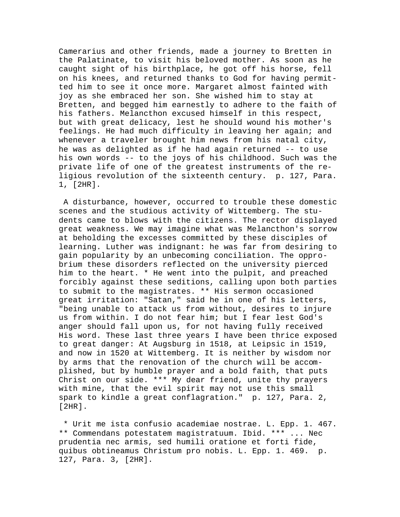Camerarius and other friends, made a journey to Bretten in the Palatinate, to visit his beloved mother. As soon as he caught sight of his birthplace, he got off his horse, fell on his knees, and returned thanks to God for having permitted him to see it once more. Margaret almost fainted with joy as she embraced her son. She wished him to stay at Bretten, and begged him earnestly to adhere to the faith of his fathers. Melancthon excused himself in this respect, but with great delicacy, lest he should wound his mother's feelings. He had much difficulty in leaving her again; and whenever a traveler brought him news from his natal city, he was as delighted as if he had again returned -- to use his own words -- to the joys of his childhood. Such was the private life of one of the greatest instruments of the religious revolution of the sixteenth century. p. 127, Para. 1, [2HR].

 A disturbance, however, occurred to trouble these domestic scenes and the studious activity of Wittemberg. The students came to blows with the citizens. The rector displayed great weakness. We may imagine what was Melancthon's sorrow at beholding the excesses committed by these disciples of learning. Luther was indignant: he was far from desiring to gain popularity by an unbecoming conciliation. The opprobrium these disorders reflected on the university pierced him to the heart. \* He went into the pulpit, and preached forcibly against these seditions, calling upon both parties to submit to the magistrates. \*\* His sermon occasioned great irritation: "Satan," said he in one of his letters, "being unable to attack us from without, desires to injure us from within. I do not fear him; but I fear lest God's anger should fall upon us, for not having fully received His word. These last three years I have been thrice exposed to great danger: At Augsburg in 1518, at Leipsic in 1519, and now in 1520 at Wittemberg. It is neither by wisdom nor by arms that the renovation of the church will be accomplished, but by humble prayer and a bold faith, that puts Christ on our side. \*\*\* My dear friend, unite thy prayers with mine, that the evil spirit may not use this small spark to kindle a great conflagration." p. 127, Para. 2, [2HR].

 \* Urit me ista confusio academiae nostrae. L. Epp. 1. 467. \*\* Commendans potestatem magistratuum. Ibid. \*\*\* ... Nec prudentia nec armis, sed humili oratione et forti fide, quibus obtineamus Christum pro nobis. L. Epp. 1. 469. p. 127, Para. 3, [2HR].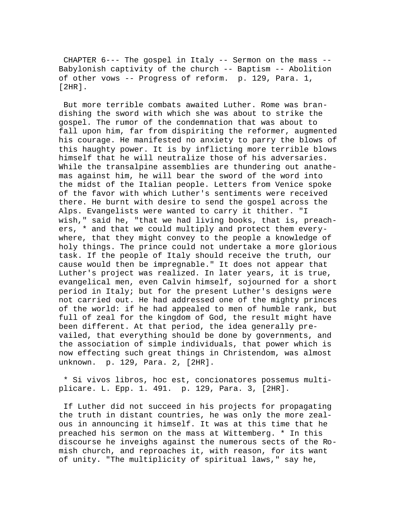CHAPTER 6--- The gospel in Italy -- Sermon on the mass -- Babylonish captivity of the church -- Baptism -- Abolition of other vows -- Progress of reform. p. 129, Para. 1, [2HR].

 But more terrible combats awaited Luther. Rome was brandishing the sword with which she was about to strike the gospel. The rumor of the condemnation that was about to fall upon him, far from dispiriting the reformer, augmented his courage. He manifested no anxiety to parry the blows of this haughty power. It is by inflicting more terrible blows himself that he will neutralize those of his adversaries. While the transalpine assemblies are thundering out anathemas against him, he will bear the sword of the word into the midst of the Italian people. Letters from Venice spoke of the favor with which Luther's sentiments were received there. He burnt with desire to send the gospel across the Alps. Evangelists were wanted to carry it thither. "I wish," said he, "that we had living books, that is, preachers, \* and that we could multiply and protect them everywhere, that they might convey to the people a knowledge of holy things. The prince could not undertake a more glorious task. If the people of Italy should receive the truth, our cause would then be impregnable." It does not appear that Luther's project was realized. In later years, it is true, evangelical men, even Calvin himself, sojourned for a short period in Italy; but for the present Luther's designs were not carried out. He had addressed one of the mighty princes of the world: if he had appealed to men of humble rank, but full of zeal for the kingdom of God, the result might have been different. At that period, the idea generally prevailed, that everything should be done by governments, and the association of simple individuals, that power which is now effecting such great things in Christendom, was almost unknown. p. 129, Para. 2, [2HR].

 \* Si vivos libros, hoc est, concionatores possemus multiplicare. L. Epp. 1. 491. p. 129, Para. 3, [2HR].

 If Luther did not succeed in his projects for propagating the truth in distant countries, he was only the more zealous in announcing it himself. It was at this time that he preached his sermon on the mass at Wittemberg. \* In this discourse he inveighs against the numerous sects of the Romish church, and reproaches it, with reason, for its want of unity. "The multiplicity of spiritual laws," say he,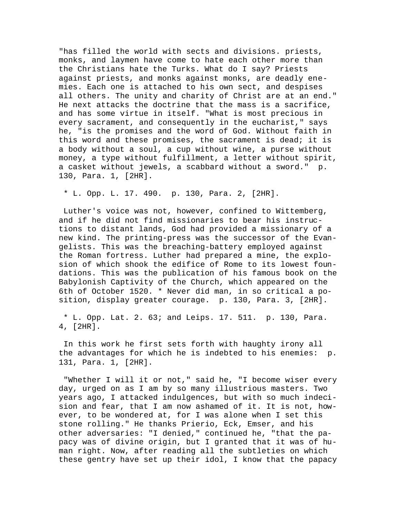"has filled the world with sects and divisions. priests, monks, and laymen have come to hate each other more than the Christians hate the Turks. What do I say? Priests against priests, and monks against monks, are deadly enemies. Each one is attached to his own sect, and despises all others. The unity and charity of Christ are at an end." He next attacks the doctrine that the mass is a sacrifice, and has some virtue in itself. "What is most precious in every sacrament, and consequently in the eucharist," says he, "is the promises and the word of God. Without faith in this word and these promises, the sacrament is dead; it is a body without a soul, a cup without wine, a purse without money, a type without fulfillment, a letter without spirit, a casket without jewels, a scabbard without a sword." p. 130, Para. 1, [2HR].

\* L. Opp. L. 17. 490. p. 130, Para. 2, [2HR].

 Luther's voice was not, however, confined to Wittemberg, and if he did not find missionaries to bear his instructions to distant lands, God had provided a missionary of a new kind. The printing-press was the successor of the Evangelists. This was the breaching-battery employed against the Roman fortress. Luther had prepared a mine, the explosion of which shook the edifice of Rome to its lowest foundations. This was the publication of his famous book on the Babylonish Captivity of the Church, which appeared on the 6th of October 1520. \* Never did man, in so critical a position, display greater courage. p. 130, Para. 3, [2HR].

 \* L. Opp. Lat. 2. 63; and Leips. 17. 511. p. 130, Para. 4, [2HR].

 In this work he first sets forth with haughty irony all the advantages for which he is indebted to his enemies: p. 131, Para. 1, [2HR].

 "Whether I will it or not," said he, "I become wiser every day, urged on as I am by so many illustrious masters. Two years ago, I attacked indulgences, but with so much indecision and fear, that I am now ashamed of it. It is not, however, to be wondered at, for I was alone when I set this stone rolling." He thanks Prierio, Eck, Emser, and his other adversaries: "I denied," continued he, "that the papacy was of divine origin, but I granted that it was of human right. Now, after reading all the subtleties on which these gentry have set up their idol, I know that the papacy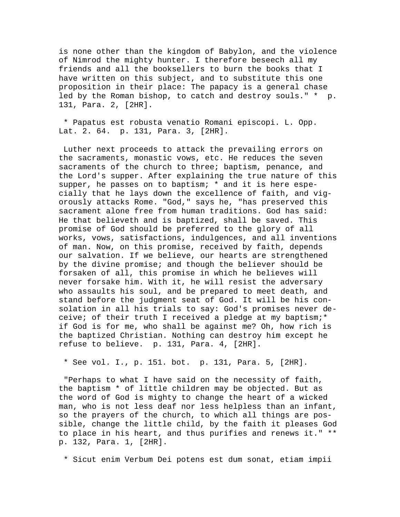is none other than the kingdom of Babylon, and the violence of Nimrod the mighty hunter. I therefore beseech all my friends and all the booksellers to burn the books that I have written on this subject, and to substitute this one proposition in their place: The papacy is a general chase led by the Roman bishop, to catch and destroy souls." \* p. 131, Para. 2, [2HR].

 \* Papatus est robusta venatio Romani episcopi. L. Opp. Lat. 2. 64. p. 131, Para. 3, [2HR].

 Luther next proceeds to attack the prevailing errors on the sacraments, monastic vows, etc. He reduces the seven sacraments of the church to three; baptism, penance, and the Lord's supper. After explaining the true nature of this supper, he passes on to baptism; \* and it is here especially that he lays down the excellence of faith, and vigorously attacks Rome. "God," says he, "has preserved this sacrament alone free from human traditions. God has said: He that believeth and is baptized, shall be saved. This promise of God should be preferred to the glory of all works, vows, satisfactions, indulgences, and all inventions of man. Now, on this promise, received by faith, depends our salvation. If we believe, our hearts are strengthened by the divine promise; and though the believer should be forsaken of all, this promise in which he believes will never forsake him. With it, he will resist the adversary who assaults his soul, and be prepared to meet death, and stand before the judgment seat of God. It will be his consolation in all his trials to say: God's promises never deceive; of their truth I received a pledge at my baptism;\* if God is for me, who shall be against me? Oh, how rich is the baptized Christian. Nothing can destroy him except he refuse to believe. p. 131, Para. 4, [2HR].

\* See vol. I., p. 151. bot. p. 131, Para. 5, [2HR].

 "Perhaps to what I have said on the necessity of faith, the baptism \* of little children may be objected. But as the word of God is mighty to change the heart of a wicked man, who is not less deaf nor less helpless than an infant, so the prayers of the church, to which all things are possible, change the little child, by the faith it pleases God to place in his heart, and thus purifies and renews it." \*\* p. 132, Para. 1, [2HR].

\* Sicut enim Verbum Dei potens est dum sonat, etiam impii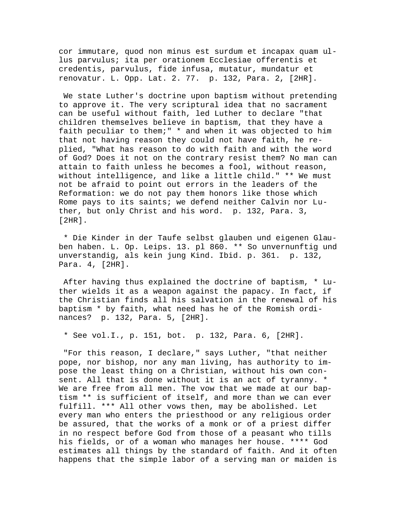cor immutare, quod non minus est surdum et incapax quam ullus parvulus; ita per orationem Ecclesiae offerentis et credentis, parvulus, fide infusa, mutatur, mundatur et renovatur. L. Opp. Lat. 2. 77. p. 132, Para. 2, [2HR].

 We state Luther's doctrine upon baptism without pretending to approve it. The very scriptural idea that no sacrament can be useful without faith, led Luther to declare "that children themselves believe in baptism, that they have a faith peculiar to them;" \* and when it was objected to him that not having reason they could not have faith, he replied, "What has reason to do with faith and with the word of God? Does it not on the contrary resist them? No man can attain to faith unless he becomes a fool, without reason, without intelligence, and like a little child." \*\* We must not be afraid to point out errors in the leaders of the Reformation: we do not pay them honors like those which Rome pays to its saints; we defend neither Calvin nor Luther, but only Christ and his word. p. 132, Para. 3,  $[2HR]$ .

 \* Die Kinder in der Taufe selbst glauben und eigenen Glauben haben. L. Op. Leips. 13. pl 860. \*\* So unvernunftig und unverstandig, als kein jung Kind. Ibid. p. 361. p. 132, Para. 4, [2HR].

 After having thus explained the doctrine of baptism, \* Luther wields it as a weapon against the papacy. In fact, if the Christian finds all his salvation in the renewal of his baptism \* by faith, what need has he of the Romish ordinances? p. 132, Para. 5, [2HR].

\* See vol.I., p. 151, bot. p. 132, Para. 6, [2HR].

 "For this reason, I declare," says Luther, "that neither pope, nor bishop, nor any man living, has authority to impose the least thing on a Christian, without his own consent. All that is done without it is an act of tyranny. \* We are free from all men. The vow that we made at our baptism \*\* is sufficient of itself, and more than we can ever fulfill. \*\*\* All other vows then, may be abolished. Let every man who enters the priesthood or any religious order be assured, that the works of a monk or of a priest differ in no respect before God from those of a peasant who tills his fields, or of a woman who manages her house. \*\*\*\* God estimates all things by the standard of faith. And it often happens that the simple labor of a serving man or maiden is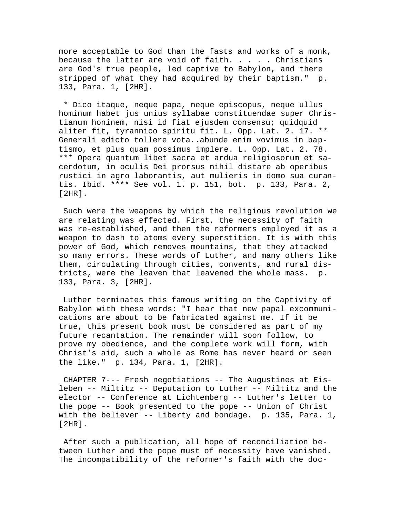more acceptable to God than the fasts and works of a monk, because the latter are void of faith. . . . . Christians are God's true people, led captive to Babylon, and there stripped of what they had acquired by their baptism." p. 133, Para. 1, [2HR].

 \* Dico itaque, neque papa, neque episcopus, neque ullus hominum habet jus unius syllabae constituendae super Christianum honinem, nisi id fiat ejusdem consensu; quidquid aliter fit, tyrannico spiritu fit. L. Opp. Lat. 2. 17. \*\* Generali edicto tollere vota..abunde enim vovimus in baptismo, et plus quam possimus implere. L. Opp. Lat. 2. 78. \*\*\* Opera quantum libet sacra et ardua religiosorum et sacerdotum, in oculis Dei prorsus nihil distare ab operibus rustici in agro laborantis, aut mulieris in domo sua curantis. Ibid. \*\*\*\* See vol. 1. p. 151, bot. p. 133, Para. 2, [2HR].

 Such were the weapons by which the religious revolution we are relating was effected. First, the necessity of faith was re-established, and then the reformers employed it as a weapon to dash to atoms every superstition. It is with this power of God, which removes mountains, that they attacked so many errors. These words of Luther, and many others like them, circulating through cities, convents, and rural districts, were the leaven that leavened the whole mass. p. 133, Para. 3, [2HR].

 Luther terminates this famous writing on the Captivity of Babylon with these words: "I hear that new papal excommunications are about to be fabricated against me. If it be true, this present book must be considered as part of my future recantation. The remainder will soon follow, to prove my obedience, and the complete work will form, with Christ's aid, such a whole as Rome has never heard or seen the like." p. 134, Para. 1, [2HR].

 CHAPTER 7--- Fresh negotiations -- The Augustines at Eisleben -- Miltitz -- Deputation to Luther -- Miltitz and the elector -- Conference at Lichtemberg -- Luther's letter to the pope -- Book presented to the pope -- Union of Christ with the believer -- Liberty and bondage. p. 135, Para. 1, [2HR].

 After such a publication, all hope of reconciliation between Luther and the pope must of necessity have vanished. The incompatibility of the reformer's faith with the doc-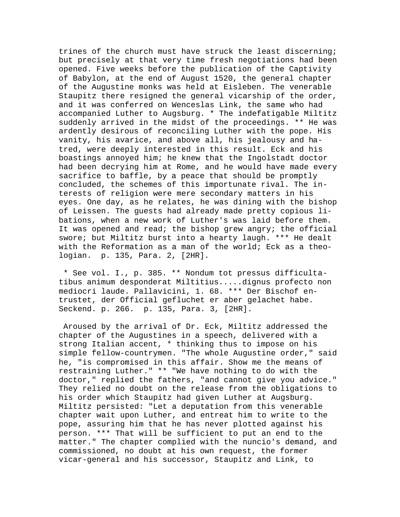trines of the church must have struck the least discerning; but precisely at that very time fresh negotiations had been opened. Five weeks before the publication of the Captivity of Babylon, at the end of August 1520, the general chapter of the Augustine monks was held at Eisleben. The venerable Staupitz there resigned the general vicarship of the order, and it was conferred on Wenceslas Link, the same who had accompanied Luther to Augsburg. \* The indefatigable Miltitz suddenly arrived in the midst of the proceedings. \*\* He was ardently desirous of reconciling Luther with the pope. His vanity, his avarice, and above all, his jealousy and hatred, were deeply interested in this result. Eck and his boastings annoyed him; he knew that the Ingolstadt doctor had been decrying him at Rome, and he would have made every sacrifice to baffle, by a peace that should be promptly concluded, the schemes of this importunate rival. The interests of religion were mere secondary matters in his eyes. One day, as he relates, he was dining with the bishop of Leissen. The guests had already made pretty copious libations, when a new work of Luther's was laid before them. It was opened and read; the bishop grew angry; the official swore; but Miltitz burst into a hearty laugh. \*\*\* He dealt with the Reformation as a man of the world; Eck as a theologian. p. 135, Para. 2, [2HR].

 \* See vol. I., p. 385. \*\* Nondum tot pressus difficultatibus animum desponderat Miltitius.....dignus profecto non mediocri laude. Pallavicini, 1. 68. \*\*\* Der Bischof entrustet, der Official gefluchet er aber gelachet habe. Seckend. p. 266. p. 135, Para. 3, [2HR].

 Aroused by the arrival of Dr. Eck, Miltitz addressed the chapter of the Augustines in a speech, delivered with a strong Italian accent, \* thinking thus to impose on his simple fellow-countrymen. "The whole Augustine order," said he, "is compromised in this affair. Show me the means of restraining Luther." \*\* "We have nothing to do with the doctor," replied the fathers, "and cannot give you advice." They relied no doubt on the release from the obligations to his order which Staupitz had given Luther at Augsburg. Miltitz persisted: "Let a deputation from this venerable chapter wait upon Luther, and entreat him to write to the pope, assuring him that he has never plotted against his person. \*\*\* That will be sufficient to put an end to the matter." The chapter complied with the nuncio's demand, and commissioned, no doubt at his own request, the former vicar-general and his successor, Staupitz and Link, to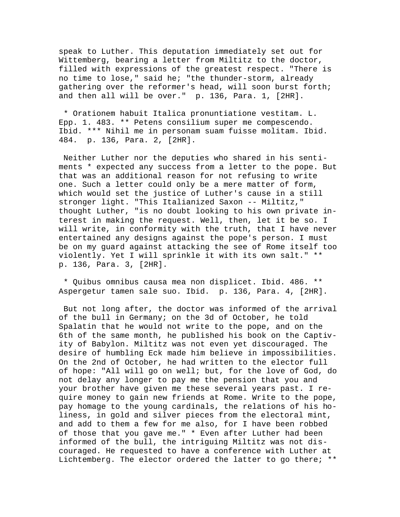speak to Luther. This deputation immediately set out for Wittemberg, bearing a letter from Miltitz to the doctor, filled with expressions of the greatest respect. "There is no time to lose," said he; "the thunder-storm, already gathering over the reformer's head, will soon burst forth; and then all will be over." p. 136, Para. 1, [2HR].

 \* Orationem habuit Italica pronuntiatione vestitam. L. Epp. 1. 483. \*\* Petens consilium super me compescendo. Ibid. \*\*\* Nihil me in personam suam fuisse molitam. Ibid. 484. p. 136, Para. 2, [2HR].

 Neither Luther nor the deputies who shared in his sentiments \* expected any success from a letter to the pope. But that was an additional reason for not refusing to write one. Such a letter could only be a mere matter of form, which would set the justice of Luther's cause in a still stronger light. "This Italianized Saxon -- Miltitz," thought Luther, "is no doubt looking to his own private interest in making the request. Well, then, let it be so. I will write, in conformity with the truth, that I have never entertained any designs against the pope's person. I must be on my guard against attacking the see of Rome itself too violently. Yet I will sprinkle it with its own salt." \*\* p. 136, Para. 3, [2HR].

 \* Quibus omnibus causa mea non displicet. Ibid. 486. \*\* Aspergetur tamen sale suo. Ibid. p. 136, Para. 4, [2HR].

 But not long after, the doctor was informed of the arrival of the bull in Germany; on the 3d of October, he told Spalatin that he would not write to the pope, and on the 6th of the same month, he published his book on the Captivity of Babylon. Miltitz was not even yet discouraged. The desire of humbling Eck made him believe in impossibilities. On the 2nd of October, he had written to the elector full of hope: "All will go on well; but, for the love of God, do not delay any longer to pay me the pension that you and your brother have given me these several years past. I require money to gain new friends at Rome. Write to the pope, pay homage to the young cardinals, the relations of his holiness, in gold and silver pieces from the electoral mint, and add to them a few for me also, for I have been robbed of those that you gave me." \* Even after Luther had been informed of the bull, the intriguing Miltitz was not discouraged. He requested to have a conference with Luther at Lichtemberg. The elector ordered the latter to go there; \*\*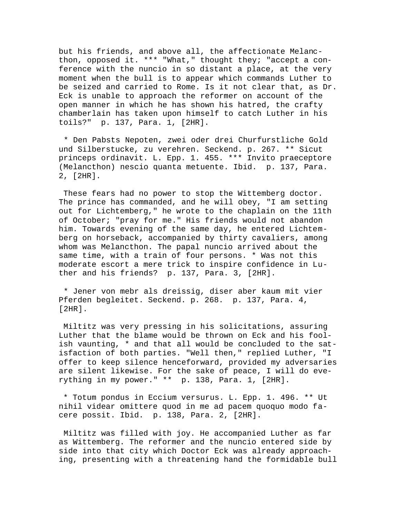but his friends, and above all, the affectionate Melancthon, opposed it. \*\*\* "What," thought they; "accept a conference with the nuncio in so distant a place, at the very moment when the bull is to appear which commands Luther to be seized and carried to Rome. Is it not clear that, as Dr. Eck is unable to approach the reformer on account of the open manner in which he has shown his hatred, the crafty chamberlain has taken upon himself to catch Luther in his toils?" p. 137, Para. 1, [2HR].

 \* Den Pabsts Nepoten, zwei oder drei Churfurstliche Gold und Silberstucke, zu verehren. Seckend. p. 267. \*\* Sicut princeps ordinavit. L. Epp. 1. 455. \*\*\* Invito praeceptore (Melancthon) nescio quanta metuente. Ibid. p. 137, Para. 2, [2HR].

 These fears had no power to stop the Wittemberg doctor. The prince has commanded, and he will obey, "I am setting out for Lichtemberg," he wrote to the chaplain on the 11th of October; "pray for me." His friends would not abandon him. Towards evening of the same day, he entered Lichtemberg on horseback, accompanied by thirty cavaliers, among whom was Melancthon. The papal nuncio arrived about the same time, with a train of four persons. \* Was not this moderate escort a mere trick to inspire confidence in Luther and his friends? p. 137, Para. 3, [2HR].

 \* Jener von mebr als dreissig, diser aber kaum mit vier Pferden begleitet. Seckend. p. 268. p. 137, Para. 4,  $[2HR]$ .

 Miltitz was very pressing in his solicitations, assuring Luther that the blame would be thrown on Eck and his foolish vaunting, \* and that all would be concluded to the satisfaction of both parties. "Well then," replied Luther, "I offer to keep silence henceforward, provided my adversaries are silent likewise. For the sake of peace, I will do everything in my power." \*\* p. 138, Para. 1, [2HR].

 \* Totum pondus in Eccium versurus. L. Epp. 1. 496. \*\* Ut nihil videar omittere quod in me ad pacem quoquo modo facere possit. Ibid. p. 138, Para. 2, [2HR].

 Miltitz was filled with joy. He accompanied Luther as far as Wittemberg. The reformer and the nuncio entered side by side into that city which Doctor Eck was already approaching, presenting with a threatening hand the formidable bull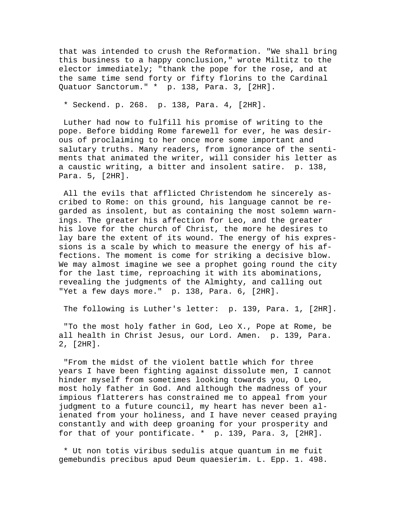that was intended to crush the Reformation. "We shall bring this business to a happy conclusion," wrote Miltitz to the elector immediately; "thank the pope for the rose, and at the same time send forty or fifty florins to the Cardinal Quatuor Sanctorum." \* p. 138, Para. 3, [2HR].

\* Seckend. p. 268. p. 138, Para. 4, [2HR].

 Luther had now to fulfill his promise of writing to the pope. Before bidding Rome farewell for ever, he was desirous of proclaiming to her once more some important and salutary truths. Many readers, from ignorance of the sentiments that animated the writer, will consider his letter as a caustic writing, a bitter and insolent satire. p. 138, Para. 5, [2HR].

 All the evils that afflicted Christendom he sincerely ascribed to Rome: on this ground, his language cannot be regarded as insolent, but as containing the most solemn warnings. The greater his affection for Leo, and the greater his love for the church of Christ, the more he desires to lay bare the extent of its wound. The energy of his expressions is a scale by which to measure the energy of his affections. The moment is come for striking a decisive blow. We may almost imagine we see a prophet going round the city for the last time, reproaching it with its abominations, revealing the judgments of the Almighty, and calling out "Yet a few days more." p. 138, Para. 6, [2HR].

The following is Luther's letter: p. 139, Para. 1, [2HR].

 "To the most holy father in God, Leo X., Pope at Rome, be all health in Christ Jesus, our Lord. Amen. p. 139, Para. 2, [2HR].

 "From the midst of the violent battle which for three years I have been fighting against dissolute men, I cannot hinder myself from sometimes looking towards you, O Leo, most holy father in God. And although the madness of your impious flatterers has constrained me to appeal from your judgment to a future council, my heart has never been alienated from your holiness, and I have never ceased praying constantly and with deep groaning for your prosperity and for that of your pontificate. \* p. 139, Para. 3, [2HR].

 \* Ut non totis viribus sedulis atque quantum in me fuit gemebundis precibus apud Deum quaesierim. L. Epp. 1. 498.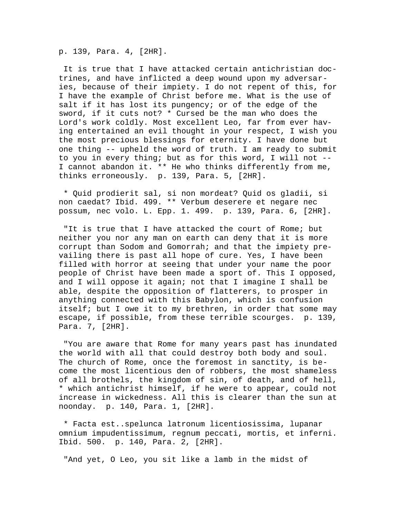p. 139, Para. 4, [2HR].

 It is true that I have attacked certain antichristian doctrines, and have inflicted a deep wound upon my adversaries, because of their impiety. I do not repent of this, for I have the example of Christ before me. What is the use of salt if it has lost its pungency; or of the edge of the sword, if it cuts not? \* Cursed be the man who does the Lord's work coldly. Most excellent Leo, far from ever having entertained an evil thought in your respect, I wish you the most precious blessings for eternity. I have done but one thing -- upheld the word of truth. I am ready to submit to you in every thing; but as for this word, I will not -- I cannot abandon it. \*\* He who thinks differently from me, thinks erroneously. p. 139, Para. 5, [2HR].

 \* Quid prodierit sal, si non mordeat? Quid os gladii, si non caedat? Ibid. 499. \*\* Verbum deserere et negare nec possum, nec volo. L. Epp. 1. 499. p. 139, Para. 6, [2HR].

 "It is true that I have attacked the court of Rome; but neither you nor any man on earth can deny that it is more corrupt than Sodom and Gomorrah; and that the impiety prevailing there is past all hope of cure. Yes, I have been filled with horror at seeing that under your name the poor people of Christ have been made a sport of. This I opposed, and I will oppose it again; not that I imagine I shall be able, despite the opposition of flatterers, to prosper in anything connected with this Babylon, which is confusion itself; but I owe it to my brethren, in order that some may escape, if possible, from these terrible scourges. p. 139, Para. 7, [2HR].

 "You are aware that Rome for many years past has inundated the world with all that could destroy both body and soul. The church of Rome, once the foremost in sanctity, is become the most licentious den of robbers, the most shameless of all brothels, the kingdom of sin, of death, and of hell, \* which antichrist himself, if he were to appear, could not increase in wickedness. All this is clearer than the sun at noonday. p. 140, Para. 1, [2HR].

 \* Facta est..spelunca latronum licentiosissima, lupanar omnium impudentissimum, regnum peccati, mortis, et inferni. Ibid. 500. p. 140, Para. 2, [2HR].

"And yet, O Leo, you sit like a lamb in the midst of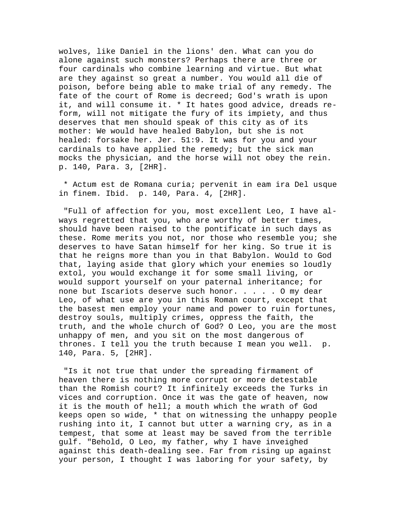wolves, like Daniel in the lions' den. What can you do alone against such monsters? Perhaps there are three or four cardinals who combine learning and virtue. But what are they against so great a number. You would all die of poison, before being able to make trial of any remedy. The fate of the court of Rome is decreed; God's wrath is upon it, and will consume it. \* It hates good advice, dreads reform, will not mitigate the fury of its impiety, and thus deserves that men should speak of this city as of its mother: We would have healed Babylon, but she is not healed: forsake her. Jer. 51:9. It was for you and your cardinals to have applied the remedy; but the sick man mocks the physician, and the horse will not obey the rein. p. 140, Para. 3, [2HR].

 \* Actum est de Romana curia; pervenit in eam ira Del usque in finem. Ibid. p. 140, Para. 4, [2HR].

 "Full of affection for you, most excellent Leo, I have always regretted that you, who are worthy of better times, should have been raised to the pontificate in such days as these. Rome merits you not, nor those who resemble you; she deserves to have Satan himself for her king. So true it is that he reigns more than you in that Babylon. Would to God that, laying aside that glory which your enemies so loudly extol, you would exchange it for some small living, or would support yourself on your paternal inheritance; for none but Iscariots deserve such honor. . . . . O my dear Leo, of what use are you in this Roman court, except that the basest men employ your name and power to ruin fortunes, destroy souls, multiply crimes, oppress the faith, the truth, and the whole church of God? O Leo, you are the most unhappy of men, and you sit on the most dangerous of thrones. I tell you the truth because I mean you well. p. 140, Para. 5, [2HR].

 "Is it not true that under the spreading firmament of heaven there is nothing more corrupt or more detestable than the Romish court? It infinitely exceeds the Turks in vices and corruption. Once it was the gate of heaven, now it is the mouth of hell; a mouth which the wrath of God keeps open so wide, \* that on witnessing the unhappy people rushing into it, I cannot but utter a warning cry, as in a tempest, that some at least may be saved from the terrible gulf. "Behold, O Leo, my father, why I have inveighed against this death-dealing see. Far from rising up against your person, I thought I was laboring for your safety, by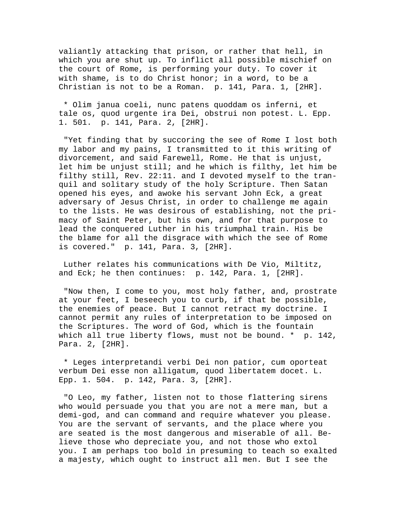valiantly attacking that prison, or rather that hell, in which you are shut up. To inflict all possible mischief on the court of Rome, is performing your duty. To cover it with shame, is to do Christ honor; in a word, to be a Christian is not to be a Roman. p. 141, Para. 1, [2HR].

 \* Olim janua coeli, nunc patens quoddam os inferni, et tale os, quod urgente ira Dei, obstrui non potest. L. Epp. 1. 501. p. 141, Para. 2, [2HR].

 "Yet finding that by succoring the see of Rome I lost both my labor and my pains, I transmitted to it this writing of divorcement, and said Farewell, Rome. He that is unjust, let him be unjust still; and he which is filthy, let him be filthy still, Rev. 22:11. and I devoted myself to the tranquil and solitary study of the holy Scripture. Then Satan opened his eyes, and awoke his servant John Eck, a great adversary of Jesus Christ, in order to challenge me again to the lists. He was desirous of establishing, not the primacy of Saint Peter, but his own, and for that purpose to lead the conquered Luther in his triumphal train. His be the blame for all the disgrace with which the see of Rome is covered." p. 141, Para. 3, [2HR].

 Luther relates his communications with De Vio, Miltitz, and Eck; he then continues: p. 142, Para. 1, [2HR].

 "Now then, I come to you, most holy father, and, prostrate at your feet, I beseech you to curb, if that be possible, the enemies of peace. But I cannot retract my doctrine. I cannot permit any rules of interpretation to be imposed on the Scriptures. The word of God, which is the fountain which all true liberty flows, must not be bound. \* p. 142, Para. 2, [2HR].

 \* Leges interpretandi verbi Dei non patior, cum oporteat verbum Dei esse non alligatum, quod libertatem docet. L. Epp. 1. 504. p. 142, Para. 3, [2HR].

 "O Leo, my father, listen not to those flattering sirens who would persuade you that you are not a mere man, but a demi-god, and can command and require whatever you please. You are the servant of servants, and the place where you are seated is the most dangerous and miserable of all. Believe those who depreciate you, and not those who extol you. I am perhaps too bold in presuming to teach so exalted a majesty, which ought to instruct all men. But I see the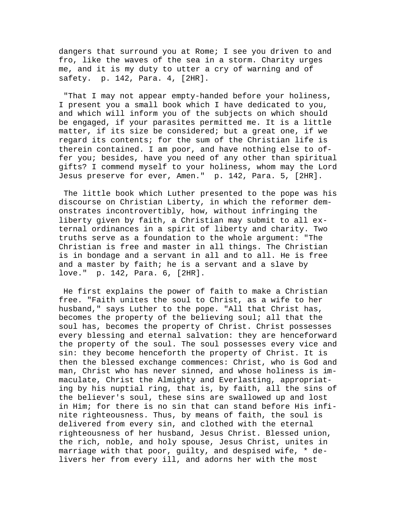dangers that surround you at Rome; I see you driven to and fro, like the waves of the sea in a storm. Charity urges me, and it is my duty to utter a cry of warning and of safety. p. 142, Para. 4, [2HR].

 "That I may not appear empty-handed before your holiness, I present you a small book which I have dedicated to you, and which will inform you of the subjects on which should be engaged, if your parasites permitted me. It is a little matter, if its size be considered; but a great one, if we regard its contents; for the sum of the Christian life is therein contained. I am poor, and have nothing else to offer you; besides, have you need of any other than spiritual gifts? I commend myself to your holiness, whom may the Lord Jesus preserve for ever, Amen." p. 142, Para. 5, [2HR].

 The little book which Luther presented to the pope was his discourse on Christian Liberty, in which the reformer demonstrates incontrovertibly, how, without infringing the liberty given by faith, a Christian may submit to all external ordinances in a spirit of liberty and charity. Two truths serve as a foundation to the whole argument: "The Christian is free and master in all things. The Christian is in bondage and a servant in all and to all. He is free and a master by faith; he is a servant and a slave by love." p. 142, Para. 6, [2HR].

 He first explains the power of faith to make a Christian free. "Faith unites the soul to Christ, as a wife to her husband," says Luther to the pope. "All that Christ has, becomes the property of the believing soul; all that the soul has, becomes the property of Christ. Christ possesses every blessing and eternal salvation: they are henceforward the property of the soul. The soul possesses every vice and sin: they become henceforth the property of Christ. It is then the blessed exchange commences: Christ, who is God and man, Christ who has never sinned, and whose holiness is immaculate, Christ the Almighty and Everlasting, appropriating by his nuptial ring, that is, by faith, all the sins of the believer's soul, these sins are swallowed up and lost in Him; for there is no sin that can stand before His infinite righteousness. Thus, by means of faith, the soul is delivered from every sin, and clothed with the eternal righteousness of her husband, Jesus Christ. Blessed union, the rich, noble, and holy spouse, Jesus Christ, unites in marriage with that poor, guilty, and despised wife, \* delivers her from every ill, and adorns her with the most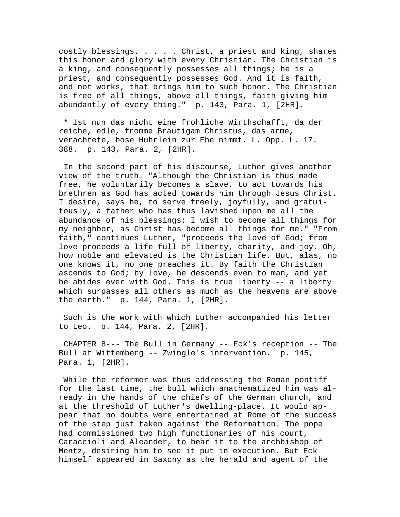costly blessings. . . . . Christ, a priest and king, shares this honor and glory with every Christian. The Christian is a king, and consequently possesses all things; he is a priest, and consequently possesses God. And it is faith, and not works, that brings him to such honor. The Christian is free of all things, above all things, faith giving him abundantly of every thing." p. 143, Para. 1, [2HR].

 \* Ist nun das nicht eine frohliche Wirthschafft, da der reiche, edle, fromme Brautigam Christus, das arme, verachtete, bose Huhrlein zur Ehe nimmt. L. Opp. L. 17. 388. p. 143, Para. 2, [2HR].

 In the second part of his discourse, Luther gives another view of the truth. "Although the Christian is thus made free, he voluntarily becomes a slave, to act towards his brethren as God has acted towards him through Jesus Christ. I desire, says he, to serve freely, joyfully, and gratuitously, a father who has thus lavished upon me all the abundance of his blessings: I wish to become all things for my neighbor, as Christ has become all things for me." "From faith," continues Luther, "proceeds the love of God; from love proceeds a life full of liberty, charity, and joy. Oh, how noble and elevated is the Christian life. But, alas, no one knows it, no one preaches it. By faith the Christian ascends to God; by love, he descends even to man, and yet he abides ever with God. This is true liberty -- a liberty which surpasses all others as much as the heavens are above the earth." p. 144, Para. 1, [2HR].

 Such is the work with which Luther accompanied his letter to Leo. p. 144, Para. 2, [2HR].

 CHAPTER 8--- The Bull in Germany -- Eck's reception -- The Bull at Wittemberg -- Zwingle's intervention. p. 145, Para. 1, [2HR].

 While the reformer was thus addressing the Roman pontiff for the last time, the bull which anathematized him was already in the hands of the chiefs of the German church, and at the threshold of Luther's dwelling-place. It would appear that no doubts were entertained at Rome of the success of the step just taken against the Reformation. The pope had commissioned two high functionaries of his court, Caraccioli and Aleander, to bear it to the archbishop of Mentz, desiring him to see it put in execution. But Eck himself appeared in Saxony as the herald and agent of the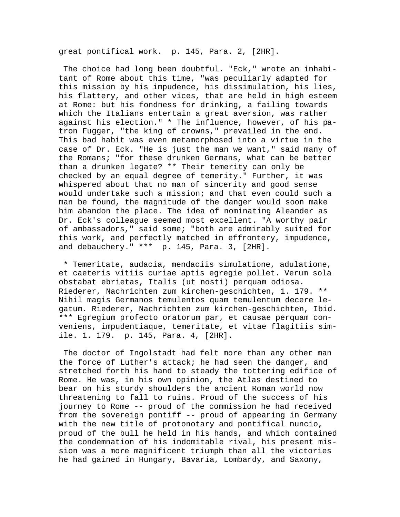great pontifical work. p. 145, Para. 2, [2HR].

 The choice had long been doubtful. "Eck," wrote an inhabitant of Rome about this time, "was peculiarly adapted for this mission by his impudence, his dissimulation, his lies, his flattery, and other vices, that are held in high esteem at Rome: but his fondness for drinking, a failing towards which the Italians entertain a great aversion, was rather against his election." \* The influence, however, of his patron Fugger, "the king of crowns," prevailed in the end. This bad habit was even metamorphosed into a virtue in the case of Dr. Eck. "He is just the man we want," said many of the Romans; "for these drunken Germans, what can be better than a drunken legate? \*\* Their temerity can only be checked by an equal degree of temerity." Further, it was whispered about that no man of sincerity and good sense would undertake such a mission; and that even could such a man be found, the magnitude of the danger would soon make him abandon the place. The idea of nominating Aleander as Dr. Eck's colleague seemed most excellent. "A worthy pair of ambassadors," said some; "both are admirably suited for this work, and perfectly matched in effrontery, impudence, and debauchery." \*\*\* p. 145, Para. 3, [2HR].

 \* Temeritate, audacia, mendaciis simulatione, adulatione, et caeteris vitiis curiae aptis egregie pollet. Verum sola obstabat ebrietas, Italis (ut nosti) perquam odiosa. Riederer, Nachrichten zum kirchen-geschichten, 1. 179. \*\* Nihil magis Germanos temulentos quam temulentum decere legatum. Riederer, Nachrichten zum kirchen-geschichten, Ibid. \*\*\* Egregium profecto oratorum par, et causae perquam conveniens, impudentiaque, temeritate, et vitae flagitiis simile. 1. 179. p. 145, Para. 4, [2HR].

 The doctor of Ingolstadt had felt more than any other man the force of Luther's attack; he had seen the danger, and stretched forth his hand to steady the tottering edifice of Rome. He was, in his own opinion, the Atlas destined to bear on his sturdy shoulders the ancient Roman world now threatening to fall to ruins. Proud of the success of his journey to Rome -- proud of the commission he had received from the sovereign pontiff -- proud of appearing in Germany with the new title of protonotary and pontifical nuncio, proud of the bull he held in his hands, and which contained the condemnation of his indomitable rival, his present mission was a more magnificent triumph than all the victories he had gained in Hungary, Bavaria, Lombardy, and Saxony,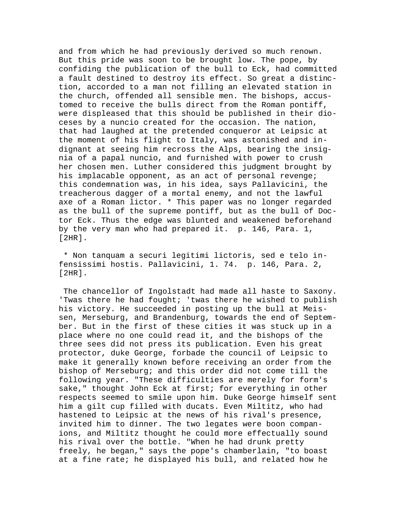and from which he had previously derived so much renown. But this pride was soon to be brought low. The pope, by confiding the publication of the bull to Eck, had committed a fault destined to destroy its effect. So great a distinction, accorded to a man not filling an elevated station in the church, offended all sensible men. The bishops, accustomed to receive the bulls direct from the Roman pontiff, were displeased that this should be published in their dioceses by a nuncio created for the occasion. The nation, that had laughed at the pretended conqueror at Leipsic at the moment of his flight to Italy, was astonished and indignant at seeing him recross the Alps, bearing the insignia of a papal nuncio, and furnished with power to crush her chosen men. Luther considered this judgment brought by his implacable opponent, as an act of personal revenge; this condemnation was, in his idea, says Pallavicini, the treacherous dagger of a mortal enemy, and not the lawful axe of a Roman lictor. \* This paper was no longer regarded as the bull of the supreme pontiff, but as the bull of Doctor Eck. Thus the edge was blunted and weakened beforehand by the very man who had prepared it. p. 146, Para. 1,  $[2HR]$ .

 \* Non tanquam a securi legitimi lictoris, sed e telo infensissimi hostis. Pallavicini, 1. 74. p. 146, Para. 2, [2HR].

 The chancellor of Ingolstadt had made all haste to Saxony. 'Twas there he had fought; 'twas there he wished to publish his victory. He succeeded in posting up the bull at Meissen, Merseburg, and Brandenburg, towards the end of September. But in the first of these cities it was stuck up in a place where no one could read it, and the bishops of the three sees did not press its publication. Even his great protector, duke George, forbade the council of Leipsic to make it generally known before receiving an order from the bishop of Merseburg; and this order did not come till the following year. "These difficulties are merely for form's sake," thought John Eck at first; for everything in other respects seemed to smile upon him. Duke George himself sent him a gilt cup filled with ducats. Even Miltitz, who had hastened to Leipsic at the news of his rival's presence, invited him to dinner. The two legates were boon companions, and Miltitz thought he could more effectually sound his rival over the bottle. "When he had drunk pretty freely, he began," says the pope's chamberlain, "to boast at a fine rate; he displayed his bull, and related how he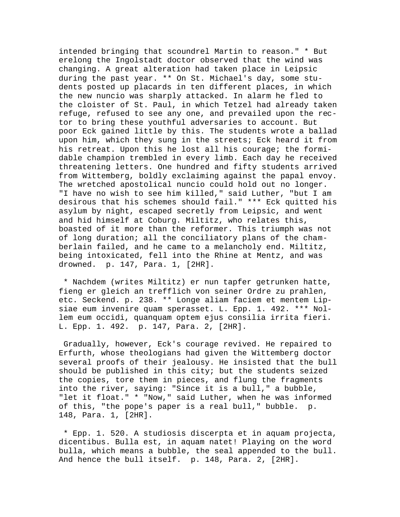intended bringing that scoundrel Martin to reason." \* But erelong the Ingolstadt doctor observed that the wind was changing. A great alteration had taken place in Leipsic during the past year. \*\* On St. Michael's day, some students posted up placards in ten different places, in which the new nuncio was sharply attacked. In alarm he fled to the cloister of St. Paul, in which Tetzel had already taken refuge, refused to see any one, and prevailed upon the rector to bring these youthful adversaries to account. But poor Eck gained little by this. The students wrote a ballad upon him, which they sung in the streets; Eck heard it from his retreat. Upon this he lost all his courage; the formidable champion trembled in every limb. Each day he received threatening letters. One hundred and fifty students arrived from Wittemberg, boldly exclaiming against the papal envoy. The wretched apostolical nuncio could hold out no longer. "I have no wish to see him killed," said Luther, "but I am desirous that his schemes should fail." \*\*\* Eck quitted his asylum by night, escaped secretly from Leipsic, and went and hid himself at Coburg. Miltitz, who relates this, boasted of it more than the reformer. This triumph was not of long duration; all the conciliatory plans of the chamberlain failed, and he came to a melancholy end. Miltitz, being intoxicated, fell into the Rhine at Mentz, and was drowned. p. 147, Para. 1, [2HR].

 \* Nachdem (writes Miltitz) er nun tapfer getrunken hatte, fieng er gleich an trefflich von seiner Ordre zu prahlen, etc. Seckend. p. 238. \*\* Longe aliam faciem et mentem Lipsiae eum invenire quam sperasset. L. Epp. 1. 492. \*\*\* Nollem eum occidi, quanquam optem ejus consilia irrita fieri. L. Epp. 1. 492. p. 147, Para. 2, [2HR].

 Gradually, however, Eck's courage revived. He repaired to Erfurth, whose theologians had given the Wittemberg doctor several proofs of their jealousy. He insisted that the bull should be published in this city; but the students seized the copies, tore them in pieces, and flung the fragments into the river, saying: "Since it is a bull," a bubble, "let it float." \* "Now," said Luther, when he was informed of this, "the pope's paper is a real bull," bubble. p. 148, Para. 1, [2HR].

 \* Epp. 1. 520. A studiosis discerpta et in aquam projecta, dicentibus. Bulla est, in aquam natet! Playing on the word bulla, which means a bubble, the seal appended to the bull. And hence the bull itself. p. 148, Para. 2, [2HR].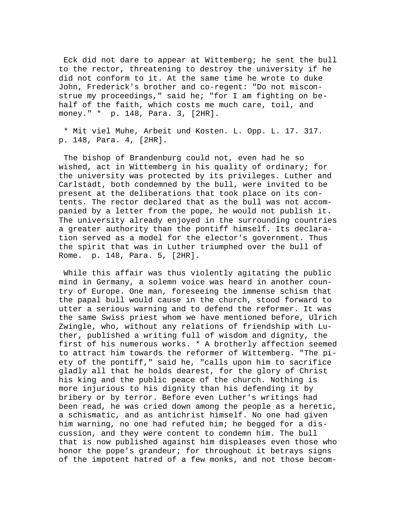Eck did not dare to appear at Wittemberg; he sent the bull to the rector, threatening to destroy the university if he did not conform to it. At the same time he wrote to duke John, Frederick's brother and co-regent: "Do not misconstrue my proceedings," said he; "for I am fighting on behalf of the faith, which costs me much care, toil, and money." \* p. 148, Para. 3, [2HR].

 \* Mit viel Muhe, Arbeit und Kosten. L. Opp. L. 17. 317. p. 148, Para. 4, [2HR].

 The bishop of Brandenburg could not, even had he so wished, act in Wittemberg in his quality of ordinary; for the university was protected by its privileges. Luther and Carlstadt, both condemned by the bull, were invited to be present at the deliberations that took place on its contents. The rector declared that as the bull was not accompanied by a letter from the pope, he would not publish it. The university already enjoyed in the surrounding countries a greater authority than the pontiff himself. Its declaration served as a model for the elector's government. Thus the spirit that was in Luther triumphed over the bull of Rome. p. 148, Para. 5, [2HR].

 While this affair was thus violently agitating the public mind in Germany, a solemn voice was heard in another country of Europe. One man, foreseeing the immense schism that the papal bull would cause in the church, stood forward to utter a serious warning and to defend the reformer. It was the same Swiss priest whom we have mentioned before, Ulrich Zwingle, who, without any relations of friendship with Luther, published a writing full of wisdom and dignity, the first of his numerous works. \* A brotherly affection seemed to attract him towards the reformer of Wittemberg. "The piety of the pontiff," said he, "calls upon him to sacrifice gladly all that he holds dearest, for the glory of Christ his king and the public peace of the church. Nothing is more injurious to his dignity than his defending it by bribery or by terror. Before even Luther's writings had been read, he was cried down among the people as a heretic, a schismatic, and as antichrist himself. No one had given him warning, no one had refuted him; he begged for a discussion, and they were content to condemn him. The bull that is now published against him displeases even those who honor the pope's grandeur; for throughout it betrays signs of the impotent hatred of a few monks, and not those becom-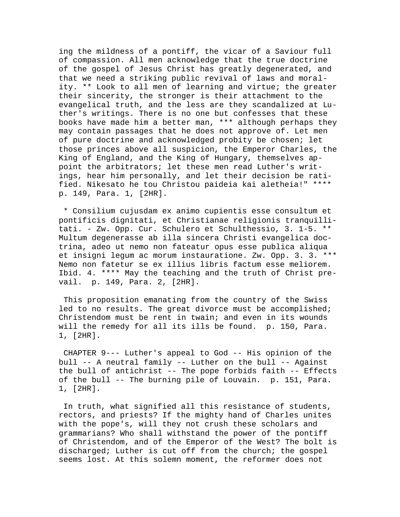ing the mildness of a pontiff, the vicar of a Saviour full of compassion. All men acknowledge that the true doctrine of the gospel of Jesus Christ has greatly degenerated, and that we need a striking public revival of laws and morality. \*\* Look to all men of learning and virtue; the greater their sincerity, the stronger is their attachment to the evangelical truth, and the less are they scandalized at Luther's writings. There is no one but confesses that these books have made him a better man, \*\*\* although perhaps they may contain passages that he does not approve of. Let men of pure doctrine and acknowledged probity be chosen; let those princes above all suspicion, the Emperor Charles, the King of England, and the King of Hungary, themselves appoint the arbitrators; let these men read Luther's writings, hear him personally, and let their decision be ratified. Nikesato he tou Christou paideia kai aletheia!" \*\*\*\* p. 149, Para. 1, [2HR].

 \* Consilium cujusdam ex animo cupientis esse consultum et pontificis dignitati, et Christianae religionis tranquillitati. - Zw. Opp. Cur. Schulero et Schulthessio, 3. 1-5. \*\* Multum degenerasse ab illa sincera Christi evangelica doctrina, adeo ut nemo non fateatur opus esse publica aliqua et insigni legum ac morum instauratione. Zw. Opp. 3. 3. \*\*\* Nemo non fatetur se ex illius libris factum esse meliorem. Ibid. 4. \*\*\*\* May the teaching and the truth of Christ prevail. p. 149, Para. 2, [2HR].

 This proposition emanating from the country of the Swiss led to no results. The great divorce must be accomplished; Christendom must be rent in twain; and even in its wounds will the remedy for all its ills be found. p. 150, Para. 1, [2HR].

 CHAPTER 9--- Luther's appeal to God -- His opinion of the bull -- A neutral family -- Luther on the bull -- Against the bull of antichrist -- The pope forbids faith -- Effects of the bull -- The burning pile of Louvain. p. 151, Para. 1, [2HR].

 In truth, what signified all this resistance of students, rectors, and priests? If the mighty hand of Charles unites with the pope's, will they not crush these scholars and grammarians? Who shall withstand the power of the pontiff of Christendom, and of the Emperor of the West? The bolt is discharged; Luther is cut off from the church; the gospel seems lost. At this solemn moment, the reformer does not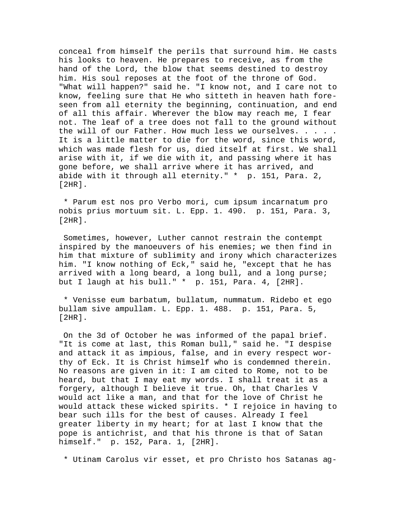conceal from himself the perils that surround him. He casts his looks to heaven. He prepares to receive, as from the hand of the Lord, the blow that seems destined to destroy him. His soul reposes at the foot of the throne of God. "What will happen?" said he. "I know not, and I care not to know, feeling sure that He who sitteth in heaven hath foreseen from all eternity the beginning, continuation, and end of all this affair. Wherever the blow may reach me, I fear not. The leaf of a tree does not fall to the ground without the will of our Father. How much less we ourselves. . . . . It is a little matter to die for the word, since this word, which was made flesh for us, died itself at first. We shall arise with it, if we die with it, and passing where it has gone before, we shall arrive where it has arrived, and abide with it through all eternity." \* p. 151, Para. 2,  $[2HR]$ .

 \* Parum est nos pro Verbo mori, cum ipsum incarnatum pro nobis prius mortuum sit. L. Epp. 1. 490. p. 151, Para. 3,  $[2HR]$ .

 Sometimes, however, Luther cannot restrain the contempt inspired by the manoeuvers of his enemies; we then find in him that mixture of sublimity and irony which characterizes him. "I know nothing of Eck," said he, "except that he has arrived with a long beard, a long bull, and a long purse; but I laugh at his bull." \* p. 151, Para. 4, [2HR].

 \* Venisse eum barbatum, bullatum, nummatum. Ridebo et ego bullam sive ampullam. L. Epp. 1. 488. p. 151, Para. 5, [2HR].

 On the 3d of October he was informed of the papal brief. "It is come at last, this Roman bull," said he. "I despise and attack it as impious, false, and in every respect worthy of Eck. It is Christ himself who is condemned therein. No reasons are given in it: I am cited to Rome, not to be heard, but that I may eat my words. I shall treat it as a forgery, although I believe it true. Oh, that Charles V would act like a man, and that for the love of Christ he would attack these wicked spirits. \* I rejoice in having to bear such ills for the best of causes. Already I feel greater liberty in my heart; for at last I know that the pope is antichrist, and that his throne is that of Satan himself." p. 152, Para. 1, [2HR].

\* Utinam Carolus vir esset, et pro Christo hos Satanas ag-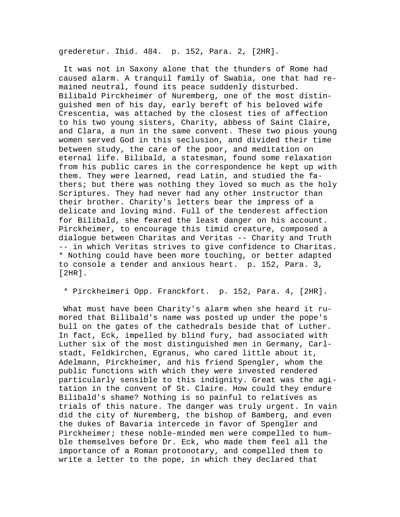grederetur. Ibid. 484. p. 152, Para. 2, [2HR].

 It was not in Saxony alone that the thunders of Rome had caused alarm. A tranquil family of Swabia, one that had remained neutral, found its peace suddenly disturbed. Bilibald Pirckheimer of Nuremberg, one of the most distinguished men of his day, early bereft of his beloved wife Crescentia, was attached by the closest ties of affection to his two young sisters, Charity, abbess of Saint Claire, and Clara, a nun in the same convent. These two pious young women served God in this seclusion, and divided their time between study, the care of the poor, and meditation on eternal life. Bilibald, a statesman, found some relaxation from his public cares in the correspondence he kept up with them. They were learned, read Latin, and studied the fathers; but there was nothing they loved so much as the holy Scriptures. They had never had any other instructor than their brother. Charity's letters bear the impress of a delicate and loving mind. Full of the tenderest affection for Bilibald, she feared the least danger on his account. Pirckheimer, to encourage this timid creature, composed a dialogue between Charitas and Veritas -- Charity and Truth -- in which Veritas strives to give confidence to Charitas. \* Nothing could have been more touching, or better adapted to console a tender and anxious heart. p. 152, Para. 3, [2HR].

\* Pirckheimeri Opp. Franckfort. p. 152, Para. 4, [2HR].

 What must have been Charity's alarm when she heard it rumored that Bilibald's name was posted up under the pope's bull on the gates of the cathedrals beside that of Luther. In fact, Eck, impelled by blind fury, had associated with Luther six of the most distinguished men in Germany, Carlstadt, Feldkirchen, Egranus, who cared little about it, Adelmann, Pirckheimer, and his friend Spengler, whom the public functions with which they were invested rendered particularly sensible to this indignity. Great was the agitation in the convent of St. Claire. How could they endure Bilibald's shame? Nothing is so painful to relatives as trials of this nature. The danger was truly urgent. In vain did the city of Nuremberg, the bishop of Bamberg, and even the dukes of Bavaria intercede in favor of Spengler and Pirckheimer; these noble-minded men were compelled to humble themselves before Dr. Eck, who made them feel all the importance of a Roman protonotary, and compelled them to write a letter to the pope, in which they declared that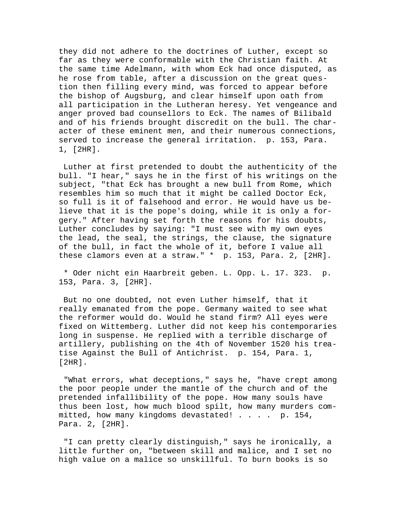they did not adhere to the doctrines of Luther, except so far as they were conformable with the Christian faith. At the same time Adelmann, with whom Eck had once disputed, as he rose from table, after a discussion on the great question then filling every mind, was forced to appear before the bishop of Augsburg, and clear himself upon oath from all participation in the Lutheran heresy. Yet vengeance and anger proved bad counsellors to Eck. The names of Bilibald and of his friends brought discredit on the bull. The character of these eminent men, and their numerous connections, served to increase the general irritation. p. 153, Para. 1, [2HR].

 Luther at first pretended to doubt the authenticity of the bull. "I hear," says he in the first of his writings on the subject, "that Eck has brought a new bull from Rome, which resembles him so much that it might be called Doctor Eck, so full is it of falsehood and error. He would have us believe that it is the pope's doing, while it is only a forgery." After having set forth the reasons for his doubts, Luther concludes by saying: "I must see with my own eyes the lead, the seal, the strings, the clause, the signature of the bull, in fact the whole of it, before I value all these clamors even at a straw." \* p. 153, Para. 2, [2HR].

 \* Oder nicht ein Haarbreit geben. L. Opp. L. 17. 323. p. 153, Para. 3, [2HR].

 But no one doubted, not even Luther himself, that it really emanated from the pope. Germany waited to see what the reformer would do. Would he stand firm? All eyes were fixed on Wittemberg. Luther did not keep his contemporaries long in suspense. He replied with a terrible discharge of artillery, publishing on the 4th of November 1520 his treatise Against the Bull of Antichrist. p. 154, Para. 1,  $[2HR]$ .

 "What errors, what deceptions," says he, "have crept among the poor people under the mantle of the church and of the pretended infallibility of the pope. How many souls have thus been lost, how much blood spilt, how many murders committed, how many kingdoms devastated! . . . . p. 154, Para. 2, [2HR].

 "I can pretty clearly distinguish," says he ironically, a little further on, "between skill and malice, and I set no high value on a malice so unskillful. To burn books is so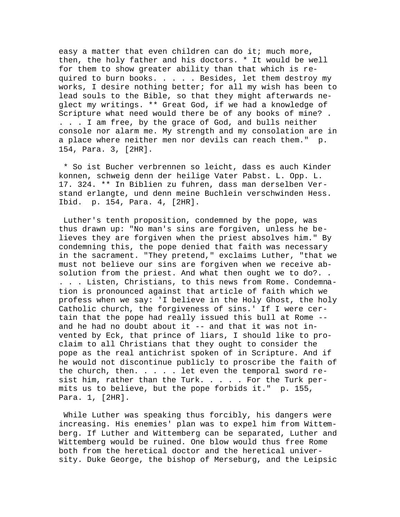easy a matter that even children can do it; much more, then, the holy father and his doctors. \* It would be well for them to show greater ability than that which is required to burn books. . . . . Besides, let them destroy my works, I desire nothing better; for all my wish has been to lead souls to the Bible, so that they might afterwards neglect my writings. \*\* Great God, if we had a knowledge of Scripture what need would there be of any books of mine? . . . . I am free, by the grace of God, and bulls neither console nor alarm me. My strength and my consolation are in a place where neither men nor devils can reach them." p. 154, Para. 3, [2HR].

 \* So ist Bucher verbrennen so leicht, dass es auch Kinder konnen, schweig denn der heilige Vater Pabst. L. Opp. L. 17. 324. \*\* In Biblien zu fuhren, dass man derselben Verstand erlangte, und denn meine Buchlein verschwinden Hess. Ibid. p. 154, Para. 4, [2HR].

 Luther's tenth proposition, condemned by the pope, was thus drawn up: "No man's sins are forgiven, unless he believes they are forgiven when the priest absolves him." By condemning this, the pope denied that faith was necessary in the sacrament. "They pretend," exclaims Luther, "that we must not believe our sins are forgiven when we receive absolution from the priest. And what then ought we to do?. . . . . Listen, Christians, to this news from Rome. Condemnation is pronounced against that article of faith which we profess when we say: 'I believe in the Holy Ghost, the holy Catholic church, the forgiveness of sins.' If I were certain that the pope had really issued this bull at Rome - and he had no doubt about it -- and that it was not invented by Eck, that prince of liars, I should like to proclaim to all Christians that they ought to consider the pope as the real antichrist spoken of in Scripture. And if he would not discontinue publicly to proscribe the faith of the church, then. . . . . let even the temporal sword resist him, rather than the Turk.  $\ldots$  . . For the Turk permits us to believe, but the pope forbids it." p. 155, Para. 1, [2HR].

 While Luther was speaking thus forcibly, his dangers were increasing. His enemies' plan was to expel him from Wittemberg. If Luther and Wittemberg can be separated, Luther and Wittemberg would be ruined. One blow would thus free Rome both from the heretical doctor and the heretical university. Duke George, the bishop of Merseburg, and the Leipsic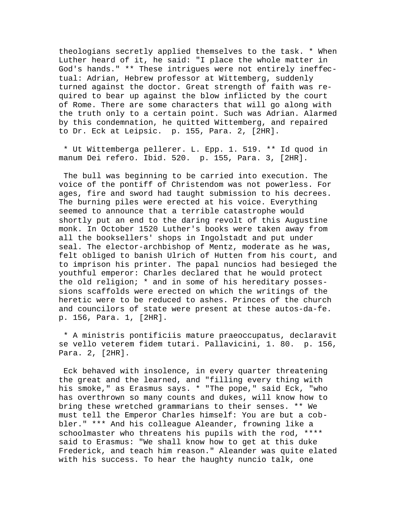theologians secretly applied themselves to the task. \* When Luther heard of it, he said: "I place the whole matter in God's hands." \*\* These intrigues were not entirely ineffectual: Adrian, Hebrew professor at Wittemberg, suddenly turned against the doctor. Great strength of faith was required to bear up against the blow inflicted by the court of Rome. There are some characters that will go along with the truth only to a certain point. Such was Adrian. Alarmed by this condemnation, he quitted Wittemberg, and repaired to Dr. Eck at Leipsic. p. 155, Para. 2, [2HR].

 \* Ut Wittemberga pellerer. L. Epp. 1. 519. \*\* Id quod in manum Dei refero. Ibid. 520. p. 155, Para. 3, [2HR].

 The bull was beginning to be carried into execution. The voice of the pontiff of Christendom was not powerless. For ages, fire and sword had taught submission to his decrees. The burning piles were erected at his voice. Everything seemed to announce that a terrible catastrophe would shortly put an end to the daring revolt of this Augustine monk. In October 1520 Luther's books were taken away from all the booksellers' shops in Ingolstadt and put under seal. The elector-archbishop of Mentz, moderate as he was, felt obliged to banish Ulrich of Hutten from his court, and to imprison his printer. The papal nuncios had besieged the youthful emperor: Charles declared that he would protect the old religion; \* and in some of his hereditary possessions scaffolds were erected on which the writings of the heretic were to be reduced to ashes. Princes of the church and councilors of state were present at these autos-da-fe. p. 156, Para. 1, [2HR].

 \* A ministris pontificiis mature praeoccupatus, declaravit se vello veterem fidem tutari. Pallavicini, 1. 80. p. 156, Para. 2, [2HR].

 Eck behaved with insolence, in every quarter threatening the great and the learned, and "filling every thing with his smoke," as Erasmus says. \* "The pope," said Eck, "who has overthrown so many counts and dukes, will know how to bring these wretched grammarians to their senses. \*\* We must tell the Emperor Charles himself: You are but a cobbler." \*\*\* And his colleague Aleander, frowning like a schoolmaster who threatens his pupils with the rod, \*\*\*\* said to Erasmus: "We shall know how to get at this duke Frederick, and teach him reason." Aleander was quite elated with his success. To hear the haughty nuncio talk, one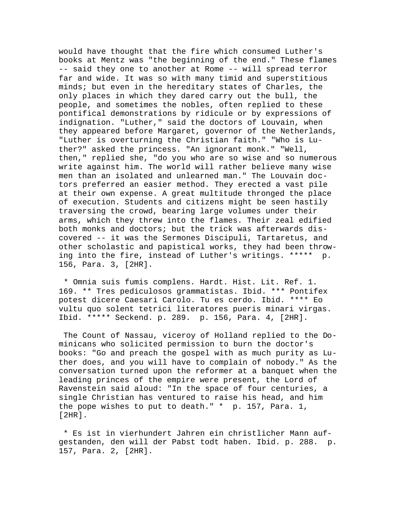would have thought that the fire which consumed Luther's books at Mentz was "the beginning of the end." These flames -- said they one to another at Rome -- will spread terror far and wide. It was so with many timid and superstitious minds; but even in the hereditary states of Charles, the only places in which they dared carry out the bull, the people, and sometimes the nobles, often replied to these pontifical demonstrations by ridicule or by expressions of indignation. "Luther," said the doctors of Louvain, when they appeared before Margaret, governor of the Netherlands, "Luther is overturning the Christian faith." "Who is Luther?" asked the princess. "An ignorant monk." "Well, then," replied she, "do you who are so wise and so numerous write against him. The world will rather believe many wise men than an isolated and unlearned man." The Louvain doctors preferred an easier method. They erected a vast pile at their own expense. A great multitude thronged the place of execution. Students and citizens might be seen hastily traversing the crowd, bearing large volumes under their arms, which they threw into the flames. Their zeal edified both monks and doctors; but the trick was afterwards discovered -- it was the Sermones Discipuli, Tartaretus, and other scholastic and papistical works, they had been throwing into the fire, instead of Luther's writings. \*\*\*\*\* p. 156, Para. 3, [2HR].

 \* Omnia suis fumis complens. Hardt. Hist. Lit. Ref. 1. 169. \*\* Tres pediculosos grammatistas. Ibid. \*\*\* Pontifex potest dicere Caesari Carolo. Tu es cerdo. Ibid. \*\*\*\* Eo vultu quo solent tetrici literatores pueris minari virgas. Ibid. \*\*\*\*\* Seckend. p. 289. p. 156, Para. 4, [2HR].

 The Count of Nassau, viceroy of Holland replied to the Dominicans who solicited permission to burn the doctor's books: "Go and preach the gospel with as much purity as Luther does, and you will have to complain of nobody." As the conversation turned upon the reformer at a banquet when the leading princes of the empire were present, the Lord of Ravenstein said aloud: "In the space of four centuries, a single Christian has ventured to raise his head, and him the pope wishes to put to death." \* p. 157, Para. 1, [2HR].

 \* Es ist in vierhundert Jahren ein christlicher Mann aufgestanden, den will der Pabst todt haben. Ibid. p. 288. p. 157, Para. 2, [2HR].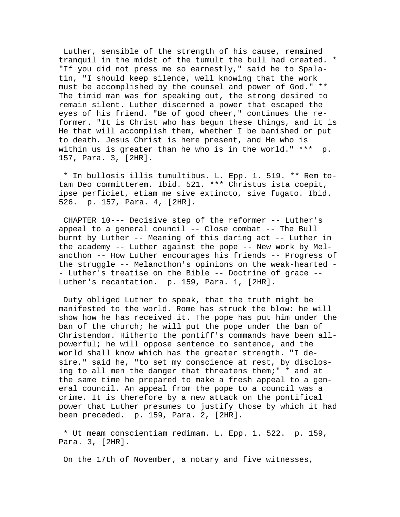Luther, sensible of the strength of his cause, remained tranquil in the midst of the tumult the bull had created. \* "If you did not press me so earnestly," said he to Spalatin, "I should keep silence, well knowing that the work must be accomplished by the counsel and power of God." \*\* The timid man was for speaking out, the strong desired to remain silent. Luther discerned a power that escaped the eyes of his friend. "Be of good cheer," continues the reformer. "It is Christ who has begun these things, and it is He that will accomplish them, whether I be banished or put to death. Jesus Christ is here present, and He who is within us is greater than he who is in the world." \*\*\* p. 157, Para. 3, [2HR].

 \* In bullosis illis tumultibus. L. Epp. 1. 519. \*\* Rem totam Deo committerem. Ibid. 521. \*\*\* Christus ista coepit, ipse perficiet, etiam me sive extincto, sive fugato. Ibid. 526. p. 157, Para. 4, [2HR].

 CHAPTER 10--- Decisive step of the reformer -- Luther's appeal to a general council -- Close combat -- The Bull burnt by Luther -- Meaning of this daring act -- Luther in the academy -- Luther against the pope -- New work by Melancthon -- How Luther encourages his friends -- Progress of the struggle -- Melancthon's opinions on the weak-hearted - - Luther's treatise on the Bible -- Doctrine of grace -- Luther's recantation. p. 159, Para. 1, [2HR].

 Duty obliged Luther to speak, that the truth might be manifested to the world. Rome has struck the blow: he will show how he has received it. The pope has put him under the ban of the church; he will put the pope under the ban of Christendom. Hitherto the pontiff's commands have been allpowerful; he will oppose sentence to sentence, and the world shall know which has the greater strength. "I desire," said he, "to set my conscience at rest, by disclosing to all men the danger that threatens them;" \* and at the same time he prepared to make a fresh appeal to a general council. An appeal from the pope to a council was a crime. It is therefore by a new attack on the pontifical power that Luther presumes to justify those by which it had been preceded. p. 159, Para. 2, [2HR].

 \* Ut meam conscientiam redimam. L. Epp. 1. 522. p. 159, Para. 3, [2HR].

On the 17th of November, a notary and five witnesses,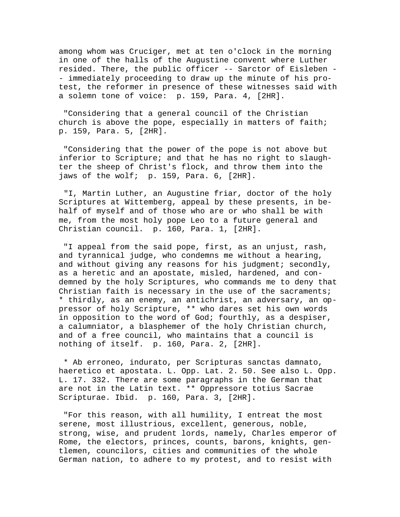among whom was Cruciger, met at ten o'clock in the morning in one of the halls of the Augustine convent where Luther resided. There, the public officer -- Sarctor of Eisleben - - immediately proceeding to draw up the minute of his protest, the reformer in presence of these witnesses said with a solemn tone of voice: p. 159, Para. 4, [2HR].

 "Considering that a general council of the Christian church is above the pope, especially in matters of faith; p. 159, Para. 5, [2HR].

 "Considering that the power of the pope is not above but inferior to Scripture; and that he has no right to slaughter the sheep of Christ's flock, and throw them into the jaws of the wolf;  $p. 159$ , Para. 6,  $[2HR]$ .

 "I, Martin Luther, an Augustine friar, doctor of the holy Scriptures at Wittemberg, appeal by these presents, in behalf of myself and of those who are or who shall be with me, from the most holy pope Leo to a future general and Christian council. p. 160, Para. 1, [2HR].

 "I appeal from the said pope, first, as an unjust, rash, and tyrannical judge, who condemns me without a hearing, and without giving any reasons for his judgment; secondly, as a heretic and an apostate, misled, hardened, and condemned by the holy Scriptures, who commands me to deny that Christian faith is necessary in the use of the sacraments; \* thirdly, as an enemy, an antichrist, an adversary, an oppressor of holy Scripture, \*\* who dares set his own words in opposition to the word of God; fourthly, as a despiser, a calumniator, a blasphemer of the holy Christian church, and of a free council, who maintains that a council is nothing of itself. p. 160, Para. 2, [2HR].

 \* Ab erroneo, indurato, per Scripturas sanctas damnato, haeretico et apostata. L. Opp. Lat. 2. 50. See also L. Opp. L. 17. 332. There are some paragraphs in the German that are not in the Latin text. \*\* Oppressore totius Sacrae Scripturae. Ibid. p. 160, Para. 3, [2HR].

 "For this reason, with all humility, I entreat the most serene, most illustrious, excellent, generous, noble, strong, wise, and prudent lords, namely, Charles emperor of Rome, the electors, princes, counts, barons, knights, gentlemen, councilors, cities and communities of the whole German nation, to adhere to my protest, and to resist with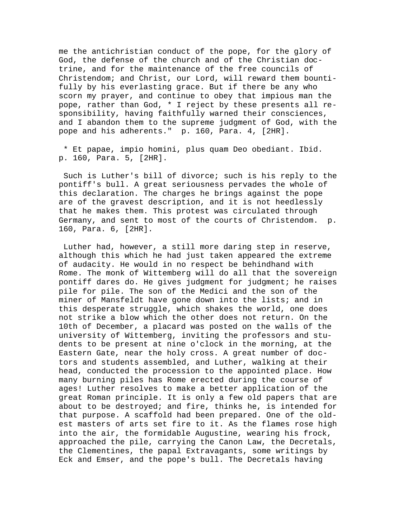me the antichristian conduct of the pope, for the glory of God, the defense of the church and of the Christian doctrine, and for the maintenance of the free councils of Christendom; and Christ, our Lord, will reward them bountifully by his everlasting grace. But if there be any who scorn my prayer, and continue to obey that impious man the pope, rather than God, \* I reject by these presents all responsibility, having faithfully warned their consciences, and I abandon them to the supreme judgment of God, with the pope and his adherents." p. 160, Para. 4, [2HR].

 \* Et papae, impio homini, plus quam Deo obediant. Ibid. p. 160, Para. 5, [2HR].

 Such is Luther's bill of divorce; such is his reply to the pontiff's bull. A great seriousness pervades the whole of this declaration. The charges he brings against the pope are of the gravest description, and it is not heedlessly that he makes them. This protest was circulated through Germany, and sent to most of the courts of Christendom. p. 160, Para. 6, [2HR].

 Luther had, however, a still more daring step in reserve, although this which he had just taken appeared the extreme of audacity. He would in no respect be behindhand with Rome. The monk of Wittemberg will do all that the sovereign pontiff dares do. He gives judgment for judgment; he raises pile for pile. The son of the Medici and the son of the miner of Mansfeldt have gone down into the lists; and in this desperate struggle, which shakes the world, one does not strike a blow which the other does not return. On the 10th of December, a placard was posted on the walls of the university of Wittemberg, inviting the professors and students to be present at nine o'clock in the morning, at the Eastern Gate, near the holy cross. A great number of doctors and students assembled, and Luther, walking at their head, conducted the procession to the appointed place. How many burning piles has Rome erected during the course of ages! Luther resolves to make a better application of the great Roman principle. It is only a few old papers that are about to be destroyed; and fire, thinks he, is intended for that purpose. A scaffold had been prepared. One of the oldest masters of arts set fire to it. As the flames rose high into the air, the formidable Augustine, wearing his frock, approached the pile, carrying the Canon Law, the Decretals, the Clementines, the papal Extravagants, some writings by Eck and Emser, and the pope's bull. The Decretals having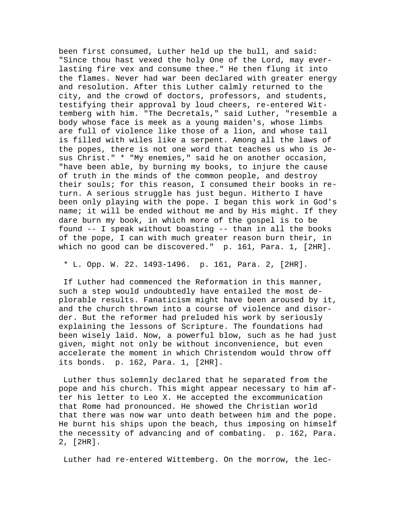been first consumed, Luther held up the bull, and said: "Since thou hast vexed the holy One of the Lord, may everlasting fire vex and consume thee." He then flung it into the flames. Never had war been declared with greater energy and resolution. After this Luther calmly returned to the city, and the crowd of doctors, professors, and students, testifying their approval by loud cheers, re-entered Wittemberg with him. "The Decretals," said Luther, "resemble a body whose face is meek as a young maiden's, whose limbs are full of violence like those of a lion, and whose tail is filled with wiles like a serpent. Among all the laws of the popes, there is not one word that teaches us who is Jesus Christ." \* "My enemies," said he on another occasion, "have been able, by burning my books, to injure the cause of truth in the minds of the common people, and destroy their souls; for this reason, I consumed their books in return. A serious struggle has just begun. Hitherto I have been only playing with the pope. I began this work in God's name; it will be ended without me and by His might. If they dare burn my book, in which more of the gospel is to be found -- I speak without boasting -- than in all the books of the pope, I can with much greater reason burn their, in which no good can be discovered." p. 161, Para. 1, [2HR].

\* L. Opp. W. 22. 1493-1496. p. 161, Para. 2, [2HR].

 If Luther had commenced the Reformation in this manner, such a step would undoubtedly have entailed the most deplorable results. Fanaticism might have been aroused by it, and the church thrown into a course of violence and disorder. But the reformer had preluded his work by seriously explaining the lessons of Scripture. The foundations had been wisely laid. Now, a powerful blow, such as he had just given, might not only be without inconvenience, but even accelerate the moment in which Christendom would throw off its bonds. p. 162, Para. 1, [2HR].

 Luther thus solemnly declared that he separated from the pope and his church. This might appear necessary to him after his letter to Leo X. He accepted the excommunication that Rome had pronounced. He showed the Christian world that there was now war unto death between him and the pope. He burnt his ships upon the beach, thus imposing on himself the necessity of advancing and of combating. p. 162, Para. 2, [2HR].

Luther had re-entered Wittemberg. On the morrow, the lec-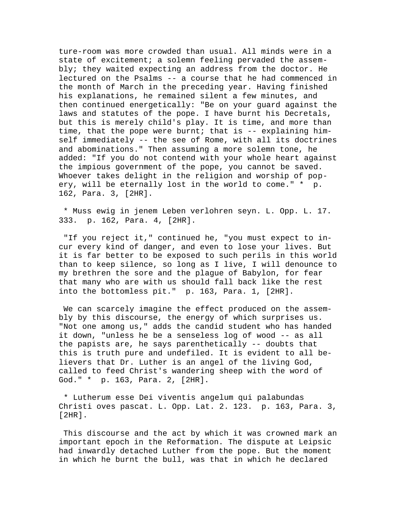ture-room was more crowded than usual. All minds were in a state of excitement; a solemn feeling pervaded the assembly; they waited expecting an address from the doctor. He lectured on the Psalms -- a course that he had commenced in the month of March in the preceding year. Having finished his explanations, he remained silent a few minutes, and then continued energetically: "Be on your guard against the laws and statutes of the pope. I have burnt his Decretals, but this is merely child's play. It is time, and more than time, that the pope were burnt; that is  $-$  explaining himself immediately -- the see of Rome, with all its doctrines and abominations." Then assuming a more solemn tone, he added: "If you do not contend with your whole heart against the impious government of the pope, you cannot be saved. Whoever takes delight in the religion and worship of popery, will be eternally lost in the world to come." \* p. 162, Para. 3, [2HR].

 \* Muss ewig in jenem Leben verlohren seyn. L. Opp. L. 17. 333. p. 162, Para. 4, [2HR].

 "If you reject it," continued he, "you must expect to incur every kind of danger, and even to lose your lives. But it is far better to be exposed to such perils in this world than to keep silence, so long as I live, I will denounce to my brethren the sore and the plague of Babylon, for fear that many who are with us should fall back like the rest into the bottomless pit." p. 163, Para. 1, [2HR].

 We can scarcely imagine the effect produced on the assembly by this discourse, the energy of which surprises us. "Not one among us," adds the candid student who has handed it down, "unless he be a senseless log of wood -- as all the papists are, he says parenthetically -- doubts that this is truth pure and undefiled. It is evident to all believers that Dr. Luther is an angel of the living God, called to feed Christ's wandering sheep with the word of God." \* p. 163, Para. 2, [2HR].

 \* Lutherum esse Dei viventis angelum qui palabundas Christi oves pascat. L. Opp. Lat. 2. 123. p. 163, Para. 3,  $[2HR]$ .

 This discourse and the act by which it was crowned mark an important epoch in the Reformation. The dispute at Leipsic had inwardly detached Luther from the pope. But the moment in which he burnt the bull, was that in which he declared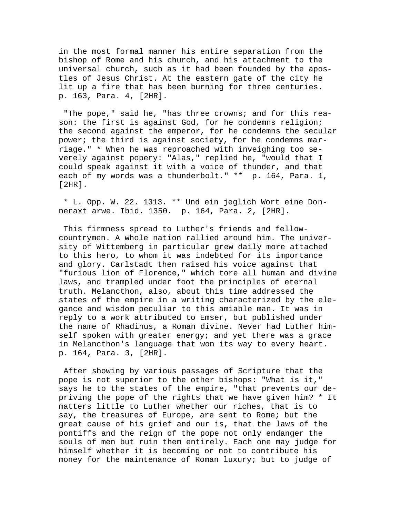in the most formal manner his entire separation from the bishop of Rome and his church, and his attachment to the universal church, such as it had been founded by the apostles of Jesus Christ. At the eastern gate of the city he lit up a fire that has been burning for three centuries. p. 163, Para. 4, [2HR].

 "The pope," said he, "has three crowns; and for this reason: the first is against God, for he condemns religion; the second against the emperor, for he condemns the secular power; the third is against society, for he condemns marriage." \* When he was reproached with inveighing too severely against popery: "Alas," replied he, "would that I could speak against it with a voice of thunder, and that each of my words was a thunderbolt." \*\* p. 164, Para. 1,  $[2HR]$ .

 \* L. Opp. W. 22. 1313. \*\* Und ein jeglich Wort eine Donneraxt arwe. Ibid. 1350. p. 164, Para. 2, [2HR].

 This firmness spread to Luther's friends and fellowcountrymen. A whole nation rallied around him. The university of Wittemberg in particular grew daily more attached to this hero, to whom it was indebted for its importance and glory. Carlstadt then raised his voice against that "furious lion of Florence," which tore all human and divine laws, and trampled under foot the principles of eternal truth. Melancthon, also, about this time addressed the states of the empire in a writing characterized by the elegance and wisdom peculiar to this amiable man. It was in reply to a work attributed to Emser, but published under the name of Rhadinus, a Roman divine. Never had Luther himself spoken with greater energy; and yet there was a grace in Melancthon's language that won its way to every heart. p. 164, Para. 3, [2HR].

 After showing by various passages of Scripture that the pope is not superior to the other bishops: "What is it," says he to the states of the empire, "that prevents our depriving the pope of the rights that we have given him? \* It matters little to Luther whether our riches, that is to say, the treasures of Europe, are sent to Rome; but the great cause of his grief and our is, that the laws of the pontiffs and the reign of the pope not only endanger the souls of men but ruin them entirely. Each one may judge for himself whether it is becoming or not to contribute his money for the maintenance of Roman luxury; but to judge of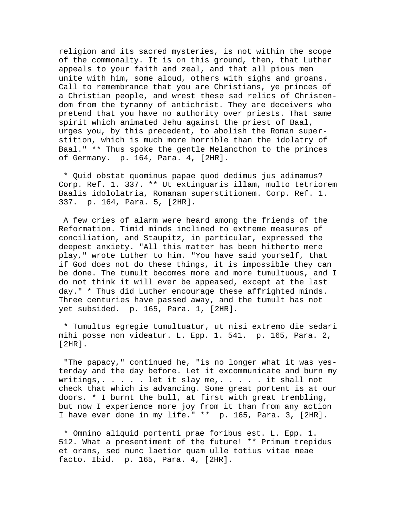religion and its sacred mysteries, is not within the scope of the commonalty. It is on this ground, then, that Luther appeals to your faith and zeal, and that all pious men unite with him, some aloud, others with sighs and groans. Call to remembrance that you are Christians, ye princes of a Christian people, and wrest these sad relics of Christendom from the tyranny of antichrist. They are deceivers who pretend that you have no authority over priests. That same spirit which animated Jehu against the priest of Baal, urges you, by this precedent, to abolish the Roman superstition, which is much more horrible than the idolatry of Baal." \*\* Thus spoke the gentle Melancthon to the princes of Germany. p. 164, Para. 4, [2HR].

 \* Quid obstat quominus papae quod dedimus jus adimamus? Corp. Ref. 1. 337. \*\* Ut extinguaris illam, multo tetriorem Baalis idololatria, Romanam superstitionem. Corp. Ref. 1. 337. p. 164, Para. 5, [2HR].

 A few cries of alarm were heard among the friends of the Reformation. Timid minds inclined to extreme measures of conciliation, and Staupitz, in particular, expressed the deepest anxiety. "All this matter has been hitherto mere play," wrote Luther to him. "You have said yourself, that if God does not do these things, it is impossible they can be done. The tumult becomes more and more tumultuous, and I do not think it will ever be appeased, except at the last day." \* Thus did Luther encourage these affrighted minds. Three centuries have passed away, and the tumult has not yet subsided. p. 165, Para. 1, [2HR].

 \* Tumultus egregie tumultuatur, ut nisi extremo die sedari mihi posse non videatur. L. Epp. 1. 541. p. 165, Para. 2, [2HR].

 "The papacy," continued he, "is no longer what it was yesterday and the day before. Let it excommunicate and burn my writings,. . . . . let it slay me,. . . . . it shall not check that which is advancing. Some great portent is at our doors. \* I burnt the bull, at first with great trembling, but now I experience more joy from it than from any action I have ever done in my life." \*\* p. 165, Para. 3, [2HR].

 \* Omnino aliquid portenti prae foribus est. L. Epp. 1. 512. What a presentiment of the future! \*\* Primum trepidus et orans, sed nunc laetior quam ulle totius vitae meae facto. Ibid. p. 165, Para. 4, [2HR].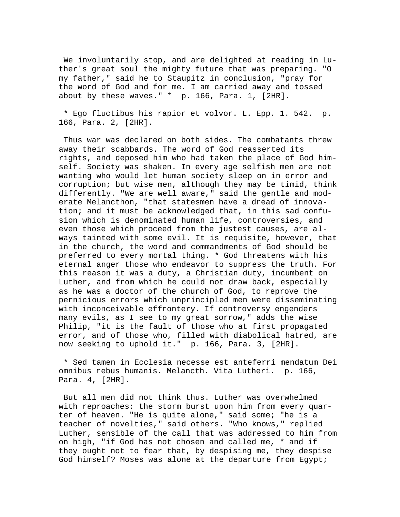We involuntarily stop, and are delighted at reading in Luther's great soul the mighty future that was preparing. "O my father," said he to Staupitz in conclusion, "pray for the word of God and for me. I am carried away and tossed about by these waves." \* p. 166, Para. 1, [2HR].

 \* Ego fluctibus his rapior et volvor. L. Epp. 1. 542. p. 166, Para. 2, [2HR].

 Thus war was declared on both sides. The combatants threw away their scabbards. The word of God reasserted its rights, and deposed him who had taken the place of God himself. Society was shaken. In every age selfish men are not wanting who would let human society sleep on in error and corruption; but wise men, although they may be timid, think differently. "We are well aware," said the gentle and moderate Melancthon, "that statesmen have a dread of innovation; and it must be acknowledged that, in this sad confusion which is denominated human life, controversies, and even those which proceed from the justest causes, are always tainted with some evil. It is requisite, however, that in the church, the word and commandments of God should be preferred to every mortal thing. \* God threatens with his eternal anger those who endeavor to suppress the truth. For this reason it was a duty, a Christian duty, incumbent on Luther, and from which he could not draw back, especially as he was a doctor of the church of God, to reprove the pernicious errors which unprincipled men were disseminating with inconceivable effrontery. If controversy engenders many evils, as I see to my great sorrow," adds the wise Philip, "it is the fault of those who at first propagated error, and of those who, filled with diabolical hatred, are now seeking to uphold it." p. 166, Para. 3, [2HR].

 \* Sed tamen in Ecclesia necesse est anteferri mendatum Dei omnibus rebus humanis. Melancth. Vita Lutheri. p. 166, Para. 4, [2HR].

 But all men did not think thus. Luther was overwhelmed with reproaches: the storm burst upon him from every quarter of heaven. "He is quite alone," said some; "he is a teacher of novelties," said others. "Who knows," replied Luther, sensible of the call that was addressed to him from on high, "if God has not chosen and called me, \* and if they ought not to fear that, by despising me, they despise God himself? Moses was alone at the departure from Egypt;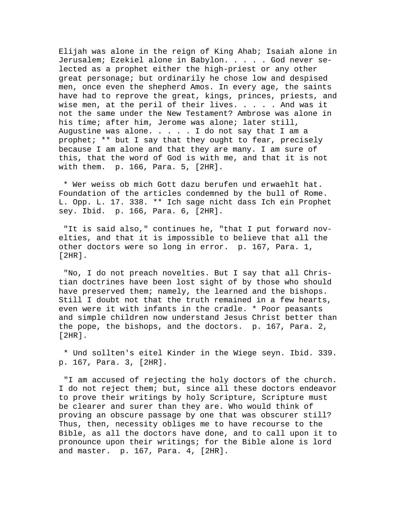Elijah was alone in the reign of King Ahab; Isaiah alone in Jerusalem; Ezekiel alone in Babylon. . . . . God never selected as a prophet either the high-priest or any other great personage; but ordinarily he chose low and despised men, once even the shepherd Amos. In every age, the saints have had to reprove the great, kings, princes, priests, and wise men, at the peril of their lives. . . . . And was it not the same under the New Testament? Ambrose was alone in his time; after him, Jerome was alone; later still, Augustine was alone. . . . . I do not say that I am a prophet; \*\* but I say that they ought to fear, precisely because I am alone and that they are many. I am sure of this, that the word of God is with me, and that it is not with them. p. 166, Para. 5, [2HR].

 \* Wer weiss ob mich Gott dazu berufen und erwaehlt hat. Foundation of the articles condemned by the bull of Rome. L. Opp. L. 17. 338. \*\* Ich sage nicht dass Ich ein Prophet sey. Ibid. p. 166, Para. 6, [2HR].

 "It is said also," continues he, "that I put forward novelties, and that it is impossible to believe that all the other doctors were so long in error. p. 167, Para. 1, [2HR].

 "No, I do not preach novelties. But I say that all Christian doctrines have been lost sight of by those who should have preserved them; namely, the learned and the bishops. Still I doubt not that the truth remained in a few hearts, even were it with infants in the cradle. \* Poor peasants and simple children now understand Jesus Christ better than the pope, the bishops, and the doctors. p. 167, Para. 2, [2HR].

 \* Und sollten's eitel Kinder in the Wiege seyn. Ibid. 339. p. 167, Para. 3, [2HR].

 "I am accused of rejecting the holy doctors of the church. I do not reject them; but, since all these doctors endeavor to prove their writings by holy Scripture, Scripture must be clearer and surer than they are. Who would think of proving an obscure passage by one that was obscurer still? Thus, then, necessity obliges me to have recourse to the Bible, as all the doctors have done, and to call upon it to pronounce upon their writings; for the Bible alone is lord and master. p. 167, Para. 4, [2HR].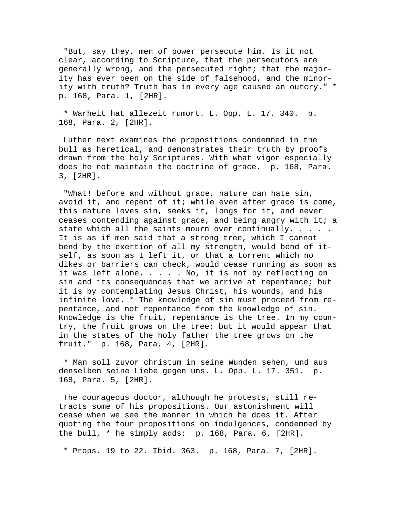"But, say they, men of power persecute him. Is it not clear, according to Scripture, that the persecutors are generally wrong, and the persecuted right; that the majority has ever been on the side of falsehood, and the minority with truth? Truth has in every age caused an outcry." \* p. 168, Para. 1, [2HR].

 \* Warheit hat allezeit rumort. L. Opp. L. 17. 340. p. 168, Para. 2, [2HR].

 Luther next examines the propositions condemned in the bull as heretical, and demonstrates their truth by proofs drawn from the holy Scriptures. With what vigor especially does he not maintain the doctrine of grace. p. 168, Para. 3, [2HR].

 "What! before and without grace, nature can hate sin, avoid it, and repent of it; while even after grace is come, this nature loves sin, seeks it, longs for it, and never ceases contending against grace, and being angry with it; a state which all the saints mourn over continually. . . . . It is as if men said that a strong tree, which I cannot bend by the exertion of all my strength, would bend of itself, as soon as I left it, or that a torrent which no dikes or barriers can check, would cease running as soon as it was left alone. . . . . No, it is not by reflecting on sin and its consequences that we arrive at repentance; but it is by contemplating Jesus Christ, his wounds, and his infinite love. \* The knowledge of sin must proceed from repentance, and not repentance from the knowledge of sin. Knowledge is the fruit, repentance is the tree. In my country, the fruit grows on the tree; but it would appear that in the states of the holy father the tree grows on the fruit." p. 168, Para. 4, [2HR].

 \* Man soll zuvor christum in seine Wunden sehen, und aus denselben seine Liebe gegen uns. L. Opp. L. 17. 351. p. 168, Para. 5, [2HR].

 The courageous doctor, although he protests, still retracts some of his propositions. Our astonishment will cease when we see the manner in which he does it. After quoting the four propositions on indulgences, condemned by the bull, \* he simply adds: p. 168, Para. 6, [2HR].

\* Props. 19 to 22. Ibid. 363. p. 168, Para. 7, [2HR].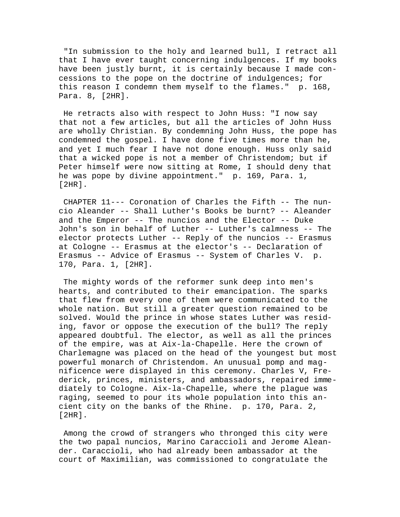"In submission to the holy and learned bull, I retract all that I have ever taught concerning indulgences. If my books have been justly burnt, it is certainly because I made concessions to the pope on the doctrine of indulgences; for this reason I condemn them myself to the flames." p. 168, Para. 8, [2HR].

 He retracts also with respect to John Huss: "I now say that not a few articles, but all the articles of John Huss are wholly Christian. By condemning John Huss, the pope has condemned the gospel. I have done five times more than he, and yet I much fear I have not done enough. Huss only said that a wicked pope is not a member of Christendom; but if Peter himself were now sitting at Rome, I should deny that he was pope by divine appointment." p. 169, Para. 1,  $[2HR]$ .

 CHAPTER 11--- Coronation of Charles the Fifth -- The nuncio Aleander -- Shall Luther's Books be burnt? -- Aleander and the Emperor -- The nuncios and the Elector -- Duke John's son in behalf of Luther -- Luther's calmness -- The elector protects Luther -- Reply of the nuncios -- Erasmus at Cologne -- Erasmus at the elector's -- Declaration of Erasmus -- Advice of Erasmus -- System of Charles V. p. 170, Para. 1, [2HR].

 The mighty words of the reformer sunk deep into men's hearts, and contributed to their emancipation. The sparks that flew from every one of them were communicated to the whole nation. But still a greater question remained to be solved. Would the prince in whose states Luther was residing, favor or oppose the execution of the bull? The reply appeared doubtful. The elector, as well as all the princes of the empire, was at Aix-la-Chapelle. Here the crown of Charlemagne was placed on the head of the youngest but most powerful monarch of Christendom. An unusual pomp and magnificence were displayed in this ceremony. Charles V, Frederick, princes, ministers, and ambassadors, repaired immediately to Cologne. Aix-la-Chapelle, where the plague was raging, seemed to pour its whole population into this ancient city on the banks of the Rhine. p. 170, Para. 2, [2HR].

 Among the crowd of strangers who thronged this city were the two papal nuncios, Marino Caraccioli and Jerome Aleander. Caraccioli, who had already been ambassador at the court of Maximilian, was commissioned to congratulate the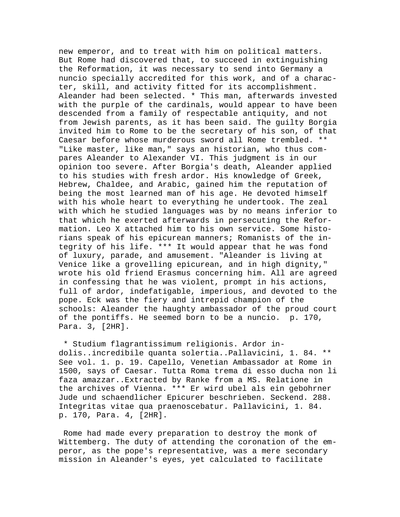new emperor, and to treat with him on political matters. But Rome had discovered that, to succeed in extinguishing the Reformation, it was necessary to send into Germany a nuncio specially accredited for this work, and of a character, skill, and activity fitted for its accomplishment. Aleander had been selected. \* This man, afterwards invested with the purple of the cardinals, would appear to have been descended from a family of respectable antiquity, and not from Jewish parents, as it has been said. The guilty Borgia invited him to Rome to be the secretary of his son, of that Caesar before whose murderous sword all Rome trembled. \*\* "Like master, like man," says an historian, who thus compares Aleander to Alexander VI. This judgment is in our opinion too severe. After Borgia's death, Aleander applied to his studies with fresh ardor. His knowledge of Greek, Hebrew, Chaldee, and Arabic, gained him the reputation of being the most learned man of his age. He devoted himself with his whole heart to everything he undertook. The zeal with which he studied languages was by no means inferior to that which he exerted afterwards in persecuting the Reformation. Leo X attached him to his own service. Some historians speak of his epicurean manners; Romanists of the integrity of his life. \*\*\* It would appear that he was fond of luxury, parade, and amusement. "Aleander is living at Venice like a grovelling epicurean, and in high dignity," wrote his old friend Erasmus concerning him. All are agreed in confessing that he was violent, prompt in his actions, full of ardor, indefatigable, imperious, and devoted to the pope. Eck was the fiery and intrepid champion of the schools: Aleander the haughty ambassador of the proud court of the pontiffs. He seemed born to be a nuncio. p. 170, Para. 3, [2HR].

 \* Studium flagrantissimum religionis. Ardor indolis..incredibile quanta solertia..Pallavicini, 1. 84. \*\* See vol. 1. p. 19. Capello, Venetian Ambassador at Rome in 1500, says of Caesar. Tutta Roma trema di esso ducha non li faza amazzar..Extracted by Ranke from a MS. Relatione in the archives of Vienna. \*\*\* Er wird ubel als ein gebohrner Jude und schaendlicher Epicurer beschrieben. Seckend. 288. Integritas vitae qua praenoscebatur. Pallavicini, 1. 84. p. 170, Para. 4, [2HR].

 Rome had made every preparation to destroy the monk of Wittemberg. The duty of attending the coronation of the emperor, as the pope's representative, was a mere secondary mission in Aleander's eyes, yet calculated to facilitate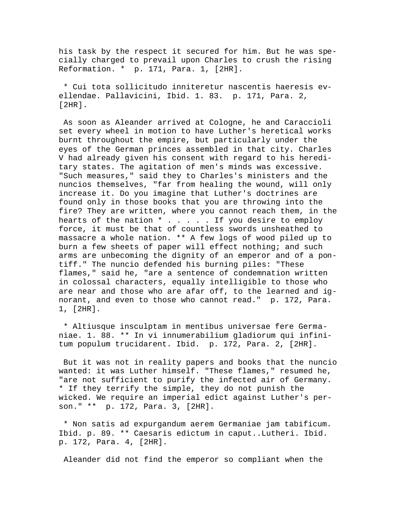his task by the respect it secured for him. But he was specially charged to prevail upon Charles to crush the rising Reformation. \* p. 171, Para. 1, [2HR].

 \* Cui tota sollicitudo inniteretur nascentis haeresis evellendae. Pallavicini, Ibid. 1. 83. p. 171, Para. 2, [2HR].

 As soon as Aleander arrived at Cologne, he and Caraccioli set every wheel in motion to have Luther's heretical works burnt throughout the empire, but particularly under the eyes of the German princes assembled in that city. Charles V had already given his consent with regard to his hereditary states. The agitation of men's minds was excessive. "Such measures," said they to Charles's ministers and the nuncios themselves, "far from healing the wound, will only increase it. Do you imagine that Luther's doctrines are found only in those books that you are throwing into the fire? They are written, where you cannot reach them, in the hearts of the nation  $*$  . . . . . If you desire to employ force, it must be that of countless swords unsheathed to massacre a whole nation. \*\* A few logs of wood piled up to burn a few sheets of paper will effect nothing; and such arms are unbecoming the dignity of an emperor and of a pontiff." The nuncio defended his burning piles: "These flames," said he, "are a sentence of condemnation written in colossal characters, equally intelligible to those who are near and those who are afar off, to the learned and ignorant, and even to those who cannot read." p. 172, Para. 1, [2HR].

 \* Altiusque insculptam in mentibus universae fere Germaniae. 1. 88. \*\* In vi innumerabilium gladiorum qui infinitum populum trucidarent. Ibid. p. 172, Para. 2, [2HR].

 But it was not in reality papers and books that the nuncio wanted: it was Luther himself. "These flames," resumed he, "are not sufficient to purify the infected air of Germany. \* If they terrify the simple, they do not punish the wicked. We require an imperial edict against Luther's person." \*\* p. 172, Para. 3, [2HR].

 \* Non satis ad expurgandum aerem Germaniae jam tabificum. Ibid. p. 89. \*\* Caesaris edictum in caput..Lutheri. Ibid. p. 172, Para. 4, [2HR].

Aleander did not find the emperor so compliant when the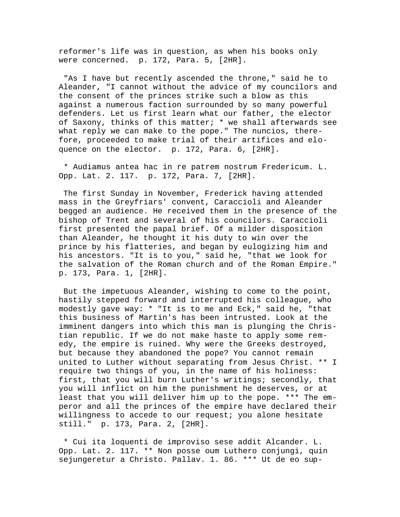reformer's life was in question, as when his books only were concerned. p. 172, Para. 5, [2HR].

 "As I have but recently ascended the throne," said he to Aleander, "I cannot without the advice of my councilors and the consent of the princes strike such a blow as this against a numerous faction surrounded by so many powerful defenders. Let us first learn what our father, the elector of Saxony, thinks of this matter; \* we shall afterwards see what reply we can make to the pope." The nuncios, therefore, proceeded to make trial of their artifices and eloquence on the elector. p. 172, Para. 6, [2HR].

 \* Audiamus antea hac in re patrem nostrum Fredericum. L. Opp. Lat. 2. 117. p. 172, Para. 7, [2HR].

 The first Sunday in November, Frederick having attended mass in the Greyfriars' convent, Caraccioli and Aleander begged an audience. He received them in the presence of the bishop of Trent and several of his councilors. Caraccioli first presented the papal brief. Of a milder disposition than Aleander, he thought it his duty to win over the prince by his flatteries, and began by eulogizing him and his ancestors. "It is to you," said he, "that we look for the salvation of the Roman church and of the Roman Empire." p. 173, Para. 1, [2HR].

 But the impetuous Aleander, wishing to come to the point, hastily stepped forward and interrupted his colleague, who modestly gave way: \* "It is to me and Eck," said he, "that this business of Martin's has been intrusted. Look at the imminent dangers into which this man is plunging the Christian republic. If we do not make haste to apply some remedy, the empire is ruined. Why were the Greeks destroyed, but because they abandoned the pope? You cannot remain united to Luther without separating from Jesus Christ. \*\* I require two things of you, in the name of his holiness: first, that you will burn Luther's writings; secondly, that you will inflict on him the punishment he deserves, or at least that you will deliver him up to the pope. \*\*\* The emperor and all the princes of the empire have declared their willingness to accede to our request; you alone hesitate still." p. 173, Para. 2, [2HR].

 \* Cui ita loquenti de improviso sese addit Alcander. L. Opp. Lat. 2. 117. \*\* Non posse oum Luthero conjungi, quin sejungeretur a Christo. Pallav. 1. 86. \*\*\* Ut de eo sup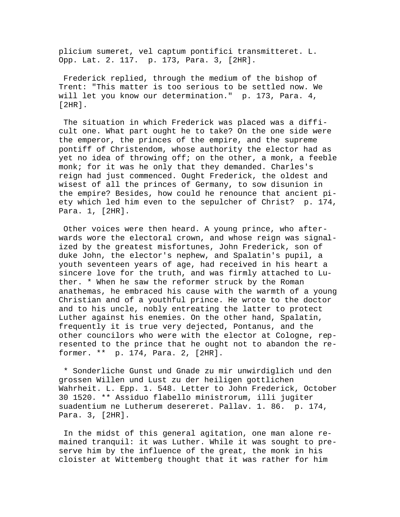plicium sumeret, vel captum pontifici transmitteret. L. Opp. Lat. 2. 117. p. 173, Para. 3, [2HR].

 Frederick replied, through the medium of the bishop of Trent: "This matter is too serious to be settled now. We will let you know our determination." p. 173, Para. 4, [2HR].

 The situation in which Frederick was placed was a difficult one. What part ought he to take? On the one side were the emperor, the princes of the empire, and the supreme pontiff of Christendom, whose authority the elector had as yet no idea of throwing off; on the other, a monk, a feeble monk; for it was he only that they demanded. Charles's reign had just commenced. Ought Frederick, the oldest and wisest of all the princes of Germany, to sow disunion in the empire? Besides, how could he renounce that ancient piety which led him even to the sepulcher of Christ? p. 174, Para. 1, [2HR].

 Other voices were then heard. A young prince, who afterwards wore the electoral crown, and whose reign was signalized by the greatest misfortunes, John Frederick, son of duke John, the elector's nephew, and Spalatin's pupil, a youth seventeen years of age, had received in his heart a sincere love for the truth, and was firmly attached to Luther. \* When he saw the reformer struck by the Roman anathemas, he embraced his cause with the warmth of a young Christian and of a youthful prince. He wrote to the doctor and to his uncle, nobly entreating the latter to protect Luther against his enemies. On the other hand, Spalatin, frequently it is true very dejected, Pontanus, and the other councilors who were with the elector at Cologne, represented to the prince that he ought not to abandon the reformer. \*\* p. 174, Para. 2, [2HR].

 \* Sonderliche Gunst und Gnade zu mir unwirdiglich und den grossen Willen und Lust zu der heiligen gottlichen Wahrheit. L. Epp. 1. 548. Letter to John Frederick, October 30 1520. \*\* Assiduo flabello ministrorum, illi jugiter suadentium ne Lutherum desereret. Pallav. 1. 86. p. 174, Para. 3, [2HR].

 In the midst of this general agitation, one man alone remained tranquil: it was Luther. While it was sought to preserve him by the influence of the great, the monk in his cloister at Wittemberg thought that it was rather for him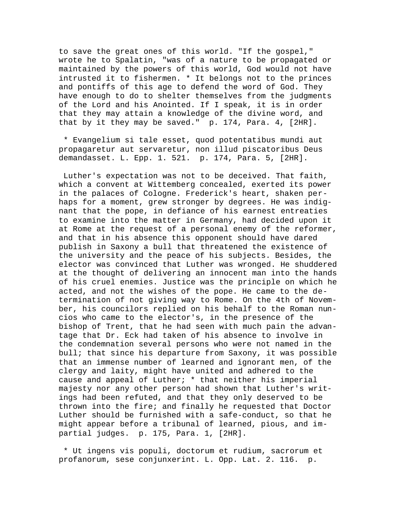to save the great ones of this world. "If the gospel," wrote he to Spalatin, "was of a nature to be propagated or maintained by the powers of this world, God would not have intrusted it to fishermen. \* It belongs not to the princes and pontiffs of this age to defend the word of God. They have enough to do to shelter themselves from the judgments of the Lord and his Anointed. If I speak, it is in order that they may attain a knowledge of the divine word, and that by it they may be saved." p. 174, Para. 4, [2HR].

 \* Evangelium si tale esset, quod potentatibus mundi aut propagaretur aut servaretur, non illud piscatoribus Deus demandasset. L. Epp. 1. 521. p. 174, Para. 5, [2HR].

 Luther's expectation was not to be deceived. That faith, which a convent at Wittemberg concealed, exerted its power in the palaces of Cologne. Frederick's heart, shaken perhaps for a moment, grew stronger by degrees. He was indignant that the pope, in defiance of his earnest entreaties to examine into the matter in Germany, had decided upon it at Rome at the request of a personal enemy of the reformer, and that in his absence this opponent should have dared publish in Saxony a bull that threatened the existence of the university and the peace of his subjects. Besides, the elector was convinced that Luther was wronged. He shuddered at the thought of delivering an innocent man into the hands of his cruel enemies. Justice was the principle on which he acted, and not the wishes of the pope. He came to the determination of not giving way to Rome. On the 4th of November, his councilors replied on his behalf to the Roman nuncios who came to the elector's, in the presence of the bishop of Trent, that he had seen with much pain the advantage that Dr. Eck had taken of his absence to involve in the condemnation several persons who were not named in the bull; that since his departure from Saxony, it was possible that an immense number of learned and ignorant men, of the clergy and laity, might have united and adhered to the cause and appeal of Luther; \* that neither his imperial majesty nor any other person had shown that Luther's writings had been refuted, and that they only deserved to be thrown into the fire; and finally he requested that Doctor Luther should be furnished with a safe-conduct, so that he might appear before a tribunal of learned, pious, and impartial judges. p. 175, Para. 1, [2HR].

 \* Ut ingens vis populi, doctorum et rudium, sacrorum et profanorum, sese conjunxerint. L. Opp. Lat. 2. 116. p.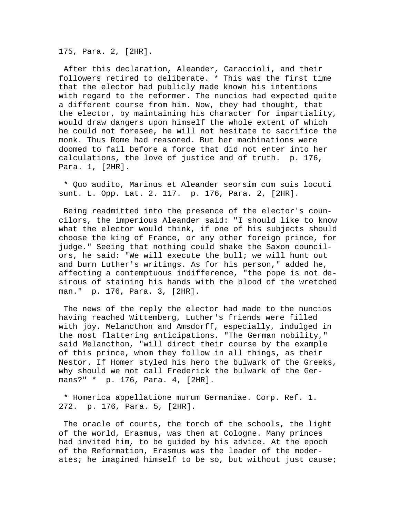175, Para. 2, [2HR].

 After this declaration, Aleander, Caraccioli, and their followers retired to deliberate. \* This was the first time that the elector had publicly made known his intentions with regard to the reformer. The nuncios had expected quite a different course from him. Now, they had thought, that the elector, by maintaining his character for impartiality, would draw dangers upon himself the whole extent of which he could not foresee, he will not hesitate to sacrifice the monk. Thus Rome had reasoned. But her machinations were doomed to fail before a force that did not enter into her calculations, the love of justice and of truth. p. 176, Para. 1, [2HR].

 \* Quo audito, Marinus et Aleander seorsim cum suis locuti sunt. L. Opp. Lat. 2. 117. p. 176, Para. 2, [2HR].

 Being readmitted into the presence of the elector's councilors, the imperious Aleander said: "I should like to know what the elector would think, if one of his subjects should choose the king of France, or any other foreign prince, for judge." Seeing that nothing could shake the Saxon councilors, he said: "We will execute the bull; we will hunt out and burn Luther's writings. As for his person," added he, affecting a contemptuous indifference, "the pope is not desirous of staining his hands with the blood of the wretched man." p. 176, Para. 3, [2HR].

 The news of the reply the elector had made to the nuncios having reached Wittemberg, Luther's friends were filled with joy. Melancthon and Amsdorff, especially, indulged in the most flattering anticipations. "The German nobility," said Melancthon, "will direct their course by the example of this prince, whom they follow in all things, as their Nestor. If Homer styled his hero the bulwark of the Greeks, why should we not call Frederick the bulwark of the Germans?" \* p. 176, Para. 4, [2HR].

 \* Homerica appellatione murum Germaniae. Corp. Ref. 1. 272. p. 176, Para. 5, [2HR].

 The oracle of courts, the torch of the schools, the light of the world, Erasmus, was then at Cologne. Many princes had invited him, to be guided by his advice. At the epoch of the Reformation, Erasmus was the leader of the moderates; he imagined himself to be so, but without just cause;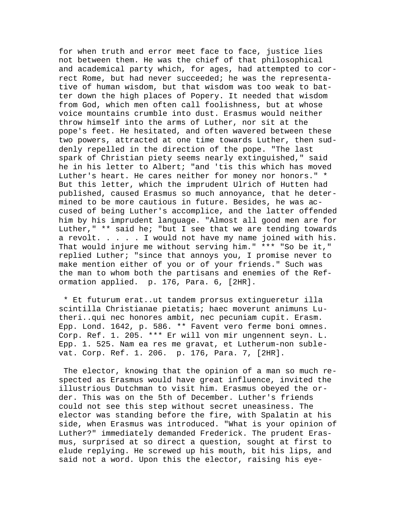for when truth and error meet face to face, justice lies not between them. He was the chief of that philosophical and academical party which, for ages, had attempted to correct Rome, but had never succeeded; he was the representative of human wisdom, but that wisdom was too weak to batter down the high places of Popery. It needed that wisdom from God, which men often call foolishness, but at whose voice mountains crumble into dust. Erasmus would neither throw himself into the arms of Luther, nor sit at the pope's feet. He hesitated, and often wavered between these two powers, attracted at one time towards Luther, then suddenly repelled in the direction of the pope. "The last spark of Christian piety seems nearly extinguished," said he in his letter to Albert; "and 'tis this which has moved Luther's heart. He cares neither for money nor honors." \* But this letter, which the imprudent Ulrich of Hutten had published, caused Erasmus so much annoyance, that he determined to be more cautious in future. Besides, he was accused of being Luther's accomplice, and the latter offended him by his imprudent language. "Almost all good men are for Luther," \*\* said he; "but I see that we are tending towards a revolt. . . . . I would not have my name joined with his. That would injure me without serving him." \*\*\* "So be it," replied Luther; "since that annoys you, I promise never to make mention either of you or of your friends." Such was the man to whom both the partisans and enemies of the Reformation applied. p. 176, Para. 6, [2HR].

 \* Et futurum erat..ut tandem prorsus extingueretur illa scintilla Christianae pietatis; haec moverunt animuns Lutheri..qui nec honores ambit, nec pecuniam cupit. Erasm. Epp. Lond. 1642, p. 586. \*\* Favent vero ferme boni omnes. Corp. Ref. 1. 205. \*\*\* Er will von mir ungennent seyn. L. Epp. 1. 525. Nam ea res me gravat, et Lutherum-non sublevat. Corp. Ref. 1. 206. p. 176, Para. 7, [2HR].

 The elector, knowing that the opinion of a man so much respected as Erasmus would have great influence, invited the illustrious Dutchman to visit him. Erasmus obeyed the order. This was on the 5th of December. Luther's friends could not see this step without secret uneasiness. The elector was standing before the fire, with Spalatin at his side, when Erasmus was introduced. "What is your opinion of Luther?" immediately demanded Frederick. The prudent Erasmus, surprised at so direct a question, sought at first to elude replying. He screwed up his mouth, bit his lips, and said not a word. Upon this the elector, raising his eye-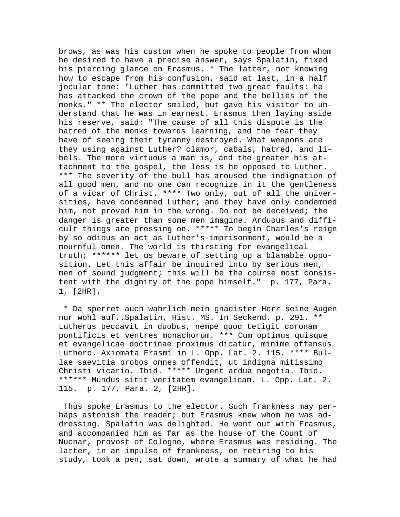brows, as was his custom when he spoke to people from whom he desired to have a precise answer, says Spalatin, fixed his piercing glance on Erasmus. \* The latter, not knowing how to escape from his confusion, said at last, in a half jocular tone: "Luther has committed two great faults: he has attacked the crown of the pope and the bellies of the monks." \*\* The elector smiled, but gave his visitor to understand that he was in earnest. Erasmus then laying aside his reserve, said: "The cause of all this dispute is the hatred of the monks towards learning, and the fear they have of seeing their tyranny destroyed. What weapons are they using against Luther? clamor, cabals, hatred, and libels. The more virtuous a man is, and the greater his attachment to the gospel, the less is he opposed to Luther. \*\*\* The severity of the bull has aroused the indignation of all good men, and no one can recognize in it the gentleness of a vicar of Christ. \*\*\*\* Two only, out of all the universities, have condemned Luther; and they have only condemned him, not proved him in the wrong. Do not be deceived; the danger is greater than some men imagine. Arduous and difficult things are pressing on. \*\*\*\*\* To begin Charles's reign by so odious an act as Luther's imprisonment, would be a mournful omen. The world is thirsting for evangelical truth; \*\*\*\*\*\* let us beware of setting up a blamable opposition. Let this affair be inquired into by serious men, men of sound judgment; this will be the course most consistent with the dignity of the pope himself." p. 177, Para. 1, [2HR].

 \* Da sperret auch wahrlich mein gnadister Herr seine Augen nur wohl auf..Spalatin, Hist. MS. In Seckend. p. 291. \*\* Lutherus peccavit in duobus, nempe quod tetigit coronam pontificis et ventres monachorum. \*\*\* Cum optimus quisque et evangelicae doctrinae proximus dicatur, minime offensus Luthero. Axiomata Erasmi in L. Opp. Lat. 2. 115. \*\*\*\* Bullae saevitia probos omnes offendit, ut indigna mitissimo Christi vicario. Ibid. \*\*\*\*\* Urgent ardua negotia. Ibid. \*\*\*\*\*\* Mundus sitit veritatem evangelicam. L. Opp. Lat. 2. 115. p. 177, Para. 2, [2HR].

 Thus spoke Erasmus to the elector. Such frankness may perhaps astonish the reader; but Erasmus knew whom he was addressing. Spalatin was delighted. He went out with Erasmus, and accompanied him as far as the house of the Count of Nucnar, provost of Cologne, where Erasmus was residing. The latter, in an impulse of frankness, on retiring to his study, took a pen, sat down, wrote a summary of what he had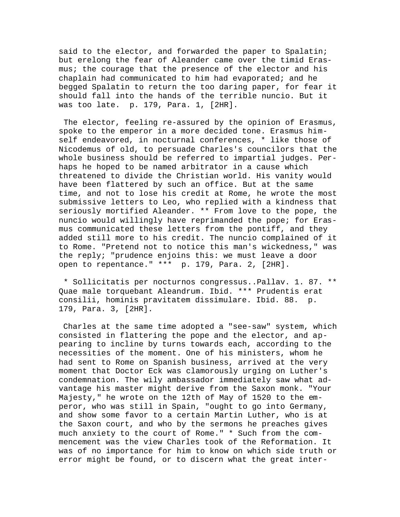said to the elector, and forwarded the paper to Spalatin; but erelong the fear of Aleander came over the timid Erasmus; the courage that the presence of the elector and his chaplain had communicated to him had evaporated; and he begged Spalatin to return the too daring paper, for fear it should fall into the hands of the terrible nuncio. But it was too late. p. 179, Para. 1, [2HR].

 The elector, feeling re-assured by the opinion of Erasmus, spoke to the emperor in a more decided tone. Erasmus himself endeavored, in nocturnal conferences, \* like those of Nicodemus of old, to persuade Charles's councilors that the whole business should be referred to impartial judges. Perhaps he hoped to be named arbitrator in a cause which threatened to divide the Christian world. His vanity would have been flattered by such an office. But at the same time, and not to lose his credit at Rome, he wrote the most submissive letters to Leo, who replied with a kindness that seriously mortified Aleander. \*\* From love to the pope, the nuncio would willingly have reprimanded the pope; for Erasmus communicated these letters from the pontiff, and they added still more to his credit. The nuncio complained of it to Rome. "Pretend not to notice this man's wickedness," was the reply; "prudence enjoins this: we must leave a door open to repentance." \*\*\* p. 179, Para. 2, [2HR].

 \* Sollicitatis per nocturnos congressus..Pallav. 1. 87. \*\* Quae male torquebant Aleandrum. Ibid. \*\*\* Prudentis erat consilii, hominis pravitatem dissimulare. Ibid. 88. p. 179, Para. 3, [2HR].

 Charles at the same time adopted a "see-saw" system, which consisted in flattering the pope and the elector, and appearing to incline by turns towards each, according to the necessities of the moment. One of his ministers, whom he had sent to Rome on Spanish business, arrived at the very moment that Doctor Eck was clamorously urging on Luther's condemnation. The wily ambassador immediately saw what advantage his master might derive from the Saxon monk. "Your Majesty," he wrote on the 12th of May of 1520 to the emperor, who was still in Spain, "ought to go into Germany, and show some favor to a certain Martin Luther, who is at the Saxon court, and who by the sermons he preaches gives much anxiety to the court of Rome." \* Such from the commencement was the view Charles took of the Reformation. It was of no importance for him to know on which side truth or error might be found, or to discern what the great inter-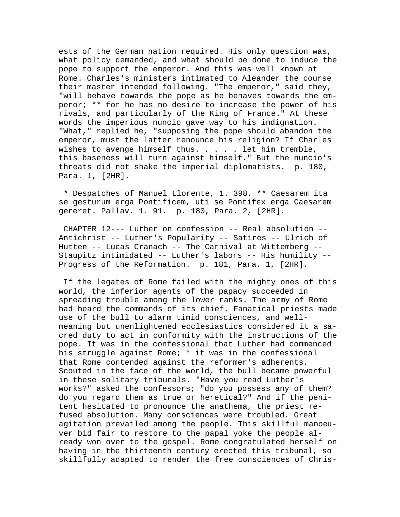ests of the German nation required. His only question was, what policy demanded, and what should be done to induce the pope to support the emperor. And this was well known at Rome. Charles's ministers intimated to Aleander the course their master intended following. "The emperor," said they, "will behave towards the pope as he behaves towards the emperor; \*\* for he has no desire to increase the power of his rivals, and particularly of the King of France." At these words the imperious nuncio gave way to his indignation. "What," replied he, "supposing the pope should abandon the emperor, must the latter renounce his religion? If Charles wishes to avenge himself thus.  $\ldots$  . let him tremble, this baseness will turn against himself." But the nuncio's threats did not shake the imperial diplomatists. p. 180, Para. 1, [2HR].

 \* Despatches of Manuel Llorente, 1. 398. \*\* Caesarem ita se gesturum erga Pontificem, uti se Pontifex erga Caesarem gereret. Pallav. 1. 91. p. 180, Para. 2, [2HR].

 CHAPTER 12--- Luther on confession -- Real absolution -- Antichrist -- Luther's Popularity -- Satires -- Ulrich of Hutten -- Lucas Cranach -- The Carnival at Wittemberg -- Staupitz intimidated -- Luther's labors -- His humility -- Progress of the Reformation. p. 181, Para. 1, [2HR].

 If the legates of Rome failed with the mighty ones of this world, the inferior agents of the papacy succeeded in spreading trouble among the lower ranks. The army of Rome had heard the commands of its chief. Fanatical priests made use of the bull to alarm timid consciences, and wellmeaning but unenlightened ecclesiastics considered it a sacred duty to act in conformity with the instructions of the pope. It was in the confessional that Luther had commenced his struggle against Rome; \* it was in the confessional that Rome contended against the reformer's adherents. Scouted in the face of the world, the bull became powerful in these solitary tribunals. "Have you read Luther's works?" asked the confessors; "do you possess any of them? do you regard them as true or heretical?" And if the penitent hesitated to pronounce the anathema, the priest refused absolution. Many consciences were troubled. Great agitation prevailed among the people. This skillful manoeuver bid fair to restore to the papal yoke the people already won over to the gospel. Rome congratulated herself on having in the thirteenth century erected this tribunal, so skillfully adapted to render the free consciences of Chris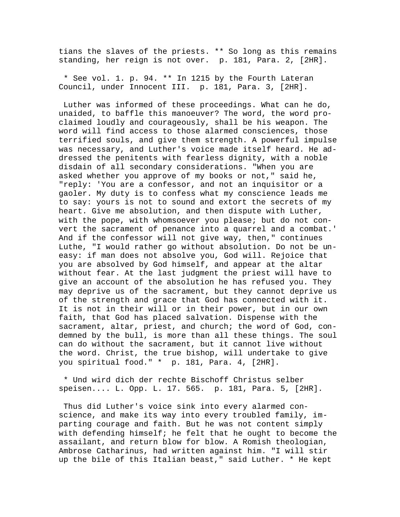tians the slaves of the priests. \*\* So long as this remains standing, her reign is not over. p. 181, Para. 2, [2HR].

 \* See vol. 1. p. 94. \*\* In 1215 by the Fourth Lateran Council, under Innocent III. p. 181, Para. 3, [2HR].

 Luther was informed of these proceedings. What can he do, unaided, to baffle this manoeuver? The word, the word proclaimed loudly and courageously, shall be his weapon. The word will find access to those alarmed consciences, those terrified souls, and give them strength. A powerful impulse was necessary, and Luther's voice made itself heard. He addressed the penitents with fearless dignity, with a noble disdain of all secondary considerations. "When you are asked whether you approve of my books or not," said he, "reply: 'You are a confessor, and not an inquisitor or a gaoler. My duty is to confess what my conscience leads me to say: yours is not to sound and extort the secrets of my heart. Give me absolution, and then dispute with Luther, with the pope, with whomsoever you please; but do not convert the sacrament of penance into a quarrel and a combat.' And if the confessor will not give way, then," continues Luthe, "I would rather go without absolution. Do not be uneasy: if man does not absolve you, God will. Rejoice that you are absolved by God himself, and appear at the altar without fear. At the last judgment the priest will have to give an account of the absolution he has refused you. They may deprive us of the sacrament, but they cannot deprive us of the strength and grace that God has connected with it. It is not in their will or in their power, but in our own faith, that God has placed salvation. Dispense with the sacrament, altar, priest, and church; the word of God, condemned by the bull, is more than all these things. The soul can do without the sacrament, but it cannot live without the word. Christ, the true bishop, will undertake to give you spiritual food." \* p. 181, Para. 4, [2HR].

 \* Und wird dich der rechte Bischoff Christus selber speisen.... L. Opp. L. 17. 565. p. 181, Para. 5, [2HR].

 Thus did Luther's voice sink into every alarmed conscience, and make its way into every troubled family, imparting courage and faith. But he was not content simply with defending himself; he felt that he ought to become the assailant, and return blow for blow. A Romish theologian, Ambrose Catharinus, had written against him. "I will stir up the bile of this Italian beast," said Luther. \* He kept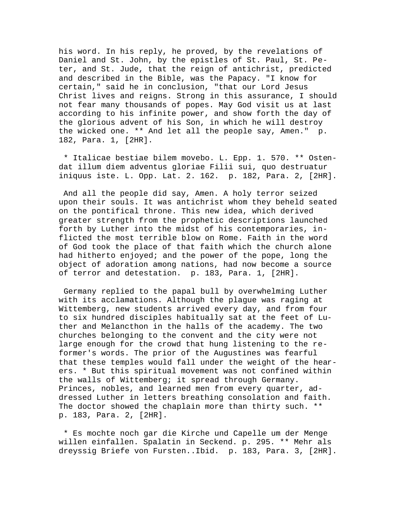his word. In his reply, he proved, by the revelations of Daniel and St. John, by the epistles of St. Paul, St. Peter, and St. Jude, that the reign of antichrist, predicted and described in the Bible, was the Papacy. "I know for certain," said he in conclusion, "that our Lord Jesus Christ lives and reigns. Strong in this assurance, I should not fear many thousands of popes. May God visit us at last according to his infinite power, and show forth the day of the glorious advent of his Son, in which he will destroy the wicked one. \*\* And let all the people say, Amen." p. 182, Para. 1, [2HR].

 \* Italicae bestiae bilem movebo. L. Epp. 1. 570. \*\* Ostendat illum diem adventus gloriae Filii sui, quo destruatur iniquus iste. L. Opp. Lat. 2. 162. p. 182, Para. 2, [2HR].

 And all the people did say, Amen. A holy terror seized upon their souls. It was antichrist whom they beheld seated on the pontifical throne. This new idea, which derived greater strength from the prophetic descriptions launched forth by Luther into the midst of his contemporaries, inflicted the most terrible blow on Rome. Faith in the word of God took the place of that faith which the church alone had hitherto enjoyed; and the power of the pope, long the object of adoration among nations, had now become a source of terror and detestation. p. 183, Para. 1, [2HR].

 Germany replied to the papal bull by overwhelming Luther with its acclamations. Although the plague was raging at Wittemberg, new students arrived every day, and from four to six hundred disciples habitually sat at the feet of Luther and Melancthon in the halls of the academy. The two churches belonging to the convent and the city were not large enough for the crowd that hung listening to the reformer's words. The prior of the Augustines was fearful that these temples would fall under the weight of the hearers. \* But this spiritual movement was not confined within the walls of Wittemberg; it spread through Germany. Princes, nobles, and learned men from every quarter, addressed Luther in letters breathing consolation and faith. The doctor showed the chaplain more than thirty such. \*\* p. 183, Para. 2, [2HR].

 \* Es mochte noch gar die Kirche und Capelle um der Menge willen einfallen. Spalatin in Seckend. p. 295. \*\* Mehr als dreyssig Briefe von Fursten..Ibid. p. 183, Para. 3, [2HR].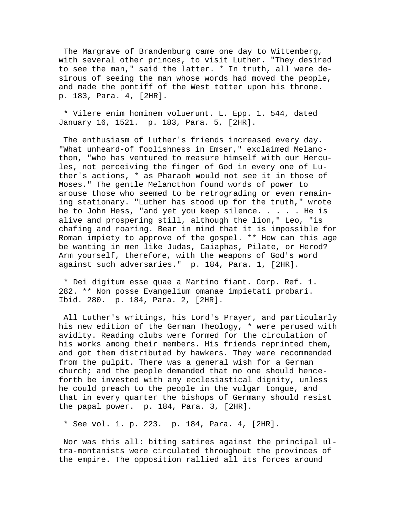The Margrave of Brandenburg came one day to Wittemberg, with several other princes, to visit Luther. "They desired to see the man," said the latter. \* In truth, all were desirous of seeing the man whose words had moved the people, and made the pontiff of the West totter upon his throne. p. 183, Para. 4, [2HR].

 \* Vilere enim hominem voluerunt. L. Epp. 1. 544, dated January 16, 1521. p. 183, Para. 5, [2HR].

 The enthusiasm of Luther's friends increased every day. "What unheard-of foolishness in Emser," exclaimed Melancthon, "who has ventured to measure himself with our Hercules, not perceiving the finger of God in every one of Luther's actions, \* as Pharaoh would not see it in those of Moses." The gentle Melancthon found words of power to arouse those who seemed to be retrograding or even remaining stationary. "Luther has stood up for the truth," wrote he to John Hess, "and yet you keep silence. . . . . He is alive and prospering still, although the lion," Leo, "is chafing and roaring. Bear in mind that it is impossible for Roman impiety to approve of the gospel. \*\* How can this age be wanting in men like Judas, Caiaphas, Pilate, or Herod? Arm yourself, therefore, with the weapons of God's word against such adversaries." p. 184, Para. 1, [2HR].

 \* Dei digitum esse quae a Martino fiant. Corp. Ref. 1. 282. \*\* Non posse Evangelium omanae impietati probari. Ibid. 280. p. 184, Para. 2, [2HR].

 All Luther's writings, his Lord's Prayer, and particularly his new edition of the German Theology, \* were perused with avidity. Reading clubs were formed for the circulation of his works among their members. His friends reprinted them, and got them distributed by hawkers. They were recommended from the pulpit. There was a general wish for a German church; and the people demanded that no one should henceforth be invested with any ecclesiastical dignity, unless he could preach to the people in the vulgar tongue, and that in every quarter the bishops of Germany should resist the papal power. p. 184, Para. 3, [2HR].

\* See vol. 1. p. 223. p. 184, Para. 4, [2HR].

 Nor was this all: biting satires against the principal ultra-montanists were circulated throughout the provinces of the empire. The opposition rallied all its forces around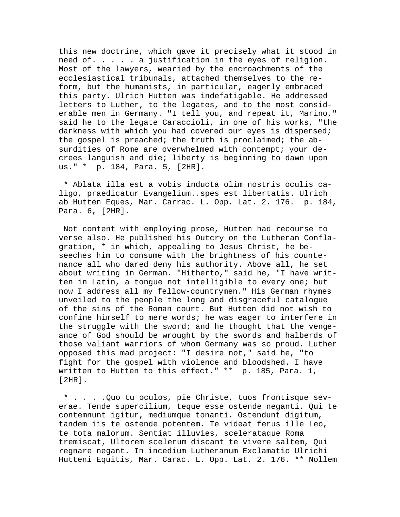this new doctrine, which gave it precisely what it stood in need of. . . . . a justification in the eyes of religion. Most of the lawyers, wearied by the encroachments of the ecclesiastical tribunals, attached themselves to the reform, but the humanists, in particular, eagerly embraced this party. Ulrich Hutten was indefatigable. He addressed letters to Luther, to the legates, and to the most considerable men in Germany. "I tell you, and repeat it, Marino," said he to the legate Caraccioli, in one of his works, "the darkness with which you had covered our eyes is dispersed; the gospel is preached; the truth is proclaimed; the absurdities of Rome are overwhelmed with contempt; your decrees languish and die; liberty is beginning to dawn upon us." \* p. 184, Para. 5, [2HR].

 \* Ablata illa est a vobis inducta olim nostris oculis caligo, praedicatur Evangelium..spes est libertatis. Ulrich ab Hutten Eques, Mar. Carrac. L. Opp. Lat. 2. 176. p. 184, Para. 6, [2HR].

 Not content with employing prose, Hutten had recourse to verse also. He published his Outcry on the Lutheran Conflagration, \* in which, appealing to Jesus Christ, he beseeches him to consume with the brightness of his countenance all who dared deny his authority. Above all, he set about writing in German. "Hitherto," said he, "I have written in Latin, a tongue not intelligible to every one; but now I address all my fellow-countrymen." His German rhymes unveiled to the people the long and disgraceful catalogue of the sins of the Roman court. But Hutten did not wish to confine himself to mere words; he was eager to interfere in the struggle with the sword; and he thought that the vengeance of God should be wrought by the swords and halberds of those valiant warriors of whom Germany was so proud. Luther opposed this mad project: "I desire not," said he, "to fight for the gospel with violence and bloodshed. I have written to Hutten to this effect." \*\* p. 185, Para. 1, [2HR].

 \* . . . .Quo tu oculos, pie Christe, tuos frontisque severae. Tende supercilium, teque esse ostende neganti. Qui te contemnunt igitur, mediumque tonanti. Ostendunt digitum, tandem iis te ostende potentem. Te videat ferus ille Leo, te tota malorum. Sentiat illuvies, scelerataque Roma tremiscat, Ultorem scelerum discant te vivere saltem, Qui regnare negant. In incedium Lutheranum Exclamatio Ulrichi Hutteni Equitis, Mar. Carac. L. Opp. Lat. 2. 176. \*\* Nollem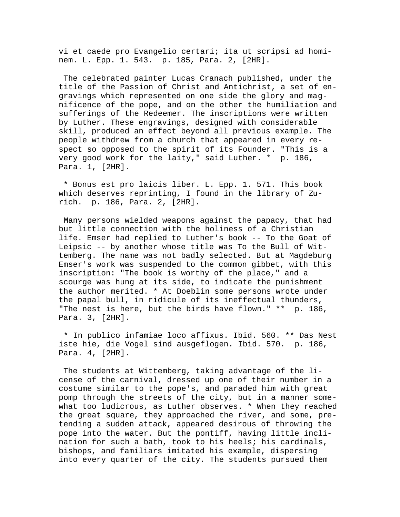vi et caede pro Evangelio certari; ita ut scripsi ad hominem. L. Epp. 1. 543. p. 185, Para. 2, [2HR].

 The celebrated painter Lucas Cranach published, under the title of the Passion of Christ and Antichrist, a set of engravings which represented on one side the glory and magnificence of the pope, and on the other the humiliation and sufferings of the Redeemer. The inscriptions were written by Luther. These engravings, designed with considerable skill, produced an effect beyond all previous example. The people withdrew from a church that appeared in every respect so opposed to the spirit of its Founder. "This is a very good work for the laity," said Luther. \* p. 186, Para. 1, [2HR].

 \* Bonus est pro laicis liber. L. Epp. 1. 571. This book which deserves reprinting, I found in the library of Zurich. p. 186, Para. 2, [2HR].

 Many persons wielded weapons against the papacy, that had but little connection with the holiness of a Christian life. Emser had replied to Luther's book -- To the Goat of Leipsic -- by another whose title was To the Bull of Wittemberg. The name was not badly selected. But at Magdeburg Emser's work was suspended to the common gibbet, with this inscription: "The book is worthy of the place," and a scourge was hung at its side, to indicate the punishment the author merited. \* At Doeblin some persons wrote under the papal bull, in ridicule of its ineffectual thunders, "The nest is here, but the birds have flown." \*\* p. 186, Para. 3, [2HR].

 \* In publico infamiae loco affixus. Ibid. 560. \*\* Das Nest iste hie, die Vogel sind ausgeflogen. Ibid. 570. p. 186, Para. 4, [2HR].

 The students at Wittemberg, taking advantage of the license of the carnival, dressed up one of their number in a costume similar to the pope's, and paraded him with great pomp through the streets of the city, but in a manner somewhat too ludicrous, as Luther observes. \* When they reached the great square, they approached the river, and some, pretending a sudden attack, appeared desirous of throwing the pope into the water. But the pontiff, having little inclination for such a bath, took to his heels; his cardinals, bishops, and familiars imitated his example, dispersing into every quarter of the city. The students pursued them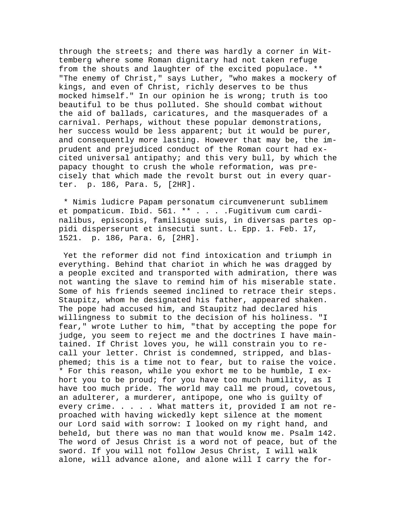through the streets; and there was hardly a corner in Wittemberg where some Roman dignitary had not taken refuge from the shouts and laughter of the excited populace. \*\* "The enemy of Christ," says Luther, "who makes a mockery of kings, and even of Christ, richly deserves to be thus mocked himself." In our opinion he is wrong; truth is too beautiful to be thus polluted. She should combat without the aid of ballads, caricatures, and the masquerades of a carnival. Perhaps, without these popular demonstrations, her success would be less apparent; but it would be purer, and consequently more lasting. However that may be, the imprudent and prejudiced conduct of the Roman court had excited universal antipathy; and this very bull, by which the papacy thought to crush the whole reformation, was precisely that which made the revolt burst out in every quarter. p. 186, Para. 5, [2HR].

 \* Nimis ludicre Papam personatum circumvenerunt sublimem et pompaticum. Ibid. 561. \*\* . . . . Fugitivum cum cardinalibus, episcopis, familisque suis, in diversas partes oppidi disperserunt et insecuti sunt. L. Epp. 1. Feb. 17, 1521. p. 186, Para. 6, [2HR].

 Yet the reformer did not find intoxication and triumph in everything. Behind that chariot in which he was dragged by a people excited and transported with admiration, there was not wanting the slave to remind him of his miserable state. Some of his friends seemed inclined to retrace their steps. Staupitz, whom he designated his father, appeared shaken. The pope had accused him, and Staupitz had declared his willingness to submit to the decision of his holiness. "I fear," wrote Luther to him, "that by accepting the pope for judge, you seem to reject me and the doctrines I have maintained. If Christ loves you, he will constrain you to recall your letter. Christ is condemned, stripped, and blasphemed; this is a time not to fear, but to raise the voice. \* For this reason, while you exhort me to be humble, I exhort you to be proud; for you have too much humility, as I have too much pride. The world may call me proud, covetous, an adulterer, a murderer, antipope, one who is guilty of every crime. . . . . What matters it, provided I am not reproached with having wickedly kept silence at the moment our Lord said with sorrow: I looked on my right hand, and beheld, but there was no man that would know me. Psalm 142. The word of Jesus Christ is a word not of peace, but of the sword. If you will not follow Jesus Christ, I will walk alone, will advance alone, and alone will I carry the for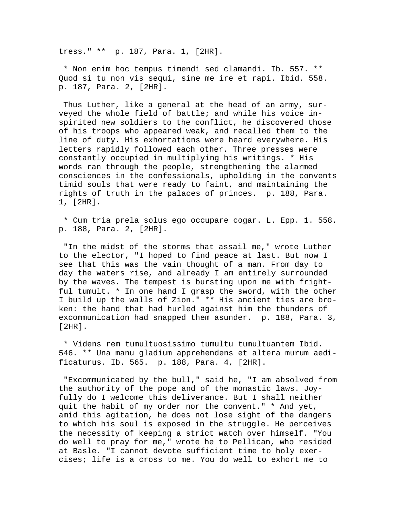tress." \*\* p. 187, Para. 1, [2HR].

 \* Non enim hoc tempus timendi sed clamandi. Ib. 557. \*\* Quod si tu non vis sequi, sine me ire et rapi. Ibid. 558. p. 187, Para. 2, [2HR].

 Thus Luther, like a general at the head of an army, surveyed the whole field of battle; and while his voice inspirited new soldiers to the conflict, he discovered those of his troops who appeared weak, and recalled them to the line of duty. His exhortations were heard everywhere. His letters rapidly followed each other. Three presses were constantly occupied in multiplying his writings. \* His words ran through the people, strengthening the alarmed consciences in the confessionals, upholding in the convents timid souls that were ready to faint, and maintaining the rights of truth in the palaces of princes. p. 188, Para. 1, [2HR].

 \* Cum tria prela solus ego occupare cogar. L. Epp. 1. 558. p. 188, Para. 2, [2HR].

 "In the midst of the storms that assail me," wrote Luther to the elector, "I hoped to find peace at last. But now I see that this was the vain thought of a man. From day to day the waters rise, and already I am entirely surrounded by the waves. The tempest is bursting upon me with frightful tumult. \* In one hand I grasp the sword, with the other I build up the walls of Zion." \*\* His ancient ties are broken: the hand that had hurled against him the thunders of excommunication had snapped them asunder. p. 188, Para. 3, [2HR].

 \* Videns rem tumultuosissimo tumultu tumultuantem Ibid. 546. \*\* Una manu gladium apprehendens et altera murum aedificaturus. Ib. 565. p. 188, Para. 4, [2HR].

 "Excommunicated by the bull," said he, "I am absolved from the authority of the pope and of the monastic laws. Joyfully do I welcome this deliverance. But I shall neither quit the habit of my order nor the convent." \* And yet, amid this agitation, he does not lose sight of the dangers to which his soul is exposed in the struggle. He perceives the necessity of keeping a strict watch over himself. "You do well to pray for me," wrote he to Pellican, who resided at Basle. "I cannot devote sufficient time to holy exercises; life is a cross to me. You do well to exhort me to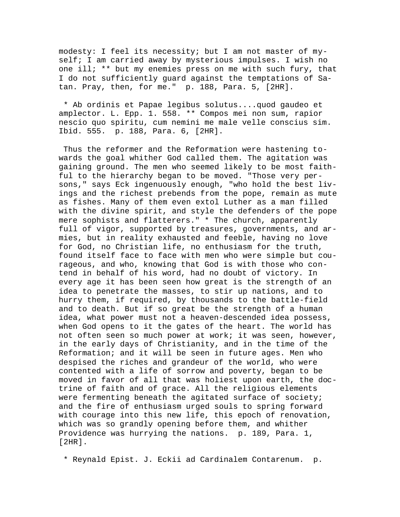modesty: I feel its necessity; but I am not master of myself; I am carried away by mysterious impulses. I wish no one ill; \*\* but my enemies press on me with such fury, that I do not sufficiently guard against the temptations of Satan. Pray, then, for me." p. 188, Para. 5, [2HR].

 \* Ab ordinis et Papae legibus solutus....quod gaudeo et amplector. L. Epp. 1. 558. \*\* Compos mei non sum, rapior nescio quo spiritu, cum nemini me male velle conscius sim. Ibid. 555. p. 188, Para. 6, [2HR].

 Thus the reformer and the Reformation were hastening towards the goal whither God called them. The agitation was gaining ground. The men who seemed likely to be most faithful to the hierarchy began to be moved. "Those very persons," says Eck ingenuously enough, "who hold the best livings and the richest prebends from the pope, remain as mute as fishes. Many of them even extol Luther as a man filled with the divine spirit, and style the defenders of the pope mere sophists and flatterers." \* The church, apparently full of vigor, supported by treasures, governments, and armies, but in reality exhausted and feeble, having no love for God, no Christian life, no enthusiasm for the truth, found itself face to face with men who were simple but courageous, and who, knowing that God is with those who contend in behalf of his word, had no doubt of victory. In every age it has been seen how great is the strength of an idea to penetrate the masses, to stir up nations, and to hurry them, if required, by thousands to the battle-field and to death. But if so great be the strength of a human idea, what power must not a heaven-descended idea possess, when God opens to it the gates of the heart. The world has not often seen so much power at work; it was seen, however, in the early days of Christianity, and in the time of the Reformation; and it will be seen in future ages. Men who despised the riches and grandeur of the world, who were contented with a life of sorrow and poverty, began to be moved in favor of all that was holiest upon earth, the doctrine of faith and of grace. All the religious elements were fermenting beneath the agitated surface of society; and the fire of enthusiasm urged souls to spring forward with courage into this new life, this epoch of renovation, which was so grandly opening before them, and whither Providence was hurrying the nations. p. 189, Para. 1, [2HR].

\* Reynald Epist. J. Eckii ad Cardinalem Contarenum. p.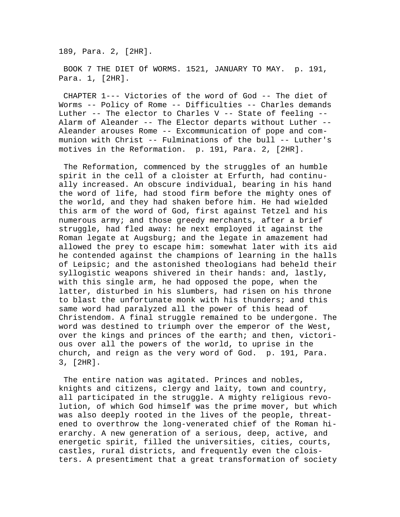189, Para. 2, [2HR].

 BOOK 7 THE DIET Of WORMS. 1521, JANUARY TO MAY. p. 191, Para. 1, [2HR].

 CHAPTER 1--- Victories of the word of God -- The diet of Worms -- Policy of Rome -- Difficulties -- Charles demands Luther -- The elector to Charles V -- State of feeling -- Alarm of Aleander -- The Elector departs without Luther -- Aleander arouses Rome -- Excommunication of pope and communion with Christ -- Fulminations of the bull -- Luther's motives in the Reformation. p. 191, Para. 2, [2HR].

 The Reformation, commenced by the struggles of an humble spirit in the cell of a cloister at Erfurth, had continually increased. An obscure individual, bearing in his hand the word of life, had stood firm before the mighty ones of the world, and they had shaken before him. He had wielded this arm of the word of God, first against Tetzel and his numerous army; and those greedy merchants, after a brief struggle, had fled away: he next employed it against the Roman legate at Augsburg; and the legate in amazement had allowed the prey to escape him: somewhat later with its aid he contended against the champions of learning in the halls of Leipsic; and the astonished theologians had beheld their syllogistic weapons shivered in their hands: and, lastly, with this single arm, he had opposed the pope, when the latter, disturbed in his slumbers, had risen on his throne to blast the unfortunate monk with his thunders; and this same word had paralyzed all the power of this head of Christendom. A final struggle remained to be undergone. The word was destined to triumph over the emperor of the West, over the kings and princes of the earth; and then, victorious over all the powers of the world, to uprise in the church, and reign as the very word of God. p. 191, Para. 3, [2HR].

 The entire nation was agitated. Princes and nobles, knights and citizens, clergy and laity, town and country, all participated in the struggle. A mighty religious revolution, of which God himself was the prime mover, but which was also deeply rooted in the lives of the people, threatened to overthrow the long-venerated chief of the Roman hierarchy. A new generation of a serious, deep, active, and energetic spirit, filled the universities, cities, courts, castles, rural districts, and frequently even the cloisters. A presentiment that a great transformation of society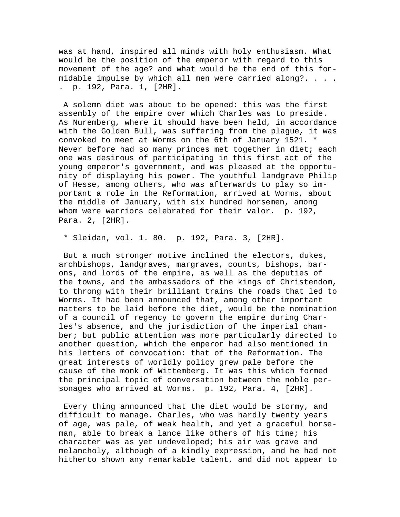was at hand, inspired all minds with holy enthusiasm. What would be the position of the emperor with regard to this movement of the age? and what would be the end of this formidable impulse by which all men were carried along?. . . . . p. 192, Para. 1, [2HR].

 A solemn diet was about to be opened: this was the first assembly of the empire over which Charles was to preside. As Nuremberg, where it should have been held, in accordance with the Golden Bull, was suffering from the plague, it was convoked to meet at Worms on the 6th of January 1521. \* Never before had so many princes met together in diet; each one was desirous of participating in this first act of the young emperor's government, and was pleased at the opportunity of displaying his power. The youthful landgrave Philip of Hesse, among others, who was afterwards to play so important a role in the Reformation, arrived at Worms, about the middle of January, with six hundred horsemen, among whom were warriors celebrated for their valor. p. 192, Para. 2, [2HR].

\* Sleidan, vol. 1. 80. p. 192, Para. 3, [2HR].

 But a much stronger motive inclined the electors, dukes, archbishops, landgraves, margraves, counts, bishops, barons, and lords of the empire, as well as the deputies of the towns, and the ambassadors of the kings of Christendom, to throng with their brilliant trains the roads that led to Worms. It had been announced that, among other important matters to be laid before the diet, would be the nomination of a council of regency to govern the empire during Charles's absence, and the jurisdiction of the imperial chamber; but public attention was more particularly directed to another question, which the emperor had also mentioned in his letters of convocation: that of the Reformation. The great interests of worldly policy grew pale before the cause of the monk of Wittemberg. It was this which formed the principal topic of conversation between the noble personages who arrived at Worms. p. 192, Para. 4, [2HR].

 Every thing announced that the diet would be stormy, and difficult to manage. Charles, who was hardly twenty years of age, was pale, of weak health, and yet a graceful horseman, able to break a lance like others of his time; his character was as yet undeveloped; his air was grave and melancholy, although of a kindly expression, and he had not hitherto shown any remarkable talent, and did not appear to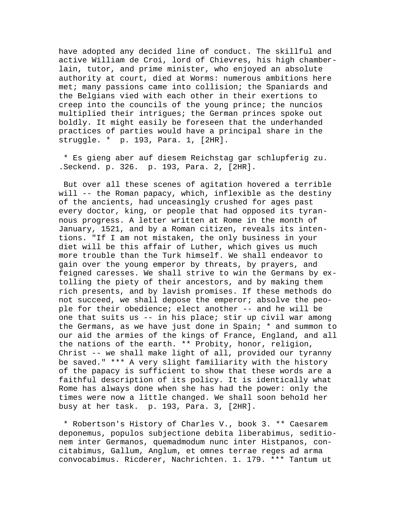have adopted any decided line of conduct. The skillful and active William de Croi, lord of Chievres, his high chamberlain, tutor, and prime minister, who enjoyed an absolute authority at court, died at Worms: numerous ambitions here met; many passions came into collision; the Spaniards and the Belgians vied with each other in their exertions to creep into the councils of the young prince; the nuncios multiplied their intrigues; the German princes spoke out boldly. It might easily be foreseen that the underhanded practices of parties would have a principal share in the struggle. \* p. 193, Para. 1, [2HR].

 \* Es gieng aber auf diesem Reichstag gar schlupferig zu. .Seckend. p. 326. p. 193, Para. 2, [2HR].

 But over all these scenes of agitation hovered a terrible will -- the Roman papacy, which, inflexible as the destiny of the ancients, had unceasingly crushed for ages past every doctor, king, or people that had opposed its tyrannous progress. A letter written at Rome in the month of January, 1521, and by a Roman citizen, reveals its intentions. "If I am not mistaken, the only business in your diet will be this affair of Luther, which gives us much more trouble than the Turk himself. We shall endeavor to gain over the young emperor by threats, by prayers, and feigned caresses. We shall strive to win the Germans by extolling the piety of their ancestors, and by making them rich presents, and by lavish promises. If these methods do not succeed, we shall depose the emperor; absolve the people for their obedience; elect another -- and he will be one that suits us -- in his place; stir up civil war among the Germans, as we have just done in Spain; \* and summon to our aid the armies of the kings of France, England, and all the nations of the earth. \*\* Probity, honor, religion, Christ -- we shall make light of all, provided our tyranny be saved." \*\*\* A very slight familiarity with the history of the papacy is sufficient to show that these words are a faithful description of its policy. It is identically what Rome has always done when she has had the power: only the times were now a little changed. We shall soon behold her busy at her task. p. 193, Para. 3, [2HR].

 \* Robertson's History of Charles V., book 3. \*\* Caesarem deponemus, populos subjectione debita liberabimus, seditionem inter Germanos, quemadmodum nunc inter Histpanos, concitabimus, Gallum, Anglum, et omnes terrae reges ad arma convocabimus. Ricderer, Nachrichten. 1. 179. \*\*\* Tantum ut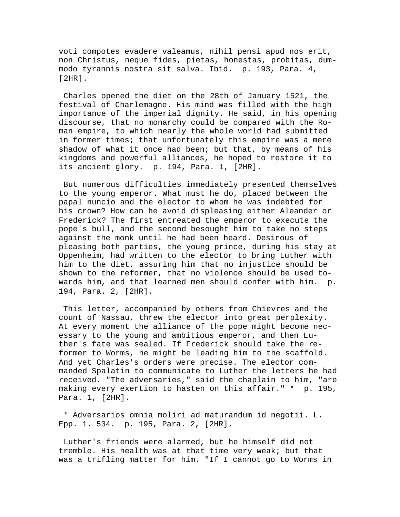voti compotes evadere valeamus, nihil pensi apud nos erit, non Christus, neque fides, pietas, honestas, probitas, dummodo tyrannis nostra sit salva. Ibid. p. 193, Para. 4,  $[2HR]$ .

 Charles opened the diet on the 28th of January 1521, the festival of Charlemagne. His mind was filled with the high importance of the imperial dignity. He said, in his opening discourse, that no monarchy could be compared with the Roman empire, to which nearly the whole world had submitted in former times; that unfortunately this empire was a mere shadow of what it once had been; but that, by means of his kingdoms and powerful alliances, he hoped to restore it to its ancient glory. p. 194, Para. 1, [2HR].

 But numerous difficulties immediately presented themselves to the young emperor. What must he do, placed between the papal nuncio and the elector to whom he was indebted for his crown? How can he avoid displeasing either Aleander or Frederick? The first entreated the emperor to execute the pope's bull, and the second besought him to take no steps against the monk until he had been heard. Desirous of pleasing both parties, the young prince, during his stay at Oppenheim, had written to the elector to bring Luther with him to the diet, assuring him that no injustice should be shown to the reformer, that no violence should be used towards him, and that learned men should confer with him. p. 194, Para. 2, [2HR].

 This letter, accompanied by others from Chievres and the count of Nassau, threw the elector into great perplexity. At every moment the alliance of the pope might become necessary to the young and ambitious emperor, and then Luther's fate was sealed. If Frederick should take the reformer to Worms, he might be leading him to the scaffold. And yet Charles's orders were precise. The elector commanded Spalatin to communicate to Luther the letters he had received. "The adversaries," said the chaplain to him, "are making every exertion to hasten on this affair." \* p. 195, Para. 1, [2HR].

 \* Adversarios omnia moliri ad maturandum id negotii. L. Epp. 1. 534. p. 195, Para. 2, [2HR].

 Luther's friends were alarmed, but he himself did not tremble. His health was at that time very weak; but that was a trifling matter for him. "If I cannot go to Worms in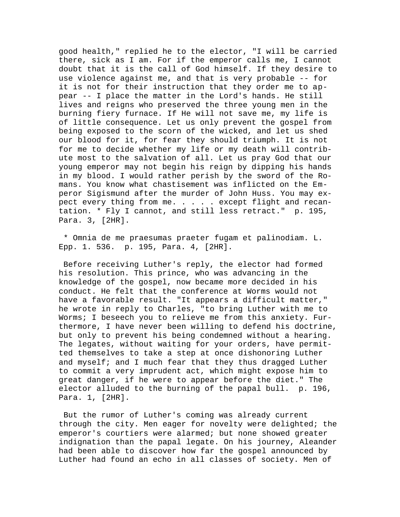good health," replied he to the elector, "I will be carried there, sick as I am. For if the emperor calls me, I cannot doubt that it is the call of God himself. If they desire to use violence against me, and that is very probable -- for it is not for their instruction that they order me to appear -- I place the matter in the Lord's hands. He still lives and reigns who preserved the three young men in the burning fiery furnace. If He will not save me, my life is of little consequence. Let us only prevent the gospel from being exposed to the scorn of the wicked, and let us shed our blood for it, for fear they should triumph. It is not for me to decide whether my life or my death will contribute most to the salvation of all. Let us pray God that our young emperor may not begin his reign by dipping his hands in my blood. I would rather perish by the sword of the Romans. You know what chastisement was inflicted on the Emperor Sigismund after the murder of John Huss. You may expect every thing from me. . . . . except flight and recantation. \* Fly I cannot, and still less retract." p. 195, Para. 3, [2HR].

 \* Omnia de me praesumas praeter fugam et palinodiam. L. Epp. 1. 536. p. 195, Para. 4, [2HR].

 Before receiving Luther's reply, the elector had formed his resolution. This prince, who was advancing in the knowledge of the gospel, now became more decided in his conduct. He felt that the conference at Worms would not have a favorable result. "It appears a difficult matter," he wrote in reply to Charles, "to bring Luther with me to Worms; I beseech you to relieve me from this anxiety. Furthermore, I have never been willing to defend his doctrine, but only to prevent his being condemned without a hearing. The legates, without waiting for your orders, have permitted themselves to take a step at once dishonoring Luther and myself; and I much fear that they thus dragged Luther to commit a very imprudent act, which might expose him to great danger, if he were to appear before the diet." The elector alluded to the burning of the papal bull. p. 196, Para. 1, [2HR].

 But the rumor of Luther's coming was already current through the city. Men eager for novelty were delighted; the emperor's courtiers were alarmed; but none showed greater indignation than the papal legate. On his journey, Aleander had been able to discover how far the gospel announced by Luther had found an echo in all classes of society. Men of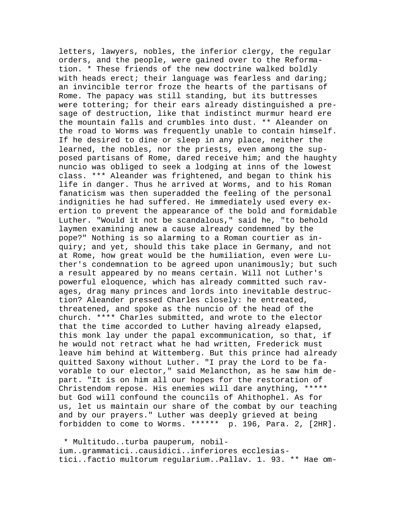letters, lawyers, nobles, the inferior clergy, the regular orders, and the people, were gained over to the Reformation. \* These friends of the new doctrine walked boldly with heads erect; their language was fearless and daring; an invincible terror froze the hearts of the partisans of Rome. The papacy was still standing, but its buttresses were tottering; for their ears already distinguished a presage of destruction, like that indistinct murmur heard ere the mountain falls and crumbles into dust. \*\* Aleander on the road to Worms was frequently unable to contain himself. If he desired to dine or sleep in any place, neither the learned, the nobles, nor the priests, even among the supposed partisans of Rome, dared receive him; and the haughty nuncio was obliged to seek a lodging at inns of the lowest class. \*\*\* Aleander was frightened, and began to think his life in danger. Thus he arrived at Worms, and to his Roman fanaticism was then superadded the feeling of the personal indignities he had suffered. He immediately used every exertion to prevent the appearance of the bold and formidable Luther. "Would it not be scandalous," said he, "to behold laymen examining anew a cause already condemned by the pope?" Nothing is so alarming to a Roman courtier as inquiry; and yet, should this take place in Germany, and not at Rome, how great would be the humiliation, even were Luther's condemnation to be agreed upon unanimously; but such a result appeared by no means certain. Will not Luther's powerful eloquence, which has already committed such ravages, drag many princes and lords into inevitable destruction? Aleander pressed Charles closely: he entreated, threatened, and spoke as the nuncio of the head of the church. \*\*\*\* Charles submitted, and wrote to the elector that the time accorded to Luther having already elapsed, this monk lay under the papal excommunication, so that, if he would not retract what he had written, Frederick must leave him behind at Wittemberg. But this prince had already quitted Saxony without Luther. "I pray the Lord to be favorable to our elector," said Melancthon, as he saw him depart. "It is on him all our hopes for the restoration of Christendom repose. His enemies will dare anything, \*\*\*\*\* but God will confound the councils of Ahithophel. As for us, let us maintain our share of the combat by our teaching and by our prayers." Luther was deeply grieved at being forbidden to come to Worms. \*\*\*\*\*\* p. 196, Para. 2, [2HR].

 \* Multitudo..turba pauperum, nobilium..grammatici..causidici..inferiores ecclesiastici..factio multorum regularium..Pallav. 1. 93. \*\* Hae om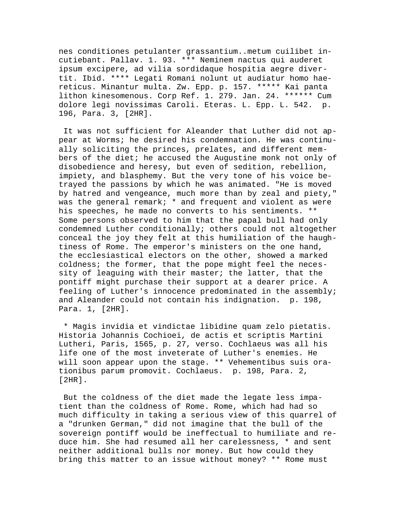nes conditiones petulanter grassantium..metum cuilibet incutiebant. Pallav. 1. 93. \*\*\* Neminem nactus qui auderet ipsum excipere, ad vilia sordidaque hospitia aegre divertit. Ibid. \*\*\*\* Legati Romani nolunt ut audiatur homo haereticus. Minantur multa. Zw. Epp. p. 157. \*\*\*\*\* Kai panta lithon kinesomenous. Corp Ref. 1. 279. Jan. 24. \*\*\*\*\*\* Cum dolore legi novissimas Caroli. Eteras. L. Epp. L. 542. p. 196, Para. 3, [2HR].

 It was not sufficient for Aleander that Luther did not appear at Worms; he desired his condemnation. He was continually soliciting the princes, prelates, and different members of the diet; he accused the Augustine monk not only of disobedience and heresy, but even of sedition, rebellion, impiety, and blasphemy. But the very tone of his voice betrayed the passions by which he was animated. "He is moved by hatred and vengeance, much more than by zeal and piety," was the general remark; \* and frequent and violent as were his speeches, he made no converts to his sentiments. \*\* Some persons observed to him that the papal bull had only condemned Luther conditionally; others could not altogether conceal the joy they felt at this humiliation of the haughtiness of Rome. The emperor's ministers on the one hand, the ecclesiastical electors on the other, showed a marked coldness; the former, that the pope might feel the necessity of leaguing with their master; the latter, that the pontiff might purchase their support at a dearer price. A feeling of Luther's innocence predominated in the assembly; and Aleander could not contain his indignation. p. 198, Para. 1, [2HR].

 \* Magis invidia et vindictae libidine quam zelo pietatis. Historia Johannis Cochioei, de actis et scriptis Martini Lutheri, Paris, 1565, p. 27, verso. Cochlaeus was all his life one of the most inveterate of Luther's enemies. He will soon appear upon the stage. \*\* Vehementibus suis orationibus parum promovit. Cochlaeus. p. 198, Para. 2, [2HR].

 But the coldness of the diet made the legate less impatient than the coldness of Rome. Rome, which had had so much difficulty in taking a serious view of this quarrel of a "drunken German," did not imagine that the bull of the sovereign pontiff would be ineffectual to humiliate and reduce him. She had resumed all her carelessness, \* and sent neither additional bulls nor money. But how could they bring this matter to an issue without money? \*\* Rome must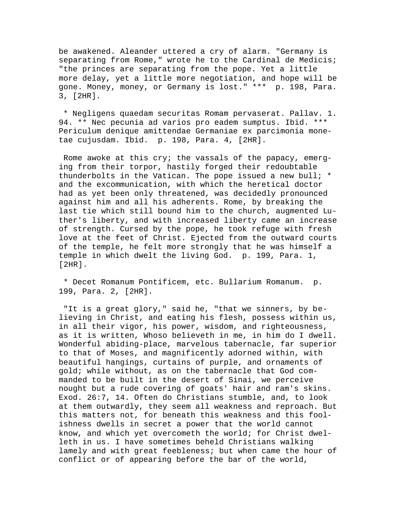be awakened. Aleander uttered a cry of alarm. "Germany is separating from Rome," wrote he to the Cardinal de Medicis; "the princes are separating from the pope. Yet a little more delay, yet a little more negotiation, and hope will be gone. Money, money, or Germany is lost." \*\*\* p. 198, Para. 3, [2HR].

 \* Negligens quaedam securitas Romam pervaserat. Pallav. 1. 94. \*\* Nec pecunia ad varios pro eadem sumptus. Ibid. \*\*\* Periculum denique amittendae Germaniae ex parcimonia monetae cujusdam. Ibid. p. 198, Para. 4, [2HR].

 Rome awoke at this cry; the vassals of the papacy, emerging from their torpor, hastily forged their redoubtable thunderbolts in the Vatican. The pope issued a new bull; \* and the excommunication, with which the heretical doctor had as yet been only threatened, was decidedly pronounced against him and all his adherents. Rome, by breaking the last tie which still bound him to the church, augmented Luther's liberty, and with increased liberty came an increase of strength. Cursed by the pope, he took refuge with fresh love at the feet of Christ. Ejected from the outward courts of the temple, he felt more strongly that he was himself a temple in which dwelt the living God. p. 199, Para. 1, [2HR].

 \* Decet Romanum Pontificem, etc. Bullarium Romanum. p. 199, Para. 2, [2HR].

 "It is a great glory," said he, "that we sinners, by believing in Christ, and eating his flesh, possess within us, in all their vigor, his power, wisdom, and righteousness, as it is written, Whoso believeth in me, in him do I dwell. Wonderful abiding-place, marvelous tabernacle, far superior to that of Moses, and magnificently adorned within, with beautiful hangings, curtains of purple, and ornaments of gold; while without, as on the tabernacle that God commanded to be built in the desert of Sinai, we perceive nought but a rude covering of goats' hair and ram's skins. Exod. 26:7, 14. Often do Christians stumble, and, to look at them outwardly, they seem all weakness and reproach. But this matters not, for beneath this weakness and this foolishness dwells in secret a power that the world cannot know, and which yet overcometh the world; for Christ dwelleth in us. I have sometimes beheld Christians walking lamely and with great feebleness; but when came the hour of conflict or of appearing before the bar of the world,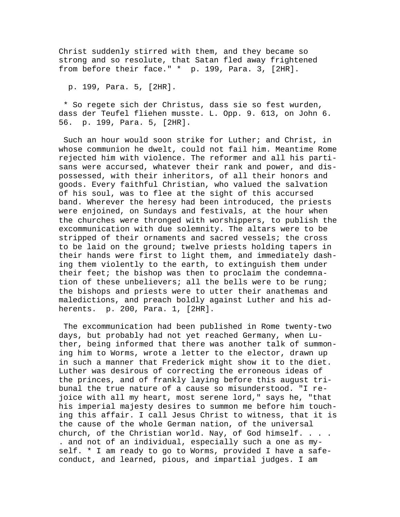Christ suddenly stirred with them, and they became so strong and so resolute, that Satan fled away frightened from before their face." \* p. 199, Para. 3, [2HR].

p. 199, Para. 5, [2HR].

 \* So regete sich der Christus, dass sie so fest wurden, dass der Teufel fliehen musste. L. Opp. 9. 613, on John 6. 56. p. 199, Para. 5, [2HR].

Such an hour would soon strike for Luther; and Christ, in whose communion he dwelt, could not fail him. Meantime Rome rejected him with violence. The reformer and all his partisans were accursed, whatever their rank and power, and dispossessed, with their inheritors, of all their honors and goods. Every faithful Christian, who valued the salvation of his soul, was to flee at the sight of this accursed band. Wherever the heresy had been introduced, the priests were enjoined, on Sundays and festivals, at the hour when the churches were thronged with worshippers, to publish the excommunication with due solemnity. The altars were to be stripped of their ornaments and sacred vessels; the cross to be laid on the ground; twelve priests holding tapers in their hands were first to light them, and immediately dashing them violently to the earth, to extinguish them under their feet; the bishop was then to proclaim the condemnation of these unbelievers; all the bells were to be rung; the bishops and priests were to utter their anathemas and maledictions, and preach boldly against Luther and his adherents. p. 200, Para. 1, [2HR].

 The excommunication had been published in Rome twenty-two days, but probably had not yet reached Germany, when Luther, being informed that there was another talk of summoning him to Worms, wrote a letter to the elector, drawn up in such a manner that Frederick might show it to the diet. Luther was desirous of correcting the erroneous ideas of the princes, and of frankly laying before this august tribunal the true nature of a cause so misunderstood. "I rejoice with all my heart, most serene lord," says he, "that his imperial majesty desires to summon me before him touching this affair. I call Jesus Christ to witness, that it is the cause of the whole German nation, of the universal church, of the Christian world. Nay, of God himself. . . . . and not of an individual, especially such a one as myself. \* I am ready to go to Worms, provided I have a safeconduct, and learned, pious, and impartial judges. I am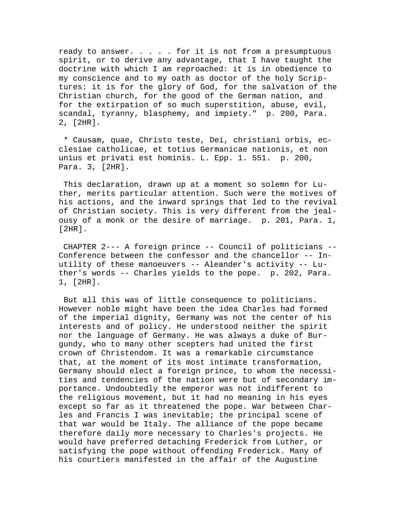ready to answer. . . . . for it is not from a presumptuous spirit, or to derive any advantage, that I have taught the doctrine with which I am reproached: it is in obedience to my conscience and to my oath as doctor of the holy Scriptures: it is for the glory of God, for the salvation of the Christian church, for the good of the German nation, and for the extirpation of so much superstition, abuse, evil, scandal, tyranny, blasphemy, and impiety." p. 200, Para. 2, [2HR].

 \* Causam, quae, Christo teste, Dei, christiani orbis, ecclesiae catholicae, et totius Germanicae nationis, et non unius et privati est hominis. L. Epp. 1. 551. p. 200, Para. 3, [2HR].

 This declaration, drawn up at a moment so solemn for Luther, merits particular attention. Such were the motives of his actions, and the inward springs that led to the revival of Christian society. This is very different from the jealousy of a monk or the desire of marriage. p. 201, Para. 1,  $[2HR]$ .

 CHAPTER 2--- A foreign prince -- Council of politicians -- Conference between the confessor and the chancellor -- Inutility of these manoeuvers -- Aleander's activity -- Luther's words -- Charles yields to the pope. p. 202, Para. 1, [2HR].

 But all this was of little consequence to politicians. However noble might have been the idea Charles had formed of the imperial dignity, Germany was not the center of his interests and of policy. He understood neither the spirit nor the language of Germany. He was always a duke of Burgundy, who to many other scepters had united the first crown of Christendom. It was a remarkable circumstance that, at the moment of its most intimate transformation, Germany should elect a foreign prince, to whom the necessities and tendencies of the nation were but of secondary importance. Undoubtedly the emperor was not indifferent to the religious movement, but it had no meaning in his eyes except so far as it threatened the pope. War between Charles and Francis I was inevitable; the principal scene of that war would be Italy. The alliance of the pope became therefore daily more necessary to Charles's projects. He would have preferred detaching Frederick from Luther, or satisfying the pope without offending Frederick. Many of his courtiers manifested in the affair of the Augustine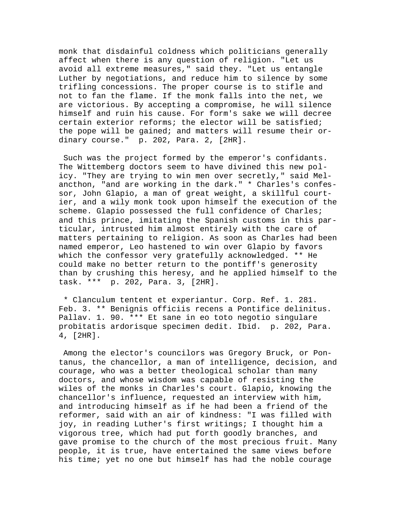monk that disdainful coldness which politicians generally affect when there is any question of religion. "Let us avoid all extreme measures," said they. "Let us entangle Luther by negotiations, and reduce him to silence by some trifling concessions. The proper course is to stifle and not to fan the flame. If the monk falls into the net, we are victorious. By accepting a compromise, he will silence himself and ruin his cause. For form's sake we will decree certain exterior reforms; the elector will be satisfied; the pope will be gained; and matters will resume their ordinary course." p. 202, Para. 2, [2HR].

 Such was the project formed by the emperor's confidants. The Wittemberg doctors seem to have divined this new policy. "They are trying to win men over secretly," said Melancthon, "and are working in the dark." \* Charles's confessor, John Glapio, a man of great weight, a skillful courtier, and a wily monk took upon himself the execution of the scheme. Glapio possessed the full confidence of Charles; and this prince, imitating the Spanish customs in this particular, intrusted him almost entirely with the care of matters pertaining to religion. As soon as Charles had been named emperor, Leo hastened to win over Glapio by favors which the confessor very gratefully acknowledged. \*\* He could make no better return to the pontiff's generosity than by crushing this heresy, and he applied himself to the task. \*\*\* p. 202, Para. 3, [2HR].

 \* Clanculum tentent et experiantur. Corp. Ref. 1. 281. Feb. 3. \*\* Benignis officiis recens a Pontifice delinitus. Pallav. 1. 90. \*\*\* Et sane in eo toto negotio singulare probitatis ardorisque specimen dedit. Ibid. p. 202, Para. 4, [2HR].

 Among the elector's councilors was Gregory Bruck, or Pontanus, the chancellor, a man of intelligence, decision, and courage, who was a better theological scholar than many doctors, and whose wisdom was capable of resisting the wiles of the monks in Charles's court. Glapio, knowing the chancellor's influence, requested an interview with him, and introducing himself as if he had been a friend of the reformer, said with an air of kindness: "I was filled with joy, in reading Luther's first writings; I thought him a vigorous tree, which had put forth goodly branches, and gave promise to the church of the most precious fruit. Many people, it is true, have entertained the same views before his time; yet no one but himself has had the noble courage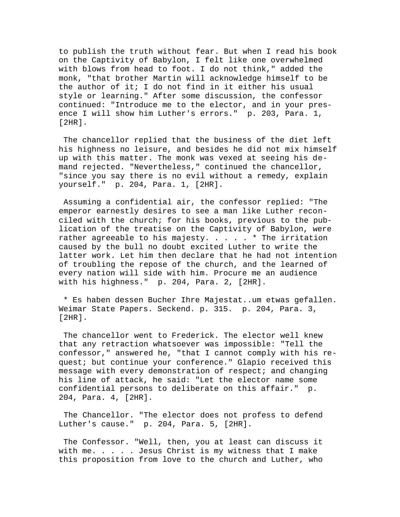to publish the truth without fear. But when I read his book on the Captivity of Babylon, I felt like one overwhelmed with blows from head to foot. I do not think," added the monk, "that brother Martin will acknowledge himself to be the author of it; I do not find in it either his usual style or learning." After some discussion, the confessor continued: "Introduce me to the elector, and in your presence I will show him Luther's errors." p. 203, Para. 1, [2HR].

 The chancellor replied that the business of the diet left his highness no leisure, and besides he did not mix himself up with this matter. The monk was vexed at seeing his demand rejected. "Nevertheless," continued the chancellor, "since you say there is no evil without a remedy, explain yourself." p. 204, Para. 1, [2HR].

 Assuming a confidential air, the confessor replied: "The emperor earnestly desires to see a man like Luther reconciled with the church; for his books, previous to the publication of the treatise on the Captivity of Babylon, were rather agreeable to his majesty.  $\ldots$  . . \* The irritation caused by the bull no doubt excited Luther to write the latter work. Let him then declare that he had not intention of troubling the repose of the church, and the learned of every nation will side with him. Procure me an audience with his highness." p. 204, Para. 2, [2HR].

 \* Es haben dessen Bucher Ihre Majestat..um etwas gefallen. Weimar State Papers. Seckend. p. 315. p. 204, Para. 3,  $[2HR]$ .

 The chancellor went to Frederick. The elector well knew that any retraction whatsoever was impossible: "Tell the confessor," answered he, "that I cannot comply with his request; but continue your conference." Glapio received this message with every demonstration of respect; and changing his line of attack, he said: "Let the elector name some confidential persons to deliberate on this affair." p. 204, Para. 4, [2HR].

 The Chancellor. "The elector does not profess to defend Luther's cause." p. 204, Para. 5, [2HR].

 The Confessor. "Well, then, you at least can discuss it with me. . . . . Jesus Christ is my witness that I make this proposition from love to the church and Luther, who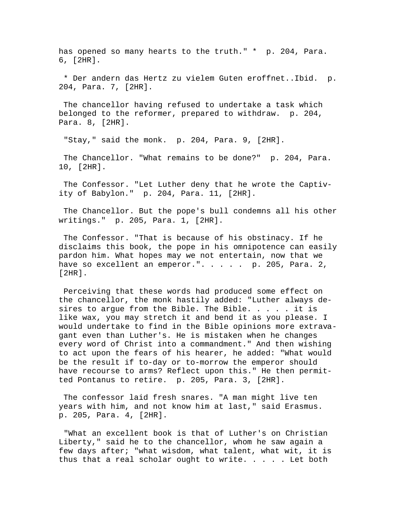has opened so many hearts to the truth." \* p. 204, Para. 6, [2HR].

 \* Der andern das Hertz zu vielem Guten eroffnet..Ibid. p. 204, Para. 7, [2HR].

 The chancellor having refused to undertake a task which belonged to the reformer, prepared to withdraw. p. 204, Para. 8, [2HR].

"Stay," said the monk. p. 204, Para. 9, [2HR].

 The Chancellor. "What remains to be done?" p. 204, Para. 10, [2HR].

 The Confessor. "Let Luther deny that he wrote the Captivity of Babylon." p. 204, Para. 11, [2HR].

 The Chancellor. But the pope's bull condemns all his other writings." p. 205, Para. 1, [2HR].

 The Confessor. "That is because of his obstinacy. If he disclaims this book, the pope in his omnipotence can easily pardon him. What hopes may we not entertain, now that we have so excellent an emperor.". . . . . p. 205, Para. 2, [2HR].

 Perceiving that these words had produced some effect on the chancellor, the monk hastily added: "Luther always desires to argue from the Bible. The Bible.  $\ldots$  . . it is like wax, you may stretch it and bend it as you please. I would undertake to find in the Bible opinions more extravagant even than Luther's. He is mistaken when he changes every word of Christ into a commandment." And then wishing to act upon the fears of his hearer, he added: "What would be the result if to-day or to-morrow the emperor should have recourse to arms? Reflect upon this." He then permitted Pontanus to retire. p. 205, Para. 3, [2HR].

 The confessor laid fresh snares. "A man might live ten years with him, and not know him at last," said Erasmus. p. 205, Para. 4, [2HR].

 "What an excellent book is that of Luther's on Christian Liberty," said he to the chancellor, whom he saw again a few days after; "what wisdom, what talent, what wit, it is thus that a real scholar ought to write.  $\ldots$ . Let both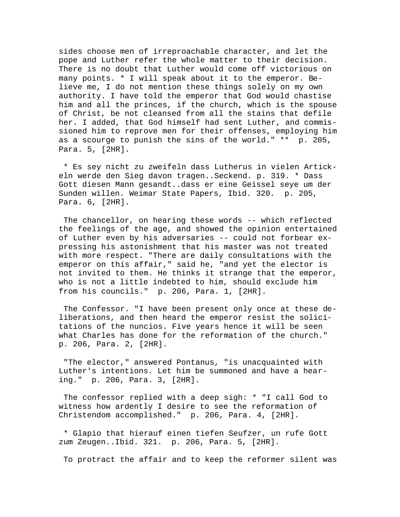sides choose men of irreproachable character, and let the pope and Luther refer the whole matter to their decision. There is no doubt that Luther would come off victorious on many points. \* I will speak about it to the emperor. Believe me, I do not mention these things solely on my own authority. I have told the emperor that God would chastise him and all the princes, if the church, which is the spouse of Christ, be not cleansed from all the stains that defile her. I added, that God himself had sent Luther, and commissioned him to reprove men for their offenses, employing him as a scourge to punish the sins of the world." \*\* p. 205, Para. 5, [2HR].

 \* Es sey nicht zu zweifeln dass Lutherus in vielen Artickeln werde den Sieg davon tragen..Seckend. p. 319. \* Dass Gott diesen Mann gesandt..dass er eine Geissel seye um der Sunden willen. Weimar State Papers, Ibid. 320. p. 205, Para. 6, [2HR].

 The chancellor, on hearing these words -- which reflected the feelings of the age, and showed the opinion entertained of Luther even by his adversaries -- could not forbear expressing his astonishment that his master was not treated with more respect. "There are daily consultations with the emperor on this affair," said he, "and yet the elector is not invited to them. He thinks it strange that the emperor, who is not a little indebted to him, should exclude him from his councils." p. 206, Para. 1, [2HR].

 The Confessor. "I have been present only once at these deliberations, and then heard the emperor resist the solicitations of the nuncios. Five years hence it will be seen what Charles has done for the reformation of the church." p. 206, Para. 2, [2HR].

 "The elector," answered Pontanus, "is unacquainted with Luther's intentions. Let him be summoned and have a hearing." p. 206, Para. 3, [2HR].

 The confessor replied with a deep sigh: \* "I call God to witness how ardently I desire to see the reformation of Christendom accomplished." p. 206, Para. 4, [2HR].

 \* Glapio that hierauf einen tiefen Seufzer, un rufe Gott zum Zeugen..Ibid. 321. p. 206, Para. 5, [2HR].

To protract the affair and to keep the reformer silent was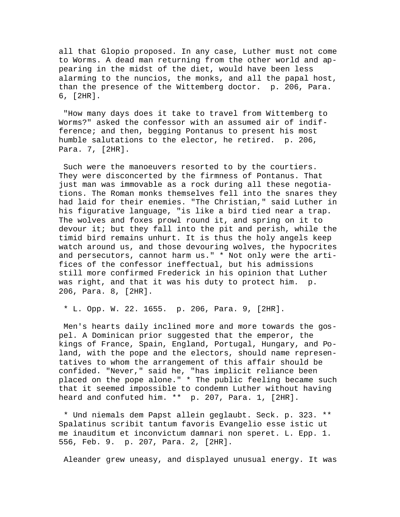all that Glopio proposed. In any case, Luther must not come to Worms. A dead man returning from the other world and appearing in the midst of the diet, would have been less alarming to the nuncios, the monks, and all the papal host, than the presence of the Wittemberg doctor. p. 206, Para. 6, [2HR].

 "How many days does it take to travel from Wittemberg to Worms?" asked the confessor with an assumed air of indifference; and then, begging Pontanus to present his most humble salutations to the elector, he retired. p. 206, Para. 7, [2HR].

 Such were the manoeuvers resorted to by the courtiers. They were disconcerted by the firmness of Pontanus. That just man was immovable as a rock during all these negotiations. The Roman monks themselves fell into the snares they had laid for their enemies. "The Christian," said Luther in his figurative language, "is like a bird tied near a trap. The wolves and foxes prowl round it, and spring on it to devour it; but they fall into the pit and perish, while the timid bird remains unhurt. It is thus the holy angels keep watch around us, and those devouring wolves, the hypocrites and persecutors, cannot harm us." \* Not only were the artifices of the confessor ineffectual, but his admissions still more confirmed Frederick in his opinion that Luther was right, and that it was his duty to protect him. p. 206, Para. 8, [2HR].

\* L. Opp. W. 22. 1655. p. 206, Para. 9, [2HR].

 Men's hearts daily inclined more and more towards the gospel. A Dominican prior suggested that the emperor, the kings of France, Spain, England, Portugal, Hungary, and Poland, with the pope and the electors, should name representatives to whom the arrangement of this affair should be confided. "Never," said he, "has implicit reliance been placed on the pope alone." \* The public feeling became such that it seemed impossible to condemn Luther without having heard and confuted him. \*\* p. 207, Para. 1, [2HR].

 \* Und niemals dem Papst allein geglaubt. Seck. p. 323. \*\* Spalatinus scribit tantum favoris Evangelio esse istic ut me inauditum et inconvictum damnari non speret. L. Epp. 1. 556, Feb. 9. p. 207, Para. 2, [2HR].

Aleander grew uneasy, and displayed unusual energy. It was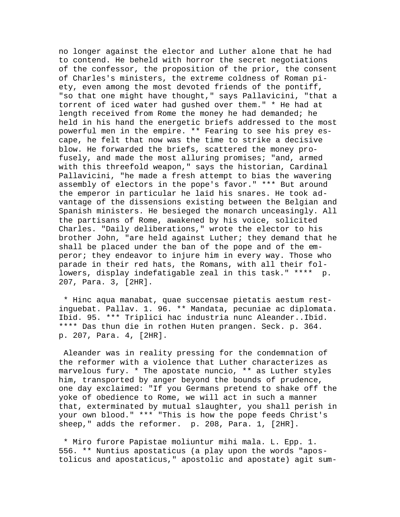no longer against the elector and Luther alone that he had to contend. He beheld with horror the secret negotiations of the confessor, the proposition of the prior, the consent of Charles's ministers, the extreme coldness of Roman piety, even among the most devoted friends of the pontiff, "so that one might have thought," says Pallavicini, "that a torrent of iced water had gushed over them." \* He had at length received from Rome the money he had demanded; he held in his hand the energetic briefs addressed to the most powerful men in the empire. \*\* Fearing to see his prey escape, he felt that now was the time to strike a decisive blow. He forwarded the briefs, scattered the money profusely, and made the most alluring promises; "and, armed with this threefold weapon," says the historian, Cardinal Pallavicini, "he made a fresh attempt to bias the wavering assembly of electors in the pope's favor." \*\*\* But around the emperor in particular he laid his snares. He took advantage of the dissensions existing between the Belgian and Spanish ministers. He besieged the monarch unceasingly. All the partisans of Rome, awakened by his voice, solicited Charles. "Daily deliberations," wrote the elector to his brother John, "are held against Luther; they demand that he shall be placed under the ban of the pope and of the emperor; they endeavor to injure him in every way. Those who parade in their red hats, the Romans, with all their followers, display indefatigable zeal in this task." \*\*\*\* p. 207, Para. 3, [2HR].

 \* Hinc aqua manabat, quae succensae pietatis aestum restinguebat. Pallav. 1. 96. \*\* Mandata, pecuniae ac diplomata. Ibid. 95. \*\*\* Triplici hac industria nunc Aleander..Ibid. \*\*\*\* Das thun die in rothen Huten prangen. Seck. p. 364. p. 207, Para. 4, [2HR].

 Aleander was in reality pressing for the condemnation of the reformer with a violence that Luther characterizes as marvelous fury. \* The apostate nuncio, \*\* as Luther styles him, transported by anger beyond the bounds of prudence, one day exclaimed: "If you Germans pretend to shake off the yoke of obedience to Rome, we will act in such a manner that, exterminated by mutual slaughter, you shall perish in your own blood." \*\*\* "This is how the pope feeds Christ's sheep," adds the reformer. p. 208, Para. 1, [2HR].

 \* Miro furore Papistae moliuntur mihi mala. L. Epp. 1. 556. \*\* Nuntius apostaticus (a play upon the words "apostolicus and apostaticus," apostolic and apostate) agit sum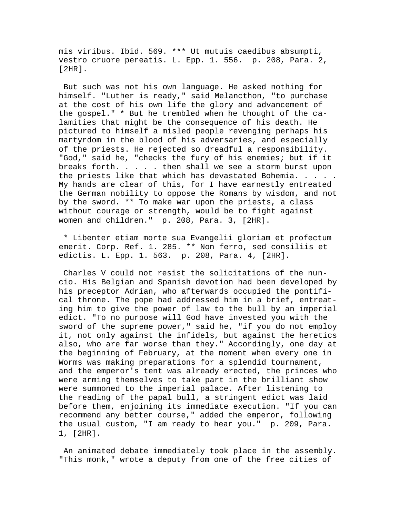mis viribus. Ibid. 569. \*\*\* Ut mutuis caedibus absumpti, vestro cruore pereatis. L. Epp. 1. 556. p. 208, Para. 2,  $[2HR]$ .

 But such was not his own language. He asked nothing for himself. "Luther is ready," said Melancthon, "to purchase at the cost of his own life the glory and advancement of the gospel." \* But he trembled when he thought of the calamities that might be the consequence of his death. He pictured to himself a misled people revenging perhaps his martyrdom in the blood of his adversaries, and especially of the priests. He rejected so dreadful a responsibility. "God," said he, "checks the fury of his enemies; but if it breaks forth. . . . . then shall we see a storm burst upon the priests like that which has devastated Bohemia. . . . . My hands are clear of this, for I have earnestly entreated the German nobility to oppose the Romans by wisdom, and not by the sword. \*\* To make war upon the priests, a class without courage or strength, would be to fight against women and children." p. 208, Para. 3, [2HR].

 \* Libenter etiam morte sua Evangelii gloriam et profectum emerit. Corp. Ref. 1. 285. \*\* Non ferro, sed consiliis et edictis. L. Epp. 1. 563. p. 208, Para. 4, [2HR].

 Charles V could not resist the solicitations of the nuncio. His Belgian and Spanish devotion had been developed by his preceptor Adrian, who afterwards occupied the pontifical throne. The pope had addressed him in a brief, entreating him to give the power of law to the bull by an imperial edict. "To no purpose will God have invested you with the sword of the supreme power," said he, "if you do not employ it, not only against the infidels, but against the heretics also, who are far worse than they." Accordingly, one day at the beginning of February, at the moment when every one in Worms was making preparations for a splendid tournament, and the emperor's tent was already erected, the princes who were arming themselves to take part in the brilliant show were summoned to the imperial palace. After listening to the reading of the papal bull, a stringent edict was laid before them, enjoining its immediate execution. "If you can recommend any better course," added the emperor, following the usual custom, "I am ready to hear you." p. 209, Para. 1, [2HR].

 An animated debate immediately took place in the assembly. "This monk," wrote a deputy from one of the free cities of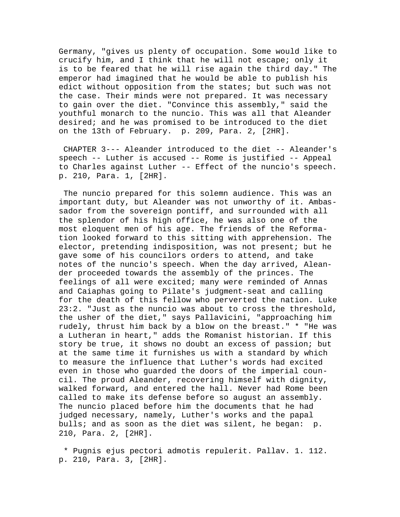Germany, "gives us plenty of occupation. Some would like to crucify him, and I think that he will not escape; only it is to be feared that he will rise again the third day." The emperor had imagined that he would be able to publish his edict without opposition from the states; but such was not the case. Their minds were not prepared. It was necessary to gain over the diet. "Convince this assembly," said the youthful monarch to the nuncio. This was all that Aleander desired; and he was promised to be introduced to the diet on the 13th of February. p. 209, Para. 2, [2HR].

 CHAPTER 3--- Aleander introduced to the diet -- Aleander's speech -- Luther is accused -- Rome is justified -- Appeal to Charles against Luther -- Effect of the nuncio's speech. p. 210, Para. 1, [2HR].

 The nuncio prepared for this solemn audience. This was an important duty, but Aleander was not unworthy of it. Ambassador from the sovereign pontiff, and surrounded with all the splendor of his high office, he was also one of the most eloquent men of his age. The friends of the Reformation looked forward to this sitting with apprehension. The elector, pretending indisposition, was not present; but he gave some of his councilors orders to attend, and take notes of the nuncio's speech. When the day arrived, Aleander proceeded towards the assembly of the princes. The feelings of all were excited; many were reminded of Annas and Caiaphas going to Pilate's judgment-seat and calling for the death of this fellow who perverted the nation. Luke 23:2. "Just as the nuncio was about to cross the threshold, the usher of the diet," says Pallavicini, "approaching him rudely, thrust him back by a blow on the breast." \* "He was a Lutheran in heart," adds the Romanist historian. If this story be true, it shows no doubt an excess of passion; but at the same time it furnishes us with a standard by which to measure the influence that Luther's words had excited even in those who guarded the doors of the imperial council. The proud Aleander, recovering himself with dignity, walked forward, and entered the hall. Never had Rome been called to make its defense before so august an assembly. The nuncio placed before him the documents that he had judged necessary, namely, Luther's works and the papal bulls; and as soon as the diet was silent, he began: p. 210, Para. 2, [2HR].

 \* Pugnis ejus pectori admotis repulerit. Pallav. 1. 112. p. 210, Para. 3, [2HR].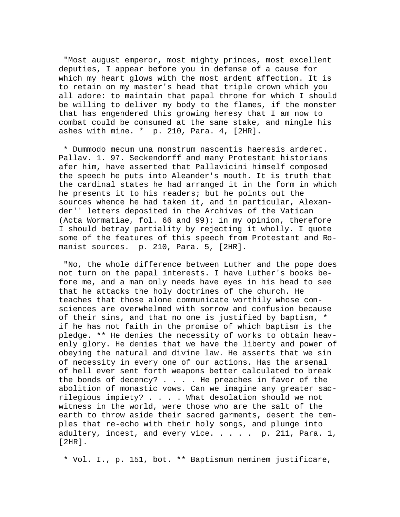"Most august emperor, most mighty princes, most excellent deputies, I appear before you in defense of a cause for which my heart glows with the most ardent affection. It is to retain on my master's head that triple crown which you all adore: to maintain that papal throne for which I should be willing to deliver my body to the flames, if the monster that has engendered this growing heresy that I am now to combat could be consumed at the same stake, and mingle his ashes with mine. \* p. 210, Para. 4, [2HR].

 \* Dummodo mecum una monstrum nascentis haeresis arderet. Pallav. 1. 97. Seckendorff and many Protestant historians afer him, have asserted that Pallavicini himself composed the speech he puts into Aleander's mouth. It is truth that the cardinal states he had arranged it in the form in which he presents it to his readers; but he points out the sources whence he had taken it, and in particular, Alexander'' letters deposited in the Archives of the Vatican (Acta Wormatiae, fol. 66 and 99); in my opinion, therefore I should betray partiality by rejecting it wholly. I quote some of the features of this speech from Protestant and Romanist sources. p. 210, Para. 5, [2HR].

 "No, the whole difference between Luther and the pope does not turn on the papal interests. I have Luther's books before me, and a man only needs have eyes in his head to see that he attacks the holy doctrines of the church. He teaches that those alone communicate worthily whose consciences are overwhelmed with sorrow and confusion because of their sins, and that no one is justified by baptism, \* if he has not faith in the promise of which baptism is the pledge. \*\* He denies the necessity of works to obtain heavenly glory. He denies that we have the liberty and power of obeying the natural and divine law. He asserts that we sin of necessity in every one of our actions. Has the arsenal of hell ever sent forth weapons better calculated to break the bonds of decency? . . . . He preaches in favor of the abolition of monastic vows. Can we imagine any greater sacrilegious impiety? . . . . What desolation should we not witness in the world, were those who are the salt of the earth to throw aside their sacred garments, desert the temples that re-echo with their holy songs, and plunge into adultery, incest, and every vice. . . . . p. 211, Para. 1, [2HR].

\* Vol. I., p. 151, bot. \*\* Baptismum neminem justificare,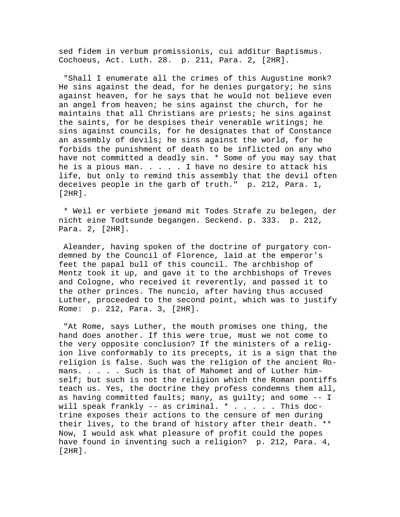sed fidem in verbum promissionis, cui additur Baptismus. Cochoeus, Act. Luth. 28. p. 211, Para. 2, [2HR].

 "Shall I enumerate all the crimes of this Augustine monk? He sins against the dead, for he denies purgatory; he sins against heaven, for he says that he would not believe even an angel from heaven; he sins against the church, for he maintains that all Christians are priests; he sins against the saints, for he despises their venerable writings; he sins against councils, for he designates that of Constance an assembly of devils; he sins against the world, for he forbids the punishment of death to be inflicted on any who have not committed a deadly sin. \* Some of you may say that he is a pious man.  $\ldots$  . . I have no desire to attack his life, but only to remind this assembly that the devil often deceives people in the garb of truth." p. 212, Para. 1, [2HR].

 \* Weil er verbiete jemand mit Todes Strafe zu belegen, der nicht eine Todtsunde begangen. Seckend. p. 333. p. 212, Para. 2, [2HR].

 Aleander, having spoken of the doctrine of purgatory condemned by the Council of Florence, laid at the emperor's feet the papal bull of this council. The archbishop of Mentz took it up, and gave it to the archbishops of Treves and Cologne, who received it reverently, and passed it to the other princes. The nuncio, after having thus accused Luther, proceeded to the second point, which was to justify Rome: p. 212, Para. 3, [2HR].

 "At Rome, says Luther, the mouth promises one thing, the hand does another. If this were true, must we not come to the very opposite conclusion? If the ministers of a religion live conformably to its precepts, it is a sign that the religion is false. Such was the religion of the ancient Romans. . . . . Such is that of Mahomet and of Luther himself; but such is not the religion which the Roman pontiffs teach us. Yes, the doctrine they profess condemns them all, as having committed faults; many, as guilty; and some -- I will speak frankly  $--$  as criminal.  $*$  . . . . . This doctrine exposes their actions to the censure of men during their lives, to the brand of history after their death. \*\* Now, I would ask what pleasure of profit could the popes have found in inventing such a religion? p. 212, Para. 4, [2HR].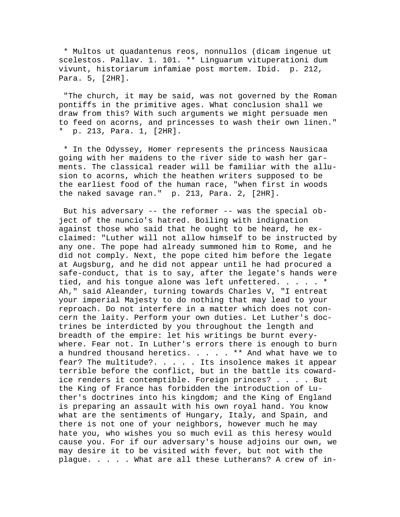\* Multos ut quadantenus reos, nonnullos (dicam ingenue ut scelestos. Pallav. 1. 101. \*\* Linguarum vituperationi dum vivunt, historiarum infamiae post mortem. Ibid. p. 212, Para. 5, [2HR].

 "The church, it may be said, was not governed by the Roman pontiffs in the primitive ages. What conclusion shall we draw from this? With such arguments we might persuade men to feed on acorns, and princesses to wash their own linen." \* p. 213, Para. 1, [2HR].

 \* In the Odyssey, Homer represents the princess Nausicaa going with her maidens to the river side to wash her garments. The classical reader will be familiar with the allusion to acorns, which the heathen writers supposed to be the earliest food of the human race, "when first in woods the naked savage ran." p. 213, Para. 2, [2HR].

 But his adversary -- the reformer -- was the special object of the nuncio's hatred. Boiling with indignation against those who said that he ought to be heard, he exclaimed: "Luther will not allow himself to be instructed by any one. The pope had already summoned him to Rome, and he did not comply. Next, the pope cited him before the legate at Augsburg, and he did not appear until he had procured a safe-conduct, that is to say, after the legate's hands were tied, and his tongue alone was left unfettered. . . . . \* Ah," said Aleander, turning towards Charles V, "I entreat your imperial Majesty to do nothing that may lead to your reproach. Do not interfere in a matter which does not concern the laity. Perform your own duties. Let Luther's doctrines be interdicted by you throughout the length and breadth of the empire: let his writings be burnt everywhere. Fear not. In Luther's errors there is enough to burn a hundred thousand heretics. . . . . \*\* And what have we to fear? The multitude?. . . . . Its insolence makes it appear terrible before the conflict, but in the battle its cowardice renders it contemptible. Foreign princes? . . . . But the King of France has forbidden the introduction of Luther's doctrines into his kingdom; and the King of England is preparing an assault with his own royal hand. You know what are the sentiments of Hungary, Italy, and Spain, and there is not one of your neighbors, however much he may hate you, who wishes you so much evil as this heresy would cause you. For if our adversary's house adjoins our own, we may desire it to be visited with fever, but not with the plague. . . . . What are all these Lutherans? A crew of in-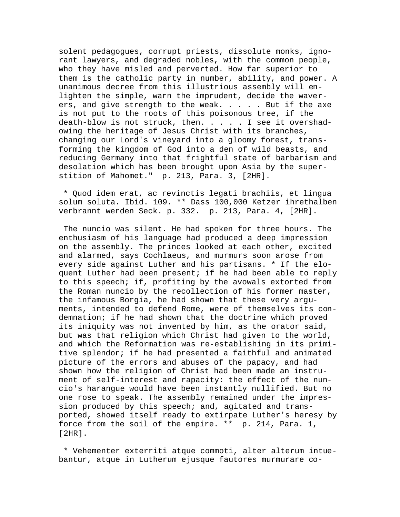solent pedagogues, corrupt priests, dissolute monks, ignorant lawyers, and degraded nobles, with the common people, who they have misled and perverted. How far superior to them is the catholic party in number, ability, and power. A unanimous decree from this illustrious assembly will enlighten the simple, warn the imprudent, decide the waverers, and give strength to the weak.  $\ldots$  . But if the axe is not put to the roots of this poisonous tree, if the death-blow is not struck, then. . . . . I see it overshadowing the heritage of Jesus Christ with its branches, changing our Lord's vineyard into a gloomy forest, transforming the kingdom of God into a den of wild beasts, and reducing Germany into that frightful state of barbarism and desolation which has been brought upon Asia by the superstition of Mahomet." p. 213, Para. 3, [2HR].

 \* Quod idem erat, ac revinctis legati brachiis, et lingua solum soluta. Ibid. 109. \*\* Dass 100,000 Ketzer ihrethalben verbrannt werden Seck. p. 332. p. 213, Para. 4, [2HR].

 The nuncio was silent. He had spoken for three hours. The enthusiasm of his language had produced a deep impression on the assembly. The princes looked at each other, excited and alarmed, says Cochlaeus, and murmurs soon arose from every side against Luther and his partisans. \* If the eloquent Luther had been present; if he had been able to reply to this speech; if, profiting by the avowals extorted from the Roman nuncio by the recollection of his former master, the infamous Borgia, he had shown that these very arguments, intended to defend Rome, were of themselves its condemnation; if he had shown that the doctrine which proved its iniquity was not invented by him, as the orator said, but was that religion which Christ had given to the world, and which the Reformation was re-establishing in its primitive splendor; if he had presented a faithful and animated picture of the errors and abuses of the papacy, and had shown how the religion of Christ had been made an instrument of self-interest and rapacity: the effect of the nuncio's harangue would have been instantly nullified. But no one rose to speak. The assembly remained under the impression produced by this speech; and, agitated and transported, showed itself ready to extirpate Luther's heresy by force from the soil of the empire. \*\* p. 214, Para. 1,  $[2HR]$ .

 \* Vehementer exterriti atque commoti, alter alterum intuebantur, atque in Lutherum ejusque fautores murmurare co-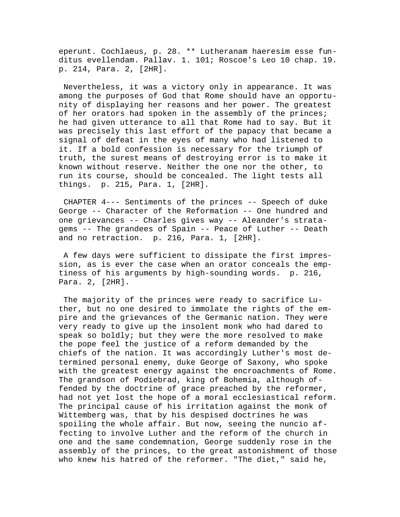eperunt. Cochlaeus, p. 28. \*\* Lutheranam haeresim esse funditus evellendam. Pallav. 1. 101; Roscoe's Leo 10 chap. 19. p. 214, Para. 2, [2HR].

 Nevertheless, it was a victory only in appearance. It was among the purposes of God that Rome should have an opportunity of displaying her reasons and her power. The greatest of her orators had spoken in the assembly of the princes; he had given utterance to all that Rome had to say. But it was precisely this last effort of the papacy that became a signal of defeat in the eyes of many who had listened to it. If a bold confession is necessary for the triumph of truth, the surest means of destroying error is to make it known without reserve. Neither the one nor the other, to run its course, should be concealed. The light tests all things. p. 215, Para. 1, [2HR].

 CHAPTER 4--- Sentiments of the princes -- Speech of duke George -- Character of the Reformation -- One hundred and one grievances -- Charles gives way -- Aleander's stratagems -- The grandees of Spain -- Peace of Luther -- Death and no retraction. p. 216, Para. 1, [2HR].

 A few days were sufficient to dissipate the first impression, as is ever the case when an orator conceals the emptiness of his arguments by high-sounding words. p. 216, Para. 2, [2HR].

 The majority of the princes were ready to sacrifice Luther, but no one desired to immolate the rights of the empire and the grievances of the Germanic nation. They were very ready to give up the insolent monk who had dared to speak so boldly; but they were the more resolved to make the pope feel the justice of a reform demanded by the chiefs of the nation. It was accordingly Luther's most determined personal enemy, duke George of Saxony, who spoke with the greatest energy against the encroachments of Rome. The grandson of Podiebrad, king of Bohemia, although offended by the doctrine of grace preached by the reformer, had not yet lost the hope of a moral ecclesiastical reform. The principal cause of his irritation against the monk of Wittemberg was, that by his despised doctrines he was spoiling the whole affair. But now, seeing the nuncio affecting to involve Luther and the reform of the church in one and the same condemnation, George suddenly rose in the assembly of the princes, to the great astonishment of those who knew his hatred of the reformer. "The diet," said he,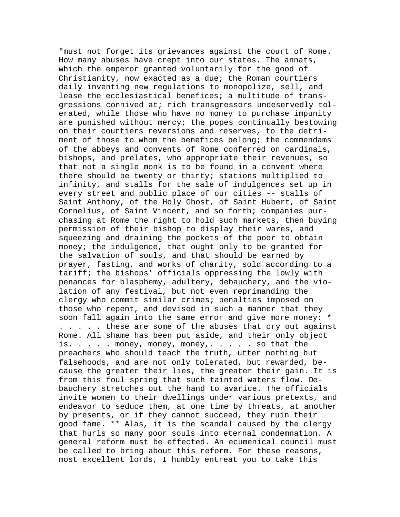"must not forget its grievances against the court of Rome. How many abuses have crept into our states. The annats, which the emperor granted voluntarily for the good of Christianity, now exacted as a due; the Roman courtiers daily inventing new regulations to monopolize, sell, and lease the ecclesiastical benefices; a multitude of transgressions connived at; rich transgressors undeservedly tolerated, while those who have no money to purchase impunity are punished without mercy; the popes continually bestowing on their courtiers reversions and reserves, to the detriment of those to whom the benefices belong; the commendams of the abbeys and convents of Rome conferred on cardinals, bishops, and prelates, who appropriate their revenues, so that not a single monk is to be found in a convent where there should be twenty or thirty; stations multiplied to infinity, and stalls for the sale of indulgences set up in every street and public place of our cities -- stalls of Saint Anthony, of the Holy Ghost, of Saint Hubert, of Saint Cornelius, of Saint Vincent, and so forth; companies purchasing at Rome the right to hold such markets, then buying permission of their bishop to display their wares, and squeezing and draining the pockets of the poor to obtain money; the indulgence, that ought only to be granted for the salvation of souls, and that should be earned by prayer, fasting, and works of charity, sold according to a tariff; the bishops' officials oppressing the lowly with penances for blasphemy, adultery, debauchery, and the violation of any festival, but not even reprimanding the clergy who commit similar crimes; penalties imposed on those who repent, and devised in such a manner that they soon fall again into the same error and give more money: \* . . . . . these are some of the abuses that cry out against Rome. All shame has been put aside, and their only object is. . . . . money, money, money,. . . . . so that the preachers who should teach the truth, utter nothing but falsehoods, and are not only tolerated, but rewarded, because the greater their lies, the greater their gain. It is from this foul spring that such tainted waters flow. Debauchery stretches out the hand to avarice. The officials invite women to their dwellings under various pretexts, and endeavor to seduce them, at one time by threats, at another by presents, or if they cannot succeed, they ruin their good fame. \*\* Alas, it is the scandal caused by the clergy that hurls so many poor souls into eternal condemnation. A general reform must be effected. An ecumenical council must be called to bring about this reform. For these reasons, most excellent lords, I humbly entreat you to take this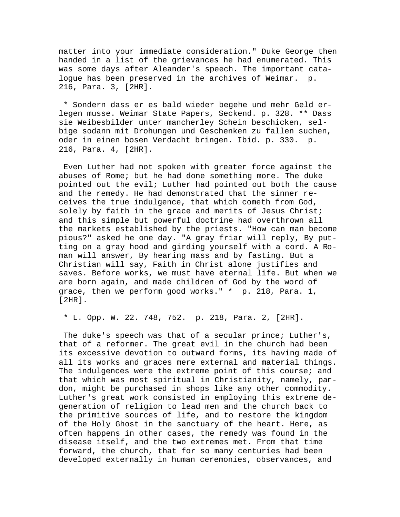matter into your immediate consideration." Duke George then handed in a list of the grievances he had enumerated. This was some days after Aleander's speech. The important catalogue has been preserved in the archives of Weimar. p. 216, Para. 3, [2HR].

 \* Sondern dass er es bald wieder begehe und mehr Geld erlegen musse. Weimar State Papers, Seckend. p. 328. \*\* Dass sie Weibesbilder unter mancherley Schein beschicken, selbige sodann mit Drohungen und Geschenken zu fallen suchen, oder in einen bosen Verdacht bringen. Ibid. p. 330. p. 216, Para. 4, [2HR].

 Even Luther had not spoken with greater force against the abuses of Rome; but he had done something more. The duke pointed out the evil; Luther had pointed out both the cause and the remedy. He had demonstrated that the sinner receives the true indulgence, that which cometh from God, solely by faith in the grace and merits of Jesus Christ; and this simple but powerful doctrine had overthrown all the markets established by the priests. "How can man become pious?" asked he one day. "A gray friar will reply, By putting on a gray hood and girding yourself with a cord. A Roman will answer, By hearing mass and by fasting. But a Christian will say, Faith in Christ alone justifies and saves. Before works, we must have eternal life. But when we are born again, and made children of God by the word of grace, then we perform good works." \* p. 218, Para. 1, [2HR].

\* L. Opp. W. 22. 748, 752. p. 218, Para. 2, [2HR].

 The duke's speech was that of a secular prince; Luther's, that of a reformer. The great evil in the church had been its excessive devotion to outward forms, its having made of all its works and graces mere external and material things. The indulgences were the extreme point of this course; and that which was most spiritual in Christianity, namely, pardon, might be purchased in shops like any other commodity. Luther's great work consisted in employing this extreme degeneration of religion to lead men and the church back to the primitive sources of life, and to restore the kingdom of the Holy Ghost in the sanctuary of the heart. Here, as often happens in other cases, the remedy was found in the disease itself, and the two extremes met. From that time forward, the church, that for so many centuries had been developed externally in human ceremonies, observances, and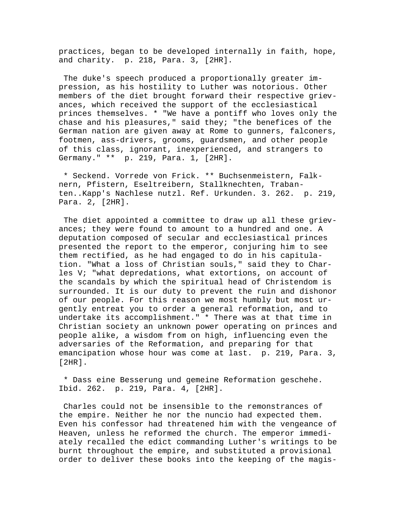practices, began to be developed internally in faith, hope, and charity. p. 218, Para. 3, [2HR].

 The duke's speech produced a proportionally greater impression, as his hostility to Luther was notorious. Other members of the diet brought forward their respective grievances, which received the support of the ecclesiastical princes themselves. \* "We have a pontiff who loves only the chase and his pleasures," said they; "the benefices of the German nation are given away at Rome to gunners, falconers, footmen, ass-drivers, grooms, guardsmen, and other people of this class, ignorant, inexperienced, and strangers to Germany." \*\* p. 219, Para. 1, [2HR].

 \* Seckend. Vorrede von Frick. \*\* Buchsenmeistern, Falknern, Pfistern, Eseltreibern, Stallknechten, Trabanten..Kapp's Nachlese nutzl. Ref. Urkunden. 3. 262. p. 219, Para. 2, [2HR].

 The diet appointed a committee to draw up all these grievances; they were found to amount to a hundred and one. A deputation composed of secular and ecclesiastical princes presented the report to the emperor, conjuring him to see them rectified, as he had engaged to do in his capitulation. "What a loss of Christian souls," said they to Charles V; "what depredations, what extortions, on account of the scandals by which the spiritual head of Christendom is surrounded. It is our duty to prevent the ruin and dishonor of our people. For this reason we most humbly but most urgently entreat you to order a general reformation, and to undertake its accomplishment." \* There was at that time in Christian society an unknown power operating on princes and people alike, a wisdom from on high, influencing even the adversaries of the Reformation, and preparing for that emancipation whose hour was come at last. p. 219, Para. 3, [2HR].

 \* Dass eine Besserung und gemeine Reformation geschehe. Ibid. 262. p. 219, Para. 4, [2HR].

 Charles could not be insensible to the remonstrances of the empire. Neither he nor the nuncio had expected them. Even his confessor had threatened him with the vengeance of Heaven, unless he reformed the church. The emperor immediately recalled the edict commanding Luther's writings to be burnt throughout the empire, and substituted a provisional order to deliver these books into the keeping of the magis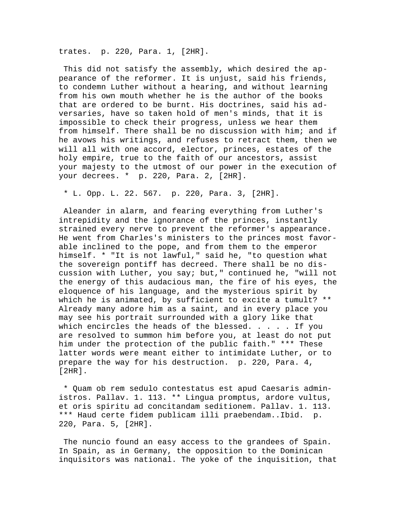trates. p. 220, Para. 1, [2HR].

 This did not satisfy the assembly, which desired the appearance of the reformer. It is unjust, said his friends, to condemn Luther without a hearing, and without learning from his own mouth whether he is the author of the books that are ordered to be burnt. His doctrines, said his adversaries, have so taken hold of men's minds, that it is impossible to check their progress, unless we hear them from himself. There shall be no discussion with him; and if he avows his writings, and refuses to retract them, then we will all with one accord, elector, princes, estates of the holy empire, true to the faith of our ancestors, assist your majesty to the utmost of our power in the execution of your decrees. \* p. 220, Para. 2, [2HR].

\* L. Opp. L. 22. 567. p. 220, Para. 3, [2HR].

 Aleander in alarm, and fearing everything from Luther's intrepidity and the ignorance of the princes, instantly strained every nerve to prevent the reformer's appearance. He went from Charles's ministers to the princes most favorable inclined to the pope, and from them to the emperor himself. \* "It is not lawful," said he, "to question what the sovereign pontiff has decreed. There shall be no discussion with Luther, you say; but," continued he, "will not the energy of this audacious man, the fire of his eyes, the eloquence of his language, and the mysterious spirit by which he is animated, by sufficient to excite a tumult? \*\* Already many adore him as a saint, and in every place you may see his portrait surrounded with a glory like that which encircles the heads of the blessed.  $\ldots$  . If you are resolved to summon him before you, at least do not put him under the protection of the public faith." \*\*\* These latter words were meant either to intimidate Luther, or to prepare the way for his destruction. p. 220, Para. 4, [2HR].

 \* Quam ob rem sedulo contestatus est apud Caesaris administros. Pallav. 1. 113. \*\* Lingua promptus, ardore vultus, et oris spiritu ad concitandam seditionem. Pallav. 1. 113. \*\*\* Haud certe fidem publicam illi praebendam..Ibid. p. 220, Para. 5, [2HR].

 The nuncio found an easy access to the grandees of Spain. In Spain, as in Germany, the opposition to the Dominican inquisitors was national. The yoke of the inquisition, that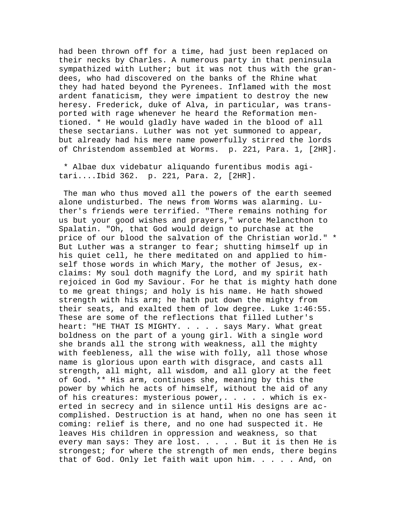had been thrown off for a time, had just been replaced on their necks by Charles. A numerous party in that peninsula sympathized with Luther; but it was not thus with the grandees, who had discovered on the banks of the Rhine what they had hated beyond the Pyrenees. Inflamed with the most ardent fanaticism, they were impatient to destroy the new heresy. Frederick, duke of Alva, in particular, was transported with rage whenever he heard the Reformation mentioned. \* He would gladly have waded in the blood of all these sectarians. Luther was not yet summoned to appear, but already had his mere name powerfully stirred the lords of Christendom assembled at Worms. p. 221, Para. 1, [2HR].

 \* Albae dux videbatur aliquando furentibus modis agitari....Ibid 362. p. 221, Para. 2, [2HR].

 The man who thus moved all the powers of the earth seemed alone undisturbed. The news from Worms was alarming. Luther's friends were terrified. "There remains nothing for us but your good wishes and prayers," wrote Melancthon to Spalatin. "Oh, that God would deign to purchase at the price of our blood the salvation of the Christian world." \* But Luther was a stranger to fear; shutting himself up in his quiet cell, he there meditated on and applied to himself those words in which Mary, the mother of Jesus, exclaims: My soul doth magnify the Lord, and my spirit hath rejoiced in God my Saviour. For he that is mighty hath done to me great things; and holy is his name. He hath showed strength with his arm; he hath put down the mighty from their seats, and exalted them of low degree. Luke 1:46:55. These are some of the reflections that filled Luther's heart: "HE THAT IS MIGHTY. . . . . says Mary. What great boldness on the part of a young girl. With a single word she brands all the strong with weakness, all the mighty with feebleness, all the wise with folly, all those whose name is glorious upon earth with disgrace, and casts all strength, all might, all wisdom, and all glory at the feet of God. \*\* His arm, continues she, meaning by this the power by which he acts of himself, without the aid of any of his creatures: mysterious power, . . . . . which is exerted in secrecy and in silence until His designs are accomplished. Destruction is at hand, when no one has seen it coming: relief is there, and no one had suspected it. He leaves His children in oppression and weakness, so that every man says: They are lost.  $\ldots$  . But it is then He is strongest; for where the strength of men ends, there begins that of God. Only let faith wait upon him. . . . . And, on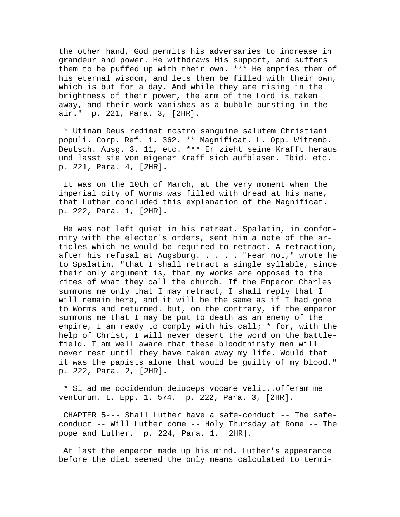the other hand, God permits his adversaries to increase in grandeur and power. He withdraws His support, and suffers them to be puffed up with their own. \*\*\* He empties them of his eternal wisdom, and lets them be filled with their own, which is but for a day. And while they are rising in the brightness of their power, the arm of the Lord is taken away, and their work vanishes as a bubble bursting in the air." p. 221, Para. 3, [2HR].

 \* Utinam Deus redimat nostro sanguine salutem Christiani populi. Corp. Ref. 1. 362. \*\* Magnificat. L. Opp. Wittemb. Deutsch. Ausg. 3. 11, etc. \*\*\* Er zieht seine Krafft heraus und lasst sie von eigener Kraff sich aufblasen. Ibid. etc. p. 221, Para. 4, [2HR].

 It was on the 10th of March, at the very moment when the imperial city of Worms was filled with dread at his name, that Luther concluded this explanation of the Magnificat. p. 222, Para. 1, [2HR].

 He was not left quiet in his retreat. Spalatin, in conformity with the elector's orders, sent him a note of the articles which he would be required to retract. A retraction, after his refusal at Augsburg. . . . . "Fear not," wrote he to Spalatin, "that I shall retract a single syllable, since their only argument is, that my works are opposed to the rites of what they call the church. If the Emperor Charles summons me only that I may retract, I shall reply that I will remain here, and it will be the same as if I had gone to Worms and returned. but, on the contrary, if the emperor summons me that I may be put to death as an enemy of the empire, I am ready to comply with his call; \* for, with the help of Christ, I will never desert the word on the battlefield. I am well aware that these bloodthirsty men will never rest until they have taken away my life. Would that it was the papists alone that would be guilty of my blood." p. 222, Para. 2, [2HR].

 \* Si ad me occidendum deiuceps vocare velit..offeram me venturum. L. Epp. 1. 574. p. 222, Para. 3, [2HR].

 CHAPTER 5--- Shall Luther have a safe-conduct -- The safeconduct -- Will Luther come -- Holy Thursday at Rome -- The pope and Luther. p. 224, Para. 1, [2HR].

 At last the emperor made up his mind. Luther's appearance before the diet seemed the only means calculated to termi-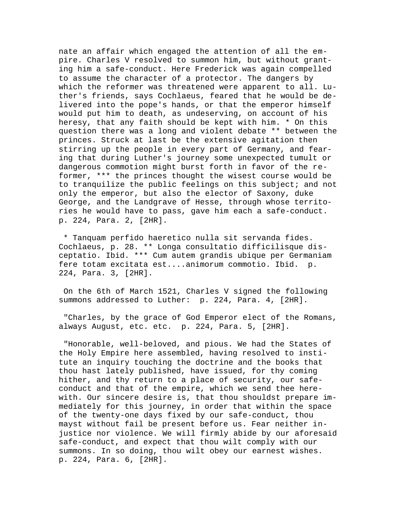nate an affair which engaged the attention of all the empire. Charles V resolved to summon him, but without granting him a safe-conduct. Here Frederick was again compelled to assume the character of a protector. The dangers by which the reformer was threatened were apparent to all. Luther's friends, says Cochlaeus, feared that he would be delivered into the pope's hands, or that the emperor himself would put him to death, as undeserving, on account of his heresy, that any faith should be kept with him. \* On this question there was a long and violent debate \*\* between the princes. Struck at last be the extensive agitation then stirring up the people in every part of Germany, and fearing that during Luther's journey some unexpected tumult or dangerous commotion might burst forth in favor of the reformer, \*\*\* the princes thought the wisest course would be to tranquilize the public feelings on this subject; and not only the emperor, but also the elector of Saxony, duke George, and the Landgrave of Hesse, through whose territories he would have to pass, gave him each a safe-conduct. p. 224, Para. 2, [2HR].

 \* Tanquam perfido haeretico nulla sit servanda fides. Cochlaeus, p. 28. \*\* Longa consultatio difficilisque disceptatio. Ibid. \*\*\* Cum autem grandis ubique per Germaniam fere totam excitata est....animorum commotio. Ibid. p. 224, Para. 3, [2HR].

 On the 6th of March 1521, Charles V signed the following summons addressed to Luther: p. 224, Para. 4, [2HR].

 "Charles, by the grace of God Emperor elect of the Romans, always August, etc. etc. p. 224, Para. 5, [2HR].

 "Honorable, well-beloved, and pious. We had the States of the Holy Empire here assembled, having resolved to institute an inquiry touching the doctrine and the books that thou hast lately published, have issued, for thy coming hither, and thy return to a place of security, our safeconduct and that of the empire, which we send thee herewith. Our sincere desire is, that thou shouldst prepare immediately for this journey, in order that within the space of the twenty-one days fixed by our safe-conduct, thou mayst without fail be present before us. Fear neither injustice nor violence. We will firmly abide by our aforesaid safe-conduct, and expect that thou wilt comply with our summons. In so doing, thou wilt obey our earnest wishes. p. 224, Para. 6, [2HR].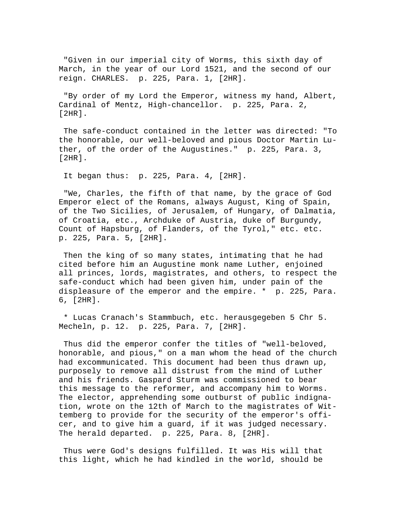"Given in our imperial city of Worms, this sixth day of March, in the year of our Lord 1521, and the second of our reign. CHARLES. p. 225, Para. 1, [2HR].

 "By order of my Lord the Emperor, witness my hand, Albert, Cardinal of Mentz, High-chancellor. p. 225, Para. 2,  $[2HR]$ .

 The safe-conduct contained in the letter was directed: "To the honorable, our well-beloved and pious Doctor Martin Luther, of the order of the Augustines." p. 225, Para. 3, [2HR].

It began thus: p. 225, Para. 4, [2HR].

 "We, Charles, the fifth of that name, by the grace of God Emperor elect of the Romans, always August, King of Spain, of the Two Sicilies, of Jerusalem, of Hungary, of Dalmatia, of Croatia, etc., Archduke of Austria, duke of Burgundy, Count of Hapsburg, of Flanders, of the Tyrol," etc. etc. p. 225, Para. 5, [2HR].

 Then the king of so many states, intimating that he had cited before him an Augustine monk name Luther, enjoined all princes, lords, magistrates, and others, to respect the safe-conduct which had been given him, under pain of the displeasure of the emperor and the empire. \* p. 225, Para. 6, [2HR].

 \* Lucas Cranach's Stammbuch, etc. herausgegeben 5 Chr 5. Mecheln, p. 12. p. 225, Para. 7, [2HR].

 Thus did the emperor confer the titles of "well-beloved, honorable, and pious," on a man whom the head of the church had excommunicated. This document had been thus drawn up, purposely to remove all distrust from the mind of Luther and his friends. Gaspard Sturm was commissioned to bear this message to the reformer, and accompany him to Worms. The elector, apprehending some outburst of public indignation, wrote on the 12th of March to the magistrates of Wittemberg to provide for the security of the emperor's officer, and to give him a guard, if it was judged necessary. The herald departed. p. 225, Para. 8, [2HR].

 Thus were God's designs fulfilled. It was His will that this light, which he had kindled in the world, should be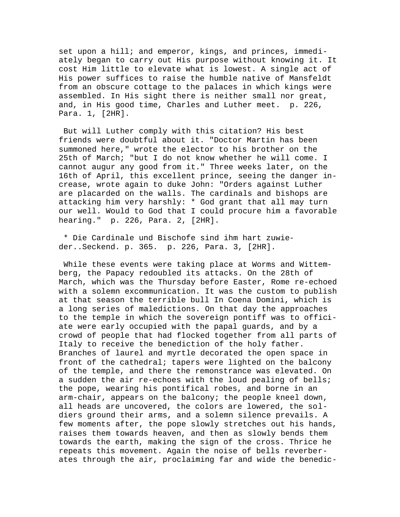set upon a hill; and emperor, kings, and princes, immediately began to carry out His purpose without knowing it. It cost Him little to elevate what is lowest. A single act of His power suffices to raise the humble native of Mansfeldt from an obscure cottage to the palaces in which kings were assembled. In His sight there is neither small nor great, and, in His good time, Charles and Luther meet. p. 226, Para. 1, [2HR].

 But will Luther comply with this citation? His best friends were doubtful about it. "Doctor Martin has been summoned here," wrote the elector to his brother on the 25th of March; "but I do not know whether he will come. I cannot augur any good from it." Three weeks later, on the 16th of April, this excellent prince, seeing the danger increase, wrote again to duke John: "Orders against Luther are placarded on the walls. The cardinals and bishops are attacking him very harshly: \* God grant that all may turn our well. Would to God that I could procure him a favorable hearing." p. 226, Para. 2, [2HR].

 \* Die Cardinale und Bischofe sind ihm hart zuwieder..Seckend. p. 365. p. 226, Para. 3, [2HR].

 While these events were taking place at Worms and Wittemberg, the Papacy redoubled its attacks. On the 28th of March, which was the Thursday before Easter, Rome re-echoed with a solemn excommunication. It was the custom to publish at that season the terrible bull In Coena Domini, which is a long series of maledictions. On that day the approaches to the temple in which the sovereign pontiff was to officiate were early occupied with the papal guards, and by a crowd of people that had flocked together from all parts of Italy to receive the benediction of the holy father. Branches of laurel and myrtle decorated the open space in front of the cathedral; tapers were lighted on the balcony of the temple, and there the remonstrance was elevated. On a sudden the air re-echoes with the loud pealing of bells; the pope, wearing his pontifical robes, and borne in an arm-chair, appears on the balcony; the people kneel down, all heads are uncovered, the colors are lowered, the soldiers ground their arms, and a solemn silence prevails. A few moments after, the pope slowly stretches out his hands, raises them towards heaven, and then as slowly bends them towards the earth, making the sign of the cross. Thrice he repeats this movement. Again the noise of bells reverberates through the air, proclaiming far and wide the benedic-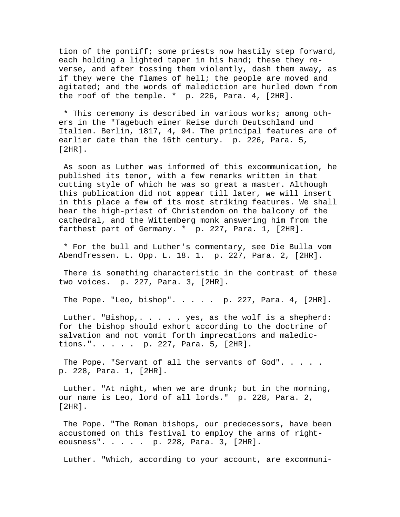tion of the pontiff; some priests now hastily step forward, each holding a lighted taper in his hand; these they reverse, and after tossing them violently, dash them away, as if they were the flames of hell; the people are moved and agitated; and the words of malediction are hurled down from the roof of the temple. \* p. 226, Para. 4, [2HR].

 \* This ceremony is described in various works; among others in the "Tagebuch einer Reise durch Deutschland und Italien. Berlin, 1817, 4, 94. The principal features are of earlier date than the 16th century. p. 226, Para. 5,  $[2HR]$ .

 As soon as Luther was informed of this excommunication, he published its tenor, with a few remarks written in that cutting style of which he was so great a master. Although this publication did not appear till later, we will insert in this place a few of its most striking features. We shall hear the high-priest of Christendom on the balcony of the cathedral, and the Wittemberg monk answering him from the farthest part of Germany. \* p. 227, Para. 1, [2HR].

 \* For the bull and Luther's commentary, see Die Bulla vom Abendfressen. L. Opp. L. 18. 1. p. 227, Para. 2, [2HR].

 There is something characteristic in the contrast of these two voices. p. 227, Para. 3, [2HR].

The Pope. "Leo, bishop". . . . . p. 227, Para.  $4$ ,  $[2HR]$ .

 Luther. "Bishop,. . . . . yes, as the wolf is a shepherd: for the bishop should exhort according to the doctrine of salvation and not vomit forth imprecations and maledictions.". . . . . p. 227, Para. 5, [2HR].

The Pope. "Servant of all the servants of God". . . . . p. 228, Para. 1, [2HR].

 Luther. "At night, when we are drunk; but in the morning, our name is Leo, lord of all lords." p. 228, Para. 2, [2HR].

 The Pope. "The Roman bishops, our predecessors, have been accustomed on this festival to employ the arms of righteousness". . . . . p. 228, Para. 3, [2HR].

Luther. "Which, according to your account, are excommuni-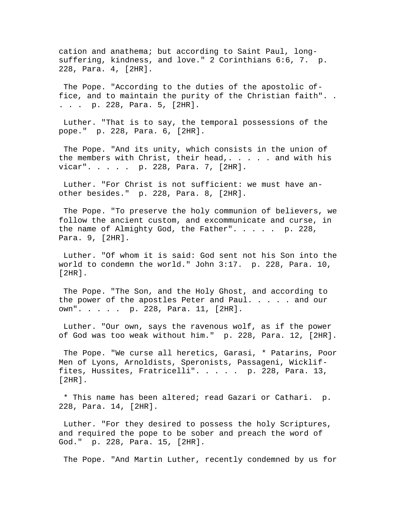cation and anathema; but according to Saint Paul, longsuffering, kindness, and love." 2 Corinthians 6:6, 7. p. 228, Para. 4, [2HR].

 The Pope. "According to the duties of the apostolic office, and to maintain the purity of the Christian faith". . . . . p. 228, Para. 5, [2HR].

 Luther. "That is to say, the temporal possessions of the pope." p. 228, Para. 6, [2HR].

 The Pope. "And its unity, which consists in the union of the members with Christ, their head,. . . . . and with his vicar". . . . . p. 228, Para. 7, [2HR].

 Luther. "For Christ is not sufficient: we must have another besides." p. 228, Para. 8, [2HR].

 The Pope. "To preserve the holy communion of believers, we follow the ancient custom, and excommunicate and curse, in the name of Almighty God, the Father". . . . . p. 228, Para. 9, [2HR].

 Luther. "Of whom it is said: God sent not his Son into the world to condemn the world." John 3:17. p. 228, Para. 10, [2HR].

 The Pope. "The Son, and the Holy Ghost, and according to the power of the apostles Peter and Paul. . . . . and our own". . . . . p. 228, Para. 11, [2HR].

 Luther. "Our own, says the ravenous wolf, as if the power of God was too weak without him." p. 228, Para. 12, [2HR].

 The Pope. "We curse all heretics, Garasi, \* Patarins, Poor Men of Lyons, Arnoldists, Speronists, Passageni, Wickliffites, Hussites, Fratricelli". . . . . p. 228, Para. 13, [2HR].

 \* This name has been altered; read Gazari or Cathari. p. 228, Para. 14, [2HR].

 Luther. "For they desired to possess the holy Scriptures, and required the pope to be sober and preach the word of God." p. 228, Para. 15, [2HR].

The Pope. "And Martin Luther, recently condemned by us for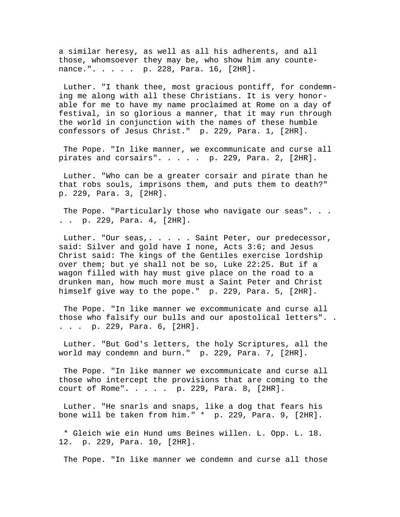a similar heresy, as well as all his adherents, and all those, whomsoever they may be, who show him any countenance.". . . . . p. 228, Para. 16, [2HR].

 Luther. "I thank thee, most gracious pontiff, for condemning me along with all these Christians. It is very honorable for me to have my name proclaimed at Rome on a day of festival, in so glorious a manner, that it may run through the world in conjunction with the names of these humble confessors of Jesus Christ." p. 229, Para. 1, [2HR].

 The Pope. "In like manner, we excommunicate and curse all pirates and corsairs".  $\ldots$  . . . . 229, Para. 2,  $[2HR]$ .

 Luther. "Who can be a greater corsair and pirate than he that robs souls, imprisons them, and puts them to death?" p. 229, Para. 3, [2HR].

 The Pope. "Particularly those who navigate our seas". . . . . p. 229, Para. 4, [2HR].

 Luther. "Our seas,. . . . . Saint Peter, our predecessor, said: Silver and gold have I none, Acts 3:6; and Jesus Christ said: The kings of the Gentiles exercise lordship over them; but ye shall not be so, Luke 22:25. But if a wagon filled with hay must give place on the road to a drunken man, how much more must a Saint Peter and Christ himself give way to the pope." p. 229, Para. 5, [2HR].

 The Pope. "In like manner we excommunicate and curse all those who falsify our bulls and our apostolical letters". . . . . p. 229, Para. 6, [2HR].

 Luther. "But God's letters, the holy Scriptures, all the world may condemn and burn." p. 229, Para. 7, [2HR].

 The Pope. "In like manner we excommunicate and curse all those who intercept the provisions that are coming to the court of Rome". . . . . p. 229, Para. 8, [2HR].

 Luther. "He snarls and snaps, like a dog that fears his bone will be taken from him." \* p. 229, Para. 9, [2HR].

 \* Gleich wie ein Hund ums Beines willen. L. Opp. L. 18. 12. p. 229, Para. 10, [2HR].

The Pope. "In like manner we condemn and curse all those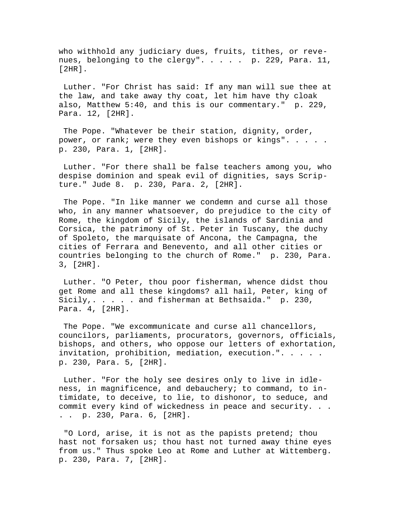who withhold any judiciary dues, fruits, tithes, or revenues, belonging to the clergy". . . . . p. 229, Para. 11,  $[2HR]$ .

 Luther. "For Christ has said: If any man will sue thee at the law, and take away thy coat, let him have thy cloak also, Matthew 5:40, and this is our commentary." p. 229, Para. 12, [2HR].

 The Pope. "Whatever be their station, dignity, order, power, or rank; were they even bishops or kings". . . . . p. 230, Para. 1, [2HR].

 Luther. "For there shall be false teachers among you, who despise dominion and speak evil of dignities, says Scripture." Jude 8. p. 230, Para. 2, [2HR].

 The Pope. "In like manner we condemn and curse all those who, in any manner whatsoever, do prejudice to the city of Rome, the kingdom of Sicily, the islands of Sardinia and Corsica, the patrimony of St. Peter in Tuscany, the duchy of Spoleto, the marquisate of Ancona, the Campagna, the cities of Ferrara and Benevento, and all other cities or countries belonging to the church of Rome." p. 230, Para. 3, [2HR].

 Luther. "O Peter, thou poor fisherman, whence didst thou get Rome and all these kingdoms? all hail, Peter, king of Sicily,. . . . . and fisherman at Bethsaida." p. 230, Para. 4, [2HR].

 The Pope. "We excommunicate and curse all chancellors, councilors, parliaments, procurators, governors, officials, bishops, and others, who oppose our letters of exhortation, invitation, prohibition, mediation, execution.". . . . . p. 230, Para. 5, [2HR].

 Luther. "For the holy see desires only to live in idleness, in magnificence, and debauchery; to command, to intimidate, to deceive, to lie, to dishonor, to seduce, and commit every kind of wickedness in peace and security. . . . . p. 230, Para. 6, [2HR].

 "O Lord, arise, it is not as the papists pretend; thou hast not forsaken us; thou hast not turned away thine eyes from us." Thus spoke Leo at Rome and Luther at Wittemberg. p. 230, Para. 7, [2HR].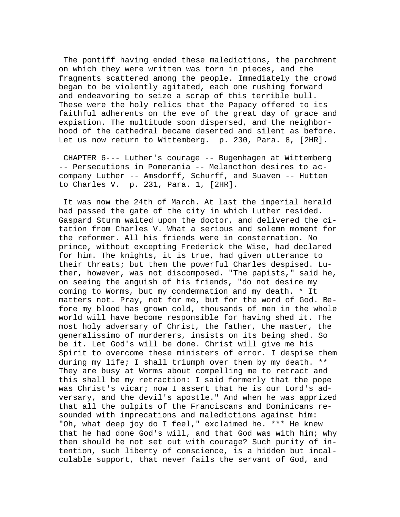The pontiff having ended these maledictions, the parchment on which they were written was torn in pieces, and the fragments scattered among the people. Immediately the crowd began to be violently agitated, each one rushing forward and endeavoring to seize a scrap of this terrible bull. These were the holy relics that the Papacy offered to its faithful adherents on the eve of the great day of grace and expiation. The multitude soon dispersed, and the neighborhood of the cathedral became deserted and silent as before. Let us now return to Wittemberg. p. 230, Para. 8, [2HR].

 CHAPTER 6--- Luther's courage -- Bugenhagen at Wittemberg -- Persecutions in Pomerania -- Melancthon desires to accompany Luther -- Amsdorff, Schurff, and Suaven -- Hutten to Charles V. p. 231, Para. 1, [2HR].

 It was now the 24th of March. At last the imperial herald had passed the gate of the city in which Luther resided. Gaspard Sturm waited upon the doctor, and delivered the citation from Charles V. What a serious and solemn moment for the reformer. All his friends were in consternation. No prince, without excepting Frederick the Wise, had declared for him. The knights, it is true, had given utterance to their threats; but them the powerful Charles despised. Luther, however, was not discomposed. "The papists," said he, on seeing the anguish of his friends, "do not desire my coming to Worms, but my condemnation and my death. \* It matters not. Pray, not for me, but for the word of God. Before my blood has grown cold, thousands of men in the whole world will have become responsible for having shed it. The most holy adversary of Christ, the father, the master, the generalissimo of murderers, insists on its being shed. So be it. Let God's will be done. Christ will give me his Spirit to overcome these ministers of error. I despise them during my life; I shall triumph over them by my death. \*\* They are busy at Worms about compelling me to retract and this shall be my retraction: I said formerly that the pope was Christ's vicar; now I assert that he is our Lord's adversary, and the devil's apostle." And when he was apprized that all the pulpits of the Franciscans and Dominicans resounded with imprecations and maledictions against him: "Oh, what deep joy do I feel," exclaimed he. \*\*\* He knew that he had done God's will, and that God was with him; why then should he not set out with courage? Such purity of intention, such liberty of conscience, is a hidden but incalculable support, that never fails the servant of God, and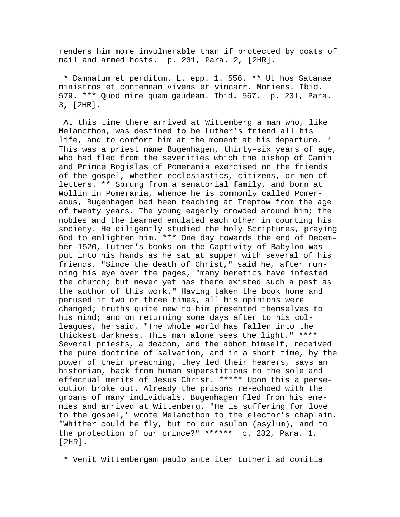renders him more invulnerable than if protected by coats of mail and armed hosts. p. 231, Para. 2, [2HR].

 \* Damnatum et perditum. L. epp. 1. 556. \*\* Ut hos Satanae ministros et contemnam vivens et vincarr. Moriens. Ibid. 579. \*\*\* Quod mire quam gaudeam. Ibid. 567. p. 231, Para. 3, [2HR].

 At this time there arrived at Wittemberg a man who, like Melancthon, was destined to be Luther's friend all his life, and to comfort him at the moment at his departure. \* This was a priest name Bugenhagen, thirty-six years of age, who had fled from the severities which the bishop of Camin and Prince Bogislas of Pomerania exercised on the friends of the gospel, whether ecclesiastics, citizens, or men of letters. \*\* Sprung from a senatorial family, and born at Wollin in Pomerania, whence he is commonly called Pomeranus, Bugenhagen had been teaching at Treptow from the age of twenty years. The young eagerly crowded around him; the nobles and the learned emulated each other in courting his society. He diligently studied the holy Scriptures, praying God to enlighten him. \*\*\* One day towards the end of December 1520, Luther's books on the Captivity of Babylon was put into his hands as he sat at supper with several of his friends. "Since the death of Christ," said he, after running his eye over the pages, "many heretics have infested the church; but never yet has there existed such a pest as the author of this work." Having taken the book home and perused it two or three times, all his opinions were changed; truths quite new to him presented themselves to his mind; and on returning some days after to his colleagues, he said, "The whole world has fallen into the thickest darkness. This man alone sees the light." \*\*\*\* Several priests, a deacon, and the abbot himself, received the pure doctrine of salvation, and in a short time, by the power of their preaching, they led their hearers, says an historian, back from human superstitions to the sole and effectual merits of Jesus Christ. \*\*\*\*\* Upon this a persecution broke out. Already the prisons re-echoed with the groans of many individuals. Bugenhagen fled from his enemies and arrived at Wittemberg. "He is suffering for love to the gospel," wrote Melancthon to the elector's chaplain. "Whither could he fly, but to our asulon (asylum), and to the protection of our prince?" \*\*\*\*\*\* p. 232, Para. 1, [2HR].

\* Venit Wittembergam paulo ante iter Lutheri ad comitia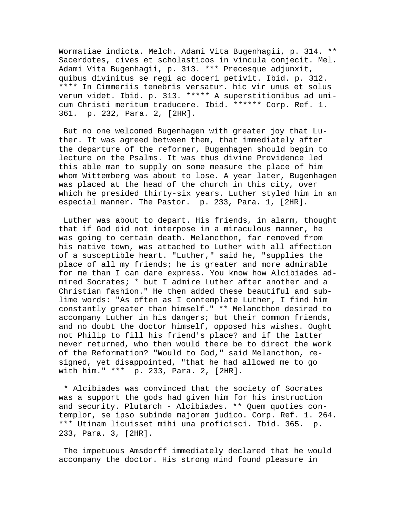Wormatiae indicta. Melch. Adami Vita Bugenhagii, p. 314. \*\* Sacerdotes, cives et scholasticos in vincula conjecit. Mel. Adami Vita Bugenhagii, p. 313. \*\*\* Precesque adjunxit, quibus divinitus se regi ac doceri petivit. Ibid. p. 312. \*\*\*\* In Cimmeriis tenebris versatur. hic vir unus et solus verum videt. Ibid. p. 313. \*\*\*\*\* A superstitionibus ad unicum Christi meritum traducere. Ibid. \*\*\*\*\*\* Corp. Ref. 1. 361. p. 232, Para. 2, [2HR].

 But no one welcomed Bugenhagen with greater joy that Luther. It was agreed between them, that immediately after the departure of the reformer, Bugenhagen should begin to lecture on the Psalms. It was thus divine Providence led this able man to supply on some measure the place of him whom Wittemberg was about to lose. A year later, Bugenhagen was placed at the head of the church in this city, over which he presided thirty-six years. Luther styled him in an especial manner. The Pastor. p. 233, Para. 1, [2HR].

 Luther was about to depart. His friends, in alarm, thought that if God did not interpose in a miraculous manner, he was going to certain death. Melancthon, far removed from his native town, was attached to Luther with all affection of a susceptible heart. "Luther," said he, "supplies the place of all my friends; he is greater and more admirable for me than I can dare express. You know how Alcibiades admired Socrates; \* but I admire Luther after another and a Christian fashion." He then added these beautiful and sublime words: "As often as I contemplate Luther, I find him constantly greater than himself." \*\* Melancthon desired to accompany Luther in his dangers; but their common friends, and no doubt the doctor himself, opposed his wishes. Ought not Philip to fill his friend's place? and if the latter never returned, who then would there be to direct the work of the Reformation? "Would to God," said Melancthon, resigned, yet disappointed, "that he had allowed me to go with him." \*\*\* p. 233, Para. 2, [2HR].

 \* Alcibiades was convinced that the society of Socrates was a support the gods had given him for his instruction and security. Plutarch - Alcibiades. \*\* Quem quoties contemplor, se ipso subinde majorem judico. Corp. Ref. 1. 264. \*\*\* Utinam licuisset mihi una proficisci. Ibid. 365. p. 233, Para. 3, [2HR].

 The impetuous Amsdorff immediately declared that he would accompany the doctor. His strong mind found pleasure in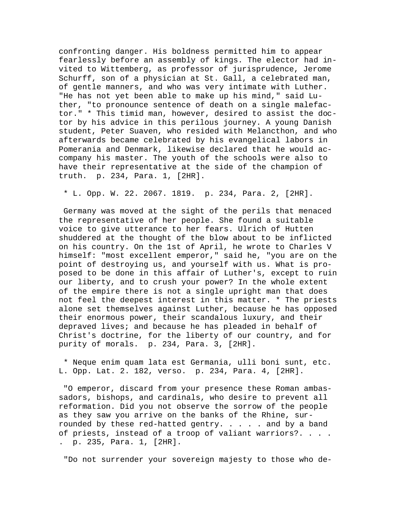confronting danger. His boldness permitted him to appear fearlessly before an assembly of kings. The elector had invited to Wittemberg, as professor of jurisprudence, Jerome Schurff, son of a physician at St. Gall, a celebrated man, of gentle manners, and who was very intimate with Luther. "He has not yet been able to make up his mind," said Luther, "to pronounce sentence of death on a single malefactor." \* This timid man, however, desired to assist the doctor by his advice in this perilous journey. A young Danish student, Peter Suaven, who resided with Melancthon, and who afterwards became celebrated by his evangelical labors in Pomerania and Denmark, likewise declared that he would accompany his master. The youth of the schools were also to have their representative at the side of the champion of truth. p. 234, Para. 1, [2HR].

\* L. Opp. W. 22. 2067. 1819. p. 234, Para. 2, [2HR].

 Germany was moved at the sight of the perils that menaced the representative of her people. She found a suitable voice to give utterance to her fears. Ulrich of Hutten shuddered at the thought of the blow about to be inflicted on his country. On the 1st of April, he wrote to Charles V himself: "most excellent emperor," said he, "you are on the point of destroying us, and yourself with us. What is proposed to be done in this affair of Luther's, except to ruin our liberty, and to crush your power? In the whole extent of the empire there is not a single upright man that does not feel the deepest interest in this matter. \* The priests alone set themselves against Luther, because he has opposed their enormous power, their scandalous luxury, and their depraved lives; and because he has pleaded in behalf of Christ's doctrine, for the liberty of our country, and for purity of morals. p. 234, Para. 3, [2HR].

 \* Neque enim quam lata est Germania, ulli boni sunt, etc. L. Opp. Lat. 2. 182, verso. p. 234, Para. 4, [2HR].

 "O emperor, discard from your presence these Roman ambassadors, bishops, and cardinals, who desire to prevent all reformation. Did you not observe the sorrow of the people as they saw you arrive on the banks of the Rhine, surrounded by these red-hatted gentry. . . . . and by a band of priests, instead of a troop of valiant warriors?. . . . . p. 235, Para. 1, [2HR].

"Do not surrender your sovereign majesty to those who de-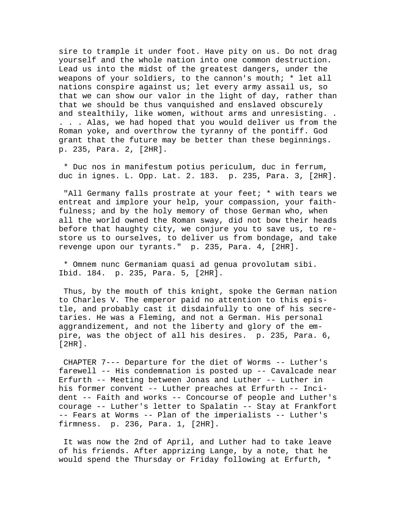sire to trample it under foot. Have pity on us. Do not drag yourself and the whole nation into one common destruction. Lead us into the midst of the greatest dangers, under the weapons of your soldiers, to the cannon's mouth; \* let all nations conspire against us; let every army assail us, so that we can show our valor in the light of day, rather than that we should be thus vanquished and enslaved obscurely and stealthily, like women, without arms and unresisting. . . . . Alas, we had hoped that you would deliver us from the Roman yoke, and overthrow the tyranny of the pontiff. God grant that the future may be better than these beginnings. p. 235, Para. 2, [2HR].

 \* Duc nos in manifestum potius periculum, duc in ferrum, duc in ignes. L. Opp. Lat. 2. 183. p. 235, Para. 3, [2HR].

"All Germany falls prostrate at your feet; \* with tears we entreat and implore your help, your compassion, your faithfulness; and by the holy memory of those German who, when all the world owned the Roman sway, did not bow their heads before that haughty city, we conjure you to save us, to restore us to ourselves, to deliver us from bondage, and take revenge upon our tyrants." p. 235, Para. 4, [2HR].

 \* Omnem nunc Germaniam quasi ad genua provolutam sibi. Ibid. 184. p. 235, Para. 5, [2HR].

 Thus, by the mouth of this knight, spoke the German nation to Charles V. The emperor paid no attention to this epistle, and probably cast it disdainfully to one of his secretaries. He was a Fleming, and not a German. His personal aggrandizement, and not the liberty and glory of the empire, was the object of all his desires. p. 235, Para. 6, [2HR].

 CHAPTER 7--- Departure for the diet of Worms -- Luther's farewell -- His condemnation is posted up -- Cavalcade near Erfurth -- Meeting between Jonas and Luther -- Luther in his former convent -- Luther preaches at Erfurth -- Incident -- Faith and works -- Concourse of people and Luther's courage -- Luther's letter to Spalatin -- Stay at Frankfort -- Fears at Worms -- Plan of the imperialists -- Luther's firmness. p. 236, Para. 1, [2HR].

 It was now the 2nd of April, and Luther had to take leave of his friends. After apprizing Lange, by a note, that he would spend the Thursday or Friday following at Erfurth, \*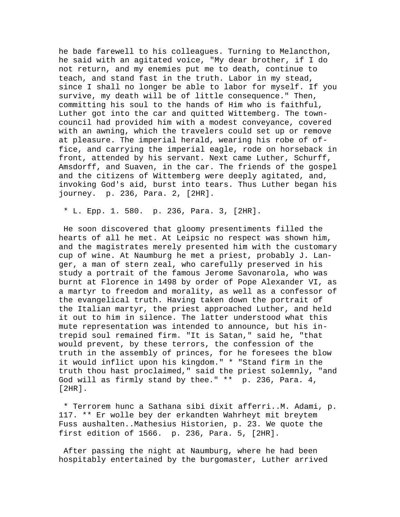he bade farewell to his colleagues. Turning to Melancthon, he said with an agitated voice, "My dear brother, if I do not return, and my enemies put me to death, continue to teach, and stand fast in the truth. Labor in my stead, since I shall no longer be able to labor for myself. If you survive, my death will be of little consequence." Then, committing his soul to the hands of Him who is faithful, Luther got into the car and quitted Wittemberg. The towncouncil had provided him with a modest conveyance, covered with an awning, which the travelers could set up or remove at pleasure. The imperial herald, wearing his robe of office, and carrying the imperial eagle, rode on horseback in front, attended by his servant. Next came Luther, Schurff, Amsdorff, and Suaven, in the car. The friends of the gospel and the citizens of Wittemberg were deeply agitated, and, invoking God's aid, burst into tears. Thus Luther began his journey. p. 236, Para. 2, [2HR].

\* L. Epp. 1. 580. p. 236, Para. 3, [2HR].

 He soon discovered that gloomy presentiments filled the hearts of all he met. At Leipsic no respect was shown him, and the magistrates merely presented him with the customary cup of wine. At Naumburg he met a priest, probably J. Langer, a man of stern zeal, who carefully preserved in his study a portrait of the famous Jerome Savonarola, who was burnt at Florence in 1498 by order of Pope Alexander VI, as a martyr to freedom and morality, as well as a confessor of the evangelical truth. Having taken down the portrait of the Italian martyr, the priest approached Luther, and held it out to him in silence. The latter understood what this mute representation was intended to announce, but his intrepid soul remained firm. "It is Satan," said he, "that would prevent, by these terrors, the confession of the truth in the assembly of princes, for he foresees the blow it would inflict upon his kingdom." \* "Stand firm in the truth thou hast proclaimed," said the priest solemnly, "and God will as firmly stand by thee." \*\* p. 236, Para. 4,  $[2HR]$ .

 \* Terrorem hunc a Sathana sibi dixit afferri..M. Adami, p. 117. \*\* Er wolle bey der erkandten Wahrheyt mit breytem Fuss aushalten..Mathesius Historien, p. 23. We quote the first edition of 1566. p. 236, Para. 5, [2HR].

 After passing the night at Naumburg, where he had been hospitably entertained by the burgomaster, Luther arrived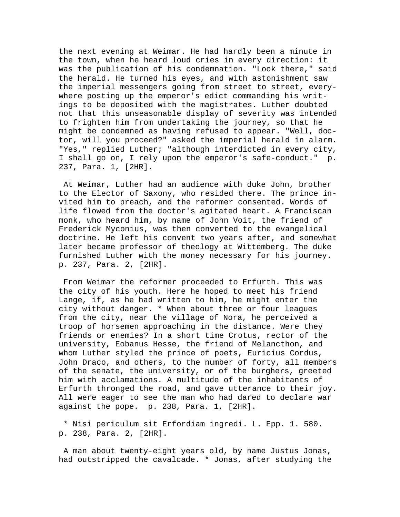the next evening at Weimar. He had hardly been a minute in the town, when he heard loud cries in every direction: it was the publication of his condemnation. "Look there," said the herald. He turned his eyes, and with astonishment saw the imperial messengers going from street to street, everywhere posting up the emperor's edict commanding his writings to be deposited with the magistrates. Luther doubted not that this unseasonable display of severity was intended to frighten him from undertaking the journey, so that he might be condemned as having refused to appear. "Well, doctor, will you proceed?" asked the imperial herald in alarm. "Yes," replied Luther; "although interdicted in every city, I shall go on, I rely upon the emperor's safe-conduct." p. 237, Para. 1, [2HR].

 At Weimar, Luther had an audience with duke John, brother to the Elector of Saxony, who resided there. The prince invited him to preach, and the reformer consented. Words of life flowed from the doctor's agitated heart. A Franciscan monk, who heard him, by name of John Voit, the friend of Frederick Myconius, was then converted to the evangelical doctrine. He left his convent two years after, and somewhat later became professor of theology at Wittemberg. The duke furnished Luther with the money necessary for his journey. p. 237, Para. 2, [2HR].

 From Weimar the reformer proceeded to Erfurth. This was the city of his youth. Here he hoped to meet his friend Lange, if, as he had written to him, he might enter the city without danger. \* When about three or four leagues from the city, near the village of Nora, he perceived a troop of horsemen approaching in the distance. Were they friends or enemies? In a short time Crotus, rector of the university, Eobanus Hesse, the friend of Melancthon, and whom Luther styled the prince of poets, Euricius Cordus, John Draco, and others, to the number of forty, all members of the senate, the university, or of the burghers, greeted him with acclamations. A multitude of the inhabitants of Erfurth thronged the road, and gave utterance to their joy. All were eager to see the man who had dared to declare war against the pope. p. 238, Para. 1, [2HR].

 \* Nisi periculum sit Erfordiam ingredi. L. Epp. 1. 580. p. 238, Para. 2, [2HR].

 A man about twenty-eight years old, by name Justus Jonas, had outstripped the cavalcade. \* Jonas, after studying the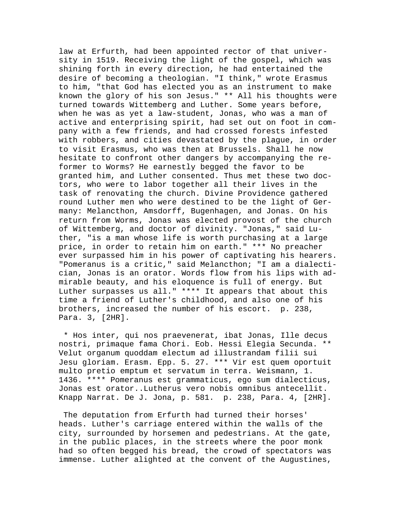law at Erfurth, had been appointed rector of that university in 1519. Receiving the light of the gospel, which was shining forth in every direction, he had entertained the desire of becoming a theologian. "I think," wrote Erasmus to him, "that God has elected you as an instrument to make known the glory of his son Jesus." \*\* All his thoughts were turned towards Wittemberg and Luther. Some years before, when he was as yet a law-student, Jonas, who was a man of active and enterprising spirit, had set out on foot in company with a few friends, and had crossed forests infested with robbers, and cities devastated by the plague, in order to visit Erasmus, who was then at Brussels. Shall he now hesitate to confront other dangers by accompanying the reformer to Worms? He earnestly begged the favor to be granted him, and Luther consented. Thus met these two doctors, who were to labor together all their lives in the task of renovating the church. Divine Providence gathered round Luther men who were destined to be the light of Germany: Melancthon, Amsdorff, Bugenhagen, and Jonas. On his return from Worms, Jonas was elected provost of the church of Wittemberg, and doctor of divinity. "Jonas," said Luther, "is a man whose life is worth purchasing at a large price, in order to retain him on earth." \*\*\* No preacher ever surpassed him in his power of captivating his hearers. "Pomeranus is a critic," said Melancthon; "I am a dialectician, Jonas is an orator. Words flow from his lips with admirable beauty, and his eloquence is full of energy. But Luther surpasses us all." \*\*\*\* It appears that about this time a friend of Luther's childhood, and also one of his brothers, increased the number of his escort. p. 238, Para. 3, [2HR].

 \* Hos inter, qui nos praevenerat, ibat Jonas, Ille decus nostri, primaque fama Chori. Eob. Hessi Elegia Secunda. \*\* Velut organum quoddam electum ad illustrandam filii sui Jesu gloriam. Erasm. Epp. 5. 27. \*\*\* Vir est quem oportuit multo pretio emptum et servatum in terra. Weismann, 1. 1436. \*\*\*\* Pomeranus est grammaticus, ego sum dialecticus, Jonas est orator..Lutherus vero nobis omnibus antecellit. Knapp Narrat. De J. Jona, p. 581. p. 238, Para. 4, [2HR].

 The deputation from Erfurth had turned their horses' heads. Luther's carriage entered within the walls of the city, surrounded by horsemen and pedestrians. At the gate, in the public places, in the streets where the poor monk had so often begged his bread, the crowd of spectators was immense. Luther alighted at the convent of the Augustines,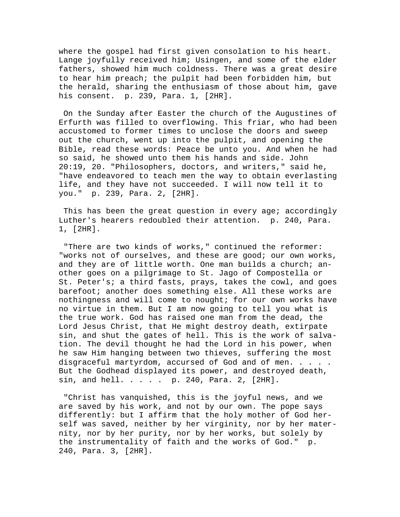where the gospel had first given consolation to his heart. Lange joyfully received him; Usingen, and some of the elder fathers, showed him much coldness. There was a great desire to hear him preach; the pulpit had been forbidden him, but the herald, sharing the enthusiasm of those about him, gave his consent. p. 239, Para. 1, [2HR].

 On the Sunday after Easter the church of the Augustines of Erfurth was filled to overflowing. This friar, who had been accustomed to former times to unclose the doors and sweep out the church, went up into the pulpit, and opening the Bible, read these words: Peace be unto you. And when he had so said, he showed unto them his hands and side. John 20:19, 20. "Philosophers, doctors, and writers," said he, "have endeavored to teach men the way to obtain everlasting life, and they have not succeeded. I will now tell it to you." p. 239, Para. 2, [2HR].

This has been the great question in every age; accordingly Luther's hearers redoubled their attention. p. 240, Para. 1, [2HR].

 "There are two kinds of works," continued the reformer: "works not of ourselves, and these are good; our own works, and they are of little worth. One man builds a church; another goes on a pilgrimage to St. Jago of Compostella or St. Peter's; a third fasts, prays, takes the cowl, and goes barefoot; another does something else. All these works are nothingness and will come to nought; for our own works have no virtue in them. But I am now going to tell you what is the true work. God has raised one man from the dead, the Lord Jesus Christ, that He might destroy death, extirpate sin, and shut the gates of hell. This is the work of salvation. The devil thought he had the Lord in his power, when he saw Him hanging between two thieves, suffering the most disgraceful martyrdom, accursed of God and of men. . . . . But the Godhead displayed its power, and destroyed death, sin, and hell. . . . . p. 240, Para. 2, [2HR].

 "Christ has vanquished, this is the joyful news, and we are saved by his work, and not by our own. The pope says differently: but I affirm that the holy mother of God herself was saved, neither by her virginity, nor by her maternity, nor by her purity, nor by her works, but solely by the instrumentality of faith and the works of God." p. 240, Para. 3, [2HR].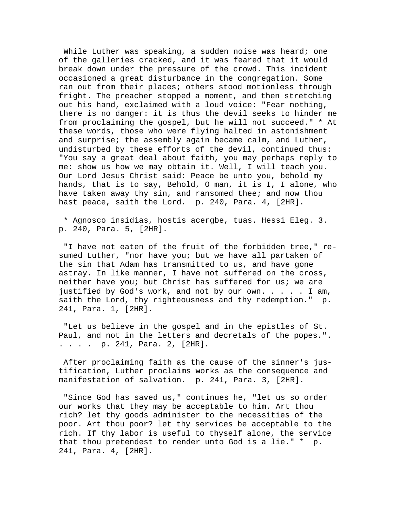While Luther was speaking, a sudden noise was heard; one of the galleries cracked, and it was feared that it would break down under the pressure of the crowd. This incident occasioned a great disturbance in the congregation. Some ran out from their places; others stood motionless through fright. The preacher stopped a moment, and then stretching out his hand, exclaimed with a loud voice: "Fear nothing, there is no danger: it is thus the devil seeks to hinder me from proclaiming the gospel, but he will not succeed." \* At these words, those who were flying halted in astonishment and surprise; the assembly again became calm, and Luther, undisturbed by these efforts of the devil, continued thus: "You say a great deal about faith, you may perhaps reply to me: show us how we may obtain it. Well, I will teach you. Our Lord Jesus Christ said: Peace be unto you, behold my hands, that is to say, Behold, O man, it is I, I alone, who have taken away thy sin, and ransomed thee; and now thou hast peace, saith the Lord. p. 240, Para. 4, [2HR].

 \* Agnosco insidias, hostis acergbe, tuas. Hessi Eleg. 3. p. 240, Para. 5, [2HR].

 "I have not eaten of the fruit of the forbidden tree," resumed Luther, "nor have you; but we have all partaken of the sin that Adam has transmitted to us, and have gone astray. In like manner, I have not suffered on the cross, neither have you; but Christ has suffered for us; we are justified by God's work, and not by our own. . . . . I am, saith the Lord, thy righteousness and thy redemption." p. 241, Para. 1, [2HR].

 "Let us believe in the gospel and in the epistles of St. Paul, and not in the letters and decretals of the popes.". . . . . p. 241, Para. 2, [2HR].

 After proclaiming faith as the cause of the sinner's justification, Luther proclaims works as the consequence and manifestation of salvation. p. 241, Para. 3, [2HR].

 "Since God has saved us," continues he, "let us so order our works that they may be acceptable to him. Art thou rich? let thy goods administer to the necessities of the poor. Art thou poor? let thy services be acceptable to the rich. If thy labor is useful to thyself alone, the service that thou pretendest to render unto God is a lie." \* p. 241, Para. 4, [2HR].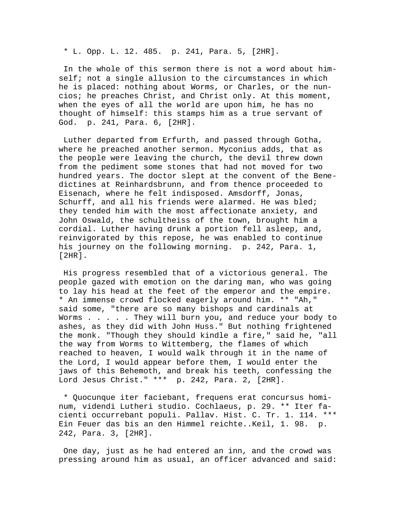\* L. Opp. L. 12. 485. p. 241, Para. 5, [2HR].

 In the whole of this sermon there is not a word about himself; not a single allusion to the circumstances in which he is placed: nothing about Worms, or Charles, or the nuncios; he preaches Christ, and Christ only. At this moment, when the eyes of all the world are upon him, he has no thought of himself: this stamps him as a true servant of God. p. 241, Para. 6, [2HR].

 Luther departed from Erfurth, and passed through Gotha, where he preached another sermon. Myconius adds, that as the people were leaving the church, the devil threw down from the pediment some stones that had not moved for two hundred years. The doctor slept at the convent of the Benedictines at Reinhardsbrunn, and from thence proceeded to Eisenach, where he felt indisposed. Amsdorff, Jonas, Schurff, and all his friends were alarmed. He was bled; they tended him with the most affectionate anxiety, and John Oswald, the schultheiss of the town, brought him a cordial. Luther having drunk a portion fell asleep, and, reinvigorated by this repose, he was enabled to continue his journey on the following morning. p. 242, Para. 1, [2HR].

 His progress resembled that of a victorious general. The people gazed with emotion on the daring man, who was going to lay his head at the feet of the emperor and the empire. \* An immense crowd flocked eagerly around him. \*\* "Ah," said some, "there are so many bishops and cardinals at Worms . . . . . They will burn you, and reduce your body to ashes, as they did with John Huss." But nothing frightened the monk. "Though they should kindle a fire," said he, "all the way from Worms to Wittemberg, the flames of which reached to heaven, I would walk through it in the name of the Lord, I would appear before them, I would enter the jaws of this Behemoth, and break his teeth, confessing the Lord Jesus Christ." \*\*\* p. 242, Para. 2, [2HR].

 \* Quocunque iter faciebant, frequens erat concursus hominum, videndi Lutheri studio. Cochlaeus, p. 29. \*\* Iter facienti occurrebant populi. Pallav. Hist. C. Tr. 1. 114. \*\*\* Ein Feuer das bis an den Himmel reichte..Keil, 1. 98. p. 242, Para. 3, [2HR].

 One day, just as he had entered an inn, and the crowd was pressing around him as usual, an officer advanced and said: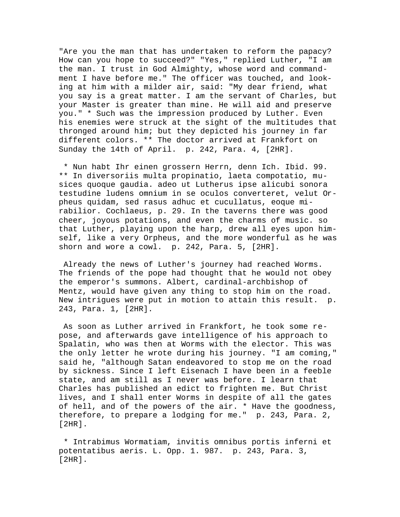"Are you the man that has undertaken to reform the papacy? How can you hope to succeed?" "Yes," replied Luther, "I am the man. I trust in God Almighty, whose word and commandment I have before me." The officer was touched, and looking at him with a milder air, said: "My dear friend, what you say is a great matter. I am the servant of Charles, but your Master is greater than mine. He will aid and preserve you." \* Such was the impression produced by Luther. Even his enemies were struck at the sight of the multitudes that thronged around him; but they depicted his journey in far different colors. \*\* The doctor arrived at Frankfort on Sunday the 14th of April. p. 242, Para. 4, [2HR].

 \* Nun habt Ihr einen grossern Herrn, denn Ich. Ibid. 99. \*\* In diversoriis multa propinatio, laeta compotatio, musices quoque gaudia. adeo ut Lutherus ipse alicubi sonora testudine ludens omnium in se oculos converteret, velut Orpheus quidam, sed rasus adhuc et cucullatus, eoque mirabilior. Cochlaeus, p. 29. In the taverns there was good cheer, joyous potations, and even the charms of music. so that Luther, playing upon the harp, drew all eyes upon himself, like a very Orpheus, and the more wonderful as he was shorn and wore a cowl. p. 242, Para. 5, [2HR].

 Already the news of Luther's journey had reached Worms. The friends of the pope had thought that he would not obey the emperor's summons. Albert, cardinal-archbishop of Mentz, would have given any thing to stop him on the road. New intrigues were put in motion to attain this result. p. 243, Para. 1, [2HR].

 As soon as Luther arrived in Frankfort, he took some repose, and afterwards gave intelligence of his approach to Spalatin, who was then at Worms with the elector. This was the only letter he wrote during his journey. "I am coming," said he, "although Satan endeavored to stop me on the road by sickness. Since I left Eisenach I have been in a feeble state, and am still as I never was before. I learn that Charles has published an edict to frighten me. But Christ lives, and I shall enter Worms in despite of all the gates of hell, and of the powers of the air. \* Have the goodness, therefore, to prepare a lodging for me." p. 243, Para. 2, [2HR].

 \* Intrabimus Wormatiam, invitis omnibus portis inferni et potentatibus aeris. L. Opp. 1. 987. p. 243, Para. 3, [2HR].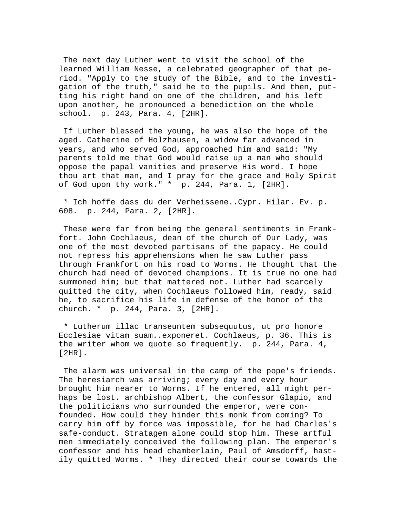The next day Luther went to visit the school of the learned William Nesse, a celebrated geographer of that period. "Apply to the study of the Bible, and to the investigation of the truth," said he to the pupils. And then, putting his right hand on one of the children, and his left upon another, he pronounced a benediction on the whole school. p. 243, Para. 4, [2HR].

 If Luther blessed the young, he was also the hope of the aged. Catherine of Holzhausen, a widow far advanced in years, and who served God, approached him and said: "My parents told me that God would raise up a man who should oppose the papal vanities and preserve His word. I hope thou art that man, and I pray for the grace and Holy Spirit of God upon thy work." \* p. 244, Para. 1, [2HR].

 \* Ich hoffe dass du der Verheissene..Cypr. Hilar. Ev. p. 608. p. 244, Para. 2, [2HR].

 These were far from being the general sentiments in Frankfort. John Cochlaeus, dean of the church of Our Lady, was one of the most devoted partisans of the papacy. He could not repress his apprehensions when he saw Luther pass through Frankfort on his road to Worms. He thought that the church had need of devoted champions. It is true no one had summoned him; but that mattered not. Luther had scarcely quitted the city, when Cochlaeus followed him, ready, said he, to sacrifice his life in defense of the honor of the church. \* p. 244, Para. 3, [2HR].

 \* Lutherum illac transeuntem subsequutus, ut pro honore Ecclesiae vitam suam..exponeret. Cochlaeus, p. 36. This is the writer whom we quote so frequently. p. 244, Para. 4,  $[2HR]$ .

 The alarm was universal in the camp of the pope's friends. The heresiarch was arriving; every day and every hour brought him nearer to Worms. If he entered, all might perhaps be lost. archbishop Albert, the confessor Glapio, and the politicians who surrounded the emperor, were confounded. How could they hinder this monk from coming? To carry him off by force was impossible, for he had Charles's safe-conduct. Stratagem alone could stop him. These artful men immediately conceived the following plan. The emperor's confessor and his head chamberlain, Paul of Amsdorff, hastily quitted Worms. \* They directed their course towards the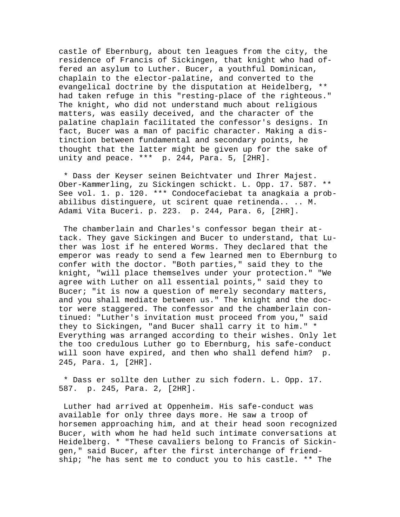castle of Ebernburg, about ten leagues from the city, the residence of Francis of Sickingen, that knight who had offered an asylum to Luther. Bucer, a youthful Dominican, chaplain to the elector-palatine, and converted to the evangelical doctrine by the disputation at Heidelberg, \*\* had taken refuge in this "resting-place of the righteous." The knight, who did not understand much about religious matters, was easily deceived, and the character of the palatine chaplain facilitated the confessor's designs. In fact, Bucer was a man of pacific character. Making a distinction between fundamental and secondary points, he thought that the latter might be given up for the sake of unity and peace. \*\*\* p. 244, Para. 5, [2HR].

 \* Dass der Keyser seinen Beichtvater und Ihrer Majest. Ober-Kammerling, zu Sickingen schickt. L. Opp. 17. 587. \*\* See vol. 1. p. 120. \*\*\* Condocefaciebat ta anagkaia a probabilibus distinguere, ut scirent quae retinenda.. .. M. Adami Vita Buceri. p. 223. p. 244, Para. 6, [2HR].

 The chamberlain and Charles's confessor began their attack. They gave Sickingen and Bucer to understand, that Luther was lost if he entered Worms. They declared that the emperor was ready to send a few learned men to Ebernburg to confer with the doctor. "Both parties," said they to the knight, "will place themselves under your protection." "We agree with Luther on all essential points," said they to Bucer; "it is now a question of merely secondary matters, and you shall mediate between us." The knight and the doctor were staggered. The confessor and the chamberlain continued: "Luther's invitation must proceed from you," said they to Sickingen, "and Bucer shall carry it to him." \* Everything was arranged according to their wishes. Only let the too credulous Luther go to Ebernburg, his safe-conduct will soon have expired, and then who shall defend him? p. 245, Para. 1, [2HR].

 \* Dass er sollte den Luther zu sich fodern. L. Opp. 17. 587. p. 245, Para. 2, [2HR].

 Luther had arrived at Oppenheim. His safe-conduct was available for only three days more. He saw a troop of horsemen approaching him, and at their head soon recognized Bucer, with whom he had held such intimate conversations at Heidelberg. \* "These cavaliers belong to Francis of Sickingen," said Bucer, after the first interchange of friendship; "he has sent me to conduct you to his castle. \*\* The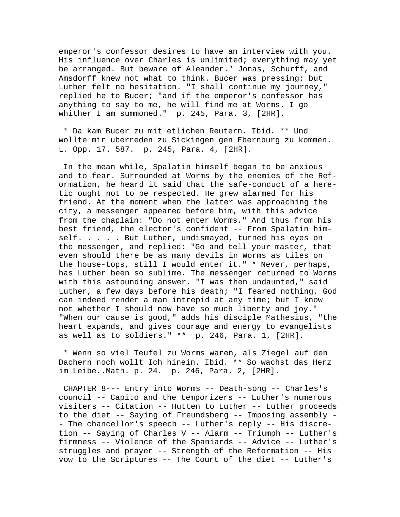emperor's confessor desires to have an interview with you. His influence over Charles is unlimited; everything may yet be arranged. But beware of Aleander." Jonas, Schurff, and Amsdorff knew not what to think. Bucer was pressing; but Luther felt no hesitation. "I shall continue my journey," replied he to Bucer; "and if the emperor's confessor has anything to say to me, he will find me at Worms. I go whither I am summoned." p. 245, Para. 3, [2HR].

 \* Da kam Bucer zu mit etlichen Reutern. Ibid. \*\* Und wollte mir uberreden zu Sickingen gen Ebernburg zu kommen. L. Opp. 17. 587. p. 245, Para. 4, [2HR].

 In the mean while, Spalatin himself began to be anxious and to fear. Surrounded at Worms by the enemies of the Reformation, he heard it said that the safe-conduct of a heretic ought not to be respected. He grew alarmed for his friend. At the moment when the latter was approaching the city, a messenger appeared before him, with this advice from the chaplain: "Do not enter Worms." And thus from his best friend, the elector's confident -- From Spalatin himself. . . . . But Luther, undismayed, turned his eyes on the messenger, and replied: "Go and tell your master, that even should there be as many devils in Worms as tiles on the house-tops, still I would enter it." \* Never, perhaps, has Luther been so sublime. The messenger returned to Worms with this astounding answer. "I was then undaunted," said Luther, a few days before his death; "I feared nothing. God can indeed render a man intrepid at any time; but I know not whether I should now have so much liberty and joy." "When our cause is good," adds his disciple Mathesius, "the heart expands, and gives courage and energy to evangelists as well as to soldiers." \*\* p. 246, Para. 1, [2HR].

 \* Wenn so viel Teufel zu Worms waren, als Ziegel auf den Dachern noch wollt Ich hinein. Ibid. \*\* So wachst das Herz im Leibe..Math. p. 24. p. 246, Para. 2, [2HR].

 CHAPTER 8--- Entry into Worms -- Death-song -- Charles's council -- Capito and the temporizers -- Luther's numerous visiters -- Citation -- Hutten to Luther -- Luther proceeds to the diet -- Saying of Freundsberg -- Imposing assembly - - The chancellor's speech -- Luther's reply -- His discretion -- Saying of Charles V -- Alarm -- Triumph -- Luther's firmness -- Violence of the Spaniards -- Advice -- Luther's struggles and prayer -- Strength of the Reformation -- His vow to the Scriptures -- The Court of the diet -- Luther's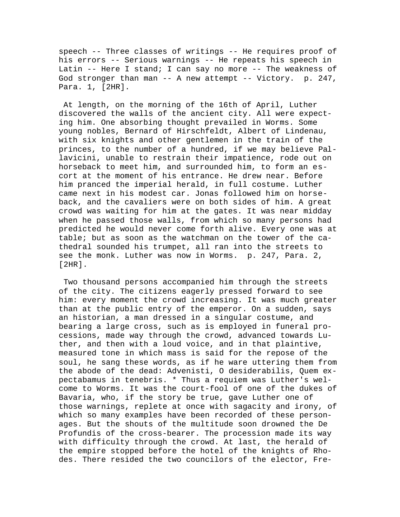speech -- Three classes of writings -- He requires proof of his errors -- Serious warnings -- He repeats his speech in Latin -- Here I stand; I can say no more -- The weakness of God stronger than man -- A new attempt -- Victory. p. 247, Para. 1, [2HR].

 At length, on the morning of the 16th of April, Luther discovered the walls of the ancient city. All were expecting him. One absorbing thought prevailed in Worms. Some young nobles, Bernard of Hirschfeldt, Albert of Lindenau, with six knights and other gentlemen in the train of the princes, to the number of a hundred, if we may believe Pallavicini, unable to restrain their impatience, rode out on horseback to meet him, and surrounded him, to form an escort at the moment of his entrance. He drew near. Before him pranced the imperial herald, in full costume. Luther came next in his modest car. Jonas followed him on horseback, and the cavaliers were on both sides of him. A great crowd was waiting for him at the gates. It was near midday when he passed those walls, from which so many persons had predicted he would never come forth alive. Every one was at table; but as soon as the watchman on the tower of the cathedral sounded his trumpet, all ran into the streets to see the monk. Luther was now in Worms. p. 247, Para. 2,  $[2HR]$ .

 Two thousand persons accompanied him through the streets of the city. The citizens eagerly pressed forward to see him: every moment the crowd increasing. It was much greater than at the public entry of the emperor. On a sudden, says an historian, a man dressed in a singular costume, and bearing a large cross, such as is employed in funeral processions, made way through the crowd, advanced towards Luther, and then with a loud voice, and in that plaintive, measured tone in which mass is said for the repose of the soul, he sang these words, as if he ware uttering them from the abode of the dead: Advenisti, O desiderabilis, Quem expectabamus in tenebris. \* Thus a requiem was Luther's welcome to Worms. It was the court-fool of one of the dukes of Bavaria, who, if the story be true, gave Luther one of those warnings, replete at once with sagacity and irony, of which so many examples have been recorded of these personages. But the shouts of the multitude soon drowned the De Profundis of the cross-bearer. The procession made its way with difficulty through the crowd. At last, the herald of the empire stopped before the hotel of the knights of Rhodes. There resided the two councilors of the elector, Fre-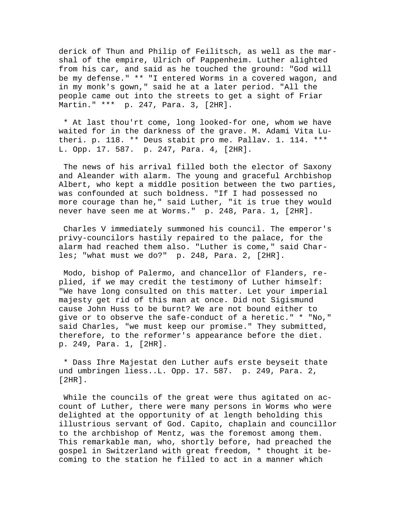derick of Thun and Philip of Feilitsch, as well as the marshal of the empire, Ulrich of Pappenheim. Luther alighted from his car, and said as he touched the ground: "God will be my defense." \*\* "I entered Worms in a covered wagon, and in my monk's gown," said he at a later period. "All the people came out into the streets to get a sight of Friar Martin." \*\*\* p. 247, Para. 3, [2HR].

 \* At last thou'rt come, long looked-for one, whom we have waited for in the darkness of the grave. M. Adami Vita Lutheri. p. 118. \*\* Deus stabit pro me. Pallav. 1. 114. \*\*\* L. Opp. 17. 587. p. 247, Para. 4, [2HR].

 The news of his arrival filled both the elector of Saxony and Aleander with alarm. The young and graceful Archbishop Albert, who kept a middle position between the two parties, was confounded at such boldness. "If I had possessed no more courage than he," said Luther, "it is true they would never have seen me at Worms." p. 248, Para. 1, [2HR].

 Charles V immediately summoned his council. The emperor's privy-councilors hastily repaired to the palace, for the alarm had reached them also. "Luther is come," said Charles; "what must we do?" p. 248, Para. 2, [2HR].

 Modo, bishop of Palermo, and chancellor of Flanders, replied, if we may credit the testimony of Luther himself: "We have long consulted on this matter. Let your imperial majesty get rid of this man at once. Did not Sigismund cause John Huss to be burnt? We are not bound either to give or to observe the safe-conduct of a heretic." \* "No," said Charles, "we must keep our promise." They submitted, therefore, to the reformer's appearance before the diet. p. 249, Para. 1, [2HR].

 \* Dass Ihre Majestat den Luther aufs erste beyseit thate und umbringen liess..L. Opp. 17. 587. p. 249, Para. 2, [2HR].

While the councils of the great were thus agitated on account of Luther, there were many persons in Worms who were delighted at the opportunity of at length beholding this illustrious servant of God. Capito, chaplain and councillor to the archbishop of Mentz, was the foremost among them. This remarkable man, who, shortly before, had preached the gospel in Switzerland with great freedom, \* thought it becoming to the station he filled to act in a manner which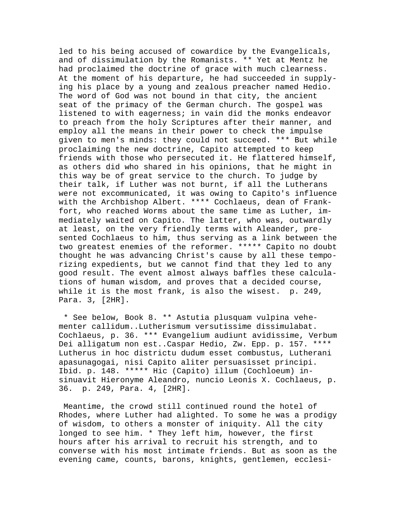led to his being accused of cowardice by the Evangelicals, and of dissimulation by the Romanists. \*\* Yet at Mentz he had proclaimed the doctrine of grace with much clearness. At the moment of his departure, he had succeeded in supplying his place by a young and zealous preacher named Hedio. The word of God was not bound in that city, the ancient seat of the primacy of the German church. The gospel was listened to with eagerness; in vain did the monks endeavor to preach from the holy Scriptures after their manner, and employ all the means in their power to check the impulse given to men's minds: they could not succeed. \*\*\* But while proclaiming the new doctrine, Capito attempted to keep friends with those who persecuted it. He flattered himself, as others did who shared in his opinions, that he might in this way be of great service to the church. To judge by their talk, if Luther was not burnt, if all the Lutherans were not excommunicated, it was owing to Capito's influence with the Archbishop Albert. \*\*\*\* Cochlaeus, dean of Frankfort, who reached Worms about the same time as Luther, immediately waited on Capito. The latter, who was, outwardly at least, on the very friendly terms with Aleander, presented Cochlaeus to him, thus serving as a link between the two greatest enemies of the reformer. \*\*\*\*\* Capito no doubt thought he was advancing Christ's cause by all these temporizing expedients, but we cannot find that they led to any good result. The event almost always baffles these calculations of human wisdom, and proves that a decided course, while it is the most frank, is also the wisest. p. 249, Para. 3, [2HR].

 \* See below, Book 8. \*\* Astutia plusquam vulpina vehementer callidum..Lutherismum versutissime dissimulabat. Cochlaeus, p. 36. \*\*\* Evangelium audiunt avidissime, Verbum Dei alligatum non est..Caspar Hedio, Zw. Epp. p. 157. \*\*\*\* Lutherus in hoc districtu dudum esset combustus, Lutherani apasunagogai, nisi Capito aliter persuasisset principi. Ibid. p. 148. \*\*\*\*\* Hic (Capito) illum (Cochloeum) insinuavit Hieronyme Aleandro, nuncio Leonis X. Cochlaeus, p. 36. p. 249, Para. 4, [2HR].

 Meantime, the crowd still continued round the hotel of Rhodes, where Luther had alighted. To some he was a prodigy of wisdom, to others a monster of iniquity. All the city longed to see him. \* They left him, however, the first hours after his arrival to recruit his strength, and to converse with his most intimate friends. But as soon as the evening came, counts, barons, knights, gentlemen, ecclesi-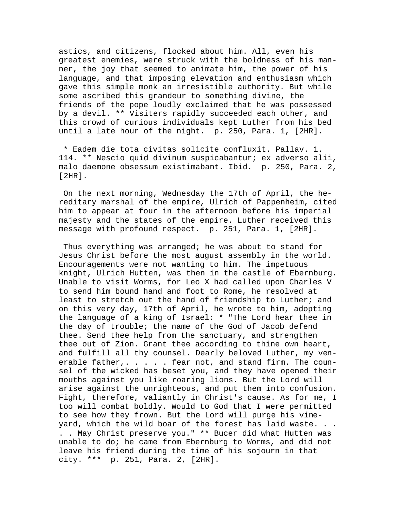astics, and citizens, flocked about him. All, even his greatest enemies, were struck with the boldness of his manner, the joy that seemed to animate him, the power of his language, and that imposing elevation and enthusiasm which gave this simple monk an irresistible authority. But while some ascribed this grandeur to something divine, the friends of the pope loudly exclaimed that he was possessed by a devil. \*\* Visiters rapidly succeeded each other, and this crowd of curious individuals kept Luther from his bed until a late hour of the night. p. 250, Para. 1, [2HR].

 \* Eadem die tota civitas solicite confluxit. Pallav. 1. 114. \*\* Nescio quid divinum suspicabantur; ex adverso alii, malo daemone obsessum existimabant. Ibid. p. 250, Para. 2, [2HR].

 On the next morning, Wednesday the 17th of April, the hereditary marshal of the empire, Ulrich of Pappenheim, cited him to appear at four in the afternoon before his imperial majesty and the states of the empire. Luther received this message with profound respect. p. 251, Para. 1, [2HR].

 Thus everything was arranged; he was about to stand for Jesus Christ before the most august assembly in the world. Encouragements were not wanting to him. The impetuous knight, Ulrich Hutten, was then in the castle of Ebernburg. Unable to visit Worms, for Leo X had called upon Charles V to send him bound hand and foot to Rome, he resolved at least to stretch out the hand of friendship to Luther; and on this very day, 17th of April, he wrote to him, adopting the language of a king of Israel: \* "The Lord hear thee in the day of trouble; the name of the God of Jacob defend thee. Send thee help from the sanctuary, and strengthen thee out of Zion. Grant thee according to thine own heart, and fulfill all thy counsel. Dearly beloved Luther, my venerable father,. . . . . fear not, and stand firm. The counsel of the wicked has beset you, and they have opened their mouths against you like roaring lions. But the Lord will arise against the unrighteous, and put them into confusion. Fight, therefore, valiantly in Christ's cause. As for me, I too will combat boldly. Would to God that I were permitted to see how they frown. But the Lord will purge his vineyard, which the wild boar of the forest has laid waste. . . . . May Christ preserve you." \*\* Bucer did what Hutten was unable to do; he came from Ebernburg to Worms, and did not leave his friend during the time of his sojourn in that city. \*\*\* p. 251, Para. 2, [2HR].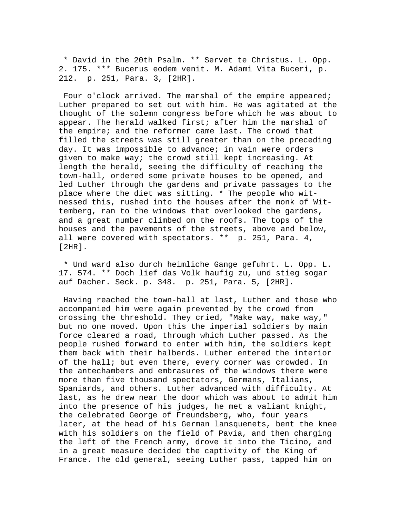\* David in the 20th Psalm. \*\* Servet te Christus. L. Opp. 2. 175. \*\*\* Bucerus eodem venit. M. Adami Vita Buceri, p. 212. p. 251, Para. 3, [2HR].

 Four o'clock arrived. The marshal of the empire appeared; Luther prepared to set out with him. He was agitated at the thought of the solemn congress before which he was about to appear. The herald walked first; after him the marshal of the empire; and the reformer came last. The crowd that filled the streets was still greater than on the preceding day. It was impossible to advance; in vain were orders given to make way; the crowd still kept increasing. At length the herald, seeing the difficulty of reaching the town-hall, ordered some private houses to be opened, and led Luther through the gardens and private passages to the place where the diet was sitting. \* The people who witnessed this, rushed into the houses after the monk of Wittemberg, ran to the windows that overlooked the gardens, and a great number climbed on the roofs. The tops of the houses and the pavements of the streets, above and below, all were covered with spectators. \*\* p. 251, Para. 4,  $[2HR]$ .

 \* Und ward also durch heimliche Gange gefuhrt. L. Opp. L. 17. 574. \*\* Doch lief das Volk haufig zu, und stieg sogar auf Dacher. Seck. p. 348. p. 251, Para. 5, [2HR].

 Having reached the town-hall at last, Luther and those who accompanied him were again prevented by the crowd from crossing the threshold. They cried, "Make way, make way," but no one moved. Upon this the imperial soldiers by main force cleared a road, through which Luther passed. As the people rushed forward to enter with him, the soldiers kept them back with their halberds. Luther entered the interior of the hall; but even there, every corner was crowded. In the antechambers and embrasures of the windows there were more than five thousand spectators, Germans, Italians, Spaniards, and others. Luther advanced with difficulty. At last, as he drew near the door which was about to admit him into the presence of his judges, he met a valiant knight, the celebrated George of Freundsberg, who, four years later, at the head of his German lansquenets, bent the knee with his soldiers on the field of Pavia, and then charging the left of the French army, drove it into the Ticino, and in a great measure decided the captivity of the King of France. The old general, seeing Luther pass, tapped him on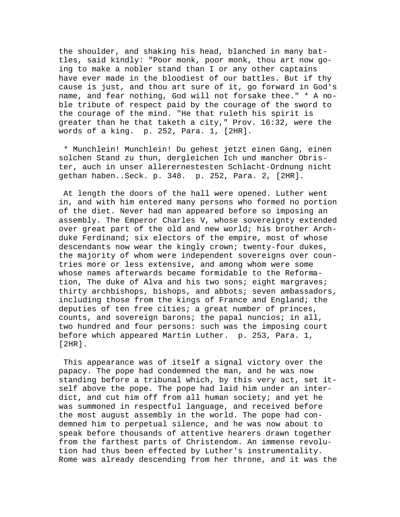the shoulder, and shaking his head, blanched in many battles, said kindly: "Poor monk, poor monk, thou art now going to make a nobler stand than I or any other captains have ever made in the bloodiest of our battles. But if thy cause is just, and thou art sure of it, go forward in God's name, and fear nothing, God will not forsake thee." \* A noble tribute of respect paid by the courage of the sword to the courage of the mind. "He that ruleth his spirit is greater than he that taketh a city," Prov. 16:32, were the words of a king. p. 252, Para. 1, [2HR].

 \* Munchlein! Munchlein! Du gehest jetzt einen Gang, einen solchen Stand zu thun, dergleichen Ich und mancher Obrister, auch in unser allerernestesten Schlacht-Ordnung nicht gethan haben..Seck. p. 348. p. 252, Para. 2, [2HR].

 At length the doors of the hall were opened. Luther went in, and with him entered many persons who formed no portion of the diet. Never had man appeared before so imposing an assembly. The Emperor Charles V, whose sovereignty extended over great part of the old and new world; his brother Archduke Ferdinand; six electors of the empire, most of whose descendants now wear the kingly crown; twenty-four dukes, the majority of whom were independent sovereigns over countries more or less extensive, and among whom were some whose names afterwards became formidable to the Reformation, The duke of Alva and his two sons; eight margraves; thirty archbishops, bishops, and abbots; seven ambassadors, including those from the kings of France and England; the deputies of ten free cities; a great number of princes, counts, and sovereign barons; the papal nuncios; in all, two hundred and four persons: such was the imposing court before which appeared Martin Luther. p. 253, Para. 1, [2HR].

 This appearance was of itself a signal victory over the papacy. The pope had condemned the man, and he was now standing before a tribunal which, by this very act, set itself above the pope. The pope had laid him under an interdict, and cut him off from all human society; and yet he was summoned in respectful language, and received before the most august assembly in the world. The pope had condemned him to perpetual silence, and he was now about to speak before thousands of attentive hearers drawn together from the farthest parts of Christendom. An immense revolution had thus been effected by Luther's instrumentality. Rome was already descending from her throne, and it was the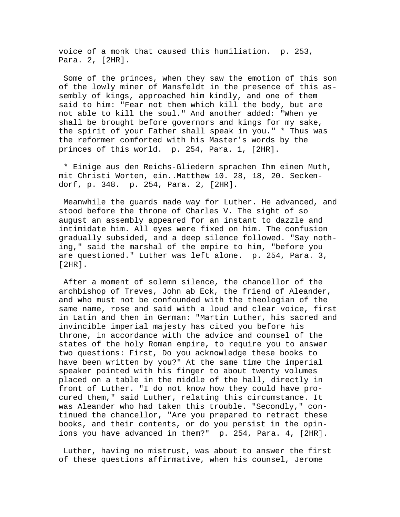voice of a monk that caused this humiliation. p. 253, Para. 2, [2HR].

 Some of the princes, when they saw the emotion of this son of the lowly miner of Mansfeldt in the presence of this assembly of kings, approached him kindly, and one of them said to him: "Fear not them which kill the body, but are not able to kill the soul." And another added: "When ye shall be brought before governors and kings for my sake, the spirit of your Father shall speak in you." \* Thus was the reformer comforted with his Master's words by the princes of this world. p. 254, Para. 1, [2HR].

 \* Einige aus den Reichs-Gliedern sprachen Ihm einen Muth, mit Christi Worten, ein..Matthew 10. 28, 18, 20. Seckendorf, p. 348. p. 254, Para. 2, [2HR].

 Meanwhile the guards made way for Luther. He advanced, and stood before the throne of Charles V. The sight of so august an assembly appeared for an instant to dazzle and intimidate him. All eyes were fixed on him. The confusion gradually subsided, and a deep silence followed. "Say nothing," said the marshal of the empire to him, "before you are questioned." Luther was left alone. p. 254, Para. 3, [2HR].

 After a moment of solemn silence, the chancellor of the archbishop of Treves, John ab Eck, the friend of Aleander, and who must not be confounded with the theologian of the same name, rose and said with a loud and clear voice, first in Latin and then in German: "Martin Luther, his sacred and invincible imperial majesty has cited you before his throne, in accordance with the advice and counsel of the states of the holy Roman empire, to require you to answer two questions: First, Do you acknowledge these books to have been written by you?" At the same time the imperial speaker pointed with his finger to about twenty volumes placed on a table in the middle of the hall, directly in front of Luther. "I do not know how they could have procured them," said Luther, relating this circumstance. It was Aleander who had taken this trouble. "Secondly," continued the chancellor, "Are you prepared to retract these books, and their contents, or do you persist in the opinions you have advanced in them?" p. 254, Para. 4, [2HR].

 Luther, having no mistrust, was about to answer the first of these questions affirmative, when his counsel, Jerome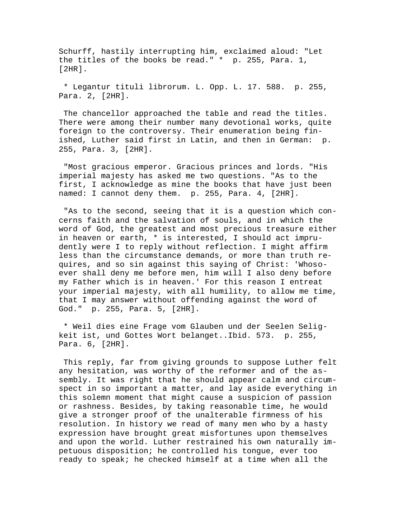Schurff, hastily interrupting him, exclaimed aloud: "Let the titles of the books be read." \* p. 255, Para. 1,  $[2HR]$ .

 \* Legantur tituli librorum. L. Opp. L. 17. 588. p. 255, Para. 2, [2HR].

 The chancellor approached the table and read the titles. There were among their number many devotional works, quite foreign to the controversy. Their enumeration being finished, Luther said first in Latin, and then in German: p. 255, Para. 3, [2HR].

 "Most gracious emperor. Gracious princes and lords. "His imperial majesty has asked me two questions. "As to the first, I acknowledge as mine the books that have just been named: I cannot deny them. p. 255, Para. 4, [2HR].

 "As to the second, seeing that it is a question which concerns faith and the salvation of souls, and in which the word of God, the greatest and most precious treasure either in heaven or earth, \* is interested, I should act imprudently were I to reply without reflection. I might affirm less than the circumstance demands, or more than truth requires, and so sin against this saying of Christ: 'Whosoever shall deny me before men, him will I also deny before my Father which is in heaven.' For this reason I entreat your imperial majesty, with all humility, to allow me time, that I may answer without offending against the word of God." p. 255, Para. 5, [2HR].

 \* Weil dies eine Frage vom Glauben und der Seelen Seligkeit ist, und Gottes Wort belanget..Ibid. 573. p. 255, Para. 6, [2HR].

 This reply, far from giving grounds to suppose Luther felt any hesitation, was worthy of the reformer and of the assembly. It was right that he should appear calm and circumspect in so important a matter, and lay aside everything in this solemn moment that might cause a suspicion of passion or rashness. Besides, by taking reasonable time, he would give a stronger proof of the unalterable firmness of his resolution. In history we read of many men who by a hasty expression have brought great misfortunes upon themselves and upon the world. Luther restrained his own naturally impetuous disposition; he controlled his tongue, ever too ready to speak; he checked himself at a time when all the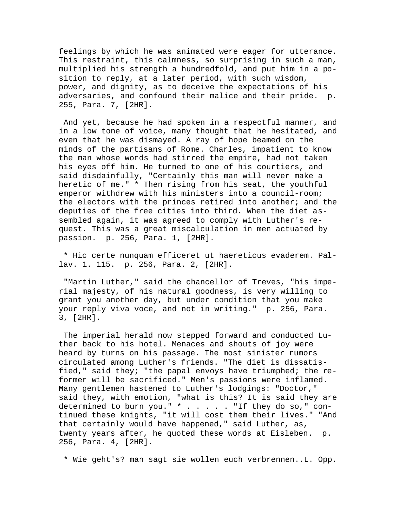feelings by which he was animated were eager for utterance. This restraint, this calmness, so surprising in such a man, multiplied his strength a hundredfold, and put him in a position to reply, at a later period, with such wisdom, power, and dignity, as to deceive the expectations of his adversaries, and confound their malice and their pride. p. 255, Para. 7, [2HR].

 And yet, because he had spoken in a respectful manner, and in a low tone of voice, many thought that he hesitated, and even that he was dismayed. A ray of hope beamed on the minds of the partisans of Rome. Charles, impatient to know the man whose words had stirred the empire, had not taken his eyes off him. He turned to one of his courtiers, and said disdainfully, "Certainly this man will never make a heretic of me." \* Then rising from his seat, the youthful emperor withdrew with his ministers into a council-room; the electors with the princes retired into another; and the deputies of the free cities into third. When the diet assembled again, it was agreed to comply with Luther's request. This was a great miscalculation in men actuated by passion. p. 256, Para. 1, [2HR].

 \* Hic certe nunquam efficeret ut haereticus evaderem. Pallav. 1. 115. p. 256, Para. 2, [2HR].

 "Martin Luther," said the chancellor of Treves, "his imperial majesty, of his natural goodness, is very willing to grant you another day, but under condition that you make your reply viva voce, and not in writing." p. 256, Para. 3, [2HR].

 The imperial herald now stepped forward and conducted Luther back to his hotel. Menaces and shouts of joy were heard by turns on his passage. The most sinister rumors circulated among Luther's friends. "The diet is dissatisfied," said they; "the papal envoys have triumphed; the reformer will be sacrificed." Men's passions were inflamed. Many gentlemen hastened to Luther's lodgings: "Doctor," said they, with emotion, "what is this? It is said they are determined to burn you." \* . . . . . "If they do so," continued these knights, "it will cost them their lives." "And that certainly would have happened," said Luther, as, twenty years after, he quoted these words at Eisleben. p. 256, Para. 4, [2HR].

\* Wie geht's? man sagt sie wollen euch verbrennen..L. Opp.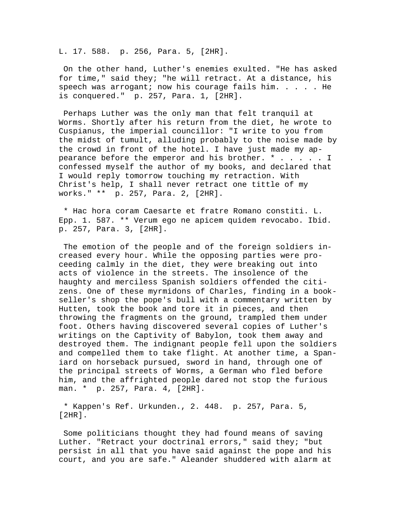L. 17. 588. p. 256, Para. 5, [2HR].

 On the other hand, Luther's enemies exulted. "He has asked for time," said they; "he will retract. At a distance, his speech was arrogant; now his courage fails him. . . . . He is conquered." p. 257, Para. 1, [2HR].

 Perhaps Luther was the only man that felt tranquil at Worms. Shortly after his return from the diet, he wrote to Cuspianus, the imperial councillor: "I write to you from the midst of tumult, alluding probably to the noise made by the crowd in front of the hotel. I have just made my appearance before the emperor and his brother. \* . . . . . I confessed myself the author of my books, and declared that I would reply tomorrow touching my retraction. With Christ's help, I shall never retract one tittle of my works." \*\* p. 257, Para. 2, [2HR].

 \* Hac hora coram Caesarte et fratre Romano constiti. L. Epp. 1. 587. \*\* Verum ego ne apicem quidem revocabo. Ibid. p. 257, Para. 3, [2HR].

 The emotion of the people and of the foreign soldiers increased every hour. While the opposing parties were proceeding calmly in the diet, they were breaking out into acts of violence in the streets. The insolence of the haughty and merciless Spanish soldiers offended the citizens. One of these myrmidons of Charles, finding in a bookseller's shop the pope's bull with a commentary written by Hutten, took the book and tore it in pieces, and then throwing the fragments on the ground, trampled them under foot. Others having discovered several copies of Luther's writings on the Captivity of Babylon, took them away and destroyed them. The indignant people fell upon the soldiers and compelled them to take flight. At another time, a Spaniard on horseback pursued, sword in hand, through one of the principal streets of Worms, a German who fled before him, and the affrighted people dared not stop the furious man. \* p. 257, Para. 4, [2HR].

 \* Kappen's Ref. Urkunden., 2. 448. p. 257, Para. 5,  $[2HR]$ .

 Some politicians thought they had found means of saving Luther. "Retract your doctrinal errors," said they; "but persist in all that you have said against the pope and his court, and you are safe." Aleander shuddered with alarm at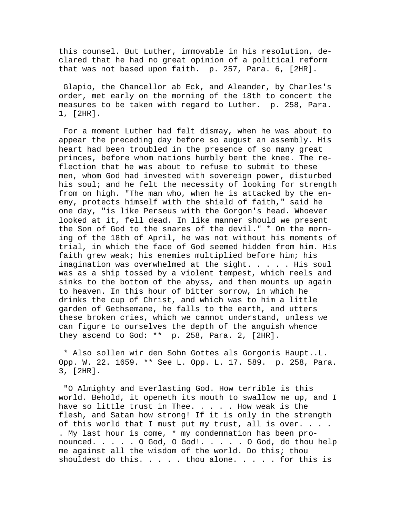this counsel. But Luther, immovable in his resolution, declared that he had no great opinion of a political reform that was not based upon faith. p. 257, Para. 6, [2HR].

 Glapio, the Chancellor ab Eck, and Aleander, by Charles's order, met early on the morning of the 18th to concert the measures to be taken with regard to Luther. p. 258, Para. 1, [2HR].

 For a moment Luther had felt dismay, when he was about to appear the preceding day before so august an assembly. His heart had been troubled in the presence of so many great princes, before whom nations humbly bent the knee. The reflection that he was about to refuse to submit to these men, whom God had invested with sovereign power, disturbed his soul; and he felt the necessity of looking for strength from on high. "The man who, when he is attacked by the enemy, protects himself with the shield of faith," said he one day, "is like Perseus with the Gorgon's head. Whoever looked at it, fell dead. In like manner should we present the Son of God to the snares of the devil." \* On the morning of the 18th of April, he was not without his moments of trial, in which the face of God seemed hidden from him. His faith grew weak; his enemies multiplied before him; his imagination was overwhelmed at the sight. . . . . His soul was as a ship tossed by a violent tempest, which reels and sinks to the bottom of the abyss, and then mounts up again to heaven. In this hour of bitter sorrow, in which he drinks the cup of Christ, and which was to him a little garden of Gethsemane, he falls to the earth, and utters these broken cries, which we cannot understand, unless we can figure to ourselves the depth of the anguish whence they ascend to God: \*\* p. 258, Para. 2, [2HR].

 \* Also sollen wir den Sohn Gottes als Gorgonis Haupt..L. Opp. W. 22. 1659. \*\* See L. Opp. L. 17. 589. p. 258, Para. 3, [2HR].

 "O Almighty and Everlasting God. How terrible is this world. Behold, it openeth its mouth to swallow me up, and I have so little trust in Thee. . . . . How weak is the flesh, and Satan how strong! If it is only in the strength of this world that I must put my trust, all is over. . . . . My last hour is come, \* my condemnation has been pronounced. . . . . O God, O God!. . . . . O God, do thou help me against all the wisdom of the world. Do this; thou shouldest do this. . . . . thou alone. . . . . for this is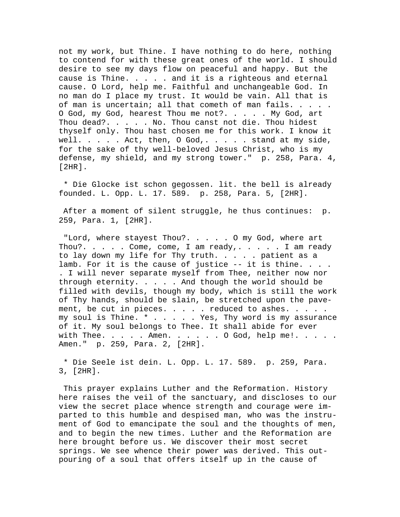not my work, but Thine. I have nothing to do here, nothing to contend for with these great ones of the world. I should desire to see my days flow on peaceful and happy. But the cause is Thine. . . . . and it is a righteous and eternal cause. O Lord, help me. Faithful and unchangeable God. In no man do I place my trust. It would be vain. All that is of man is uncertain; all that cometh of man fails. . . . . O God, my God, hearest Thou me not?. . . . My God, art Thou dead?. . . . . No. Thou canst not die. Thou hidest thyself only. Thou hast chosen me for this work. I know it well. . . . . Act, then, O God,. . . . . stand at my side, for the sake of thy well-beloved Jesus Christ, who is my defense, my shield, and my strong tower." p. 258, Para. 4,  $[2HR]$ .

 \* Die Glocke ist schon gegossen. lit. the bell is already founded. L. Opp. L. 17. 589. p. 258, Para. 5, [2HR].

 After a moment of silent struggle, he thus continues: p. 259, Para. 1, [2HR].

"Lord, where stayest Thou?. . . . . O my God, where art Thou?. . . . . Come, come, I am ready,. . . . . I am ready to lay down my life for Thy truth. . . . . patient as a lamb. For it is the cause of justice -- it is thine. . . . . I will never separate myself from Thee, neither now nor through eternity. . . . . And though the world should be filled with devils, though my body, which is still the work of Thy hands, should be slain, be stretched upon the pavement, be cut in pieces. . . . . reduced to ashes. . . . . my soul is Thine. \* . . . . . Yes, Thy word is my assurance of it. My soul belongs to Thee. It shall abide for ever with Thee. . . . . Amen. . . . . . O God, help me!. . . . . Amen." p. 259, Para. 2, [2HR].

 \* Die Seele ist dein. L. Opp. L. 17. 589. p. 259, Para. 3, [2HR].

 This prayer explains Luther and the Reformation. History here raises the veil of the sanctuary, and discloses to our view the secret place whence strength and courage were imparted to this humble and despised man, who was the instrument of God to emancipate the soul and the thoughts of men, and to begin the new times. Luther and the Reformation are here brought before us. We discover their most secret springs. We see whence their power was derived. This outpouring of a soul that offers itself up in the cause of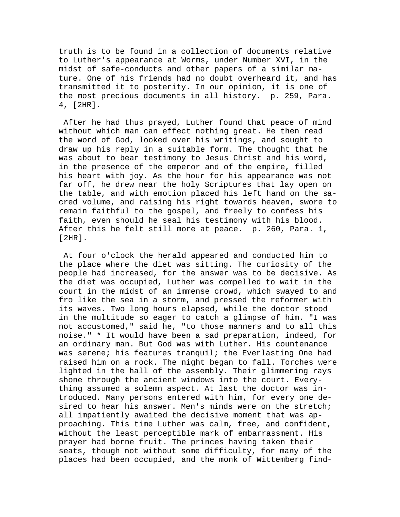truth is to be found in a collection of documents relative to Luther's appearance at Worms, under Number XVI, in the midst of safe-conducts and other papers of a similar nature. One of his friends had no doubt overheard it, and has transmitted it to posterity. In our opinion, it is one of the most precious documents in all history. p. 259, Para. 4, [2HR].

 After he had thus prayed, Luther found that peace of mind without which man can effect nothing great. He then read the word of God, looked over his writings, and sought to draw up his reply in a suitable form. The thought that he was about to bear testimony to Jesus Christ and his word, in the presence of the emperor and of the empire, filled his heart with joy. As the hour for his appearance was not far off, he drew near the holy Scriptures that lay open on the table, and with emotion placed his left hand on the sacred volume, and raising his right towards heaven, swore to remain faithful to the gospel, and freely to confess his faith, even should he seal his testimony with his blood. After this he felt still more at peace. p. 260, Para. 1,  $[2HR]$ .

 At four o'clock the herald appeared and conducted him to the place where the diet was sitting. The curiosity of the people had increased, for the answer was to be decisive. As the diet was occupied, Luther was compelled to wait in the court in the midst of an immense crowd, which swayed to and fro like the sea in a storm, and pressed the reformer with its waves. Two long hours elapsed, while the doctor stood in the multitude so eager to catch a glimpse of him. "I was not accustomed," said he, "to those manners and to all this noise." \* It would have been a sad preparation, indeed, for an ordinary man. But God was with Luther. His countenance was serene; his features tranquil; the Everlasting One had raised him on a rock. The night began to fall. Torches were lighted in the hall of the assembly. Their glimmering rays shone through the ancient windows into the court. Everything assumed a solemn aspect. At last the doctor was introduced. Many persons entered with him, for every one desired to hear his answer. Men's minds were on the stretch; all impatiently awaited the decisive moment that was approaching. This time Luther was calm, free, and confident, without the least perceptible mark of embarrassment. His prayer had borne fruit. The princes having taken their seats, though not without some difficulty, for many of the places had been occupied, and the monk of Wittemberg find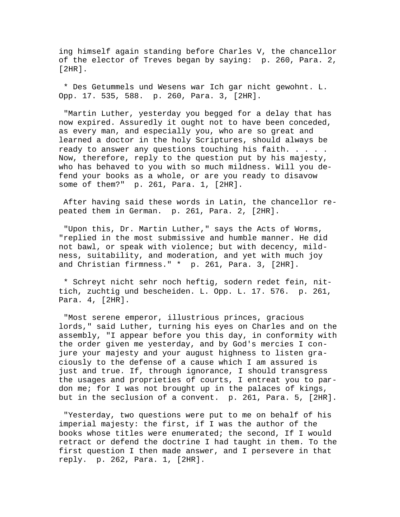ing himself again standing before Charles V, the chancellor of the elector of Treves began by saying: p. 260, Para. 2,  $[2HR]$ .

 \* Des Getummels und Wesens war Ich gar nicht gewohnt. L. Opp. 17. 535, 588. p. 260, Para. 3, [2HR].

 "Martin Luther, yesterday you begged for a delay that has now expired. Assuredly it ought not to have been conceded, as every man, and especially you, who are so great and learned a doctor in the holy Scriptures, should always be ready to answer any questions touching his faith. . . . . Now, therefore, reply to the question put by his majesty, who has behaved to you with so much mildness. Will you defend your books as a whole, or are you ready to disavow some of them?" p. 261, Para. 1, [2HR].

 After having said these words in Latin, the chancellor repeated them in German. p. 261, Para. 2, [2HR].

 "Upon this, Dr. Martin Luther," says the Acts of Worms, "replied in the most submissive and humble manner. He did not bawl, or speak with violence; but with decency, mildness, suitability, and moderation, and yet with much joy and Christian firmness." \* p. 261, Para. 3, [2HR].

 \* Schreyt nicht sehr noch heftig, sodern redet fein, nittich, zuchtig und bescheiden. L. Opp. L. 17. 576. p. 261, Para. 4, [2HR].

 "Most serene emperor, illustrious princes, gracious lords," said Luther, turning his eyes on Charles and on the assembly, "I appear before you this day, in conformity with the order given me yesterday, and by God's mercies I conjure your majesty and your august highness to listen graciously to the defense of a cause which I am assured is just and true. If, through ignorance, I should transgress the usages and proprieties of courts, I entreat you to pardon me; for I was not brought up in the palaces of kings, but in the seclusion of a convent. p. 261, Para. 5, [2HR].

 "Yesterday, two questions were put to me on behalf of his imperial majesty: the first, if I was the author of the books whose titles were enumerated; the second, If I would retract or defend the doctrine I had taught in them. To the first question I then made answer, and I persevere in that reply. p. 262, Para. 1, [2HR].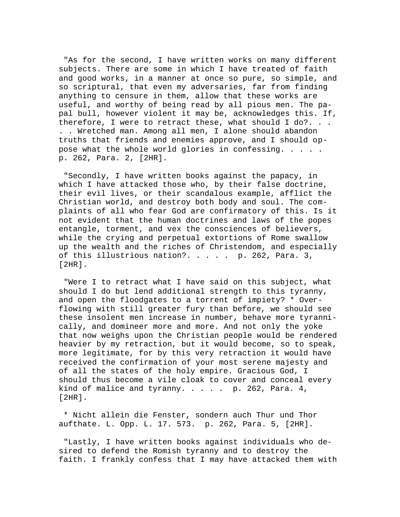"As for the second, I have written works on many different subjects. There are some in which I have treated of faith and good works, in a manner at once so pure, so simple, and so scriptural, that even my adversaries, far from finding anything to censure in them, allow that these works are useful, and worthy of being read by all pious men. The papal bull, however violent it may be, acknowledges this. If, therefore, I were to retract these, what should I do?. . . . . Wretched man. Among all men, I alone should abandon truths that friends and enemies approve, and I should oppose what the whole world glories in confessing. . . . . p. 262, Para. 2, [2HR].

 "Secondly, I have written books against the papacy, in which I have attacked those who, by their false doctrine, their evil lives, or their scandalous example, afflict the Christian world, and destroy both body and soul. The complaints of all who fear God are confirmatory of this. Is it not evident that the human doctrines and laws of the popes entangle, torment, and vex the consciences of believers, while the crying and perpetual extortions of Rome swallow up the wealth and the riches of Christendom, and especially of this illustrious nation?. . . . . p. 262, Para. 3,  $[2HR]$ .

 "Were I to retract what I have said on this subject, what should I do but lend additional strength to this tyranny, and open the floodgates to a torrent of impiety? \* Overflowing with still greater fury than before, we should see these insolent men increase in number, behave more tyrannically, and domineer more and more. And not only the yoke that now weighs upon the Christian people would be rendered heavier by my retraction, but it would become, so to speak, more legitimate, for by this very retraction it would have received the confirmation of your most serene majesty and of all the states of the holy empire. Gracious God, I should thus become a vile cloak to cover and conceal every kind of malice and tyranny.  $\ldots$  . . .  $\ldots$  . 262, Para. 4, [2HR].

 \* Nicht allein die Fenster, sondern auch Thur und Thor aufthate. L. Opp. L. 17. 573. p. 262, Para. 5, [2HR].

 "Lastly, I have written books against individuals who desired to defend the Romish tyranny and to destroy the faith. I frankly confess that I may have attacked them with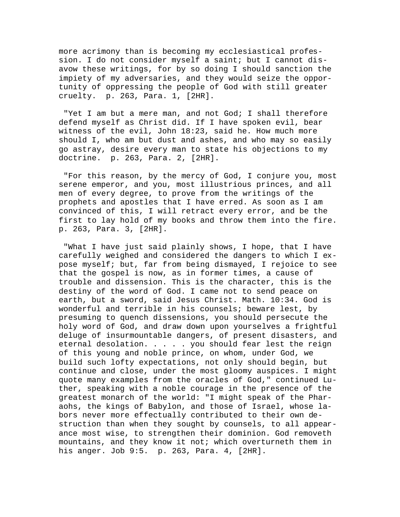more acrimony than is becoming my ecclesiastical profession. I do not consider myself a saint; but I cannot disavow these writings, for by so doing I should sanction the impiety of my adversaries, and they would seize the opportunity of oppressing the people of God with still greater cruelty. p. 263, Para. 1, [2HR].

 "Yet I am but a mere man, and not God; I shall therefore defend myself as Christ did. If I have spoken evil, bear witness of the evil, John 18:23, said he. How much more should I, who am but dust and ashes, and who may so easily go astray, desire every man to state his objections to my doctrine. p. 263, Para. 2, [2HR].

 "For this reason, by the mercy of God, I conjure you, most serene emperor, and you, most illustrious princes, and all men of every degree, to prove from the writings of the prophets and apostles that I have erred. As soon as I am convinced of this, I will retract every error, and be the first to lay hold of my books and throw them into the fire. p. 263, Para. 3, [2HR].

 "What I have just said plainly shows, I hope, that I have carefully weighed and considered the dangers to which I expose myself; but, far from being dismayed, I rejoice to see that the gospel is now, as in former times, a cause of trouble and dissension. This is the character, this is the destiny of the word of God. I came not to send peace on earth, but a sword, said Jesus Christ. Math. 10:34. God is wonderful and terrible in his counsels; beware lest, by presuming to quench dissensions, you should persecute the holy word of God, and draw down upon yourselves a frightful deluge of insurmountable dangers, of present disasters, and eternal desolation. . . . . you should fear lest the reign of this young and noble prince, on whom, under God, we build such lofty expectations, not only should begin, but continue and close, under the most gloomy auspices. I might quote many examples from the oracles of God," continued Luther, speaking with a noble courage in the presence of the greatest monarch of the world: "I might speak of the Pharaohs, the kings of Babylon, and those of Israel, whose labors never more effectually contributed to their own destruction than when they sought by counsels, to all appearance most wise, to strengthen their dominion. God removeth mountains, and they know it not; which overturneth them in his anger. Job 9:5. p. 263, Para. 4, [2HR].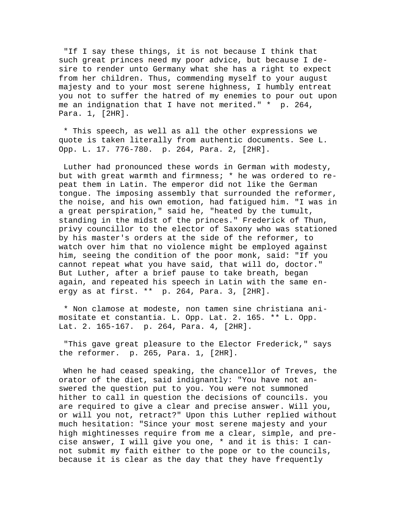"If I say these things, it is not because I think that such great princes need my poor advice, but because I desire to render unto Germany what she has a right to expect from her children. Thus, commending myself to your august majesty and to your most serene highness, I humbly entreat you not to suffer the hatred of my enemies to pour out upon me an indignation that I have not merited." \* p. 264, Para. 1, [2HR].

 \* This speech, as well as all the other expressions we quote is taken literally from authentic documents. See L. Opp. L. 17. 776-780. p. 264, Para. 2, [2HR].

 Luther had pronounced these words in German with modesty, but with great warmth and firmness; \* he was ordered to repeat them in Latin. The emperor did not like the German tongue. The imposing assembly that surrounded the reformer, the noise, and his own emotion, had fatigued him. "I was in a great perspiration," said he, "heated by the tumult, standing in the midst of the princes." Frederick of Thun, privy councillor to the elector of Saxony who was stationed by his master's orders at the side of the reformer, to watch over him that no violence might be employed against him, seeing the condition of the poor monk, said: "If you cannot repeat what you have said, that will do, doctor." But Luther, after a brief pause to take breath, began again, and repeated his speech in Latin with the same energy as at first. \*\* p. 264, Para. 3, [2HR].

 \* Non clamose at modeste, non tamen sine christiana animositate et constantia. L. Opp. Lat. 2. 165. \*\* L. Opp. Lat. 2. 165-167. p. 264, Para. 4, [2HR].

 "This gave great pleasure to the Elector Frederick," says the reformer. p. 265, Para. 1, [2HR].

 When he had ceased speaking, the chancellor of Treves, the orator of the diet, said indignantly: "You have not answered the question put to you. You were not summoned hither to call in question the decisions of councils. you are required to give a clear and precise answer. Will you, or will you not, retract?" Upon this Luther replied without much hesitation: "Since your most serene majesty and your high mightinesses require from me a clear, simple, and precise answer, I will give you one, \* and it is this: I cannot submit my faith either to the pope or to the councils, because it is clear as the day that they have frequently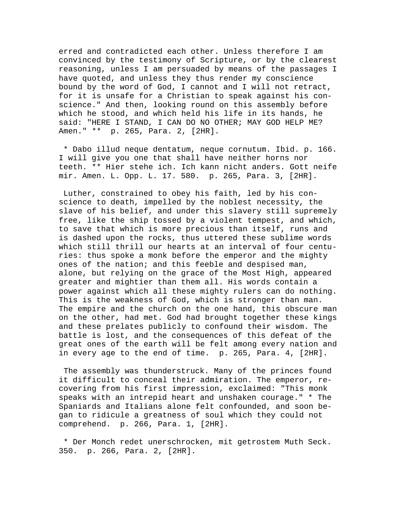erred and contradicted each other. Unless therefore I am convinced by the testimony of Scripture, or by the clearest reasoning, unless I am persuaded by means of the passages I have quoted, and unless they thus render my conscience bound by the word of God, I cannot and I will not retract, for it is unsafe for a Christian to speak against his conscience." And then, looking round on this assembly before which he stood, and which held his life in its hands, he said: "HERE I STAND, I CAN DO NO OTHER; MAY GOD HELP ME? Amen." \*\* p. 265, Para. 2, [2HR].

 \* Dabo illud neque dentatum, neque cornutum. Ibid. p. 166. I will give you one that shall have neither horns nor teeth. \*\* Hier stehe ich. Ich kann nicht anders. Gott neife mir. Amen. L. Opp. L. 17. 580. p. 265, Para. 3, [2HR].

 Luther, constrained to obey his faith, led by his conscience to death, impelled by the noblest necessity, the slave of his belief, and under this slavery still supremely free, like the ship tossed by a violent tempest, and which, to save that which is more precious than itself, runs and is dashed upon the rocks, thus uttered these sublime words which still thrill our hearts at an interval of four centuries: thus spoke a monk before the emperor and the mighty ones of the nation; and this feeble and despised man, alone, but relying on the grace of the Most High, appeared greater and mightier than them all. His words contain a power against which all these mighty rulers can do nothing. This is the weakness of God, which is stronger than man. The empire and the church on the one hand, this obscure man on the other, had met. God had brought together these kings and these prelates publicly to confound their wisdom. The battle is lost, and the consequences of this defeat of the great ones of the earth will be felt among every nation and in every age to the end of time. p. 265, Para. 4, [2HR].

 The assembly was thunderstruck. Many of the princes found it difficult to conceal their admiration. The emperor, recovering from his first impression, exclaimed: "This monk speaks with an intrepid heart and unshaken courage." \* The Spaniards and Italians alone felt confounded, and soon began to ridicule a greatness of soul which they could not comprehend. p. 266, Para. 1, [2HR].

 \* Der Monch redet unerschrocken, mit getrostem Muth Seck. 350. p. 266, Para. 2, [2HR].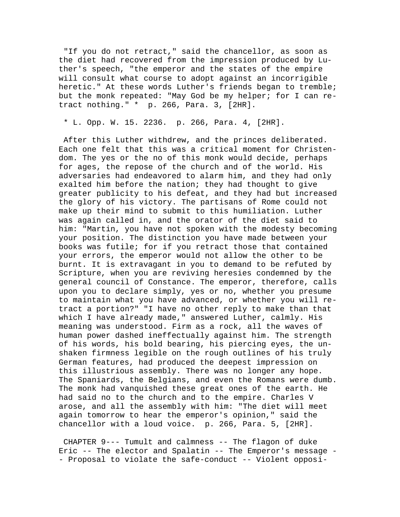"If you do not retract," said the chancellor, as soon as the diet had recovered from the impression produced by Luther's speech, "the emperor and the states of the empire will consult what course to adopt against an incorrigible heretic." At these words Luther's friends began to tremble; but the monk repeated: "May God be my helper; for I can retract nothing." \* p. 266, Para. 3, [2HR].

\* L. Opp. W. 15. 2236. p. 266, Para. 4, [2HR].

 After this Luther withdrew, and the princes deliberated. Each one felt that this was a critical moment for Christendom. The yes or the no of this monk would decide, perhaps for ages, the repose of the church and of the world. His adversaries had endeavored to alarm him, and they had only exalted him before the nation; they had thought to give greater publicity to his defeat, and they had but increased the glory of his victory. The partisans of Rome could not make up their mind to submit to this humiliation. Luther was again called in, and the orator of the diet said to him: "Martin, you have not spoken with the modesty becoming your position. The distinction you have made between your books was futile; for if you retract those that contained your errors, the emperor would not allow the other to be burnt. It is extravagant in you to demand to be refuted by Scripture, when you are reviving heresies condemned by the general council of Constance. The emperor, therefore, calls upon you to declare simply, yes or no, whether you presume to maintain what you have advanced, or whether you will retract a portion?" "I have no other reply to make than that which I have already made," answered Luther, calmly. His meaning was understood. Firm as a rock, all the waves of human power dashed ineffectually against him. The strength of his words, his bold bearing, his piercing eyes, the unshaken firmness legible on the rough outlines of his truly German features, had produced the deepest impression on this illustrious assembly. There was no longer any hope. The Spaniards, the Belgians, and even the Romans were dumb. The monk had vanquished these great ones of the earth. He had said no to the church and to the empire. Charles V arose, and all the assembly with him: "The diet will meet again tomorrow to hear the emperor's opinion," said the chancellor with a loud voice. p. 266, Para. 5, [2HR].

 CHAPTER 9--- Tumult and calmness -- The flagon of duke Eric -- The elector and Spalatin -- The Emperor's message - - Proposal to violate the safe-conduct -- Violent opposi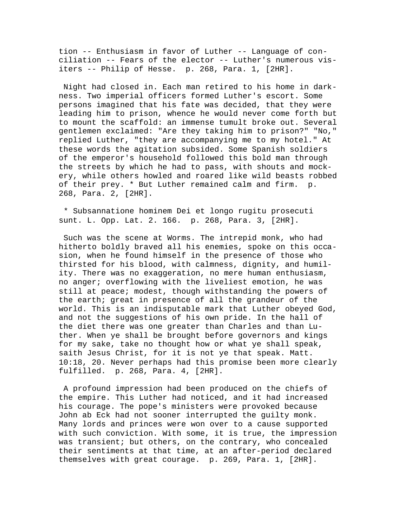tion -- Enthusiasm in favor of Luther -- Language of conciliation -- Fears of the elector -- Luther's numerous visiters -- Philip of Hesse. p. 268, Para. 1, [2HR].

 Night had closed in. Each man retired to his home in darkness. Two imperial officers formed Luther's escort. Some persons imagined that his fate was decided, that they were leading him to prison, whence he would never come forth but to mount the scaffold: an immense tumult broke out. Several gentlemen exclaimed: "Are they taking him to prison?" "No," replied Luther, "they are accompanying me to my hotel." At these words the agitation subsided. Some Spanish soldiers of the emperor's household followed this bold man through the streets by which he had to pass, with shouts and mockery, while others howled and roared like wild beasts robbed of their prey. \* But Luther remained calm and firm. p. 268, Para. 2, [2HR].

 \* Subsannatione hominem Dei et longo rugitu prosecuti sunt. L. Opp. Lat. 2. 166. p. 268, Para. 3, [2HR].

 Such was the scene at Worms. The intrepid monk, who had hitherto boldly braved all his enemies, spoke on this occasion, when he found himself in the presence of those who thirsted for his blood, with calmness, dignity, and humility. There was no exaggeration, no mere human enthusiasm, no anger; overflowing with the liveliest emotion, he was still at peace; modest, though withstanding the powers of the earth; great in presence of all the grandeur of the world. This is an indisputable mark that Luther obeyed God, and not the suggestions of his own pride. In the hall of the diet there was one greater than Charles and than Luther. When ye shall be brought before governors and kings for my sake, take no thought how or what ye shall speak, saith Jesus Christ, for it is not ye that speak. Matt. 10:18, 20. Never perhaps had this promise been more clearly fulfilled. p. 268, Para. 4, [2HR].

 A profound impression had been produced on the chiefs of the empire. This Luther had noticed, and it had increased his courage. The pope's ministers were provoked because John ab Eck had not sooner interrupted the guilty monk. Many lords and princes were won over to a cause supported with such conviction. With some, it is true, the impression was transient; but others, on the contrary, who concealed their sentiments at that time, at an after-period declared themselves with great courage. p. 269, Para. 1, [2HR].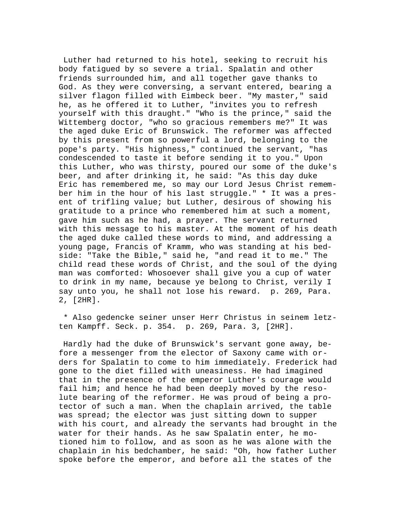Luther had returned to his hotel, seeking to recruit his body fatigued by so severe a trial. Spalatin and other friends surrounded him, and all together gave thanks to God. As they were conversing, a servant entered, bearing a silver flagon filled with Eimbeck beer. "My master," said he, as he offered it to Luther, "invites you to refresh yourself with this draught." "Who is the prince," said the Wittemberg doctor, "who so gracious remembers me?" It was the aged duke Eric of Brunswick. The reformer was affected by this present from so powerful a lord, belonging to the pope's party. "His highness," continued the servant, "has condescended to taste it before sending it to you." Upon this Luther, who was thirsty, poured our some of the duke's beer, and after drinking it, he said: "As this day duke Eric has remembered me, so may our Lord Jesus Christ remember him in the hour of his last struggle." \* It was a present of trifling value; but Luther, desirous of showing his gratitude to a prince who remembered him at such a moment, gave him such as he had, a prayer. The servant returned with this message to his master. At the moment of his death the aged duke called these words to mind, and addressing a young page, Francis of Kramm, who was standing at his bedside: "Take the Bible," said he, "and read it to me." The child read these words of Christ, and the soul of the dying man was comforted: Whosoever shall give you a cup of water to drink in my name, because ye belong to Christ, verily I say unto you, he shall not lose his reward. p. 269, Para. 2, [2HR].

 \* Also gedencke seiner unser Herr Christus in seinem letzten Kampff. Seck. p. 354. p. 269, Para. 3, [2HR].

 Hardly had the duke of Brunswick's servant gone away, before a messenger from the elector of Saxony came with orders for Spalatin to come to him immediately. Frederick had gone to the diet filled with uneasiness. He had imagined that in the presence of the emperor Luther's courage would fail him; and hence he had been deeply moved by the resolute bearing of the reformer. He was proud of being a protector of such a man. When the chaplain arrived, the table was spread; the elector was just sitting down to supper with his court, and already the servants had brought in the water for their hands. As he saw Spalatin enter, he motioned him to follow, and as soon as he was alone with the chaplain in his bedchamber, he said: "Oh, how father Luther spoke before the emperor, and before all the states of the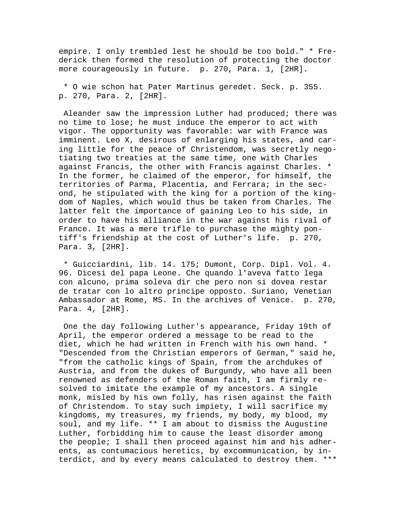empire. I only trembled lest he should be too bold." \* Frederick then formed the resolution of protecting the doctor more courageously in future. p. 270, Para. 1, [2HR].

 \* O wie schon hat Pater Martinus geredet. Seck. p. 355. p. 270, Para. 2, [2HR].

 Aleander saw the impression Luther had produced; there was no time to lose; he must induce the emperor to act with vigor. The opportunity was favorable: war with France was imminent. Leo X, desirous of enlarging his states, and caring little for the peace of Christendom, was secretly negotiating two treaties at the same time, one with Charles against Francis, the other with Francis against Charles. \* In the former, he claimed of the emperor, for himself, the territories of Parma, Placentia, and Ferrara; in the second, he stipulated with the king for a portion of the kingdom of Naples, which would thus be taken from Charles. The latter felt the importance of gaining Leo to his side, in order to have his alliance in the war against his rival of France. It was a mere trifle to purchase the mighty pontiff's friendship at the cost of Luther's life. p. 270, Para. 3, [2HR].

 \* Guicciardini, lib. 14. 175; Dumont, Corp. Dipl. Vol. 4. 96. Dicesi del papa Leone. Che quando l'aveva fatto lega con alcuno, prima soleva dir che pero non si dovea restar de tratar con lo altro principe opposto. Suriano, Venetian Ambassador at Rome, MS. In the archives of Venice. p. 270, Para. 4, [2HR].

 One the day following Luther's appearance, Friday 19th of April, the emperor ordered a message to be read to the diet, which he had written in French with his own hand. \* "Descended from the Christian emperors of German," said he, "from the catholic kings of Spain, from the archdukes of Austria, and from the dukes of Burgundy, who have all been renowned as defenders of the Roman faith, I am firmly resolved to imitate the example of my ancestors. A single monk, misled by his own folly, has risen against the faith of Christendom. To stay such impiety, I will sacrifice my kingdoms, my treasures, my friends, my body, my blood, my soul, and my life. \*\* I am about to dismiss the Augustine Luther, forbidding him to cause the least disorder among the people; I shall then proceed against him and his adherents, as contumacious heretics, by excommunication, by interdict, and by every means calculated to destroy them. \*\*\*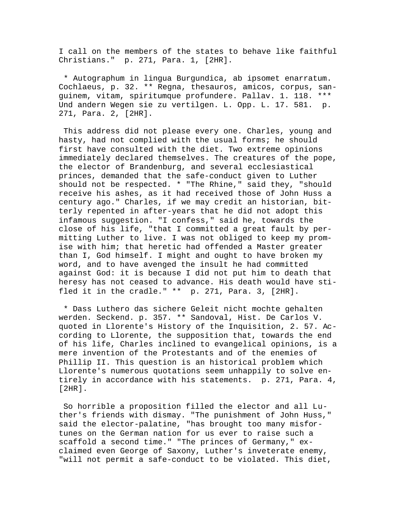I call on the members of the states to behave like faithful Christians." p. 271, Para. 1, [2HR].

 \* Autographum in lingua Burgundica, ab ipsomet enarratum. Cochlaeus, p. 32. \*\* Regna, thesauros, amicos, corpus, sanguinem, vitam, spiritumque profundere. Pallav. 1. 118. \*\*\* Und andern Wegen sie zu vertilgen. L. Opp. L. 17. 581. p. 271, Para. 2, [2HR].

 This address did not please every one. Charles, young and hasty, had not complied with the usual forms; he should first have consulted with the diet. Two extreme opinions immediately declared themselves. The creatures of the pope, the elector of Brandenburg, and several ecclesiastical princes, demanded that the safe-conduct given to Luther should not be respected. \* "The Rhine," said they, "should receive his ashes, as it had received those of John Huss a century ago." Charles, if we may credit an historian, bitterly repented in after-years that he did not adopt this infamous suggestion. "I confess," said he, towards the close of his life, "that I committed a great fault by permitting Luther to live. I was not obliged to keep my promise with him; that heretic had offended a Master greater than I, God himself. I might and ought to have broken my word, and to have avenged the insult he had committed against God: it is because I did not put him to death that heresy has not ceased to advance. His death would have stifled it in the cradle." \*\* p. 271, Para. 3, [2HR].

 \* Dass Luthero das sichere Geleit nicht mochte gehalten werden. Seckend. p. 357. \*\* Sandoval, Hist. De Carlos V. quoted in Llorente's History of the Inquisition, 2. 57. According to Llorente, the supposition that, towards the end of his life, Charles inclined to evangelical opinions, is a mere invention of the Protestants and of the enemies of Phillip II. This question is an historical problem which Llorente's numerous quotations seem unhappily to solve entirely in accordance with his statements. p. 271, Para. 4, [2HR].

 So horrible a proposition filled the elector and all Luther's friends with dismay. "The punishment of John Huss," said the elector-palatine, "has brought too many misfortunes on the German nation for us ever to raise such a scaffold a second time." "The princes of Germany," exclaimed even George of Saxony, Luther's inveterate enemy, "will not permit a safe-conduct to be violated. This diet,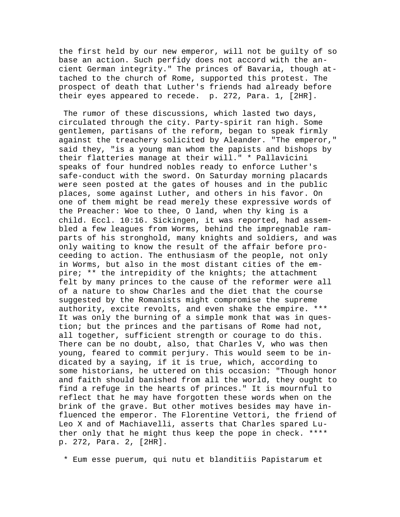the first held by our new emperor, will not be guilty of so base an action. Such perfidy does not accord with the ancient German integrity." The princes of Bavaria, though attached to the church of Rome, supported this protest. The prospect of death that Luther's friends had already before their eyes appeared to recede. p. 272, Para. 1, [2HR].

 The rumor of these discussions, which lasted two days, circulated through the city. Party-spirit ran high. Some gentlemen, partisans of the reform, began to speak firmly against the treachery solicited by Aleander. "The emperor," said they, "is a young man whom the papists and bishops by their flatteries manage at their will." \* Pallavicini speaks of four hundred nobles ready to enforce Luther's safe-conduct with the sword. On Saturday morning placards were seen posted at the gates of houses and in the public places, some against Luther, and others in his favor. On one of them might be read merely these expressive words of the Preacher: Woe to thee, O land, when thy king is a child. Eccl. 10:16. Sickingen, it was reported, had assembled a few leagues from Worms, behind the impregnable ramparts of his stronghold, many knights and soldiers, and was only waiting to know the result of the affair before proceeding to action. The enthusiasm of the people, not only in Worms, but also in the most distant cities of the empire; \*\* the intrepidity of the knights; the attachment felt by many princes to the cause of the reformer were all of a nature to show Charles and the diet that the course suggested by the Romanists might compromise the supreme authority, excite revolts, and even shake the empire. \*\*\* It was only the burning of a simple monk that was in question; but the princes and the partisans of Rome had not, all together, sufficient strength or courage to do this. There can be no doubt, also, that Charles V, who was then young, feared to commit perjury. This would seem to be indicated by a saying, if it is true, which, according to some historians, he uttered on this occasion: "Though honor and faith should banished from all the world, they ought to find a refuge in the hearts of princes." It is mournful to reflect that he may have forgotten these words when on the brink of the grave. But other motives besides may have influenced the emperor. The Florentine Vettori, the friend of Leo X and of Machiavelli, asserts that Charles spared Luther only that he might thus keep the pope in check. \*\*\*\* p. 272, Para. 2, [2HR].

\* Eum esse puerum, qui nutu et blanditiis Papistarum et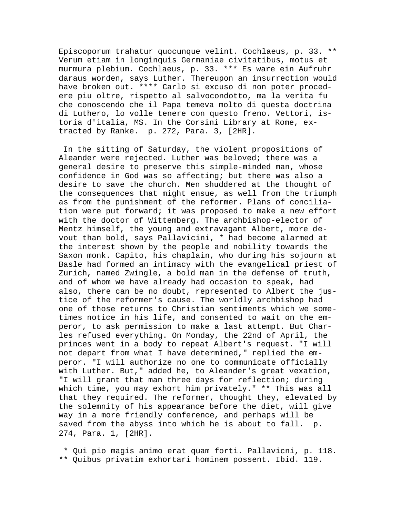Episcoporum trahatur quocunque velint. Cochlaeus, p. 33. \*\* Verum etiam in longinquis Germaniae civitatibus, motus et murmura plebium. Cochlaeus, p. 33. \*\*\* Es ware ein Aufruhr daraus worden, says Luther. Thereupon an insurrection would have broken out. \*\*\*\* Carlo si excuso di non poter procedere piu oltre, rispetto al salvocondotto, ma la verita fu che conoscendo che il Papa temeva molto di questa doctrina di Luthero, lo volle tenere con questo freno. Vettori, istoria d'italia, MS. In the Corsini Library at Rome, extracted by Ranke. p. 272, Para. 3, [2HR].

 In the sitting of Saturday, the violent propositions of Aleander were rejected. Luther was beloved; there was a general desire to preserve this simple-minded man, whose confidence in God was so affecting; but there was also a desire to save the church. Men shuddered at the thought of the consequences that might ensue, as well from the triumph as from the punishment of the reformer. Plans of conciliation were put forward; it was proposed to make a new effort with the doctor of Wittemberg. The archbishop-elector of Mentz himself, the young and extravagant Albert, more devout than bold, says Pallavicini, \* had become alarmed at the interest shown by the people and nobility towards the Saxon monk. Capito, his chaplain, who during his sojourn at Basle had formed an intimacy with the evangelical priest of Zurich, named Zwingle, a bold man in the defense of truth, and of whom we have already had occasion to speak, had also, there can be no doubt, represented to Albert the justice of the reformer's cause. The worldly archbishop had one of those returns to Christian sentiments which we sometimes notice in his life, and consented to wait on the emperor, to ask permission to make a last attempt. But Charles refused everything. On Monday, the 22nd of April, the princes went in a body to repeat Albert's request. "I will not depart from what I have determined," replied the emperor. "I will authorize no one to communicate officially with Luther. But," added he, to Aleander's great vexation, "I will grant that man three days for reflection; during which time, you may exhort him privately." \*\* This was all that they required. The reformer, thought they, elevated by the solemnity of his appearance before the diet, will give way in a more friendly conference, and perhaps will be saved from the abyss into which he is about to fall. p. 274, Para. 1, [2HR].

 \* Qui pio magis animo erat quam forti. Pallavicni, p. 118. \*\* Quibus privatim exhortari hominem possent. Ibid. 119.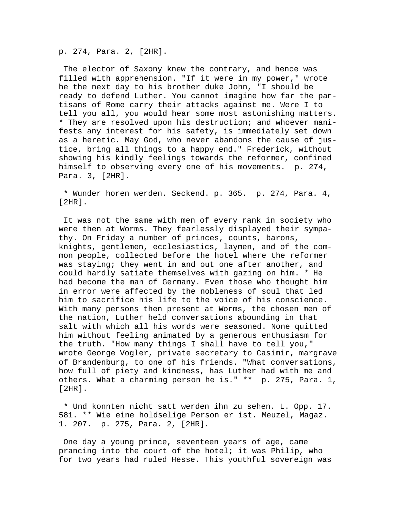p. 274, Para. 2, [2HR].

 The elector of Saxony knew the contrary, and hence was filled with apprehension. "If it were in my power," wrote he the next day to his brother duke John, "I should be ready to defend Luther. You cannot imagine how far the partisans of Rome carry their attacks against me. Were I to tell you all, you would hear some most astonishing matters. \* They are resolved upon his destruction; and whoever manifests any interest for his safety, is immediately set down as a heretic. May God, who never abandons the cause of justice, bring all things to a happy end." Frederick, without showing his kindly feelings towards the reformer, confined himself to observing every one of his movements. p. 274, Para. 3, [2HR].

 \* Wunder horen werden. Seckend. p. 365. p. 274, Para. 4,  $[2HR]$ .

 It was not the same with men of every rank in society who were then at Worms. They fearlessly displayed their sympathy. On Friday a number of princes, counts, barons, knights, gentlemen, ecclesiastics, laymen, and of the common people, collected before the hotel where the reformer was staying; they went in and out one after another, and could hardly satiate themselves with gazing on him. \* He had become the man of Germany. Even those who thought him in error were affected by the nobleness of soul that led him to sacrifice his life to the voice of his conscience. With many persons then present at Worms, the chosen men of the nation, Luther held conversations abounding in that salt with which all his words were seasoned. None quitted him without feeling animated by a generous enthusiasm for the truth. "How many things I shall have to tell you," wrote George Vogler, private secretary to Casimir, margrave of Brandenburg, to one of his friends. "What conversations, how full of piety and kindness, has Luther had with me and others. What a charming person he is." \*\* p. 275, Para. 1, [2HR].

 \* Und konnten nicht satt werden ihn zu sehen. L. Opp. 17. 581. \*\* Wie eine holdselige Person er ist. Meuzel, Magaz. 1. 207. p. 275, Para. 2, [2HR].

 One day a young prince, seventeen years of age, came prancing into the court of the hotel; it was Philip, who for two years had ruled Hesse. This youthful sovereign was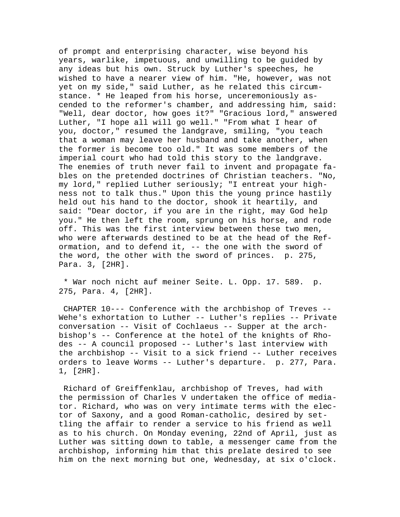of prompt and enterprising character, wise beyond his years, warlike, impetuous, and unwilling to be guided by any ideas but his own. Struck by Luther's speeches, he wished to have a nearer view of him. "He, however, was not yet on my side," said Luther, as he related this circumstance. \* He leaped from his horse, unceremoniously ascended to the reformer's chamber, and addressing him, said: "Well, dear doctor, how goes it?" "Gracious lord," answered Luther, "I hope all will go well." "From what I hear of you, doctor," resumed the landgrave, smiling, "you teach that a woman may leave her husband and take another, when the former is become too old." It was some members of the imperial court who had told this story to the landgrave. The enemies of truth never fail to invent and propagate fables on the pretended doctrines of Christian teachers. "No, my lord," replied Luther seriously; "I entreat your highness not to talk thus." Upon this the young prince hastily held out his hand to the doctor, shook it heartily, and said: "Dear doctor, if you are in the right, may God help you." He then left the room, sprung on his horse, and rode off. This was the first interview between these two men, who were afterwards destined to be at the head of the Reformation, and to defend it, -- the one with the sword of the word, the other with the sword of princes. p. 275, Para. 3, [2HR].

 \* War noch nicht auf meiner Seite. L. Opp. 17. 589. p. 275, Para. 4, [2HR].

 CHAPTER 10--- Conference with the archbishop of Treves -- Wehe's exhortation to Luther -- Luther's replies -- Private conversation -- Visit of Cochlaeus -- Supper at the archbishop's -- Conference at the hotel of the knights of Rhodes -- A council proposed -- Luther's last interview with the archbishop -- Visit to a sick friend -- Luther receives orders to leave Worms -- Luther's departure. p. 277, Para. 1, [2HR].

 Richard of Greiffenklau, archbishop of Treves, had with the permission of Charles V undertaken the office of mediator. Richard, who was on very intimate terms with the elector of Saxony, and a good Roman-catholic, desired by settling the affair to render a service to his friend as well as to his church. On Monday evening, 22nd of April, just as Luther was sitting down to table, a messenger came from the archbishop, informing him that this prelate desired to see him on the next morning but one, Wednesday, at six o'clock.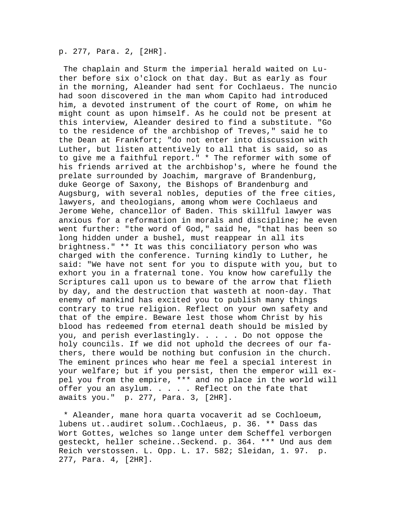p. 277, Para. 2, [2HR].

 The chaplain and Sturm the imperial herald waited on Luther before six o'clock on that day. But as early as four in the morning, Aleander had sent for Cochlaeus. The nuncio had soon discovered in the man whom Capito had introduced him, a devoted instrument of the court of Rome, on whim he might count as upon himself. As he could not be present at this interview, Aleander desired to find a substitute. "Go to the residence of the archbishop of Treves," said he to the Dean at Frankfort; "do not enter into discussion with Luther, but listen attentively to all that is said, so as to give me a faithful report." \* The reformer with some of his friends arrived at the archbishop's, where he found the prelate surrounded by Joachim, margrave of Brandenburg, duke George of Saxony, the Bishops of Brandenburg and Augsburg, with several nobles, deputies of the free cities, lawyers, and theologians, among whom were Cochlaeus and Jerome Wehe, chancellor of Baden. This skillful lawyer was anxious for a reformation in morals and discipline; he even went further: "the word of God," said he, "that has been so long hidden under a bushel, must reappear in all its brightness." \*\* It was this conciliatory person who was charged with the conference. Turning kindly to Luther, he said: "We have not sent for you to dispute with you, but to exhort you in a fraternal tone. You know how carefully the Scriptures call upon us to beware of the arrow that flieth by day, and the destruction that wasteth at noon-day. That enemy of mankind has excited you to publish many things contrary to true religion. Reflect on your own safety and that of the empire. Beware lest those whom Christ by his blood has redeemed from eternal death should be misled by you, and perish everlastingly. . . . . Do not oppose the holy councils. If we did not uphold the decrees of our fathers, there would be nothing but confusion in the church. The eminent princes who hear me feel a special interest in your welfare; but if you persist, then the emperor will expel you from the empire, \*\*\* and no place in the world will offer you an asylum. . . . . Reflect on the fate that awaits you." p. 277, Para. 3, [2HR].

 \* Aleander, mane hora quarta vocaverit ad se Cochloeum, lubens ut..audiret solum..Cochlaeus, p. 36. \*\* Dass das Wort Gottes, welches so lange unter dem Scheffel verborgen gesteckt, heller scheine..Seckend. p. 364. \*\*\* Und aus dem Reich verstossen. L. Opp. L. 17. 582; Sleidan, 1. 97. p. 277, Para. 4, [2HR].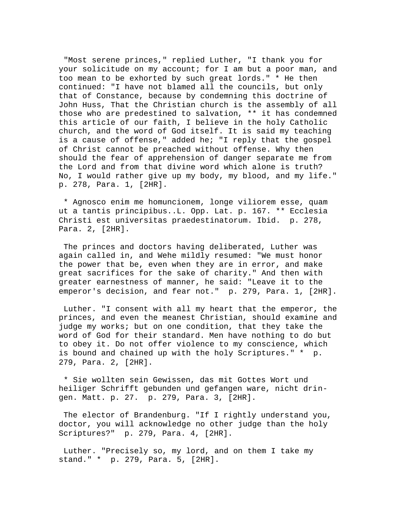"Most serene princes," replied Luther, "I thank you for your solicitude on my account; for I am but a poor man, and too mean to be exhorted by such great lords." \* He then continued: "I have not blamed all the councils, but only that of Constance, because by condemning this doctrine of John Huss, That the Christian church is the assembly of all those who are predestined to salvation, \*\* it has condemned this article of our faith, I believe in the holy Catholic church, and the word of God itself. It is said my teaching is a cause of offense," added he; "I reply that the gospel of Christ cannot be preached without offense. Why then should the fear of apprehension of danger separate me from the Lord and from that divine word which alone is truth? No, I would rather give up my body, my blood, and my life." p. 278, Para. 1, [2HR].

 \* Agnosco enim me homuncionem, longe viliorem esse, quam ut a tantis principibus..L. Opp. Lat. p. 167. \*\* Ecclesia Christi est universitas praedestinatorum. Ibid. p. 278, Para. 2, [2HR].

 The princes and doctors having deliberated, Luther was again called in, and Wehe mildly resumed: "We must honor the power that be, even when they are in error, and make great sacrifices for the sake of charity." And then with greater earnestness of manner, he said: "Leave it to the emperor's decision, and fear not." p. 279, Para. 1, [2HR].

 Luther. "I consent with all my heart that the emperor, the princes, and even the meanest Christian, should examine and judge my works; but on one condition, that they take the word of God for their standard. Men have nothing to do but to obey it. Do not offer violence to my conscience, which is bound and chained up with the holy Scriptures." \* p. 279, Para. 2, [2HR].

 \* Sie wollten sein Gewissen, das mit Gottes Wort und heiliger Schrifft gebunden und gefangen ware, nicht dringen. Matt. p. 27. p. 279, Para. 3, [2HR].

 The elector of Brandenburg. "If I rightly understand you, doctor, you will acknowledge no other judge than the holy Scriptures?" p. 279, Para. 4, [2HR].

 Luther. "Precisely so, my lord, and on them I take my stand." \* p. 279, Para. 5, [2HR].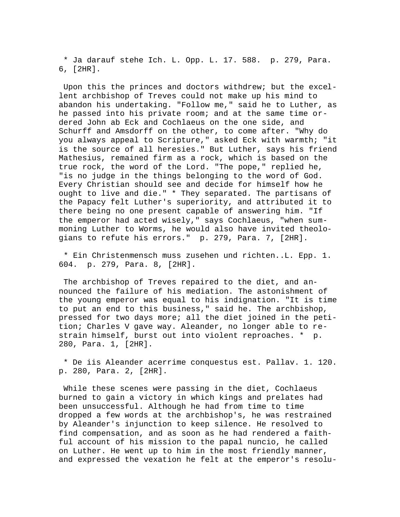\* Ja darauf stehe Ich. L. Opp. L. 17. 588. p. 279, Para. 6, [2HR].

 Upon this the princes and doctors withdrew; but the excellent archbishop of Treves could not make up his mind to abandon his undertaking. "Follow me," said he to Luther, as he passed into his private room; and at the same time ordered John ab Eck and Cochlaeus on the one side, and Schurff and Amsdorff on the other, to come after. "Why do you always appeal to Scripture," asked Eck with warmth; "it is the source of all heresies." But Luther, says his friend Mathesius, remained firm as a rock, which is based on the true rock, the word of the Lord. "The pope," replied he, "is no judge in the things belonging to the word of God. Every Christian should see and decide for himself how he ought to live and die." \* They separated. The partisans of the Papacy felt Luther's superiority, and attributed it to there being no one present capable of answering him. "If the emperor had acted wisely," says Cochlaeus, "when summoning Luther to Worms, he would also have invited theologians to refute his errors." p. 279, Para. 7, [2HR].

 \* Ein Christenmensch muss zusehen und richten..L. Epp. 1. 604. p. 279, Para. 8, [2HR].

 The archbishop of Treves repaired to the diet, and announced the failure of his mediation. The astonishment of the young emperor was equal to his indignation. "It is time to put an end to this business," said he. The archbishop, pressed for two days more; all the diet joined in the petition; Charles V gave way. Aleander, no longer able to restrain himself, burst out into violent reproaches. \* p. 280, Para. 1, [2HR].

 \* De iis Aleander acerrime conquestus est. Pallav. 1. 120. p. 280, Para. 2, [2HR].

 While these scenes were passing in the diet, Cochlaeus burned to gain a victory in which kings and prelates had been unsuccessful. Although he had from time to time dropped a few words at the archbishop's, he was restrained by Aleander's injunction to keep silence. He resolved to find compensation, and as soon as he had rendered a faithful account of his mission to the papal nuncio, he called on Luther. He went up to him in the most friendly manner, and expressed the vexation he felt at the emperor's resolu-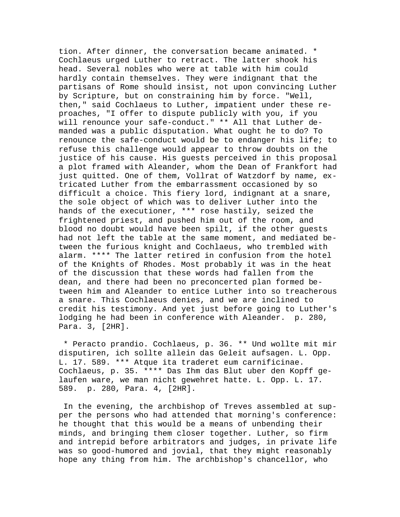tion. After dinner, the conversation became animated. \* Cochlaeus urged Luther to retract. The latter shook his head. Several nobles who were at table with him could hardly contain themselves. They were indignant that the partisans of Rome should insist, not upon convincing Luther by Scripture, but on constraining him by force. "Well, then," said Cochlaeus to Luther, impatient under these reproaches, "I offer to dispute publicly with you, if you will renounce your safe-conduct." \*\* All that Luther demanded was a public disputation. What ought he to do? To renounce the safe-conduct would be to endanger his life; to refuse this challenge would appear to throw doubts on the justice of his cause. His guests perceived in this proposal a plot framed with Aleander, whom the Dean of Frankfort had just quitted. One of them, Vollrat of Watzdorf by name, extricated Luther from the embarrassment occasioned by so difficult a choice. This fiery lord, indignant at a snare, the sole object of which was to deliver Luther into the hands of the executioner, \*\*\* rose hastily, seized the frightened priest, and pushed him out of the room, and blood no doubt would have been spilt, if the other guests had not left the table at the same moment, and mediated between the furious knight and Cochlaeus, who trembled with alarm. \*\*\*\* The latter retired in confusion from the hotel of the Knights of Rhodes. Most probably it was in the heat of the discussion that these words had fallen from the dean, and there had been no preconcerted plan formed between him and Aleander to entice Luther into so treacherous a snare. This Cochlaeus denies, and we are inclined to credit his testimony. And yet just before going to Luther's lodging he had been in conference with Aleander. p. 280, Para. 3, [2HR].

 \* Peracto prandio. Cochlaeus, p. 36. \*\* Und wollte mit mir disputiren, ich sollte allein das Geleit aufsagen. L. Opp. L. 17. 589. \*\*\* Atque ita traderet eum carnificinae. Cochlaeus, p. 35. \*\*\*\* Das Ihm das Blut uber den Kopff gelaufen ware, we man nicht gewehret hatte. L. Opp. L. 17. 589. p. 280, Para. 4, [2HR].

 In the evening, the archbishop of Treves assembled at supper the persons who had attended that morning's conference: he thought that this would be a means of unbending their minds, and bringing them closer together. Luther, so firm and intrepid before arbitrators and judges, in private life was so good-humored and jovial, that they might reasonably hope any thing from him. The archbishop's chancellor, who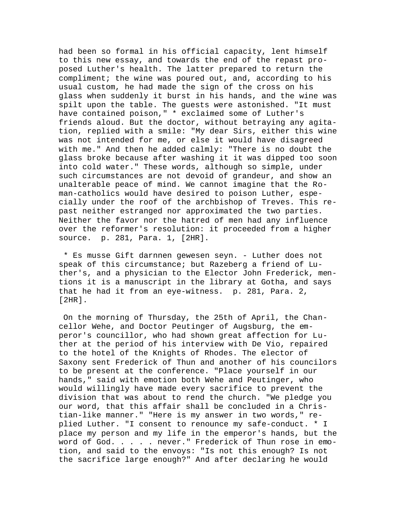had been so formal in his official capacity, lent himself to this new essay, and towards the end of the repast proposed Luther's health. The latter prepared to return the compliment; the wine was poured out, and, according to his usual custom, he had made the sign of the cross on his glass when suddenly it burst in his hands, and the wine was spilt upon the table. The guests were astonished. "It must have contained poison," \* exclaimed some of Luther's friends aloud. But the doctor, without betraying any agitation, replied with a smile: "My dear Sirs, either this wine was not intended for me, or else it would have disagreed with me." And then he added calmly: "There is no doubt the glass broke because after washing it it was dipped too soon into cold water." These words, although so simple, under such circumstances are not devoid of grandeur, and show an unalterable peace of mind. We cannot imagine that the Roman-catholics would have desired to poison Luther, especially under the roof of the archbishop of Treves. This repast neither estranged nor approximated the two parties. Neither the favor nor the hatred of men had any influence over the reformer's resolution: it proceeded from a higher source. p. 281, Para. 1, [2HR].

 \* Es musse Gift darnnen gewesen seyn. - Luther does not speak of this circumstance; but Razeberg a friend of Luther's, and a physician to the Elector John Frederick, mentions it is a manuscript in the library at Gotha, and says that he had it from an eye-witness. p. 281, Para. 2,  $[2HR]$ .

 On the morning of Thursday, the 25th of April, the Chancellor Wehe, and Doctor Peutinger of Augsburg, the emperor's councillor, who had shown great affection for Luther at the period of his interview with De Vio, repaired to the hotel of the Knights of Rhodes. The elector of Saxony sent Frederick of Thun and another of his councilors to be present at the conference. "Place yourself in our hands," said with emotion both Wehe and Peutinger, who would willingly have made every sacrifice to prevent the division that was about to rend the church. "We pledge you our word, that this affair shall be concluded in a Christian-like manner." "Here is my answer in two words," replied Luther. "I consent to renounce my safe-conduct. \* I place my person and my life in the emperor's hands, but the word of God. . . . . never." Frederick of Thun rose in emotion, and said to the envoys: "Is not this enough? Is not the sacrifice large enough?" And after declaring he would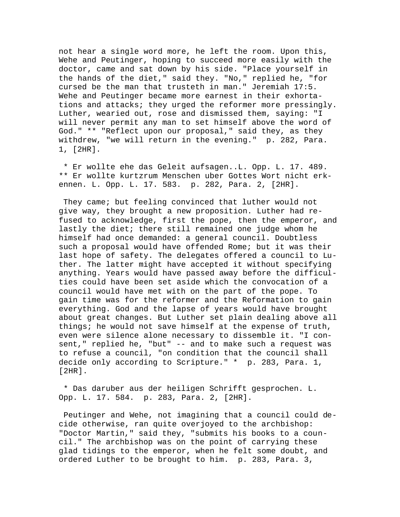not hear a single word more, he left the room. Upon this, Wehe and Peutinger, hoping to succeed more easily with the doctor, came and sat down by his side. "Place yourself in the hands of the diet," said they. "No," replied he, "for cursed be the man that trusteth in man." Jeremiah 17:5. Wehe and Peutinger became more earnest in their exhortations and attacks; they urged the reformer more pressingly. Luther, wearied out, rose and dismissed them, saying: "I will never permit any man to set himself above the word of God." \*\* "Reflect upon our proposal," said they, as they withdrew, "we will return in the evening." p. 282, Para. 1, [2HR].

 \* Er wollte ehe das Geleit aufsagen..L. Opp. L. 17. 489. \*\* Er wollte kurtzrum Menschen uber Gottes Wort nicht erkennen. L. Opp. L. 17. 583. p. 282, Para. 2, [2HR].

 They came; but feeling convinced that luther would not give way, they brought a new proposition. Luther had refused to acknowledge, first the pope, then the emperor, and lastly the diet; there still remained one judge whom he himself had once demanded: a general council. Doubtless such a proposal would have offended Rome; but it was their last hope of safety. The delegates offered a council to Luther. The latter might have accepted it without specifying anything. Years would have passed away before the difficulties could have been set aside which the convocation of a council would have met with on the part of the pope. To gain time was for the reformer and the Reformation to gain everything. God and the lapse of years would have brought about great changes. But Luther set plain dealing above all things; he would not save himself at the expense of truth, even were silence alone necessary to dissemble it. "I consent," replied he, "but" -- and to make such a request was to refuse a council, "on condition that the council shall decide only according to Scripture." \* p. 283, Para. 1,  $[2HR]$ .

 \* Das daruber aus der heiligen Schrifft gesprochen. L. Opp. L. 17. 584. p. 283, Para. 2, [2HR].

 Peutinger and Wehe, not imagining that a council could decide otherwise, ran quite overjoyed to the archbishop: "Doctor Martin," said they, "submits his books to a council." The archbishop was on the point of carrying these glad tidings to the emperor, when he felt some doubt, and ordered Luther to be brought to him. p. 283, Para. 3,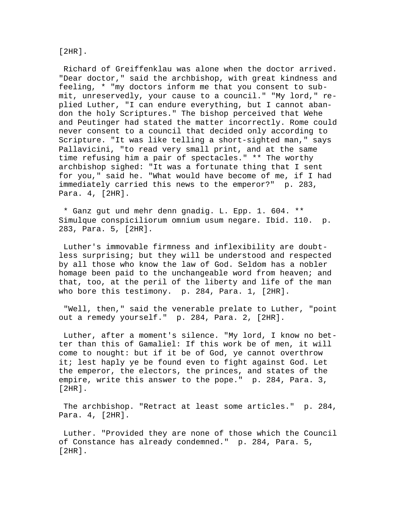$[2HR]$ .

 Richard of Greiffenklau was alone when the doctor arrived. "Dear doctor," said the archbishop, with great kindness and feeling, \* "my doctors inform me that you consent to submit, unreservedly, your cause to a council." "My lord," replied Luther, "I can endure everything, but I cannot abandon the holy Scriptures." The bishop perceived that Wehe and Peutinger had stated the matter incorrectly. Rome could never consent to a council that decided only according to Scripture. "It was like telling a short-sighted man," says Pallavicini, "to read very small print, and at the same time refusing him a pair of spectacles." \*\* The worthy archbishop sighed: "It was a fortunate thing that I sent for you," said he. "What would have become of me, if I had immediately carried this news to the emperor?" p. 283, Para. 4, [2HR].

 \* Ganz gut und mehr denn gnadig. L. Epp. 1. 604. \*\* Simulque conspiciliorum omnium usum negare. Ibid. 110. p. 283, Para. 5, [2HR].

 Luther's immovable firmness and inflexibility are doubtless surprising; but they will be understood and respected by all those who know the law of God. Seldom has a nobler homage been paid to the unchangeable word from heaven; and that, too, at the peril of the liberty and life of the man who bore this testimony. p. 284, Para. 1, [2HR].

 "Well, then," said the venerable prelate to Luther, "point out a remedy yourself." p. 284, Para. 2, [2HR].

 Luther, after a moment's silence. "My lord, I know no better than this of Gamaliel: If this work be of men, it will come to nought: but if it be of God, ye cannot overthrow it; lest haply ye be found even to fight against God. Let the emperor, the electors, the princes, and states of the empire, write this answer to the pope." p. 284, Para. 3, [2HR].

 The archbishop. "Retract at least some articles." p. 284, Para. 4, [2HR].

 Luther. "Provided they are none of those which the Council of Constance has already condemned." p. 284, Para. 5, [2HR].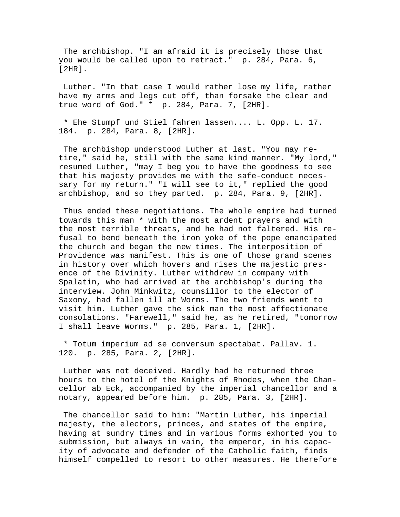The archbishop. "I am afraid it is precisely those that you would be called upon to retract." p. 284, Para. 6,  $[2HR]$ .

 Luther. "In that case I would rather lose my life, rather have my arms and legs cut off, than forsake the clear and true word of God." \* p. 284, Para. 7, [2HR].

 \* Ehe Stumpf und Stiel fahren lassen.... L. Opp. L. 17. 184. p. 284, Para. 8, [2HR].

 The archbishop understood Luther at last. "You may retire," said he, still with the same kind manner. "My lord," resumed Luther, "may I beg you to have the goodness to see that his majesty provides me with the safe-conduct necessary for my return." "I will see to it," replied the good archbishop, and so they parted. p. 284, Para. 9, [2HR].

 Thus ended these negotiations. The whole empire had turned towards this man \* with the most ardent prayers and with the most terrible threats, and he had not faltered. His refusal to bend beneath the iron yoke of the pope emancipated the church and began the new times. The interposition of Providence was manifest. This is one of those grand scenes in history over which hovers and rises the majestic presence of the Divinity. Luther withdrew in company with Spalatin, who had arrived at the archbishop's during the interview. John Minkwitz, counsillor to the elector of Saxony, had fallen ill at Worms. The two friends went to visit him. Luther gave the sick man the most affectionate consolations. "Farewell," said he, as he retired, "tomorrow I shall leave Worms." p. 285, Para. 1, [2HR].

 \* Totum imperium ad se conversum spectabat. Pallav. 1. 120. p. 285, Para. 2, [2HR].

 Luther was not deceived. Hardly had he returned three hours to the hotel of the Knights of Rhodes, when the Chancellor ab Eck, accompanied by the imperial chancellor and a notary, appeared before him. p. 285, Para. 3, [2HR].

 The chancellor said to him: "Martin Luther, his imperial majesty, the electors, princes, and states of the empire, having at sundry times and in various forms exhorted you to submission, but always in vain, the emperor, in his capacity of advocate and defender of the Catholic faith, finds himself compelled to resort to other measures. He therefore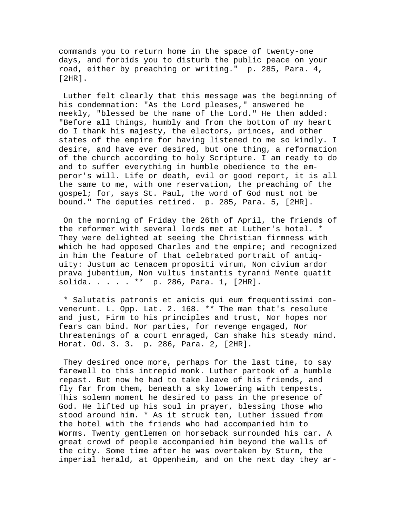commands you to return home in the space of twenty-one days, and forbids you to disturb the public peace on your road, either by preaching or writing." p. 285, Para. 4, [2HR].

 Luther felt clearly that this message was the beginning of his condemnation: "As the Lord pleases," answered he meekly, "blessed be the name of the Lord." He then added: "Before all things, humbly and from the bottom of my heart do I thank his majesty, the electors, princes, and other states of the empire for having listened to me so kindly. I desire, and have ever desired, but one thing, a reformation of the church according to holy Scripture. I am ready to do and to suffer everything in humble obedience to the emperor's will. Life or death, evil or good report, it is all the same to me, with one reservation, the preaching of the gospel; for, says St. Paul, the word of God must not be bound." The deputies retired. p. 285, Para. 5, [2HR].

 On the morning of Friday the 26th of April, the friends of the reformer with several lords met at Luther's hotel. \* They were delighted at seeing the Christian firmness with which he had opposed Charles and the empire; and recognized in him the feature of that celebrated portrait of antiquity: Justum ac tenacem propositi virum, Non civium ardor prava jubentium, Non vultus instantis tyranni Mente quatit solida. . . . . \*\* p. 286, Para. 1, [2HR].

 \* Salutatis patronis et amicis qui eum frequentissimi convenerunt. L. Opp. Lat. 2. 168. \*\* The man that's resolute and just, Firm to his principles and trust, Nor hopes nor fears can bind. Nor parties, for revenge engaged, Nor threatenings of a court enraged, Can shake his steady mind. Horat. Od. 3. 3. p. 286, Para. 2, [2HR].

 They desired once more, perhaps for the last time, to say farewell to this intrepid monk. Luther partook of a humble repast. But now he had to take leave of his friends, and fly far from them, beneath a sky lowering with tempests. This solemn moment he desired to pass in the presence of God. He lifted up his soul in prayer, blessing those who stood around him. \* As it struck ten, Luther issued from the hotel with the friends who had accompanied him to Worms. Twenty gentlemen on horseback surrounded his car. A great crowd of people accompanied him beyond the walls of the city. Some time after he was overtaken by Sturm, the imperial herald, at Oppenheim, and on the next day they ar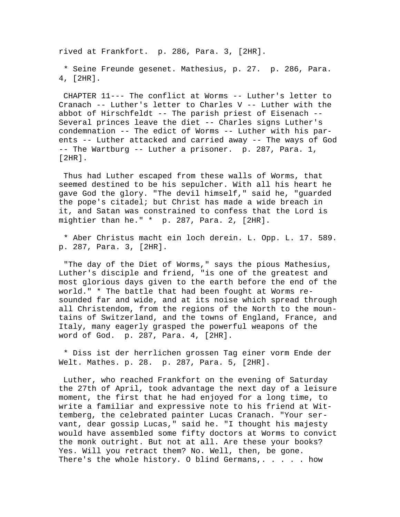rived at Frankfort. p. 286, Para. 3, [2HR].

 \* Seine Freunde gesenet. Mathesius, p. 27. p. 286, Para. 4, [2HR].

 CHAPTER 11--- The conflict at Worms -- Luther's letter to Cranach -- Luther's letter to Charles V -- Luther with the abbot of Hirschfeldt -- The parish priest of Eisenach -- Several princes leave the diet -- Charles signs Luther's condemnation -- The edict of Worms -- Luther with his parents -- Luther attacked and carried away -- The ways of God -- The Wartburg -- Luther a prisoner. p. 287, Para. 1,  $[2HR]$ .

 Thus had Luther escaped from these walls of Worms, that seemed destined to be his sepulcher. With all his heart he gave God the glory. "The devil himself," said he, "guarded the pope's citadel; but Christ has made a wide breach in it, and Satan was constrained to confess that the Lord is mightier than he." \* p. 287, Para. 2, [2HR].

 \* Aber Christus macht ein loch derein. L. Opp. L. 17. 589. p. 287, Para. 3, [2HR].

 "The day of the Diet of Worms," says the pious Mathesius, Luther's disciple and friend, "is one of the greatest and most glorious days given to the earth before the end of the world." \* The battle that had been fought at Worms resounded far and wide, and at its noise which spread through all Christendom, from the regions of the North to the mountains of Switzerland, and the towns of England, France, and Italy, many eagerly grasped the powerful weapons of the word of God. p. 287, Para. 4, [2HR].

 \* Diss ist der herrlichen grossen Tag einer vorm Ende der Welt. Mathes. p. 28. p. 287, Para. 5, [2HR].

 Luther, who reached Frankfort on the evening of Saturday the 27th of April, took advantage the next day of a leisure moment, the first that he had enjoyed for a long time, to write a familiar and expressive note to his friend at Wittemberg, the celebrated painter Lucas Cranach. "Your servant, dear gossip Lucas," said he. "I thought his majesty would have assembled some fifty doctors at Worms to convict the monk outright. But not at all. Are these your books? Yes. Will you retract them? No. Well, then, be gone. There's the whole history. O blind Germans,. . . . . how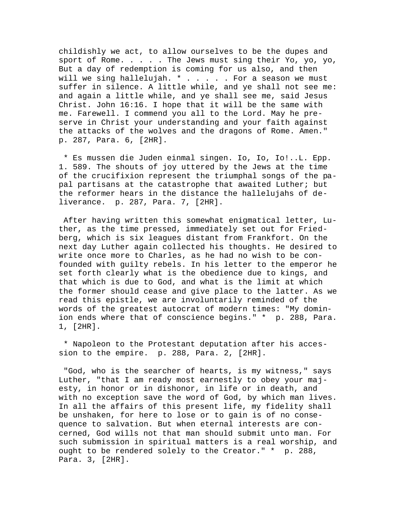childishly we act, to allow ourselves to be the dupes and sport of Rome. . . . . The Jews must sing their Yo, yo, yo, But a day of redemption is coming for us also, and then will we sing hallelujah.  $*$  . . . . . For a season we must suffer in silence. A little while, and ye shall not see me: and again a little while, and ye shall see me, said Jesus Christ. John 16:16. I hope that it will be the same with me. Farewell. I commend you all to the Lord. May he preserve in Christ your understanding and your faith against the attacks of the wolves and the dragons of Rome. Amen." p. 287, Para. 6, [2HR].

 \* Es mussen die Juden einmal singen. Io, Io, Io!..L. Epp. 1. 589. The shouts of joy uttered by the Jews at the time of the crucifixion represent the triumphal songs of the papal partisans at the catastrophe that awaited Luther; but the reformer hears in the distance the hallelujahs of deliverance. p. 287, Para. 7, [2HR].

 After having written this somewhat enigmatical letter, Luther, as the time pressed, immediately set out for Friedberg, which is six leagues distant from Frankfort. On the next day Luther again collected his thoughts. He desired to write once more to Charles, as he had no wish to be confounded with guilty rebels. In his letter to the emperor he set forth clearly what is the obedience due to kings, and that which is due to God, and what is the limit at which the former should cease and give place to the latter. As we read this epistle, we are involuntarily reminded of the words of the greatest autocrat of modern times: "My dominion ends where that of conscience begins." \* p. 288, Para. 1, [2HR].

 \* Napoleon to the Protestant deputation after his accession to the empire. p. 288, Para. 2, [2HR].

 "God, who is the searcher of hearts, is my witness," says Luther, "that I am ready most earnestly to obey your majesty, in honor or in dishonor, in life or in death, and with no exception save the word of God, by which man lives. In all the affairs of this present life, my fidelity shall be unshaken, for here to lose or to gain is of no consequence to salvation. But when eternal interests are concerned, God wills not that man should submit unto man. For such submission in spiritual matters is a real worship, and ought to be rendered solely to the Creator." \* p. 288, Para. 3, [2HR].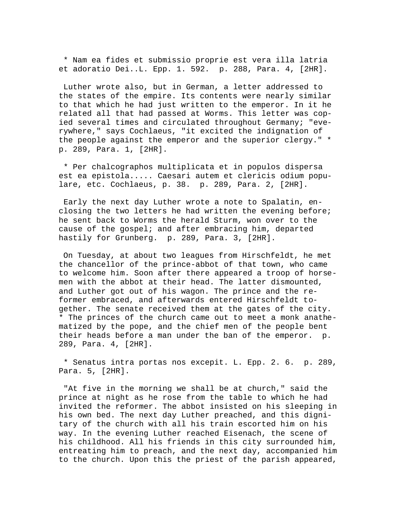\* Nam ea fides et submissio proprie est vera illa latria et adoratio Dei..L. Epp. 1. 592. p. 288, Para. 4, [2HR].

 Luther wrote also, but in German, a letter addressed to the states of the empire. Its contents were nearly similar to that which he had just written to the emperor. In it he related all that had passed at Worms. This letter was copied several times and circulated throughout Germany; "everywhere," says Cochlaeus, "it excited the indignation of the people against the emperor and the superior clergy." \* p. 289, Para. 1, [2HR].

 \* Per chalcographos multiplicata et in populos dispersa est ea epistola..... Caesari autem et clericis odium populare, etc. Cochlaeus, p. 38. p. 289, Para. 2, [2HR].

 Early the next day Luther wrote a note to Spalatin, enclosing the two letters he had written the evening before; he sent back to Worms the herald Sturm, won over to the cause of the gospel; and after embracing him, departed hastily for Grunberg. p. 289, Para. 3, [2HR].

 On Tuesday, at about two leagues from Hirschfeldt, he met the chancellor of the prince-abbot of that town, who came to welcome him. Soon after there appeared a troop of horsemen with the abbot at their head. The latter dismounted, and Luther got out of his wagon. The prince and the reformer embraced, and afterwards entered Hirschfeldt together. The senate received them at the gates of the city. \* The princes of the church came out to meet a monk anathematized by the pope, and the chief men of the people bent their heads before a man under the ban of the emperor. p. 289, Para. 4, [2HR].

 \* Senatus intra portas nos excepit. L. Epp. 2. 6. p. 289, Para. 5, [2HR].

 "At five in the morning we shall be at church," said the prince at night as he rose from the table to which he had invited the reformer. The abbot insisted on his sleeping in his own bed. The next day Luther preached, and this dignitary of the church with all his train escorted him on his way. In the evening Luther reached Eisenach, the scene of his childhood. All his friends in this city surrounded him, entreating him to preach, and the next day, accompanied him to the church. Upon this the priest of the parish appeared,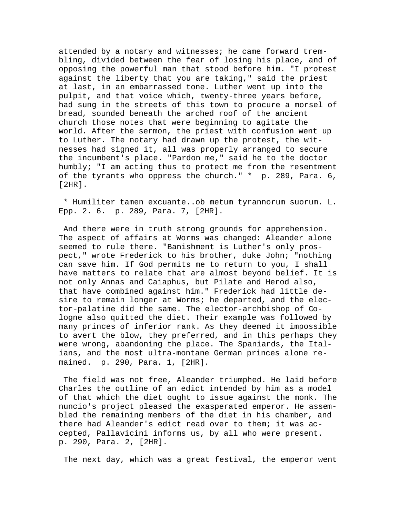attended by a notary and witnesses; he came forward trembling, divided between the fear of losing his place, and of opposing the powerful man that stood before him. "I protest against the liberty that you are taking," said the priest at last, in an embarrassed tone. Luther went up into the pulpit, and that voice which, twenty-three years before, had sung in the streets of this town to procure a morsel of bread, sounded beneath the arched roof of the ancient church those notes that were beginning to agitate the world. After the sermon, the priest with confusion went up to Luther. The notary had drawn up the protest, the witnesses had signed it, all was properly arranged to secure the incumbent's place. "Pardon me," said he to the doctor humbly; "I am acting thus to protect me from the resentment of the tyrants who oppress the church." \* p. 289, Para. 6,  $[2HR]$ .

 \* Humiliter tamen excuante..ob metum tyrannorum suorum. L. Epp. 2. 6. p. 289, Para. 7, [2HR].

 And there were in truth strong grounds for apprehension. The aspect of affairs at Worms was changed: Aleander alone seemed to rule there. "Banishment is Luther's only prospect," wrote Frederick to his brother, duke John; "nothing can save him. If God permits me to return to you, I shall have matters to relate that are almost beyond belief. It is not only Annas and Caiaphus, but Pilate and Herod also, that have combined against him." Frederick had little desire to remain longer at Worms; he departed, and the elector-palatine did the same. The elector-archbishop of Cologne also quitted the diet. Their example was followed by many princes of inferior rank. As they deemed it impossible to avert the blow, they preferred, and in this perhaps they were wrong, abandoning the place. The Spaniards, the Italians, and the most ultra-montane German princes alone remained. p. 290, Para. 1, [2HR].

 The field was not free, Aleander triumphed. He laid before Charles the outline of an edict intended by him as a model of that which the diet ought to issue against the monk. The nuncio's project pleased the exasperated emperor. He assembled the remaining members of the diet in his chamber, and there had Aleander's edict read over to them; it was accepted, Pallavicini informs us, by all who were present. p. 290, Para. 2, [2HR].

The next day, which was a great festival, the emperor went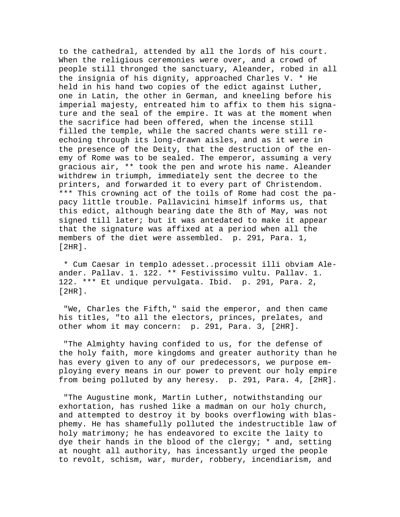to the cathedral, attended by all the lords of his court. When the religious ceremonies were over, and a crowd of people still thronged the sanctuary, Aleander, robed in all the insignia of his dignity, approached Charles V. \* He held in his hand two copies of the edict against Luther, one in Latin, the other in German, and kneeling before his imperial majesty, entreated him to affix to them his signature and the seal of the empire. It was at the moment when the sacrifice had been offered, when the incense still filled the temple, while the sacred chants were still reechoing through its long-drawn aisles, and as it were in the presence of the Deity, that the destruction of the enemy of Rome was to be sealed. The emperor, assuming a very gracious air, \*\* took the pen and wrote his name. Aleander withdrew in triumph, immediately sent the decree to the printers, and forwarded it to every part of Christendom. \*\*\* This crowning act of the toils of Rome had cost the papacy little trouble. Pallavicini himself informs us, that this edict, although bearing date the 8th of May, was not signed till later; but it was antedated to make it appear that the signature was affixed at a period when all the members of the diet were assembled. p. 291, Para. 1, [2HR].

 \* Cum Caesar in templo adesset..processit illi obviam Aleander. Pallav. 1. 122. \*\* Festivissimo vultu. Pallav. 1. 122. \*\*\* Et undique pervulgata. Ibid. p. 291, Para. 2, [2HR].

 "We, Charles the Fifth," said the emperor, and then came his titles, "to all the electors, princes, prelates, and other whom it may concern: p. 291, Para. 3, [2HR].

 "The Almighty having confided to us, for the defense of the holy faith, more kingdoms and greater authority than he has every given to any of our predecessors, we purpose employing every means in our power to prevent our holy empire from being polluted by any heresy. p. 291, Para. 4, [2HR].

 "The Augustine monk, Martin Luther, notwithstanding our exhortation, has rushed like a madman on our holy church, and attempted to destroy it by books overflowing with blasphemy. He has shamefully polluted the indestructible law of holy matrimony; he has endeavored to excite the laity to dye their hands in the blood of the clergy; \* and, setting at nought all authority, has incessantly urged the people to revolt, schism, war, murder, robbery, incendiarism, and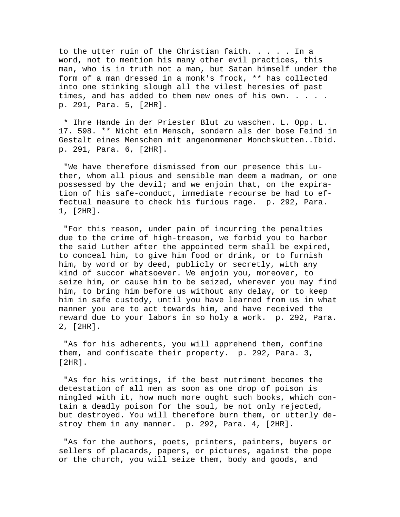to the utter ruin of the Christian faith. . . . . In a word, not to mention his many other evil practices, this man, who is in truth not a man, but Satan himself under the form of a man dressed in a monk's frock, \*\* has collected into one stinking slough all the vilest heresies of past times, and has added to them new ones of his own. . . . . p. 291, Para. 5, [2HR].

 \* Ihre Hande in der Priester Blut zu waschen. L. Opp. L. 17. 598. \*\* Nicht ein Mensch, sondern als der bose Feind in Gestalt eines Menschen mit angenommener Monchskutten..Ibid. p. 291, Para. 6, [2HR].

 "We have therefore dismissed from our presence this Luther, whom all pious and sensible man deem a madman, or one possessed by the devil; and we enjoin that, on the expiration of his safe-conduct, immediate recourse be had to effectual measure to check his furious rage. p. 292, Para. 1, [2HR].

 "For this reason, under pain of incurring the penalties due to the crime of high-treason, we forbid you to harbor the said Luther after the appointed term shall be expired, to conceal him, to give him food or drink, or to furnish him, by word or by deed, publicly or secretly, with any kind of succor whatsoever. We enjoin you, moreover, to seize him, or cause him to be seized, wherever you may find him, to bring him before us without any delay, or to keep him in safe custody, until you have learned from us in what manner you are to act towards him, and have received the reward due to your labors in so holy a work. p. 292, Para. 2, [2HR].

 "As for his adherents, you will apprehend them, confine them, and confiscate their property. p. 292, Para. 3,  $[2HR]$ .

 "As for his writings, if the best nutriment becomes the detestation of all men as soon as one drop of poison is mingled with it, how much more ought such books, which contain a deadly poison for the soul, be not only rejected, but destroyed. You will therefore burn them, or utterly destroy them in any manner. p. 292, Para. 4, [2HR].

 "As for the authors, poets, printers, painters, buyers or sellers of placards, papers, or pictures, against the pope or the church, you will seize them, body and goods, and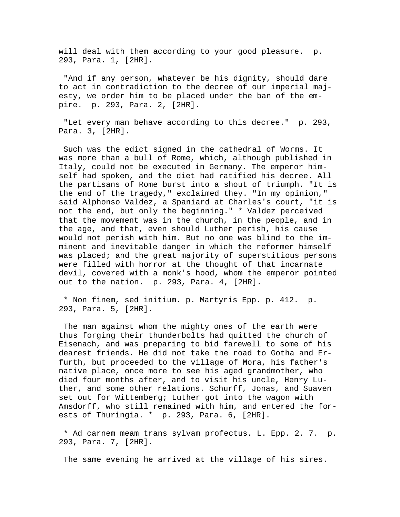will deal with them according to your good pleasure. p. 293, Para. 1, [2HR].

 "And if any person, whatever be his dignity, should dare to act in contradiction to the decree of our imperial majesty, we order him to be placed under the ban of the empire. p. 293, Para. 2, [2HR].

 "Let every man behave according to this decree." p. 293, Para. 3, [2HR].

 Such was the edict signed in the cathedral of Worms. It was more than a bull of Rome, which, although published in Italy, could not be executed in Germany. The emperor himself had spoken, and the diet had ratified his decree. All the partisans of Rome burst into a shout of triumph. "It is the end of the tragedy," exclaimed they. "In my opinion," said Alphonso Valdez, a Spaniard at Charles's court, "it is not the end, but only the beginning." \* Valdez perceived that the movement was in the church, in the people, and in the age, and that, even should Luther perish, his cause would not perish with him. But no one was blind to the imminent and inevitable danger in which the reformer himself was placed; and the great majority of superstitious persons were filled with horror at the thought of that incarnate devil, covered with a monk's hood, whom the emperor pointed out to the nation. p. 293, Para. 4, [2HR].

 \* Non finem, sed initium. p. Martyris Epp. p. 412. p. 293, Para. 5, [2HR].

 The man against whom the mighty ones of the earth were thus forging their thunderbolts had quitted the church of Eisenach, and was preparing to bid farewell to some of his dearest friends. He did not take the road to Gotha and Erfurth, but proceeded to the village of Mora, his father's native place, once more to see his aged grandmother, who died four months after, and to visit his uncle, Henry Luther, and some other relations. Schurff, Jonas, and Suaven set out for Wittemberg; Luther got into the wagon with Amsdorff, who still remained with him, and entered the forests of Thuringia. \* p. 293, Para. 6, [2HR].

 \* Ad carnem meam trans sylvam profectus. L. Epp. 2. 7. p. 293, Para. 7, [2HR].

The same evening he arrived at the village of his sires.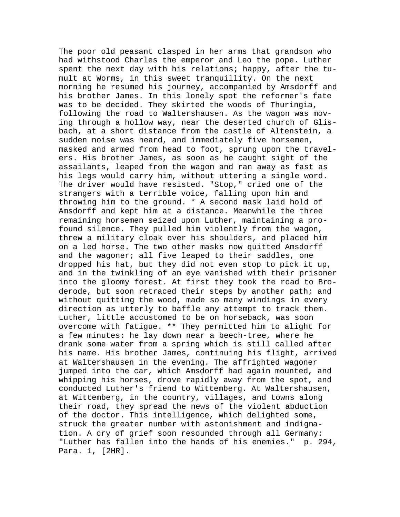The poor old peasant clasped in her arms that grandson who had withstood Charles the emperor and Leo the pope. Luther spent the next day with his relations; happy, after the tumult at Worms, in this sweet tranquillity. On the next morning he resumed his journey, accompanied by Amsdorff and his brother James. In this lonely spot the reformer's fate was to be decided. They skirted the woods of Thuringia, following the road to Waltershausen. As the wagon was moving through a hollow way, near the deserted church of Glisbach, at a short distance from the castle of Altenstein, a sudden noise was heard, and immediately five horsemen, masked and armed from head to foot, sprung upon the travelers. His brother James, as soon as he caught sight of the assailants, leaped from the wagon and ran away as fast as his legs would carry him, without uttering a single word. The driver would have resisted. "Stop," cried one of the strangers with a terrible voice, falling upon him and throwing him to the ground. \* A second mask laid hold of Amsdorff and kept him at a distance. Meanwhile the three remaining horsemen seized upon Luther, maintaining a profound silence. They pulled him violently from the wagon, threw a military cloak over his shoulders, and placed him on a led horse. The two other masks now quitted Amsdorff and the wagoner; all five leaped to their saddles, one dropped his hat, but they did not even stop to pick it up, and in the twinkling of an eye vanished with their prisoner into the gloomy forest. At first they took the road to Broderode, but soon retraced their steps by another path; and without quitting the wood, made so many windings in every direction as utterly to baffle any attempt to track them. Luther, little accustomed to be on horseback, was soon overcome with fatigue. \*\* They permitted him to alight for a few minutes: he lay down near a beech-tree, where he drank some water from a spring which is still called after his name. His brother James, continuing his flight, arrived at Waltershausen in the evening. The affrighted wagoner jumped into the car, which Amsdorff had again mounted, and whipping his horses, drove rapidly away from the spot, and conducted Luther's friend to Wittemberg. At Waltershausen, at Wittemberg, in the country, villages, and towns along their road, they spread the news of the violent abduction of the doctor. This intelligence, which delighted some, struck the greater number with astonishment and indignation. A cry of grief soon resounded through all Germany: "Luther has fallen into the hands of his enemies." p. 294, Para. 1, [2HR].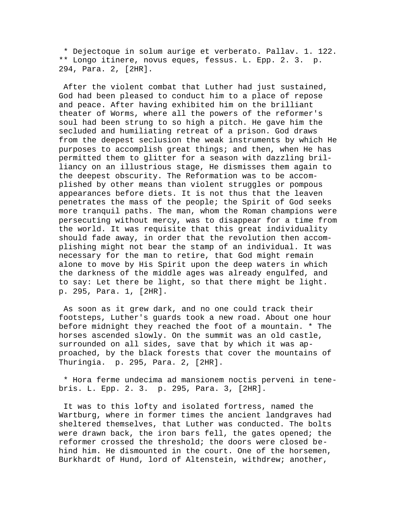\* Dejectoque in solum aurige et verberato. Pallav. 1. 122. \*\* Longo itinere, novus eques, fessus. L. Epp. 2. 3. p. 294, Para. 2, [2HR].

 After the violent combat that Luther had just sustained, God had been pleased to conduct him to a place of repose and peace. After having exhibited him on the brilliant theater of Worms, where all the powers of the reformer's soul had been strung to so high a pitch. He gave him the secluded and humiliating retreat of a prison. God draws from the deepest seclusion the weak instruments by which He purposes to accomplish great things; and then, when He has permitted them to glitter for a season with dazzling brilliancy on an illustrious stage, He dismisses them again to the deepest obscurity. The Reformation was to be accomplished by other means than violent struggles or pompous appearances before diets. It is not thus that the leaven penetrates the mass of the people; the Spirit of God seeks more tranquil paths. The man, whom the Roman champions were persecuting without mercy, was to disappear for a time from the world. It was requisite that this great individuality should fade away, in order that the revolution then accomplishing might not bear the stamp of an individual. It was necessary for the man to retire, that God might remain alone to move by His Spirit upon the deep waters in which the darkness of the middle ages was already engulfed, and to say: Let there be light, so that there might be light. p. 295, Para. 1, [2HR].

 As soon as it grew dark, and no one could track their footsteps, Luther's guards took a new road. About one hour before midnight they reached the foot of a mountain. \* The horses ascended slowly. On the summit was an old castle, surrounded on all sides, save that by which it was approached, by the black forests that cover the mountains of Thuringia. p. 295, Para. 2, [2HR].

 \* Hora ferme undecima ad mansionem noctis perveni in tenebris. L. Epp. 2. 3. p. 295, Para. 3, [2HR].

 It was to this lofty and isolated fortress, named the Wartburg, where in former times the ancient landgraves had sheltered themselves, that Luther was conducted. The bolts were drawn back, the iron bars fell, the gates opened; the reformer crossed the threshold; the doors were closed behind him. He dismounted in the court. One of the horsemen, Burkhardt of Hund, lord of Altenstein, withdrew; another,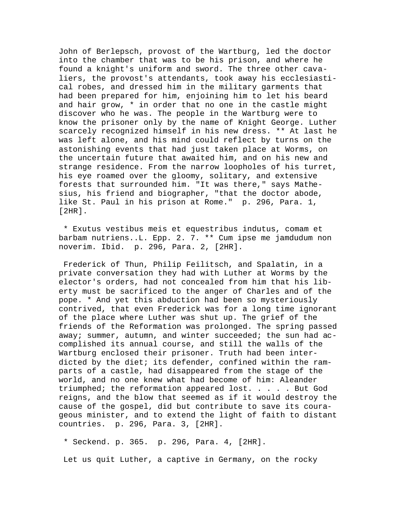John of Berlepsch, provost of the Wartburg, led the doctor into the chamber that was to be his prison, and where he found a knight's uniform and sword. The three other cavaliers, the provost's attendants, took away his ecclesiastical robes, and dressed him in the military garments that had been prepared for him, enjoining him to let his beard and hair grow, \* in order that no one in the castle might discover who he was. The people in the Wartburg were to know the prisoner only by the name of Knight George. Luther scarcely recognized himself in his new dress. \*\* At last he was left alone, and his mind could reflect by turns on the astonishing events that had just taken place at Worms, on the uncertain future that awaited him, and on his new and strange residence. From the narrow loopholes of his turret, his eye roamed over the gloomy, solitary, and extensive forests that surrounded him. "It was there," says Mathesius, his friend and biographer, "that the doctor abode, like St. Paul in his prison at Rome." p. 296, Para. 1,  $[2HR]$ .

 \* Exutus vestibus meis et equestribus indutus, comam et barbam nutriens..L. Epp. 2. 7. \*\* Cum ipse me jamdudum non noverim. Ibid. p. 296, Para. 2, [2HR].

 Frederick of Thun, Philip Feilitsch, and Spalatin, in a private conversation they had with Luther at Worms by the elector's orders, had not concealed from him that his liberty must be sacrificed to the anger of Charles and of the pope. \* And yet this abduction had been so mysteriously contrived, that even Frederick was for a long time ignorant of the place where Luther was shut up. The grief of the friends of the Reformation was prolonged. The spring passed away; summer, autumn, and winter succeeded; the sun had accomplished its annual course, and still the walls of the Wartburg enclosed their prisoner. Truth had been interdicted by the diet; its defender, confined within the ramparts of a castle, had disappeared from the stage of the world, and no one knew what had become of him: Aleander triumphed; the reformation appeared lost. . . . . But God reigns, and the blow that seemed as if it would destroy the cause of the gospel, did but contribute to save its courageous minister, and to extend the light of faith to distant countries. p. 296, Para. 3, [2HR].

\* Seckend. p. 365. p. 296, Para. 4, [2HR].

Let us quit Luther, a captive in Germany, on the rocky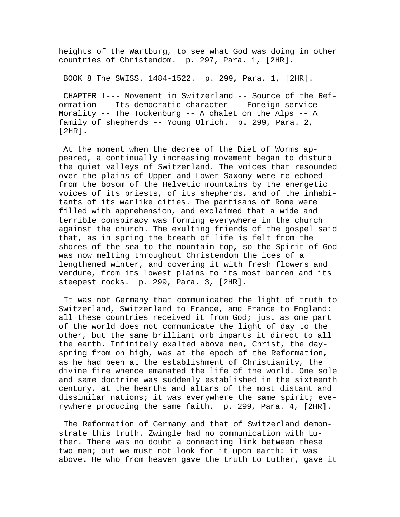heights of the Wartburg, to see what God was doing in other countries of Christendom. p. 297, Para. 1, [2HR].

BOOK 8 The SWISS. 1484-1522. p. 299, Para. 1, [2HR].

 CHAPTER 1--- Movement in Switzerland -- Source of the Reformation -- Its democratic character -- Foreign service -- Morality -- The Tockenburg -- A chalet on the Alps -- A family of shepherds -- Young Ulrich. p. 299, Para. 2,  $[2HR]$ .

 At the moment when the decree of the Diet of Worms appeared, a continually increasing movement began to disturb the quiet valleys of Switzerland. The voices that resounded over the plains of Upper and Lower Saxony were re-echoed from the bosom of the Helvetic mountains by the energetic voices of its priests, of its shepherds, and of the inhabitants of its warlike cities. The partisans of Rome were filled with apprehension, and exclaimed that a wide and terrible conspiracy was forming everywhere in the church against the church. The exulting friends of the gospel said that, as in spring the breath of life is felt from the shores of the sea to the mountain top, so the Spirit of God was now melting throughout Christendom the ices of a lengthened winter, and covering it with fresh flowers and verdure, from its lowest plains to its most barren and its steepest rocks. p. 299, Para. 3, [2HR].

 It was not Germany that communicated the light of truth to Switzerland, Switzerland to France, and France to England: all these countries received it from God; just as one part of the world does not communicate the light of day to the other, but the same brilliant orb imparts it direct to all the earth. Infinitely exalted above men, Christ, the dayspring from on high, was at the epoch of the Reformation, as he had been at the establishment of Christianity, the divine fire whence emanated the life of the world. One sole and same doctrine was suddenly established in the sixteenth century, at the hearths and altars of the most distant and dissimilar nations; it was everywhere the same spirit; everywhere producing the same faith. p. 299, Para. 4, [2HR].

 The Reformation of Germany and that of Switzerland demonstrate this truth. Zwingle had no communication with Luther. There was no doubt a connecting link between these two men; but we must not look for it upon earth: it was above. He who from heaven gave the truth to Luther, gave it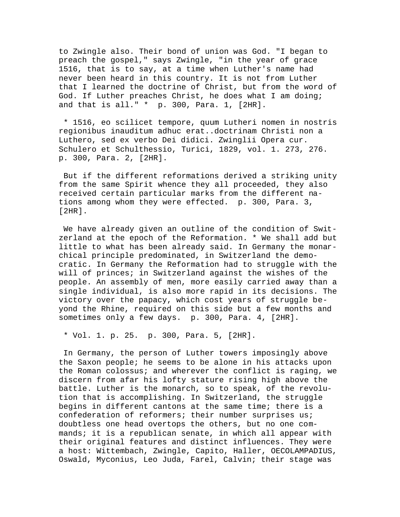to Zwingle also. Their bond of union was God. "I began to preach the gospel," says Zwingle, "in the year of grace 1516, that is to say, at a time when Luther's name had never been heard in this country. It is not from Luther that I learned the doctrine of Christ, but from the word of God. If Luther preaches Christ, he does what I am doing; and that is all." \* p. 300, Para. 1, [2HR].

 \* 1516, eo scilicet tempore, quum Lutheri nomen in nostris regionibus inauditum adhuc erat..doctrinam Christi non a Luthero, sed ex verbo Dei didici. Zwinglii Opera cur. Schulero et Schulthessio, Turici, 1829, vol. 1. 273, 276. p. 300, Para. 2, [2HR].

 But if the different reformations derived a striking unity from the same Spirit whence they all proceeded, they also received certain particular marks from the different nations among whom they were effected. p. 300, Para. 3, [2HR].

 We have already given an outline of the condition of Switzerland at the epoch of the Reformation. \* We shall add but little to what has been already said. In Germany the monarchical principle predominated, in Switzerland the democratic. In Germany the Reformation had to struggle with the will of princes; in Switzerland against the wishes of the people. An assembly of men, more easily carried away than a single individual, is also more rapid in its decisions. The victory over the papacy, which cost years of struggle beyond the Rhine, required on this side but a few months and sometimes only a few days. p. 300, Para. 4, [2HR].

\* Vol. 1. p. 25. p. 300, Para. 5, [2HR].

 In Germany, the person of Luther towers imposingly above the Saxon people; he seems to be alone in his attacks upon the Roman colossus; and wherever the conflict is raging, we discern from afar his lofty stature rising high above the battle. Luther is the monarch, so to speak, of the revolution that is accomplishing. In Switzerland, the struggle begins in different cantons at the same time; there is a confederation of reformers; their number surprises us; doubtless one head overtops the others, but no one commands; it is a republican senate, in which all appear with their original features and distinct influences. They were a host: Wittembach, Zwingle, Capito, Haller, OECOLAMPADIUS, Oswald, Myconius, Leo Juda, Farel, Calvin; their stage was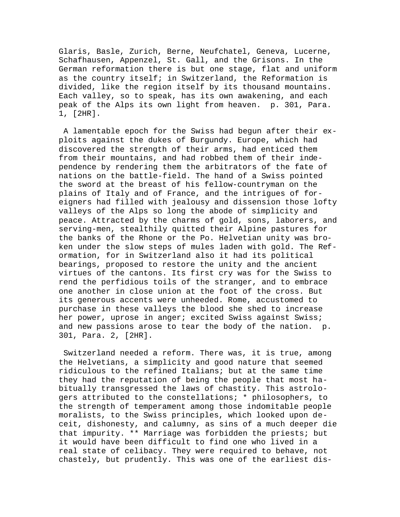Glaris, Basle, Zurich, Berne, Neufchatel, Geneva, Lucerne, Schafhausen, Appenzel, St. Gall, and the Grisons. In the German reformation there is but one stage, flat and uniform as the country itself; in Switzerland, the Reformation is divided, like the region itself by its thousand mountains. Each valley, so to speak, has its own awakening, and each peak of the Alps its own light from heaven. p. 301, Para. 1, [2HR].

 A lamentable epoch for the Swiss had begun after their exploits against the dukes of Burgundy. Europe, which had discovered the strength of their arms, had enticed them from their mountains, and had robbed them of their independence by rendering them the arbitrators of the fate of nations on the battle-field. The hand of a Swiss pointed the sword at the breast of his fellow-countryman on the plains of Italy and of France, and the intrigues of foreigners had filled with jealousy and dissension those lofty valleys of the Alps so long the abode of simplicity and peace. Attracted by the charms of gold, sons, laborers, and serving-men, stealthily quitted their Alpine pastures for the banks of the Rhone or the Po. Helvetian unity was broken under the slow steps of mules laden with gold. The Reformation, for in Switzerland also it had its political bearings, proposed to restore the unity and the ancient virtues of the cantons. Its first cry was for the Swiss to rend the perfidious toils of the stranger, and to embrace one another in close union at the foot of the cross. But its generous accents were unheeded. Rome, accustomed to purchase in these valleys the blood she shed to increase her power, uprose in anger; excited Swiss against Swiss; and new passions arose to tear the body of the nation. p. 301, Para. 2, [2HR].

 Switzerland needed a reform. There was, it is true, among the Helvetians, a simplicity and good nature that seemed ridiculous to the refined Italians; but at the same time they had the reputation of being the people that most habitually transgressed the laws of chastity. This astrologers attributed to the constellations; \* philosophers, to the strength of temperament among those indomitable people moralists, to the Swiss principles, which looked upon deceit, dishonesty, and calumny, as sins of a much deeper die that impurity. \*\* Marriage was forbidden the priests; but it would have been difficult to find one who lived in a real state of celibacy. They were required to behave, not chastely, but prudently. This was one of the earliest dis-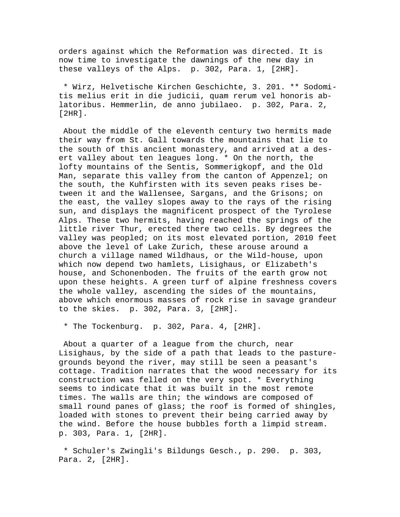orders against which the Reformation was directed. It is now time to investigate the dawnings of the new day in these valleys of the Alps. p. 302, Para. 1, [2HR].

 \* Wirz, Helvetische Kirchen Geschichte, 3. 201. \*\* Sodomitis melius erit in die judicii, quam rerum vel honoris ablatoribus. Hemmerlin, de anno jubilaeo. p. 302, Para. 2,  $[2HR]$ .

 About the middle of the eleventh century two hermits made their way from St. Gall towards the mountains that lie to the south of this ancient monastery, and arrived at a desert valley about ten leagues long. \* On the north, the lofty mountains of the Sentis, Sommerigkopf, and the Old Man, separate this valley from the canton of Appenzel; on the south, the Kuhfirsten with its seven peaks rises between it and the Wallensee, Sargans, and the Grisons; on the east, the valley slopes away to the rays of the rising sun, and displays the magnificent prospect of the Tyrolese Alps. These two hermits, having reached the springs of the little river Thur, erected there two cells. By degrees the valley was peopled; on its most elevated portion, 2010 feet above the level of Lake Zurich, these arouse around a church a village named Wildhaus, or the Wild-house, upon which now depend two hamlets, Lisighaus, or Elizabeth's house, and Schonenboden. The fruits of the earth grow not upon these heights. A green turf of alpine freshness covers the whole valley, ascending the sides of the mountains, above which enormous masses of rock rise in savage grandeur to the skies. p. 302, Para. 3, [2HR].

\* The Tockenburg. p. 302, Para. 4, [2HR].

 About a quarter of a league from the church, near Lisighaus, by the side of a path that leads to the pasturegrounds beyond the river, may still be seen a peasant's cottage. Tradition narrates that the wood necessary for its construction was felled on the very spot. \* Everything seems to indicate that it was built in the most remote times. The walls are thin; the windows are composed of small round panes of glass; the roof is formed of shingles, loaded with stones to prevent their being carried away by the wind. Before the house bubbles forth a limpid stream. p. 303, Para. 1, [2HR].

 \* Schuler's Zwingli's Bildungs Gesch., p. 290. p. 303, Para. 2, [2HR].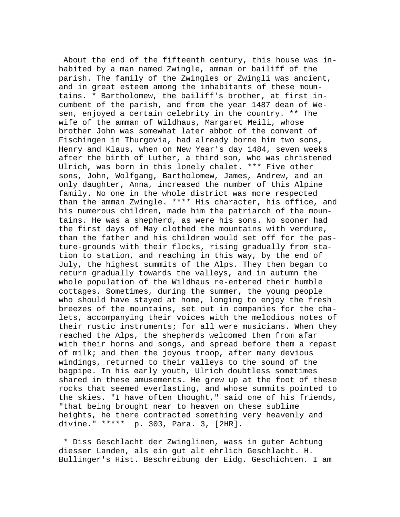About the end of the fifteenth century, this house was inhabited by a man named Zwingle, amman or bailiff of the parish. The family of the Zwingles or Zwingli was ancient, and in great esteem among the inhabitants of these mountains. \* Bartholomew, the bailiff's brother, at first incumbent of the parish, and from the year 1487 dean of Wesen, enjoyed a certain celebrity in the country. \*\* The wife of the amman of Wildhaus, Margaret Meili, whose brother John was somewhat later abbot of the convent of Fischingen in Thurgovia, had already borne him two sons, Henry and Klaus, when on New Year's day 1484, seven weeks after the birth of Luther, a third son, who was christened Ulrich, was born in this lonely chalet. \*\*\* Five other sons, John, Wolfgang, Bartholomew, James, Andrew, and an only daughter, Anna, increased the number of this Alpine family. No one in the whole district was more respected than the amman Zwingle. \*\*\*\* His character, his office, and his numerous children, made him the patriarch of the mountains. He was a shepherd, as were his sons. No sooner had the first days of May clothed the mountains with verdure, than the father and his children would set off for the pasture-grounds with their flocks, rising gradually from station to station, and reaching in this way, by the end of July, the highest summits of the Alps. They then began to return gradually towards the valleys, and in autumn the whole population of the Wildhaus re-entered their humble cottages. Sometimes, during the summer, the young people who should have stayed at home, longing to enjoy the fresh breezes of the mountains, set out in companies for the chalets, accompanying their voices with the melodious notes of their rustic instruments; for all were musicians. When they reached the Alps, the shepherds welcomed them from afar with their horns and songs, and spread before them a repast of milk; and then the joyous troop, after many devious windings, returned to their valleys to the sound of the bagpipe. In his early youth, Ulrich doubtless sometimes shared in these amusements. He grew up at the foot of these rocks that seemed everlasting, and whose summits pointed to the skies. "I have often thought," said one of his friends, "that being brought near to heaven on these sublime heights, he there contracted something very heavenly and divine." \*\*\*\*\* p. 303, Para. 3, [2HR].

 \* Diss Geschlacht der Zwinglinen, wass in guter Achtung diesser Landen, als ein gut alt ehrlich Geschlacht. H. Bullinger's Hist. Beschreibung der Eidg. Geschichten. I am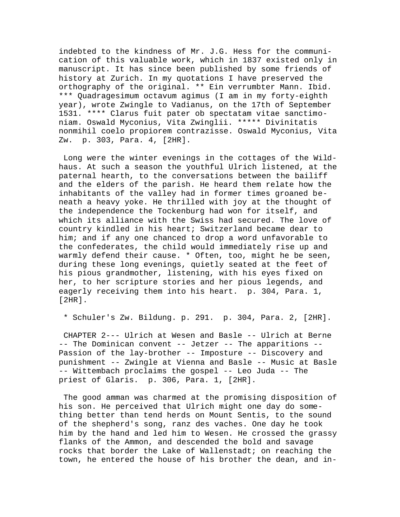indebted to the kindness of Mr. J.G. Hess for the communication of this valuable work, which in 1837 existed only in manuscript. It has since been published by some friends of history at Zurich. In my quotations I have preserved the orthography of the original. \*\* Ein verrumbter Mann. Ibid. \*\*\* Quadragesimum octavum agimus (I am in my forty-eighth year), wrote Zwingle to Vadianus, on the 17th of September 1531. \*\*\*\* Clarus fuit pater ob spectatam vitae sanctimoniam. Oswald Myconius, Vita Zwinglii. \*\*\*\*\* Divinitatis nonmihil coelo propiorem contrazisse. Oswald Myconius, Vita Zw. p. 303, Para. 4, [2HR].

 Long were the winter evenings in the cottages of the Wildhaus. At such a season the youthful Ulrich listened, at the paternal hearth, to the conversations between the bailiff and the elders of the parish. He heard them relate how the inhabitants of the valley had in former times groaned beneath a heavy yoke. He thrilled with joy at the thought of the independence the Tockenburg had won for itself, and which its alliance with the Swiss had secured. The love of country kindled in his heart; Switzerland became dear to him; and if any one chanced to drop a word unfavorable to the confederates, the child would immediately rise up and warmly defend their cause. \* Often, too, might he be seen, during these long evenings, quietly seated at the feet of his pious grandmother, listening, with his eyes fixed on her, to her scripture stories and her pious legends, and eagerly receiving them into his heart. p. 304, Para. 1,  $[2HR]$ .

\* Schuler's Zw. Bildung. p. 291. p. 304, Para. 2, [2HR].

 CHAPTER 2--- Ulrich at Wesen and Basle -- Ulrich at Berne -- The Dominican convent -- Jetzer -- The apparitions -- Passion of the lay-brother -- Imposture -- Discovery and punishment -- Zwingle at Vienna and Basle -- Music at Basle -- Wittembach proclaims the gospel -- Leo Juda -- The priest of Glaris. p. 306, Para. 1, [2HR].

 The good amman was charmed at the promising disposition of his son. He perceived that Ulrich might one day do something better than tend herds on Mount Sentis, to the sound of the shepherd's song, ranz des vaches. One day he took him by the hand and led him to Wesen. He crossed the grassy flanks of the Ammon, and descended the bold and savage rocks that border the Lake of Wallenstadt; on reaching the town, he entered the house of his brother the dean, and in-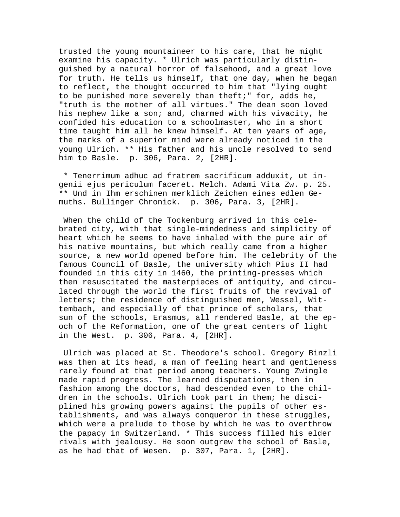trusted the young mountaineer to his care, that he might examine his capacity. \* Ulrich was particularly distinguished by a natural horror of falsehood, and a great love for truth. He tells us himself, that one day, when he began to reflect, the thought occurred to him that "lying ought to be punished more severely than theft;" for, adds he, "truth is the mother of all virtues." The dean soon loved his nephew like a son; and, charmed with his vivacity, he confided his education to a schoolmaster, who in a short time taught him all he knew himself. At ten years of age, the marks of a superior mind were already noticed in the young Ulrich. \*\* His father and his uncle resolved to send him to Basle. p. 306, Para. 2, [2HR].

 \* Tenerrimum adhuc ad fratrem sacrificum adduxit, ut ingenii ejus periculum faceret. Melch. Adami Vita Zw. p. 25. \*\* Und in Ihm erschinen merklich Zeichen eines edlen Gemuths. Bullinger Chronick. p. 306, Para. 3, [2HR].

 When the child of the Tockenburg arrived in this celebrated city, with that single-mindedness and simplicity of heart which he seems to have inhaled with the pure air of his native mountains, but which really came from a higher source, a new world opened before him. The celebrity of the famous Council of Basle, the university which Pius II had founded in this city in 1460, the printing-presses which then resuscitated the masterpieces of antiquity, and circulated through the world the first fruits of the revival of letters; the residence of distinguished men, Wessel, Wittembach, and especially of that prince of scholars, that sun of the schools, Erasmus, all rendered Basle, at the epoch of the Reformation, one of the great centers of light in the West. p. 306, Para. 4, [2HR].

 Ulrich was placed at St. Theodore's school. Gregory Binzli was then at its head, a man of feeling heart and gentleness rarely found at that period among teachers. Young Zwingle made rapid progress. The learned disputations, then in fashion among the doctors, had descended even to the children in the schools. Ulrich took part in them; he disciplined his growing powers against the pupils of other establishments, and was always conqueror in these struggles, which were a prelude to those by which he was to overthrow the papacy in Switzerland. \* This success filled his elder rivals with jealousy. He soon outgrew the school of Basle, as he had that of Wesen. p. 307, Para. 1, [2HR].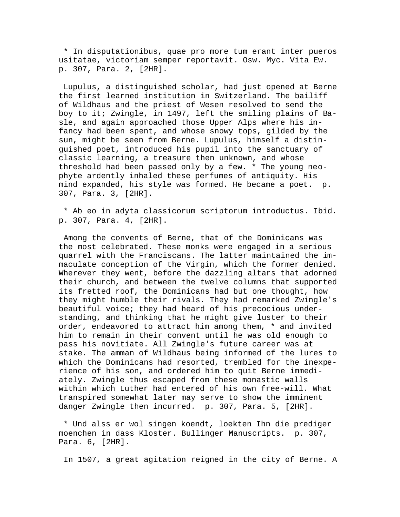\* In disputationibus, quae pro more tum erant inter pueros usitatae, victoriam semper reportavit. Osw. Myc. Vita Ew. p. 307, Para. 2, [2HR].

 Lupulus, a distinguished scholar, had just opened at Berne the first learned institution in Switzerland. The bailiff of Wildhaus and the priest of Wesen resolved to send the boy to it; Zwingle, in 1497, left the smiling plains of Basle, and again approached those Upper Alps where his infancy had been spent, and whose snowy tops, gilded by the sun, might be seen from Berne. Lupulus, himself a distinguished poet, introduced his pupil into the sanctuary of classic learning, a treasure then unknown, and whose threshold had been passed only by a few. \* The young neophyte ardently inhaled these perfumes of antiquity. His mind expanded, his style was formed. He became a poet. p. 307, Para. 3, [2HR].

 \* Ab eo in adyta classicorum scriptorum introductus. Ibid. p. 307, Para. 4, [2HR].

 Among the convents of Berne, that of the Dominicans was the most celebrated. These monks were engaged in a serious quarrel with the Franciscans. The latter maintained the immaculate conception of the Virgin, which the former denied. Wherever they went, before the dazzling altars that adorned their church, and between the twelve columns that supported its fretted roof, the Dominicans had but one thought, how they might humble their rivals. They had remarked Zwingle's beautiful voice; they had heard of his precocious understanding, and thinking that he might give luster to their order, endeavored to attract him among them, \* and invited him to remain in their convent until he was old enough to pass his novitiate. All Zwingle's future career was at stake. The amman of Wildhaus being informed of the lures to which the Dominicans had resorted, trembled for the inexperience of his son, and ordered him to quit Berne immediately. Zwingle thus escaped from these monastic walls within which Luther had entered of his own free-will. What transpired somewhat later may serve to show the imminent danger Zwingle then incurred. p. 307, Para. 5, [2HR].

 \* Und alss er wol singen koendt, loekten Ihn die prediger moenchen in dass Kloster. Bullinger Manuscripts. p. 307, Para. 6, [2HR].

In 1507, a great agitation reigned in the city of Berne. A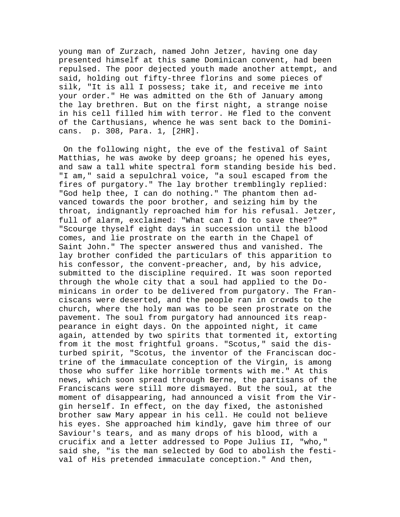young man of Zurzach, named John Jetzer, having one day presented himself at this same Dominican convent, had been repulsed. The poor dejected youth made another attempt, and said, holding out fifty-three florins and some pieces of silk, "It is all I possess; take it, and receive me into your order." He was admitted on the 6th of January among the lay brethren. But on the first night, a strange noise in his cell filled him with terror. He fled to the convent of the Carthusians, whence he was sent back to the Dominicans. p. 308, Para. 1, [2HR].

 On the following night, the eve of the festival of Saint Matthias, he was awoke by deep groans; he opened his eyes, and saw a tall white spectral form standing beside his bed. "I am," said a sepulchral voice, "a soul escaped from the fires of purgatory." The lay brother tremblingly replied: "God help thee, I can do nothing." The phantom then advanced towards the poor brother, and seizing him by the throat, indignantly reproached him for his refusal. Jetzer, full of alarm, exclaimed: "What can I do to save thee?" "Scourge thyself eight days in succession until the blood comes, and lie prostrate on the earth in the Chapel of Saint John." The specter answered thus and vanished. The lay brother confided the particulars of this apparition to his confessor, the convent-preacher, and, by his advice, submitted to the discipline required. It was soon reported through the whole city that a soul had applied to the Dominicans in order to be delivered from purgatory. The Franciscans were deserted, and the people ran in crowds to the church, where the holy man was to be seen prostrate on the pavement. The soul from purgatory had announced its reappearance in eight days. On the appointed night, it came again, attended by two spirits that tormented it, extorting from it the most frightful groans. "Scotus," said the disturbed spirit, "Scotus, the inventor of the Franciscan doctrine of the immaculate conception of the Virgin, is among those who suffer like horrible torments with me." At this news, which soon spread through Berne, the partisans of the Franciscans were still more dismayed. But the soul, at the moment of disappearing, had announced a visit from the Virgin herself. In effect, on the day fixed, the astonished brother saw Mary appear in his cell. He could not believe his eyes. She approached him kindly, gave him three of our Saviour's tears, and as many drops of his blood, with a crucifix and a letter addressed to Pope Julius II, "who," said she, "is the man selected by God to abolish the festival of His pretended immaculate conception." And then,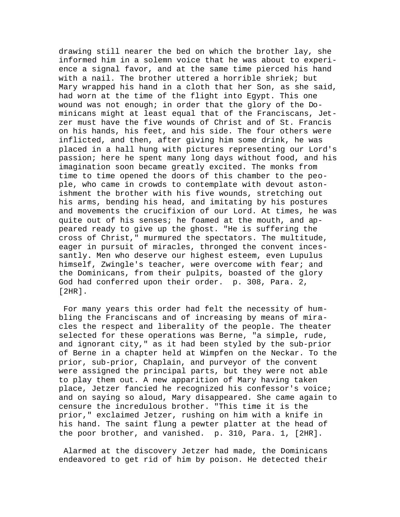drawing still nearer the bed on which the brother lay, she informed him in a solemn voice that he was about to experience a signal favor, and at the same time pierced his hand with a nail. The brother uttered a horrible shriek; but Mary wrapped his hand in a cloth that her Son, as she said, had worn at the time of the flight into Egypt. This one wound was not enough; in order that the glory of the Dominicans might at least equal that of the Franciscans, Jetzer must have the five wounds of Christ and of St. Francis on his hands, his feet, and his side. The four others were inflicted, and then, after giving him some drink, he was placed in a hall hung with pictures representing our Lord's passion; here he spent many long days without food, and his imagination soon became greatly excited. The monks from time to time opened the doors of this chamber to the people, who came in crowds to contemplate with devout astonishment the brother with his five wounds, stretching out his arms, bending his head, and imitating by his postures and movements the crucifixion of our Lord. At times, he was quite out of his senses; he foamed at the mouth, and appeared ready to give up the ghost. "He is suffering the cross of Christ," murmured the spectators. The multitude, eager in pursuit of miracles, thronged the convent incessantly. Men who deserve our highest esteem, even Lupulus himself, Zwingle's teacher, were overcome with fear; and the Dominicans, from their pulpits, boasted of the glory God had conferred upon their order. p. 308, Para. 2, [2HR].

 For many years this order had felt the necessity of humbling the Franciscans and of increasing by means of miracles the respect and liberality of the people. The theater selected for these operations was Berne, "a simple, rude, and ignorant city," as it had been styled by the sub-prior of Berne in a chapter held at Wimpfen on the Neckar. To the prior, sub-prior, Chaplain, and purveyor of the convent were assigned the principal parts, but they were not able to play them out. A new apparition of Mary having taken place, Jetzer fancied he recognized his confessor's voice; and on saying so aloud, Mary disappeared. She came again to censure the incredulous brother. "This time it is the prior," exclaimed Jetzer, rushing on him with a knife in his hand. The saint flung a pewter platter at the head of the poor brother, and vanished. p. 310, Para. 1, [2HR].

 Alarmed at the discovery Jetzer had made, the Dominicans endeavored to get rid of him by poison. He detected their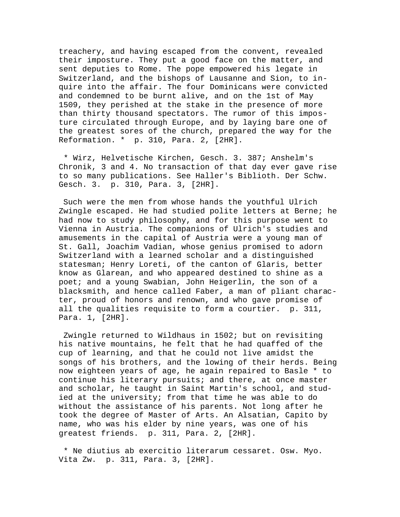treachery, and having escaped from the convent, revealed their imposture. They put a good face on the matter, and sent deputies to Rome. The pope empowered his legate in Switzerland, and the bishops of Lausanne and Sion, to inquire into the affair. The four Dominicans were convicted and condemned to be burnt alive, and on the 1st of May 1509, they perished at the stake in the presence of more than thirty thousand spectators. The rumor of this imposture circulated through Europe, and by laying bare one of the greatest sores of the church, prepared the way for the Reformation. \* p. 310, Para. 2, [2HR].

 \* Wirz, Helvetische Kirchen, Gesch. 3. 387; Anshelm's Chronik, 3 and 4. No transaction of that day ever gave rise to so many publications. See Haller's Biblioth. Der Schw. Gesch. 3. p. 310, Para. 3, [2HR].

 Such were the men from whose hands the youthful Ulrich Zwingle escaped. He had studied polite letters at Berne; he had now to study philosophy, and for this purpose went to Vienna in Austria. The companions of Ulrich's studies and amusements in the capital of Austria were a young man of St. Gall, Joachim Vadian, whose genius promised to adorn Switzerland with a learned scholar and a distinguished statesman; Henry Loreti, of the canton of Glaris, better know as Glarean, and who appeared destined to shine as a poet; and a young Swabian, John Heigerlin, the son of a blacksmith, and hence called Faber, a man of pliant character, proud of honors and renown, and who gave promise of all the qualities requisite to form a courtier. p. 311, Para. 1, [2HR].

 Zwingle returned to Wildhaus in 1502; but on revisiting his native mountains, he felt that he had quaffed of the cup of learning, and that he could not live amidst the songs of his brothers, and the lowing of their herds. Being now eighteen years of age, he again repaired to Basle \* to continue his literary pursuits; and there, at once master and scholar, he taught in Saint Martin's school, and studied at the university; from that time he was able to do without the assistance of his parents. Not long after he took the degree of Master of Arts. An Alsatian, Capito by name, who was his elder by nine years, was one of his greatest friends. p. 311, Para. 2, [2HR].

 \* Ne diutius ab exercitio literarum cessaret. Osw. Myo. Vita Zw. p. 311, Para. 3, [2HR].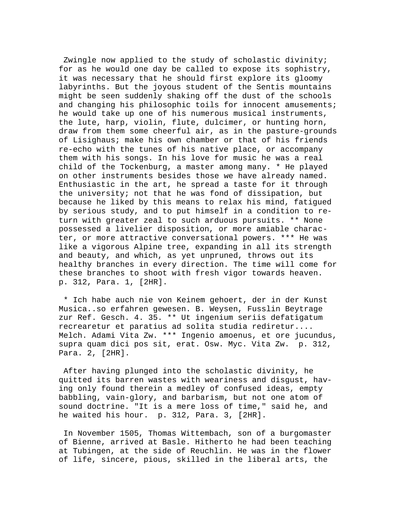Zwingle now applied to the study of scholastic divinity; for as he would one day be called to expose its sophistry, it was necessary that he should first explore its gloomy labyrinths. But the joyous student of the Sentis mountains might be seen suddenly shaking off the dust of the schools and changing his philosophic toils for innocent amusements; he would take up one of his numerous musical instruments, the lute, harp, violin, flute, dulcimer, or hunting horn, draw from them some cheerful air, as in the pasture-grounds of Lisighaus; make his own chamber or that of his friends re-echo with the tunes of his native place, or accompany them with his songs. In his love for music he was a real child of the Tockenburg, a master among many. \* He played on other instruments besides those we have already named. Enthusiastic in the art, he spread a taste for it through the university; not that he was fond of dissipation, but because he liked by this means to relax his mind, fatigued by serious study, and to put himself in a condition to return with greater zeal to such arduous pursuits. \*\* None possessed a livelier disposition, or more amiable character, or more attractive conversational powers. \*\*\* He was like a vigorous Alpine tree, expanding in all its strength and beauty, and which, as yet unpruned, throws out its healthy branches in every direction. The time will come for these branches to shoot with fresh vigor towards heaven. p. 312, Para. 1, [2HR].

 \* Ich habe auch nie von Keinem gehoert, der in der Kunst Musica..so erfahren gewesen. B. Weysen, Fusslin Beytrage zur Ref. Gesch. 4. 35. \*\* Ut ingenium seriis defatigatum recrearetur et paratius ad solita studia rediretur.... Melch. Adami Vita Zw. \*\*\* Ingenio amoenus, et ore jucundus, supra quam dici pos sit, erat. Osw. Myc. Vita Zw. p. 312, Para. 2, [2HR].

 After having plunged into the scholastic divinity, he quitted its barren wastes with weariness and disgust, having only found therein a medley of confused ideas, empty babbling, vain-glory, and barbarism, but not one atom of sound doctrine. "It is a mere loss of time," said he, and he waited his hour. p. 312, Para. 3, [2HR].

 In November 1505, Thomas Wittembach, son of a burgomaster of Bienne, arrived at Basle. Hitherto he had been teaching at Tubingen, at the side of Reuchlin. He was in the flower of life, sincere, pious, skilled in the liberal arts, the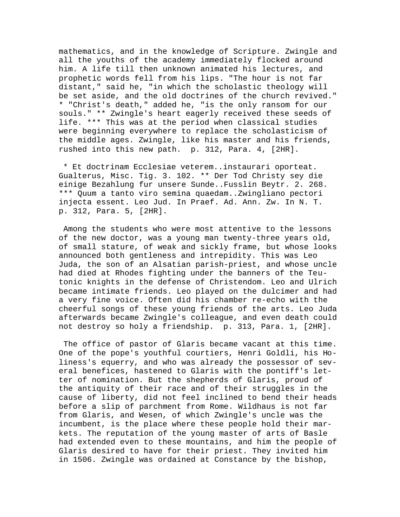mathematics, and in the knowledge of Scripture. Zwingle and all the youths of the academy immediately flocked around him. A life till then unknown animated his lectures, and prophetic words fell from his lips. "The hour is not far distant," said he, "in which the scholastic theology will be set aside, and the old doctrines of the church revived." \* "Christ's death," added he, "is the only ransom for our souls." \*\* Zwingle's heart eagerly received these seeds of life. \*\*\* This was at the period when classical studies were beginning everywhere to replace the scholasticism of the middle ages. Zwingle, like his master and his friends, rushed into this new path. p. 312, Para. 4, [2HR].

 \* Et doctrinam Ecclesiae veterem..instaurari oporteat. Gualterus, Misc. Tig. 3. 102. \*\* Der Tod Christy sey die einige Bezahlung fur unsere Sunde..Fusslin Beytr. 2. 268. \*\*\* Quum a tanto viro semina quaedam..Zwingliano pectori injecta essent. Leo Jud. In Praef. Ad. Ann. Zw. In N. T. p. 312, Para. 5, [2HR].

 Among the students who were most attentive to the lessons of the new doctor, was a young man twenty-three years old, of small stature, of weak and sickly frame, but whose looks announced both gentleness and intrepidity. This was Leo Juda, the son of an Alsatian parish-priest, and whose uncle had died at Rhodes fighting under the banners of the Teutonic knights in the defense of Christendom. Leo and Ulrich became intimate friends. Leo played on the dulcimer and had a very fine voice. Often did his chamber re-echo with the cheerful songs of these young friends of the arts. Leo Juda afterwards became Zwingle's colleague, and even death could not destroy so holy a friendship. p. 313, Para. 1, [2HR].

 The office of pastor of Glaris became vacant at this time. One of the pope's youthful courtiers, Henri Goldli, his Holiness's equerry, and who was already the possessor of several benefices, hastened to Glaris with the pontiff's letter of nomination. But the shepherds of Glaris, proud of the antiquity of their race and of their struggles in the cause of liberty, did not feel inclined to bend their heads before a slip of parchment from Rome. Wildhaus is not far from Glaris, and Wesen, of which Zwingle's uncle was the incumbent, is the place where these people hold their markets. The reputation of the young master of arts of Basle had extended even to these mountains, and him the people of Glaris desired to have for their priest. They invited him in 1506. Zwingle was ordained at Constance by the bishop,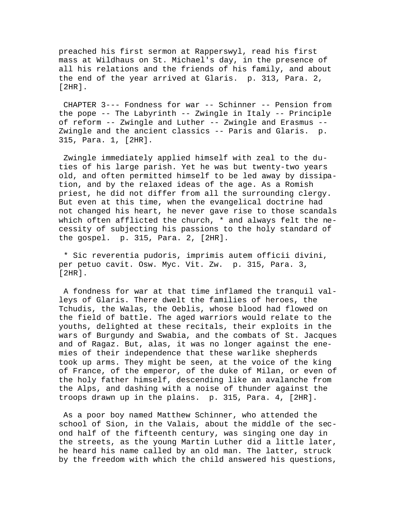preached his first sermon at Rapperswyl, read his first mass at Wildhaus on St. Michael's day, in the presence of all his relations and the friends of his family, and about the end of the year arrived at Glaris. p. 313, Para. 2,  $[2HR]$ .

 CHAPTER 3--- Fondness for war -- Schinner -- Pension from the pope -- The Labyrinth -- Zwingle in Italy -- Principle of reform -- Zwingle and Luther -- Zwingle and Erasmus -- Zwingle and the ancient classics -- Paris and Glaris. p. 315, Para. 1, [2HR].

 Zwingle immediately applied himself with zeal to the duties of his large parish. Yet he was but twenty-two years old, and often permitted himself to be led away by dissipation, and by the relaxed ideas of the age. As a Romish priest, he did not differ from all the surrounding clergy. But even at this time, when the evangelical doctrine had not changed his heart, he never gave rise to those scandals which often afflicted the church, \* and always felt the necessity of subjecting his passions to the holy standard of the gospel. p. 315, Para. 2, [2HR].

 \* Sic reverentia pudoris, imprimis autem officii divini, per petuo cavit. Osw. Myc. Vit. Zw. p. 315, Para. 3, [2HR].

 A fondness for war at that time inflamed the tranquil valleys of Glaris. There dwelt the families of heroes, the Tchudis, the Walas, the Oeblis, whose blood had flowed on the field of battle. The aged warriors would relate to the youths, delighted at these recitals, their exploits in the wars of Burgundy and Swabia, and the combats of St. Jacques and of Ragaz. But, alas, it was no longer against the enemies of their independence that these warlike shepherds took up arms. They might be seen, at the voice of the king of France, of the emperor, of the duke of Milan, or even of the holy father himself, descending like an avalanche from the Alps, and dashing with a noise of thunder against the troops drawn up in the plains. p. 315, Para. 4, [2HR].

 As a poor boy named Matthew Schinner, who attended the school of Sion, in the Valais, about the middle of the second half of the fifteenth century, was singing one day in the streets, as the young Martin Luther did a little later, he heard his name called by an old man. The latter, struck by the freedom with which the child answered his questions,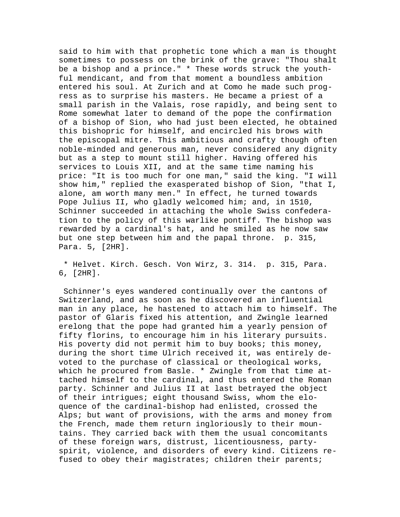said to him with that prophetic tone which a man is thought sometimes to possess on the brink of the grave: "Thou shalt be a bishop and a prince." \* These words struck the youthful mendicant, and from that moment a boundless ambition entered his soul. At Zurich and at Como he made such progress as to surprise his masters. He became a priest of a small parish in the Valais, rose rapidly, and being sent to Rome somewhat later to demand of the pope the confirmation of a bishop of Sion, who had just been elected, he obtained this bishopric for himself, and encircled his brows with the episcopal mitre. This ambitious and crafty though often noble-minded and generous man, never considered any dignity but as a step to mount still higher. Having offered his services to Louis XII, and at the same time naming his price: "It is too much for one man," said the king. "I will show him," replied the exasperated bishop of Sion, "that I, alone, am worth many men." In effect, he turned towards Pope Julius II, who gladly welcomed him; and, in 1510, Schinner succeeded in attaching the whole Swiss confederation to the policy of this warlike pontiff. The bishop was rewarded by a cardinal's hat, and he smiled as he now saw but one step between him and the papal throne. p. 315, Para. 5, [2HR].

 \* Helvet. Kirch. Gesch. Von Wirz, 3. 314. p. 315, Para. 6, [2HR].

 Schinner's eyes wandered continually over the cantons of Switzerland, and as soon as he discovered an influential man in any place, he hastened to attach him to himself. The pastor of Glaris fixed his attention, and Zwingle learned erelong that the pope had granted him a yearly pension of fifty florins, to encourage him in his literary pursuits. His poverty did not permit him to buy books; this money, during the short time Ulrich received it, was entirely devoted to the purchase of classical or theological works, which he procured from Basle. \* Zwingle from that time attached himself to the cardinal, and thus entered the Roman party. Schinner and Julius II at last betrayed the object of their intrigues; eight thousand Swiss, whom the eloquence of the cardinal-bishop had enlisted, crossed the Alps; but want of provisions, with the arms and money from the French, made them return ingloriously to their mountains. They carried back with them the usual concomitants of these foreign wars, distrust, licentiousness, partyspirit, violence, and disorders of every kind. Citizens refused to obey their magistrates; children their parents;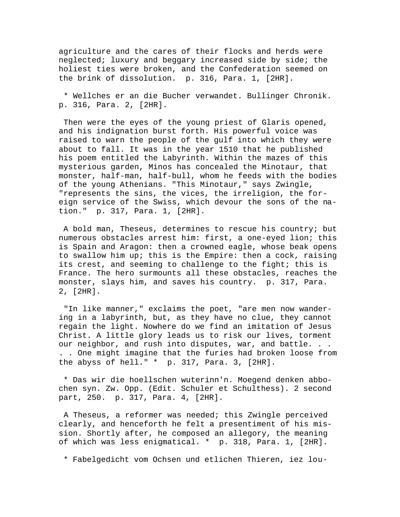agriculture and the cares of their flocks and herds were neglected; luxury and beggary increased side by side; the holiest ties were broken, and the Confederation seemed on the brink of dissolution. p. 316, Para. 1, [2HR].

 \* Wellches er an die Bucher verwandet. Bullinger Chronik. p. 316, Para. 2, [2HR].

 Then were the eyes of the young priest of Glaris opened, and his indignation burst forth. His powerful voice was raised to warn the people of the gulf into which they were about to fall. It was in the year 1510 that he published his poem entitled the Labyrinth. Within the mazes of this mysterious garden, Minos has concealed the Minotaur, that monster, half-man, half-bull, whom he feeds with the bodies of the young Athenians. "This Minotaur," says Zwingle, "represents the sins, the vices, the irreligion, the foreign service of the Swiss, which devour the sons of the nation." p. 317, Para. 1, [2HR].

 A bold man, Theseus, determines to rescue his country; but numerous obstacles arrest him: first, a one-eyed lion; this is Spain and Aragon: then a crowned eagle, whose beak opens to swallow him up; this is the Empire: then a cock, raising its crest, and seeming to challenge to the fight; this is France. The hero surmounts all these obstacles, reaches the monster, slays him, and saves his country. p. 317, Para. 2, [2HR].

 "In like manner," exclaims the poet, "are men now wandering in a labyrinth, but, as they have no clue, they cannot regain the light. Nowhere do we find an imitation of Jesus Christ. A little glory leads us to risk our lives, torment our neighbor, and rush into disputes, war, and battle. . . . . One might imagine that the furies had broken loose from the abyss of hell." \* p. 317, Para. 3, [2HR].

 \* Das wir die hoellschen wuterinn'n. Moegend denken abbochen syn. Zw. Opp. (Edit. Schuler et Schulthess). 2 second part, 250. p. 317, Para. 4, [2HR].

 A Theseus, a reformer was needed; this Zwingle perceived clearly, and henceforth he felt a presentiment of his mission. Shortly after, he composed an allegory, the meaning of which was less enigmatical. \* p. 318, Para. 1, [2HR].

\* Fabelgedicht vom Ochsen und etlichen Thieren, iez lou-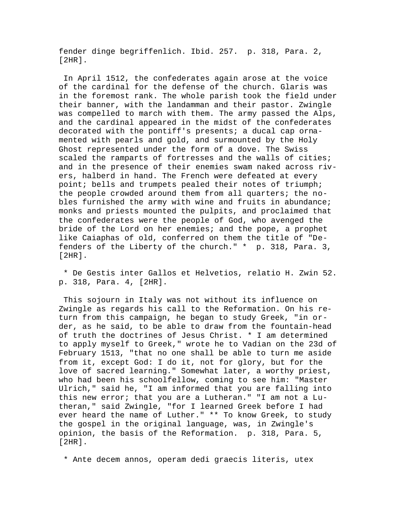fender dinge begriffenlich. Ibid. 257. p. 318, Para. 2,  $[2HR]$ .

 In April 1512, the confederates again arose at the voice of the cardinal for the defense of the church. Glaris was in the foremost rank. The whole parish took the field under their banner, with the landamman and their pastor. Zwingle was compelled to march with them. The army passed the Alps, and the cardinal appeared in the midst of the confederates decorated with the pontiff's presents; a ducal cap ornamented with pearls and gold, and surmounted by the Holy Ghost represented under the form of a dove. The Swiss scaled the ramparts of fortresses and the walls of cities; and in the presence of their enemies swam naked across rivers, halberd in hand. The French were defeated at every point; bells and trumpets pealed their notes of triumph; the people crowded around them from all quarters; the nobles furnished the army with wine and fruits in abundance; monks and priests mounted the pulpits, and proclaimed that the confederates were the people of God, who avenged the bride of the Lord on her enemies; and the pope, a prophet like Caiaphas of old, conferred on them the title of "Defenders of the Liberty of the church." \* p. 318, Para. 3, [2HR].

 \* De Gestis inter Gallos et Helvetios, relatio H. Zwin 52. p. 318, Para. 4, [2HR].

 This sojourn in Italy was not without its influence on Zwingle as regards his call to the Reformation. On his return from this campaign, he began to study Greek, "in order, as he said, to be able to draw from the fountain-head of truth the doctrines of Jesus Christ. \* I am determined to apply myself to Greek," wrote he to Vadian on the 23d of February 1513, "that no one shall be able to turn me aside from it, except God: I do it, not for glory, but for the love of sacred learning." Somewhat later, a worthy priest, who had been his schoolfellow, coming to see him: "Master Ulrich," said he, "I am informed that you are falling into this new error; that you are a Lutheran." "I am not a Lutheran," said Zwingle, "for I learned Greek before I had ever heard the name of Luther." \*\* To know Greek, to study the gospel in the original language, was, in Zwingle's opinion, the basis of the Reformation. p. 318, Para. 5, [2HR].

\* Ante decem annos, operam dedi graecis literis, utex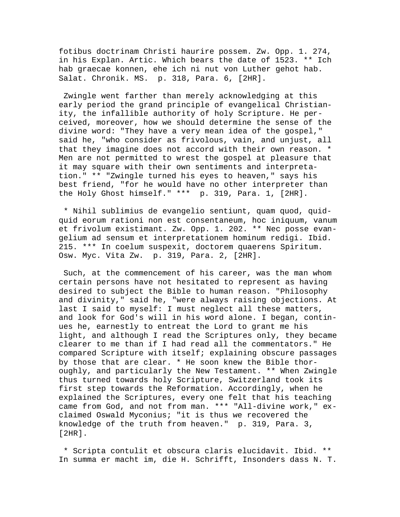fotibus doctrinam Christi haurire possem. Zw. Opp. 1. 274, in his Explan. Artic. Which bears the date of 1523. \*\* Ich hab graecae konnen, ehe ich ni nut von Luther gehot hab. Salat. Chronik. MS. p. 318, Para. 6, [2HR].

 Zwingle went farther than merely acknowledging at this early period the grand principle of evangelical Christianity, the infallible authority of holy Scripture. He perceived, moreover, how we should determine the sense of the divine word: "They have a very mean idea of the gospel," said he, "who consider as frivolous, vain, and unjust, all that they imagine does not accord with their own reason. \* Men are not permitted to wrest the gospel at pleasure that it may square with their own sentiments and interpretation." \*\* "Zwingle turned his eyes to heaven," says his best friend, "for he would have no other interpreter than the Holy Ghost himself." \*\*\* p. 319, Para. 1, [2HR].

 \* Nihil sublimius de evangelio sentiunt, quam quod, quidquid eorum rationi non est consentaneum, hoc iniquum, vanum et frivolum existimant. Zw. Opp. 1. 202. \*\* Nec posse evangelium ad sensum et interpretationem hominum redigi. Ibid. 215. \*\*\* In coelum suspexit, doctorem quaerens Spiritum. Osw. Myc. Vita Zw. p. 319, Para. 2, [2HR].

 Such, at the commencement of his career, was the man whom certain persons have not hesitated to represent as having desired to subject the Bible to human reason. "Philosophy and divinity," said he, "were always raising objections. At last I said to myself: I must neglect all these matters, and look for God's will in his word alone. I began, continues he, earnestly to entreat the Lord to grant me his light, and although I read the Scriptures only, they became clearer to me than if I had read all the commentators." He compared Scripture with itself; explaining obscure passages by those that are clear. \* He soon knew the Bible thoroughly, and particularly the New Testament. \*\* When Zwingle thus turned towards holy Scripture, Switzerland took its first step towards the Reformation. Accordingly, when he explained the Scriptures, every one felt that his teaching came from God, and not from man. \*\*\* "All-divine work," exclaimed Oswald Myconius; "it is thus we recovered the knowledge of the truth from heaven." p. 319, Para. 3,  $[2HR]$ .

 \* Scripta contulit et obscura claris elucidavit. Ibid. \*\* In summa er macht im, die H. Schrifft, Insonders dass N. T.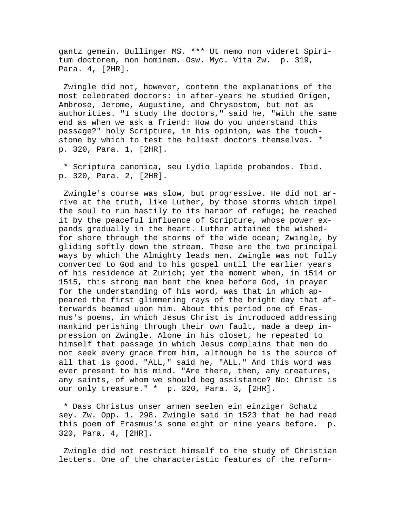gantz gemein. Bullinger MS. \*\*\* Ut nemo non videret Spiritum doctorem, non hominem. Osw. Myc. Vita Zw. p. 319, Para. 4, [2HR].

 Zwingle did not, however, contemn the explanations of the most celebrated doctors: in after-years he studied Origen, Ambrose, Jerome, Augustine, and Chrysostom, but not as authorities. "I study the doctors," said he, "with the same end as when we ask a friend: How do you understand this passage?" holy Scripture, in his opinion, was the touchstone by which to test the holiest doctors themselves. \* p. 320, Para. 1, [2HR].

 \* Scriptura canonica, seu Lydio lapide probandos. Ibid. p. 320, Para. 2, [2HR].

 Zwingle's course was slow, but progressive. He did not arrive at the truth, like Luther, by those storms which impel the soul to run hastily to its harbor of refuge; he reached it by the peaceful influence of Scripture, whose power expands gradually in the heart. Luther attained the wishedfor shore through the storms of the wide ocean; Zwingle, by gliding softly down the stream. These are the two principal ways by which the Almighty leads men. Zwingle was not fully converted to God and to his gospel until the earlier years of his residence at Zurich; yet the moment when, in 1514 or 1515, this strong man bent the knee before God, in prayer for the understanding of his word, was that in which appeared the first glimmering rays of the bright day that afterwards beamed upon him. About this period one of Erasmus's poems, in which Jesus Christ is introduced addressing mankind perishing through their own fault, made a deep impression on Zwingle. Alone in his closet, he repeated to himself that passage in which Jesus complains that men do not seek every grace from him, although he is the source of all that is good. "ALL," said he, "ALL." And this word was ever present to his mind. "Are there, then, any creatures, any saints, of whom we should beg assistance? No: Christ is our only treasure." \* p. 320, Para. 3, [2HR].

 \* Dass Christus unser armen seelen ein einziger Schatz sey. Zw. Opp. 1. 298. Zwingle said in 1523 that he had read this poem of Erasmus's some eight or nine years before. p. 320, Para. 4, [2HR].

 Zwingle did not restrict himself to the study of Christian letters. One of the characteristic features of the reform-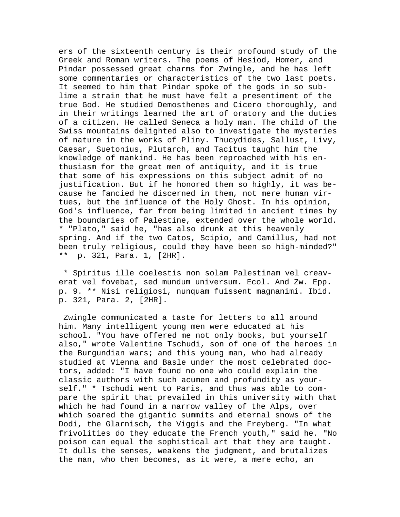ers of the sixteenth century is their profound study of the Greek and Roman writers. The poems of Hesiod, Homer, and Pindar possessed great charms for Zwingle, and he has left some commentaries or characteristics of the two last poets. It seemed to him that Pindar spoke of the gods in so sublime a strain that he must have felt a presentiment of the true God. He studied Demosthenes and Cicero thoroughly, and in their writings learned the art of oratory and the duties of a citizen. He called Seneca a holy man. The child of the Swiss mountains delighted also to investigate the mysteries of nature in the works of Pliny. Thucydides, Sallust, Livy, Caesar, Suetonius, Plutarch, and Tacitus taught him the knowledge of mankind. He has been reproached with his enthusiasm for the great men of antiquity, and it is true that some of his expressions on this subject admit of no justification. But if he honored them so highly, it was because he fancied he discerned in them, not mere human virtues, but the influence of the Holy Ghost. In his opinion, God's influence, far from being limited in ancient times by the boundaries of Palestine, extended over the whole world. \* "Plato," said he, "has also drunk at this heavenly spring. And if the two Catos, Scipio, and Camillus, had not been truly religious, could they have been so high-minded?" \*\* p. 321, Para. 1, [2HR].

 \* Spiritus ille coelestis non solam Palestinam vel creaverat vel fovebat, sed mundum universum. Ecol. And Zw. Epp. p. 9. \*\* Nisi religiosi, nunquam fuissent magnanimi. Ibid. p. 321, Para. 2, [2HR].

 Zwingle communicated a taste for letters to all around him. Many intelligent young men were educated at his school. "You have offered me not only books, but yourself also," wrote Valentine Tschudi, son of one of the heroes in the Burgundian wars; and this young man, who had already studied at Vienna and Basle under the most celebrated doctors, added: "I have found no one who could explain the classic authors with such acumen and profundity as yourself." \* Tschudi went to Paris, and thus was able to compare the spirit that prevailed in this university with that which he had found in a narrow valley of the Alps, over which soared the gigantic summits and eternal snows of the Dodi, the Glarnisch, the Viggis and the Freyberg. "In what frivolities do they educate the French youth," said he. "No poison can equal the sophistical art that they are taught. It dulls the senses, weakens the judgment, and brutalizes the man, who then becomes, as it were, a mere echo, an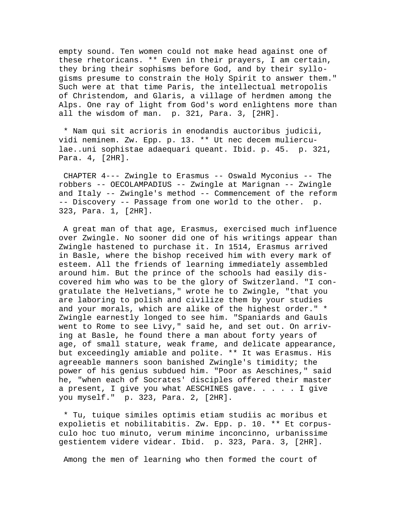empty sound. Ten women could not make head against one of these rhetoricans. \*\* Even in their prayers, I am certain, they bring their sophisms before God, and by their syllogisms presume to constrain the Holy Spirit to answer them." Such were at that time Paris, the intellectual metropolis of Christendom, and Glaris, a village of herdmen among the Alps. One ray of light from God's word enlightens more than all the wisdom of man. p. 321, Para. 3, [2HR].

 \* Nam qui sit acrioris in enodandis auctoribus judicii, vidi neminem. Zw. Epp. p. 13. \*\* Ut nec decem mulierculae..uni sophistae adaequari queant. Ibid. p. 45. p. 321, Para. 4, [2HR].

 CHAPTER 4--- Zwingle to Erasmus -- Oswald Myconius -- The robbers -- OECOLAMPADIUS -- Zwingle at Marignan -- Zwingle and Italy -- Zwingle's method -- Commencement of the reform -- Discovery -- Passage from one world to the other. p. 323, Para. 1, [2HR].

 A great man of that age, Erasmus, exercised much influence over Zwingle. No sooner did one of his writings appear than Zwingle hastened to purchase it. In 1514, Erasmus arrived in Basle, where the bishop received him with every mark of esteem. All the friends of learning immediately assembled around him. But the prince of the schools had easily discovered him who was to be the glory of Switzerland. "I congratulate the Helvetians," wrote he to Zwingle, "that you are laboring to polish and civilize them by your studies and your morals, which are alike of the highest order." \* Zwingle earnestly longed to see him. "Spaniards and Gauls went to Rome to see Livy," said he, and set out. On arriving at Basle, he found there a man about forty years of age, of small stature, weak frame, and delicate appearance, but exceedingly amiable and polite. \*\* It was Erasmus. His agreeable manners soon banished Zwingle's timidity; the power of his genius subdued him. "Poor as Aeschines," said he, "when each of Socrates' disciples offered their master a present, I give you what AESCHINES gave. . . . . I give you myself." p. 323, Para. 2, [2HR].

 \* Tu, tuique similes optimis etiam studiis ac moribus et expolietis et nobilitabitis. Zw. Epp. p. 10. \*\* Et corpusculo hoc tuo minuto, verum minime inconcinno, urbanissime gestientem videre videar. Ibid. p. 323, Para. 3, [2HR].

Among the men of learning who then formed the court of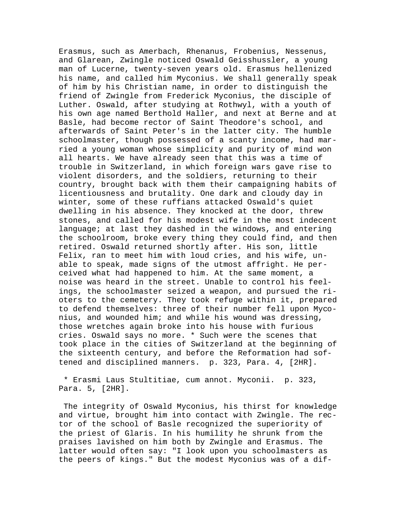Erasmus, such as Amerbach, Rhenanus, Frobenius, Nessenus, and Glarean, Zwingle noticed Oswald Geisshussler, a young man of Lucerne, twenty-seven years old. Erasmus hellenized his name, and called him Myconius. We shall generally speak of him by his Christian name, in order to distinguish the friend of Zwingle from Frederick Myconius, the disciple of Luther. Oswald, after studying at Rothwyl, with a youth of his own age named Berthold Haller, and next at Berne and at Basle, had become rector of Saint Theodore's school, and afterwards of Saint Peter's in the latter city. The humble schoolmaster, though possessed of a scanty income, had married a young woman whose simplicity and purity of mind won all hearts. We have already seen that this was a time of trouble in Switzerland, in which foreign wars gave rise to violent disorders, and the soldiers, returning to their country, brought back with them their campaigning habits of licentiousness and brutality. One dark and cloudy day in winter, some of these ruffians attacked Oswald's quiet dwelling in his absence. They knocked at the door, threw stones, and called for his modest wife in the most indecent language; at last they dashed in the windows, and entering the schoolroom, broke every thing they could find, and then retired. Oswald returned shortly after. His son, little Felix, ran to meet him with loud cries, and his wife, unable to speak, made signs of the utmost affright. He perceived what had happened to him. At the same moment, a noise was heard in the street. Unable to control his feelings, the schoolmaster seized a weapon, and pursued the rioters to the cemetery. They took refuge within it, prepared to defend themselves: three of their number fell upon Myconius, and wounded him; and while his wound was dressing, those wretches again broke into his house with furious cries. Oswald says no more. \* Such were the scenes that took place in the cities of Switzerland at the beginning of the sixteenth century, and before the Reformation had softened and disciplined manners. p. 323, Para. 4, [2HR].

 \* Erasmi Laus Stultitiae, cum annot. Myconii. p. 323, Para. 5, [2HR].

 The integrity of Oswald Myconius, his thirst for knowledge and virtue, brought him into contact with Zwingle. The rector of the school of Basle recognized the superiority of the priest of Glaris. In his humility he shrunk from the praises lavished on him both by Zwingle and Erasmus. The latter would often say: "I look upon you schoolmasters as the peers of kings." But the modest Myconius was of a dif-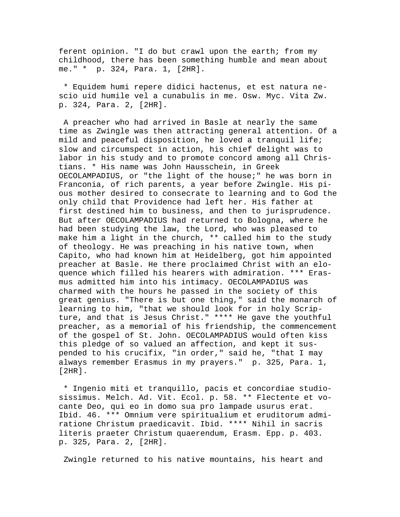ferent opinion. "I do but crawl upon the earth; from my childhood, there has been something humble and mean about me." \* p. 324, Para. 1, [2HR].

 \* Equidem humi repere didici hactenus, et est natura nescio uid humile vel a cunabulis in me. Osw. Myc. Vita Zw. p. 324, Para. 2, [2HR].

 A preacher who had arrived in Basle at nearly the same time as Zwingle was then attracting general attention. Of a mild and peaceful disposition, he loved a tranquil life; slow and circumspect in action, his chief delight was to labor in his study and to promote concord among all Christians. \* His name was John Hausschein, in Greek OECOLAMPADIUS, or "the light of the house;" he was born in Franconia, of rich parents, a year before Zwingle. His pious mother desired to consecrate to learning and to God the only child that Providence had left her. His father at first destined him to business, and then to jurisprudence. But after OECOLAMPADIUS had returned to Bologna, where he had been studying the law, the Lord, who was pleased to make him a light in the church, \*\* called him to the study of theology. He was preaching in his native town, when Capito, who had known him at Heidelberg, got him appointed preacher at Basle. He there proclaimed Christ with an eloquence which filled his hearers with admiration. \*\*\* Erasmus admitted him into his intimacy. OECOLAMPADIUS was charmed with the hours he passed in the society of this great genius. "There is but one thing," said the monarch of learning to him, "that we should look for in holy Scripture, and that is Jesus Christ." \*\*\*\* He gave the youthful preacher, as a memorial of his friendship, the commencement of the gospel of St. John. OECOLAMPADIUS would often kiss this pledge of so valued an affection, and kept it suspended to his crucifix, "in order," said he, "that I may always remember Erasmus in my prayers." p. 325, Para. 1, [2HR].

 \* Ingenio miti et tranquillo, pacis et concordiae studiosissimus. Melch. Ad. Vit. Ecol. p. 58. \*\* Flectente et vocante Deo, qui eo in domo sua pro lampade usurus erat. Ibid. 46. \*\*\* Omnium vere spiritualium et eruditorum admiratione Christum praedicavit. Ibid. \*\*\*\* Nihil in sacris literis praeter Christum quaerendum, Erasm. Epp. p. 403. p. 325, Para. 2, [2HR].

Zwingle returned to his native mountains, his heart and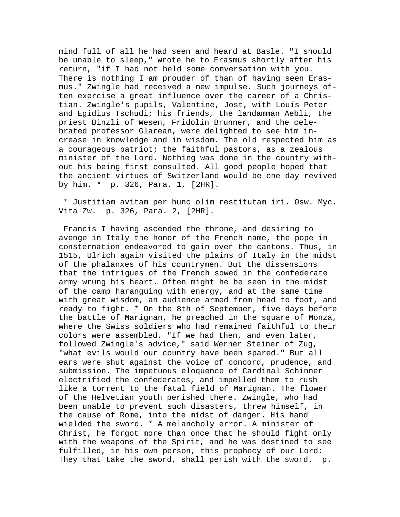mind full of all he had seen and heard at Basle. "I should be unable to sleep," wrote he to Erasmus shortly after his return, "if I had not held some conversation with you. There is nothing I am prouder of than of having seen Erasmus." Zwingle had received a new impulse. Such journeys often exercise a great influence over the career of a Christian. Zwingle's pupils, Valentine, Jost, with Louis Peter and Egidius Tschudi; his friends, the landamman Aebli, the priest Binzli of Wesen, Fridolin Brunner, and the celebrated professor Glarean, were delighted to see him increase in knowledge and in wisdom. The old respected him as a courageous patriot; the faithful pastors, as a zealous minister of the Lord. Nothing was done in the country without his being first consulted. All good people hoped that the ancient virtues of Switzerland would be one day revived by him. \* p. 326, Para. 1, [2HR].

 \* Justitiam avitam per hunc olim restitutam iri. Osw. Myc. Vita Zw. p. 326, Para. 2, [2HR].

 Francis I having ascended the throne, and desiring to avenge in Italy the honor of the French name, the pope in consternation endeavored to gain over the cantons. Thus, in 1515, Ulrich again visited the plains of Italy in the midst of the phalanxes of his countrymen. But the dissensions that the intrigues of the French sowed in the confederate army wrung his heart. Often might he be seen in the midst of the camp haranguing with energy, and at the same time with great wisdom, an audience armed from head to foot, and ready to fight. \* On the 8th of September, five days before the battle of Marignan, he preached in the square of Monza, where the Swiss soldiers who had remained faithful to their colors were assembled. "If we had then, and even later, followed Zwingle's advice," said Werner Steiner of Zug, "what evils would our country have been spared." But all ears were shut against the voice of concord, prudence, and submission. The impetuous eloquence of Cardinal Schinner electrified the confederates, and impelled them to rush like a torrent to the fatal field of Marignan. The flower of the Helvetian youth perished there. Zwingle, who had been unable to prevent such disasters, threw himself, in the cause of Rome, into the midst of danger. His hand wielded the sword. \* A melancholy error. A minister of Christ, he forgot more than once that he should fight only with the weapons of the Spirit, and he was destined to see fulfilled, in his own person, this prophecy of our Lord: They that take the sword, shall perish with the sword. p.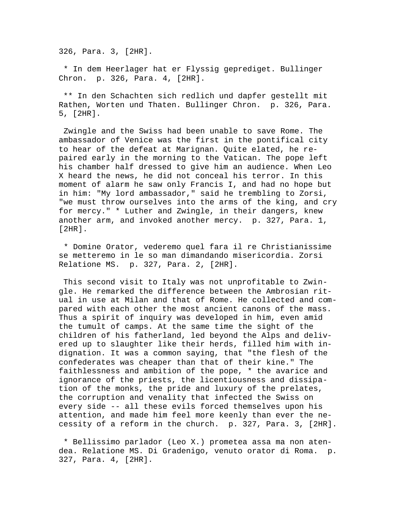326, Para. 3, [2HR].

 \* In dem Heerlager hat er Flyssig geprediget. Bullinger Chron. p. 326, Para. 4, [2HR].

 \*\* In den Schachten sich redlich und dapfer gestellt mit Rathen, Worten und Thaten. Bullinger Chron. p. 326, Para. 5, [2HR].

 Zwingle and the Swiss had been unable to save Rome. The ambassador of Venice was the first in the pontifical city to hear of the defeat at Marignan. Quite elated, he repaired early in the morning to the Vatican. The pope left his chamber half dressed to give him an audience. When Leo X heard the news, he did not conceal his terror. In this moment of alarm he saw only Francis I, and had no hope but in him: "My lord ambassador," said he trembling to Zorsi, "we must throw ourselves into the arms of the king, and cry for mercy." \* Luther and Zwingle, in their dangers, knew another arm, and invoked another mercy. p. 327, Para. 1,  $[2HR]$ .

 \* Domine Orator, vederemo quel fara il re Christianissime se metteremo in le so man dimandando misericordia. Zorsi Relatione MS. p. 327, Para. 2, [2HR].

 This second visit to Italy was not unprofitable to Zwingle. He remarked the difference between the Ambrosian ritual in use at Milan and that of Rome. He collected and compared with each other the most ancient canons of the mass. Thus a spirit of inquiry was developed in him, even amid the tumult of camps. At the same time the sight of the children of his fatherland, led beyond the Alps and delivered up to slaughter like their herds, filled him with indignation. It was a common saying, that "the flesh of the confederates was cheaper than that of their kine." The faithlessness and ambition of the pope, \* the avarice and ignorance of the priests, the licentiousness and dissipation of the monks, the pride and luxury of the prelates, the corruption and venality that infected the Swiss on every side -- all these evils forced themselves upon his attention, and made him feel more keenly than ever the necessity of a reform in the church. p. 327, Para. 3, [2HR].

 \* Bellissimo parlador (Leo X.) prometea assa ma non atendea. Relatione MS. Di Gradenigo, venuto orator di Roma. p. 327, Para. 4, [2HR].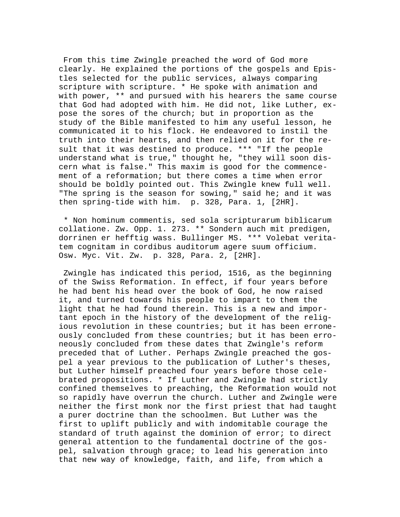From this time Zwingle preached the word of God more clearly. He explained the portions of the gospels and Epistles selected for the public services, always comparing scripture with scripture. \* He spoke with animation and with power, \*\* and pursued with his hearers the same course that God had adopted with him. He did not, like Luther, expose the sores of the church; but in proportion as the study of the Bible manifested to him any useful lesson, he communicated it to his flock. He endeavored to instil the truth into their hearts, and then relied on it for the result that it was destined to produce. \*\*\* "If the people understand what is true," thought he, "they will soon discern what is false." This maxim is good for the commencement of a reformation; but there comes a time when error should be boldly pointed out. This Zwingle knew full well. "The spring is the season for sowing," said he; and it was then spring-tide with him. p. 328, Para. 1, [2HR].

 \* Non hominum commentis, sed sola scripturarum biblicarum collatione. Zw. Opp. 1. 273. \*\* Sondern auch mit predigen, dorrinen er hefftig wass. Bullinger MS. \*\*\* Volebat veritatem cognitam in cordibus auditorum agere suum officium. Osw. Myc. Vit. Zw. p. 328, Para. 2, [2HR].

 Zwingle has indicated this period, 1516, as the beginning of the Swiss Reformation. In effect, if four years before he had bent his head over the book of God, he now raised it, and turned towards his people to impart to them the light that he had found therein. This is a new and important epoch in the history of the development of the religious revolution in these countries; but it has been erroneously concluded from these countries; but it has been erroneously concluded from these dates that Zwingle's reform preceded that of Luther. Perhaps Zwingle preached the gospel a year previous to the publication of Luther's theses, but Luther himself preached four years before those celebrated propositions. \* If Luther and Zwingle had strictly confined themselves to preaching, the Reformation would not so rapidly have overrun the church. Luther and Zwingle were neither the first monk nor the first priest that had taught a purer doctrine than the schoolmen. But Luther was the first to uplift publicly and with indomitable courage the standard of truth against the dominion of error; to direct general attention to the fundamental doctrine of the gospel, salvation through grace; to lead his generation into that new way of knowledge, faith, and life, from which a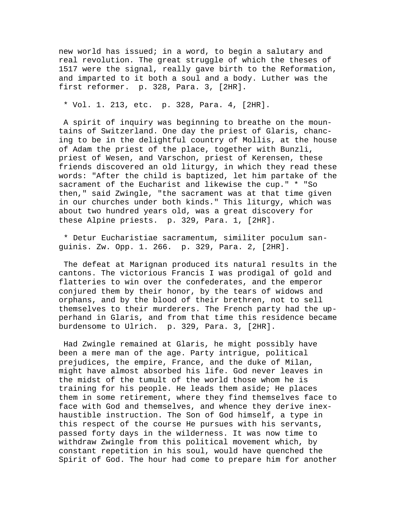new world has issued; in a word, to begin a salutary and real revolution. The great struggle of which the theses of 1517 were the signal, really gave birth to the Reformation, and imparted to it both a soul and a body. Luther was the first reformer. p. 328, Para. 3, [2HR].

\* Vol. 1. 213, etc. p. 328, Para. 4, [2HR].

 A spirit of inquiry was beginning to breathe on the mountains of Switzerland. One day the priest of Glaris, chancing to be in the delightful country of Mollis, at the house of Adam the priest of the place, together with Bunzli, priest of Wesen, and Varschon, priest of Kerensen, these friends discovered an old liturgy, in which they read these words: "After the child is baptized, let him partake of the sacrament of the Eucharist and likewise the cup." \* "So then," said Zwingle, "the sacrament was at that time given in our churches under both kinds." This liturgy, which was about two hundred years old, was a great discovery for these Alpine priests. p. 329, Para. 1, [2HR].

 \* Detur Eucharistiae sacramentum, similiter poculum sanguinis. Zw. Opp. 1. 266. p. 329, Para. 2, [2HR].

 The defeat at Marignan produced its natural results in the cantons. The victorious Francis I was prodigal of gold and flatteries to win over the confederates, and the emperor conjured them by their honor, by the tears of widows and orphans, and by the blood of their brethren, not to sell themselves to their murderers. The French party had the upperhand in Glaris, and from that time this residence became burdensome to Ulrich. p. 329, Para. 3, [2HR].

 Had Zwingle remained at Glaris, he might possibly have been a mere man of the age. Party intrigue, political prejudices, the empire, France, and the duke of Milan, might have almost absorbed his life. God never leaves in the midst of the tumult of the world those whom he is training for his people. He leads them aside; He places them in some retirement, where they find themselves face to face with God and themselves, and whence they derive inexhaustible instruction. The Son of God himself, a type in this respect of the course He pursues with his servants, passed forty days in the wilderness. It was now time to withdraw Zwingle from this political movement which, by constant repetition in his soul, would have quenched the Spirit of God. The hour had come to prepare him for another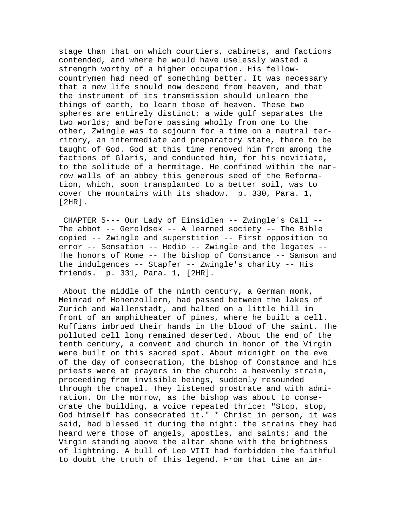stage than that on which courtiers, cabinets, and factions contended, and where he would have uselessly wasted a strength worthy of a higher occupation. His fellowcountrymen had need of something better. It was necessary that a new life should now descend from heaven, and that the instrument of its transmission should unlearn the things of earth, to learn those of heaven. These two spheres are entirely distinct: a wide gulf separates the two worlds; and before passing wholly from one to the other, Zwingle was to sojourn for a time on a neutral territory, an intermediate and preparatory state, there to be taught of God. God at this time removed him from among the factions of Glaris, and conducted him, for his novitiate, to the solitude of a hermitage. He confined within the narrow walls of an abbey this generous seed of the Reformation, which, soon transplanted to a better soil, was to cover the mountains with its shadow. p. 330, Para. 1, [2HR].

 CHAPTER 5--- Our Lady of Einsidlen -- Zwingle's Call -- The abbot -- Geroldsek -- A learned society -- The Bible copied -- Zwingle and superstition -- First opposition to error -- Sensation -- Hedio -- Zwingle and the legates -- The honors of Rome -- The bishop of Constance -- Samson and the indulgences -- Stapfer -- Zwingle's charity -- His friends. p. 331, Para. 1, [2HR].

 About the middle of the ninth century, a German monk, Meinrad of Hohenzollern, had passed between the lakes of Zurich and Wallenstadt, and halted on a little hill in front of an amphitheater of pines, where he built a cell. Ruffians imbrued their hands in the blood of the saint. The polluted cell long remained deserted. About the end of the tenth century, a convent and church in honor of the Virgin were built on this sacred spot. About midnight on the eve of the day of consecration, the bishop of Constance and his priests were at prayers in the church: a heavenly strain, proceeding from invisible beings, suddenly resounded through the chapel. They listened prostrate and with admiration. On the morrow, as the bishop was about to consecrate the building, a voice repeated thrice: "Stop, stop, God himself has consecrated it." \* Christ in person, it was said, had blessed it during the night: the strains they had heard were those of angels, apostles, and saints; and the Virgin standing above the altar shone with the brightness of lightning. A bull of Leo VIII had forbidden the faithful to doubt the truth of this legend. From that time an im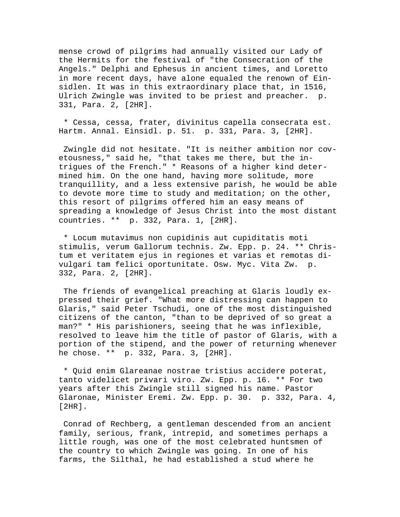mense crowd of pilgrims had annually visited our Lady of the Hermits for the festival of "the Consecration of the Angels." Delphi and Ephesus in ancient times, and Loretto in more recent days, have alone equaled the renown of Einsidlen. It was in this extraordinary place that, in 1516, Ulrich Zwingle was invited to be priest and preacher. p. 331, Para. 2, [2HR].

 \* Cessa, cessa, frater, divinitus capella consecrata est. Hartm. Annal. Einsidl. p. 51. p. 331, Para. 3, [2HR].

 Zwingle did not hesitate. "It is neither ambition nor covetousness," said he, "that takes me there, but the intrigues of the French." \* Reasons of a higher kind determined him. On the one hand, having more solitude, more tranquillity, and a less extensive parish, he would be able to devote more time to study and meditation; on the other, this resort of pilgrims offered him an easy means of spreading a knowledge of Jesus Christ into the most distant countries. \*\* p. 332, Para. 1, [2HR].

 \* Locum mutavimus non cupidinis aut cupiditatis moti stimulis, verum Gallorum technis. Zw. Epp. p. 24. \*\* Christum et veritatem ejus in regiones et varias et remotas divulgari tam felici oportunitate. Osw. Myc. Vita Zw. p. 332, Para. 2, [2HR].

 The friends of evangelical preaching at Glaris loudly expressed their grief. "What more distressing can happen to Glaris," said Peter Tschudi, one of the most distinguished citizens of the canton, "than to be deprived of so great a man?" \* His parishioners, seeing that he was inflexible, resolved to leave him the title of pastor of Glaris, with a portion of the stipend, and the power of returning whenever he chose. \*\* p. 332, Para. 3, [2HR].

 \* Quid enim Glareanae nostrae tristius accidere poterat, tanto videlicet privari viro. Zw. Epp. p. 16. \*\* For two years after this Zwingle still signed his name. Pastor Glaronae, Minister Eremi. Zw. Epp. p. 30. p. 332, Para. 4, [2HR].

 Conrad of Rechberg, a gentleman descended from an ancient family, serious, frank, intrepid, and sometimes perhaps a little rough, was one of the most celebrated huntsmen of the country to which Zwingle was going. In one of his farms, the Silthal, he had established a stud where he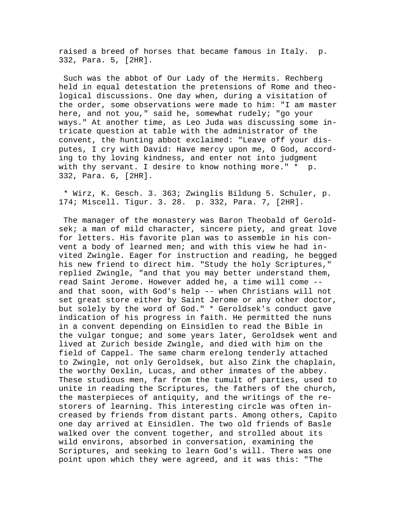raised a breed of horses that became famous in Italy. p. 332, Para. 5, [2HR].

 Such was the abbot of Our Lady of the Hermits. Rechberg held in equal detestation the pretensions of Rome and theological discussions. One day when, during a visitation of the order, some observations were made to him: "I am master here, and not you," said he, somewhat rudely; "go your ways." At another time, as Leo Juda was discussing some intricate question at table with the administrator of the convent, the hunting abbot exclaimed: "Leave off your disputes, I cry with David: Have mercy upon me, O God, according to thy loving kindness, and enter not into judgment with thy servant. I desire to know nothing more." \* p. 332, Para. 6, [2HR].

 \* Wirz, K. Gesch. 3. 363; Zwinglis Bildung 5. Schuler, p. 174; Miscell. Tigur. 3. 28. p. 332, Para. 7, [2HR].

 The manager of the monastery was Baron Theobald of Geroldsek; a man of mild character, sincere piety, and great love for letters. His favorite plan was to assemble in his convent a body of learned men; and with this view he had invited Zwingle. Eager for instruction and reading, he begged his new friend to direct him. "Study the holy Scriptures," replied Zwingle, "and that you may better understand them, read Saint Jerome. However added he, a time will come - and that soon, with God's help -- when Christians will not set great store either by Saint Jerome or any other doctor, but solely by the word of God." \* Geroldsek's conduct gave indication of his progress in faith. He permitted the nuns in a convent depending on Einsidlen to read the Bible in the vulgar tongue; and some years later, Geroldsek went and lived at Zurich beside Zwingle, and died with him on the field of Cappel. The same charm erelong tenderly attached to Zwingle, not only Geroldsek, but also Zink the chaplain, the worthy Oexlin, Lucas, and other inmates of the abbey. These studious men, far from the tumult of parties, used to unite in reading the Scriptures, the fathers of the church, the masterpieces of antiquity, and the writings of the restorers of learning. This interesting circle was often increased by friends from distant parts. Among others, Capito one day arrived at Einsidlen. The two old friends of Basle walked over the convent together, and strolled about its wild environs, absorbed in conversation, examining the Scriptures, and seeking to learn God's will. There was one point upon which they were agreed, and it was this: "The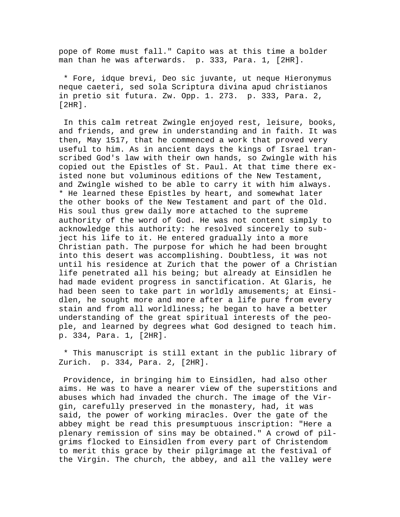pope of Rome must fall." Capito was at this time a bolder man than he was afterwards. p. 333, Para. 1, [2HR].

 \* Fore, idque brevi, Deo sic juvante, ut neque Hieronymus neque caeteri, sed sola Scriptura divina apud christianos in pretio sit futura. Zw. Opp. 1. 273. p. 333, Para. 2, [2HR].

 In this calm retreat Zwingle enjoyed rest, leisure, books, and friends, and grew in understanding and in faith. It was then, May 1517, that he commenced a work that proved very useful to him. As in ancient days the kings of Israel transcribed God's law with their own hands, so Zwingle with his copied out the Epistles of St. Paul. At that time there existed none but voluminous editions of the New Testament, and Zwingle wished to be able to carry it with him always. \* He learned these Epistles by heart, and somewhat later the other books of the New Testament and part of the Old. His soul thus grew daily more attached to the supreme authority of the word of God. He was not content simply to acknowledge this authority: he resolved sincerely to subject his life to it. He entered gradually into a more Christian path. The purpose for which he had been brought into this desert was accomplishing. Doubtless, it was not until his residence at Zurich that the power of a Christian life penetrated all his being; but already at Einsidlen he had made evident progress in sanctification. At Glaris, he had been seen to take part in worldly amusements; at Einsidlen, he sought more and more after a life pure from every stain and from all worldliness; he began to have a better understanding of the great spiritual interests of the people, and learned by degrees what God designed to teach him. p. 334, Para. 1, [2HR].

 \* This manuscript is still extant in the public library of Zurich. p. 334, Para. 2, [2HR].

 Providence, in bringing him to Einsidlen, had also other aims. He was to have a nearer view of the superstitions and abuses which had invaded the church. The image of the Virgin, carefully preserved in the monastery, had, it was said, the power of working miracles. Over the gate of the abbey might be read this presumptuous inscription: "Here a plenary remission of sins may be obtained." A crowd of pilgrims flocked to Einsidlen from every part of Christendom to merit this grace by their pilgrimage at the festival of the Virgin. The church, the abbey, and all the valley were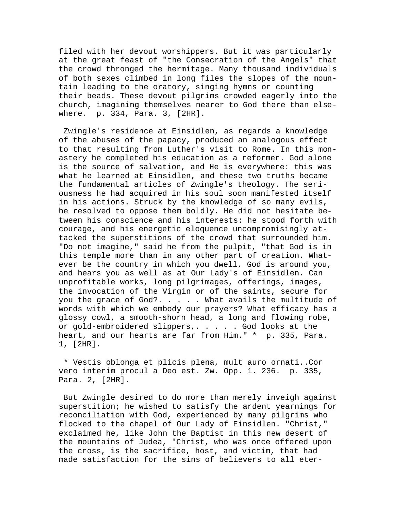filed with her devout worshippers. But it was particularly at the great feast of "the Consecration of the Angels" that the crowd thronged the hermitage. Many thousand individuals of both sexes climbed in long files the slopes of the mountain leading to the oratory, singing hymns or counting their beads. These devout pilgrims crowded eagerly into the church, imagining themselves nearer to God there than elsewhere. p. 334, Para. 3, [2HR].

 Zwingle's residence at Einsidlen, as regards a knowledge of the abuses of the papacy, produced an analogous effect to that resulting from Luther's visit to Rome. In this monastery he completed his education as a reformer. God alone is the source of salvation, and He is everywhere: this was what he learned at Einsidlen, and these two truths became the fundamental articles of Zwingle's theology. The seriousness he had acquired in his soul soon manifested itself in his actions. Struck by the knowledge of so many evils, he resolved to oppose them boldly. He did not hesitate between his conscience and his interests: he stood forth with courage, and his energetic eloquence uncompromisingly attacked the superstitions of the crowd that surrounded him. "Do not imagine," said he from the pulpit, "that God is in this temple more than in any other part of creation. Whatever be the country in which you dwell, God is around you, and hears you as well as at Our Lady's of Einsidlen. Can unprofitable works, long pilgrimages, offerings, images, the invocation of the Virgin or of the saints, secure for you the grace of God?. . . . . What avails the multitude of words with which we embody our prayers? What efficacy has a glossy cowl, a smooth-shorn head, a long and flowing robe, or gold-embroidered slippers,. . . . . God looks at the heart, and our hearts are far from Him." \* p. 335, Para. 1, [2HR].

 \* Vestis oblonga et plicis plena, mult auro ornati..Cor vero interim procul a Deo est. Zw. Opp. 1. 236. p. 335, Para. 2, [2HR].

 But Zwingle desired to do more than merely inveigh against superstition; he wished to satisfy the ardent yearnings for reconciliation with God, experienced by many pilgrims who flocked to the chapel of Our Lady of Einsidlen. "Christ," exclaimed he, like John the Baptist in this new desert of the mountains of Judea, "Christ, who was once offered upon the cross, is the sacrifice, host, and victim, that had made satisfaction for the sins of believers to all eter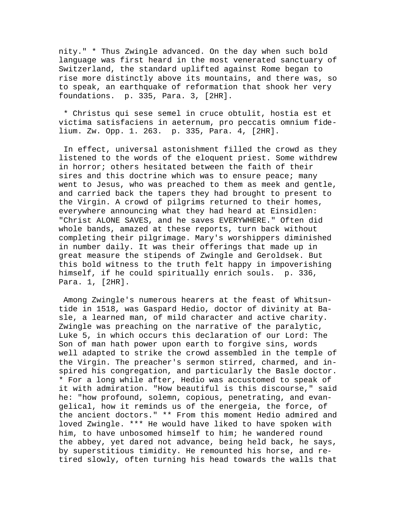nity." \* Thus Zwingle advanced. On the day when such bold language was first heard in the most venerated sanctuary of Switzerland, the standard uplifted against Rome began to rise more distinctly above its mountains, and there was, so to speak, an earthquake of reformation that shook her very foundations. p. 335, Para. 3, [2HR].

 \* Christus qui sese semel in cruce obtulit, hostia est et victima satisfaciens in aeternum, pro peccatis omnium fidelium. Zw. Opp. 1. 263. p. 335, Para. 4, [2HR].

 In effect, universal astonishment filled the crowd as they listened to the words of the eloquent priest. Some withdrew in horror; others hesitated between the faith of their sires and this doctrine which was to ensure peace; many went to Jesus, who was preached to them as meek and gentle, and carried back the tapers they had brought to present to the Virgin. A crowd of pilgrims returned to their homes, everywhere announcing what they had heard at Einsidlen: "Christ ALONE SAVES, and he saves EVERYWHERE." Often did whole bands, amazed at these reports, turn back without completing their pilgrimage. Mary's worshippers diminished in number daily. It was their offerings that made up in great measure the stipends of Zwingle and Geroldsek. But this bold witness to the truth felt happy in impoverishing himself, if he could spiritually enrich souls. p. 336, Para. 1, [2HR].

 Among Zwingle's numerous hearers at the feast of Whitsuntide in 1518, was Gaspard Hedio, doctor of divinity at Basle, a learned man, of mild character and active charity. Zwingle was preaching on the narrative of the paralytic, Luke 5, in which occurs this declaration of our Lord: The Son of man hath power upon earth to forgive sins, words well adapted to strike the crowd assembled in the temple of the Virgin. The preacher's sermon stirred, charmed, and inspired his congregation, and particularly the Basle doctor. \* For a long while after, Hedio was accustomed to speak of it with admiration. "How beautiful is this discourse," said he: "how profound, solemn, copious, penetrating, and evangelical, how it reminds us of the energeia, the force, of the ancient doctors." \*\* From this moment Hedio admired and loved Zwingle. \*\*\* He would have liked to have spoken with him, to have unbosomed himself to him; he wandered round the abbey, yet dared not advance, being held back, he says, by superstitious timidity. He remounted his horse, and retired slowly, often turning his head towards the walls that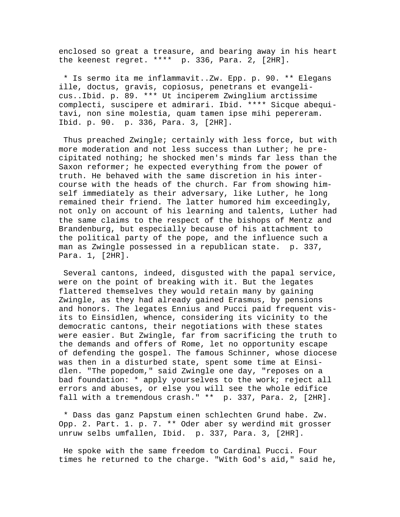enclosed so great a treasure, and bearing away in his heart the keenest regret. \*\*\*\* p. 336, Para. 2, [2HR].

 \* Is sermo ita me inflammavit..Zw. Epp. p. 90. \*\* Elegans ille, doctus, gravis, copiosus, penetrans et evangelicus..Ibid. p. 89. \*\*\* Ut inciperem Zwinglium arctissime complecti, suscipere et admirari. Ibid. \*\*\*\* Sicque abequitavi, non sine molestia, quam tamen ipse mihi pepereram. Ibid. p. 90. p. 336, Para. 3, [2HR].

 Thus preached Zwingle; certainly with less force, but with more moderation and not less success than Luther; he precipitated nothing; he shocked men's minds far less than the Saxon reformer; he expected everything from the power of truth. He behaved with the same discretion in his intercourse with the heads of the church. Far from showing himself immediately as their adversary, like Luther, he long remained their friend. The latter humored him exceedingly, not only on account of his learning and talents, Luther had the same claims to the respect of the bishops of Mentz and Brandenburg, but especially because of his attachment to the political party of the pope, and the influence such a man as Zwingle possessed in a republican state. p. 337, Para. 1, [2HR].

 Several cantons, indeed, disgusted with the papal service, were on the point of breaking with it. But the legates flattered themselves they would retain many by gaining Zwingle, as they had already gained Erasmus, by pensions and honors. The legates Ennius and Pucci paid frequent visits to Einsidlen, whence, considering its vicinity to the democratic cantons, their negotiations with these states were easier. But Zwingle, far from sacrificing the truth to the demands and offers of Rome, let no opportunity escape of defending the gospel. The famous Schinner, whose diocese was then in a disturbed state, spent some time at Einsidlen. "The popedom," said Zwingle one day, "reposes on a bad foundation: \* apply yourselves to the work; reject all errors and abuses, or else you will see the whole edifice fall with a tremendous crash." \*\* p. 337, Para. 2, [2HR].

 \* Dass das ganz Papstum einen schlechten Grund habe. Zw. Opp. 2. Part. 1. p. 7. \*\* Oder aber sy werdind mit grosser unruw selbs umfallen, Ibid. p. 337, Para. 3, [2HR].

 He spoke with the same freedom to Cardinal Pucci. Four times he returned to the charge. "With God's aid," said he,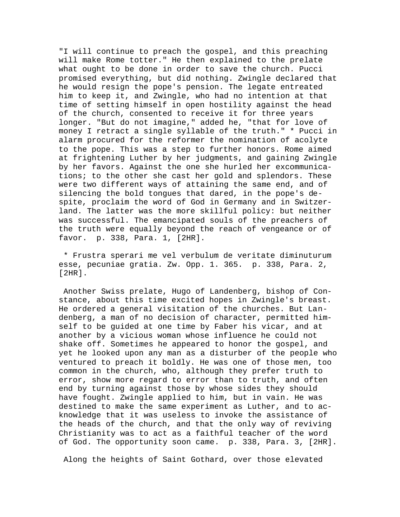"I will continue to preach the gospel, and this preaching will make Rome totter." He then explained to the prelate what ought to be done in order to save the church. Pucci promised everything, but did nothing. Zwingle declared that he would resign the pope's pension. The legate entreated him to keep it, and Zwingle, who had no intention at that time of setting himself in open hostility against the head of the church, consented to receive it for three years longer. "But do not imagine," added he, "that for love of money I retract a single syllable of the truth." \* Pucci in alarm procured for the reformer the nomination of acolyte to the pope. This was a step to further honors. Rome aimed at frightening Luther by her judgments, and gaining Zwingle by her favors. Against the one she hurled her excommunications; to the other she cast her gold and splendors. These were two different ways of attaining the same end, and of silencing the bold tongues that dared, in the pope's despite, proclaim the word of God in Germany and in Switzerland. The latter was the more skillful policy: but neither was successful. The emancipated souls of the preachers of the truth were equally beyond the reach of vengeance or of favor. p. 338, Para. 1, [2HR].

 \* Frustra sperari me vel verbulum de veritate diminuturum esse, pecuniae gratia. Zw. Opp. 1. 365. p. 338, Para. 2, [2HR].

 Another Swiss prelate, Hugo of Landenberg, bishop of Constance, about this time excited hopes in Zwingle's breast. He ordered a general visitation of the churches. But Landenberg, a man of no decision of character, permitted himself to be guided at one time by Faber his vicar, and at another by a vicious woman whose influence he could not shake off. Sometimes he appeared to honor the gospel, and yet he looked upon any man as a disturber of the people who ventured to preach it boldly. He was one of those men, too common in the church, who, although they prefer truth to error, show more regard to error than to truth, and often end by turning against those by whose sides they should have fought. Zwingle applied to him, but in vain. He was destined to make the same experiment as Luther, and to acknowledge that it was useless to invoke the assistance of the heads of the church, and that the only way of reviving Christianity was to act as a faithful teacher of the word of God. The opportunity soon came. p. 338, Para. 3, [2HR].

Along the heights of Saint Gothard, over those elevated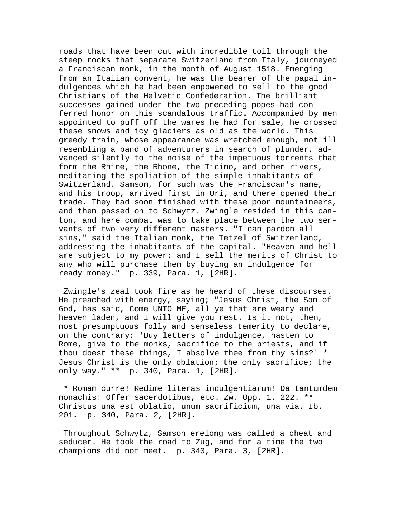roads that have been cut with incredible toil through the steep rocks that separate Switzerland from Italy, journeyed a Franciscan monk, in the month of August 1518. Emerging from an Italian convent, he was the bearer of the papal indulgences which he had been empowered to sell to the good Christians of the Helvetic Confederation. The brilliant successes gained under the two preceding popes had conferred honor on this scandalous traffic. Accompanied by men appointed to puff off the wares he had for sale, he crossed these snows and icy glaciers as old as the world. This greedy train, whose appearance was wretched enough, not ill resembling a band of adventurers in search of plunder, advanced silently to the noise of the impetuous torrents that form the Rhine, the Rhone, the Ticino, and other rivers, meditating the spoliation of the simple inhabitants of Switzerland. Samson, for such was the Franciscan's name, and his troop, arrived first in Uri, and there opened their trade. They had soon finished with these poor mountaineers, and then passed on to Schwytz. Zwingle resided in this canton, and here combat was to take place between the two servants of two very different masters. "I can pardon all sins," said the Italian monk, the Tetzel of Switzerland, addressing the inhabitants of the capital. "Heaven and hell are subject to my power; and I sell the merits of Christ to any who will purchase them by buying an indulgence for ready money." p. 339, Para. 1, [2HR].

 Zwingle's zeal took fire as he heard of these discourses. He preached with energy, saying; "Jesus Christ, the Son of God, has said, Come UNTO ME, all ye that are weary and heaven laden, and I will give you rest. Is it not, then, most presumptuous folly and senseless temerity to declare, on the contrary: 'Buy letters of indulgence, hasten to Rome, give to the monks, sacrifice to the priests, and if thou doest these things, I absolve thee from thy sins?' \* Jesus Christ is the only oblation; the only sacrifice; the only way." \*\* p. 340, Para. 1, [2HR].

 \* Romam curre! Redime literas indulgentiarum! Da tantumdem monachis! Offer sacerdotibus, etc. Zw. Opp. 1. 222. \*\* Christus una est oblatio, unum sacrificium, una via. Ib. 201. p. 340, Para. 2, [2HR].

 Throughout Schwytz, Samson erelong was called a cheat and seducer. He took the road to Zug, and for a time the two champions did not meet. p. 340, Para. 3, [2HR].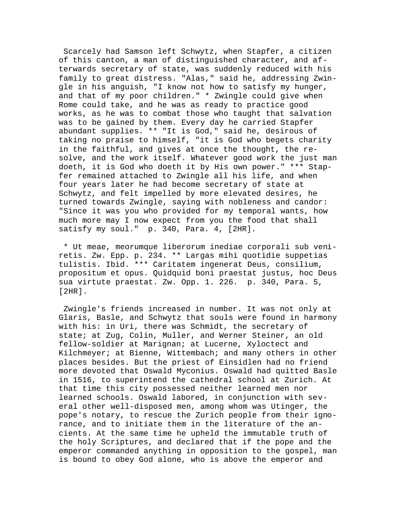Scarcely had Samson left Schwytz, when Stapfer, a citizen of this canton, a man of distinguished character, and afterwards secretary of state, was suddenly reduced with his family to great distress. "Alas," said he, addressing Zwingle in his anguish, "I know not how to satisfy my hunger, and that of my poor children." \* Zwingle could give when Rome could take, and he was as ready to practice good works, as he was to combat those who taught that salvation was to be gained by them. Every day he carried Stapfer abundant supplies. \*\* "It is God," said he, desirous of taking no praise to himself, "it is God who begets charity in the faithful, and gives at once the thought, the resolve, and the work itself. Whatever good work the just man doeth, it is God who doeth it by His own power." \*\*\* Stapfer remained attached to Zwingle all his life, and when four years later he had become secretary of state at Schwytz, and felt impelled by more elevated desires, he turned towards Zwingle, saying with nobleness and candor: "Since it was you who provided for my temporal wants, how much more may I now expect from you the food that shall satisfy my soul." p. 340, Para. 4, [2HR].

 \* Ut meae, meorumque liberorum inediae corporali sub veniretis. Zw. Epp. p. 234. \*\* Largas mihi quotidie suppetias tulistis. Ibid. \*\*\* Caritatem ingenerat Deus, consilium, propositum et opus. Quidquid boni praestat justus, hoc Deus sua virtute praestat. Zw. Opp. 1. 226. p. 340, Para. 5, [2HR].

 Zwingle's friends increased in number. It was not only at Glaris, Basle, and Schwytz that souls were found in harmony with his: in Uri, there was Schmidt, the secretary of state; at Zug, Colin, Muller, and Werner Steiner, an old fellow-soldier at Marignan; at Lucerne, Xyloctect and Kilchmeyer; at Bienne, Wittembach; and many others in other places besides. But the priest of Einsidlen had no friend more devoted that Oswald Myconius. Oswald had quitted Basle in 1516, to superintend the cathedral school at Zurich. At that time this city possessed neither learned men nor learned schools. Oswald labored, in conjunction with several other well-disposed men, among whom was Utinger, the pope's notary, to rescue the Zurich people from their ignorance, and to initiate them in the literature of the ancients. At the same time he upheld the immutable truth of the holy Scriptures, and declared that if the pope and the emperor commanded anything in opposition to the gospel, man is bound to obey God alone, who is above the emperor and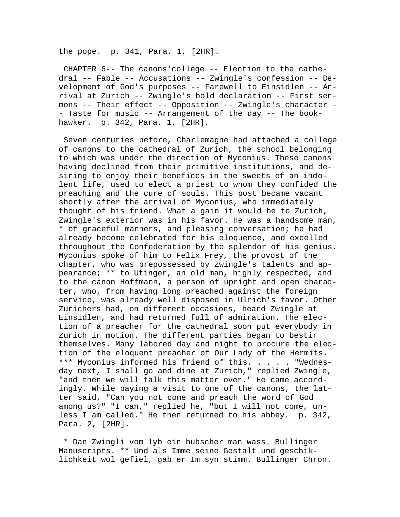the pope. p. 341, Para. 1, [2HR].

 CHAPTER 6-- The canons'college -- Election to the cathedral -- Fable -- Accusations -- Zwingle's confession -- Development of God's purposes -- Farewell to Einsidlen -- Arrival at Zurich -- Zwingle's bold declaration -- First sermons -- Their effect -- Opposition -- Zwingle's character - - Taste for music -- Arrangement of the day -- The bookhawker. p. 342, Para. 1, [2HR].

 Seven centuries before, Charlemagne had attached a college of canons to the cathedral of Zurich, the school belonging to which was under the direction of Myconius. These canons having declined from their primitive institutions, and desiring to enjoy their benefices in the sweets of an indolent life, used to elect a priest to whom they confided the preaching and the cure of souls. This post became vacant shortly after the arrival of Myconius, who immediately thought of his friend. What a gain it would be to Zurich, Zwingle's exterior was in his favor. He was a handsome man, \* of graceful manners, and pleasing conversation; he had already become celebrated for his eloquence, and excelled throughout the Confederation by the splendor of his genius. Myconius spoke of him to Felix Frey, the provost of the chapter, who was prepossessed by Zwingle's talents and appearance; \*\* to Utinger, an old man, highly respected, and to the canon Hoffmann, a person of upright and open character, who, from having long preached against the foreign service, was already well disposed in Ulrich's favor. Other Zurichers had, on different occasions, heard Zwingle at Einsidlen, and had returned full of admiration. The election of a preacher for the cathedral soon put everybody in Zurich in motion. The different parties began to bestir themselves. Many labored day and night to procure the election of the eloquent preacher of Our Lady of the Hermits. \*\*\* Myconius informed his friend of this. . . . . "Wednesday next, I shall go and dine at Zurich," replied Zwingle, "and then we will talk this matter over." He came accordingly. While paying a visit to one of the canons, the latter said, "Can you not come and preach the word of God among us?" "I can," replied he, "but I will not come, unless I am called." He then returned to his abbey. p. 342, Para. 2, [2HR].

 \* Dan Zwingli vom lyb ein hubscher man wass. Bullinger Manuscripts. \*\* Und als Imme seine Gestalt und geschiklichkeit wol gefiel, gab er Im syn stimm. Bullinger Chron.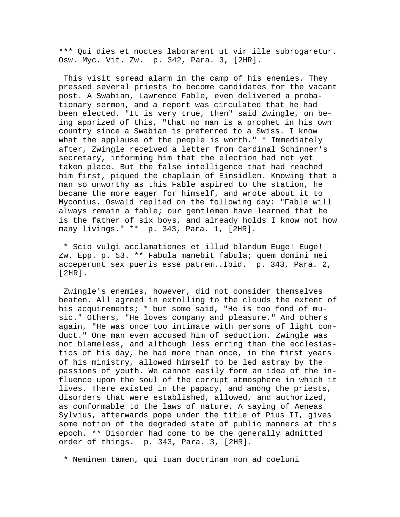\*\*\* Qui dies et noctes laborarent ut vir ille subrogaretur. Osw. Myc. Vit. Zw. p. 342, Para. 3, [2HR].

 This visit spread alarm in the camp of his enemies. They pressed several priests to become candidates for the vacant post. A Swabian, Lawrence Fable, even delivered a probationary sermon, and a report was circulated that he had been elected. "It is very true, then" said Zwingle, on being apprized of this, "that no man is a prophet in his own country since a Swabian is preferred to a Swiss. I know what the applause of the people is worth." \* Immediately after, Zwingle received a letter from Cardinal Schinner's secretary, informing him that the election had not yet taken place. But the false intelligence that had reached him first, piqued the chaplain of Einsidlen. Knowing that a man so unworthy as this Fable aspired to the station, he became the more eager for himself, and wrote about it to Myconius. Oswald replied on the following day: "Fable will always remain a fable; our gentlemen have learned that he is the father of six boys, and already holds I know not how many livings." \*\* p. 343, Para. 1, [2HR].

 \* Scio vulgi acclamationes et illud blandum Euge! Euge! Zw. Epp. p. 53. \*\* Fabula manebit fabula; quem domini mei acceperunt sex pueris esse patrem..Ibid. p. 343, Para. 2, [2HR].

 Zwingle's enemies, however, did not consider themselves beaten. All agreed in extolling to the clouds the extent of his acquirements; \* but some said, "He is too fond of music." Others, "He loves company and pleasure." And others again, "He was once too intimate with persons of light conduct." One man even accused him of seduction. Zwingle was not blameless, and although less erring than the ecclesiastics of his day, he had more than once, in the first years of his ministry, allowed himself to be led astray by the passions of youth. We cannot easily form an idea of the influence upon the soul of the corrupt atmosphere in which it lives. There existed in the papacy, and among the priests, disorders that were established, allowed, and authorized, as conformable to the laws of nature. A saying of Aeneas Sylvius, afterwards pope under the title of Pius II, gives some notion of the degraded state of public manners at this epoch. \*\* Disorder had come to be the generally admitted order of things. p. 343, Para. 3, [2HR].

\* Neminem tamen, qui tuam doctrinam non ad coeluni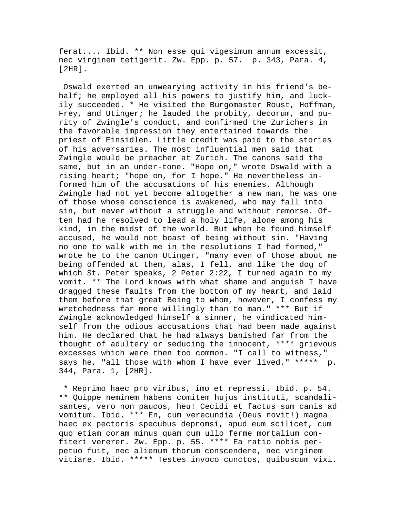ferat.... Ibid. \*\* Non esse qui vigesimum annum excessit, nec virginem tetigerit. Zw. Epp. p. 57. p. 343, Para. 4,  $[2HR]$ .

 Oswald exerted an unwearying activity in his friend's behalf; he employed all his powers to justify him, and luckily succeeded. \* He visited the Burgomaster Roust, Hoffman, Frey, and Utinger; he lauded the probity, decorum, and purity of Zwingle's conduct, and confirmed the Zurichers in the favorable impression they entertained towards the priest of Einsidlen. Little credit was paid to the stories of his adversaries. The most influential men said that Zwingle would be preacher at Zurich. The canons said the same, but in an under-tone. "Hope on," wrote Oswald with a rising heart; "hope on, for I hope." He nevertheless informed him of the accusations of his enemies. Although Zwingle had not yet become altogether a new man, he was one of those whose conscience is awakened, who may fall into sin, but never without a struggle and without remorse. Often had he resolved to lead a holy life, alone among his kind, in the midst of the world. But when he found himself accused, he would not boast of being without sin. "Having no one to walk with me in the resolutions I had formed," wrote he to the canon Utinger, "many even of those about me being offended at them, alas, I fell, and like the dog of which St. Peter speaks, 2 Peter 2:22, I turned again to my vomit. \*\* The Lord knows with what shame and anguish I have dragged these faults from the bottom of my heart, and laid them before that great Being to whom, however, I confess my wretchedness far more willingly than to man." \*\*\* But if Zwingle acknowledged himself a sinner, he vindicated himself from the odious accusations that had been made against him. He declared that he had always banished far from the thought of adultery or seducing the innocent, \*\*\*\* grievous excesses which were then too common. "I call to witness," says he, "all those with whom I have ever lived." \*\*\*\*\* p. 344, Para. 1, [2HR].

 \* Reprimo haec pro viribus, imo et repressi. Ibid. p. 54. \*\* Quippe neminem habens comitem hujus instituti, scandalisantes, vero non paucos, heu! Cecidi et factus sum canis ad vomitum. Ibid. \*\*\* En, cum verecundia (Deus novit!) magna haec ex pectoris specubus depromsi, apud eum scilicet, cum quo etiam coram minus quam cum ullo ferme mortalium confiteri vererer. Zw. Epp. p. 55. \*\*\*\* Ea ratio nobis perpetuo fuit, nec alienum thorum conscendere, nec virginem vitiare. Ibid. \*\*\*\*\* Testes invoco cunctos, quibuscum vixi.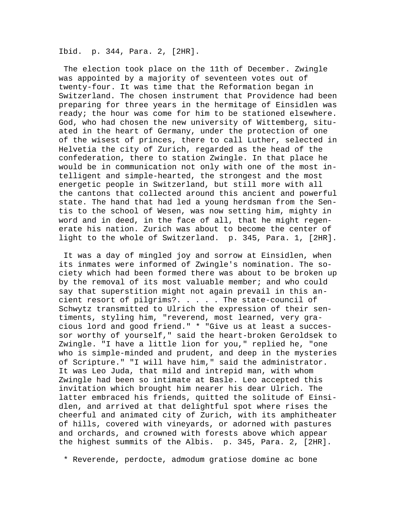Ibid. p. 344, Para. 2, [2HR].

 The election took place on the 11th of December. Zwingle was appointed by a majority of seventeen votes out of twenty-four. It was time that the Reformation began in Switzerland. The chosen instrument that Providence had been preparing for three years in the hermitage of Einsidlen was ready; the hour was come for him to be stationed elsewhere. God, who had chosen the new university of Wittemberg, situated in the heart of Germany, under the protection of one of the wisest of princes, there to call Luther, selected in Helvetia the city of Zurich, regarded as the head of the confederation, there to station Zwingle. In that place he would be in communication not only with one of the most intelligent and simple-hearted, the strongest and the most energetic people in Switzerland, but still more with all the cantons that collected around this ancient and powerful state. The hand that had led a young herdsman from the Sentis to the school of Wesen, was now setting him, mighty in word and in deed, in the face of all, that he might regenerate his nation. Zurich was about to become the center of light to the whole of Switzerland. p. 345, Para. 1, [2HR].

 It was a day of mingled joy and sorrow at Einsidlen, when its inmates were informed of Zwingle's nomination. The society which had been formed there was about to be broken up by the removal of its most valuable member; and who could say that superstition might not again prevail in this ancient resort of pilgrims?. . . . . The state-council of Schwytz transmitted to Ulrich the expression of their sentiments, styling him, "reverend, most learned, very gracious lord and good friend." \* "Give us at least a successor worthy of yourself," said the heart-broken Geroldsek to Zwingle. "I have a little lion for you," replied he, "one who is simple-minded and prudent, and deep in the mysteries of Scripture." "I will have him," said the administrator. It was Leo Juda, that mild and intrepid man, with whom Zwingle had been so intimate at Basle. Leo accepted this invitation which brought him nearer his dear Ulrich. The latter embraced his friends, quitted the solitude of Einsidlen, and arrived at that delightful spot where rises the cheerful and animated city of Zurich, with its amphitheater of hills, covered with vineyards, or adorned with pastures and orchards, and crowned with forests above which appear the highest summits of the Albis. p. 345, Para. 2, [2HR].

\* Reverende, perdocte, admodum gratiose domine ac bone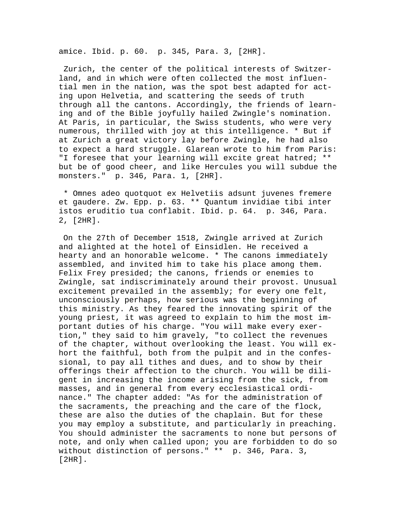amice. Ibid. p. 60. p. 345, Para. 3, [2HR].

 Zurich, the center of the political interests of Switzerland, and in which were often collected the most influential men in the nation, was the spot best adapted for acting upon Helvetia, and scattering the seeds of truth through all the cantons. Accordingly, the friends of learning and of the Bible joyfully hailed Zwingle's nomination. At Paris, in particular, the Swiss students, who were very numerous, thrilled with joy at this intelligence. \* But if at Zurich a great victory lay before Zwingle, he had also to expect a hard struggle. Glarean wrote to him from Paris: "I foresee that your learning will excite great hatred; \*\* but be of good cheer, and like Hercules you will subdue the monsters." p. 346, Para. 1, [2HR].

 \* Omnes adeo quotquot ex Helvetiis adsunt juvenes fremere et gaudere. Zw. Epp. p. 63. \*\* Quantum invidiae tibi inter istos eruditio tua conflabit. Ibid. p. 64. p. 346, Para. 2, [2HR].

 On the 27th of December 1518, Zwingle arrived at Zurich and alighted at the hotel of Einsidlen. He received a hearty and an honorable welcome. \* The canons immediately assembled, and invited him to take his place among them. Felix Frey presided; the canons, friends or enemies to Zwingle, sat indiscriminately around their provost. Unusual excitement prevailed in the assembly; for every one felt, unconsciously perhaps, how serious was the beginning of this ministry. As they feared the innovating spirit of the young priest, it was agreed to explain to him the most important duties of his charge. "You will make every exertion," they said to him gravely, "to collect the revenues of the chapter, without overlooking the least. You will exhort the faithful, both from the pulpit and in the confessional, to pay all tithes and dues, and to show by their offerings their affection to the church. You will be diligent in increasing the income arising from the sick, from masses, and in general from every ecclesiastical ordinance." The chapter added: "As for the administration of the sacraments, the preaching and the care of the flock, these are also the duties of the chaplain. But for these you may employ a substitute, and particularly in preaching. You should administer the sacraments to none but persons of note, and only when called upon; you are forbidden to do so without distinction of persons." \*\* p. 346, Para. 3, [2HR].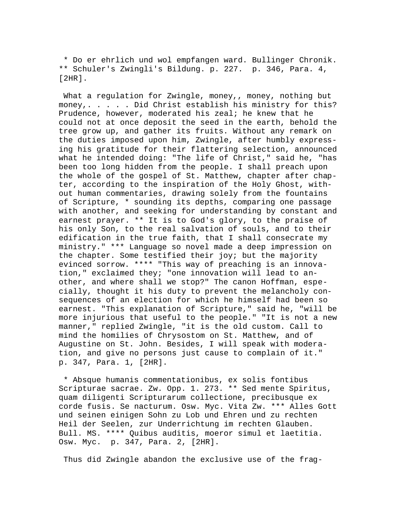\* Do er ehrlich und wol empfangen ward. Bullinger Chronik. \*\* Schuler's Zwingli's Bildung. p. 227. p. 346, Para. 4, [2HR].

 What a regulation for Zwingle, money,, money, nothing but money,. . . . . Did Christ establish his ministry for this? Prudence, however, moderated his zeal; he knew that he could not at once deposit the seed in the earth, behold the tree grow up, and gather its fruits. Without any remark on the duties imposed upon him, Zwingle, after humbly expressing his gratitude for their flattering selection, announced what he intended doing: "The life of Christ," said he, "has been too long hidden from the people. I shall preach upon the whole of the gospel of St. Matthew, chapter after chapter, according to the inspiration of the Holy Ghost, without human commentaries, drawing solely from the fountains of Scripture, \* sounding its depths, comparing one passage with another, and seeking for understanding by constant and earnest prayer. \*\* It is to God's glory, to the praise of his only Son, to the real salvation of souls, and to their edification in the true faith, that I shall consecrate my ministry." \*\*\* Language so novel made a deep impression on the chapter. Some testified their joy; but the majority evinced sorrow. \*\*\*\* "This way of preaching is an innovation," exclaimed they; "one innovation will lead to another, and where shall we stop?" The canon Hoffman, especially, thought it his duty to prevent the melancholy consequences of an election for which he himself had been so earnest. "This explanation of Scripture," said he, "will be more injurious that useful to the people." "It is not a new manner," replied Zwingle, "it is the old custom. Call to mind the homilies of Chrysostom on St. Matthew, and of Augustine on St. John. Besides, I will speak with moderation, and give no persons just cause to complain of it." p. 347, Para. 1, [2HR].

 \* Absque humanis commentationibus, ex solis fontibus Scripturae sacrae. Zw. Opp. 1. 273. \*\* Sed mente Spiritus, quam diligenti Scripturarum collectione, precibusque ex corde fusis. Se nacturum. Osw. Myc. Vita Zw. \*\*\* Alles Gott und seinen einigen Sohn zu Lob und Ehren und zu rechten Heil der Seelen, zur Underrichtung im rechten Glauben. Bull. MS. \*\*\*\* Quibus auditis, moeror simul et laetitia. Osw. Myc. p. 347, Para. 2, [2HR].

Thus did Zwingle abandon the exclusive use of the frag-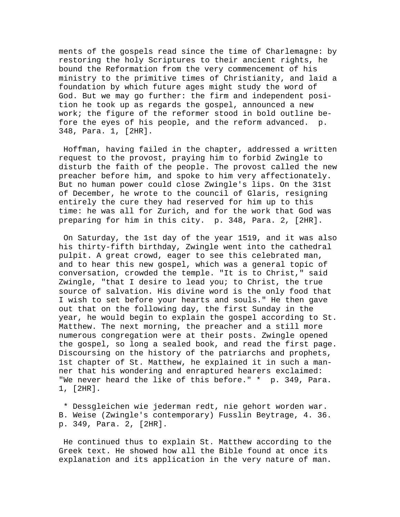ments of the gospels read since the time of Charlemagne: by restoring the holy Scriptures to their ancient rights, he bound the Reformation from the very commencement of his ministry to the primitive times of Christianity, and laid a foundation by which future ages might study the word of God. But we may go further: the firm and independent position he took up as regards the gospel, announced a new work; the figure of the reformer stood in bold outline before the eyes of his people, and the reform advanced. p. 348, Para. 1, [2HR].

 Hoffman, having failed in the chapter, addressed a written request to the provost, praying him to forbid Zwingle to disturb the faith of the people. The provost called the new preacher before him, and spoke to him very affectionately. But no human power could close Zwingle's lips. On the 31st of December, he wrote to the council of Glaris, resigning entirely the cure they had reserved for him up to this time: he was all for Zurich, and for the work that God was preparing for him in this city. p. 348, Para. 2, [2HR].

 On Saturday, the 1st day of the year 1519, and it was also his thirty-fifth birthday, Zwingle went into the cathedral pulpit. A great crowd, eager to see this celebrated man, and to hear this new gospel, which was a general topic of conversation, crowded the temple. "It is to Christ," said Zwingle, "that I desire to lead you; to Christ, the true source of salvation. His divine word is the only food that I wish to set before your hearts and souls." He then gave out that on the following day, the first Sunday in the year, he would begin to explain the gospel according to St. Matthew. The next morning, the preacher and a still more numerous congregation were at their posts. Zwingle opened the gospel, so long a sealed book, and read the first page. Discoursing on the history of the patriarchs and prophets, 1st chapter of St. Matthew, he explained it in such a manner that his wondering and enraptured hearers exclaimed: "We never heard the like of this before." \* p. 349, Para. 1, [2HR].

 \* Dessgleichen wie jederman redt, nie gehort worden war. B. Weise (Zwingle's contemporary) Fusslin Beytrage, 4. 36. p. 349, Para. 2, [2HR].

 He continued thus to explain St. Matthew according to the Greek text. He showed how all the Bible found at once its explanation and its application in the very nature of man.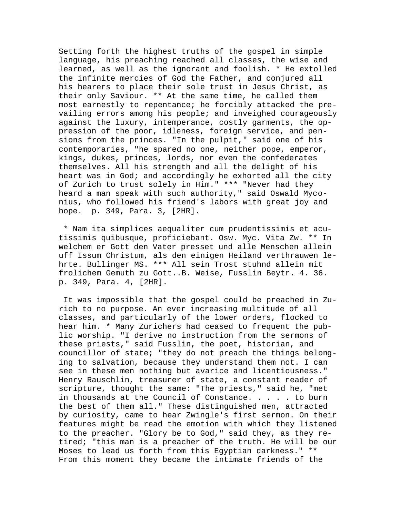Setting forth the highest truths of the gospel in simple language, his preaching reached all classes, the wise and learned, as well as the ignorant and foolish. \* He extolled the infinite mercies of God the Father, and conjured all his hearers to place their sole trust in Jesus Christ, as their only Saviour. \*\* At the same time, he called them most earnestly to repentance; he forcibly attacked the prevailing errors among his people; and inveighed courageously against the luxury, intemperance, costly garments, the oppression of the poor, idleness, foreign service, and pensions from the princes. "In the pulpit," said one of his contemporaries, "he spared no one, neither pope, emperor, kings, dukes, princes, lords, nor even the confederates themselves. All his strength and all the delight of his heart was in God; and accordingly he exhorted all the city of Zurich to trust solely in Him." \*\*\* "Never had they heard a man speak with such authority," said Oswald Myconius, who followed his friend's labors with great joy and hope. p. 349, Para. 3, [2HR].

 \* Nam ita simplices aequaliter cum prudentissimis et acutissimis quibusque, proficiebant. Osw. Myc. Vita Zw. \*\* In welchem er Gott den Vater presset und alle Menschen allein uff Issum Christum, als den einigen Heiland verthrauwen lehrte. Bullinger MS. \*\*\* All sein Trost stuhnd allein mit frolichem Gemuth zu Gott..B. Weise, Fusslin Beytr. 4. 36. p. 349, Para. 4, [2HR].

 It was impossible that the gospel could be preached in Zurich to no purpose. An ever increasing multitude of all classes, and particularly of the lower orders, flocked to hear him. \* Many Zurichers had ceased to frequent the public worship. "I derive no instruction from the sermons of these priests," said Fusslin, the poet, historian, and councillor of state; "they do not preach the things belonging to salvation, because they understand them not. I can see in these men nothing but avarice and licentiousness." Henry Rauschlin, treasurer of state, a constant reader of scripture, thought the same: "The priests," said he, "met in thousands at the Council of Constance. . . . . to burn the best of them all." These distinguished men, attracted by curiosity, came to hear Zwingle's first sermon. On their features might be read the emotion with which they listened to the preacher. "Glory be to God," said they, as they retired; "this man is a preacher of the truth. He will be our Moses to lead us forth from this Egyptian darkness." \*\* From this moment they became the intimate friends of the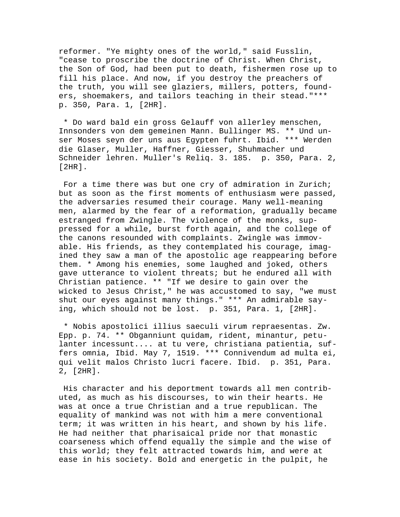reformer. "Ye mighty ones of the world," said Fusslin, "cease to proscribe the doctrine of Christ. When Christ, the Son of God, had been put to death, fishermen rose up to fill his place. And now, if you destroy the preachers of the truth, you will see glaziers, millers, potters, founders, shoemakers, and tailors teaching in their stead."\*\*\* p. 350, Para. 1, [2HR].

 \* Do ward bald ein gross Gelauff von allerley menschen, Innsonders von dem gemeinen Mann. Bullinger MS. \*\* Und unser Moses seyn der uns aus Egypten fuhrt. Ibid. \*\*\* Werden die Glaser, Muller, Haffner, Giesser, Shuhmacher und Schneider lehren. Muller's Reliq. 3. 185. p. 350, Para. 2, [2HR].

 For a time there was but one cry of admiration in Zurich; but as soon as the first moments of enthusiasm were passed, the adversaries resumed their courage. Many well-meaning men, alarmed by the fear of a reformation, gradually became estranged from Zwingle. The violence of the monks, suppressed for a while, burst forth again, and the college of the canons resounded with complaints. Zwingle was immovable. His friends, as they contemplated his courage, imagined they saw a man of the apostolic age reappearing before them. \* Among his enemies, some laughed and joked, others gave utterance to violent threats; but he endured all with Christian patience. \*\* "If we desire to gain over the wicked to Jesus Christ," he was accustomed to say, "we must shut our eyes against many things." \*\*\* An admirable saying, which should not be lost. p. 351, Para. 1, [2HR].

 \* Nobis apostolici illius saeculi virum repraesentas. Zw. Epp. p. 74. \*\* Obganniunt quidam, rident, minantur, petulanter incessunt.... at tu vere, christiana patientia, suffers omnia, Ibid. May 7, 1519. \*\*\* Connivendum ad multa ei, qui velit malos Christo lucri facere. Ibid. p. 351, Para. 2, [2HR].

 His character and his deportment towards all men contributed, as much as his discourses, to win their hearts. He was at once a true Christian and a true republican. The equality of mankind was not with him a mere conventional term; it was written in his heart, and shown by his life. He had neither that pharisaical pride nor that monastic coarseness which offend equally the simple and the wise of this world; they felt attracted towards him, and were at ease in his society. Bold and energetic in the pulpit, he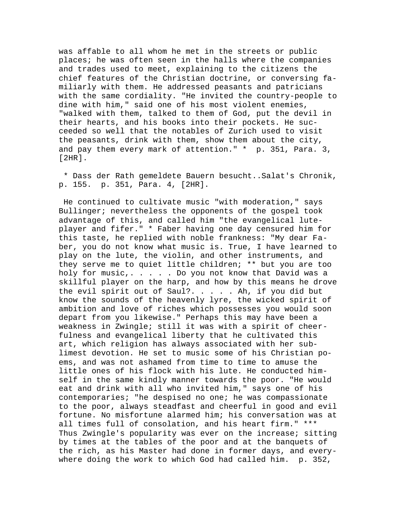was affable to all whom he met in the streets or public places; he was often seen in the halls where the companies and trades used to meet, explaining to the citizens the chief features of the Christian doctrine, or conversing familiarly with them. He addressed peasants and patricians with the same cordiality. "He invited the country-people to dine with him," said one of his most violent enemies, "walked with them, talked to them of God, put the devil in their hearts, and his books into their pockets. He succeeded so well that the notables of Zurich used to visit the peasants, drink with them, show them about the city, and pay them every mark of attention." \* p. 351, Para. 3, [2HR].

 \* Dass der Rath gemeldete Bauern besucht..Salat's Chronik, p. 155. p. 351, Para. 4, [2HR].

 He continued to cultivate music "with moderation," says Bullinger; nevertheless the opponents of the gospel took advantage of this, and called him "the evangelical luteplayer and fifer." \* Faber having one day censured him for this taste, he replied with noble frankness: "My dear Faber, you do not know what music is. True, I have learned to play on the lute, the violin, and other instruments, and they serve me to quiet little children; \*\* but you are too holy for music,. . . . . Do you not know that David was a skillful player on the harp, and how by this means he drove the evil spirit out of Saul?. . . . . Ah, if you did but know the sounds of the heavenly lyre, the wicked spirit of ambition and love of riches which possesses you would soon depart from you likewise." Perhaps this may have been a weakness in Zwingle; still it was with a spirit of cheerfulness and evangelical liberty that he cultivated this art, which religion has always associated with her sublimest devotion. He set to music some of his Christian poems, and was not ashamed from time to time to amuse the little ones of his flock with his lute. He conducted himself in the same kindly manner towards the poor. "He would eat and drink with all who invited him," says one of his contemporaries; "he despised no one; he was compassionate to the poor, always steadfast and cheerful in good and evil fortune. No misfortune alarmed him; his conversation was at all times full of consolation, and his heart firm." \*\*\* Thus Zwingle's popularity was ever on the increase; sitting by times at the tables of the poor and at the banquets of the rich, as his Master had done in former days, and everywhere doing the work to which God had called him. p. 352,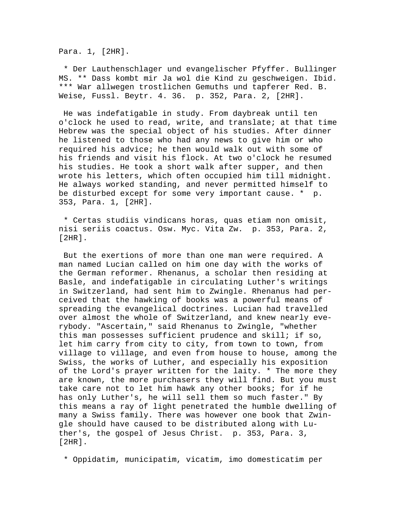Para. 1, [2HR].

 \* Der Lauthenschlager und evangelischer Pfyffer. Bullinger MS. \*\* Dass kombt mir Ja wol die Kind zu geschweigen. Ibid. \*\*\* War allwegen trostlichen Gemuths und tapferer Red. B. Weise, Fussl. Beytr. 4. 36. p. 352, Para. 2, [2HR].

 He was indefatigable in study. From daybreak until ten o'clock he used to read, write, and translate; at that time Hebrew was the special object of his studies. After dinner he listened to those who had any news to give him or who required his advice; he then would walk out with some of his friends and visit his flock. At two o'clock he resumed his studies. He took a short walk after supper, and then wrote his letters, which often occupied him till midnight. He always worked standing, and never permitted himself to be disturbed except for some very important cause. \* p. 353, Para. 1, [2HR].

 \* Certas studiis vindicans horas, quas etiam non omisit, nisi seriis coactus. Osw. Myc. Vita Zw. p. 353, Para. 2,  $[2HR]$ .

 But the exertions of more than one man were required. A man named Lucian called on him one day with the works of the German reformer. Rhenanus, a scholar then residing at Basle, and indefatigable in circulating Luther's writings in Switzerland, had sent him to Zwingle. Rhenanus had perceived that the hawking of books was a powerful means of spreading the evangelical doctrines. Lucian had travelled over almost the whole of Switzerland, and knew nearly everybody. "Ascertain," said Rhenanus to Zwingle, "whether this man possesses sufficient prudence and skill; if so, let him carry from city to city, from town to town, from village to village, and even from house to house, among the Swiss, the works of Luther, and especially his exposition of the Lord's prayer written for the laity. \* The more they are known, the more purchasers they will find. But you must take care not to let him hawk any other books; for if he has only Luther's, he will sell them so much faster." By this means a ray of light penetrated the humble dwelling of many a Swiss family. There was however one book that Zwingle should have caused to be distributed along with Luther's, the gospel of Jesus Christ. p. 353, Para. 3, [2HR].

\* Oppidatim, municipatim, vicatim, imo domesticatim per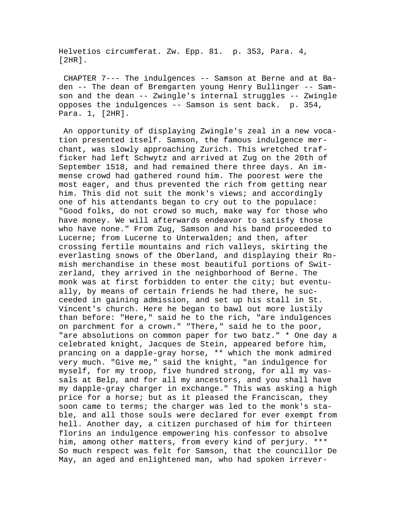Helvetios circumferat. Zw. Epp. 81. p. 353, Para. 4,  $[2HR]$ .

 CHAPTER 7--- The indulgences -- Samson at Berne and at Baden -- The dean of Bremgarten young Henry Bullinger -- Samson and the dean -- Zwingle's internal struggles -- Zwingle opposes the indulgences -- Samson is sent back. p. 354, Para. 1, [2HR].

 An opportunity of displaying Zwingle's zeal in a new vocation presented itself. Samson, the famous indulgence merchant, was slowly approaching Zurich. This wretched trafficker had left Schwytz and arrived at Zug on the 20th of September 1518, and had remained there three days. An immense crowd had gathered round him. The poorest were the most eager, and thus prevented the rich from getting near him. This did not suit the monk's views; and accordingly one of his attendants began to cry out to the populace: "Good folks, do not crowd so much, make way for those who have money. We will afterwards endeavor to satisfy those who have none." From Zug, Samson and his band proceeded to Lucerne; from Lucerne to Unterwalden; and then, after crossing fertile mountains and rich valleys, skirting the everlasting snows of the Oberland, and displaying their Romish merchandise in these most beautiful portions of Switzerland, they arrived in the neighborhood of Berne. The monk was at first forbidden to enter the city; but eventually, by means of certain friends he had there, he succeeded in gaining admission, and set up his stall in St. Vincent's church. Here he began to bawl out more lustily than before: "Here," said he to the rich, "are indulgences on parchment for a crown." "There," said he to the poor, "are absolutions on common paper for two batz." \* One day a celebrated knight, Jacques de Stein, appeared before him, prancing on a dapple-gray horse, \*\* which the monk admired very much. "Give me," said the knight, "an indulgence for myself, for my troop, five hundred strong, for all my vassals at Belp, and for all my ancestors, and you shall have my dapple-gray charger in exchange." This was asking a high price for a horse; but as it pleased the Franciscan, they soon came to terms; the charger was led to the monk's stable, and all those souls were declared for ever exempt from hell. Another day, a citizen purchased of him for thirteen florins an indulgence empowering his confessor to absolve him, among other matters, from every kind of perjury. \*\*\* So much respect was felt for Samson, that the councillor De May, an aged and enlightened man, who had spoken irrever-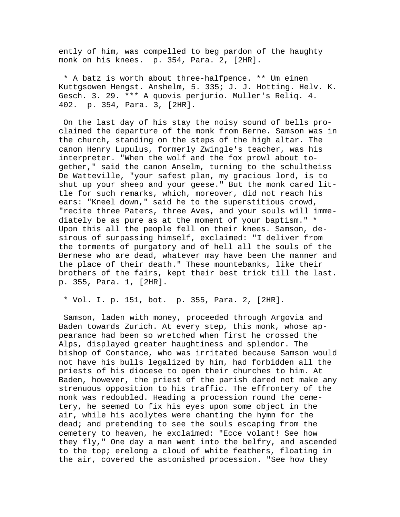ently of him, was compelled to beg pardon of the haughty monk on his knees. p. 354, Para. 2, [2HR].

 \* A batz is worth about three-halfpence. \*\* Um einen Kuttgsowen Hengst. Anshelm, 5. 335; J. J. Hotting. Helv. K. Gesch. 3. 29. \*\*\* A quovis perjurio. Muller's Reliq. 4. 402. p. 354, Para. 3, [2HR].

 On the last day of his stay the noisy sound of bells proclaimed the departure of the monk from Berne. Samson was in the church, standing on the steps of the high altar. The canon Henry Lupulus, formerly Zwingle's teacher, was his interpreter. "When the wolf and the fox prowl about together," said the canon Anselm, turning to the schultheiss De Watteville, "your safest plan, my gracious lord, is to shut up your sheep and your geese." But the monk cared little for such remarks, which, moreover, did not reach his ears: "Kneel down," said he to the superstitious crowd, "recite three Paters, three Aves, and your souls will immediately be as pure as at the moment of your baptism." \* Upon this all the people fell on their knees. Samson, desirous of surpassing himself, exclaimed: "I deliver from the torments of purgatory and of hell all the souls of the Bernese who are dead, whatever may have been the manner and the place of their death." These mountebanks, like their brothers of the fairs, kept their best trick till the last. p. 355, Para. 1, [2HR].

\* Vol. I. p. 151, bot. p. 355, Para. 2, [2HR].

 Samson, laden with money, proceeded through Argovia and Baden towards Zurich. At every step, this monk, whose appearance had been so wretched when first he crossed the Alps, displayed greater haughtiness and splendor. The bishop of Constance, who was irritated because Samson would not have his bulls legalized by him, had forbidden all the priests of his diocese to open their churches to him. At Baden, however, the priest of the parish dared not make any strenuous opposition to his traffic. The effrontery of the monk was redoubled. Heading a procession round the cemetery, he seemed to fix his eyes upon some object in the air, while his acolytes were chanting the hymn for the dead; and pretending to see the souls escaping from the cemetery to heaven, he exclaimed: "Ecce volant! See how they fly," One day a man went into the belfry, and ascended to the top; erelong a cloud of white feathers, floating in the air, covered the astonished procession. "See how they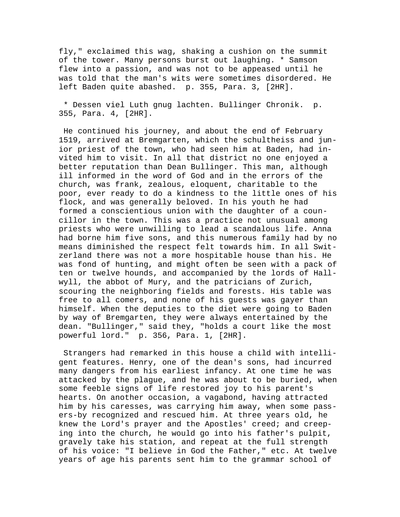fly," exclaimed this wag, shaking a cushion on the summit of the tower. Many persons burst out laughing. \* Samson flew into a passion, and was not to be appeased until he was told that the man's wits were sometimes disordered. He left Baden quite abashed. p. 355, Para. 3, [2HR].

 \* Dessen viel Luth gnug lachten. Bullinger Chronik. p. 355, Para. 4, [2HR].

 He continued his journey, and about the end of February 1519, arrived at Bremgarten, which the schultheiss and junior priest of the town, who had seen him at Baden, had invited him to visit. In all that district no one enjoyed a better reputation than Dean Bullinger. This man, although ill informed in the word of God and in the errors of the church, was frank, zealous, eloquent, charitable to the poor, ever ready to do a kindness to the little ones of his flock, and was generally beloved. In his youth he had formed a conscientious union with the daughter of a councillor in the town. This was a practice not unusual among priests who were unwilling to lead a scandalous life. Anna had borne him five sons, and this numerous family had by no means diminished the respect felt towards him. In all Switzerland there was not a more hospitable house than his. He was fond of hunting, and might often be seen with a pack of ten or twelve hounds, and accompanied by the lords of Hallwyll, the abbot of Mury, and the patricians of Zurich, scouring the neighboring fields and forests. His table was free to all comers, and none of his guests was gayer than himself. When the deputies to the diet were going to Baden by way of Bremgarten, they were always entertained by the dean. "Bullinger," said they, "holds a court like the most powerful lord." p. 356, Para. 1, [2HR].

 Strangers had remarked in this house a child with intelligent features. Henry, one of the dean's sons, had incurred many dangers from his earliest infancy. At one time he was attacked by the plague, and he was about to be buried, when some feeble signs of life restored joy to his parent's hearts. On another occasion, a vagabond, having attracted him by his caresses, was carrying him away, when some passers-by recognized and rescued him. At three years old, he knew the Lord's prayer and the Apostles' creed; and creeping into the church, he would go into his father's pulpit, gravely take his station, and repeat at the full strength of his voice: "I believe in God the Father," etc. At twelve years of age his parents sent him to the grammar school of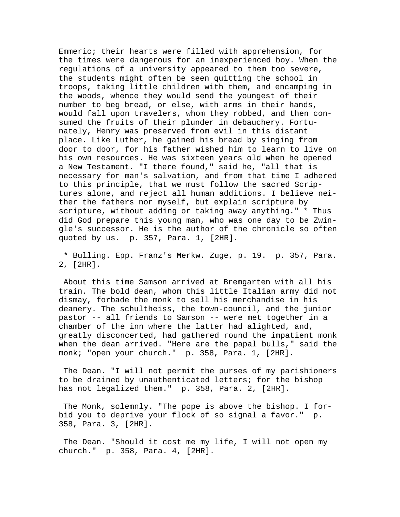Emmeric; their hearts were filled with apprehension, for the times were dangerous for an inexperienced boy. When the regulations of a university appeared to them too severe, the students might often be seen quitting the school in troops, taking little children with them, and encamping in the woods, whence they would send the youngest of their number to beg bread, or else, with arms in their hands, would fall upon travelers, whom they robbed, and then consumed the fruits of their plunder in debauchery. Fortunately, Henry was preserved from evil in this distant place. Like Luther, he gained his bread by singing from door to door, for his father wished him to learn to live on his own resources. He was sixteen years old when he opened a New Testament. "I there found," said he, "all that is necessary for man's salvation, and from that time I adhered to this principle, that we must follow the sacred Scriptures alone, and reject all human additions. I believe neither the fathers nor myself, but explain scripture by scripture, without adding or taking away anything." \* Thus did God prepare this young man, who was one day to be Zwingle's successor. He is the author of the chronicle so often quoted by us. p. 357, Para. 1, [2HR].

 \* Bulling. Epp. Franz's Merkw. Zuge, p. 19. p. 357, Para. 2, [2HR].

 About this time Samson arrived at Bremgarten with all his train. The bold dean, whom this little Italian army did not dismay, forbade the monk to sell his merchandise in his deanery. The schultheiss, the town-council, and the junior pastor -- all friends to Samson -- were met together in a chamber of the inn where the latter had alighted, and, greatly disconcerted, had gathered round the impatient monk when the dean arrived. "Here are the papal bulls," said the monk; "open your church." p. 358, Para. 1, [2HR].

 The Dean. "I will not permit the purses of my parishioners to be drained by unauthenticated letters; for the bishop has not legalized them." p. 358, Para. 2, [2HR].

 The Monk, solemnly. "The pope is above the bishop. I forbid you to deprive your flock of so signal a favor." p. 358, Para. 3, [2HR].

 The Dean. "Should it cost me my life, I will not open my church." p. 358, Para. 4, [2HR].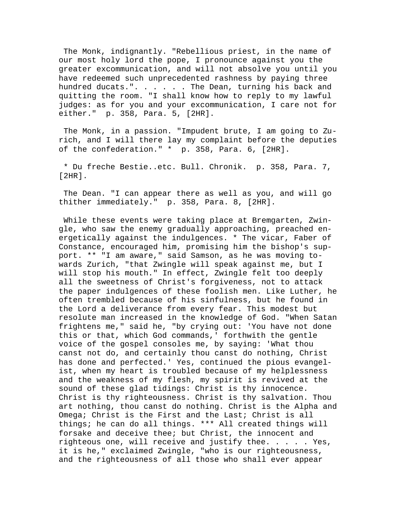The Monk, indignantly. "Rebellious priest, in the name of our most holy lord the pope, I pronounce against you the greater excommunication, and will not absolve you until you have redeemed such unprecedented rashness by paying three hundred ducats.". . . . . . The Dean, turning his back and quitting the room. "I shall know how to reply to my lawful judges: as for you and your excommunication, I care not for either." p. 358, Para. 5, [2HR].

 The Monk, in a passion. "Impudent brute, I am going to Zurich, and I will there lay my complaint before the deputies of the confederation." \* p. 358, Para. 6, [2HR].

 \* Du freche Bestie..etc. Bull. Chronik. p. 358, Para. 7, [2HR].

 The Dean. "I can appear there as well as you, and will go thither immediately." p. 358, Para. 8, [2HR].

 While these events were taking place at Bremgarten, Zwingle, who saw the enemy gradually approaching, preached energetically against the indulgences. \* The vicar, Faber of Constance, encouraged him, promising him the bishop's support. \*\* "I am aware," said Samson, as he was moving towards Zurich, "that Zwingle will speak against me, but I will stop his mouth." In effect, Zwingle felt too deeply all the sweetness of Christ's forgiveness, not to attack the paper indulgences of these foolish men. Like Luther, he often trembled because of his sinfulness, but he found in the Lord a deliverance from every fear. This modest but resolute man increased in the knowledge of God. "When Satan frightens me," said he, "by crying out: 'You have not done this or that, which God commands,' forthwith the gentle voice of the gospel consoles me, by saying: 'What thou canst not do, and certainly thou canst do nothing, Christ has done and perfected.' Yes, continued the pious evangelist, when my heart is troubled because of my helplessness and the weakness of my flesh, my spirit is revived at the sound of these glad tidings: Christ is thy innocence. Christ is thy righteousness. Christ is thy salvation. Thou art nothing, thou canst do nothing. Christ is the Alpha and Omega; Christ is the First and the Last; Christ is all things; he can do all things. \*\*\* All created things will forsake and deceive thee; but Christ, the innocent and righteous one, will receive and justify thee.  $\ldots$  . Yes, it is he," exclaimed Zwingle, "who is our righteousness, and the righteousness of all those who shall ever appear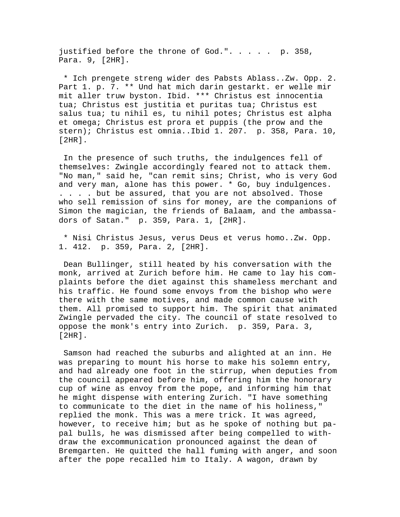justified before the throne of God.". . . . . p. 358, Para. 9, [2HR].

 \* Ich prengete streng wider des Pabsts Ablass..Zw. Opp. 2. Part 1. p. 7. \*\* Und hat mich darin gestarkt. er welle mir mit aller truw byston. Ibid. \*\*\* Christus est innocentia tua; Christus est justitia et puritas tua; Christus est salus tua; tu nihil es, tu nihil potes; Christus est alpha et omega; Christus est prora et puppis (the prow and the stern); Christus est omnia..Ibid 1. 207. p. 358, Para. 10, [2HR].

 In the presence of such truths, the indulgences fell of themselves: Zwingle accordingly feared not to attack them. "No man," said he, "can remit sins; Christ, who is very God and very man, alone has this power. \* Go, buy indulgences. . . . . but be assured, that you are not absolved. Those who sell remission of sins for money, are the companions of Simon the magician, the friends of Balaam, and the ambassadors of Satan." p. 359, Para. 1, [2HR].

 \* Nisi Christus Jesus, verus Deus et verus homo..Zw. Opp. 1. 412. p. 359, Para. 2, [2HR].

 Dean Bullinger, still heated by his conversation with the monk, arrived at Zurich before him. He came to lay his complaints before the diet against this shameless merchant and his traffic. He found some envoys from the bishop who were there with the same motives, and made common cause with them. All promised to support him. The spirit that animated Zwingle pervaded the city. The council of state resolved to oppose the monk's entry into Zurich. p. 359, Para. 3,  $[2HR]$ .

 Samson had reached the suburbs and alighted at an inn. He was preparing to mount his horse to make his solemn entry, and had already one foot in the stirrup, when deputies from the council appeared before him, offering him the honorary cup of wine as envoy from the pope, and informing him that he might dispense with entering Zurich. "I have something to communicate to the diet in the name of his holiness," replied the monk. This was a mere trick. It was agreed, however, to receive him; but as he spoke of nothing but papal bulls, he was dismissed after being compelled to withdraw the excommunication pronounced against the dean of Bremgarten. He quitted the hall fuming with anger, and soon after the pope recalled him to Italy. A wagon, drawn by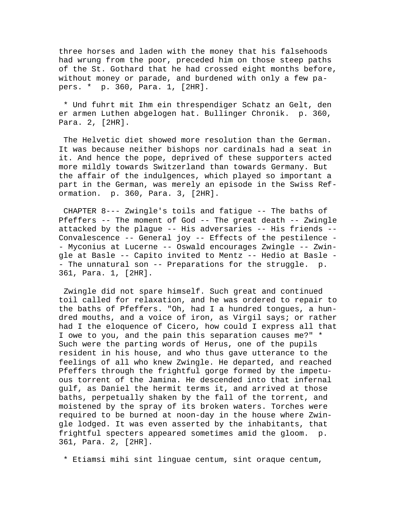three horses and laden with the money that his falsehoods had wrung from the poor, preceded him on those steep paths of the St. Gothard that he had crossed eight months before, without money or parade, and burdened with only a few papers. \* p. 360, Para. 1, [2HR].

 \* Und fuhrt mit Ihm ein threspendiger Schatz an Gelt, den er armen Luthen abgelogen hat. Bullinger Chronik. p. 360, Para. 2, [2HR].

 The Helvetic diet showed more resolution than the German. It was because neither bishops nor cardinals had a seat in it. And hence the pope, deprived of these supporters acted more mildly towards Switzerland than towards Germany. But the affair of the indulgences, which played so important a part in the German, was merely an episode in the Swiss Reformation. p. 360, Para. 3, [2HR].

 CHAPTER 8--- Zwingle's toils and fatigue -- The baths of Pfeffers -- The moment of God -- The great death -- Zwingle attacked by the plague -- His adversaries -- His friends -- Convalescence -- General joy -- Effects of the pestilence - - Myconius at Lucerne -- Oswald encourages Zwingle -- Zwingle at Basle -- Capito invited to Mentz -- Hedio at Basle - - The unnatural son -- Preparations for the struggle. p. 361, Para. 1, [2HR].

 Zwingle did not spare himself. Such great and continued toil called for relaxation, and he was ordered to repair to the baths of Pfeffers. "Oh, had I a hundred tongues, a hundred mouths, and a voice of iron, as Virgil says; or rather had I the eloquence of Cicero, how could I express all that I owe to you, and the pain this separation causes me?" \* Such were the parting words of Herus, one of the pupils resident in his house, and who thus gave utterance to the feelings of all who knew Zwingle. He departed, and reached Pfeffers through the frightful gorge formed by the impetuous torrent of the Jamina. He descended into that infernal gulf, as Daniel the hermit terms it, and arrived at those baths, perpetually shaken by the fall of the torrent, and moistened by the spray of its broken waters. Torches were required to be burned at noon-day in the house where Zwingle lodged. It was even asserted by the inhabitants, that frightful specters appeared sometimes amid the gloom. p. 361, Para. 2, [2HR].

\* Etiamsi mihi sint linguae centum, sint oraque centum,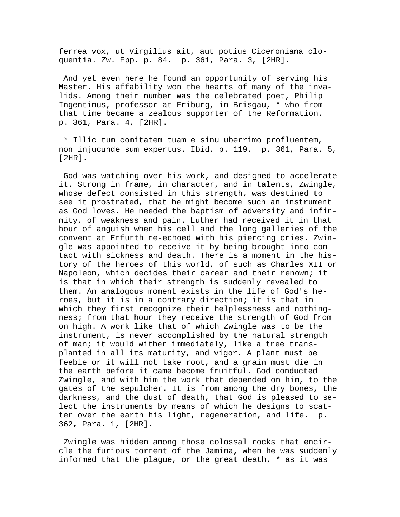ferrea vox, ut Virgilius ait, aut potius Ciceroniana cloquentia. Zw. Epp. p. 84. p. 361, Para. 3, [2HR].

 And yet even here he found an opportunity of serving his Master. His affability won the hearts of many of the invalids. Among their number was the celebrated poet, Philip Ingentinus, professor at Friburg, in Brisgau, \* who from that time became a zealous supporter of the Reformation. p. 361, Para. 4, [2HR].

 \* Illic tum comitatem tuam e sinu uberrimo profluentem, non injucunde sum expertus. Ibid. p. 119. p. 361, Para. 5, [2HR].

 God was watching over his work, and designed to accelerate it. Strong in frame, in character, and in talents, Zwingle, whose defect consisted in this strength, was destined to see it prostrated, that he might become such an instrument as God loves. He needed the baptism of adversity and infirmity, of weakness and pain. Luther had received it in that hour of anguish when his cell and the long galleries of the convent at Erfurth re-echoed with his piercing cries. Zwingle was appointed to receive it by being brought into contact with sickness and death. There is a moment in the history of the heroes of this world, of such as Charles XII or Napoleon, which decides their career and their renown; it is that in which their strength is suddenly revealed to them. An analogous moment exists in the life of God's heroes, but it is in a contrary direction; it is that in which they first recognize their helplessness and nothingness; from that hour they receive the strength of God from on high. A work like that of which Zwingle was to be the instrument, is never accomplished by the natural strength of man; it would wither immediately, like a tree transplanted in all its maturity, and vigor. A plant must be feeble or it will not take root, and a grain must die in the earth before it came become fruitful. God conducted Zwingle, and with him the work that depended on him, to the gates of the sepulcher. It is from among the dry bones, the darkness, and the dust of death, that God is pleased to select the instruments by means of which he designs to scatter over the earth his light, regeneration, and life. p. 362, Para. 1, [2HR].

 Zwingle was hidden among those colossal rocks that encircle the furious torrent of the Jamina, when he was suddenly informed that the plague, or the great death, \* as it was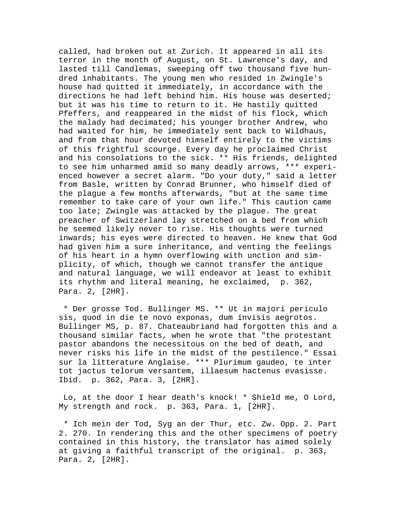called, had broken out at Zurich. It appeared in all its terror in the month of August, on St. Lawrence's day, and lasted till Candlemas, sweeping off two thousand five hundred inhabitants. The young men who resided in Zwingle's house had quitted it immediately, in accordance with the directions he had left behind him. His house was deserted; but it was his time to return to it. He hastily quitted Pfeffers, and reappeared in the midst of his flock, which the malady had decimated; his younger brother Andrew, who had waited for him, he immediately sent back to Wildhaus, and from that hour devoted himself entirely to the victims of this frightful scourge. Every day he proclaimed Christ and his consolations to the sick. \*\* His friends, delighted to see him unharmed amid so many deadly arrows, \*\*\* experienced however a secret alarm. "Do your duty," said a letter from Basle, written by Conrad Brunner, who himself died of the plague a few months afterwards, "but at the same time remember to take care of your own life." This caution came too late; Zwingle was attacked by the plague. The great preacher of Switzerland lay stretched on a bed from which he seemed likely never to rise. His thoughts were turned inwards; his eyes were directed to heaven. He knew that God had given him a sure inheritance, and venting the feelings of his heart in a hymn overflowing with unction and simplicity, of which, though we cannot transfer the antique and natural language, we will endeavor at least to exhibit its rhythm and literal meaning, he exclaimed, p. 362, Para. 2, [2HR].

 \* Der grosse Tod. Bullinger MS. \*\* Ut in majori periculo sis, quod in die te novo exponas, dum invisis aegrotos. Bullinger MS, p. 87. Chateaubriand had forgotten this and a thousand similar facts, when he wrote that "the protestant pastor abandons the necessitous on the bed of death, and never risks his life in the midst of the pestilence." Essai sur la litterature Anglaise. \*\*\* Plurimum gaudeo, te inter tot jactus telorum versantem, illaesum hactenus evasisse. Ibid. p. 362, Para. 3, [2HR].

 Lo, at the door I hear death's knock! \* Shield me, O Lord, My strength and rock. p. 363, Para. 1, [2HR].

 \* Ich mein der Tod, Syg an der Thur, etc. Zw. Opp. 2. Part 2. 270. In rendering this and the other specimens of poetry contained in this history, the translator has aimed solely at giving a faithful transcript of the original. p. 363, Para. 2, [2HR].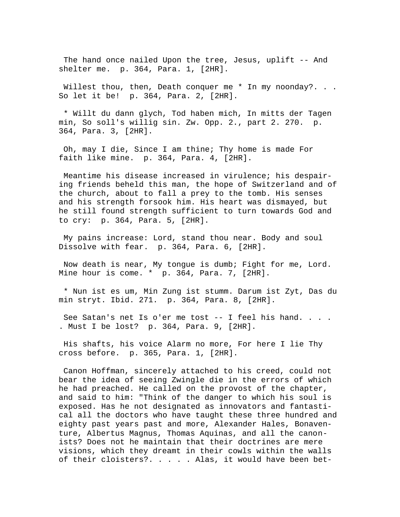The hand once nailed Upon the tree, Jesus, uplift -- And shelter me. p. 364, Para. 1, [2HR].

Willest thou, then, Death conquer me \* In my noonday?... So let it be! p. 364, Para. 2, [2HR].

 \* Willt du dann glych, Tod haben mich, In mitts der Tagen min, So soll's willig sin. Zw. Opp. 2., part 2. 270. p. 364, Para. 3, [2HR].

 Oh, may I die, Since I am thine; Thy home is made For faith like mine. p. 364, Para. 4, [2HR].

 Meantime his disease increased in virulence; his despairing friends beheld this man, the hope of Switzerland and of the church, about to fall a prey to the tomb. His senses and his strength forsook him. His heart was dismayed, but he still found strength sufficient to turn towards God and to cry: p. 364, Para. 5, [2HR].

 My pains increase: Lord, stand thou near. Body and soul Dissolve with fear. p. 364, Para. 6, [2HR].

 Now death is near, My tongue is dumb; Fight for me, Lord. Mine hour is come. \* p. 364, Para. 7, [2HR].

 \* Nun ist es um, Min Zung ist stumm. Darum ist Zyt, Das du min stryt. Ibid. 271. p. 364, Para. 8, [2HR].

 See Satan's net Is o'er me tost -- I feel his hand. . . . . Must I be lost? p. 364, Para. 9, [2HR].

 His shafts, his voice Alarm no more, For here I lie Thy cross before. p. 365, Para. 1, [2HR].

 Canon Hoffman, sincerely attached to his creed, could not bear the idea of seeing Zwingle die in the errors of which he had preached. He called on the provost of the chapter, and said to him: "Think of the danger to which his soul is exposed. Has he not designated as innovators and fantastical all the doctors who have taught these three hundred and eighty past years past and more, Alexander Hales, Bonaventure, Albertus Magnus, Thomas Aquinas, and all the canonists? Does not he maintain that their doctrines are mere visions, which they dreamt in their cowls within the walls of their cloisters?. . . . . Alas, it would have been bet-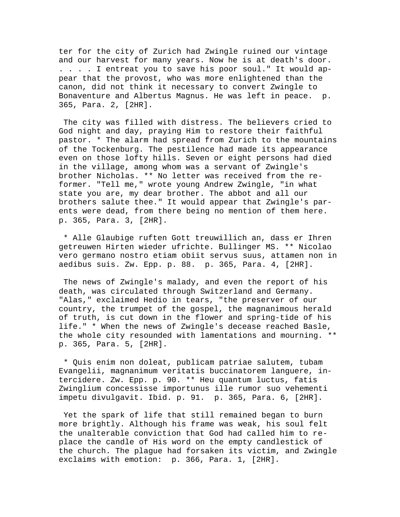ter for the city of Zurich had Zwingle ruined our vintage and our harvest for many years. Now he is at death's door. . . . . I entreat you to save his poor soul." It would appear that the provost, who was more enlightened than the canon, did not think it necessary to convert Zwingle to Bonaventure and Albertus Magnus. He was left in peace. p. 365, Para. 2, [2HR].

 The city was filled with distress. The believers cried to God night and day, praying Him to restore their faithful pastor. \* The alarm had spread from Zurich to the mountains of the Tockenburg. The pestilence had made its appearance even on those lofty hills. Seven or eight persons had died in the village, among whom was a servant of Zwingle's brother Nicholas. \*\* No letter was received from the reformer. "Tell me," wrote young Andrew Zwingle, "in what state you are, my dear brother. The abbot and all our brothers salute thee." It would appear that Zwingle's parents were dead, from there being no mention of them here. p. 365, Para. 3, [2HR].

 \* Alle Glaubige ruften Gott treuwillich an, dass er Ihren getreuwen Hirten wieder ufrichte. Bullinger MS. \*\* Nicolao vero germano nostro etiam obiit servus suus, attamen non in aedibus suis. Zw. Epp. p. 88. p. 365, Para. 4, [2HR].

 The news of Zwingle's malady, and even the report of his death, was circulated through Switzerland and Germany. "Alas," exclaimed Hedio in tears, "the preserver of our country, the trumpet of the gospel, the magnanimous herald of truth, is cut down in the flower and spring-tide of his life." \* When the news of Zwingle's decease reached Basle, the whole city resounded with lamentations and mourning. \*\* p. 365, Para. 5, [2HR].

 \* Quis enim non doleat, publicam patriae salutem, tubam Evangelii, magnanimum veritatis buccinatorem languere, intercidere. Zw. Epp. p. 90. \*\* Heu quantum luctus, fatis Zwinglium concessisse importunus ille rumor suo vehementi impetu divulgavit. Ibid. p. 91. p. 365, Para. 6, [2HR].

 Yet the spark of life that still remained began to burn more brightly. Although his frame was weak, his soul felt the unalterable conviction that God had called him to replace the candle of His word on the empty candlestick of the church. The plague had forsaken its victim, and Zwingle exclaims with emotion: p. 366, Para. 1, [2HR].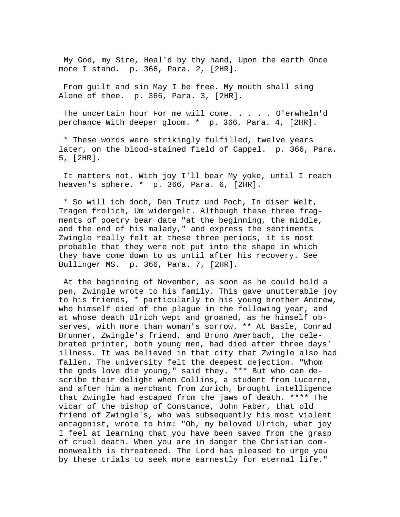My God, my Sire, Heal'd by thy hand, Upon the earth Once more I stand. p. 366, Para. 2, [2HR].

 From guilt and sin May I be free. My mouth shall sing Alone of thee. p. 366, Para. 3, [2HR].

The uncertain hour For me will come. . . . . O'erwhelm'd perchance With deeper gloom. \* p. 366, Para. 4, [2HR].

 \* These words were strikingly fulfilled, twelve years later, on the blood-stained field of Cappel. p. 366, Para. 5, [2HR].

 It matters not. With joy I'll bear My yoke, until I reach heaven's sphere. \* p. 366, Para. 6, [2HR].

 \* So will ich doch, Den Trutz und Poch, In diser Welt, Tragen frolich, Um widergelt. Although these three fragments of poetry bear date "at the beginning, the middle, and the end of his malady," and express the sentiments Zwingle really felt at these three periods, it is most probable that they were not put into the shape in which they have come down to us until after his recovery. See Bullinger MS. p. 366, Para. 7, [2HR].

 At the beginning of November, as soon as he could hold a pen, Zwingle wrote to his family. This gave unutterable joy to his friends, \* particularly to his young brother Andrew, who himself died of the plague in the following year, and at whose death Ulrich wept and groaned, as he himself observes, with more than woman's sorrow. \*\* At Basle, Conrad Brunner, Zwingle's friend, and Bruno Amerbach, the celebrated printer, both young men, had died after three days' illness. It was believed in that city that Zwingle also had fallen. The university felt the deepest dejection. "Whom the gods love die young," said they. \*\*\* But who can describe their delight when Collins, a student from Lucerne, and after him a merchant from Zurich, brought intelligence that Zwingle had escaped from the jaws of death. \*\*\*\* The vicar of the bishop of Constance, John Faber, that old friend of Zwingle's, who was subsequently his most violent antagonist, wrote to him: "Oh, my beloved Ulrich, what joy I feel at learning that you have been saved from the grasp of cruel death. When you are in danger the Christian commonwealth is threatened. The Lord has pleased to urge you by these trials to seek more earnestly for eternal life."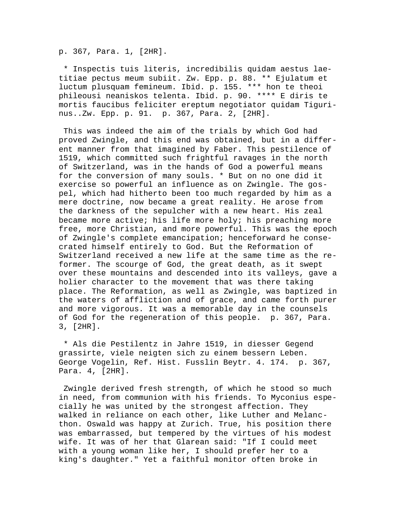p. 367, Para. 1, [2HR].

 \* Inspectis tuis literis, incredibilis quidam aestus laetitiae pectus meum subiit. Zw. Epp. p. 88. \*\* Ejulatum et luctum plusquam femineum. Ibid. p. 155. \*\*\* hon te theoi phileousi neaniskos telenta. Ibid. p. 90. \*\*\*\* E diris te mortis faucibus feliciter ereptum negotiator quidam Tigurinus..Zw. Epp. p. 91. p. 367, Para. 2, [2HR].

 This was indeed the aim of the trials by which God had proved Zwingle, and this end was obtained, but in a different manner from that imagined by Faber. This pestilence of 1519, which committed such frightful ravages in the north of Switzerland, was in the hands of God a powerful means for the conversion of many souls. \* But on no one did it exercise so powerful an influence as on Zwingle. The gospel, which had hitherto been too much regarded by him as a mere doctrine, now became a great reality. He arose from the darkness of the sepulcher with a new heart. His zeal became more active; his life more holy; his preaching more free, more Christian, and more powerful. This was the epoch of Zwingle's complete emancipation; henceforward he consecrated himself entirely to God. But the Reformation of Switzerland received a new life at the same time as the reformer. The scourge of God, the great death, as it swept over these mountains and descended into its valleys, gave a holier character to the movement that was there taking place. The Reformation, as well as Zwingle, was baptized in the waters of affliction and of grace, and came forth purer and more vigorous. It was a memorable day in the counsels of God for the regeneration of this people. p. 367, Para. 3, [2HR].

 \* Als die Pestilentz in Jahre 1519, in diesser Gegend grassirte, viele neigten sich zu einem bessern Leben. George Vogelin, Ref. Hist. Fusslin Beytr. 4. 174. p. 367, Para. 4, [2HR].

 Zwingle derived fresh strength, of which he stood so much in need, from communion with his friends. To Myconius especially he was united by the strongest affection. They walked in reliance on each other, like Luther and Melancthon. Oswald was happy at Zurich. True, his position there was embarrassed, but tempered by the virtues of his modest wife. It was of her that Glarean said: "If I could meet with a young woman like her, I should prefer her to a king's daughter." Yet a faithful monitor often broke in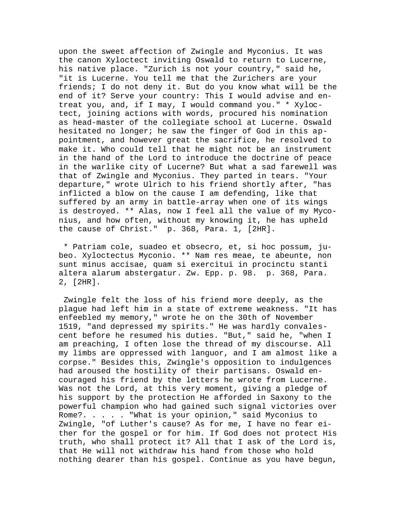upon the sweet affection of Zwingle and Myconius. It was the canon Xyloctect inviting Oswald to return to Lucerne, his native place. "Zurich is not your country," said he, "it is Lucerne. You tell me that the Zurichers are your friends; I do not deny it. But do you know what will be the end of it? Serve your country: This I would advise and entreat you, and, if I may, I would command you." \* Xyloctect, joining actions with words, procured his nomination as head-master of the collegiate school at Lucerne. Oswald hesitated no longer; he saw the finger of God in this appointment, and however great the sacrifice, he resolved to make it. Who could tell that he might not be an instrument in the hand of the Lord to introduce the doctrine of peace in the warlike city of Lucerne? But what a sad farewell was that of Zwingle and Myconius. They parted in tears. "Your departure," wrote Ulrich to his friend shortly after, "has inflicted a blow on the cause I am defending, like that suffered by an army in battle-array when one of its wings is destroyed. \*\* Alas, now I feel all the value of my Myconius, and how often, without my knowing it, he has upheld the cause of Christ." p. 368, Para. 1, [2HR].

 \* Patriam cole, suadeo et obsecro, et, si hoc possum, jubeo. Xyloctectus Myconio. \*\* Nam res meae, te abeunte, non sunt minus accisae, quam si exercitui in procinctu stanti altera alarum abstergatur. Zw. Epp. p. 98. p. 368, Para. 2, [2HR].

 Zwingle felt the loss of his friend more deeply, as the plague had left him in a state of extreme weakness. "It has enfeebled my memory," wrote he on the 30th of November 1519, "and depressed my spirits." He was hardly convalescent before he resumed his duties. "But," said he, "when I am preaching, I often lose the thread of my discourse. All my limbs are oppressed with languor, and I am almost like a corpse." Besides this, Zwingle's opposition to indulgences had aroused the hostility of their partisans. Oswald encouraged his friend by the letters he wrote from Lucerne. Was not the Lord, at this very moment, giving a pledge of his support by the protection He afforded in Saxony to the powerful champion who had gained such signal victories over Rome?. . . . . "What is your opinion," said Myconius to Zwingle, "of Luther's cause? As for me, I have no fear either for the gospel or for him. If God does not protect His truth, who shall protect it? All that I ask of the Lord is, that He will not withdraw his hand from those who hold nothing dearer than his gospel. Continue as you have begun,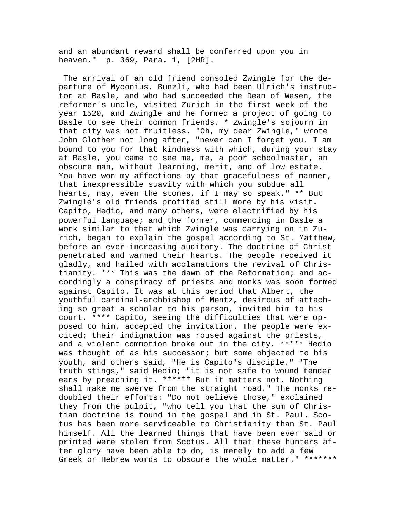and an abundant reward shall be conferred upon you in heaven." p. 369, Para. 1, [2HR].

 The arrival of an old friend consoled Zwingle for the departure of Myconius. Bunzli, who had been Ulrich's instructor at Basle, and who had succeeded the Dean of Wesen, the reformer's uncle, visited Zurich in the first week of the year 1520, and Zwingle and he formed a project of going to Basle to see their common friends. \* Zwingle's sojourn in that city was not fruitless. "Oh, my dear Zwingle," wrote John Glother not long after, "never can I forget you. I am bound to you for that kindness with which, during your stay at Basle, you came to see me, me, a poor schoolmaster, an obscure man, without learning, merit, and of low estate. You have won my affections by that gracefulness of manner, that inexpressible suavity with which you subdue all hearts, nay, even the stones, if I may so speak." \*\* But Zwingle's old friends profited still more by his visit. Capito, Hedio, and many others, were electrified by his powerful language; and the former, commencing in Basle a work similar to that which Zwingle was carrying on in Zurich, began to explain the gospel according to St. Matthew, before an ever-increasing auditory. The doctrine of Christ penetrated and warmed their hearts. The people received it gladly, and hailed with acclamations the revival of Christianity. \*\*\* This was the dawn of the Reformation; and accordingly a conspiracy of priests and monks was soon formed against Capito. It was at this period that Albert, the youthful cardinal-archbishop of Mentz, desirous of attaching so great a scholar to his person, invited him to his court. \*\*\*\* Capito, seeing the difficulties that were opposed to him, accepted the invitation. The people were excited; their indignation was roused against the priests, and a violent commotion broke out in the city. \*\*\*\*\* Hedio was thought of as his successor; but some objected to his youth, and others said, "He is Capito's disciple." "The truth stings," said Hedio; "it is not safe to wound tender ears by preaching it. \*\*\*\*\*\* But it matters not. Nothing shall make me swerve from the straight road." The monks redoubled their efforts: "Do not believe those," exclaimed they from the pulpit, "who tell you that the sum of Christian doctrine is found in the gospel and in St. Paul. Scotus has been more serviceable to Christianity than St. Paul himself. All the learned things that have been ever said or printed were stolen from Scotus. All that these hunters after glory have been able to do, is merely to add a few Greek or Hebrew words to obscure the whole matter." \*\*\*\*\*\*\*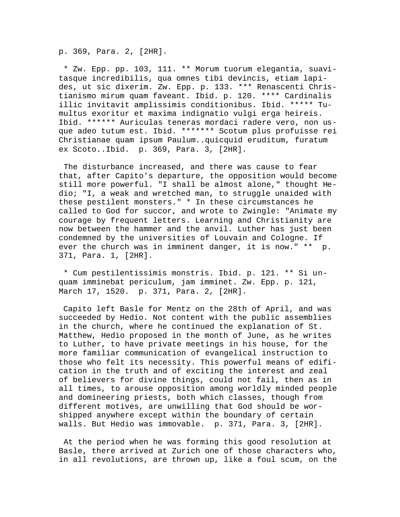p. 369, Para. 2, [2HR].

 \* Zw. Epp. pp. 103, 111. \*\* Morum tuorum elegantia, suavitasque incredibilis, qua omnes tibi devincis, etiam lapides, ut sic dixerim. Zw. Epp. p. 133. \*\*\* Renascenti Christianismo mirum quam faveant. Ibid. p. 120. \*\*\*\* Cardinalis illic invitavit amplissimis conditionibus. Ibid. \*\*\*\*\* Tumultus exoritur et maxima indignatio vulgi erga heireis. Ibid. \*\*\*\*\*\* Auriculas teneras mordaci radere vero, non usque adeo tutum est. Ibid. \*\*\*\*\*\*\* Scotum plus profuisse rei Christianae quam ipsum Paulum..quicquid eruditum, furatum ex Scoto..Ibid. p. 369, Para. 3, [2HR].

 The disturbance increased, and there was cause to fear that, after Capito's departure, the opposition would become still more powerful. "I shall be almost alone," thought Hedio; "I, a weak and wretched man, to struggle unaided with these pestilent monsters." \* In these circumstances he called to God for succor, and wrote to Zwingle: "Animate my courage by frequent letters. Learning and Christianity are now between the hammer and the anvil. Luther has just been condemned by the universities of Louvain and Cologne. If ever the church was in imminent danger, it is now." \*\* p. 371, Para. 1, [2HR].

 \* Cum pestilentissimis monstris. Ibid. p. 121. \*\* Si unquam imminebat periculum, jam imminet. Zw. Epp. p. 121, March 17, 1520. p. 371, Para. 2, [2HR].

 Capito left Basle for Mentz on the 28th of April, and was succeeded by Hedio. Not content with the public assemblies in the church, where he continued the explanation of St. Matthew, Hedio proposed in the month of June, as he writes to Luther, to have private meetings in his house, for the more familiar communication of evangelical instruction to those who felt its necessity. This powerful means of edification in the truth and of exciting the interest and zeal of believers for divine things, could not fail, then as in all times, to arouse opposition among worldly minded people and domineering priests, both which classes, though from different motives, are unwilling that God should be worshipped anywhere except within the boundary of certain walls. But Hedio was immovable. p. 371, Para. 3, [2HR].

 At the period when he was forming this good resolution at Basle, there arrived at Zurich one of those characters who, in all revolutions, are thrown up, like a foul scum, on the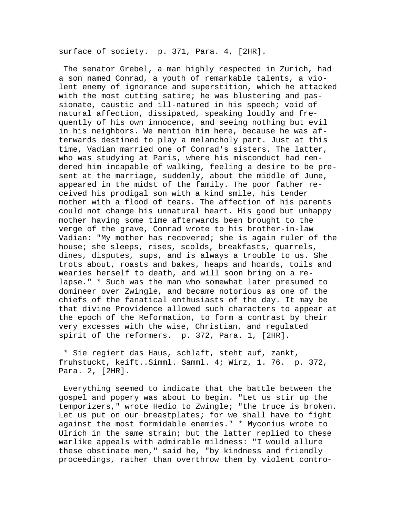surface of society. p. 371, Para. 4, [2HR].

 The senator Grebel, a man highly respected in Zurich, had a son named Conrad, a youth of remarkable talents, a violent enemy of ignorance and superstition, which he attacked with the most cutting satire; he was blustering and passionate, caustic and ill-natured in his speech; void of natural affection, dissipated, speaking loudly and frequently of his own innocence, and seeing nothing but evil in his neighbors. We mention him here, because he was afterwards destined to play a melancholy part. Just at this time, Vadian married one of Conrad's sisters. The latter, who was studying at Paris, where his misconduct had rendered him incapable of walking, feeling a desire to be present at the marriage, suddenly, about the middle of June, appeared in the midst of the family. The poor father received his prodigal son with a kind smile, his tender mother with a flood of tears. The affection of his parents could not change his unnatural heart. His good but unhappy mother having some time afterwards been brought to the verge of the grave, Conrad wrote to his brother-in-law Vadian: "My mother has recovered; she is again ruler of the house; she sleeps, rises, scolds, breakfasts, quarrels, dines, disputes, sups, and is always a trouble to us. She trots about, roasts and bakes, heaps and hoards, toils and wearies herself to death, and will soon bring on a relapse." \* Such was the man who somewhat later presumed to domineer over Zwingle, and became notorious as one of the chiefs of the fanatical enthusiasts of the day. It may be that divine Providence allowed such characters to appear at the epoch of the Reformation, to form a contrast by their very excesses with the wise, Christian, and regulated spirit of the reformers. p. 372, Para. 1, [2HR].

 \* Sie regiert das Haus, schlaft, steht auf, zankt, fruhstuckt, keift..Simml. Samml. 4; Wirz, 1. 76. p. 372, Para. 2, [2HR].

 Everything seemed to indicate that the battle between the gospel and popery was about to begin. "Let us stir up the temporizers," wrote Hedio to Zwingle; "the truce is broken. Let us put on our breastplates; for we shall have to fight against the most formidable enemies." \* Myconius wrote to Ulrich in the same strain; but the latter replied to these warlike appeals with admirable mildness: "I would allure these obstinate men," said he, "by kindness and friendly proceedings, rather than overthrow them by violent contro-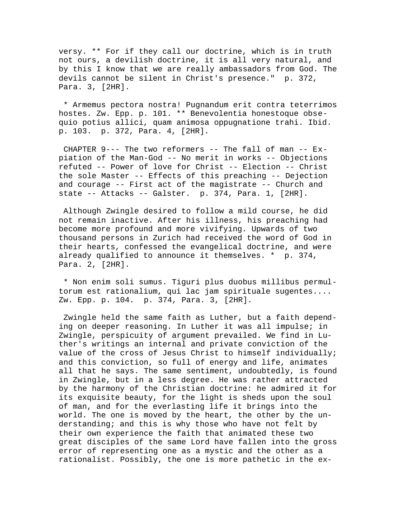versy. \*\* For if they call our doctrine, which is in truth not ours, a devilish doctrine, it is all very natural, and by this I know that we are really ambassadors from God. The devils cannot be silent in Christ's presence." p. 372, Para. 3, [2HR].

 \* Armemus pectora nostra! Pugnandum erit contra teterrimos hostes. Zw. Epp. p. 101. \*\* Benevolentia honestoque obsequio potius allici, quam animosa oppugnatione trahi. Ibid. p. 103. p. 372, Para. 4, [2HR].

CHAPTER  $9---$  The two reformers  $--$  The fall of man  $--$  Expiation of the Man-God -- No merit in works -- Objections refuted -- Power of love for Christ -- Election -- Christ the sole Master -- Effects of this preaching -- Dejection and courage -- First act of the magistrate -- Church and state -- Attacks -- Galster. p. 374, Para. 1, [2HR].

 Although Zwingle desired to follow a mild course, he did not remain inactive. After his illness, his preaching had become more profound and more vivifying. Upwards of two thousand persons in Zurich had received the word of God in their hearts, confessed the evangelical doctrine, and were already qualified to announce it themselves. \* p. 374, Para. 2, [2HR].

 \* Non enim soli sumus. Tiguri plus duobus millibus permultorum est rationalium, qui lac jam spirituale sugentes.... Zw. Epp. p. 104. p. 374, Para. 3, [2HR].

 Zwingle held the same faith as Luther, but a faith depending on deeper reasoning. In Luther it was all impulse; in Zwingle, perspicuity of argument prevailed. We find in Luther's writings an internal and private conviction of the value of the cross of Jesus Christ to himself individually; and this conviction, so full of energy and life, animates all that he says. The same sentiment, undoubtedly, is found in Zwingle, but in a less degree. He was rather attracted by the harmony of the Christian doctrine: he admired it for its exquisite beauty, for the light is sheds upon the soul of man, and for the everlasting life it brings into the world. The one is moved by the heart, the other by the understanding; and this is why those who have not felt by their own experience the faith that animated these two great disciples of the same Lord have fallen into the gross error of representing one as a mystic and the other as a rationalist. Possibly, the one is more pathetic in the ex-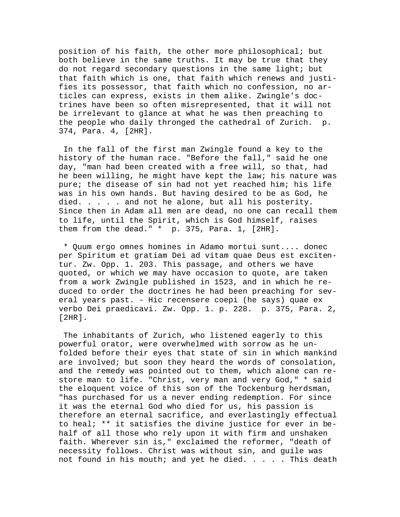position of his faith, the other more philosophical; but both believe in the same truths. It may be true that they do not regard secondary questions in the same light; but that faith which is one, that faith which renews and justifies its possessor, that faith which no confession, no articles can express, exists in them alike. Zwingle's doctrines have been so often misrepresented, that it will not be irrelevant to glance at what he was then preaching to the people who daily thronged the cathedral of Zurich. p. 374, Para. 4, [2HR].

 In the fall of the first man Zwingle found a key to the history of the human race. "Before the fall," said he one day, "man had been created with a free will, so that, had he been willing, he might have kept the law; his nature was pure; the disease of sin had not yet reached him; his life was in his own hands. But having desired to be as God, he died. . . . . and not he alone, but all his posterity. Since then in Adam all men are dead, no one can recall them to life, until the Spirit, which is God himself, raises them from the dead." \* p. 375, Para. 1, [2HR].

 \* Quum ergo omnes homines in Adamo mortui sunt.... donec per Spiritum et gratiam Dei ad vitam quae Deus est excitentur. Zw. Opp. 1. 203. This passage, and others we have quoted, or which we may have occasion to quote, are taken from a work Zwingle published in 1523, and in which he reduced to order the doctrines he had been preaching for several years past. - Hic recensere coepi (he says) quae ex verbo Dei praedicavi. Zw. Opp. 1. p. 228. p. 375, Para. 2, [2HR].

 The inhabitants of Zurich, who listened eagerly to this powerful orator, were overwhelmed with sorrow as he unfolded before their eyes that state of sin in which mankind are involved; but soon they heard the words of consolation, and the remedy was pointed out to them, which alone can restore man to life. "Christ, very man and very God," \* said the eloquent voice of this son of the Tockenburg herdsman, "has purchased for us a never ending redemption. For since it was the eternal God who died for us, his passion is therefore an eternal sacrifice, and everlastingly effectual to heal; \*\* it satisfies the divine justice for ever in behalf of all those who rely upon it with firm and unshaken faith. Wherever sin is," exclaimed the reformer, "death of necessity follows. Christ was without sin, and guile was not found in his mouth; and yet he died. . . . . This death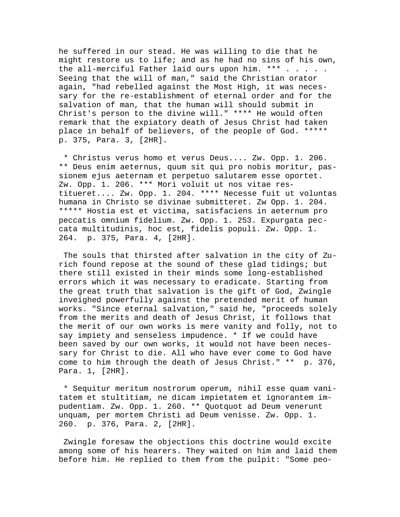he suffered in our stead. He was willing to die that he might restore us to life; and as he had no sins of his own, the all-merciful Father laid ours upon him. \*\*\* . . . . . Seeing that the will of man," said the Christian orator again, "had rebelled against the Most High, it was necessary for the re-establishment of eternal order and for the salvation of man, that the human will should submit in Christ's person to the divine will." \*\*\*\* He would often remark that the expiatory death of Jesus Christ had taken place in behalf of believers, of the people of God. \*\*\*\*\* p. 375, Para. 3, [2HR].

 \* Christus verus homo et verus Deus.... Zw. Opp. 1. 206. \*\* Deus enim aeternus, quum sit qui pro nobis moritur, passionem ejus aeternam et perpetuo salutarem esse oportet. Zw. Opp. 1. 206. \*\*\* Mori voluit ut nos vitae restitueret.... Zw. Opp. 1. 204. \*\*\*\* Necesse fuit ut voluntas humana in Christo se divinae submitteret. Zw Opp. 1. 204. \*\*\*\*\* Hostia est et victima, satisfaciens in aeternum pro peccatis omnium fidelium. Zw. Opp. 1. 253. Expurgata peccata multitudinis, hoc est, fidelis populi. Zw. Opp. 1. 264. p. 375, Para. 4, [2HR].

 The souls that thirsted after salvation in the city of Zurich found repose at the sound of these glad tidings; but there still existed in their minds some long-established errors which it was necessary to eradicate. Starting from the great truth that salvation is the gift of God, Zwingle inveighed powerfully against the pretended merit of human works. "Since eternal salvation," said he, "proceeds solely from the merits and death of Jesus Christ, it follows that the merit of our own works is mere vanity and folly, not to say impiety and senseless impudence. \* If we could have been saved by our own works, it would not have been necessary for Christ to die. All who have ever come to God have come to him through the death of Jesus Christ." \*\* p. 376, Para. 1, [2HR].

 \* Sequitur meritum nostrorum operum, nihil esse quam vanitatem et stultitiam, ne dicam impietatem et ignorantem impudentiam. Zw. Opp. 1. 260. \*\* Quotquot ad Deum venerunt unquam, per mortem Christi ad Deum venisse. Zw. Opp. 1. 260. p. 376, Para. 2, [2HR].

 Zwingle foresaw the objections this doctrine would excite among some of his hearers. They waited on him and laid them before him. He replied to them from the pulpit: "Some peo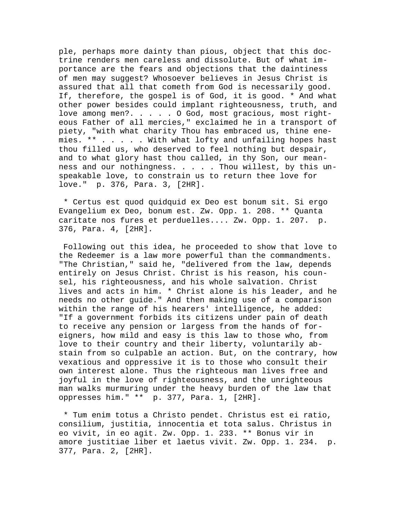ple, perhaps more dainty than pious, object that this doctrine renders men careless and dissolute. But of what importance are the fears and objections that the daintiness of men may suggest? Whosoever believes in Jesus Christ is assured that all that cometh from God is necessarily good. If, therefore, the gospel is of God, it is good. \* And what other power besides could implant righteousness, truth, and love among men?. . . . . O God, most gracious, most righteous Father of all mercies," exclaimed he in a transport of piety, "with what charity Thou has embraced us, thine enemies. \*\* . . . . . With what lofty and unfailing hopes hast thou filled us, who deserved to feel nothing but despair, and to what glory hast thou called, in thy Son, our meanness and our nothingness. . . . . Thou willest, by this unspeakable love, to constrain us to return thee love for love." p. 376, Para. 3, [2HR].

 \* Certus est quod quidquid ex Deo est bonum sit. Si ergo Evangelium ex Deo, bonum est. Zw. Opp. 1. 208. \*\* Quanta caritate nos fures et perduelles.... Zw. Opp. 1. 207. p. 376, Para. 4, [2HR].

 Following out this idea, he proceeded to show that love to the Redeemer is a law more powerful than the commandments. "The Christian," said he, "delivered from the law, depends entirely on Jesus Christ. Christ is his reason, his counsel, his righteousness, and his whole salvation. Christ lives and acts in him. \* Christ alone is his leader, and he needs no other guide." And then making use of a comparison within the range of his hearers' intelligence, he added: "If a government forbids its citizens under pain of death to receive any pension or largess from the hands of foreigners, how mild and easy is this law to those who, from love to their country and their liberty, voluntarily abstain from so culpable an action. But, on the contrary, how vexatious and oppressive it is to those who consult their own interest alone. Thus the righteous man lives free and joyful in the love of righteousness, and the unrighteous man walks murmuring under the heavy burden of the law that oppresses him." \*\* p. 377, Para. 1, [2HR].

 \* Tum enim totus a Christo pendet. Christus est ei ratio, consilium, justitia, innocentia et tota salus. Christus in eo vivit, in eo agit. Zw. Opp. 1. 233. \*\* Bonus vir in amore justitiae liber et laetus vivit. Zw. Opp. 1. 234. p. 377, Para. 2, [2HR].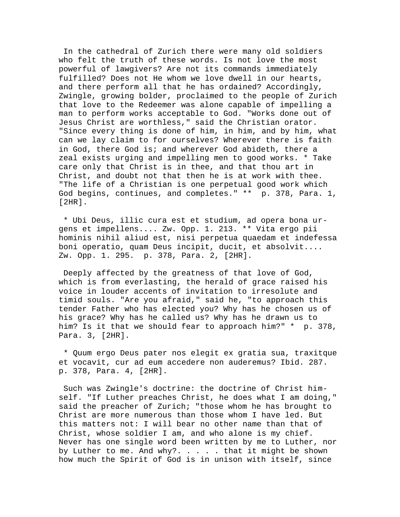In the cathedral of Zurich there were many old soldiers who felt the truth of these words. Is not love the most powerful of lawgivers? Are not its commands immediately fulfilled? Does not He whom we love dwell in our hearts, and there perform all that he has ordained? Accordingly, Zwingle, growing bolder, proclaimed to the people of Zurich that love to the Redeemer was alone capable of impelling a man to perform works acceptable to God. "Works done out of Jesus Christ are worthless," said the Christian orator. "Since every thing is done of him, in him, and by him, what can we lay claim to for ourselves? Wherever there is faith in God, there God is; and wherever God abideth, there a zeal exists urging and impelling men to good works. \* Take care only that Christ is in thee, and that thou art in Christ, and doubt not that then he is at work with thee. "The life of a Christian is one perpetual good work which God begins, continues, and completes." \*\* p. 378, Para. 1,  $[2HR]$ .

 \* Ubi Deus, illic cura est et studium, ad opera bona urgens et impellens.... Zw. Opp. 1. 213. \*\* Vita ergo pii hominis nihil aliud est, nisi perpetua quaedam et indefessa boni operatio, quam Deus incipit, ducit, et absolvit.... Zw. Opp. 1. 295. p. 378, Para. 2, [2HR].

 Deeply affected by the greatness of that love of God, which is from everlasting, the herald of grace raised his voice in louder accents of invitation to irresolute and timid souls. "Are you afraid," said he, "to approach this tender Father who has elected you? Why has he chosen us of his grace? Why has he called us? Why has he drawn us to him? Is it that we should fear to approach him?" \* p. 378, Para. 3, [2HR].

 \* Quum ergo Deus pater nos elegit ex gratia sua, traxitque et vocavit, cur ad eum accedere non auderemus? Ibid. 287. p. 378, Para. 4, [2HR].

 Such was Zwingle's doctrine: the doctrine of Christ himself. "If Luther preaches Christ, he does what I am doing," said the preacher of Zurich; "those whom he has brought to Christ are more numerous than those whom I have led. But this matters not: I will bear no other name than that of Christ, whose soldier I am, and who alone is my chief. Never has one single word been written by me to Luther, nor by Luther to me. And why?. . . . . that it might be shown how much the Spirit of God is in unison with itself, since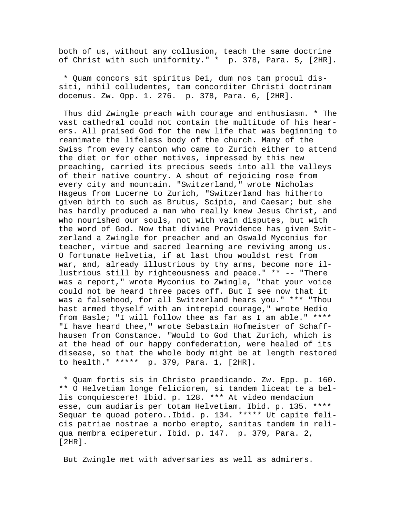both of us, without any collusion, teach the same doctrine of Christ with such uniformity." \* p. 378, Para. 5, [2HR].

 \* Quam concors sit spiritus Dei, dum nos tam procul dissiti, nihil colludentes, tam concorditer Christi doctrinam docemus. Zw. Opp. 1. 276. p. 378, Para. 6, [2HR].

 Thus did Zwingle preach with courage and enthusiasm. \* The vast cathedral could not contain the multitude of his hearers. All praised God for the new life that was beginning to reanimate the lifeless body of the church. Many of the Swiss from every canton who came to Zurich either to attend the diet or for other motives, impressed by this new preaching, carried its precious seeds into all the valleys of their native country. A shout of rejoicing rose from every city and mountain. "Switzerland," wrote Nicholas Hageus from Lucerne to Zurich, "Switzerland has hitherto given birth to such as Brutus, Scipio, and Caesar; but she has hardly produced a man who really knew Jesus Christ, and who nourished our souls, not with vain disputes, but with the word of God. Now that divine Providence has given Switzerland a Zwingle for preacher and an Oswald Myconius for teacher, virtue and sacred learning are reviving among us. O fortunate Helvetia, if at last thou wouldst rest from war, and, already illustrious by thy arms, become more illustrious still by righteousness and peace." \*\* -- "There was a report," wrote Myconius to Zwingle, "that your voice could not be heard three paces off. But I see now that it was a falsehood, for all Switzerland hears you." \*\*\* "Thou hast armed thyself with an intrepid courage," wrote Hedio from Basle; "I will follow thee as far as I am able." \*\*\*\* "I have heard thee," wrote Sebastain Hofmeister of Schaffhausen from Constance. "Would to God that Zurich, which is at the head of our happy confederation, were healed of its disease, so that the whole body might be at length restored to health." \*\*\*\*\* p. 379, Para. 1, [2HR].

 \* Quam fortis sis in Christo praedicando. Zw. Epp. p. 160. \*\* O Helvetiam longe feliciorem, si tandem liceat te a bellis conquiescere! Ibid. p. 128. \*\*\* At video mendacium esse, cum audiaris per totam Helvetiam. Ibid. p. 135. \*\*\*\* Sequar te quoad potero..Ibid. p. 134. \*\*\*\*\* Ut capite felicis patriae nostrae a morbo erepto, sanitas tandem in reliqua membra eciperetur. Ibid. p. 147. p. 379, Para. 2, [2HR].

But Zwingle met with adversaries as well as admirers.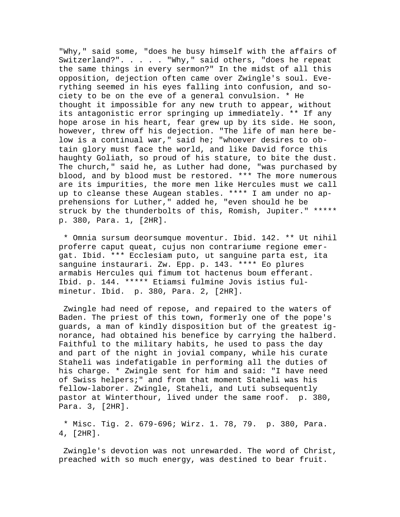"Why," said some, "does he busy himself with the affairs of Switzerland?". . . . . "Why," said others, "does he repeat the same things in every sermon?" In the midst of all this opposition, dejection often came over Zwingle's soul. Everything seemed in his eyes falling into confusion, and society to be on the eve of a general convulsion. \* He thought it impossible for any new truth to appear, without its antagonistic error springing up immediately. \*\* If any hope arose in his heart, fear grew up by its side. He soon, however, threw off his dejection. "The life of man here below is a continual war," said he; "whoever desires to obtain glory must face the world, and like David force this haughty Goliath, so proud of his stature, to bite the dust. The church," said he, as Luther had done, "was purchased by blood, and by blood must be restored. \*\*\* The more numerous are its impurities, the more men like Hercules must we call up to cleanse these Augean stables. \*\*\*\* I am under no apprehensions for Luther," added he, "even should he be struck by the thunderbolts of this, Romish, Jupiter." \*\*\*\*\* p. 380, Para. 1, [2HR].

 \* Omnia sursum deorsumque moventur. Ibid. 142. \*\* Ut nihil proferre caput queat, cujus non contrariume regione emergat. Ibid. \*\*\* Ecclesiam puto, ut sanguine parta est, ita sanguine instaurari. Zw. Epp. p. 143. \*\*\*\* Eo plures armabis Hercules qui fimum tot hactenus boum efferant. Ibid. p. 144. \*\*\*\*\* Etiamsi fulmine Jovis istius fulminetur. Ibid. p. 380, Para. 2, [2HR].

 Zwingle had need of repose, and repaired to the waters of Baden. The priest of this town, formerly one of the pope's guards, a man of kindly disposition but of the greatest ignorance, had obtained his benefice by carrying the halberd. Faithful to the military habits, he used to pass the day and part of the night in jovial company, while his curate Staheli was indefatigable in performing all the duties of his charge. \* Zwingle sent for him and said: "I have need of Swiss helpers;" and from that moment Staheli was his fellow-laborer. Zwingle, Staheli, and Luti subsequently pastor at Winterthour, lived under the same roof. p. 380, Para. 3, [2HR].

 \* Misc. Tig. 2. 679-696; Wirz. 1. 78, 79. p. 380, Para. 4, [2HR].

 Zwingle's devotion was not unrewarded. The word of Christ, preached with so much energy, was destined to bear fruit.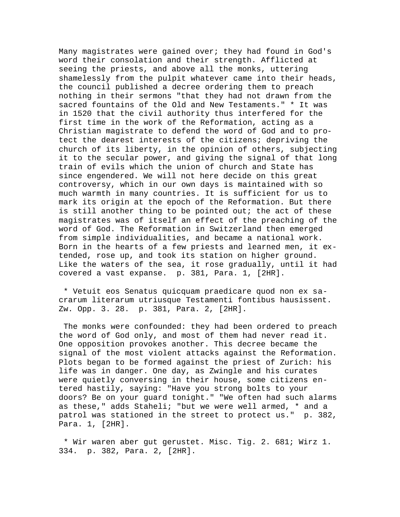Many magistrates were gained over; they had found in God's word their consolation and their strength. Afflicted at seeing the priests, and above all the monks, uttering shamelessly from the pulpit whatever came into their heads, the council published a decree ordering them to preach nothing in their sermons "that they had not drawn from the sacred fountains of the Old and New Testaments." \* It was in 1520 that the civil authority thus interfered for the first time in the work of the Reformation, acting as a Christian magistrate to defend the word of God and to protect the dearest interests of the citizens; depriving the church of its liberty, in the opinion of others, subjecting it to the secular power, and giving the signal of that long train of evils which the union of church and State has since engendered. We will not here decide on this great controversy, which in our own days is maintained with so much warmth in many countries. It is sufficient for us to mark its origin at the epoch of the Reformation. But there is still another thing to be pointed out; the act of these magistrates was of itself an effect of the preaching of the word of God. The Reformation in Switzerland then emerged from simple individualities, and became a national work. Born in the hearts of a few priests and learned men, it extended, rose up, and took its station on higher ground. Like the waters of the sea, it rose gradually, until it had covered a vast expanse. p. 381, Para. 1, [2HR].

 \* Vetuit eos Senatus quicquam praedicare quod non ex sacrarum literarum utriusque Testamenti fontibus hausissent. Zw. Opp. 3. 28. p. 381, Para. 2, [2HR].

 The monks were confounded: they had been ordered to preach the word of God only, and most of them had never read it. One opposition provokes another. This decree became the signal of the most violent attacks against the Reformation. Plots began to be formed against the priest of Zurich: his life was in danger. One day, as Zwingle and his curates were quietly conversing in their house, some citizens entered hastily, saying: "Have you strong bolts to your doors? Be on your guard tonight." "We often had such alarms as these," adds Staheli; "but we were well armed, \* and a patrol was stationed in the street to protect us." p. 382, Para. 1, [2HR].

 \* Wir waren aber gut gerustet. Misc. Tig. 2. 681; Wirz 1. 334. p. 382, Para. 2, [2HR].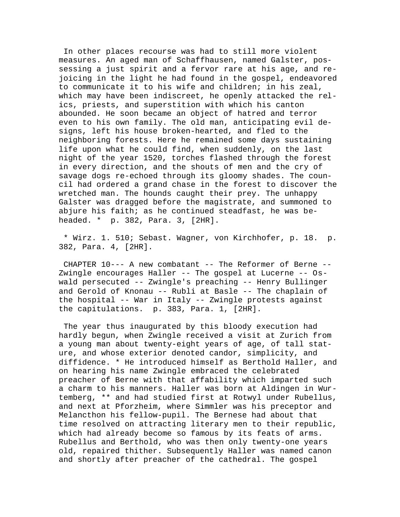In other places recourse was had to still more violent measures. An aged man of Schaffhausen, named Galster, possessing a just spirit and a fervor rare at his age, and rejoicing in the light he had found in the gospel, endeavored to communicate it to his wife and children; in his zeal, which may have been indiscreet, he openly attacked the relics, priests, and superstition with which his canton abounded. He soon became an object of hatred and terror even to his own family. The old man, anticipating evil designs, left his house broken-hearted, and fled to the neighboring forests. Here he remained some days sustaining life upon what he could find, when suddenly, on the last night of the year 1520, torches flashed through the forest in every direction, and the shouts of men and the cry of savage dogs re-echoed through its gloomy shades. The council had ordered a grand chase in the forest to discover the wretched man. The hounds caught their prey. The unhappy Galster was dragged before the magistrate, and summoned to abjure his faith; as he continued steadfast, he was beheaded. \* p. 382, Para. 3, [2HR].

 \* Wirz. 1. 510; Sebast. Wagner, von Kirchhofer, p. 18. p. 382, Para. 4, [2HR].

 CHAPTER 10--- A new combatant -- The Reformer of Berne -- Zwingle encourages Haller -- The gospel at Lucerne -- Oswald persecuted -- Zwingle's preaching -- Henry Bullinger and Gerold of Knonau -- Rubli at Basle -- The chaplain of the hospital -- War in Italy -- Zwingle protests against the capitulations. p. 383, Para. 1, [2HR].

 The year thus inaugurated by this bloody execution had hardly begun, when Zwingle received a visit at Zurich from a young man about twenty-eight years of age, of tall stature, and whose exterior denoted candor, simplicity, and diffidence. \* He introduced himself as Berthold Haller, and on hearing his name Zwingle embraced the celebrated preacher of Berne with that affability which imparted such a charm to his manners. Haller was born at Aldingen in Wurtemberg, \*\* and had studied first at Rotwyl under Rubellus, and next at Pforzheim, where Simmler was his preceptor and Melancthon his fellow-pupil. The Bernese had about that time resolved on attracting literary men to their republic, which had already become so famous by its feats of arms. Rubellus and Berthold, who was then only twenty-one years old, repaired thither. Subsequently Haller was named canon and shortly after preacher of the cathedral. The gospel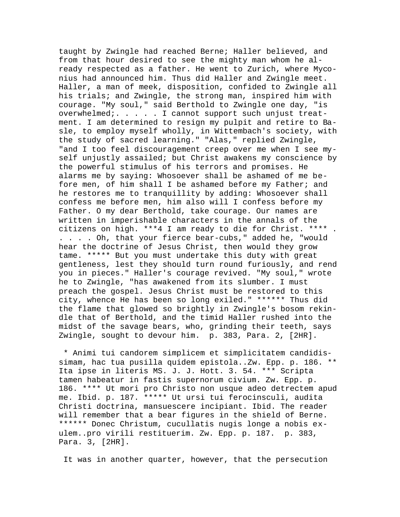taught by Zwingle had reached Berne; Haller believed, and from that hour desired to see the mighty man whom he already respected as a father. He went to Zurich, where Myconius had announced him. Thus did Haller and Zwingle meet. Haller, a man of meek, disposition, confided to Zwingle all his trials; and Zwingle, the strong man, inspired him with courage. "My soul," said Berthold to Zwingle one day, "is overwhelmed;. . . . . I cannot support such unjust treatment. I am determined to resign my pulpit and retire to Basle, to employ myself wholly, in Wittembach's society, with the study of sacred learning." "Alas," replied Zwingle, "and I too feel discouragement creep over me when I see myself unjustly assailed; but Christ awakens my conscience by the powerful stimulus of his terrors and promises. He alarms me by saying: Whosoever shall be ashamed of me before men, of him shall I be ashamed before my Father; and he restores me to tranquillity by adding: Whosoever shall confess me before men, him also will I confess before my Father. O my dear Berthold, take courage. Our names are written in imperishable characters in the annals of the citizens on high. \*\*\*4 I am ready to die for Christ. \*\*\*\* . . . . . Oh, that your fierce bear-cubs," added he, "would hear the doctrine of Jesus Christ, then would they grow tame. \*\*\*\*\* But you must undertake this duty with great gentleness, lest they should turn round furiously, and rend you in pieces." Haller's courage revived. "My soul," wrote he to Zwingle, "has awakened from its slumber. I must preach the gospel. Jesus Christ must be restored to this city, whence He has been so long exiled." \*\*\*\*\*\* Thus did the flame that glowed so brightly in Zwingle's bosom rekindle that of Berthold, and the timid Haller rushed into the midst of the savage bears, who, grinding their teeth, says Zwingle, sought to devour him. p. 383, Para. 2, [2HR].

 \* Animi tui candorem simplicem et simplicitatem candidissimam, hac tua pusilla quidem epistola..Zw. Epp. p. 186. \*\* Ita ipse in literis MS. J. J. Hott. 3. 54. \*\*\* Scripta tamen habeatur in fastis supernorum civium. Zw. Epp. p. 186. \*\*\*\* Ut mori pro Christo non usque adeo detrectem apud me. Ibid. p. 187. \*\*\*\*\* Ut ursi tui ferocinsculi, audita Christi doctrina, mansuescere incipiant. Ibid. The reader will remember that a bear figures in the shield of Berne. \*\*\*\*\*\* Donec Christum, cucullatis nugis longe a nobis exulem..pro virili restituerim. Zw. Epp. p. 187. p. 383, Para. 3, [2HR].

It was in another quarter, however, that the persecution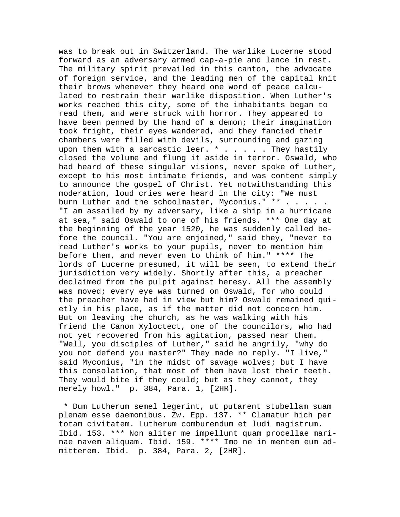was to break out in Switzerland. The warlike Lucerne stood forward as an adversary armed cap-a-pie and lance in rest. The military spirit prevailed in this canton, the advocate of foreign service, and the leading men of the capital knit their brows whenever they heard one word of peace calculated to restrain their warlike disposition. When Luther's works reached this city, some of the inhabitants began to read them, and were struck with horror. They appeared to have been penned by the hand of a demon; their imagination took fright, their eyes wandered, and they fancied their chambers were filled with devils, surrounding and gazing upon them with a sarcastic leer.  $*$  . . . . . They hastily closed the volume and flung it aside in terror. Oswald, who had heard of these singular visions, never spoke of Luther, except to his most intimate friends, and was content simply to announce the gospel of Christ. Yet notwithstanding this moderation, loud cries were heard in the city: "We must burn Luther and the schoolmaster, Myconius." \*\* . . . . . "I am assailed by my adversary, like a ship in a hurricane at sea," said Oswald to one of his friends. \*\*\* One day at the beginning of the year 1520, he was suddenly called before the council. "You are enjoined," said they, "never to read Luther's works to your pupils, never to mention him before them, and never even to think of him." \*\*\*\* The lords of Lucerne presumed, it will be seen, to extend their jurisdiction very widely. Shortly after this, a preacher declaimed from the pulpit against heresy. All the assembly was moved; every eye was turned on Oswald, for who could the preacher have had in view but him? Oswald remained quietly in his place, as if the matter did not concern him. But on leaving the church, as he was walking with his friend the Canon Xyloctect, one of the councilors, who had not yet recovered from his agitation, passed near them. "Well, you disciples of Luther," said he angrily, "why do you not defend you master?" They made no reply. "I live," said Myconius, "in the midst of savage wolves; but I have this consolation, that most of them have lost their teeth. They would bite if they could; but as they cannot, they merely howl." p. 384, Para. 1, [2HR].

 \* Dum Lutherum semel legerint, ut putarent stubellam suam plenam esse daemonibus. Zw. Epp. 137. \*\* Clamatur hich per totam civitatem. Lutherum comburendum et ludi magistrum. Ibid. 153. \*\*\* Non aliter me impellunt quam procellae marinae navem aliquam. Ibid. 159. \*\*\*\* Imo ne in mentem eum admitterem. Ibid. p. 384, Para. 2, [2HR].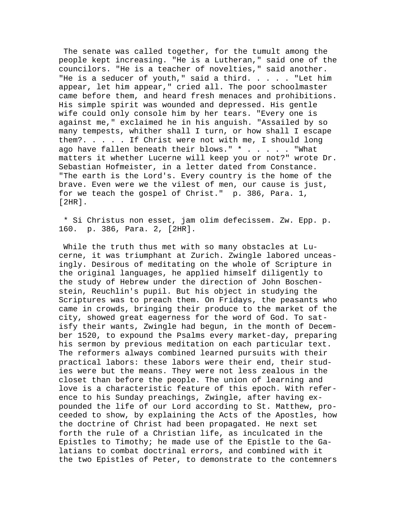The senate was called together, for the tumult among the people kept increasing. "He is a Lutheran," said one of the councilors. "He is a teacher of novelties," said another. "He is a seducer of youth," said a third. . . . . "Let him appear, let him appear," cried all. The poor schoolmaster came before them, and heard fresh menaces and prohibitions. His simple spirit was wounded and depressed. His gentle wife could only console him by her tears. "Every one is against me," exclaimed he in his anguish. "Assailed by so many tempests, whither shall I turn, or how shall I escape them?. . . . . If Christ were not with me, I should long ago have fallen beneath their blows." \* . . . . . "What matters it whether Lucerne will keep you or not?" wrote Dr. Sebastian Hofmeister, in a letter dated from Constance. "The earth is the Lord's. Every country is the home of the brave. Even were we the vilest of men, our cause is just, for we teach the gospel of Christ." p. 386, Para. 1, [2HR].

 \* Si Christus non esset, jam olim defecissem. Zw. Epp. p. 160. p. 386, Para. 2, [2HR].

While the truth thus met with so many obstacles at Lucerne, it was triumphant at Zurich. Zwingle labored unceasingly. Desirous of meditating on the whole of Scripture in the original languages, he applied himself diligently to the study of Hebrew under the direction of John Boschenstein, Reuchlin's pupil. But his object in studying the Scriptures was to preach them. On Fridays, the peasants who came in crowds, bringing their produce to the market of the city, showed great eagerness for the word of God. To satisfy their wants, Zwingle had begun, in the month of December 1520, to expound the Psalms every market-day, preparing his sermon by previous meditation on each particular text. The reformers always combined learned pursuits with their practical labors: these labors were their end, their studies were but the means. They were not less zealous in the closet than before the people. The union of learning and love is a characteristic feature of this epoch. With reference to his Sunday preachings, Zwingle, after having expounded the life of our Lord according to St. Matthew, proceeded to show, by explaining the Acts of the Apostles, how the doctrine of Christ had been propagated. He next set forth the rule of a Christian life, as inculcated in the Epistles to Timothy; he made use of the Epistle to the Galatians to combat doctrinal errors, and combined with it the two Epistles of Peter, to demonstrate to the contemners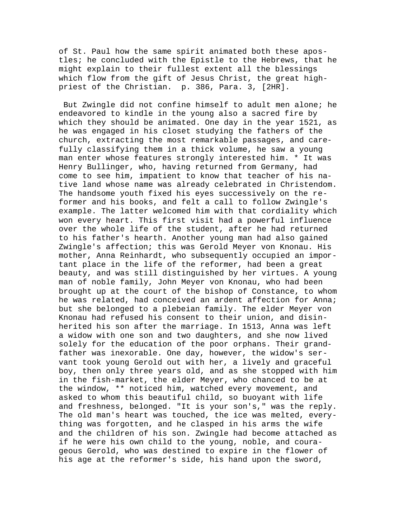of St. Paul how the same spirit animated both these apostles; he concluded with the Epistle to the Hebrews, that he might explain to their fullest extent all the blessings which flow from the gift of Jesus Christ, the great highpriest of the Christian. p. 386, Para. 3, [2HR].

 But Zwingle did not confine himself to adult men alone; he endeavored to kindle in the young also a sacred fire by which they should be animated. One day in the year 1521, as he was engaged in his closet studying the fathers of the church, extracting the most remarkable passages, and carefully classifying them in a thick volume, he saw a young man enter whose features strongly interested him. \* It was Henry Bullinger, who, having returned from Germany, had come to see him, impatient to know that teacher of his native land whose name was already celebrated in Christendom. The handsome youth fixed his eyes successively on the reformer and his books, and felt a call to follow Zwingle's example. The latter welcomed him with that cordiality which won every heart. This first visit had a powerful influence over the whole life of the student, after he had returned to his father's hearth. Another young man had also gained Zwingle's affection; this was Gerold Meyer von Knonau. His mother, Anna Reinhardt, who subsequently occupied an important place in the life of the reformer, had been a great beauty, and was still distinguished by her virtues. A young man of noble family, John Meyer von Knonau, who had been brought up at the court of the bishop of Constance, to whom he was related, had conceived an ardent affection for Anna; but she belonged to a plebeian family. The elder Meyer von Knonau had refused his consent to their union, and disinherited his son after the marriage. In 1513, Anna was left a widow with one son and two daughters, and she now lived solely for the education of the poor orphans. Their grandfather was inexorable. One day, however, the widow's servant took young Gerold out with her, a lively and graceful boy, then only three years old, and as she stopped with him in the fish-market, the elder Meyer, who chanced to be at the window, \*\* noticed him, watched every movement, and asked to whom this beautiful child, so buoyant with life and freshness, belonged. "It is your son's," was the reply. The old man's heart was touched, the ice was melted, everything was forgotten, and he clasped in his arms the wife and the children of his son. Zwingle had become attached as if he were his own child to the young, noble, and courageous Gerold, who was destined to expire in the flower of his age at the reformer's side, his hand upon the sword,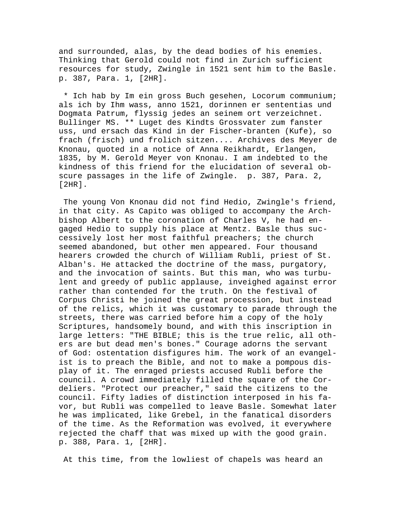and surrounded, alas, by the dead bodies of his enemies. Thinking that Gerold could not find in Zurich sufficient resources for study, Zwingle in 1521 sent him to the Basle. p. 387, Para. 1, [2HR].

 \* Ich hab by Im ein gross Buch gesehen, Locorum communium; als ich by Ihm wass, anno 1521, dorinnen er sententias und Dogmata Patrum, flyssig jedes an seinem ort verzeichnet. Bullinger MS. \*\* Luget des Kindts Grossvater zum fanster uss, und ersach das Kind in der Fischer-branten (Kufe), so frach (frisch) und frolich sitzen.... Archives des Meyer de Knonau, quoted in a notice of Anna Reikhardt, Erlangen, 1835, by M. Gerold Meyer von Knonau. I am indebted to the kindness of this friend for the elucidation of several obscure passages in the life of Zwingle. p. 387, Para. 2,  $[2HR]$ .

 The young Von Knonau did not find Hedio, Zwingle's friend, in that city. As Capito was obliged to accompany the Archbishop Albert to the coronation of Charles V, he had engaged Hedio to supply his place at Mentz. Basle thus successively lost her most faithful preachers; the church seemed abandoned, but other men appeared. Four thousand hearers crowded the church of William Rubli, priest of St. Alban's. He attacked the doctrine of the mass, purgatory, and the invocation of saints. But this man, who was turbulent and greedy of public applause, inveighed against error rather than contended for the truth. On the festival of Corpus Christi he joined the great procession, but instead of the relics, which it was customary to parade through the streets, there was carried before him a copy of the holy Scriptures, handsomely bound, and with this inscription in large letters: "THE BIBLE; this is the true relic, all others are but dead men's bones." Courage adorns the servant of God: ostentation disfigures him. The work of an evangelist is to preach the Bible, and not to make a pompous display of it. The enraged priests accused Rubli before the council. A crowd immediately filled the square of the Cordeliers. "Protect our preacher," said the citizens to the council. Fifty ladies of distinction interposed in his favor, but Rubli was compelled to leave Basle. Somewhat later he was implicated, like Grebel, in the fanatical disorders of the time. As the Reformation was evolved, it everywhere rejected the chaff that was mixed up with the good grain. p. 388, Para. 1, [2HR].

At this time, from the lowliest of chapels was heard an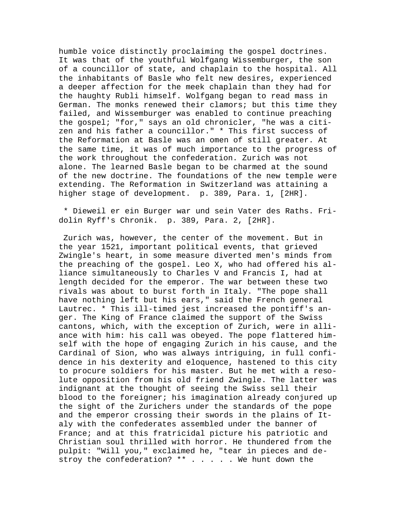humble voice distinctly proclaiming the gospel doctrines. It was that of the youthful Wolfgang Wissemburger, the son of a councillor of state, and chaplain to the hospital. All the inhabitants of Basle who felt new desires, experienced a deeper affection for the meek chaplain than they had for the haughty Rubli himself. Wolfgang began to read mass in German. The monks renewed their clamors; but this time they failed, and Wissemburger was enabled to continue preaching the gospel; "for," says an old chronicler, "he was a citizen and his father a councillor." \* This first success of the Reformation at Basle was an omen of still greater. At the same time, it was of much importance to the progress of the work throughout the confederation. Zurich was not alone. The learned Basle began to be charmed at the sound of the new doctrine. The foundations of the new temple were extending. The Reformation in Switzerland was attaining a higher stage of development. p. 389, Para. 1, [2HR].

 \* Dieweil er ein Burger war und sein Vater des Raths. Fridolin Ryff's Chronik. p. 389, Para. 2, [2HR].

 Zurich was, however, the center of the movement. But in the year 1521, important political events, that grieved Zwingle's heart, in some measure diverted men's minds from the preaching of the gospel. Leo X, who had offered his alliance simultaneously to Charles V and Francis I, had at length decided for the emperor. The war between these two rivals was about to burst forth in Italy. "The pope shall have nothing left but his ears," said the French general Lautrec. \* This ill-timed jest increased the pontiff's anger. The King of France claimed the support of the Swiss cantons, which, with the exception of Zurich, were in alliance with him: his call was obeyed. The pope flattered himself with the hope of engaging Zurich in his cause, and the Cardinal of Sion, who was always intriguing, in full confidence in his dexterity and eloquence, hastened to this city to procure soldiers for his master. But he met with a resolute opposition from his old friend Zwingle. The latter was indignant at the thought of seeing the Swiss sell their blood to the foreigner; his imagination already conjured up the sight of the Zurichers under the standards of the pope and the emperor crossing their swords in the plains of Italy with the confederates assembled under the banner of France; and at this fratricidal picture his patriotic and Christian soul thrilled with horror. He thundered from the pulpit: "Will you," exclaimed he, "tear in pieces and destroy the confederation? \*\* . . . . . We hunt down the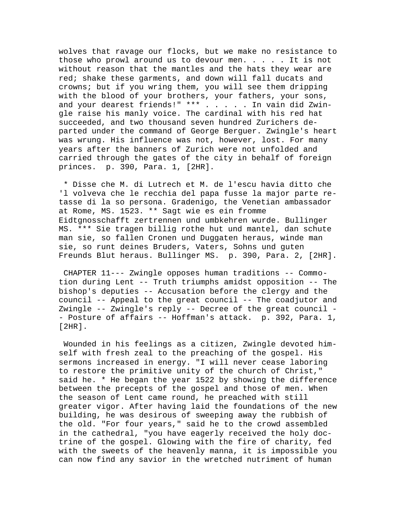wolves that ravage our flocks, but we make no resistance to those who prowl around us to devour men.  $\ldots$  . It is not without reason that the mantles and the hats they wear are red; shake these garments, and down will fall ducats and crowns; but if you wring them, you will see them dripping with the blood of your brothers, your fathers, your sons, and your dearest friends!" \*\*\* . . . . In vain did Zwingle raise his manly voice. The cardinal with his red hat succeeded, and two thousand seven hundred Zurichers departed under the command of George Berguer. Zwingle's heart was wrung. His influence was not, however, lost. For many years after the banners of Zurich were not unfolded and carried through the gates of the city in behalf of foreign princes. p. 390, Para. 1, [2HR].

 \* Disse che M. di Lutrech et M. de l'escu havia ditto che 'l volveva che le recchia del papa fusse la major parte retasse di la so persona. Gradenigo, the Venetian ambassador at Rome, MS. 1523. \*\* Sagt wie es ein fromme Eidtgnosschafft zertrennen und umbkehren wurde. Bullinger MS. \*\*\* Sie tragen billig rothe hut und mantel, dan schute man sie, so fallen Cronen und Duggaten heraus, winde man sie, so runt deines Bruders, Vaters, Sohns und guten Freunds Blut heraus. Bullinger MS. p. 390, Para. 2, [2HR].

 CHAPTER 11--- Zwingle opposes human traditions -- Commotion during Lent -- Truth triumphs amidst opposition -- The bishop's deputies -- Accusation before the clergy and the council -- Appeal to the great council -- The coadjutor and Zwingle -- Zwingle's reply -- Decree of the great council - - Posture of affairs -- Hoffman's attack. p. 392, Para. 1, [2HR].

 Wounded in his feelings as a citizen, Zwingle devoted himself with fresh zeal to the preaching of the gospel. His sermons increased in energy. "I will never cease laboring to restore the primitive unity of the church of Christ," said he. \* He began the year 1522 by showing the difference between the precepts of the gospel and those of men. When the season of Lent came round, he preached with still greater vigor. After having laid the foundations of the new building, he was desirous of sweeping away the rubbish of the old. "For four years," said he to the crowd assembled in the cathedral, "you have eagerly received the holy doctrine of the gospel. Glowing with the fire of charity, fed with the sweets of the heavenly manna, it is impossible you can now find any savior in the wretched nutriment of human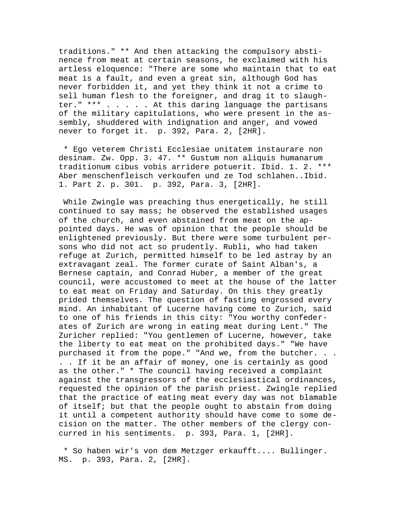traditions." \*\* And then attacking the compulsory abstinence from meat at certain seasons, he exclaimed with his artless eloquence: "There are some who maintain that to eat meat is a fault, and even a great sin, although God has never forbidden it, and yet they think it not a crime to sell human flesh to the foreigner, and drag it to slaughter." \*\*\* . . . . . At this daring language the partisans of the military capitulations, who were present in the assembly, shuddered with indignation and anger, and vowed never to forget it. p. 392, Para. 2, [2HR].

 \* Ego veterem Christi Ecclesiae unitatem instaurare non desinam. Zw. Opp. 3. 47. \*\* Gustum non aliquis humanarum traditionum cibus vobis arridere potuerit. Ibid. 1. 2. \*\*\* Aber menschenfleisch verkoufen und ze Tod schlahen..Ibid. 1. Part 2. p. 301. p. 392, Para. 3, [2HR].

 While Zwingle was preaching thus energetically, he still continued to say mass; he observed the established usages of the church, and even abstained from meat on the appointed days. He was of opinion that the people should be enlightened previously. But there were some turbulent persons who did not act so prudently. Rubli, who had taken refuge at Zurich, permitted himself to be led astray by an extravagant zeal. The former curate of Saint Alban's, a Bernese captain, and Conrad Huber, a member of the great council, were accustomed to meet at the house of the latter to eat meat on Friday and Saturday. On this they greatly prided themselves. The question of fasting engrossed every mind. An inhabitant of Lucerne having come to Zurich, said to one of his friends in this city: "You worthy confederates of Zurich are wrong in eating meat during Lent." The Zuricher replied: "You gentlemen of Lucerne, however, take the liberty to eat meat on the prohibited days." "We have purchased it from the pope." "And we, from the butcher. . . . . If it be an affair of money, one is certainly as good as the other." \* The council having received a complaint against the transgressors of the ecclesiastical ordinances, requested the opinion of the parish priest. Zwingle replied that the practice of eating meat every day was not blamable of itself; but that the people ought to abstain from doing it until a competent authority should have come to some decision on the matter. The other members of the clergy concurred in his sentiments. p. 393, Para. 1, [2HR].

 \* So haben wir's von dem Metzger erkaufft.... Bullinger. MS. p. 393, Para. 2, [2HR].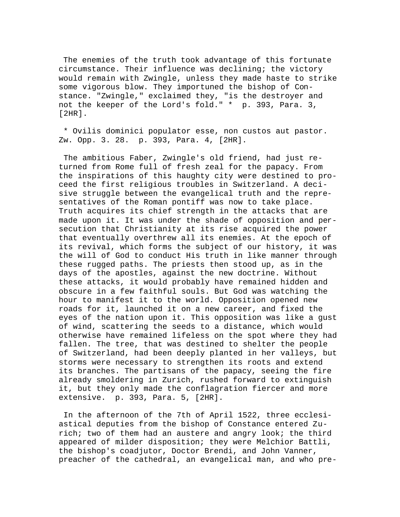The enemies of the truth took advantage of this fortunate circumstance. Their influence was declining; the victory would remain with Zwingle, unless they made haste to strike some vigorous blow. They importuned the bishop of Constance. "Zwingle," exclaimed they, "is the destroyer and not the keeper of the Lord's fold." \* p. 393, Para. 3,  $[2HR]$ .

 \* Ovilis dominici populator esse, non custos aut pastor. Zw. Opp. 3. 28. p. 393, Para. 4, [2HR].

 The ambitious Faber, Zwingle's old friend, had just returned from Rome full of fresh zeal for the papacy. From the inspirations of this haughty city were destined to proceed the first religious troubles in Switzerland. A decisive struggle between the evangelical truth and the representatives of the Roman pontiff was now to take place. Truth acquires its chief strength in the attacks that are made upon it. It was under the shade of opposition and persecution that Christianity at its rise acquired the power that eventually overthrew all its enemies. At the epoch of its revival, which forms the subject of our history, it was the will of God to conduct His truth in like manner through these rugged paths. The priests then stood up, as in the days of the apostles, against the new doctrine. Without these attacks, it would probably have remained hidden and obscure in a few faithful souls. But God was watching the hour to manifest it to the world. Opposition opened new roads for it, launched it on a new career, and fixed the eyes of the nation upon it. This opposition was like a gust of wind, scattering the seeds to a distance, which would otherwise have remained lifeless on the spot where they had fallen. The tree, that was destined to shelter the people of Switzerland, had been deeply planted in her valleys, but storms were necessary to strengthen its roots and extend its branches. The partisans of the papacy, seeing the fire already smoldering in Zurich, rushed forward to extinguish it, but they only made the conflagration fiercer and more extensive. p. 393, Para. 5, [2HR].

 In the afternoon of the 7th of April 1522, three ecclesiastical deputies from the bishop of Constance entered Zurich; two of them had an austere and angry look; the third appeared of milder disposition; they were Melchior Battli, the bishop's coadjutor, Doctor Brendi, and John Vanner, preacher of the cathedral, an evangelical man, and who pre-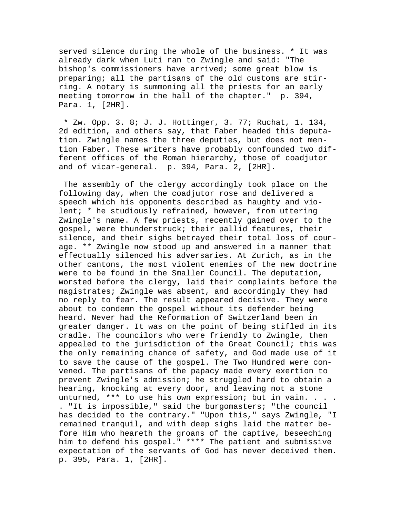served silence during the whole of the business. \* It was already dark when Luti ran to Zwingle and said: "The bishop's commissioners have arrived; some great blow is preparing; all the partisans of the old customs are stirring. A notary is summoning all the priests for an early meeting tomorrow in the hall of the chapter." p. 394, Para. 1, [2HR].

 \* Zw. Opp. 3. 8; J. J. Hottinger, 3. 77; Ruchat, 1. 134, 2d edition, and others say, that Faber headed this deputation. Zwingle names the three deputies, but does not mention Faber. These writers have probably confounded two different offices of the Roman hierarchy, those of coadjutor and of vicar-general. p. 394, Para. 2, [2HR].

 The assembly of the clergy accordingly took place on the following day, when the coadjutor rose and delivered a speech which his opponents described as haughty and violent; \* he studiously refrained, however, from uttering Zwingle's name. A few priests, recently gained over to the gospel, were thunderstruck; their pallid features, their silence, and their sighs betrayed their total loss of courage. \*\* Zwingle now stood up and answered in a manner that effectually silenced his adversaries. At Zurich, as in the other cantons, the most violent enemies of the new doctrine were to be found in the Smaller Council. The deputation, worsted before the clergy, laid their complaints before the magistrates; Zwingle was absent, and accordingly they had no reply to fear. The result appeared decisive. They were about to condemn the gospel without its defender being heard. Never had the Reformation of Switzerland been in greater danger. It was on the point of being stifled in its cradle. The councilors who were friendly to Zwingle, then appealed to the jurisdiction of the Great Council; this was the only remaining chance of safety, and God made use of it to save the cause of the gospel. The Two Hundred were convened. The partisans of the papacy made every exertion to prevent Zwingle's admission; he struggled hard to obtain a hearing, knocking at every door, and leaving not a stone unturned, \*\*\* to use his own expression; but in vain. . . . . "It is impossible," said the burgomasters; "the council has decided to the contrary." "Upon this," says Zwingle, "I remained tranquil, and with deep sighs laid the matter before Him who heareth the groans of the captive, beseeching him to defend his gospel." \*\*\*\* The patient and submissive expectation of the servants of God has never deceived them. p. 395, Para. 1, [2HR].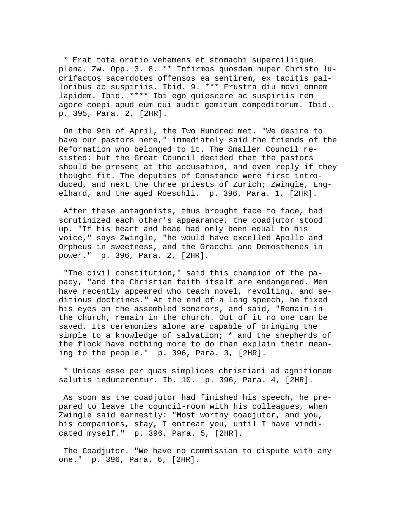\* Erat tota oratio vehemens et stomachi superciliique plena. Zw. Opp. 3. 8. \*\* Infirmos quosdam nuper Christo lucrifactos sacerdotes offensos ea sentirem, ex tacitis palloribus ac suspiriis. Ibid. 9. \*\*\* Frustra diu movi omnem lapidem. Ibid. \*\*\*\* Ibi ego quiescere ac suspiriis rem agere coepi apud eum qui audit gemitum compeditorum. Ibid. p. 395, Para. 2, [2HR].

 On the 9th of April, the Two Hundred met. "We desire to have our pastors here," immediately said the friends of the Reformation who belonged to it. The Smaller Council resisted: but the Great Council decided that the pastors should be present at the accusation, and even reply if they thought fit. The deputies of Constance were first introduced, and next the three priests of Zurich; Zwingle, Engelhard, and the aged Roeschli. p. 396, Para. 1, [2HR].

 After these antagonists, thus brought face to face, had scrutinized each other's appearance, the coadjutor stood up. "If his heart and head had only been equal to his voice," says Zwingle, "he would have excelled Apollo and Orpheus in sweetness, and the Gracchi and Demosthenes in power." p. 396, Para. 2, [2HR].

 "The civil constitution," said this champion of the papacy, "and the Christian faith itself are endangered. Men have recently appeared who teach novel, revolting, and seditious doctrines." At the end of a long speech, he fixed his eyes on the assembled senators, and said, "Remain in the church, remain in the church. Out of it no one can be saved. Its ceremonies alone are capable of bringing the simple to a knowledge of salvation; \* and the shepherds of the flock have nothing more to do than explain their meaning to the people." p. 396, Para. 3, [2HR].

 \* Unicas esse per quas simplices christiani ad agnitionem salutis inducerentur. Ib. 10. p. 396, Para. 4, [2HR].

 As soon as the coadjutor had finished his speech, he prepared to leave the council-room with his colleagues, when Zwingle said earnestly: "Most worthy coadjutor, and you, his companions, stay, I entreat you, until I have vindicated myself." p. 396, Para. 5, [2HR].

 The Coadjutor. "We have no commission to dispute with any one." p. 396, Para. 6, [2HR].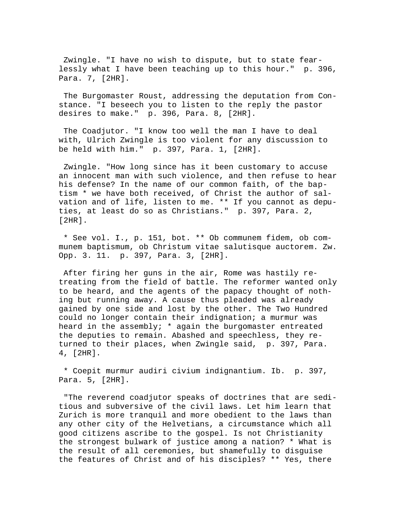Zwingle. "I have no wish to dispute, but to state fearlessly what I have been teaching up to this hour." p. 396, Para. 7, [2HR].

 The Burgomaster Roust, addressing the deputation from Constance. "I beseech you to listen to the reply the pastor desires to make." p. 396, Para. 8, [2HR].

 The Coadjutor. "I know too well the man I have to deal with, Ulrich Zwingle is too violent for any discussion to be held with him." p. 397, Para. 1, [2HR].

 Zwingle. "How long since has it been customary to accuse an innocent man with such violence, and then refuse to hear his defense? In the name of our common faith, of the baptism \* we have both received, of Christ the author of salvation and of life, listen to me. \*\* If you cannot as deputies, at least do so as Christians." p. 397, Para. 2,  $[2HR]$ .

 \* See vol. I., p. 151, bot. \*\* Ob communem fidem, ob communem baptismum, ob Christum vitae salutisque auctorem. Zw. Opp. 3. 11. p. 397, Para. 3, [2HR].

 After firing her guns in the air, Rome was hastily retreating from the field of battle. The reformer wanted only to be heard, and the agents of the papacy thought of nothing but running away. A cause thus pleaded was already gained by one side and lost by the other. The Two Hundred could no longer contain their indignation; a murmur was heard in the assembly; \* again the burgomaster entreated the deputies to remain. Abashed and speechless, they returned to their places, when Zwingle said, p. 397, Para. 4, [2HR].

 \* Coepit murmur audiri civium indignantium. Ib. p. 397, Para. 5, [2HR].

 "The reverend coadjutor speaks of doctrines that are seditious and subversive of the civil laws. Let him learn that Zurich is more tranquil and more obedient to the laws than any other city of the Helvetians, a circumstance which all good citizens ascribe to the gospel. Is not Christianity the strongest bulwark of justice among a nation? \* What is the result of all ceremonies, but shamefully to disguise the features of Christ and of his disciples? \*\* Yes, there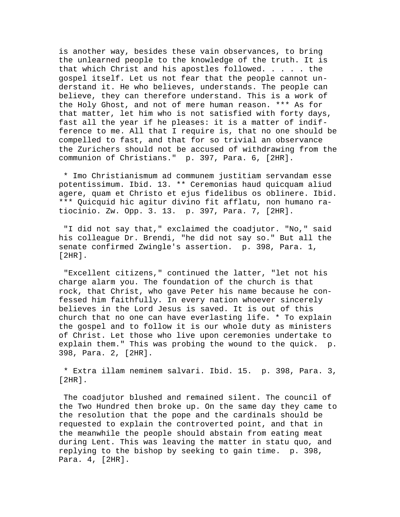is another way, besides these vain observances, to bring the unlearned people to the knowledge of the truth. It is that which Christ and his apostles followed. . . . . the gospel itself. Let us not fear that the people cannot understand it. He who believes, understands. The people can believe, they can therefore understand. This is a work of the Holy Ghost, and not of mere human reason. \*\*\* As for that matter, let him who is not satisfied with forty days, fast all the year if he pleases: it is a matter of indifference to me. All that I require is, that no one should be compelled to fast, and that for so trivial an observance the Zurichers should not be accused of withdrawing from the communion of Christians." p. 397, Para. 6, [2HR].

 \* Imo Christianismum ad communem justitiam servandam esse potentissimum. Ibid. 13. \*\* Ceremonias haud quicquam aliud agere, quam et Christo et ejus fidelibus os oblinere. Ibid. \*\*\* Quicquid hic agitur divino fit afflatu, non humano ratiocinio. Zw. Opp. 3. 13. p. 397, Para. 7, [2HR].

 "I did not say that," exclaimed the coadjutor. "No," said his colleague Dr. Brendi, "he did not say so." But all the senate confirmed Zwingle's assertion. p. 398, Para. 1, [2HR].

 "Excellent citizens," continued the latter, "let not his charge alarm you. The foundation of the church is that rock, that Christ, who gave Peter his name because he confessed him faithfully. In every nation whoever sincerely believes in the Lord Jesus is saved. It is out of this church that no one can have everlasting life. \* To explain the gospel and to follow it is our whole duty as ministers of Christ. Let those who live upon ceremonies undertake to explain them." This was probing the wound to the quick. p. 398, Para. 2, [2HR].

 \* Extra illam neminem salvari. Ibid. 15. p. 398, Para. 3, [2HR].

 The coadjutor blushed and remained silent. The council of the Two Hundred then broke up. On the same day they came to the resolution that the pope and the cardinals should be requested to explain the controverted point, and that in the meanwhile the people should abstain from eating meat during Lent. This was leaving the matter in statu quo, and replying to the bishop by seeking to gain time. p. 398, Para. 4, [2HR].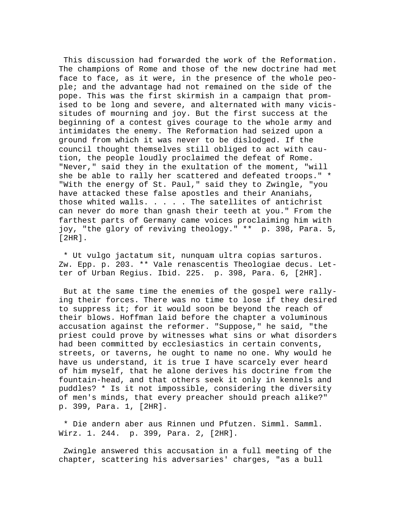This discussion had forwarded the work of the Reformation. The champions of Rome and those of the new doctrine had met face to face, as it were, in the presence of the whole people; and the advantage had not remained on the side of the pope. This was the first skirmish in a campaign that promised to be long and severe, and alternated with many vicissitudes of mourning and joy. But the first success at the beginning of a contest gives courage to the whole army and intimidates the enemy. The Reformation had seized upon a ground from which it was never to be dislodged. If the council thought themselves still obliged to act with caution, the people loudly proclaimed the defeat of Rome. "Never," said they in the exultation of the moment, "will she be able to rally her scattered and defeated troops." \* "With the energy of St. Paul," said they to Zwingle, "you have attacked these false apostles and their Ananiahs, those whited walls. . . . . The satellites of antichrist can never do more than gnash their teeth at you." From the farthest parts of Germany came voices proclaiming him with joy, "the glory of reviving theology." \*\* p. 398, Para. 5,  $[2HR]$ .

 \* Ut vulgo jactatum sit, nunquam ultra copias sarturos. Zw. Epp. p. 203. \*\* Vale renascentis Theologiae decus. Letter of Urban Regius. Ibid. 225. p. 398, Para. 6, [2HR].

 But at the same time the enemies of the gospel were rallying their forces. There was no time to lose if they desired to suppress it; for it would soon be beyond the reach of their blows. Hoffman laid before the chapter a voluminous accusation against the reformer. "Suppose," he said, "the priest could prove by witnesses what sins or what disorders had been committed by ecclesiastics in certain convents, streets, or taverns, he ought to name no one. Why would he have us understand, it is true I have scarcely ever heard of him myself, that he alone derives his doctrine from the fountain-head, and that others seek it only in kennels and puddles? \* Is it not impossible, considering the diversity of men's minds, that every preacher should preach alike?" p. 399, Para. 1, [2HR].

 \* Die andern aber aus Rinnen und Pfutzen. Simml. Samml. Wirz. 1. 244. p. 399, Para. 2, [2HR].

 Zwingle answered this accusation in a full meeting of the chapter, scattering his adversaries' charges, "as a bull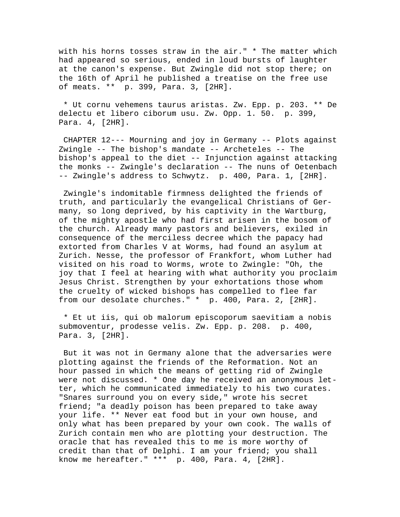with his horns tosses straw in the air." \* The matter which had appeared so serious, ended in loud bursts of laughter at the canon's expense. But Zwingle did not stop there; on the 16th of April he published a treatise on the free use of meats. \*\* p. 399, Para. 3, [2HR].

 \* Ut cornu vehemens taurus aristas. Zw. Epp. p. 203. \*\* De delectu et libero ciborum usu. Zw. Opp. 1. 50. p. 399, Para. 4, [2HR].

 CHAPTER 12--- Mourning and joy in Germany -- Plots against Zwingle -- The bishop's mandate -- Archeteles -- The bishop's appeal to the diet -- Injunction against attacking the monks -- Zwingle's declaration -- The nuns of Oetenbach -- Zwingle's address to Schwytz. p. 400, Para. 1, [2HR].

 Zwingle's indomitable firmness delighted the friends of truth, and particularly the evangelical Christians of Germany, so long deprived, by his captivity in the Wartburg, of the mighty apostle who had first arisen in the bosom of the church. Already many pastors and believers, exiled in consequence of the merciless decree which the papacy had extorted from Charles V at Worms, had found an asylum at Zurich. Nesse, the professor of Frankfort, whom Luther had visited on his road to Worms, wrote to Zwingle: "Oh, the joy that I feel at hearing with what authority you proclaim Jesus Christ. Strengthen by your exhortations those whom the cruelty of wicked bishops has compelled to flee far from our desolate churches." \* p. 400, Para. 2, [2HR].

 \* Et ut iis, qui ob malorum episcoporum saevitiam a nobis submoventur, prodesse velis. Zw. Epp. p. 208. p. 400, Para. 3, [2HR].

 But it was not in Germany alone that the adversaries were plotting against the friends of the Reformation. Not an hour passed in which the means of getting rid of Zwingle were not discussed. \* One day he received an anonymous letter, which he communicated immediately to his two curates. "Snares surround you on every side," wrote his secret friend; "a deadly poison has been prepared to take away your life. \*\* Never eat food but in your own house, and only what has been prepared by your own cook. The walls of Zurich contain men who are plotting your destruction. The oracle that has revealed this to me is more worthy of credit than that of Delphi. I am your friend; you shall know me hereafter." \*\*\* p. 400, Para. 4, [2HR].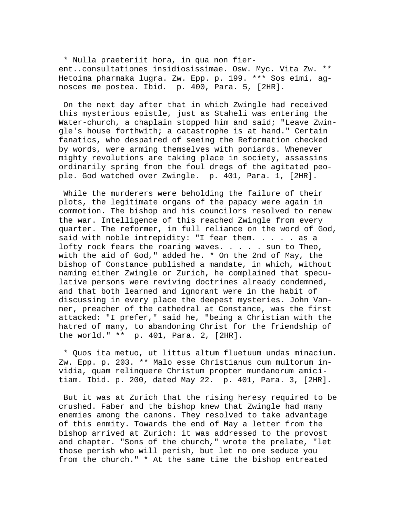\* Nulla praeteriit hora, in qua non fierent..consultationes insidiosissimae. Osw. Myc. Vita Zw. \*\* Hetoima pharmaka lugra. Zw. Epp. p. 199. \*\*\* Sos eimi, agnosces me postea. Ibid. p. 400, Para. 5, [2HR].

 On the next day after that in which Zwingle had received this mysterious epistle, just as Staheli was entering the Water-church, a chaplain stopped him and said; "Leave Zwingle's house forthwith; a catastrophe is at hand." Certain fanatics, who despaired of seeing the Reformation checked by words, were arming themselves with poniards. Whenever mighty revolutions are taking place in society, assassins ordinarily spring from the foul dregs of the agitated people. God watched over Zwingle. p. 401, Para. 1, [2HR].

 While the murderers were beholding the failure of their plots, the legitimate organs of the papacy were again in commotion. The bishop and his councilors resolved to renew the war. Intelligence of this reached Zwingle from every quarter. The reformer, in full reliance on the word of God, said with noble intrepidity: "I fear them. . . . . as a lofty rock fears the roaring waves. . . . . sun to Theo, with the aid of God," added he. \* On the 2nd of May, the bishop of Constance published a mandate, in which, without naming either Zwingle or Zurich, he complained that speculative persons were reviving doctrines already condemned, and that both learned and ignorant were in the habit of discussing in every place the deepest mysteries. John Vanner, preacher of the cathedral at Constance, was the first attacked: "I prefer," said he, "being a Christian with the hatred of many, to abandoning Christ for the friendship of the world." \*\* p. 401, Para. 2, [2HR].

 \* Quos ita metuo, ut littus altum fluetuum undas minacium. Zw. Epp. p. 203. \*\* Malo esse Christianus cum multorum invidia, quam relinquere Christum propter mundanorum amicitiam. Ibid. p. 200, dated May 22. p. 401, Para. 3, [2HR].

 But it was at Zurich that the rising heresy required to be crushed. Faber and the bishop knew that Zwingle had many enemies among the canons. They resolved to take advantage of this enmity. Towards the end of May a letter from the bishop arrived at Zurich: it was addressed to the provost and chapter. "Sons of the church," wrote the prelate, "let those perish who will perish, but let no one seduce you from the church." \* At the same time the bishop entreated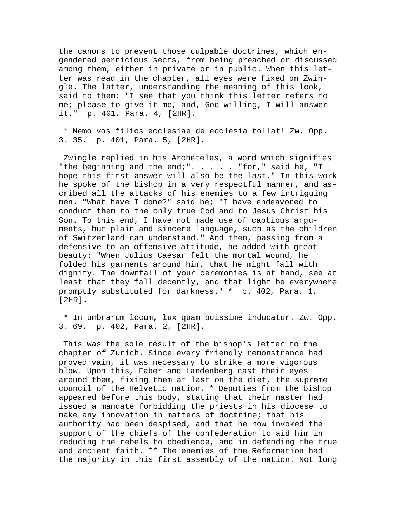the canons to prevent those culpable doctrines, which engendered pernicious sects, from being preached or discussed among them, either in private or in public. When this letter was read in the chapter, all eyes were fixed on Zwingle. The latter, understanding the meaning of this look, said to them: "I see that you think this letter refers to me; please to give it me, and, God willing, I will answer it." p. 401, Para. 4, [2HR].

 \* Nemo vos filios ecclesiae de ecclesia tollat! Zw. Opp. 3. 35. p. 401, Para. 5, [2HR].

 Zwingle replied in his Archeteles, a word which signifies "the beginning and the end;". . . . . "for," said he, "I hope this first answer will also be the last." In this work he spoke of the bishop in a very respectful manner, and ascribed all the attacks of his enemies to a few intriguing men. "What have I done?" said he; "I have endeavored to conduct them to the only true God and to Jesus Christ his Son. To this end, I have not made use of captious arguments, but plain and sincere language, such as the children of Switzerland can understand." And then, passing from a defensive to an offensive attitude, he added with great beauty: "When Julius Caesar felt the mortal wound, he folded his garments around him, that he might fall with dignity. The downfall of your ceremonies is at hand, see at least that they fall decently, and that light be everywhere promptly substituted for darkness." \* p. 402, Para. 1, [2HR].

 \* In umbrarum locum, lux quam ocissime inducatur. Zw. Opp. 3. 69. p. 402, Para. 2, [2HR].

 This was the sole result of the bishop's letter to the chapter of Zurich. Since every friendly remonstrance had proved vain, it was necessary to strike a more vigorous blow. Upon this, Faber and Landenberg cast their eyes around them, fixing them at last on the diet, the supreme council of the Helvetic nation. \* Deputies from the bishop appeared before this body, stating that their master had issued a mandate forbidding the priests in his diocese to make any innovation in matters of doctrine; that his authority had been despised, and that he now invoked the support of the chiefs of the confederation to aid him in reducing the rebels to obedience, and in defending the true and ancient faith. \*\* The enemies of the Reformation had the majority in this first assembly of the nation. Not long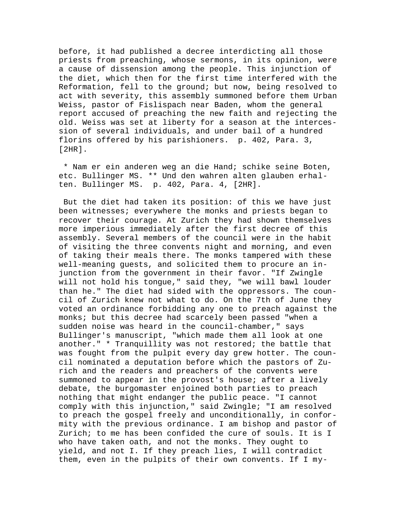before, it had published a decree interdicting all those priests from preaching, whose sermons, in its opinion, were a cause of dissension among the people. This injunction of the diet, which then for the first time interfered with the Reformation, fell to the ground; but now, being resolved to act with severity, this assembly summoned before them Urban Weiss, pastor of Fislispach near Baden, whom the general report accused of preaching the new faith and rejecting the old. Weiss was set at liberty for a season at the intercession of several individuals, and under bail of a hundred florins offered by his parishioners. p. 402, Para. 3,  $[2HR]$ .

 \* Nam er ein anderen weg an die Hand; schike seine Boten, etc. Bullinger MS. \*\* Und den wahren alten glauben erhalten. Bullinger MS. p. 402, Para. 4, [2HR].

 But the diet had taken its position: of this we have just been witnesses; everywhere the monks and priests began to recover their courage. At Zurich they had shown themselves more imperious immediately after the first decree of this assembly. Several members of the council were in the habit of visiting the three convents night and morning, and even of taking their meals there. The monks tampered with these well-meaning guests, and solicited them to procure an injunction from the government in their favor. "If Zwingle will not hold his tongue," said they, "we will bawl louder than he." The diet had sided with the oppressors. The council of Zurich knew not what to do. On the 7th of June they voted an ordinance forbidding any one to preach against the monks; but this decree had scarcely been passed "when a sudden noise was heard in the council-chamber," says Bullinger's manuscript, "which made them all look at one another." \* Tranquillity was not restored; the battle that was fought from the pulpit every day grew hotter. The council nominated a deputation before which the pastors of Zurich and the readers and preachers of the convents were summoned to appear in the provost's house; after a lively debate, the burgomaster enjoined both parties to preach nothing that might endanger the public peace. "I cannot comply with this injunction," said Zwingle; "I am resolved to preach the gospel freely and unconditionally, in conformity with the previous ordinance. I am bishop and pastor of Zurich; to me has been confided the cure of souls. It is I who have taken oath, and not the monks. They ought to yield, and not I. If they preach lies, I will contradict them, even in the pulpits of their own convents. If I my-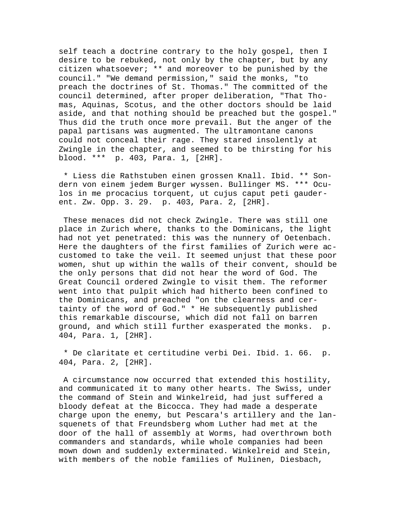self teach a doctrine contrary to the holy gospel, then I desire to be rebuked, not only by the chapter, but by any citizen whatsoever; \*\* and moreover to be punished by the council." "We demand permission," said the monks, "to preach the doctrines of St. Thomas." The committed of the council determined, after proper deliberation, "That Thomas, Aquinas, Scotus, and the other doctors should be laid aside, and that nothing should be preached but the gospel." Thus did the truth once more prevail. But the anger of the papal partisans was augmented. The ultramontane canons could not conceal their rage. They stared insolently at Zwingle in the chapter, and seemed to be thirsting for his blood. \*\*\* p. 403, Para. 1, [2HR].

 \* Liess die Rathstuben einen grossen Knall. Ibid. \*\* Sondern von einem jedem Burger wyssen. Bullinger MS. \*\*\* Oculos in me procacius torquent, ut cujus caput peti gauderent. Zw. Opp. 3. 29. p. 403, Para. 2, [2HR].

 These menaces did not check Zwingle. There was still one place in Zurich where, thanks to the Dominicans, the light had not yet penetrated: this was the nunnery of Oetenbach. Here the daughters of the first families of Zurich were accustomed to take the veil. It seemed unjust that these poor women, shut up within the walls of their convent, should be the only persons that did not hear the word of God. The Great Council ordered Zwingle to visit them. The reformer went into that pulpit which had hitherto been confined to the Dominicans, and preached "on the clearness and certainty of the word of God." \* He subsequently published this remarkable discourse, which did not fall on barren ground, and which still further exasperated the monks. p. 404, Para. 1, [2HR].

 \* De claritate et certitudine verbi Dei. Ibid. 1. 66. p. 404, Para. 2, [2HR].

 A circumstance now occurred that extended this hostility, and communicated it to many other hearts. The Swiss, under the command of Stein and Winkelreid, had just suffered a bloody defeat at the Bicocca. They had made a desperate charge upon the enemy, but Pescara's artillery and the lansquenets of that Freundsberg whom Luther had met at the door of the hall of assembly at Worms, had overthrown both commanders and standards, while whole companies had been mown down and suddenly exterminated. Winkelreid and Stein, with members of the noble families of Mulinen, Diesbach,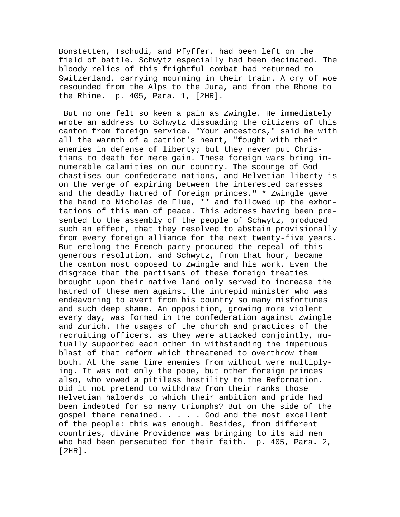Bonstetten, Tschudi, and Pfyffer, had been left on the field of battle. Schwytz especially had been decimated. The bloody relics of this frightful combat had returned to Switzerland, carrying mourning in their train. A cry of woe resounded from the Alps to the Jura, and from the Rhone to the Rhine. p. 405, Para. 1, [2HR].

 But no one felt so keen a pain as Zwingle. He immediately wrote an address to Schwytz dissuading the citizens of this canton from foreign service. "Your ancestors," said he with all the warmth of a patriot's heart, "fought with their enemies in defense of liberty; but they never put Christians to death for mere gain. These foreign wars bring innumerable calamities on our country. The scourge of God chastises our confederate nations, and Helvetian liberty is on the verge of expiring between the interested caresses and the deadly hatred of foreign princes." \* Zwingle gave the hand to Nicholas de Flue, \*\* and followed up the exhortations of this man of peace. This address having been presented to the assembly of the people of Schwytz, produced such an effect, that they resolved to abstain provisionally from every foreign alliance for the next twenty-five years. But erelong the French party procured the repeal of this generous resolution, and Schwytz, from that hour, became the canton most opposed to Zwingle and his work. Even the disgrace that the partisans of these foreign treaties brought upon their native land only served to increase the hatred of these men against the intrepid minister who was endeavoring to avert from his country so many misfortunes and such deep shame. An opposition, growing more violent every day, was formed in the confederation against Zwingle and Zurich. The usages of the church and practices of the recruiting officers, as they were attacked conjointly, mutually supported each other in withstanding the impetuous blast of that reform which threatened to overthrow them both. At the same time enemies from without were multiplying. It was not only the pope, but other foreign princes also, who vowed a pitiless hostility to the Reformation. Did it not pretend to withdraw from their ranks those Helvetian halberds to which their ambition and pride had been indebted for so many triumphs? But on the side of the gospel there remained. . . . . God and the most excellent of the people: this was enough. Besides, from different countries, divine Providence was bringing to its aid men who had been persecuted for their faith. p. 405, Para. 2, [2HR].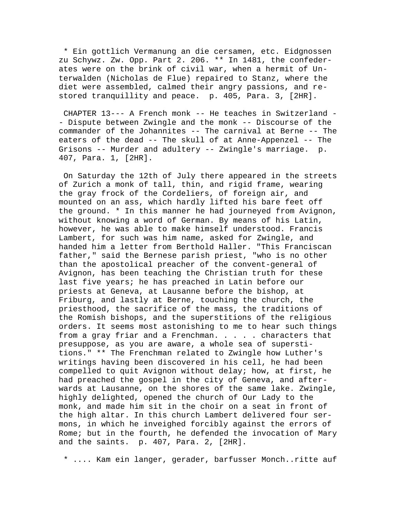\* Ein gottlich Vermanung an die cersamen, etc. Eidgnossen zu Schywz. Zw. Opp. Part 2. 206. \*\* In 1481, the confederates were on the brink of civil war, when a hermit of Unterwalden (Nicholas de Flue) repaired to Stanz, where the diet were assembled, calmed their angry passions, and restored tranquillity and peace. p. 405, Para. 3, [2HR].

 CHAPTER 13--- A French monk -- He teaches in Switzerland - - Dispute between Zwingle and the monk -- Discourse of the commander of the Johannites -- The carnival at Berne -- The eaters of the dead -- The skull of at Anne-Appenzel -- The Grisons -- Murder and adultery -- Zwingle's marriage. p. 407, Para. 1, [2HR].

 On Saturday the 12th of July there appeared in the streets of Zurich a monk of tall, thin, and rigid frame, wearing the gray frock of the Cordeliers, of foreign air, and mounted on an ass, which hardly lifted his bare feet off the ground. \* In this manner he had journeyed from Avignon, without knowing a word of German. By means of his Latin, however, he was able to make himself understood. Francis Lambert, for such was him name, asked for Zwingle, and handed him a letter from Berthold Haller. "This Franciscan father," said the Bernese parish priest, "who is no other than the apostolical preacher of the convent-general of Avignon, has been teaching the Christian truth for these last five years; he has preached in Latin before our priests at Geneva, at Lausanne before the bishop, at Friburg, and lastly at Berne, touching the church, the priesthood, the sacrifice of the mass, the traditions of the Romish bishops, and the superstitions of the religious orders. It seems most astonishing to me to hear such things from a gray friar and a Frenchman. . . . . characters that presuppose, as you are aware, a whole sea of superstitions." \*\* The Frenchman related to Zwingle how Luther's writings having been discovered in his cell, he had been compelled to quit Avignon without delay; how, at first, he had preached the gospel in the city of Geneva, and afterwards at Lausanne, on the shores of the same lake. Zwingle, highly delighted, opened the church of Our Lady to the monk, and made him sit in the choir on a seat in front of the high altar. In this church Lambert delivered four sermons, in which he inveighed forcibly against the errors of Rome; but in the fourth, he defended the invocation of Mary and the saints. p. 407, Para. 2, [2HR].

\* .... Kam ein langer, gerader, barfusser Monch..ritte auf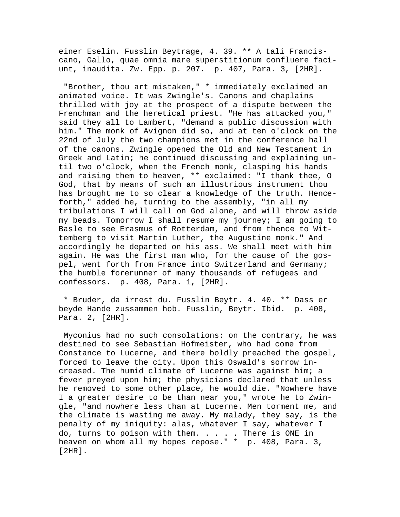einer Eselin. Fusslin Beytrage, 4. 39. \*\* A tali Franciscano, Gallo, quae omnia mare superstitionum confluere faciunt, inaudita. Zw. Epp. p. 207. p. 407, Para. 3, [2HR].

 "Brother, thou art mistaken," \* immediately exclaimed an animated voice. It was Zwingle's. Canons and chaplains thrilled with joy at the prospect of a dispute between the Frenchman and the heretical priest. "He has attacked you," said they all to Lambert, "demand a public discussion with him." The monk of Avignon did so, and at ten o'clock on the 22nd of July the two champions met in the conference hall of the canons. Zwingle opened the Old and New Testament in Greek and Latin; he continued discussing and explaining until two o'clock, when the French monk, clasping his hands and raising them to heaven, \*\* exclaimed: "I thank thee, O God, that by means of such an illustrious instrument thou has brought me to so clear a knowledge of the truth. Henceforth," added he, turning to the assembly, "in all my tribulations I will call on God alone, and will throw aside my beads. Tomorrow I shall resume my journey; I am going to Basle to see Erasmus of Rotterdam, and from thence to Wittemberg to visit Martin Luther, the Augustine monk." And accordingly he departed on his ass. We shall meet with him again. He was the first man who, for the cause of the gospel, went forth from France into Switzerland and Germany; the humble forerunner of many thousands of refugees and confessors. p. 408, Para. 1, [2HR].

 \* Bruder, da irrest du. Fusslin Beytr. 4. 40. \*\* Dass er beyde Hande zussammen hob. Fusslin, Beytr. Ibid. p. 408, Para. 2, [2HR].

 Myconius had no such consolations: on the contrary, he was destined to see Sebastian Hofmeister, who had come from Constance to Lucerne, and there boldly preached the gospel, forced to leave the city. Upon this Oswald's sorrow increased. The humid climate of Lucerne was against him; a fever preyed upon him; the physicians declared that unless he removed to some other place, he would die. "Nowhere have I a greater desire to be than near you," wrote he to Zwingle, "and nowhere less than at Lucerne. Men torment me, and the climate is wasting me away. My malady, they say, is the penalty of my iniquity: alas, whatever I say, whatever I do, turns to poison with them. . . . . There is ONE in heaven on whom all my hopes repose." \* p. 408, Para. 3, [2HR].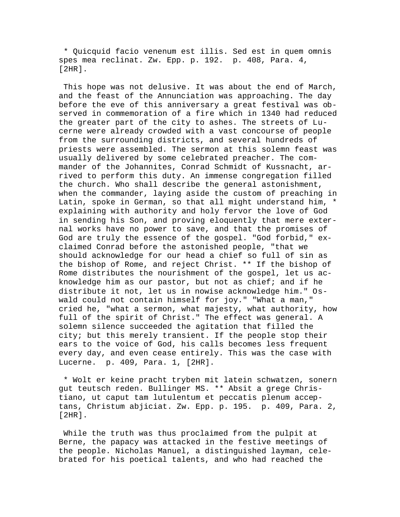\* Quicquid facio venenum est illis. Sed est in quem omnis spes mea reclinat. Zw. Epp. p. 192. p. 408, Para. 4,  $[2HR]$ .

 This hope was not delusive. It was about the end of March, and the feast of the Annunciation was approaching. The day before the eve of this anniversary a great festival was observed in commemoration of a fire which in 1340 had reduced the greater part of the city to ashes. The streets of Lucerne were already crowded with a vast concourse of people from the surrounding districts, and several hundreds of priests were assembled. The sermon at this solemn feast was usually delivered by some celebrated preacher. The commander of the Johannites, Conrad Schmidt of Kussnacht, arrived to perform this duty. An immense congregation filled the church. Who shall describe the general astonishment, when the commander, laying aside the custom of preaching in Latin, spoke in German, so that all might understand him, \* explaining with authority and holy fervor the love of God in sending his Son, and proving eloquently that mere external works have no power to save, and that the promises of God are truly the essence of the gospel. "God forbid," exclaimed Conrad before the astonished people, "that we should acknowledge for our head a chief so full of sin as the bishop of Rome, and reject Christ. \*\* If the bishop of Rome distributes the nourishment of the gospel, let us acknowledge him as our pastor, but not as chief; and if he distribute it not, let us in nowise acknowledge him." Oswald could not contain himself for joy." "What a man," cried he, "what a sermon, what majesty, what authority, how full of the spirit of Christ." The effect was general. A solemn silence succeeded the agitation that filled the city; but this merely transient. If the people stop their ears to the voice of God, his calls becomes less frequent every day, and even cease entirely. This was the case with Lucerne. p. 409, Para. 1, [2HR].

 \* Wolt er keine pracht tryben mit latein schwatzen, sonern gut teutsch reden. Bullinger MS. \*\* Absit a grege Christiano, ut caput tam lutulentum et peccatis plenum acceptans, Christum abjiciat. Zw. Epp. p. 195. p. 409, Para. 2, [2HR].

 While the truth was thus proclaimed from the pulpit at Berne, the papacy was attacked in the festive meetings of the people. Nicholas Manuel, a distinguished layman, celebrated for his poetical talents, and who had reached the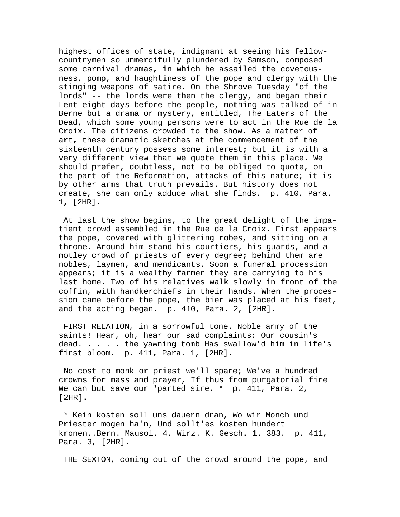highest offices of state, indignant at seeing his fellowcountrymen so unmercifully plundered by Samson, composed some carnival dramas, in which he assailed the covetousness, pomp, and haughtiness of the pope and clergy with the stinging weapons of satire. On the Shrove Tuesday "of the lords" -- the lords were then the clergy, and began their Lent eight days before the people, nothing was talked of in Berne but a drama or mystery, entitled, The Eaters of the Dead, which some young persons were to act in the Rue de la Croix. The citizens crowded to the show. As a matter of art, these dramatic sketches at the commencement of the sixteenth century possess some interest; but it is with a very different view that we quote them in this place. We should prefer, doubtless, not to be obliged to quote, on the part of the Reformation, attacks of this nature; it is by other arms that truth prevails. But history does not create, she can only adduce what she finds. p. 410, Para. 1, [2HR].

 At last the show begins, to the great delight of the impatient crowd assembled in the Rue de la Croix. First appears the pope, covered with glittering robes, and sitting on a throne. Around him stand his courtiers, his guards, and a motley crowd of priests of every degree; behind them are nobles, laymen, and mendicants. Soon a funeral procession appears; it is a wealthy farmer they are carrying to his last home. Two of his relatives walk slowly in front of the coffin, with handkerchiefs in their hands. When the procession came before the pope, the bier was placed at his feet, and the acting began. p. 410, Para. 2, [2HR].

 FIRST RELATION, in a sorrowful tone. Noble army of the saints! Hear, oh, hear our sad complaints: Our cousin's dead. . . . . the yawning tomb Has swallow'd him in life's first bloom. p. 411, Para. 1, [2HR].

 No cost to monk or priest we'll spare; We've a hundred crowns for mass and prayer, If thus from purgatorial fire We can but save our 'parted sire. \* p. 411, Para. 2, [2HR].

 \* Kein kosten soll uns dauern dran, Wo wir Monch und Priester mogen ha'n, Und sollt'es kosten hundert kronen..Bern. Mausol. 4. Wirz. K. Gesch. 1. 383. p. 411, Para. 3, [2HR].

THE SEXTON, coming out of the crowd around the pope, and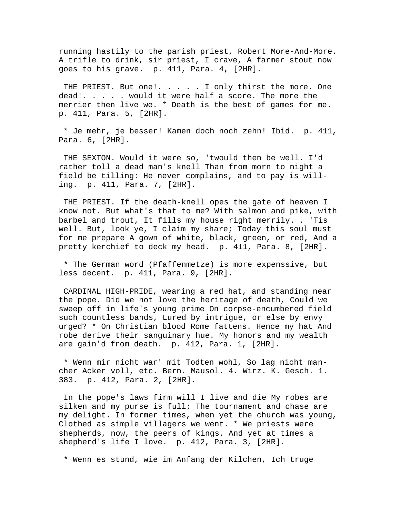running hastily to the parish priest, Robert More-And-More. A trifle to drink, sir priest, I crave, A farmer stout now goes to his grave. p. 411, Para. 4, [2HR].

 THE PRIEST. But one!. . . . . I only thirst the more. One dead!. . . . . would it were half a score. The more the merrier then live we. \* Death is the best of games for me. p. 411, Para. 5, [2HR].

 \* Je mehr, je besser! Kamen doch noch zehn! Ibid. p. 411, Para. 6, [2HR].

 THE SEXTON. Would it were so, 'twould then be well. I'd rather toll a dead man's knell Than from morn to night a field be tilling: He never complains, and to pay is willing. p. 411, Para. 7, [2HR].

 THE PRIEST. If the death-knell opes the gate of heaven I know not. But what's that to me? With salmon and pike, with barbel and trout, It fills my house right merrily. . 'Tis well. But, look ye, I claim my share; Today this soul must for me prepare A gown of white, black, green, or red, And a pretty kerchief to deck my head. p. 411, Para. 8, [2HR].

 \* The German word (Pfaffenmetze) is more expenssive, but less decent. p. 411, Para. 9, [2HR].

 CARDINAL HIGH-PRIDE, wearing a red hat, and standing near the pope. Did we not love the heritage of death, Could we sweep off in life's young prime On corpse-encumbered field such countless bands, Lured by intrigue, or else by envy urged? \* On Christian blood Rome fattens. Hence my hat And robe derive their sanguinary hue. My honors and my wealth are gain'd from death. p. 412, Para. 1, [2HR].

 \* Wenn mir nicht war' mit Todten wohl, So lag nicht mancher Acker voll, etc. Bern. Mausol. 4. Wirz. K. Gesch. 1. 383. p. 412, Para. 2, [2HR].

 In the pope's laws firm will I live and die My robes are silken and my purse is full; The tournament and chase are my delight. In former times, when yet the church was young, Clothed as simple villagers we went. \* We priests were shepherds, now, the peers of kings. And yet at times a shepherd's life I love. p. 412, Para. 3, [2HR].

\* Wenn es stund, wie im Anfang der Kilchen, Ich truge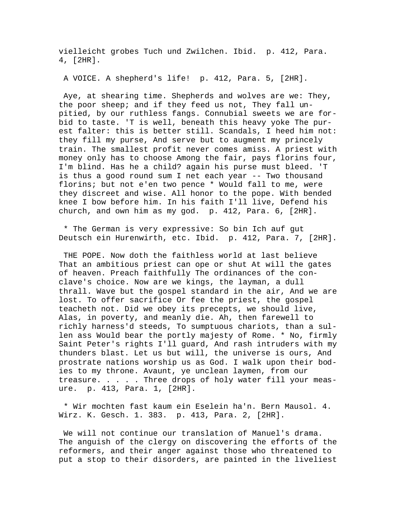vielleicht grobes Tuch und Zwilchen. Ibid. p. 412, Para. 4, [2HR].

A VOICE. A shepherd's life! p. 412, Para. 5, [2HR].

 Aye, at shearing time. Shepherds and wolves are we: They, the poor sheep; and if they feed us not, They fall unpitied, by our ruthless fangs. Connubial sweets we are forbid to taste. 'T is well, beneath this heavy yoke The purest falter: this is better still. Scandals, I heed him not: they fill my purse, And serve but to augment my princely train. The smallest profit never comes amiss. A priest with money only has to choose Among the fair, pays florins four, I'm blind. Has he a child? again his purse must bleed. 'T is thus a good round sum I net each year -- Two thousand florins; but not e'en two pence \* Would fall to me, were they discreet and wise. All honor to the pope. With bended knee I bow before him. In his faith I'll live, Defend his church, and own him as my god. p. 412, Para. 6, [2HR].

 \* The German is very expressive: So bin Ich auf gut Deutsch ein Hurenwirth, etc. Ibid. p. 412, Para. 7, [2HR].

 THE POPE. Now doth the faithless world at last believe That an ambitious priest can ope or shut At will the gates of heaven. Preach faithfully The ordinances of the conclave's choice. Now are we kings, the layman, a dull thrall. Wave but the gospel standard in the air, And we are lost. To offer sacrifice Or fee the priest, the gospel teacheth not. Did we obey its precepts, we should live, Alas, in poverty, and meanly die. Ah, then farewell to richly harness'd steeds, To sumptuous chariots, than a sullen ass Would bear the portly majesty of Rome. \* No, firmly Saint Peter's rights I'll guard, And rash intruders with my thunders blast. Let us but will, the universe is ours, And prostrate nations worship us as God. I walk upon their bodies to my throne. Avaunt, ye unclean laymen, from our treasure. . . . . Three drops of holy water fill your measure. p. 413, Para. 1, [2HR].

 \* Wir mochten fast kaum ein Eselein ha'n. Bern Mausol. 4. Wirz. K. Gesch. 1. 383. p. 413, Para. 2, [2HR].

 We will not continue our translation of Manuel's drama. The anguish of the clergy on discovering the efforts of the reformers, and their anger against those who threatened to put a stop to their disorders, are painted in the liveliest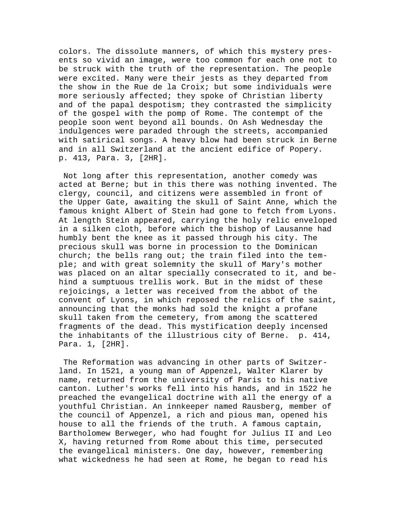colors. The dissolute manners, of which this mystery presents so vivid an image, were too common for each one not to be struck with the truth of the representation. The people were excited. Many were their jests as they departed from the show in the Rue de la Croix; but some individuals were more seriously affected; they spoke of Christian liberty and of the papal despotism; they contrasted the simplicity of the gospel with the pomp of Rome. The contempt of the people soon went beyond all bounds. On Ash Wednesday the indulgences were paraded through the streets, accompanied with satirical songs. A heavy blow had been struck in Berne and in all Switzerland at the ancient edifice of Popery. p. 413, Para. 3, [2HR].

 Not long after this representation, another comedy was acted at Berne; but in this there was nothing invented. The clergy, council, and citizens were assembled in front of the Upper Gate, awaiting the skull of Saint Anne, which the famous knight Albert of Stein had gone to fetch from Lyons. At length Stein appeared, carrying the holy relic enveloped in a silken cloth, before which the bishop of Lausanne had humbly bent the knee as it passed through his city. The precious skull was borne in procession to the Dominican church; the bells rang out; the train filed into the temple; and with great solemnity the skull of Mary's mother was placed on an altar specially consecrated to it, and behind a sumptuous trellis work. But in the midst of these rejoicings, a letter was received from the abbot of the convent of Lyons, in which reposed the relics of the saint, announcing that the monks had sold the knight a profane skull taken from the cemetery, from among the scattered fragments of the dead. This mystification deeply incensed the inhabitants of the illustrious city of Berne. p. 414, Para. 1, [2HR].

 The Reformation was advancing in other parts of Switzerland. In 1521, a young man of Appenzel, Walter Klarer by name, returned from the university of Paris to his native canton. Luther's works fell into his hands, and in 1522 he preached the evangelical doctrine with all the energy of a youthful Christian. An innkeeper named Rausberg, member of the council of Appenzel, a rich and pious man, opened his house to all the friends of the truth. A famous captain, Bartholomew Berweger, who had fought for Julius II and Leo X, having returned from Rome about this time, persecuted the evangelical ministers. One day, however, remembering what wickedness he had seen at Rome, he began to read his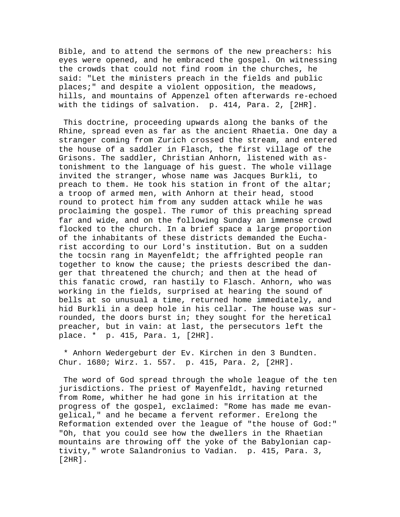Bible, and to attend the sermons of the new preachers: his eyes were opened, and he embraced the gospel. On witnessing the crowds that could not find room in the churches, he said: "Let the ministers preach in the fields and public places;" and despite a violent opposition, the meadows, hills, and mountains of Appenzel often afterwards re-echoed with the tidings of salvation. p. 414, Para. 2, [2HR].

 This doctrine, proceeding upwards along the banks of the Rhine, spread even as far as the ancient Rhaetia. One day a stranger coming from Zurich crossed the stream, and entered the house of a saddler in Flasch, the first village of the Grisons. The saddler, Christian Anhorn, listened with astonishment to the language of his guest. The whole village invited the stranger, whose name was Jacques Burkli, to preach to them. He took his station in front of the altar; a troop of armed men, with Anhorn at their head, stood round to protect him from any sudden attack while he was proclaiming the gospel. The rumor of this preaching spread far and wide, and on the following Sunday an immense crowd flocked to the church. In a brief space a large proportion of the inhabitants of these districts demanded the Eucharist according to our Lord's institution. But on a sudden the tocsin rang in Mayenfeldt; the affrighted people ran together to know the cause; the priests described the danger that threatened the church; and then at the head of this fanatic crowd, ran hastily to Flasch. Anhorn, who was working in the fields, surprised at hearing the sound of bells at so unusual a time, returned home immediately, and hid Burkli in a deep hole in his cellar. The house was surrounded, the doors burst in; they sought for the heretical preacher, but in vain: at last, the persecutors left the place. \* p. 415, Para. 1, [2HR].

 \* Anhorn Wedergeburt der Ev. Kirchen in den 3 Bundten. Chur. 1680; Wirz. 1. 557. p. 415, Para. 2, [2HR].

 The word of God spread through the whole league of the ten jurisdictions. The priest of Mayenfeldt, having returned from Rome, whither he had gone in his irritation at the progress of the gospel, exclaimed: "Rome has made me evangelical," and he became a fervent reformer. Erelong the Reformation extended over the league of "the house of God:" "Oh, that you could see how the dwellers in the Rhaetian mountains are throwing off the yoke of the Babylonian captivity," wrote Salandronius to Vadian. p. 415, Para. 3, [2HR].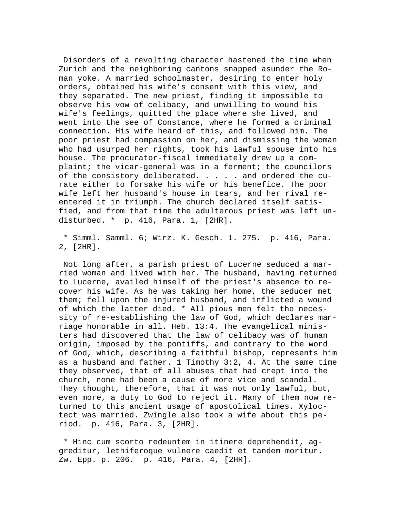Disorders of a revolting character hastened the time when Zurich and the neighboring cantons snapped asunder the Roman yoke. A married schoolmaster, desiring to enter holy orders, obtained his wife's consent with this view, and they separated. The new priest, finding it impossible to observe his vow of celibacy, and unwilling to wound his wife's feelings, quitted the place where she lived, and went into the see of Constance, where he formed a criminal connection. His wife heard of this, and followed him. The poor priest had compassion on her, and dismissing the woman who had usurped her rights, took his lawful spouse into his house. The procurator-fiscal immediately drew up a complaint; the vicar-general was in a ferment; the councilors of the consistory deliberated. . . . . and ordered the curate either to forsake his wife or his benefice. The poor wife left her husband's house in tears, and her rival reentered it in triumph. The church declared itself satisfied, and from that time the adulterous priest was left undisturbed. \* p. 416, Para. 1, [2HR].

 \* Simml. Samml. 6; Wirz. K. Gesch. 1. 275. p. 416, Para. 2, [2HR].

 Not long after, a parish priest of Lucerne seduced a married woman and lived with her. The husband, having returned to Lucerne, availed himself of the priest's absence to recover his wife. As he was taking her home, the seducer met them; fell upon the injured husband, and inflicted a wound of which the latter died. \* All pious men felt the necessity of re-establishing the law of God, which declares marriage honorable in all. Heb. 13:4. The evangelical ministers had discovered that the law of celibacy was of human origin, imposed by the pontiffs, and contrary to the word of God, which, describing a faithful bishop, represents him as a husband and father. 1 Timothy 3:2, 4. At the same time they observed, that of all abuses that had crept into the church, none had been a cause of more vice and scandal. They thought, therefore, that it was not only lawful, but, even more, a duty to God to reject it. Many of them now returned to this ancient usage of apostolical times. Xyloctect was married. Zwingle also took a wife about this period. p. 416, Para. 3, [2HR].

 \* Hinc cum scorto redeuntem in itinere deprehendit, aggreditur, lethiferoque vulnere caedit et tandem moritur. Zw. Epp. p. 206. p. 416, Para. 4, [2HR].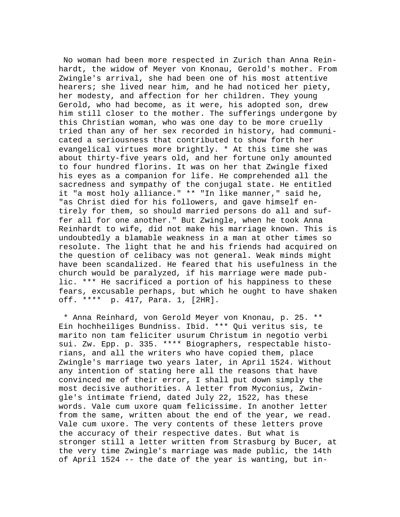No woman had been more respected in Zurich than Anna Reinhardt, the widow of Meyer von Knonau, Gerold's mother. From Zwingle's arrival, she had been one of his most attentive hearers; she lived near him, and he had noticed her piety, her modesty, and affection for her children. They young Gerold, who had become, as it were, his adopted son, drew him still closer to the mother. The sufferings undergone by this Christian woman, who was one day to be more cruelly tried than any of her sex recorded in history, had communicated a seriousness that contributed to show forth her evangelical virtues more brightly. \* At this time she was about thirty-five years old, and her fortune only amounted to four hundred florins. It was on her that Zwingle fixed his eyes as a companion for life. He comprehended all the sacredness and sympathy of the conjugal state. He entitled it "a most holy alliance." \*\* "In like manner," said he, "as Christ died for his followers, and gave himself entirely for them, so should married persons do all and suffer all for one another." But Zwingle, when he took Anna Reinhardt to wife, did not make his marriage known. This is undoubtedly a blamable weakness in a man at other times so resolute. The light that he and his friends had acquired on the question of celibacy was not general. Weak minds might have been scandalized. He feared that his usefulness in the church would be paralyzed, if his marriage were made public. \*\*\* He sacrificed a portion of his happiness to these fears, excusable perhaps, but which he ought to have shaken off. \*\*\*\* p. 417, Para. 1, [2HR].

 \* Anna Reinhard, von Gerold Meyer von Knonau, p. 25. \*\* Ein hochheiliges Bundniss. Ibid. \*\*\* Qui veritus sis, te marito non tam feliciter usurum Christum in negotio verbi sui. Zw. Epp. p. 335. \*\*\*\* Biographers, respectable historians, and all the writers who have copied them, place Zwingle's marriage two years later, in April 1524. Without any intention of stating here all the reasons that have convinced me of their error, I shall put down simply the most decisive authorities. A letter from Myconius, Zwingle's intimate friend, dated July 22, 1522, has these words. Vale cum uxore quam felicissime. In another letter from the same, written about the end of the year, we read. Vale cum uxore. The very contents of these letters prove the accuracy of their respective dates. But what is stronger still a letter written from Strasburg by Bucer, at the very time Zwingle's marriage was made public, the 14th of April 1524 -- the date of the year is wanting, but in-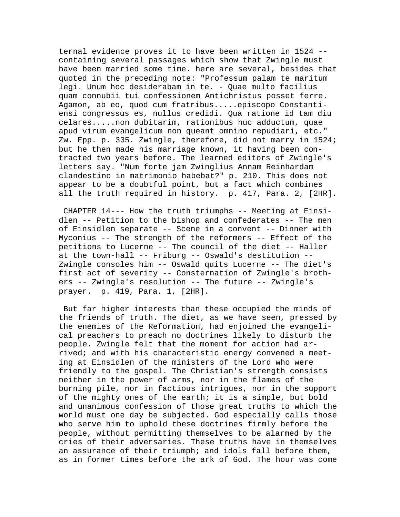ternal evidence proves it to have been written in 1524 - containing several passages which show that Zwingle must have been married some time. here are several, besides that quoted in the preceding note: "Professum palam te maritum legi. Unum hoc desiderabam in te. - Quae multo facilius quam connubii tui confessionem Antichristus posset ferre. Agamon, ab eo, quod cum fratribus.....episcopo Constantiensi congressus es, nullus credidi. Qua ratione id tam diu celares.....non dubitarim, rationibus huc adductum, quae apud virum evangelicum non queant omnino repudiari, etc." Zw. Epp. p. 335. Zwingle, therefore, did not marry in 1524; but he then made his marriage known, it having been contracted two years before. The learned editors of Zwingle's letters say. "Num forte jam Zwinglius Annam Reinhardam clandestino in matrimonio habebat?" p. 210. This does not appear to be a doubtful point, but a fact which combines all the truth required in history. p. 417, Para. 2, [2HR].

 CHAPTER 14--- How the truth triumphs -- Meeting at Einsidlen -- Petition to the bishop and confederates -- The men of Einsidlen separate -- Scene in a convent -- Dinner with Myconius -- The strength of the reformers -- Effect of the petitions to Lucerne -- The council of the diet -- Haller at the town-hall -- Friburg -- Oswald's destitution -- Zwingle consoles him -- Oswald quits Lucerne -- The diet's first act of severity -- Consternation of Zwingle's brothers -- Zwingle's resolution -- The future -- Zwingle's prayer. p. 419, Para. 1, [2HR].

 But far higher interests than these occupied the minds of the friends of truth. The diet, as we have seen, pressed by the enemies of the Reformation, had enjoined the evangelical preachers to preach no doctrines likely to disturb the people. Zwingle felt that the moment for action had arrived; and with his characteristic energy convened a meeting at Einsidlen of the ministers of the Lord who were friendly to the gospel. The Christian's strength consists neither in the power of arms, nor in the flames of the burning pile, nor in factious intrigues, nor in the support of the mighty ones of the earth; it is a simple, but bold and unanimous confession of those great truths to which the world must one day be subjected. God especially calls those who serve him to uphold these doctrines firmly before the people, without permitting themselves to be alarmed by the cries of their adversaries. These truths have in themselves an assurance of their triumph; and idols fall before them, as in former times before the ark of God. The hour was come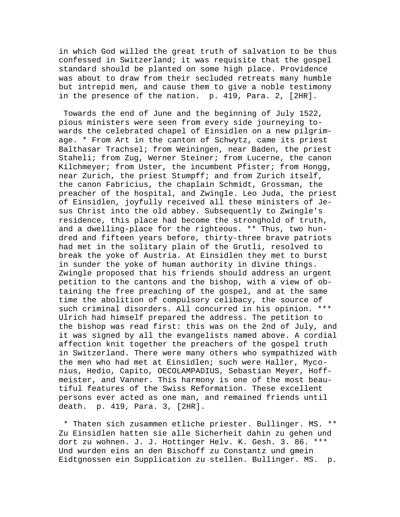in which God willed the great truth of salvation to be thus confessed in Switzerland; it was requisite that the gospel standard should be planted on some high place. Providence was about to draw from their secluded retreats many humble but intrepid men, and cause them to give a noble testimony in the presence of the nation. p. 419, Para. 2, [2HR].

 Towards the end of June and the beginning of July 1522, pious ministers were seen from every side journeying towards the celebrated chapel of Einsidlen on a new pilgrimage. \* From Art in the canton of Schwytz, came its priest Balthasar Trachsel; from Weiningen, near Baden, the priest Staheli; from Zug, Werner Steiner; from Lucerne, the canon Kilchmeyer; from Uster, the incumbent Pfister; from Hongg, near Zurich, the priest Stumpff; and from Zurich itself, the canon Fabricius, the chaplain Schmidt, Grossman, the preacher of the hospital, and Zwingle. Leo Juda, the priest of Einsidlen, joyfully received all these ministers of Jesus Christ into the old abbey. Subsequently to Zwingle's residence, this place had become the stronghold of truth, and a dwelling-place for the righteous. \*\* Thus, two hundred and fifteen years before, thirty-three brave patriots had met in the solitary plain of the Grutli, resolved to break the yoke of Austria. At Einsidlen they met to burst in sunder the yoke of human authority in divine things. Zwingle proposed that his friends should address an urgent petition to the cantons and the bishop, with a view of obtaining the free preaching of the gospel, and at the same time the abolition of compulsory celibacy, the source of such criminal disorders. All concurred in his opinion. \*\*\* Ulrich had himself prepared the address. The petition to the bishop was read first: this was on the 2nd of July, and it was signed by all the evangelists named above. A cordial affection knit together the preachers of the gospel truth in Switzerland. There were many others who sympathized with the men who had met at Einsidlen; such were Haller, Myconius, Hedio, Capito, OECOLAMPADIUS, Sebastian Meyer, Hoffmeister, and Vanner. This harmony is one of the most beautiful features of the Swiss Reformation. These excellent persons ever acted as one man, and remained friends until death. p. 419, Para. 3, [2HR].

 \* Thaten sich zusammen etliche priester. Bullinger. MS. \*\* Zu Einsidlen hatten sie alle Sicherheit dahin zu gehen und dort zu wohnen. J. J. Hottinger Helv. K. Gesh. 3. 86. \*\*\* Und wurden eins an den Bischoff zu Constantz und gmein Eidtgnossen ein Supplication zu stellen. Bullinger. MS. p.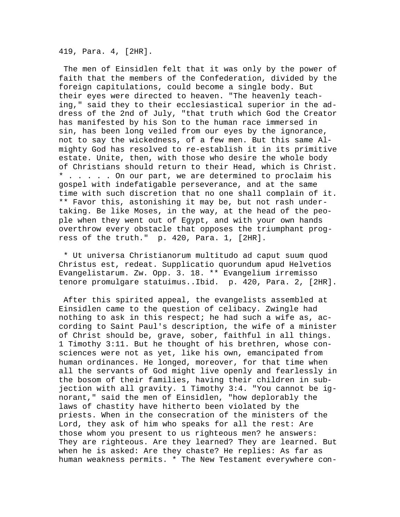419, Para. 4, [2HR].

 The men of Einsidlen felt that it was only by the power of faith that the members of the Confederation, divided by the foreign capitulations, could become a single body. But their eyes were directed to heaven. "The heavenly teaching," said they to their ecclesiastical superior in the address of the 2nd of July, "that truth which God the Creator has manifested by his Son to the human race immersed in sin, has been long veiled from our eyes by the ignorance, not to say the wickedness, of a few men. But this same Almighty God has resolved to re-establish it in its primitive estate. Unite, then, with those who desire the whole body of Christians should return to their Head, which is Christ. \* . . . . . On our part, we are determined to proclaim his gospel with indefatigable perseverance, and at the same time with such discretion that no one shall complain of it. \*\* Favor this, astonishing it may be, but not rash undertaking. Be like Moses, in the way, at the head of the people when they went out of Egypt, and with your own hands overthrow every obstacle that opposes the triumphant progress of the truth." p. 420, Para. 1, [2HR].

 \* Ut universa Christianorum multitudo ad caput suum quod Christus est, redeat. Supplicatio quorundum apud Helvetios Evangelistarum. Zw. Opp. 3. 18. \*\* Evangelium irremisso tenore promulgare statuimus..Ibid. p. 420, Para. 2, [2HR].

 After this spirited appeal, the evangelists assembled at Einsidlen came to the question of celibacy. Zwingle had nothing to ask in this respect; he had such a wife as, according to Saint Paul's description, the wife of a minister of Christ should be, grave, sober, faithful in all things. 1 Timothy 3:11. But he thought of his brethren, whose consciences were not as yet, like his own, emancipated from human ordinances. He longed, moreover, for that time when all the servants of God might live openly and fearlessly in the bosom of their families, having their children in subjection with all gravity. 1 Timothy 3:4. "You cannot be ignorant," said the men of Einsidlen, "how deplorably the laws of chastity have hitherto been violated by the priests. When in the consecration of the ministers of the Lord, they ask of him who speaks for all the rest: Are those whom you present to us righteous men? he answers: They are righteous. Are they learned? They are learned. But when he is asked: Are they chaste? He replies: As far as human weakness permits. \* The New Testament everywhere con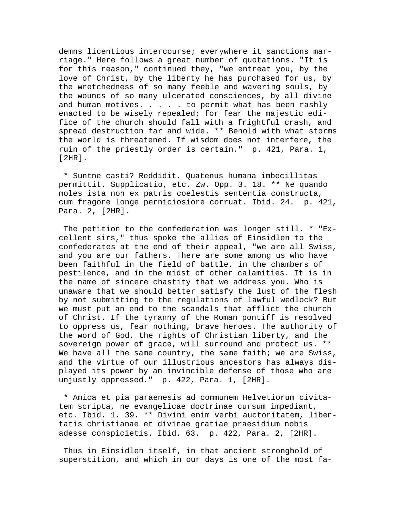demns licentious intercourse; everywhere it sanctions marriage." Here follows a great number of quotations. "It is for this reason," continued they, "we entreat you, by the love of Christ, by the liberty he has purchased for us, by the wretchedness of so many feeble and wavering souls, by the wounds of so many ulcerated consciences, by all divine and human motives.  $\ldots$  . . to permit what has been rashly enacted to be wisely repealed; for fear the majestic edifice of the church should fall with a frightful crash, and spread destruction far and wide. \*\* Behold with what storms the world is threatened. If wisdom does not interfere, the ruin of the priestly order is certain." p. 421, Para. 1, [2HR].

 \* Suntne casti? Reddidit. Quatenus humana imbecillitas permittit. Supplicatio, etc. Zw. Opp. 3. 18. \*\* Ne quando moles ista non ex patris coelestis sententia constructa, cum fragore longe perniciosiore corruat. Ibid. 24. p. 421, Para. 2, [2HR].

 The petition to the confederation was longer still. \* "Excellent sirs," thus spoke the allies of Einsidlen to the confederates at the end of their appeal, "we are all Swiss, and you are our fathers. There are some among us who have been faithful in the field of battle, in the chambers of pestilence, and in the midst of other calamities. It is in the name of sincere chastity that we address you. Who is unaware that we should better satisfy the lust of the flesh by not submitting to the regulations of lawful wedlock? But we must put an end to the scandals that afflict the church of Christ. If the tyranny of the Roman pontiff is resolved to oppress us, fear nothing, brave heroes. The authority of the word of God, the rights of Christian liberty, and the sovereign power of grace, will surround and protect us. \*\* We have all the same country, the same faith; we are Swiss, and the virtue of our illustrious ancestors has always displayed its power by an invincible defense of those who are unjustly oppressed." p. 422, Para. 1, [2HR].

 \* Amica et pia paraenesis ad communem Helvetiorum civitatem scripta, ne evangelicae doctrinae cursum impediant, etc. Ibid. 1. 39. \*\* Divini enim verbi auctoritatem, libertatis christianae et divinae gratiae praesidium nobis adesse conspicietis. Ibid. 63. p. 422, Para. 2, [2HR].

 Thus in Einsidlen itself, in that ancient stronghold of superstition, and which in our days is one of the most fa-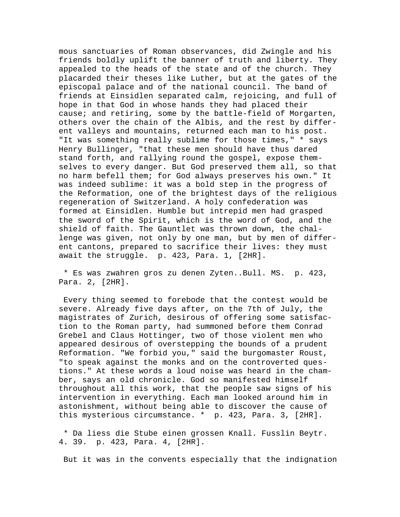mous sanctuaries of Roman observances, did Zwingle and his friends boldly uplift the banner of truth and liberty. They appealed to the heads of the state and of the church. They placarded their theses like Luther, but at the gates of the episcopal palace and of the national council. The band of friends at Einsidlen separated calm, rejoicing, and full of hope in that God in whose hands they had placed their cause; and retiring, some by the battle-field of Morgarten, others over the chain of the Albis, and the rest by different valleys and mountains, returned each man to his post. "It was something really sublime for those times," \* says Henry Bullinger, "that these men should have thus dared stand forth, and rallying round the gospel, expose themselves to every danger. But God preserved them all, so that no harm befell them; for God always preserves his own." It was indeed sublime: it was a bold step in the progress of the Reformation, one of the brightest days of the religious regeneration of Switzerland. A holy confederation was formed at Einsidlen. Humble but intrepid men had grasped the sword of the Spirit, which is the word of God, and the shield of faith. The Gauntlet was thrown down, the challenge was given, not only by one man, but by men of different cantons, prepared to sacrifice their lives: they must await the struggle. p. 423, Para. 1, [2HR].

 \* Es was zwahren gros zu denen Zyten..Bull. MS. p. 423, Para. 2, [2HR].

 Every thing seemed to forebode that the contest would be severe. Already five days after, on the 7th of July, the magistrates of Zurich, desirous of offering some satisfaction to the Roman party, had summoned before them Conrad Grebel and Claus Hottinger, two of those violent men who appeared desirous of overstepping the bounds of a prudent Reformation. "We forbid you," said the burgomaster Roust, "to speak against the monks and on the controverted questions." At these words a loud noise was heard in the chamber, says an old chronicle. God so manifested himself throughout all this work, that the people saw signs of his intervention in everything. Each man looked around him in astonishment, without being able to discover the cause of this mysterious circumstance. \* p. 423, Para. 3, [2HR].

 \* Da liess die Stube einen grossen Knall. Fusslin Beytr. 4. 39. p. 423, Para. 4, [2HR].

But it was in the convents especially that the indignation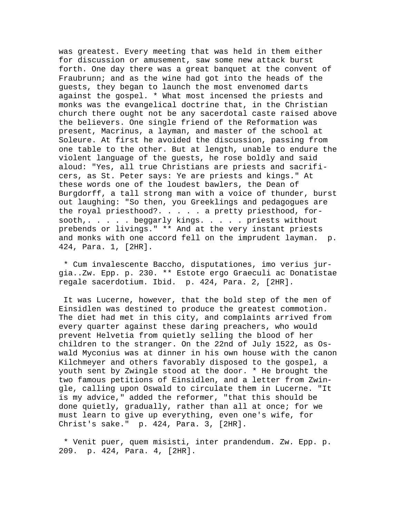was greatest. Every meeting that was held in them either for discussion or amusement, saw some new attack burst forth. One day there was a great banquet at the convent of Fraubrunn; and as the wine had got into the heads of the guests, they began to launch the most envenomed darts against the gospel. \* What most incensed the priests and monks was the evangelical doctrine that, in the Christian church there ought not be any sacerdotal caste raised above the believers. One single friend of the Reformation was present, Macrinus, a layman, and master of the school at Soleure. At first he avoided the discussion, passing from one table to the other. But at length, unable to endure the violent language of the guests, he rose boldly and said aloud: "Yes, all true Christians are priests and sacrificers, as St. Peter says: Ye are priests and kings." At these words one of the loudest bawlers, the Dean of Burgdorff, a tall strong man with a voice of thunder, burst out laughing: "So then, you Greeklings and pedagogues are the royal priesthood?. . . . . a pretty priesthood, forsooth,. . . . . beggarly kings. . . . . priests without prebends or livings." \*\* And at the very instant priests and monks with one accord fell on the imprudent layman. p. 424, Para. 1, [2HR].

 \* Cum invalescente Baccho, disputationes, imo verius jurgia..Zw. Epp. p. 230. \*\* Estote ergo Graeculi ac Donatistae regale sacerdotium. Ibid. p. 424, Para. 2, [2HR].

 It was Lucerne, however, that the bold step of the men of Einsidlen was destined to produce the greatest commotion. The diet had met in this city, and complaints arrived from every quarter against these daring preachers, who would prevent Helvetia from quietly selling the blood of her children to the stranger. On the 22nd of July 1522, as Oswald Myconius was at dinner in his own house with the canon Kilchmeyer and others favorably disposed to the gospel, a youth sent by Zwingle stood at the door. \* He brought the two famous petitions of Einsidlen, and a letter from Zwingle, calling upon Oswald to circulate them in Lucerne. "It is my advice," added the reformer, "that this should be done quietly, gradually, rather than all at once; for we must learn to give up everything, even one's wife, for Christ's sake." p. 424, Para. 3, [2HR].

 \* Venit puer, quem misisti, inter prandendum. Zw. Epp. p. 209. p. 424, Para. 4, [2HR].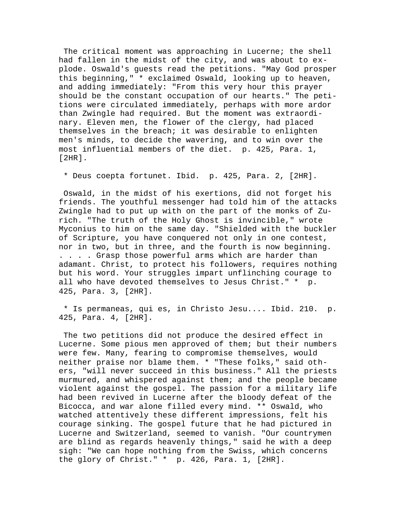The critical moment was approaching in Lucerne; the shell had fallen in the midst of the city, and was about to explode. Oswald's guests read the petitions. "May God prosper this beginning," \* exclaimed Oswald, looking up to heaven, and adding immediately: "From this very hour this prayer should be the constant occupation of our hearts." The petitions were circulated immediately, perhaps with more ardor than Zwingle had required. But the moment was extraordinary. Eleven men, the flower of the clergy, had placed themselves in the breach; it was desirable to enlighten men's minds, to decide the wavering, and to win over the most influential members of the diet. p. 425, Para. 1, [2HR].

\* Deus coepta fortunet. Ibid. p. 425, Para. 2, [2HR].

 Oswald, in the midst of his exertions, did not forget his friends. The youthful messenger had told him of the attacks Zwingle had to put up with on the part of the monks of Zurich. "The truth of the Holy Ghost is invincible," wrote Myconius to him on the same day. "Shielded with the buckler of Scripture, you have conquered not only in one contest, nor in two, but in three, and the fourth is now beginning. . . . . Grasp those powerful arms which are harder than adamant. Christ, to protect his followers, requires nothing but his word. Your struggles impart unflinching courage to all who have devoted themselves to Jesus Christ." \* p. 425, Para. 3, [2HR].

 \* Is permaneas, qui es, in Christo Jesu.... Ibid. 210. p. 425, Para. 4, [2HR].

 The two petitions did not produce the desired effect in Lucerne. Some pious men approved of them; but their numbers were few. Many, fearing to compromise themselves, would neither praise nor blame them. \* "These folks," said others, "will never succeed in this business." All the priests murmured, and whispered against them; and the people became violent against the gospel. The passion for a military life had been revived in Lucerne after the bloody defeat of the Bicocca, and war alone filled every mind. \*\* Oswald, who watched attentively these different impressions, felt his courage sinking. The gospel future that he had pictured in Lucerne and Switzerland, seemed to vanish. "Our countrymen are blind as regards heavenly things," said he with a deep sigh: "We can hope nothing from the Swiss, which concerns the glory of Christ." \* p. 426, Para. 1, [2HR].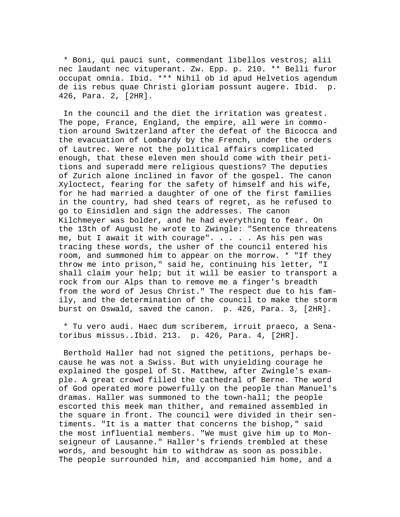\* Boni, qui pauci sunt, commendant libellos vestros; alii nec laudant nec vituperant. Zw. Epp. p. 210. \*\* Belli furor occupat omnia. Ibid. \*\*\* Nihil ob id apud Helvetios agendum de iis rebus quae Christi gloriam possunt augere. Ibid. p. 426, Para. 2, [2HR].

 In the council and the diet the irritation was greatest. The pope, France, England, the empire, all were in commotion around Switzerland after the defeat of the Bicocca and the evacuation of Lombardy by the French, under the orders of Lautrec. Were not the political affairs complicated enough, that these eleven men should come with their petitions and superadd mere religious questions? The deputies of Zurich alone inclined in favor of the gospel. The canon Xyloctect, fearing for the safety of himself and his wife, for he had married a daughter of one of the first families in the country, had shed tears of regret, as he refused to go to Einsidlen and sign the addresses. The canon Kilchmeyer was bolder, and he had everything to fear. On the 13th of August he wrote to Zwingle: "Sentence threatens me, but I await it with courage". . . . . As his pen was tracing these words, the usher of the council entered his room, and summoned him to appear on the morrow. \* "If they throw me into prison," said he, continuing his letter, "I shall claim your help; but it will be easier to transport a rock from our Alps than to remove me a finger's breadth from the word of Jesus Christ." The respect due to his family, and the determination of the council to make the storm burst on Oswald, saved the canon. p. 426, Para. 3, [2HR].

 \* Tu vero audi. Haec dum scriberem, irruit praeco, a Senatoribus missus..Ibid. 213. p. 426, Para. 4, [2HR].

 Berthold Haller had not signed the petitions, perhaps because he was not a Swiss. But with unyielding courage he explained the gospel of St. Matthew, after Zwingle's example. A great crowd filled the cathedral of Berne. The word of God operated more powerfully on the people than Manuel's dramas. Haller was summoned to the town-hall; the people escorted this meek man thither, and remained assembled in the square in front. The council were divided in their sentiments. "It is a matter that concerns the bishop," said the most influential members. "We must give him up to Monseigneur of Lausanne." Haller's friends trembled at these words, and besought him to withdraw as soon as possible. The people surrounded him, and accompanied him home, and a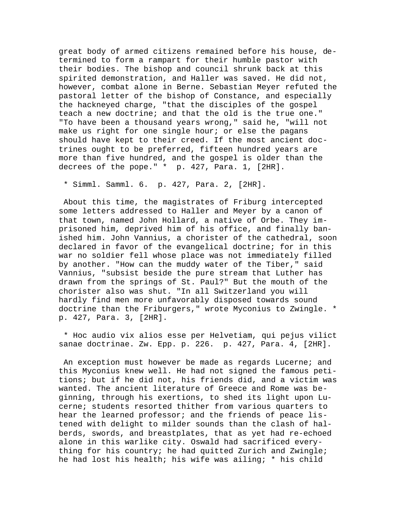great body of armed citizens remained before his house, determined to form a rampart for their humble pastor with their bodies. The bishop and council shrunk back at this spirited demonstration, and Haller was saved. He did not, however, combat alone in Berne. Sebastian Meyer refuted the pastoral letter of the bishop of Constance, and especially the hackneyed charge, "that the disciples of the gospel teach a new doctrine; and that the old is the true one." "To have been a thousand years wrong," said he, "will not make us right for one single hour; or else the pagans should have kept to their creed. If the most ancient doctrines ought to be preferred, fifteen hundred years are more than five hundred, and the gospel is older than the decrees of the pope." \* p. 427, Para. 1, [2HR].

\* Simml. Samml. 6. p. 427, Para. 2, [2HR].

 About this time, the magistrates of Friburg intercepted some letters addressed to Haller and Meyer by a canon of that town, named John Hollard, a native of Orbe. They imprisoned him, deprived him of his office, and finally banished him. John Vannius, a chorister of the cathedral, soon declared in favor of the evangelical doctrine; for in this war no soldier fell whose place was not immediately filled by another. "How can the muddy water of the Tiber," said Vannius, "subsist beside the pure stream that Luther has drawn from the springs of St. Paul?" But the mouth of the chorister also was shut. "In all Switzerland you will hardly find men more unfavorably disposed towards sound doctrine than the Friburgers," wrote Myconius to Zwingle. \* p. 427, Para. 3, [2HR].

 \* Hoc audio vix alios esse per Helvetiam, qui pejus vilict sanae doctrinae. Zw. Epp. p. 226. p. 427, Para. 4, [2HR].

 An exception must however be made as regards Lucerne; and this Myconius knew well. He had not signed the famous petitions; but if he did not, his friends did, and a victim was wanted. The ancient literature of Greece and Rome was beginning, through his exertions, to shed its light upon Lucerne; students resorted thither from various quarters to hear the learned professor; and the friends of peace listened with delight to milder sounds than the clash of halberds, swords, and breastplates, that as yet had re-echoed alone in this warlike city. Oswald had sacrificed everything for his country; he had quitted Zurich and Zwingle; he had lost his health; his wife was ailing; \* his child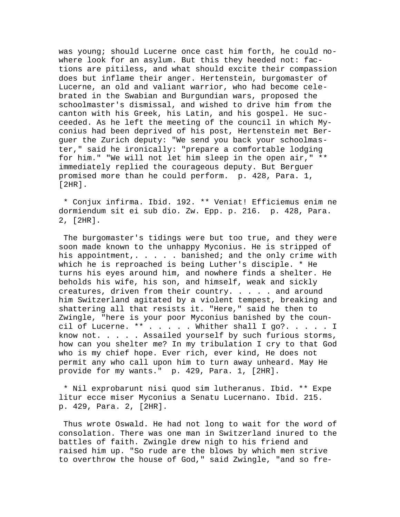was young; should Lucerne once cast him forth, he could nowhere look for an asylum. But this they heeded not: factions are pitiless, and what should excite their compassion does but inflame their anger. Hertenstein, burgomaster of Lucerne, an old and valiant warrior, who had become celebrated in the Swabian and Burgundian wars, proposed the schoolmaster's dismissal, and wished to drive him from the canton with his Greek, his Latin, and his gospel. He succeeded. As he left the meeting of the council in which Myconius had been deprived of his post, Hertenstein met Berguer the Zurich deputy: "We send you back your schoolmaster," said he ironically: "prepare a comfortable lodging for him." "We will not let him sleep in the open air," \*\* immediately replied the courageous deputy. But Berguer promised more than he could perform. p. 428, Para. 1,  $[2HR]$ .

 \* Conjux infirma. Ibid. 192. \*\* Veniat! Efficiemus enim ne dormiendum sit ei sub dio. Zw. Epp. p. 216. p. 428, Para. 2, [2HR].

 The burgomaster's tidings were but too true, and they were soon made known to the unhappy Myconius. He is stripped of his appointment, . . . . banished; and the only crime with which he is reproached is being Luther's disciple. \* He turns his eyes around him, and nowhere finds a shelter. He beholds his wife, his son, and himself, weak and sickly creatures, driven from their country. . . . . and around him Switzerland agitated by a violent tempest, breaking and shattering all that resists it. "Here," said he then to Zwingle, "here is your poor Myconius banished by the council of Lucerne. \*\* . . . . . Whither shall I go?. . . . . I know not. . . . . Assailed yourself by such furious storms, how can you shelter me? In my tribulation I cry to that God who is my chief hope. Ever rich, ever kind, He does not permit any who call upon him to turn away unheard. May He provide for my wants." p. 429, Para. 1, [2HR].

 \* Nil exprobarunt nisi quod sim lutheranus. Ibid. \*\* Expe litur ecce miser Myconius a Senatu Lucernano. Ibid. 215. p. 429, Para. 2, [2HR].

 Thus wrote Oswald. He had not long to wait for the word of consolation. There was one man in Switzerland inured to the battles of faith. Zwingle drew nigh to his friend and raised him up. "So rude are the blows by which men strive to overthrow the house of God," said Zwingle, "and so fre-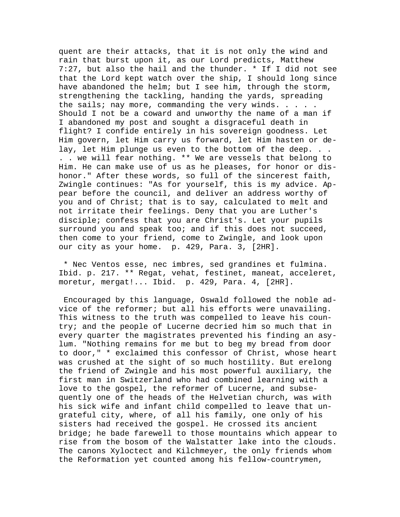quent are their attacks, that it is not only the wind and rain that burst upon it, as our Lord predicts, Matthew 7:27, but also the hail and the thunder. \* If I did not see that the Lord kept watch over the ship, I should long since have abandoned the helm; but I see him, through the storm, strengthening the tackling, handing the yards, spreading the sails; nay more, commanding the very winds.  $\ldots$ . Should I not be a coward and unworthy the name of a man if I abandoned my post and sought a disgraceful death in flight? I confide entirely in his sovereign goodness. Let Him govern, let Him carry us forward, let Him hasten or delay, let Him plunge us even to the bottom of the deep. . . . . we will fear nothing. \*\* We are vessels that belong to Him. He can make use of us as he pleases, for honor or dishonor." After these words, so full of the sincerest faith, Zwingle continues: "As for yourself, this is my advice. Appear before the council, and deliver an address worthy of you and of Christ; that is to say, calculated to melt and not irritate their feelings. Deny that you are Luther's disciple; confess that you are Christ's. Let your pupils surround you and speak too; and if this does not succeed, then come to your friend, come to Zwingle, and look upon our city as your home. p. 429, Para. 3, [2HR].

 \* Nec Ventos esse, nec imbres, sed grandines et fulmina. Ibid. p. 217. \*\* Regat, vehat, festinet, maneat, acceleret, moretur, mergat!... Ibid. p. 429, Para. 4, [2HR].

 Encouraged by this language, Oswald followed the noble advice of the reformer; but all his efforts were unavailing. This witness to the truth was compelled to leave his country; and the people of Lucerne decried him so much that in every quarter the magistrates prevented his finding an asylum. "Nothing remains for me but to beg my bread from door to door," \* exclaimed this confessor of Christ, whose heart was crushed at the sight of so much hostility. But erelong the friend of Zwingle and his most powerful auxiliary, the first man in Switzerland who had combined learning with a love to the gospel, the reformer of Lucerne, and subsequently one of the heads of the Helvetian church, was with his sick wife and infant child compelled to leave that ungrateful city, where, of all his family, one only of his sisters had received the gospel. He crossed its ancient bridge; he bade farewell to those mountains which appear to rise from the bosom of the Walstatter lake into the clouds. The canons Xyloctect and Kilchmeyer, the only friends whom the Reformation yet counted among his fellow-countrymen,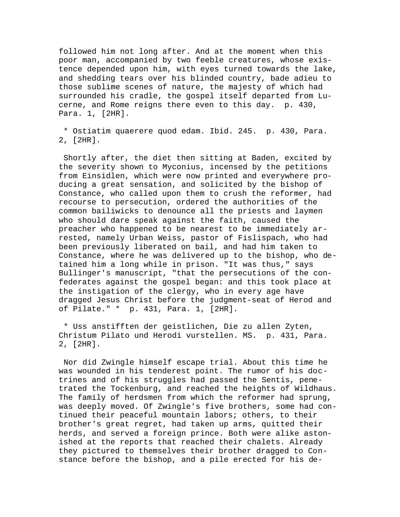followed him not long after. And at the moment when this poor man, accompanied by two feeble creatures, whose existence depended upon him, with eyes turned towards the lake, and shedding tears over his blinded country, bade adieu to those sublime scenes of nature, the majesty of which had surrounded his cradle, the gospel itself departed from Lucerne, and Rome reigns there even to this day. p. 430, Para. 1, [2HR].

 \* Ostiatim quaerere quod edam. Ibid. 245. p. 430, Para. 2, [2HR].

 Shortly after, the diet then sitting at Baden, excited by the severity shown to Myconius, incensed by the petitions from Einsidlen, which were now printed and everywhere producing a great sensation, and solicited by the bishop of Constance, who called upon them to crush the reformer, had recourse to persecution, ordered the authorities of the common bailiwicks to denounce all the priests and laymen who should dare speak against the faith, caused the preacher who happened to be nearest to be immediately arrested, namely Urban Weiss, pastor of Fislispach, who had been previously liberated on bail, and had him taken to Constance, where he was delivered up to the bishop, who detained him a long while in prison. "It was thus," says Bullinger's manuscript, "that the persecutions of the confederates against the gospel began: and this took place at the instigation of the clergy, who in every age have dragged Jesus Christ before the judgment-seat of Herod and of Pilate." \* p. 431, Para. 1, [2HR].

 \* Uss anstifften der geistlichen, Die zu allen Zyten, Christum Pilato und Herodi vurstellen. MS. p. 431, Para. 2, [2HR].

 Nor did Zwingle himself escape trial. About this time he was wounded in his tenderest point. The rumor of his doctrines and of his struggles had passed the Sentis, penetrated the Tockenburg, and reached the heights of Wildhaus. The family of herdsmen from which the reformer had sprung, was deeply moved. Of Zwingle's five brothers, some had continued their peaceful mountain labors; others, to their brother's great regret, had taken up arms, quitted their herds, and served a foreign prince. Both were alike astonished at the reports that reached their chalets. Already they pictured to themselves their brother dragged to Constance before the bishop, and a pile erected for his de-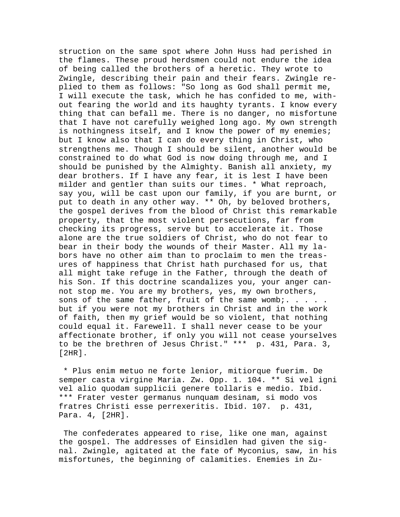struction on the same spot where John Huss had perished in the flames. These proud herdsmen could not endure the idea of being called the brothers of a heretic. They wrote to Zwingle, describing their pain and their fears. Zwingle replied to them as follows: "So long as God shall permit me, I will execute the task, which he has confided to me, without fearing the world and its haughty tyrants. I know every thing that can befall me. There is no danger, no misfortune that I have not carefully weighed long ago. My own strength is nothingness itself, and I know the power of my enemies; but I know also that I can do every thing in Christ, who strengthens me. Though I should be silent, another would be constrained to do what God is now doing through me, and I should be punished by the Almighty. Banish all anxiety, my dear brothers. If I have any fear, it is lest I have been milder and gentler than suits our times. \* What reproach, say you, will be cast upon our family, if you are burnt, or put to death in any other way. \*\* Oh, by beloved brothers, the gospel derives from the blood of Christ this remarkable property, that the most violent persecutions, far from checking its progress, serve but to accelerate it. Those alone are the true soldiers of Christ, who do not fear to bear in their body the wounds of their Master. All my labors have no other aim than to proclaim to men the treasures of happiness that Christ hath purchased for us, that all might take refuge in the Father, through the death of his Son. If this doctrine scandalizes you, your anger cannot stop me. You are my brothers, yes, my own brothers, sons of the same father, fruit of the same womb; . . . . but if you were not my brothers in Christ and in the work of faith, then my grief would be so violent, that nothing could equal it. Farewell. I shall never cease to be your affectionate brother, if only you will not cease yourselves to be the brethren of Jesus Christ." \*\*\* p. 431, Para. 3,  $[2HR]$ .

 \* Plus enim metuo ne forte lenior, mitiorque fuerim. De semper casta virgine Maria. Zw. Opp. 1. 104. \*\* Si vel igni vel alio quodam supplicii genere tollaris e medio. Ibid. \*\*\* Frater vester germanus nunquam desinam, si modo vos fratres Christi esse perrexeritis. Ibid. 107. p. 431, Para. 4, [2HR].

 The confederates appeared to rise, like one man, against the gospel. The addresses of Einsidlen had given the signal. Zwingle, agitated at the fate of Myconius, saw, in his misfortunes, the beginning of calamities. Enemies in Zu-